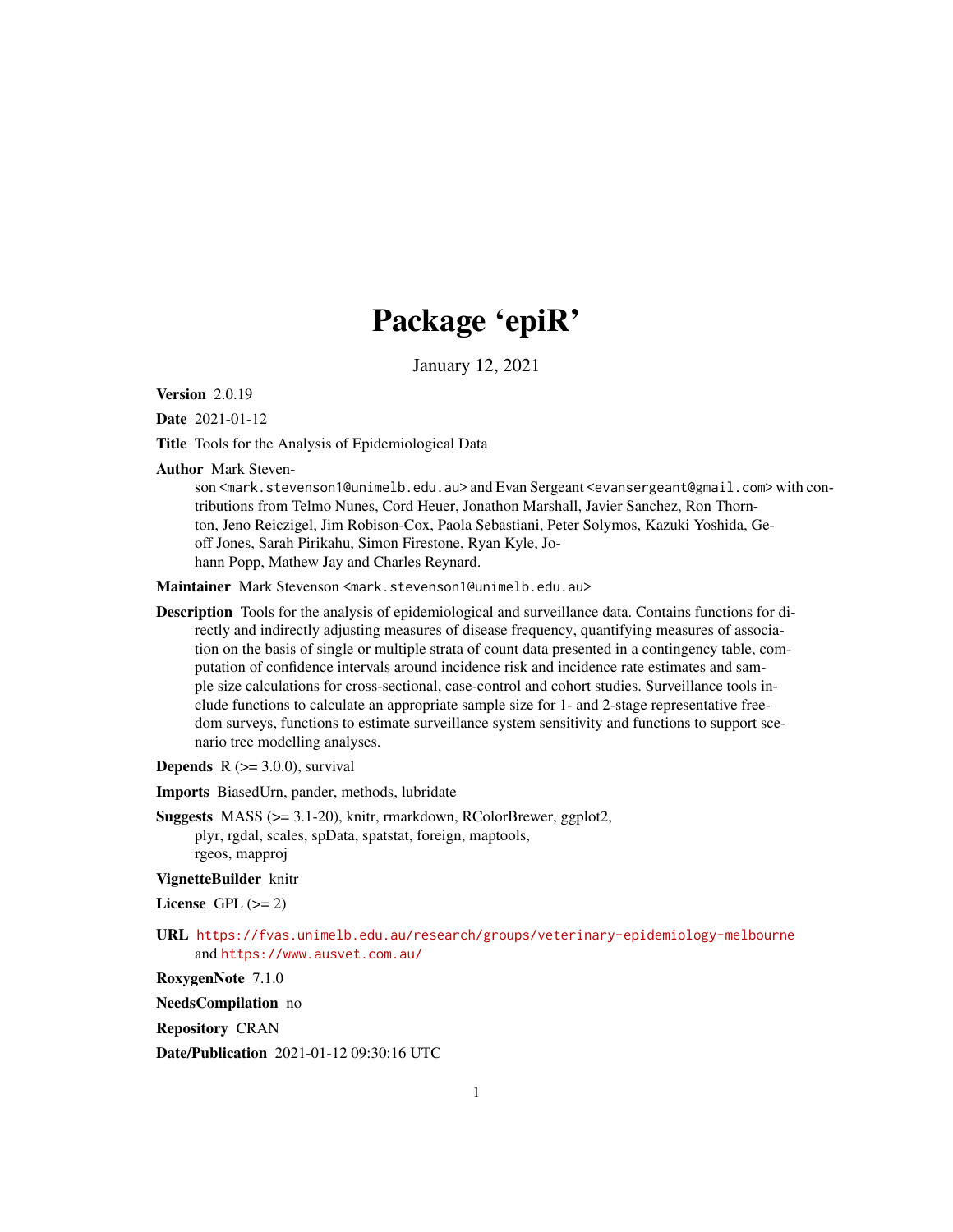# Package 'epiR'

January 12, 2021

Version 2.0.19

Date 2021-01-12

Title Tools for the Analysis of Epidemiological Data

Author Mark Steven-

son <mark.stevenson1@unimelb.edu.au> and Evan Sergeant <evansergeant@gmail.com> with contributions from Telmo Nunes, Cord Heuer, Jonathon Marshall, Javier Sanchez, Ron Thornton, Jeno Reiczigel, Jim Robison-Cox, Paola Sebastiani, Peter Solymos, Kazuki Yoshida, Geoff Jones, Sarah Pirikahu, Simon Firestone, Ryan Kyle, Johann Popp, Mathew Jay and Charles Reynard.

Maintainer Mark Stevenson <mark.stevenson1@unimelb.edu.au>

Description Tools for the analysis of epidemiological and surveillance data. Contains functions for directly and indirectly adjusting measures of disease frequency, quantifying measures of association on the basis of single or multiple strata of count data presented in a contingency table, computation of confidence intervals around incidence risk and incidence rate estimates and sample size calculations for cross-sectional, case-control and cohort studies. Surveillance tools include functions to calculate an appropriate sample size for 1- and 2-stage representative freedom surveys, functions to estimate surveillance system sensitivity and functions to support scenario tree modelling analyses.

**Depends**  $R$  ( $>= 3.0.0$ ), survival

Imports BiasedUrn, pander, methods, lubridate

Suggests MASS (>= 3.1-20), knitr, rmarkdown, RColorBrewer, ggplot2, plyr, rgdal, scales, spData, spatstat, foreign, maptools, rgeos, mapproj

### VignetteBuilder knitr

License GPL  $(>= 2)$ 

URL <https://fvas.unimelb.edu.au/research/groups/veterinary-epidemiology-melbourne> and <https://www.ausvet.com.au/>

RoxygenNote 7.1.0

NeedsCompilation no

Repository CRAN

Date/Publication 2021-01-12 09:30:16 UTC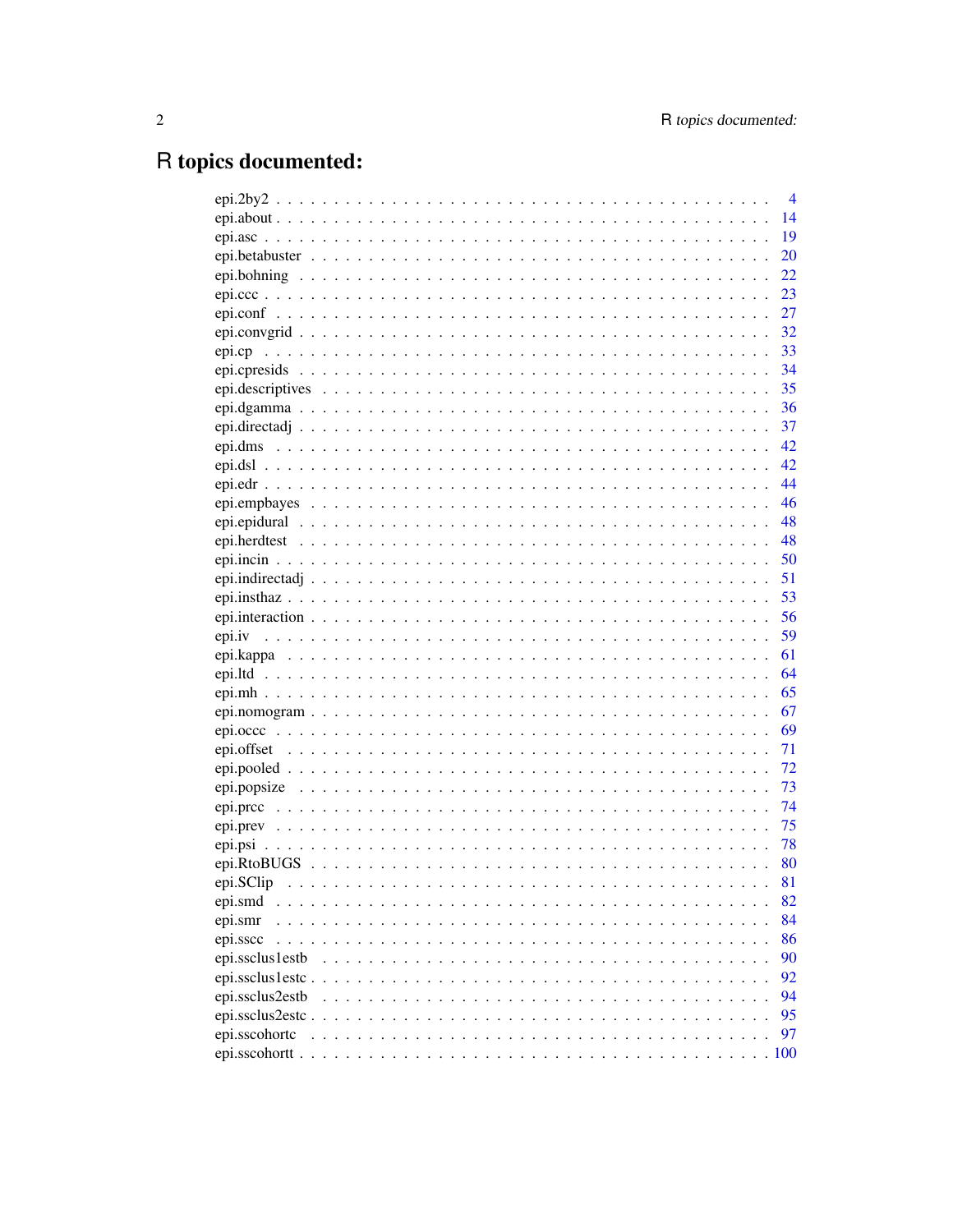# R topics documented:

|                  | $\overline{4}$ |
|------------------|----------------|
|                  | 14             |
|                  | 19             |
|                  | 20             |
|                  | 22             |
|                  | 23             |
|                  | 27             |
|                  | 32             |
|                  | 33             |
|                  | 34             |
|                  | 35             |
|                  |                |
|                  |                |
|                  |                |
|                  |                |
|                  | 44             |
|                  | 46             |
|                  | 48             |
|                  |                |
|                  | 50             |
|                  |                |
|                  | 53             |
|                  | 56             |
|                  | 59             |
|                  | 61             |
|                  | 64             |
|                  | 65             |
|                  | 67             |
|                  | 69             |
|                  | 71             |
|                  | 72             |
|                  | 73             |
|                  | 74             |
|                  | 75             |
|                  | 78             |
|                  | 80             |
|                  | 81             |
| epi.smd          | 82             |
| epi.smr<br>.     | 84             |
| epi.sscc         | 86             |
| epi.ssclus1estb  | 90             |
| epi.ssclus1estc. | 92             |
| epi.ssclus2estb  | 94             |
| epi.ssclus2estc  | 95             |
| epi.sscohortc    | 97             |
| epi.sscohortt    |                |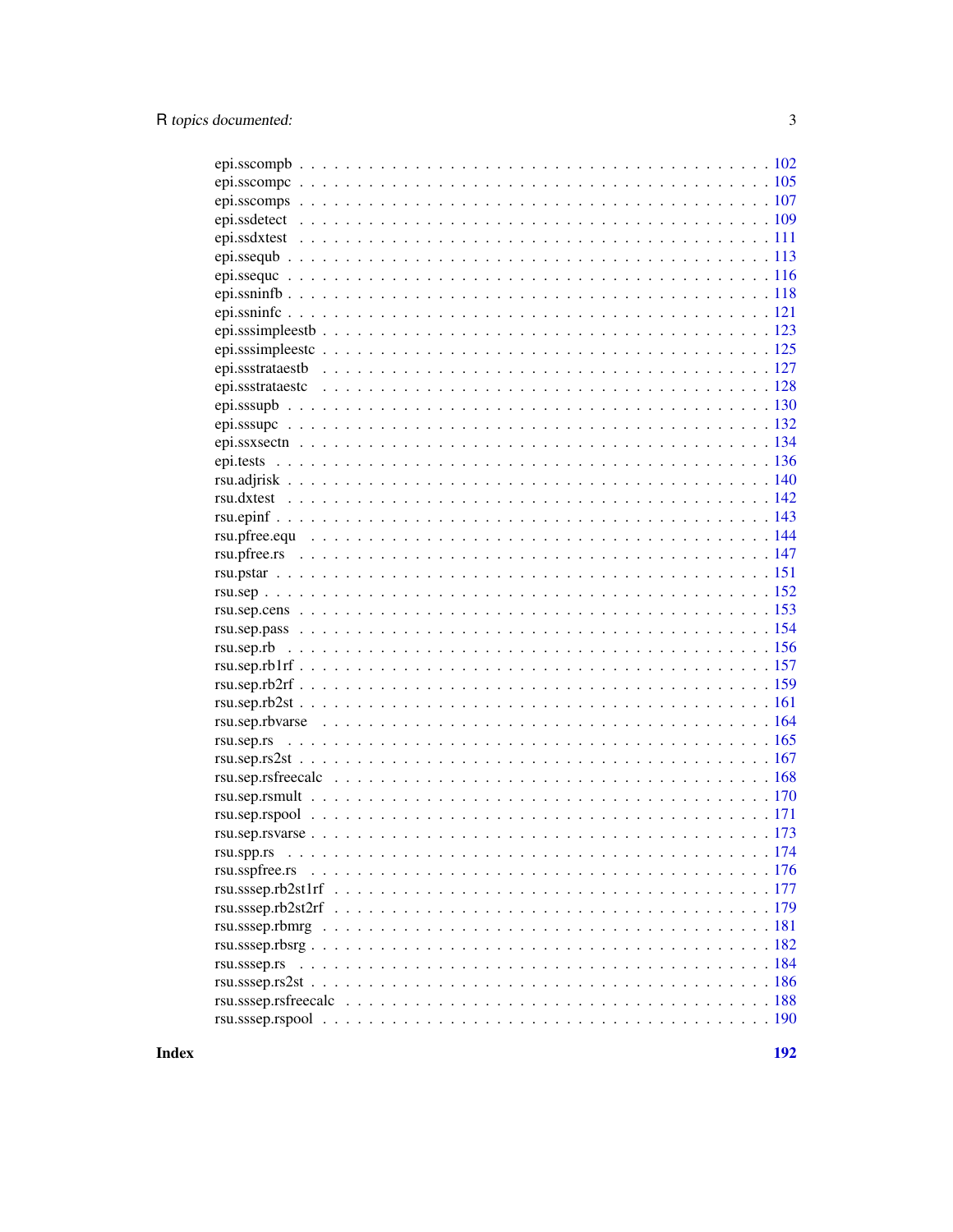| rsu.spp.rs<br>rsu.sspfree.rs<br>rsu.sssep.rs |  |
|----------------------------------------------|--|
|                                              |  |
|                                              |  |
|                                              |  |
|                                              |  |
|                                              |  |
|                                              |  |
|                                              |  |
|                                              |  |
|                                              |  |
|                                              |  |
|                                              |  |
|                                              |  |
|                                              |  |
|                                              |  |
|                                              |  |
|                                              |  |
|                                              |  |
|                                              |  |
|                                              |  |
|                                              |  |
|                                              |  |
|                                              |  |
|                                              |  |
|                                              |  |
|                                              |  |
|                                              |  |
|                                              |  |
|                                              |  |
|                                              |  |
|                                              |  |
|                                              |  |
|                                              |  |
|                                              |  |
|                                              |  |
|                                              |  |
|                                              |  |
|                                              |  |
|                                              |  |
|                                              |  |
|                                              |  |
|                                              |  |
|                                              |  |
|                                              |  |
|                                              |  |
|                                              |  |

**Index**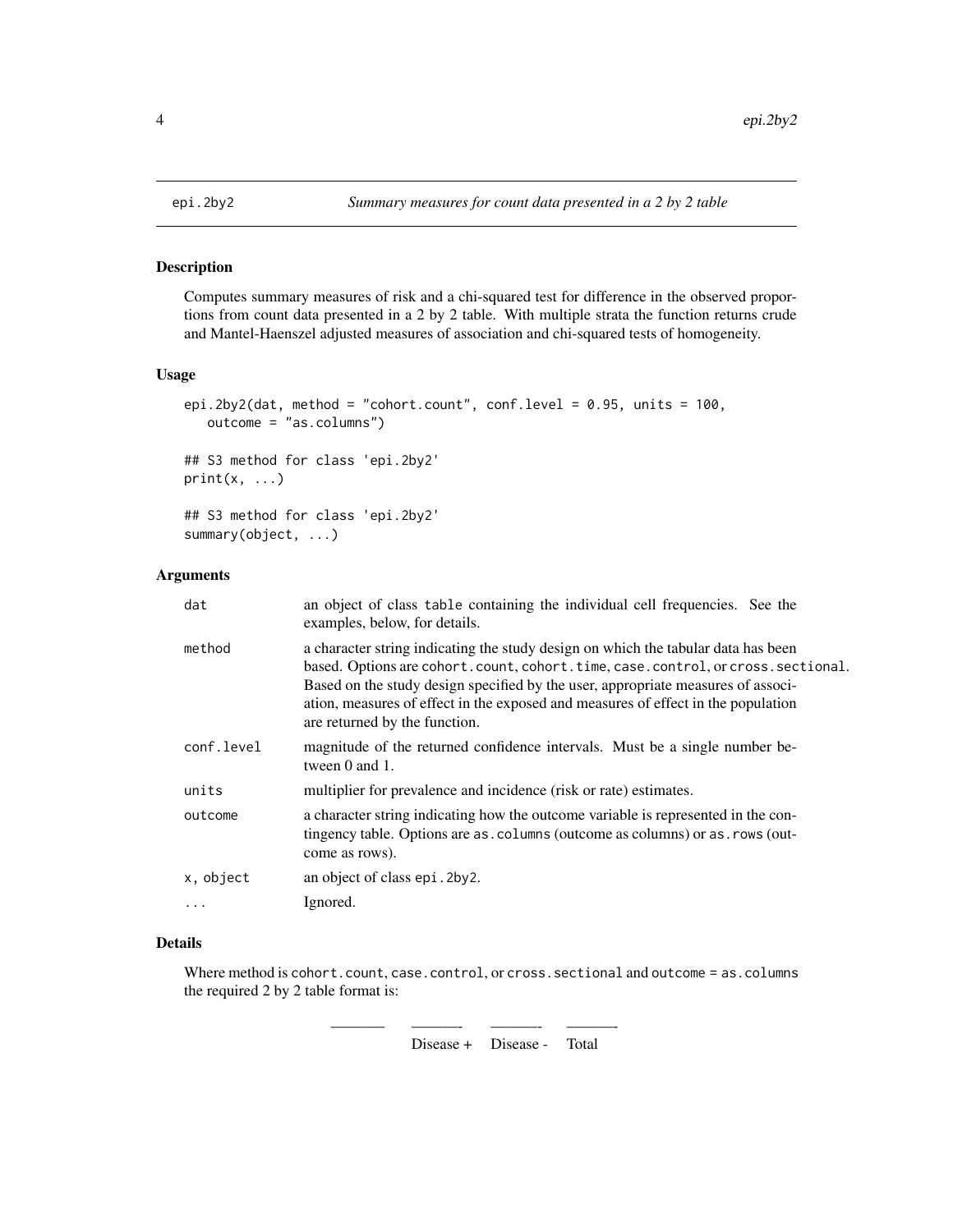# Description

Computes summary measures of risk and a chi-squared test for difference in the observed proportions from count data presented in a 2 by 2 table. With multiple strata the function returns crude and Mantel-Haenszel adjusted measures of association and chi-squared tests of homogeneity.

### Usage

```
epi.2by2(dat, method = "cohort.count", conf.level = 0.95, units = 100,
   outcome = "as.columns")
## S3 method for class 'epi.2by2'
```
 $print(x, \ldots)$ 

## S3 method for class 'epi.2by2' summary(object, ...)

# Arguments

| dat        | an object of class table containing the individual cell frequencies. See the<br>examples, below, for details.                                                                                                                                                                                                                                                                  |
|------------|--------------------------------------------------------------------------------------------------------------------------------------------------------------------------------------------------------------------------------------------------------------------------------------------------------------------------------------------------------------------------------|
| method     | a character string indicating the study design on which the tabular data has been<br>based. Options are cohort.count, cohort.time, case.control, or cross.sectional.<br>Based on the study design specified by the user, appropriate measures of associ-<br>ation, measures of effect in the exposed and measures of effect in the population<br>are returned by the function. |
| conf.level | magnitude of the returned confidence intervals. Must be a single number be-<br>tween 0 and 1.                                                                                                                                                                                                                                                                                  |
| units      | multiplier for prevalence and incidence (risk or rate) estimates.                                                                                                                                                                                                                                                                                                              |
| outcome    | a character string indicating how the outcome variable is represented in the con-<br>tingency table. Options are as . columns (outcome as columns) or as . rows (out-<br>come as rows).                                                                                                                                                                                        |
| x, object  | an object of class epi. 2by 2.                                                                                                                                                                                                                                                                                                                                                 |
| $\cdots$   | Ignored.                                                                                                                                                                                                                                                                                                                                                                       |

## Details

Where method is cohort.count, case.control, or cross.sectional and outcome = as.columns the required 2 by 2 table format is:

———– ———- ———- ———-

Disease + Disease - Total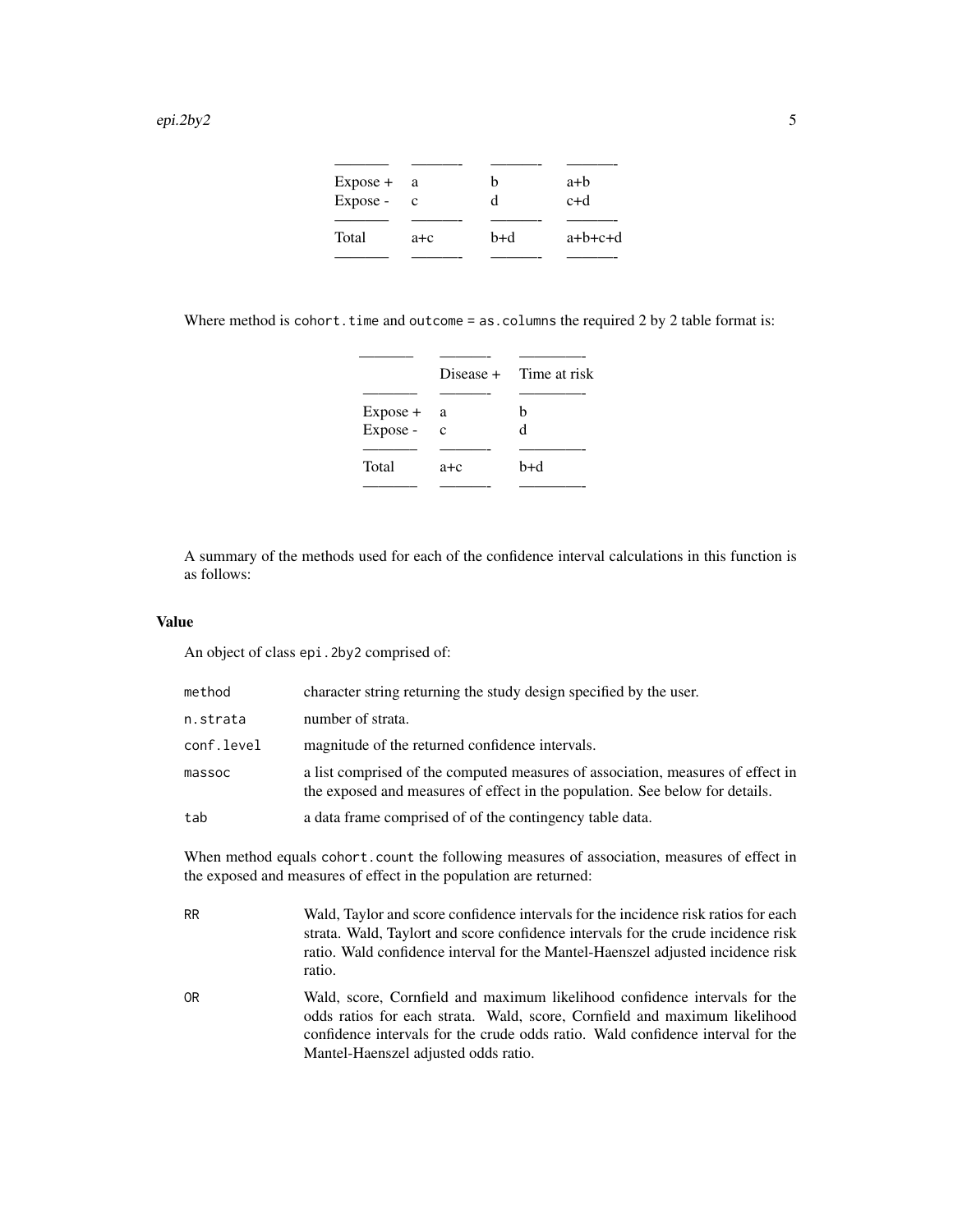| $Expose +$ | a a          | h   | a+b       |
|------------|--------------|-----|-----------|
| Expose -   | $\mathbf{c}$ | d   | $c+d$     |
|            |              |     |           |
| Total      | $a + c$      | b+d | $a+b+c+d$ |
|            |              |     |           |

Where method is cohort.time and outcome = as.columns the required 2 by 2 table format is:

|            |             | $Disease + Time at risk$ |
|------------|-------------|--------------------------|
|            |             |                          |
| $Expose +$ | a           | h                        |
| Expose -   | $\mathbf c$ | d                        |
|            |             |                          |
| Total      | a+c         | b+d                      |
|            |             |                          |

A summary of the methods used for each of the confidence interval calculations in this function is as follows:

# Value

An object of class epi.2by2 comprised of:

| method     | character string returning the study design specified by the user.                                                                                              |
|------------|-----------------------------------------------------------------------------------------------------------------------------------------------------------------|
| n.strata   | number of strata.                                                                                                                                               |
| conf.level | magnitude of the returned confidence intervals.                                                                                                                 |
| massoc     | a list comprised of the computed measures of association, measures of effect in<br>the exposed and measures of effect in the population. See below for details. |
| tab        | a data frame comprised of of the contingency table data.                                                                                                        |

When method equals cohort.count the following measures of association, measures of effect in the exposed and measures of effect in the population are returned:

| <b>RR</b>      | Wald, Taylor and score confidence intervals for the incidence risk ratios for each<br>strata. Wald, Taylort and score confidence intervals for the crude incidence risk<br>ratio. Wald confidence interval for the Mantel-Haenszel adjusted incidence risk<br>ratio. |
|----------------|----------------------------------------------------------------------------------------------------------------------------------------------------------------------------------------------------------------------------------------------------------------------|
| 0 <sub>R</sub> | Wald, score, Cornfield and maximum likelihood confidence intervals for the<br>odds ratios for each strata. Wald, score, Cornfield and maximum likelihood<br>confidence intervals for the crude odds ratio. Wald confidence interval for the                          |

Mantel-Haenszel adjusted odds ratio.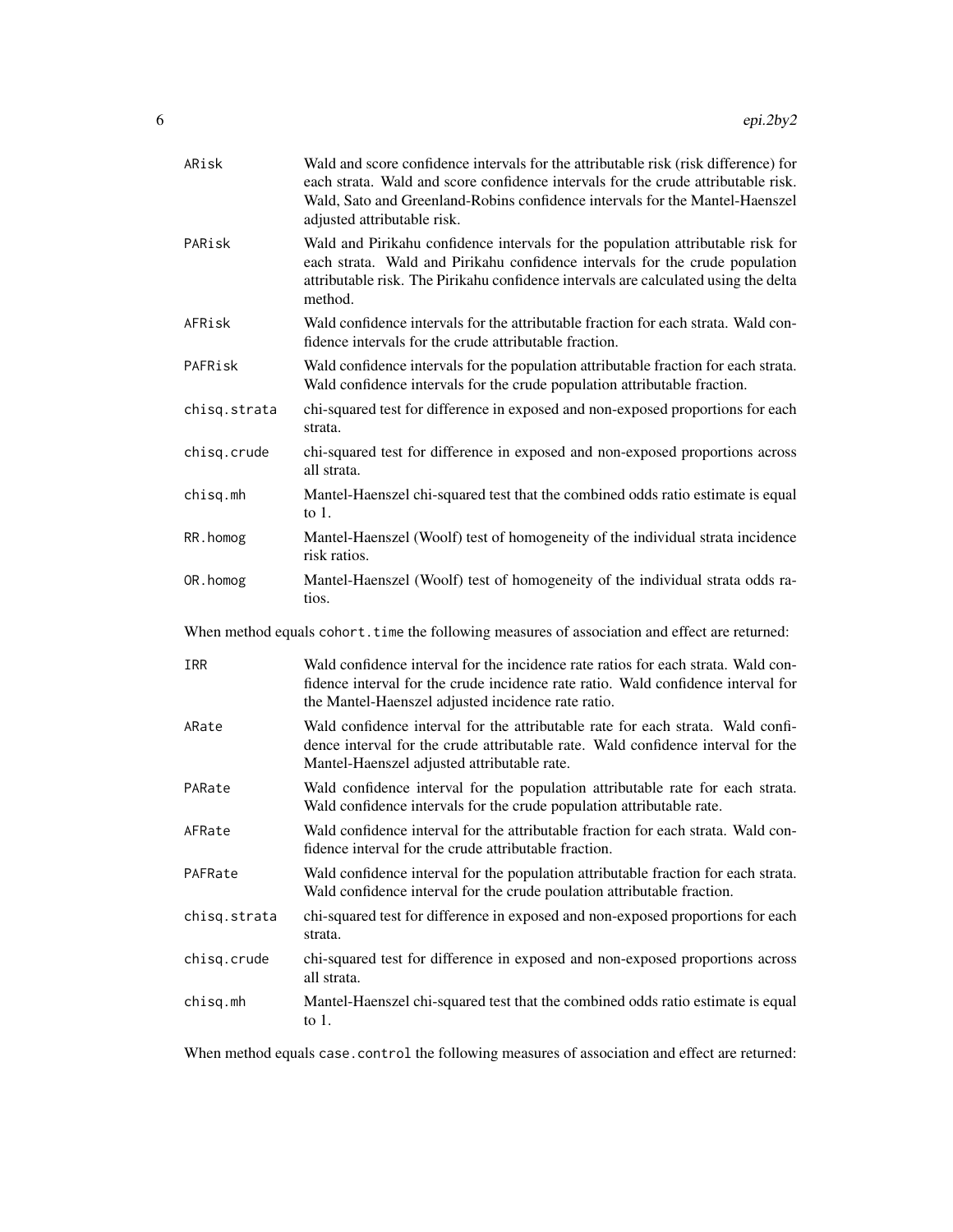| ARisk                                                                                          | Wald and score confidence intervals for the attributable risk (risk difference) for<br>each strata. Wald and score confidence intervals for the crude attributable risk.<br>Wald, Sato and Greenland-Robins confidence intervals for the Mantel-Haenszel<br>adjusted attributable risk. |  |
|------------------------------------------------------------------------------------------------|-----------------------------------------------------------------------------------------------------------------------------------------------------------------------------------------------------------------------------------------------------------------------------------------|--|
| PARisk                                                                                         | Wald and Pirikahu confidence intervals for the population attributable risk for<br>each strata. Wald and Pirikahu confidence intervals for the crude population<br>attributable risk. The Pirikahu confidence intervals are calculated using the delta<br>method.                       |  |
| AFRisk                                                                                         | Wald confidence intervals for the attributable fraction for each strata. Wald con-<br>fidence intervals for the crude attributable fraction.                                                                                                                                            |  |
| PAFRisk                                                                                        | Wald confidence intervals for the population attributable fraction for each strata.<br>Wald confidence intervals for the crude population attributable fraction.                                                                                                                        |  |
| chisq.strata                                                                                   | chi-squared test for difference in exposed and non-exposed proportions for each<br>strata.                                                                                                                                                                                              |  |
| chisq.crude                                                                                    | chi-squared test for difference in exposed and non-exposed proportions across<br>all strata.                                                                                                                                                                                            |  |
| chisq.mh                                                                                       | Mantel-Haenszel chi-squared test that the combined odds ratio estimate is equal<br>to $1$ .                                                                                                                                                                                             |  |
| RR. homog                                                                                      | Mantel-Haenszel (Woolf) test of homogeneity of the individual strata incidence<br>risk ratios.                                                                                                                                                                                          |  |
| OR. homog                                                                                      | Mantel-Haenszel (Woolf) test of homogeneity of the individual strata odds ra-<br>tios.                                                                                                                                                                                                  |  |
| When method equals cohort. time the following measures of association and effect are returned: |                                                                                                                                                                                                                                                                                         |  |
| IRR                                                                                            | Wald confidence interval for the incidence rate ratios for each strata. Wald con-<br>fidence interval for the crude incidence rate ratio. Wald confidence interval for<br>the Mantel-Haenszel adjusted incidence rate ratio.                                                            |  |
| ARate                                                                                          | Wald confidence interval for the attributable rate for each strata. Wald confi-<br>dence interval for the crude attributable rate. Wald confidence interval for the<br>Mantel-Haenszel adjusted attributable rate.                                                                      |  |
| PARate                                                                                         | Wald confidence interval for the population attributable rate for each strata.<br>Wald confidence intervals for the crude population attributable rate.                                                                                                                                 |  |
| AFRate                                                                                         | Wald confidence interval for the attributable fraction for each strata. Wald con-<br>fidence interval for the crude attributable fraction.                                                                                                                                              |  |
| PAFRate                                                                                        | Wald confidence interval for the population attributable fraction for each strata.<br>Wald confidence interval for the crude poulation attributable fraction.                                                                                                                           |  |
| chisq.strata                                                                                   | chi-squared test for difference in exposed and non-exposed proportions for each<br>strata.                                                                                                                                                                                              |  |
| chisq.crude                                                                                    | chi-squared test for difference in exposed and non-exposed proportions across<br>all strata.                                                                                                                                                                                            |  |
| chisq.mh                                                                                       | Mantel-Haenszel chi-squared test that the combined odds ratio estimate is equal<br>to $1$ .                                                                                                                                                                                             |  |

When method equals case.control the following measures of association and effect are returned: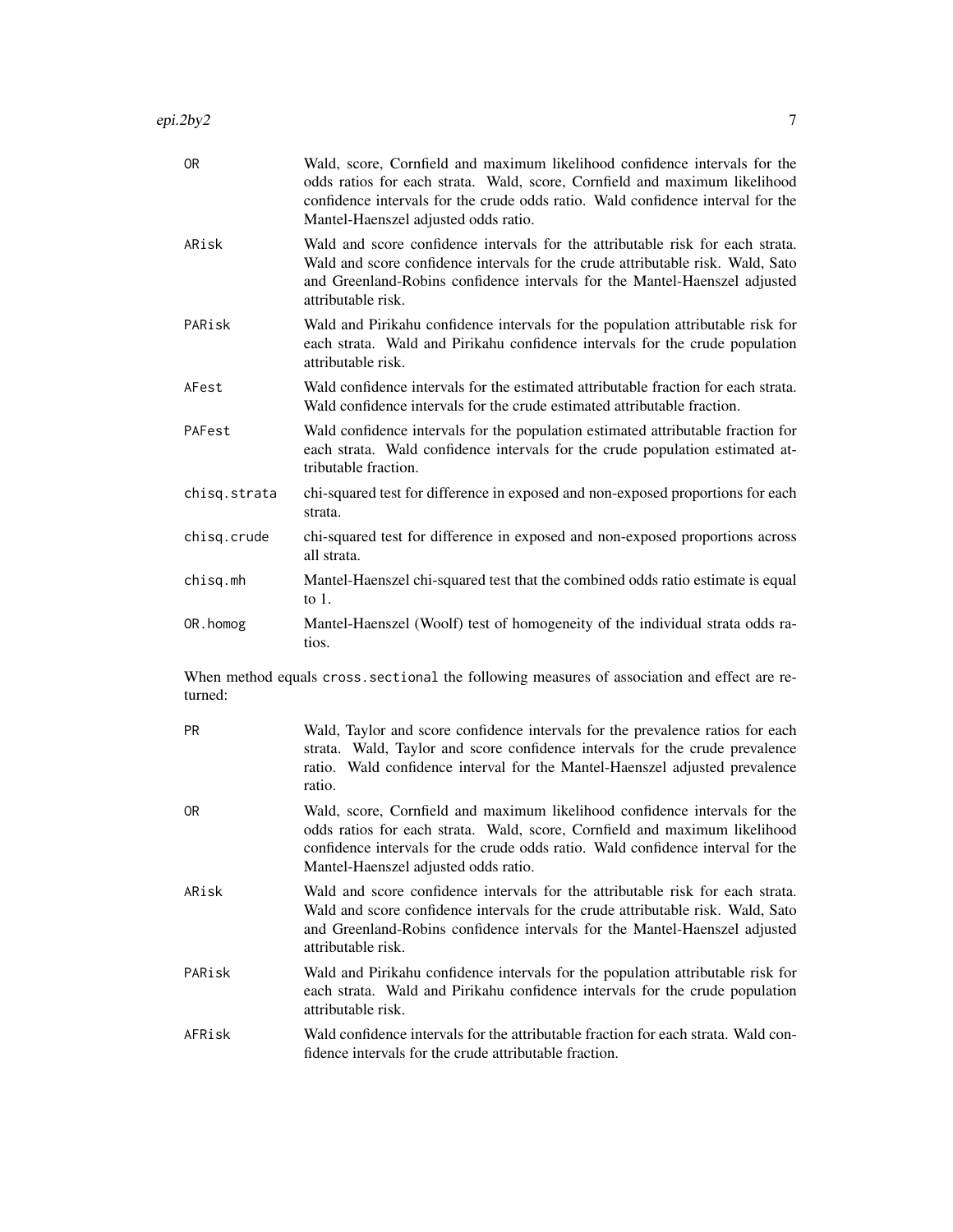| 0R             | Wald, score, Cornfield and maximum likelihood confidence intervals for the<br>odds ratios for each strata. Wald, score, Cornfield and maximum likelihood<br>confidence intervals for the crude odds ratio. Wald confidence interval for the<br>Mantel-Haenszel adjusted odds ratio. |
|----------------|-------------------------------------------------------------------------------------------------------------------------------------------------------------------------------------------------------------------------------------------------------------------------------------|
| ARisk          | Wald and score confidence intervals for the attributable risk for each strata.<br>Wald and score confidence intervals for the crude attributable risk. Wald, Sato<br>and Greenland-Robins confidence intervals for the Mantel-Haenszel adjusted<br>attributable risk.               |
| PARisk         | Wald and Pirikahu confidence intervals for the population attributable risk for<br>each strata. Wald and Pirikahu confidence intervals for the crude population<br>attributable risk.                                                                                               |
| AFest          | Wald confidence intervals for the estimated attributable fraction for each strata.<br>Wald confidence intervals for the crude estimated attributable fraction.                                                                                                                      |
| PAFest         | Wald confidence intervals for the population estimated attributable fraction for<br>each strata. Wald confidence intervals for the crude population estimated at-<br>tributable fraction.                                                                                           |
| chisq.strata   | chi-squared test for difference in exposed and non-exposed proportions for each<br>strata.                                                                                                                                                                                          |
| chisq.crude    | chi-squared test for difference in exposed and non-exposed proportions across<br>all strata.                                                                                                                                                                                        |
| chisg.mh       | Mantel-Haenszel chi-squared test that the combined odds ratio estimate is equal<br>to $1$ .                                                                                                                                                                                         |
| OR.homog       | Mantel-Haenszel (Woolf) test of homogeneity of the individual strata odds ra-<br>tios.                                                                                                                                                                                              |
| turned:        | When method equals cross sectional the following measures of association and effect are re-                                                                                                                                                                                         |
| <b>PR</b>      | Wald, Taylor and score confidence intervals for the prevalence ratios for each<br>strata. Wald, Taylor and score confidence intervals for the crude prevalence<br>ratio. Wald confidence interval for the Mantel-Haenszel adjusted prevalence<br>ratio.                             |
| 0 <sub>R</sub> | Wald, score, Cornfield and maximum likelihood confidence intervals for the<br>odds ratios for each strata. Wald, score, Cornfield and maximum likelihood<br>confidence intervals for the crude odds ratio. Wald confidence interval for the<br>Mantel-Haenszel adjusted odds ratio. |
| ARisk          | Wald and score confidence intervals for the attributable risk for each strata.<br>Wald and score confidence intervals for the crude attributable risk. Wald, Sato<br>and Greenland-Robins confidence intervals for the Mantel-Haenszel adjusted                                     |

PARisk Wald and Pirikahu confidence intervals for the population attributable risk for each strata. Wald and Pirikahu confidence intervals for the crude population attributable risk.

attributable risk.

AFRisk Wald confidence intervals for the attributable fraction for each strata. Wald confidence intervals for the crude attributable fraction.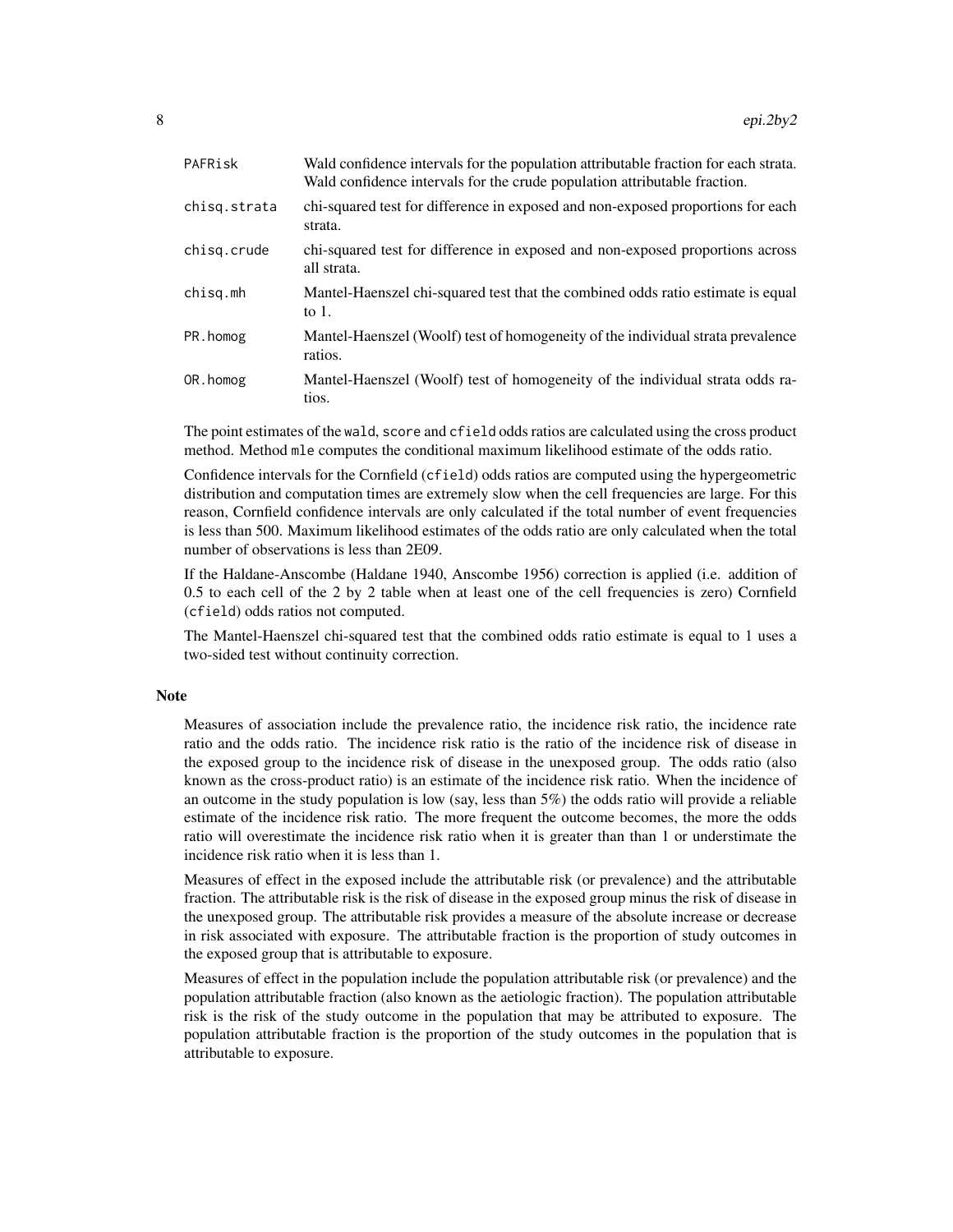| PAFRisk      | Wald confidence intervals for the population attributable fraction for each strata.<br>Wald confidence intervals for the crude population attributable fraction. |
|--------------|------------------------------------------------------------------------------------------------------------------------------------------------------------------|
| chisq.strata | chi-squared test for difference in exposed and non-exposed proportions for each<br>strata.                                                                       |
| chisg.crude  | chi-squared test for difference in exposed and non-exposed proportions across<br>all strata.                                                                     |
| chisg.mh     | Mantel-Haenszel chi-squared test that the combined odds ratio estimate is equal<br>to $1$ .                                                                      |
| PR.homog     | Mantel-Haenszel (Woolf) test of homogeneity of the individual strata prevalence<br>ratios.                                                                       |
| OR.homog     | Mantel-Haenszel (Woolf) test of homogeneity of the individual strata odds ra-<br>tios.                                                                           |
|              |                                                                                                                                                                  |

The point estimates of the wald, score and cfield odds ratios are calculated using the cross product method. Method mle computes the conditional maximum likelihood estimate of the odds ratio.

Confidence intervals for the Cornfield (cfield) odds ratios are computed using the hypergeometric distribution and computation times are extremely slow when the cell frequencies are large. For this reason, Cornfield confidence intervals are only calculated if the total number of event frequencies is less than 500. Maximum likelihood estimates of the odds ratio are only calculated when the total number of observations is less than 2E09.

If the Haldane-Anscombe (Haldane 1940, Anscombe 1956) correction is applied (i.e. addition of 0.5 to each cell of the 2 by 2 table when at least one of the cell frequencies is zero) Cornfield (cfield) odds ratios not computed.

The Mantel-Haenszel chi-squared test that the combined odds ratio estimate is equal to 1 uses a two-sided test without continuity correction.

### Note

Measures of association include the prevalence ratio, the incidence risk ratio, the incidence rate ratio and the odds ratio. The incidence risk ratio is the ratio of the incidence risk of disease in the exposed group to the incidence risk of disease in the unexposed group. The odds ratio (also known as the cross-product ratio) is an estimate of the incidence risk ratio. When the incidence of an outcome in the study population is low (say, less than 5%) the odds ratio will provide a reliable estimate of the incidence risk ratio. The more frequent the outcome becomes, the more the odds ratio will overestimate the incidence risk ratio when it is greater than than 1 or understimate the incidence risk ratio when it is less than 1.

Measures of effect in the exposed include the attributable risk (or prevalence) and the attributable fraction. The attributable risk is the risk of disease in the exposed group minus the risk of disease in the unexposed group. The attributable risk provides a measure of the absolute increase or decrease in risk associated with exposure. The attributable fraction is the proportion of study outcomes in the exposed group that is attributable to exposure.

Measures of effect in the population include the population attributable risk (or prevalence) and the population attributable fraction (also known as the aetiologic fraction). The population attributable risk is the risk of the study outcome in the population that may be attributed to exposure. The population attributable fraction is the proportion of the study outcomes in the population that is attributable to exposure.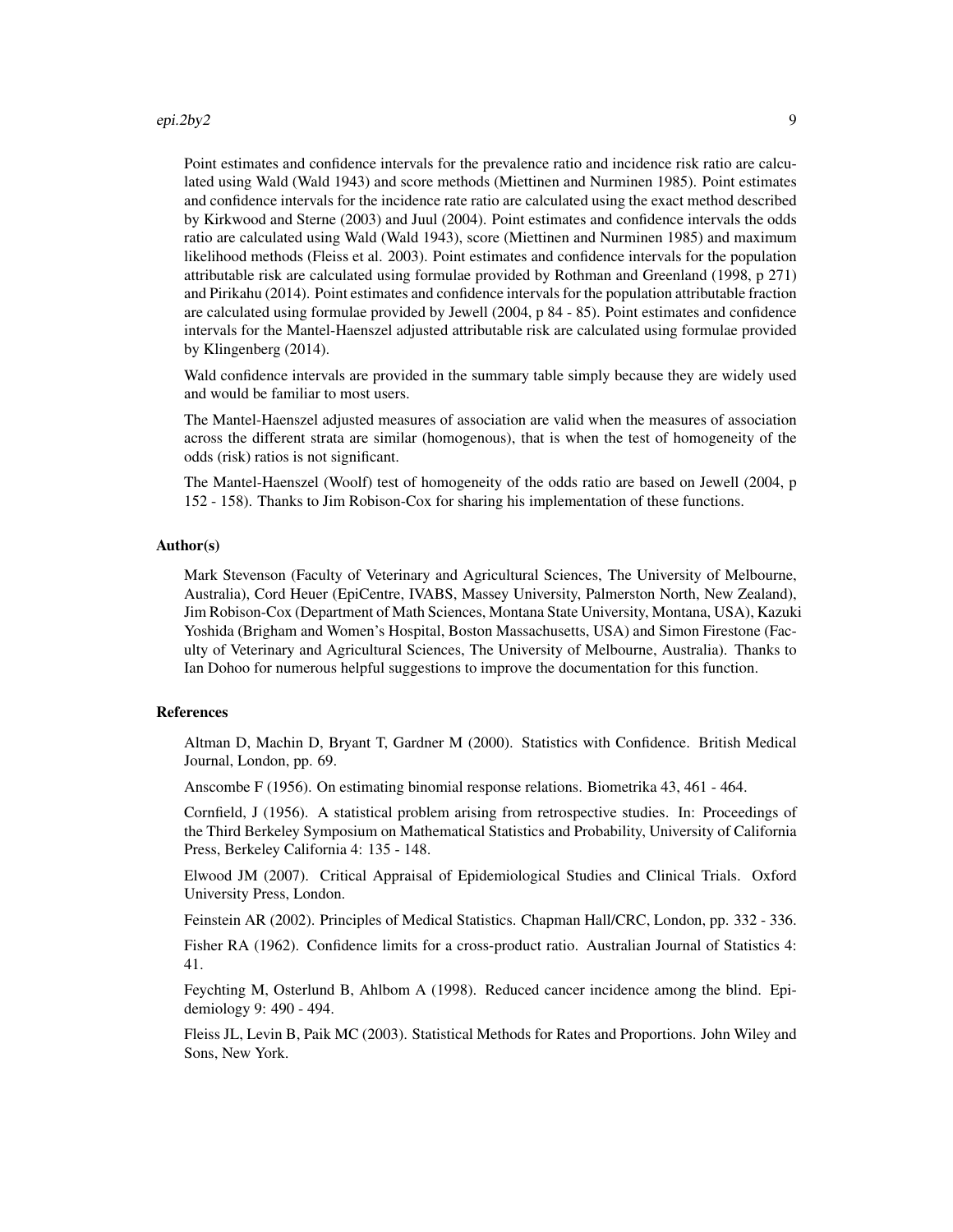Point estimates and confidence intervals for the prevalence ratio and incidence risk ratio are calculated using Wald (Wald 1943) and score methods (Miettinen and Nurminen 1985). Point estimates and confidence intervals for the incidence rate ratio are calculated using the exact method described by Kirkwood and Sterne (2003) and Juul (2004). Point estimates and confidence intervals the odds ratio are calculated using Wald (Wald 1943), score (Miettinen and Nurminen 1985) and maximum likelihood methods (Fleiss et al. 2003). Point estimates and confidence intervals for the population attributable risk are calculated using formulae provided by Rothman and Greenland (1998, p 271) and Pirikahu (2014). Point estimates and confidence intervals for the population attributable fraction are calculated using formulae provided by Jewell (2004, p 84 - 85). Point estimates and confidence intervals for the Mantel-Haenszel adjusted attributable risk are calculated using formulae provided by Klingenberg (2014).

Wald confidence intervals are provided in the summary table simply because they are widely used and would be familiar to most users.

The Mantel-Haenszel adjusted measures of association are valid when the measures of association across the different strata are similar (homogenous), that is when the test of homogeneity of the odds (risk) ratios is not significant.

The Mantel-Haenszel (Woolf) test of homogeneity of the odds ratio are based on Jewell (2004, p 152 - 158). Thanks to Jim Robison-Cox for sharing his implementation of these functions.

### Author(s)

Mark Stevenson (Faculty of Veterinary and Agricultural Sciences, The University of Melbourne, Australia), Cord Heuer (EpiCentre, IVABS, Massey University, Palmerston North, New Zealand), Jim Robison-Cox (Department of Math Sciences, Montana State University, Montana, USA), Kazuki Yoshida (Brigham and Women's Hospital, Boston Massachusetts, USA) and Simon Firestone (Faculty of Veterinary and Agricultural Sciences, The University of Melbourne, Australia). Thanks to Ian Dohoo for numerous helpful suggestions to improve the documentation for this function.

### References

Altman D, Machin D, Bryant T, Gardner M (2000). Statistics with Confidence. British Medical Journal, London, pp. 69.

Anscombe F (1956). On estimating binomial response relations. Biometrika 43, 461 - 464.

Cornfield, J (1956). A statistical problem arising from retrospective studies. In: Proceedings of the Third Berkeley Symposium on Mathematical Statistics and Probability, University of California Press, Berkeley California 4: 135 - 148.

Elwood JM (2007). Critical Appraisal of Epidemiological Studies and Clinical Trials. Oxford University Press, London.

Feinstein AR (2002). Principles of Medical Statistics. Chapman Hall/CRC, London, pp. 332 - 336.

Fisher RA (1962). Confidence limits for a cross-product ratio. Australian Journal of Statistics 4: 41.

Feychting M, Osterlund B, Ahlbom A (1998). Reduced cancer incidence among the blind. Epidemiology 9: 490 - 494.

Fleiss JL, Levin B, Paik MC (2003). Statistical Methods for Rates and Proportions. John Wiley and Sons, New York.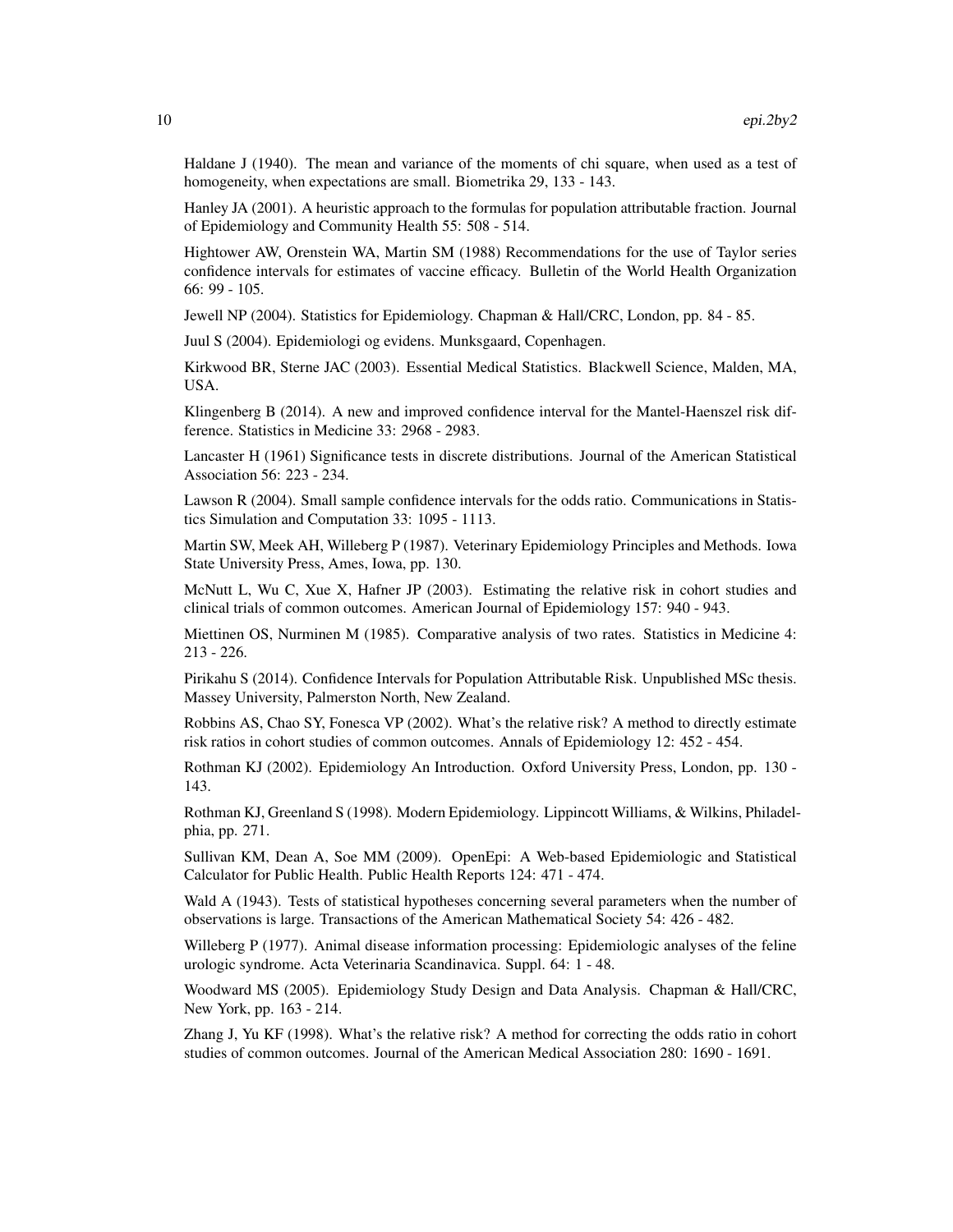Haldane J (1940). The mean and variance of the moments of chi square, when used as a test of homogeneity, when expectations are small. Biometrika 29, 133 - 143.

Hanley JA (2001). A heuristic approach to the formulas for population attributable fraction. Journal of Epidemiology and Community Health 55: 508 - 514.

Hightower AW, Orenstein WA, Martin SM (1988) Recommendations for the use of Taylor series confidence intervals for estimates of vaccine efficacy. Bulletin of the World Health Organization 66: 99 - 105.

Jewell NP (2004). Statistics for Epidemiology. Chapman & Hall/CRC, London, pp. 84 - 85.

Juul S (2004). Epidemiologi og evidens. Munksgaard, Copenhagen.

Kirkwood BR, Sterne JAC (2003). Essential Medical Statistics. Blackwell Science, Malden, MA, USA.

Klingenberg B (2014). A new and improved confidence interval for the Mantel-Haenszel risk difference. Statistics in Medicine 33: 2968 - 2983.

Lancaster H (1961) Significance tests in discrete distributions. Journal of the American Statistical Association 56: 223 - 234.

Lawson R (2004). Small sample confidence intervals for the odds ratio. Communications in Statistics Simulation and Computation 33: 1095 - 1113.

Martin SW, Meek AH, Willeberg P (1987). Veterinary Epidemiology Principles and Methods. Iowa State University Press, Ames, Iowa, pp. 130.

McNutt L, Wu C, Xue X, Hafner JP (2003). Estimating the relative risk in cohort studies and clinical trials of common outcomes. American Journal of Epidemiology 157: 940 - 943.

Miettinen OS, Nurminen M (1985). Comparative analysis of two rates. Statistics in Medicine 4: 213 - 226.

Pirikahu S (2014). Confidence Intervals for Population Attributable Risk. Unpublished MSc thesis. Massey University, Palmerston North, New Zealand.

Robbins AS, Chao SY, Fonesca VP (2002). What's the relative risk? A method to directly estimate risk ratios in cohort studies of common outcomes. Annals of Epidemiology 12: 452 - 454.

Rothman KJ (2002). Epidemiology An Introduction. Oxford University Press, London, pp. 130 - 143.

Rothman KJ, Greenland S (1998). Modern Epidemiology. Lippincott Williams, & Wilkins, Philadelphia, pp. 271.

Sullivan KM, Dean A, Soe MM (2009). OpenEpi: A Web-based Epidemiologic and Statistical Calculator for Public Health. Public Health Reports 124: 471 - 474.

Wald A (1943). Tests of statistical hypotheses concerning several parameters when the number of observations is large. Transactions of the American Mathematical Society 54: 426 - 482.

Willeberg P (1977). Animal disease information processing: Epidemiologic analyses of the feline urologic syndrome. Acta Veterinaria Scandinavica. Suppl. 64: 1 - 48.

Woodward MS (2005). Epidemiology Study Design and Data Analysis. Chapman & Hall/CRC, New York, pp. 163 - 214.

Zhang J, Yu KF (1998). What's the relative risk? A method for correcting the odds ratio in cohort studies of common outcomes. Journal of the American Medical Association 280: 1690 - 1691.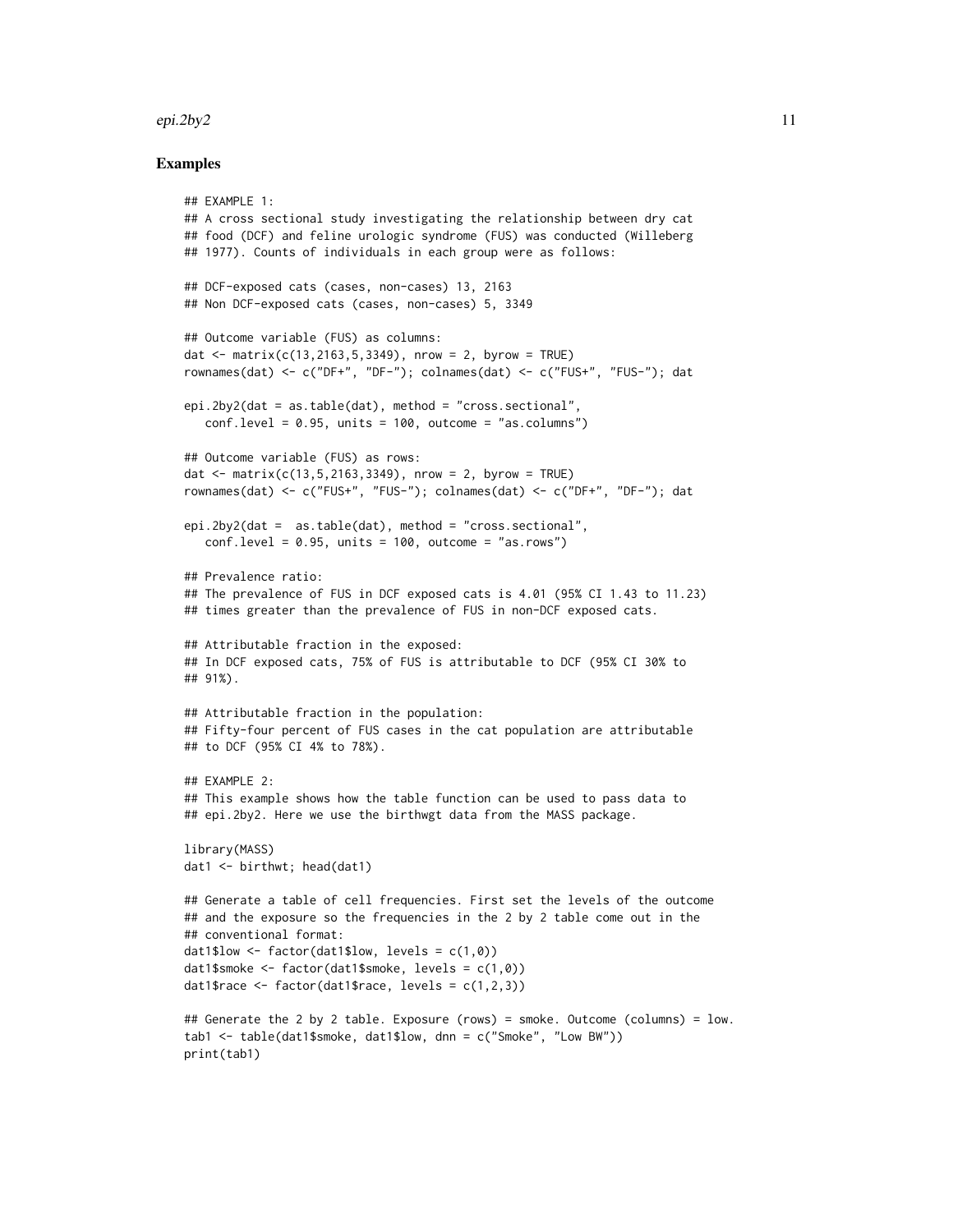### epi.2by2  $11$

### Examples

```
## EXAMPLE 1:
## A cross sectional study investigating the relationship between dry cat
## food (DCF) and feline urologic syndrome (FUS) was conducted (Willeberg
## 1977). Counts of individuals in each group were as follows:
## DCF-exposed cats (cases, non-cases) 13, 2163
## Non DCF-exposed cats (cases, non-cases) 5, 3349
## Outcome variable (FUS) as columns:
dat <- matrix(c(13, 2163, 5, 3349), nrow = 2, byrow = TRUE)
rownames(dat) <- c("DF+", "DF-"); colnames(dat) <- c("FUS+", "FUS-"); dat
epi.2by2(dat = as.table(dat), method = "cross.sectional",
   conf<math>. level = 0.95, units = 100, outcome = "as.columns")
## Outcome variable (FUS) as rows:
dat \le matrix(c(13,5,2163,3349), nrow = 2, byrow = TRUE)
rownames(dat) <- c("FUS+", "FUS-"); colnames(dat) <- c("DF+", "DF-"); dat
epi.2by2(dat = as.table(dat), method = "cross.sectional",
   conf<math>. level = 0.95, units = 100, outcome = "as.rows")
## Prevalence ratio:
## The prevalence of FUS in DCF exposed cats is 4.01 (95% CI 1.43 to 11.23)
## times greater than the prevalence of FUS in non-DCF exposed cats.
## Attributable fraction in the exposed:
## In DCF exposed cats, 75% of FUS is attributable to DCF (95% CI 30% to
## 91%).
## Attributable fraction in the population:
## Fifty-four percent of FUS cases in the cat population are attributable
## to DCF (95% CI 4% to 78%).
## EXAMPLE 2:
## This example shows how the table function can be used to pass data to
## epi.2by2. Here we use the birthwgt data from the MASS package.
library(MASS)
dat1 <- birthwt; head(dat1)
## Generate a table of cell frequencies. First set the levels of the outcome
## and the exposure so the frequencies in the 2 by 2 table come out in the
## conventional format:
dat1$low \leq factor(dat1$low, levels = c(1,0))
dat1$smoke <- factor(dat1$smoke, levels = c(1,0))
dat1$race \leq factor(dat1$race, levels = c(1,2,3))
## Generate the 2 by 2 table. Exposure (rows) = smoke. Outcome (columns) = low.
tab1 <- table(dat1$smoke, dat1$low, dnn = c("Smoke", "Low BW"))
print(tab1)
```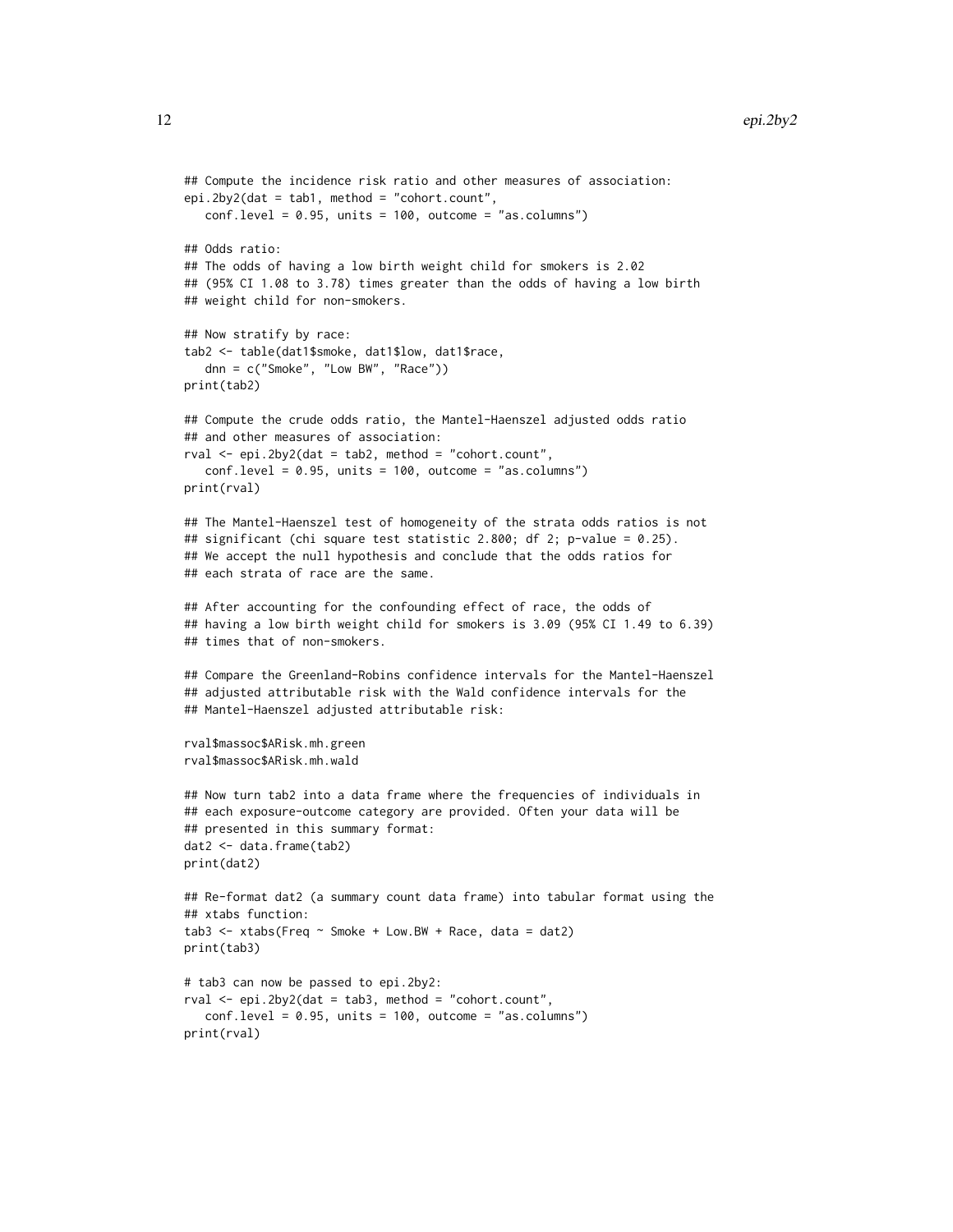```
## Compute the incidence risk ratio and other measures of association:
epi.2by2(dat = tab1, method = "cohort.count",
  conf. level = 0.95, units = 100, outcome = "as.columns")
## Odds ratio:
## The odds of having a low birth weight child for smokers is 2.02
## (95% CI 1.08 to 3.78) times greater than the odds of having a low birth
## weight child for non-smokers.
## Now stratify by race:
tab2 <- table(dat1$smoke, dat1$low, dat1$race,
   dnn = c("Smoke", "Low BW", "Race"))
print(tab2)
## Compute the crude odds ratio, the Mantel-Haenszel adjusted odds ratio
## and other measures of association:
rval <- epi.2by2(dat = tab2, method = "cohort.count",
   conf. level = 0.95, units = 100, outcome = "as.columns")
print(rval)
## The Mantel-Haenszel test of homogeneity of the strata odds ratios is not
## significant (chi square test statistic 2.800; df 2; p-value = 0.25).
## We accept the null hypothesis and conclude that the odds ratios for
## each strata of race are the same.
## After accounting for the confounding effect of race, the odds of
## having a low birth weight child for smokers is 3.09 (95% CI 1.49 to 6.39)
## times that of non-smokers.
## Compare the Greenland-Robins confidence intervals for the Mantel-Haenszel
## adjusted attributable risk with the Wald confidence intervals for the
## Mantel-Haenszel adjusted attributable risk:
rval$massoc$ARisk.mh.green
rval$massoc$ARisk.mh.wald
## Now turn tab2 into a data frame where the frequencies of individuals in
## each exposure-outcome category are provided. Often your data will be
## presented in this summary format:
dat2 <- data.frame(tab2)
print(dat2)
## Re-format dat2 (a summary count data frame) into tabular format using the
## xtabs function:
tab3 \leq x\tabes(Freq \sim Smoke + Low.BW + Race, data = dat2)print(tab3)
# tab3 can now be passed to epi.2by2:
rval \leq epi.2by2(dat = tab3, method = "cohort.count",
   conf. level = 0.95, units = 100, outcome = "as.columns")
print(rval)
```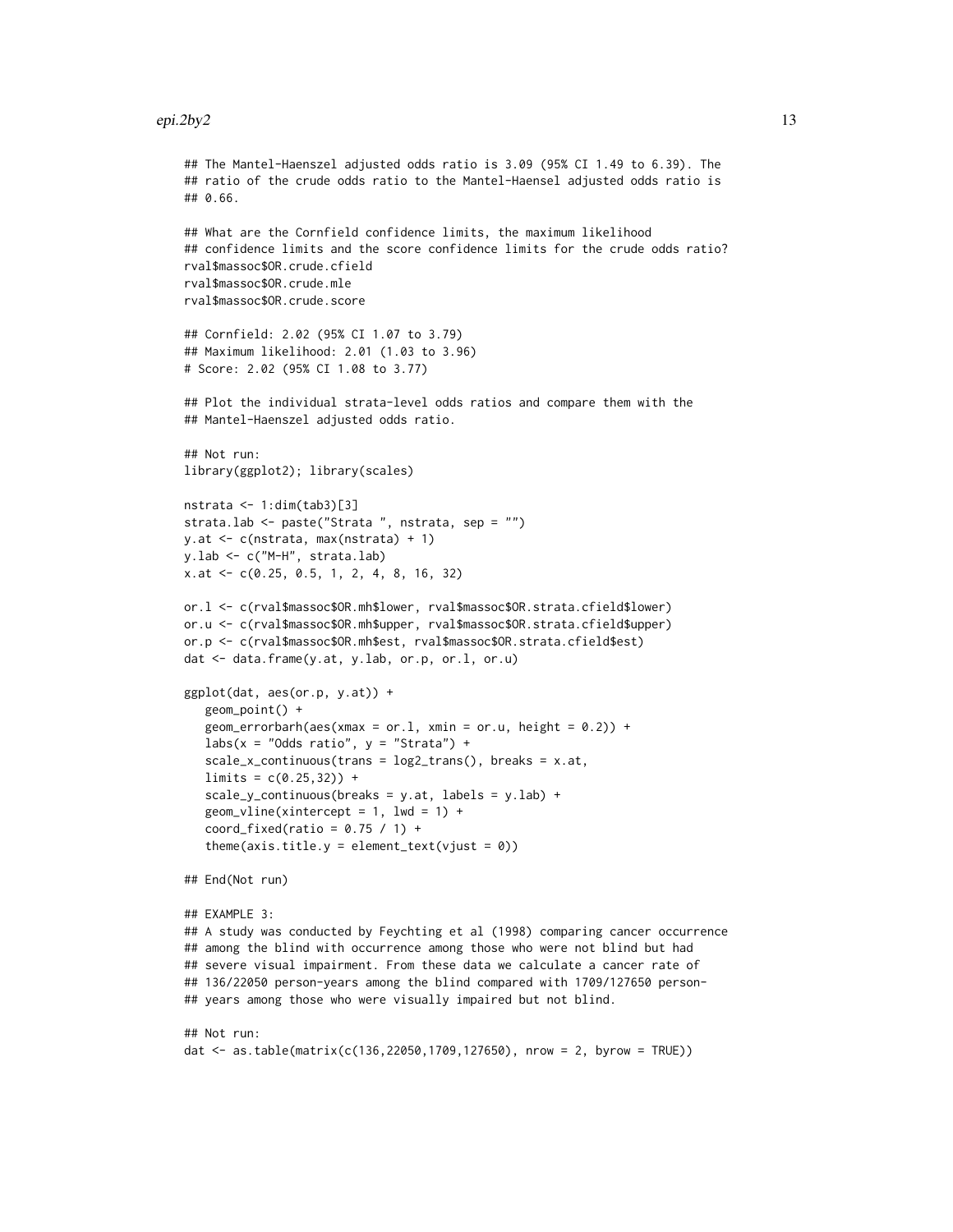```
## The Mantel-Haenszel adjusted odds ratio is 3.09 (95% CI 1.49 to 6.39). The
## ratio of the crude odds ratio to the Mantel-Haensel adjusted odds ratio is
## 0.66.
## What are the Cornfield confidence limits, the maximum likelihood
## confidence limits and the score confidence limits for the crude odds ratio?
rval$massoc$OR.crude.cfield
rval$massoc$OR.crude.mle
rval$massoc$OR.crude.score
## Cornfield: 2.02 (95% CI 1.07 to 3.79)
## Maximum likelihood: 2.01 (1.03 to 3.96)
# Score: 2.02 (95% CI 1.08 to 3.77)
## Plot the individual strata-level odds ratios and compare them with the
## Mantel-Haenszel adjusted odds ratio.
## Not run:
library(ggplot2); library(scales)
nstrata \leq -1: dim(tab3)[3]
strata.lab <- paste("Strata ", nstrata, sep = "")
y.at <- c(nstrata, max(nstrata) + 1)
y.lab <- c("M-H", strata.lab)
x.at <- c(0.25, 0.5, 1, 2, 4, 8, 16, 32)
or.l <- c(rval$massoc$OR.mh$lower, rval$massoc$OR.strata.cfield$lower)
or.u <- c(rval$massoc$OR.mh$upper, rval$massoc$OR.strata.cfield$upper)
or.p <- c(rval$massoc$OR.mh$est, rval$massoc$OR.strata.cfield$est)
dat <- data.frame(y.at, y.lab, or.p, or.l, or.u)
ggplot(dat, aes(or.p, y.at)) +
   geom_point() +
   geom_errorbarh(aes(xmax = or.1, xmin = or.u, height = 0.2)) +
   labs(x = "Odds ratio", y = "Strata") +scale_x_continuous(trans = log2_trans(), breaks = x.at,
   limits = c(0.25, 32)) +scale_y_{continuous(breaks = y.at, labels = y.lab) +geom\_vline(xintercept = 1, lwd = 1) +coord_fixed(ratio = 0.75 / 1) +
   theme(axis.title.y = element_text(vjust = 0))
## End(Not run)
## EXAMPLE 3:
## A study was conducted by Feychting et al (1998) comparing cancer occurrence
## among the blind with occurrence among those who were not blind but had
## severe visual impairment. From these data we calculate a cancer rate of
## 136/22050 person-years among the blind compared with 1709/127650 person-
## years among those who were visually impaired but not blind.
## Not run:
dat <- as.table(matrix(c(136,22050,1709,127650), nrow = 2, byrow = TRUE))
```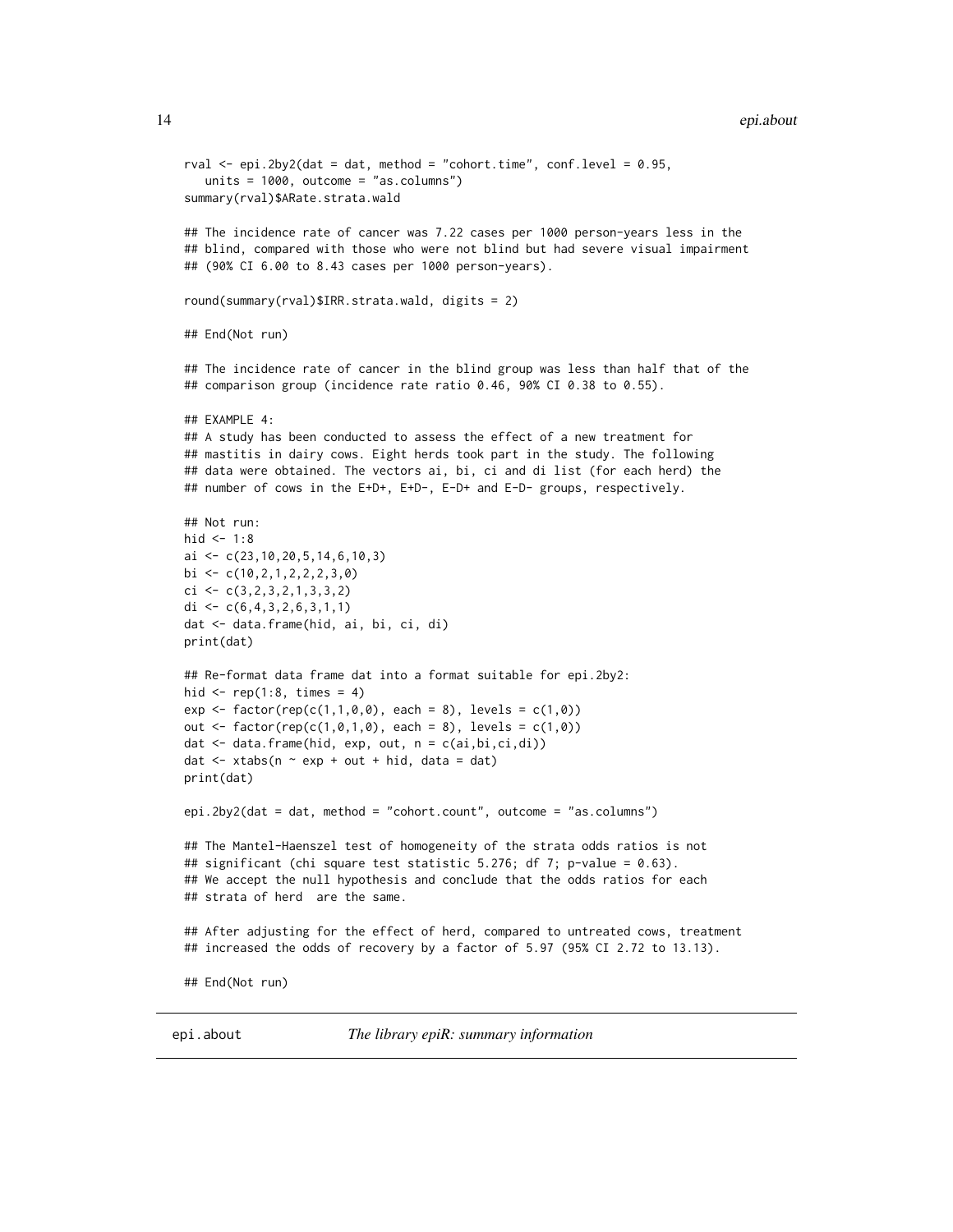```
rval \leq epi.2by2(dat = dat, method = "cohort.time", conf.level = 0.95,
   units = 1000, outcome = "as.columns")
summary(rval)$ARate.strata.wald
## The incidence rate of cancer was 7.22 cases per 1000 person-years less in the
## blind, compared with those who were not blind but had severe visual impairment
## (90% CI 6.00 to 8.43 cases per 1000 person-years).
round(summary(rval)$IRR.strata.wald, digits = 2)
## End(Not run)
## The incidence rate of cancer in the blind group was less than half that of the
## comparison group (incidence rate ratio 0.46, 90% CI 0.38 to 0.55).
## EXAMPLE 4:
## A study has been conducted to assess the effect of a new treatment for
## mastitis in dairy cows. Eight herds took part in the study. The following
## data were obtained. The vectors ai, bi, ci and di list (for each herd) the
## number of cows in the E+D+, E+D-, E-D+ and E-D- groups, respectively.
## Not run:
hid \leq -1:8ai <- c(23,10,20,5,14,6,10,3)
bi \leq c(10, 2, 1, 2, 2, 2, 3, 0)
ci \leftarrow c(3, 2, 3, 2, 1, 3, 3, 2)di \leq c(6, 4, 3, 2, 6, 3, 1, 1)dat <- data.frame(hid, ai, bi, ci, di)
print(dat)
## Re-format data frame dat into a format suitable for epi.2by2:
hid \leq rep(1:8, times = 4)
exp \leftarrow factor(rep(c(1,1,0,0), each = 8), levels = c(1,0))out \le factor(rep(c(1,0,1,0), each = 8), levels = c(1,0))
dat <- data.frame(hid, exp, out, n = c(ai,bi,ci,di))
dat \le xtabs(n \sim exp + out + hid, data = dat)
print(dat)
epi.2by2(dat = dat, method = "cohort.count", outcome = "as.columns")
## The Mantel-Haenszel test of homogeneity of the strata odds ratios is not
## significant (chi square test statistic 5.276; df 7; p-value = 0.63).
## We accept the null hypothesis and conclude that the odds ratios for each
## strata of herd are the same.
## After adjusting for the effect of herd, compared to untreated cows, treatment
## increased the odds of recovery by a factor of 5.97 (95% CI 2.72 to 13.13).
## End(Not run)
```
epi.about *The library epiR: summary information*

<span id="page-13-0"></span>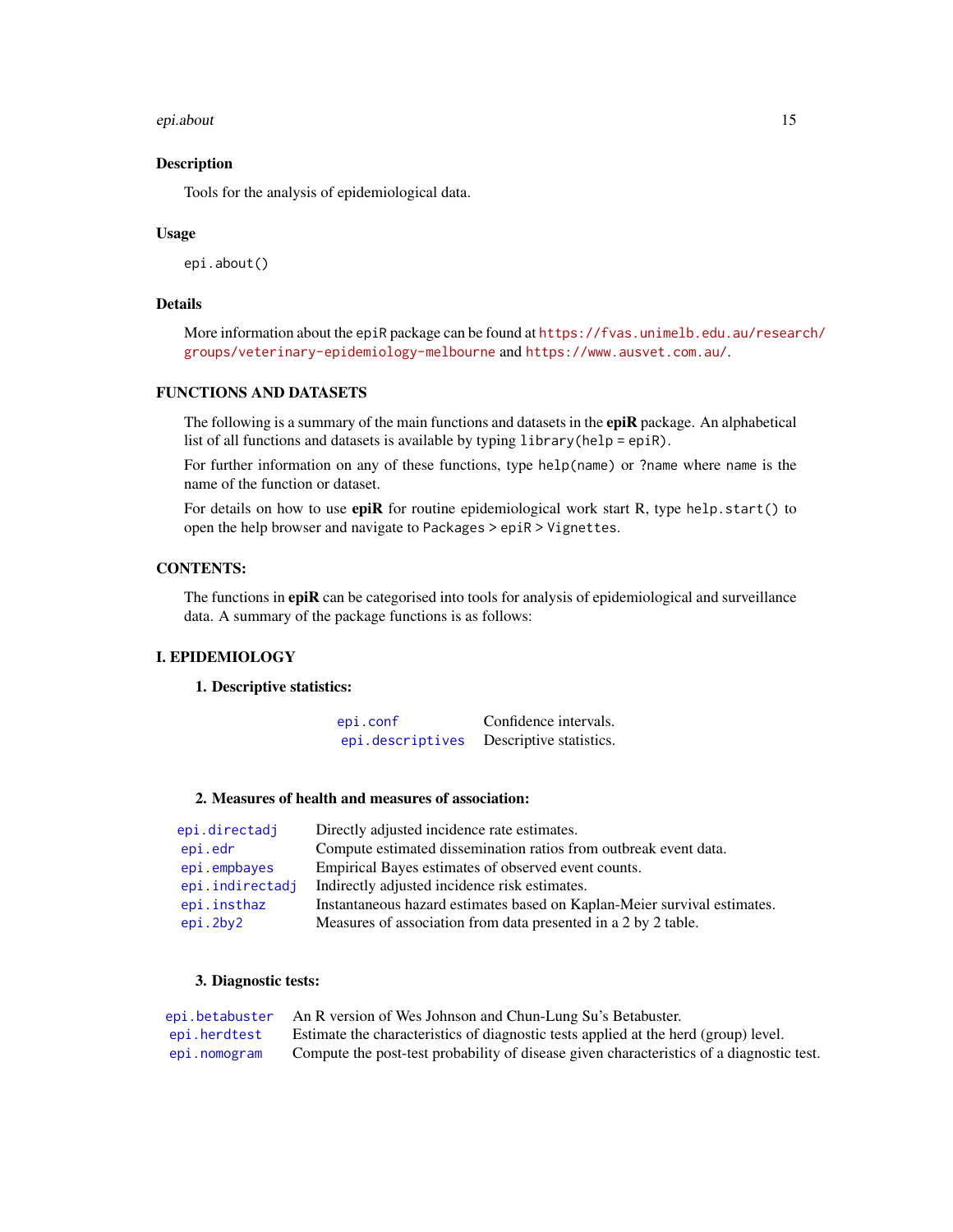### epi.about 15

### **Description**

Tools for the analysis of epidemiological data.

### Usage

epi.about()

# Details

More information about the epiR package can be found at [https://fvas.unimelb.edu.au/resear](https://fvas.unimelb.edu.au/research/groups/veterinary-epidemiology-melbourne)ch/ [groups/veterinary-epidemiology-melbourne](https://fvas.unimelb.edu.au/research/groups/veterinary-epidemiology-melbourne) and <https://www.ausvet.com.au/>.

# FUNCTIONS AND DATASETS

The following is a summary of the main functions and datasets in the **epiR** package. An alphabetical list of all functions and datasets is available by typing library(help = epiR).

For further information on any of these functions, type help(name) or ?name where name is the name of the function or dataset.

For details on how to use **epiR** for routine epidemiological work start R, type help. start() to open the help browser and navigate to Packages > epiR > Vignettes.

# CONTENTS:

The functions in epiR can be categorised into tools for analysis of epidemiological and surveillance data. A summary of the package functions is as follows:

# I. EPIDEMIOLOGY

#### 1. Descriptive statistics:

[epi.conf](#page-26-1) Confidence intervals. [epi.descriptives](#page-34-1) Descriptive statistics.

# 2. Measures of health and measures of association:

| epi.directadj   | Directly adjusted incidence rate estimates.                              |
|-----------------|--------------------------------------------------------------------------|
| epi.edr         | Compute estimated dissemination ratios from outbreak event data.         |
| epi.empbayes    | Empirical Bayes estimates of observed event counts.                      |
| epi.indirectadj | Indirectly adjusted incidence risk estimates.                            |
| epi.insthaz     | Instantaneous hazard estimates based on Kaplan-Meier survival estimates. |
| epi.2by2        | Measures of association from data presented in a 2 by 2 table.           |

#### 3. Diagnostic tests:

|              | epi.betabuster An R version of Wes Johnson and Chun-Lung Su's Betabuster.                |
|--------------|------------------------------------------------------------------------------------------|
| epi.herdtest | Estimate the characteristics of diagnostic tests applied at the herd (group) level.      |
| epi.nomogram | Compute the post-test probability of disease given characteristics of a diagnostic test. |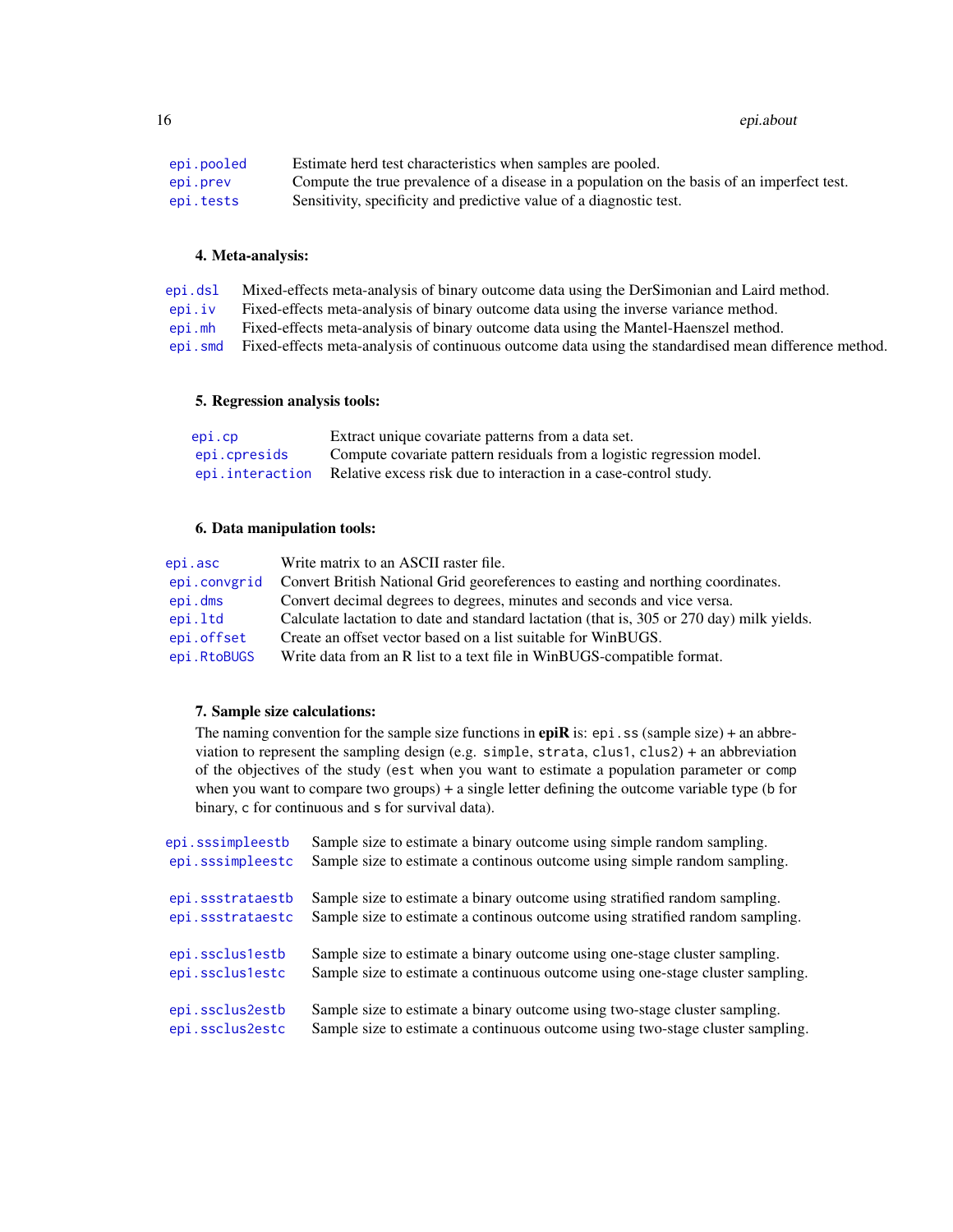16 epi.about 16 epi.about 16 epi.about 16 epi.about 16 epi.about 16 epi.about 16 epi.about 16 epi.about 16 epi

| epi.pooled | Estimate herd test characteristics when samples are pooled.                                 |
|------------|---------------------------------------------------------------------------------------------|
| epi.prev   | Compute the true prevalence of a disease in a population on the basis of an imperfect test. |
| epi.tests  | Sensitivity, specificity and predictive value of a diagnostic test.                         |

### 4. Meta-analysis:

[epi.dsl](#page-41-1) Mixed-effects meta-analysis of binary outcome data using the DerSimonian and Laird method. [epi.iv](#page-58-1) Fixed-effects meta-analysis of binary outcome data using the inverse variance method.

[epi.mh](#page-64-1) Fixed-effects meta-analysis of binary outcome data using the Mantel-Haenszel method.

[epi.smd](#page-81-1) Fixed-effects meta-analysis of continuous outcome data using the standardised mean difference method.

### 5. Regression analysis tools:

| epi.cp       | Extract unique covariate patterns from a data set.                                |
|--------------|-----------------------------------------------------------------------------------|
| epi.cpresids | Compute covariate pattern residuals from a logistic regression model.             |
|              | epi. interaction Relative excess risk due to interaction in a case-control study. |

### 6. Data manipulation tools:

| epi.asc      | Write matrix to an ASCII raster file.                                                     |
|--------------|-------------------------------------------------------------------------------------------|
| epi.convgrid | Convert British National Grid georeferences to easting and northing coordinates.          |
| epi.dms      | Convert decimal degrees to degrees, minutes and seconds and vice versa.                   |
| epi.ltd      | Calculate lactation to date and standard lactation (that is, 305 or 270 day) milk yields. |
| epi.offset   | Create an offset vector based on a list suitable for WinBUGS.                             |
| epi.RtoBUGS  | Write data from an R list to a text file in WinBUGS-compatible format.                    |

# 7. Sample size calculations:

The naming convention for the sample size functions in **epiR** is:  $epi$ . ss (sample size) + an abbreviation to represent the sampling design (e.g. simple, strata, clus1, clus2) + an abbreviation of the objectives of the study (est when you want to estimate a population parameter or comp when you want to compare two groups) + a single letter defining the outcome variable type (b for binary, c for continuous and s for survival data).

| epi.sssimpleestb | Sample size to estimate a binary outcome using simple random sampling.         |
|------------------|--------------------------------------------------------------------------------|
| epi.sssimpleestc | Sample size to estimate a continous outcome using simple random sampling.      |
| epi.ssstrataestb | Sample size to estimate a binary outcome using stratified random sampling.     |
| epi.ssstrataestc | Sample size to estimate a continous outcome using stratified random sampling.  |
| epi.sscluslestb  | Sample size to estimate a binary outcome using one-stage cluster sampling.     |
| epi.sscluslestc  | Sample size to estimate a continuous outcome using one-stage cluster sampling. |
| epi.ssclus2estb  | Sample size to estimate a binary outcome using two-stage cluster sampling.     |
| epi.ssclus2estc  | Sample size to estimate a continuous outcome using two-stage cluster sampling. |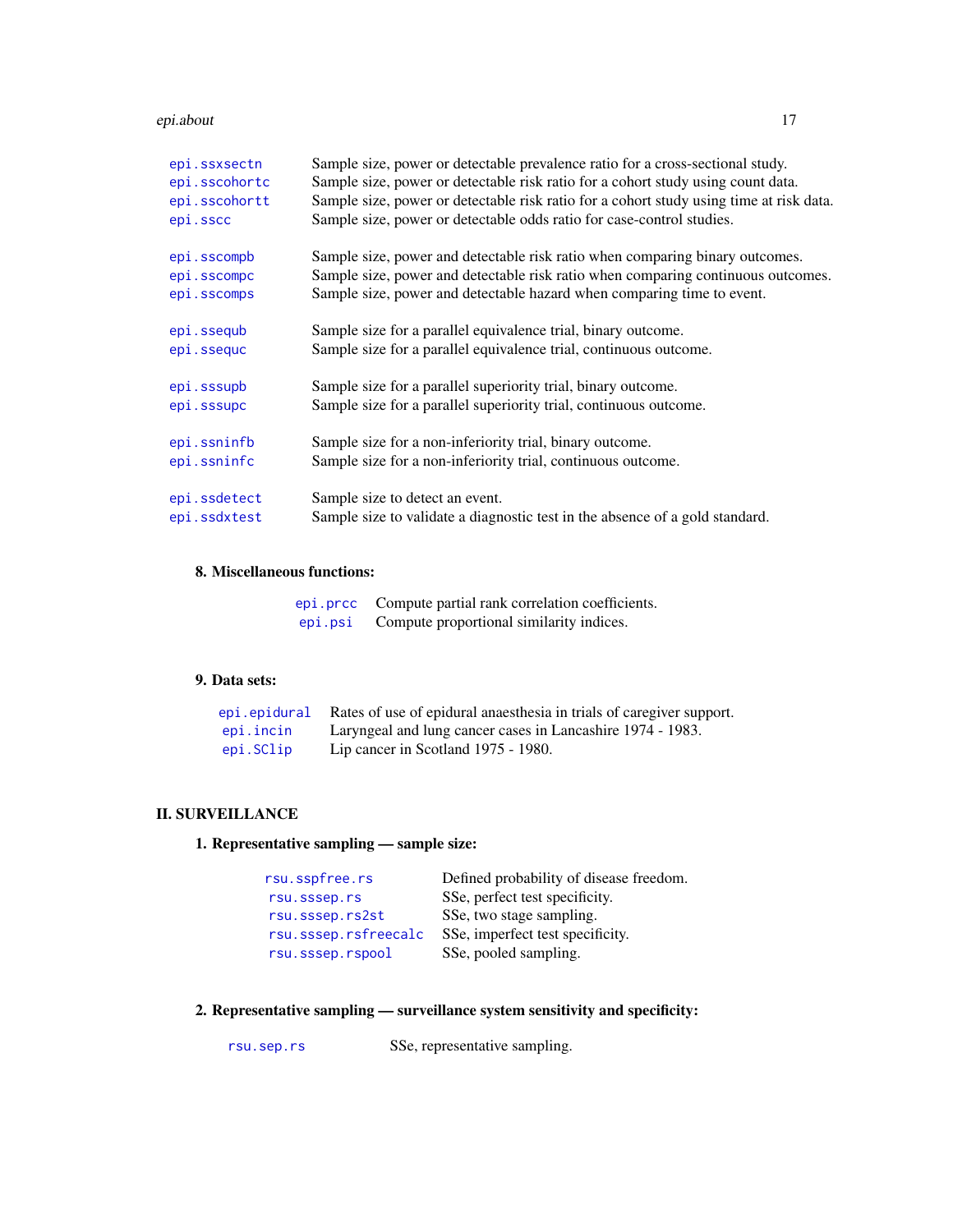### epi.about 17

| epi.ssxsectn  | Sample size, power or detectable prevalence ratio for a cross-sectional study.          |
|---------------|-----------------------------------------------------------------------------------------|
| epi.sscohortc | Sample size, power or detectable risk ratio for a cohort study using count data.        |
| epi.sscohortt | Sample size, power or detectable risk ratio for a cohort study using time at risk data. |
| epi.sscc      | Sample size, power or detectable odds ratio for case-control studies.                   |
| epi.sscompb   | Sample size, power and detectable risk ratio when comparing binary outcomes.            |
| epi.sscompc   | Sample size, power and detectable risk ratio when comparing continuous outcomes.        |
| epi.sscomps   | Sample size, power and detectable hazard when comparing time to event.                  |
| epi.ssequb    | Sample size for a parallel equivalence trial, binary outcome.                           |
| epi.ssequc    | Sample size for a parallel equivalence trial, continuous outcome.                       |
| epi.sssupb    | Sample size for a parallel superiority trial, binary outcome.                           |
| epi.sssupc    | Sample size for a parallel superiority trial, continuous outcome.                       |
| epi.ssninfb   | Sample size for a non-inferiority trial, binary outcome.                                |
| epi.ssninfc   | Sample size for a non-inferiority trial, continuous outcome.                            |
| epi.ssdetect  | Sample size to detect an event.                                                         |
| epi.ssdxtest  | Sample size to validate a diagnostic test in the absence of a gold standard.            |
|               |                                                                                         |

# 8. Miscellaneous functions:

|         | epi.prcc Compute partial rank correlation coefficients. |
|---------|---------------------------------------------------------|
| epi.psi | Compute proportional similarity indices.                |

# 9. Data sets:

|           | epi epidural Rates of use of epidural anaesthesia in trials of caregiver support. |
|-----------|-----------------------------------------------------------------------------------|
| epi.incin | Laryngeal and lung cancer cases in Lancashire 1974 - 1983.                        |
| epi.SClip | Lip cancer in Scotland 1975 - 1980.                                               |

# II. SURVEILLANCE

# 1. Representative sampling — sample size:

| rsu.sspfree.rs       | Defined probability of disease freedom. |
|----------------------|-----------------------------------------|
| rsu.sssep.rs         | SSe, perfect test specificity.          |
| rsu.sssep.rs2st      | SSe, two stage sampling.                |
| rsu.sssep.rsfreecalc | SSe, imperfect test specificity.        |
| rsu.sssep.rspool     | SSe, pooled sampling.                   |

# 2. Representative sampling — surveillance system sensitivity and specificity:

[rsu.sep.rs](#page-164-1) SSe, representative sampling.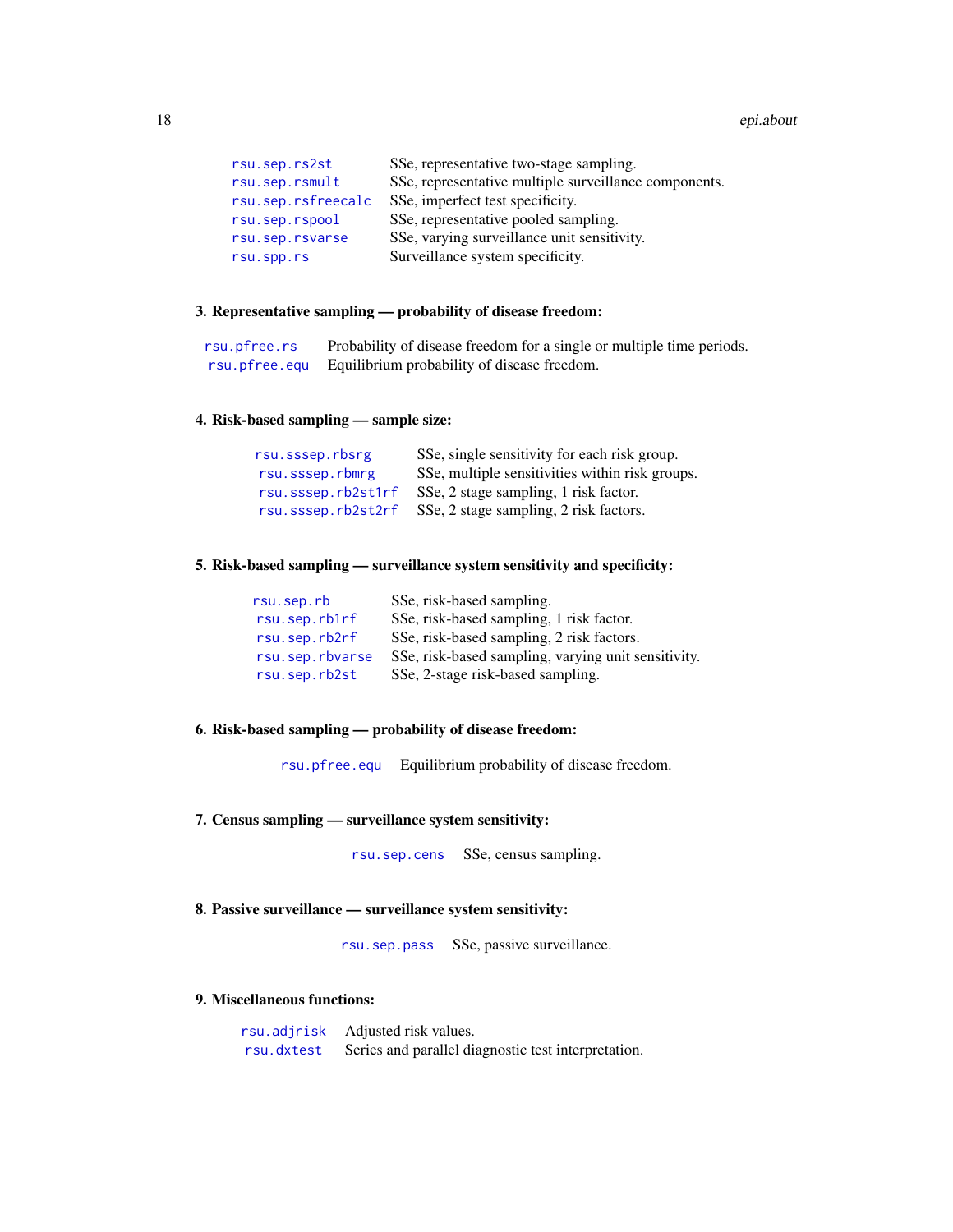| rsu.sep.rs2st      | SSe, representative two-stage sampling.               |
|--------------------|-------------------------------------------------------|
| rsu.sep.rsmult     | SSe, representative multiple surveillance components. |
| rsu.sep.rsfreecalc | SSe, imperfect test specificity.                      |
| rsu.sep.rspool     | SSe, representative pooled sampling.                  |
| rsu.sep.rsvarse    | SSe, varying surveillance unit sensitivity.           |
| rsu.spp.rs         | Surveillance system specificity.                      |

# 3. Representative sampling — probability of disease freedom:

| rsu.pfree.rs | Probability of disease freedom for a single or multiple time periods. |
|--------------|-----------------------------------------------------------------------|
|              | rsu. pfree. equ Equilibrium probability of disease freedom.           |

# 4. Risk-based sampling — sample size:

| rsu.sssep.rbsrg    | SSe, single sensitivity for each risk group.    |
|--------------------|-------------------------------------------------|
| rsu.sssep.rbmrg    | SSe, multiple sensitivities within risk groups. |
| rsu.sssep.rb2st1rf | SSe, 2 stage sampling, 1 risk factor.           |
| rsu.sssep.rb2st2rf | SSe, 2 stage sampling, 2 risk factors.          |

# 5. Risk-based sampling — surveillance system sensitivity and specificity:

| rsu.sep.rb      | SSe, risk-based sampling.                           |
|-----------------|-----------------------------------------------------|
| rsu.sep.rb1rf   | SSe, risk-based sampling, 1 risk factor.            |
| rsu.sep.rb2rf   | SSe, risk-based sampling, 2 risk factors.           |
| rsu.sep.rbvarse | SSe, risk-based sampling, varying unit sensitivity. |
| rsu.sep.rb2st   | SSe, 2-stage risk-based sampling.                   |

# 6. Risk-based sampling — probability of disease freedom:

[rsu.pfree.equ](#page-143-1) Equilibrium probability of disease freedom.

7. Census sampling — surveillance system sensitivity:

[rsu.sep.cens](#page-152-1) SSe, census sampling.

# 8. Passive surveillance — surveillance system sensitivity:

[rsu.sep.pass](#page-153-1) SSe, passive surveillance.

# 9. Miscellaneous functions:

| rsu.adjrisk | Adjusted risk values.                               |
|-------------|-----------------------------------------------------|
| rsu.dxtest  | Series and parallel diagnostic test interpretation. |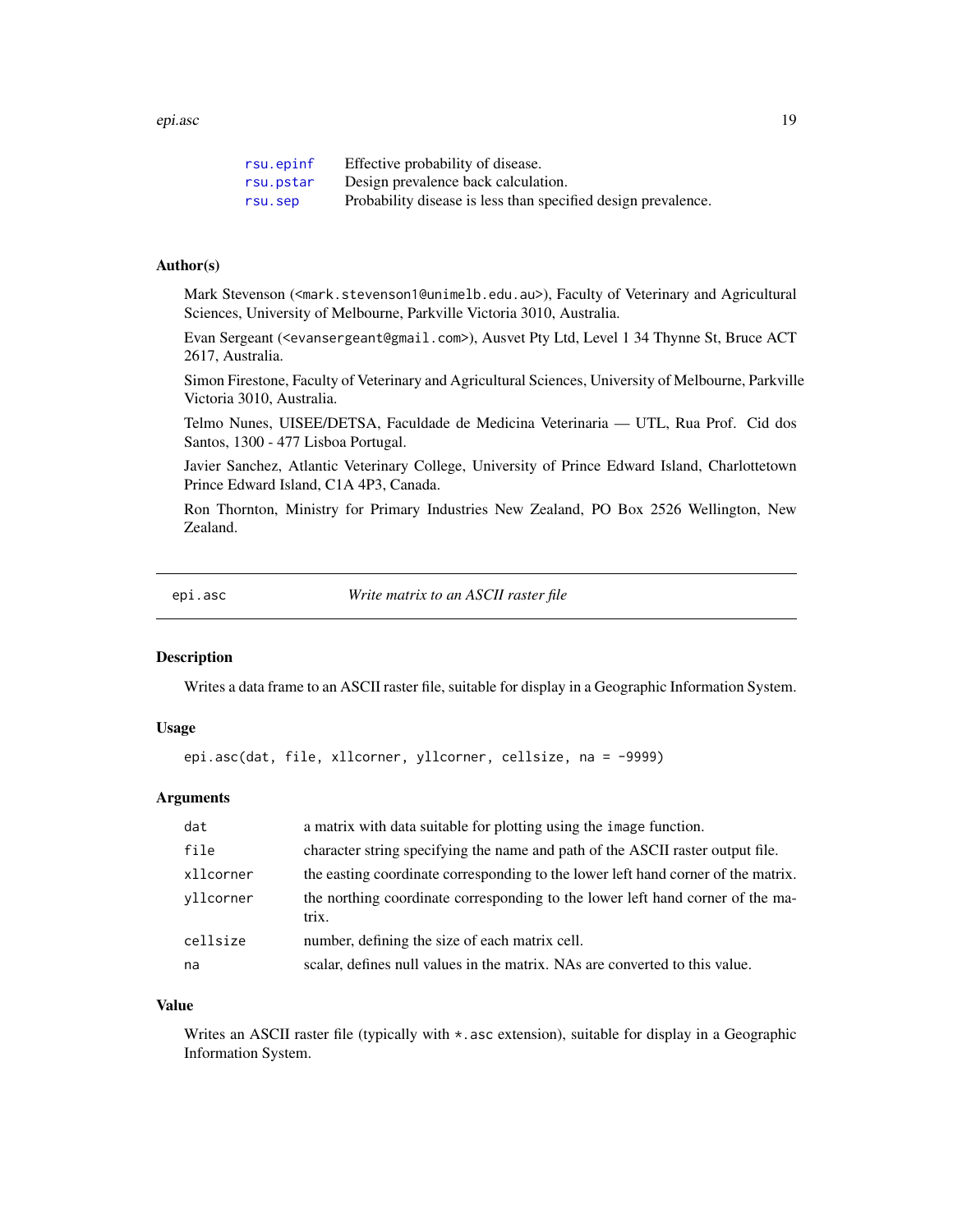### <span id="page-18-0"></span>epi.asc 19

| rsu.epinf | Effective probability of disease.                             |
|-----------|---------------------------------------------------------------|
| rsu.pstar | Design prevalence back calculation.                           |
| rsu.sep   | Probability disease is less than specified design prevalence. |

# Author(s)

Mark Stevenson (<mark.stevenson1@unimelb.edu.au>), Faculty of Veterinary and Agricultural Sciences, University of Melbourne, Parkville Victoria 3010, Australia.

Evan Sergeant (<evansergeant@gmail.com>), Ausvet Pty Ltd, Level 1 34 Thynne St, Bruce ACT 2617, Australia.

Simon Firestone, Faculty of Veterinary and Agricultural Sciences, University of Melbourne, Parkville Victoria 3010, Australia.

Telmo Nunes, UISEE/DETSA, Faculdade de Medicina Veterinaria — UTL, Rua Prof. Cid dos Santos, 1300 - 477 Lisboa Portugal.

Javier Sanchez, Atlantic Veterinary College, University of Prince Edward Island, Charlottetown Prince Edward Island, C1A 4P3, Canada.

Ron Thornton, Ministry for Primary Industries New Zealand, PO Box 2526 Wellington, New Zealand.

<span id="page-18-1"></span>

epi.asc *Write matrix to an ASCII raster file*

# **Description**

Writes a data frame to an ASCII raster file, suitable for display in a Geographic Information System.

# Usage

```
epi.asc(dat, file, xllcorner, yllcorner, cellsize, na = -9999)
```
# Arguments

| dat       | a matrix with data suitable for plotting using the image function.                      |
|-----------|-----------------------------------------------------------------------------------------|
| file      | character string specifying the name and path of the ASCII raster output file.          |
| xllcorner | the easting coordinate corresponding to the lower left hand corner of the matrix.       |
| vllcorner | the northing coordinate corresponding to the lower left hand corner of the ma-<br>trix. |
| cellsize  | number, defining the size of each matrix cell.                                          |
| na        | scalar, defines null values in the matrix. NAs are converted to this value.             |

#### Value

Writes an ASCII raster file (typically with  $\star$ , asc extension), suitable for display in a Geographic Information System.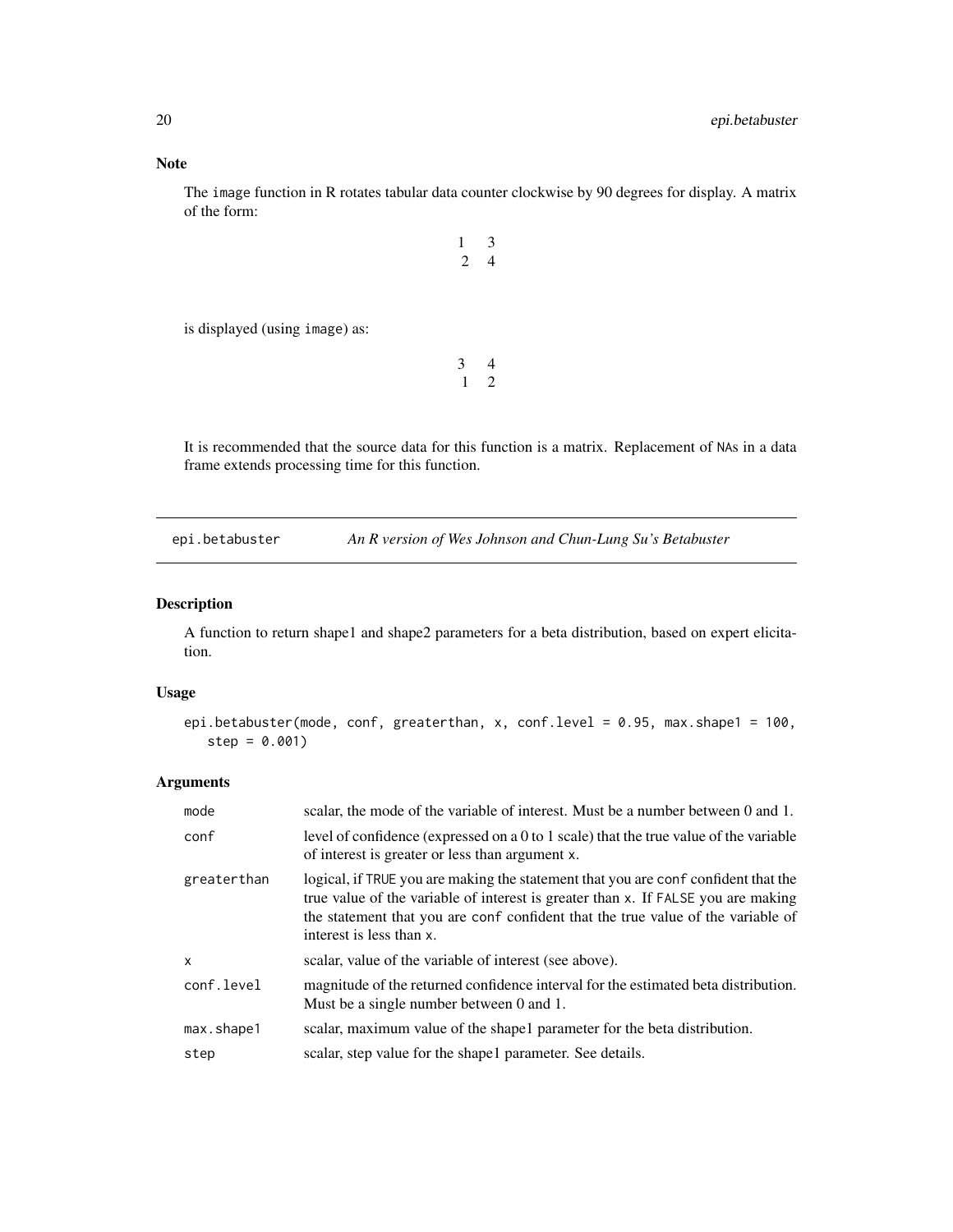<span id="page-19-0"></span>The image function in R rotates tabular data counter clockwise by 90 degrees for display. A matrix of the form:

|                                | $\mathcal{L}$ | $\mathbf 3$ |
|--------------------------------|---------------|-------------|
| is displayed (using image) as: |               |             |
|                                | 3             |             |

It is recommended that the source data for this function is a matrix. Replacement of NAs in a data frame extends processing time for this function.

<span id="page-19-1"></span>epi.betabuster *An R version of Wes Johnson and Chun-Lung Su's Betabuster*

# Description

A function to return shape1 and shape2 parameters for a beta distribution, based on expert elicitation.

# Usage

```
epi.betabuster(mode, conf, greaterthan, x, conf.level = 0.95, max.shape1 = 100,
  step = 0.001
```
### Arguments

| mode         | scalar, the mode of the variable of interest. Must be a number between 0 and 1.                                                                                                                                                                                                         |  |
|--------------|-----------------------------------------------------------------------------------------------------------------------------------------------------------------------------------------------------------------------------------------------------------------------------------------|--|
| conf         | level of confidence (expressed on a 0 to 1 scale) that the true value of the variable<br>of interest is greater or less than argument x.                                                                                                                                                |  |
| greaterthan  | logical, if TRUE you are making the statement that you are conf confident that the<br>true value of the variable of interest is greater than x. If FALSE you are making<br>the statement that you are conf confident that the true value of the variable of<br>interest is less than x. |  |
| $\mathsf{x}$ | scalar, value of the variable of interest (see above).                                                                                                                                                                                                                                  |  |
| conf.level   | magnitude of the returned confidence interval for the estimated beta distribution.<br>Must be a single number between 0 and 1.                                                                                                                                                          |  |
| max.shape1   | scalar, maximum value of the shape l parameter for the beta distribution.                                                                                                                                                                                                               |  |
| step         | scalar, step value for the shape 1 parameter. See details.                                                                                                                                                                                                                              |  |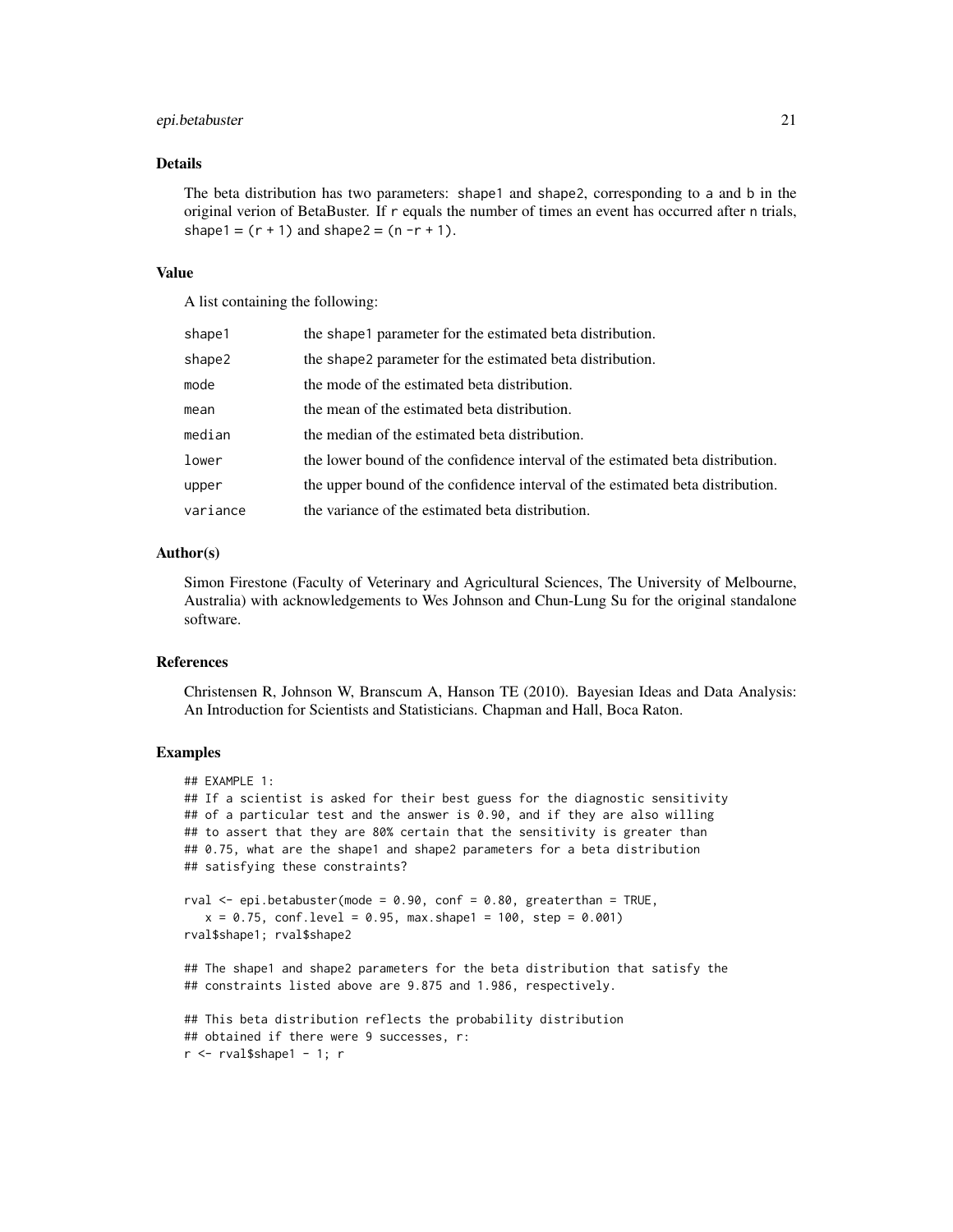### epi.betabuster 21

### Details

The beta distribution has two parameters: shape1 and shape2, corresponding to a and b in the original verion of BetaBuster. If r equals the number of times an event has occurred after n trials, shape1 =  $(r + 1)$  and shape2 =  $(n - r + 1)$ .

### Value

A list containing the following:

| shape1   | the shape1 parameter for the estimated beta distribution.                      |  |
|----------|--------------------------------------------------------------------------------|--|
| shape2   | the shape2 parameter for the estimated beta distribution.                      |  |
| mode     | the mode of the estimated beta distribution.                                   |  |
| mean     | the mean of the estimated beta distribution.                                   |  |
| median   | the median of the estimated beta distribution.                                 |  |
| lower    | the lower bound of the confidence interval of the estimated beta distribution. |  |
| upper    | the upper bound of the confidence interval of the estimated beta distribution. |  |
| variance | the variance of the estimated beta distribution.                               |  |

#### Author(s)

Simon Firestone (Faculty of Veterinary and Agricultural Sciences, The University of Melbourne, Australia) with acknowledgements to Wes Johnson and Chun-Lung Su for the original standalone software.

### References

Christensen R, Johnson W, Branscum A, Hanson TE (2010). Bayesian Ideas and Data Analysis: An Introduction for Scientists and Statisticians. Chapman and Hall, Boca Raton.

# Examples

 $r$  <-  $r$ val\$shape1 - 1;  $r$ 

```
## EXAMPLE 1:
## If a scientist is asked for their best guess for the diagnostic sensitivity
## of a particular test and the answer is 0.90, and if they are also willing
## to assert that they are 80% certain that the sensitivity is greater than
## 0.75, what are the shape1 and shape2 parameters for a beta distribution
## satisfying these constraints?
rval <- epi.betabuster(mode = 0.90, conf = 0.80, greaterthan = TRUE,
  x = 0.75, conf.level = 0.95, max.shape1 = 100, step = 0.001)
rval$shape1; rval$shape2
## The shape1 and shape2 parameters for the beta distribution that satisfy the
## constraints listed above are 9.875 and 1.986, respectively.
## This beta distribution reflects the probability distribution
## obtained if there were 9 successes, r:
```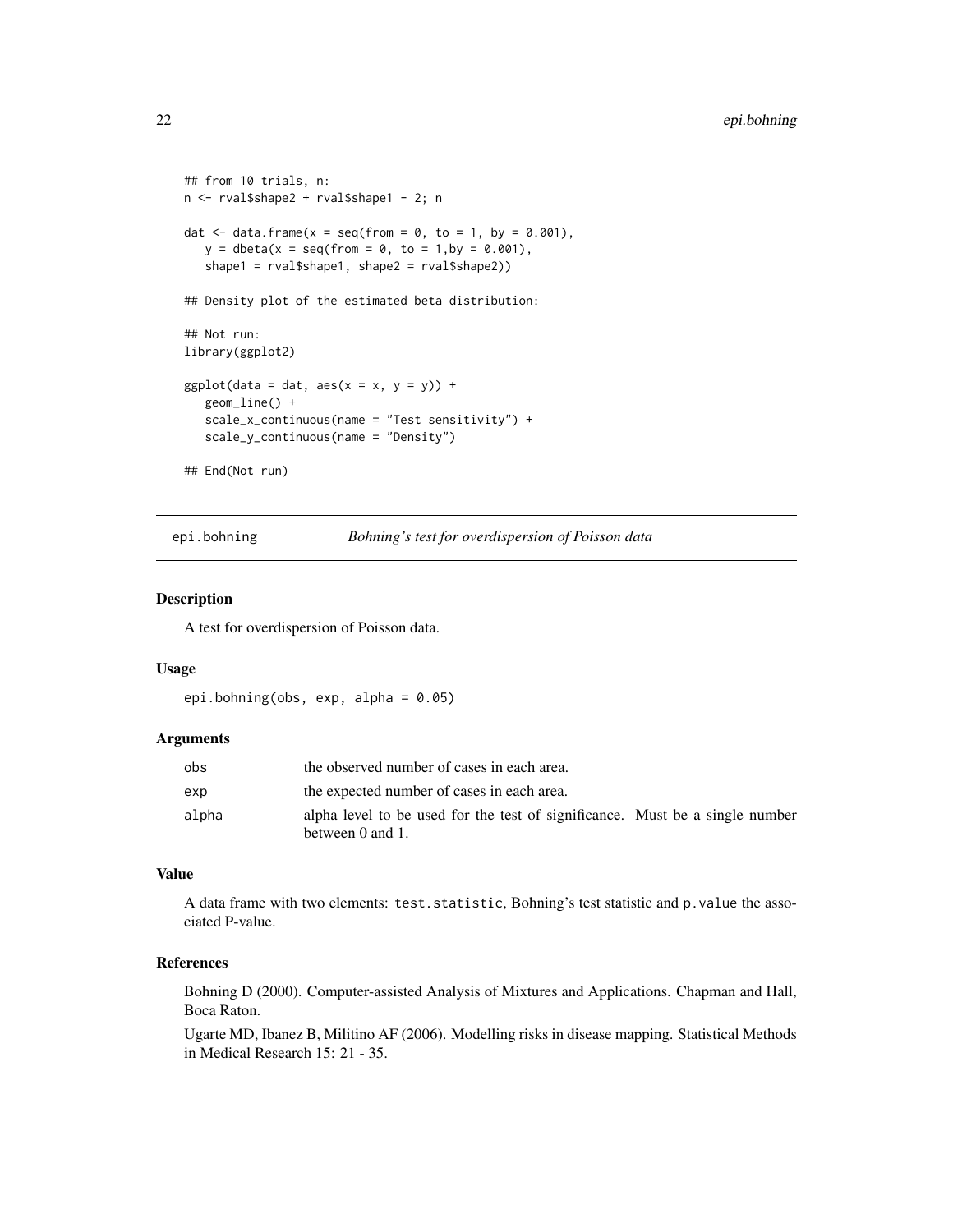```
## from 10 trials, n:
n <- rval$shape2 + rval$shape1 - 2; n
dat \le data.frame(x = seq(from = 0, to = 1, by = 0.001),
   y = \text{dbeta}(x = \text{seq}(\text{from} = 0, \text{ to} = 1, \text{by} = 0.001),shape1 = rval$shape1, shape2 = rval$shape2))
## Density plot of the estimated beta distribution:
## Not run:
library(ggplot2)
ggplot(data = dat, aes(x = x, y = y)) +geom_line() +
   scale_x_continuous(name = "Test sensitivity") +
   scale_y_continuous(name = "Density")
## End(Not run)
```
epi.bohning *Bohning's test for overdispersion of Poisson data*

### Description

A test for overdispersion of Poisson data.

### Usage

```
epi.bohning(obs, exp, alpha = 0.05)
```
### **Arguments**

| obs   | the observed number of cases in each area.                                                       |  |  |
|-------|--------------------------------------------------------------------------------------------------|--|--|
| exp   | the expected number of cases in each area.                                                       |  |  |
| alpha | alpha level to be used for the test of significance. Must be a single number<br>between 0 and 1. |  |  |

### Value

A data frame with two elements: test.statistic, Bohning's test statistic and p.value the associated P-value.

# References

Bohning D (2000). Computer-assisted Analysis of Mixtures and Applications. Chapman and Hall, Boca Raton.

Ugarte MD, Ibanez B, Militino AF (2006). Modelling risks in disease mapping. Statistical Methods in Medical Research 15: 21 - 35.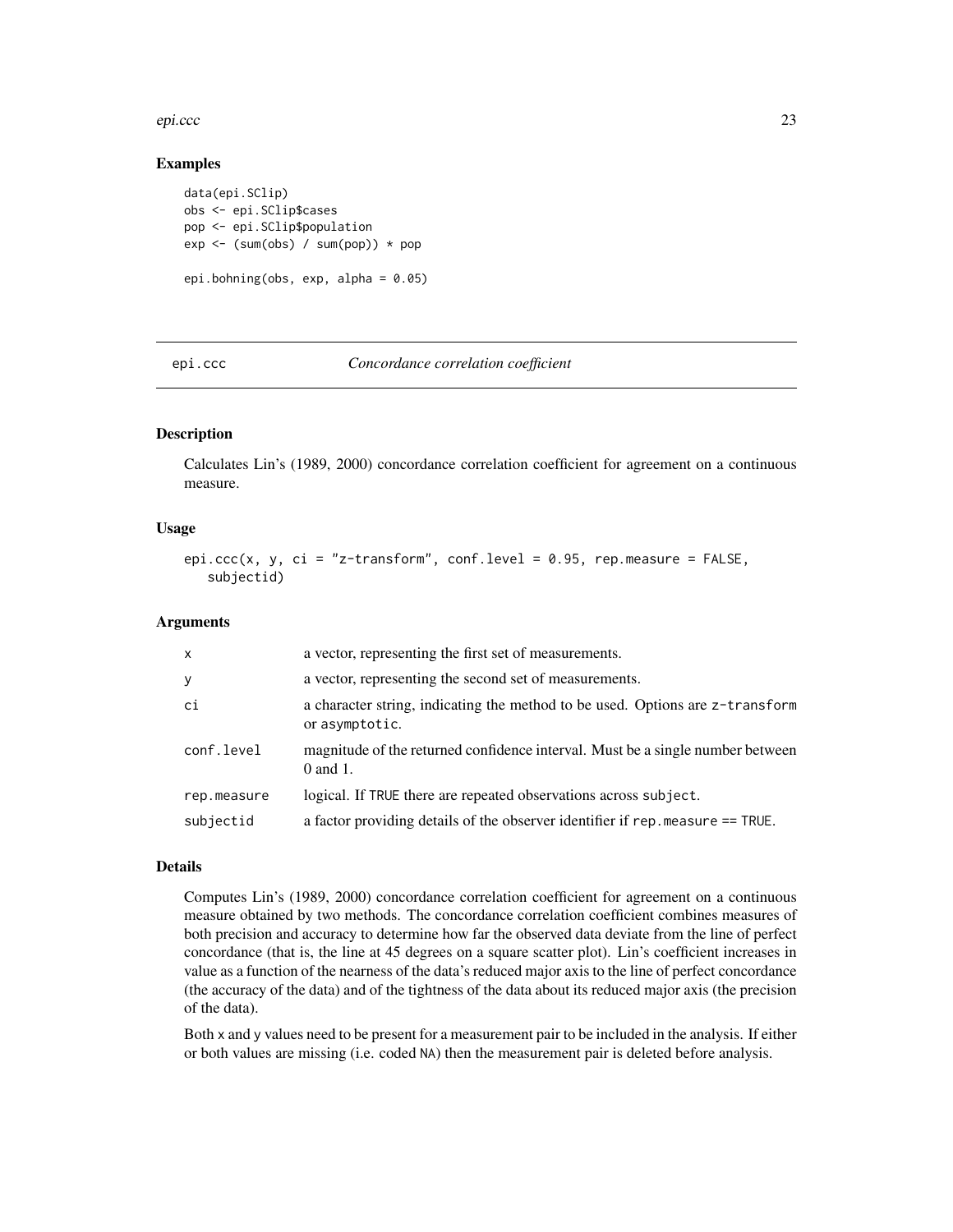### <span id="page-22-0"></span>epi.ccc 23

## Examples

```
data(epi.SClip)
obs <- epi.SClip$cases
pop <- epi.SClip$population
exp <- (sum(obs) / sum(pop)) * pop
epi.bohning(obs, exp, alpha = 0.05)
```
### epi.ccc *Concordance correlation coefficient*

# Description

Calculates Lin's (1989, 2000) concordance correlation coefficient for agreement on a continuous measure.

### Usage

```
epi.ccc(x, y, ci = "z-transform", conf.level = 0.95, rep.measure = FALSE,
   subjectid)
```
### Arguments

| $\mathsf{x}$ | a vector, representing the first set of measurements.                                           |
|--------------|-------------------------------------------------------------------------------------------------|
| y            | a vector, representing the second set of measurements.                                          |
| ci           | a character string, indicating the method to be used. Options are z-transform<br>or asymptotic. |
| conf.level   | magnitude of the returned confidence interval. Must be a single number between<br>$0$ and $1$ . |
| rep.measure  | logical. If TRUE there are repeated observations across subject.                                |
| subjectid    | a factor providing details of the observer identifier if rep. measure == TRUE.                  |

## Details

Computes Lin's (1989, 2000) concordance correlation coefficient for agreement on a continuous measure obtained by two methods. The concordance correlation coefficient combines measures of both precision and accuracy to determine how far the observed data deviate from the line of perfect concordance (that is, the line at 45 degrees on a square scatter plot). Lin's coefficient increases in value as a function of the nearness of the data's reduced major axis to the line of perfect concordance (the accuracy of the data) and of the tightness of the data about its reduced major axis (the precision of the data).

Both x and y values need to be present for a measurement pair to be included in the analysis. If either or both values are missing (i.e. coded NA) then the measurement pair is deleted before analysis.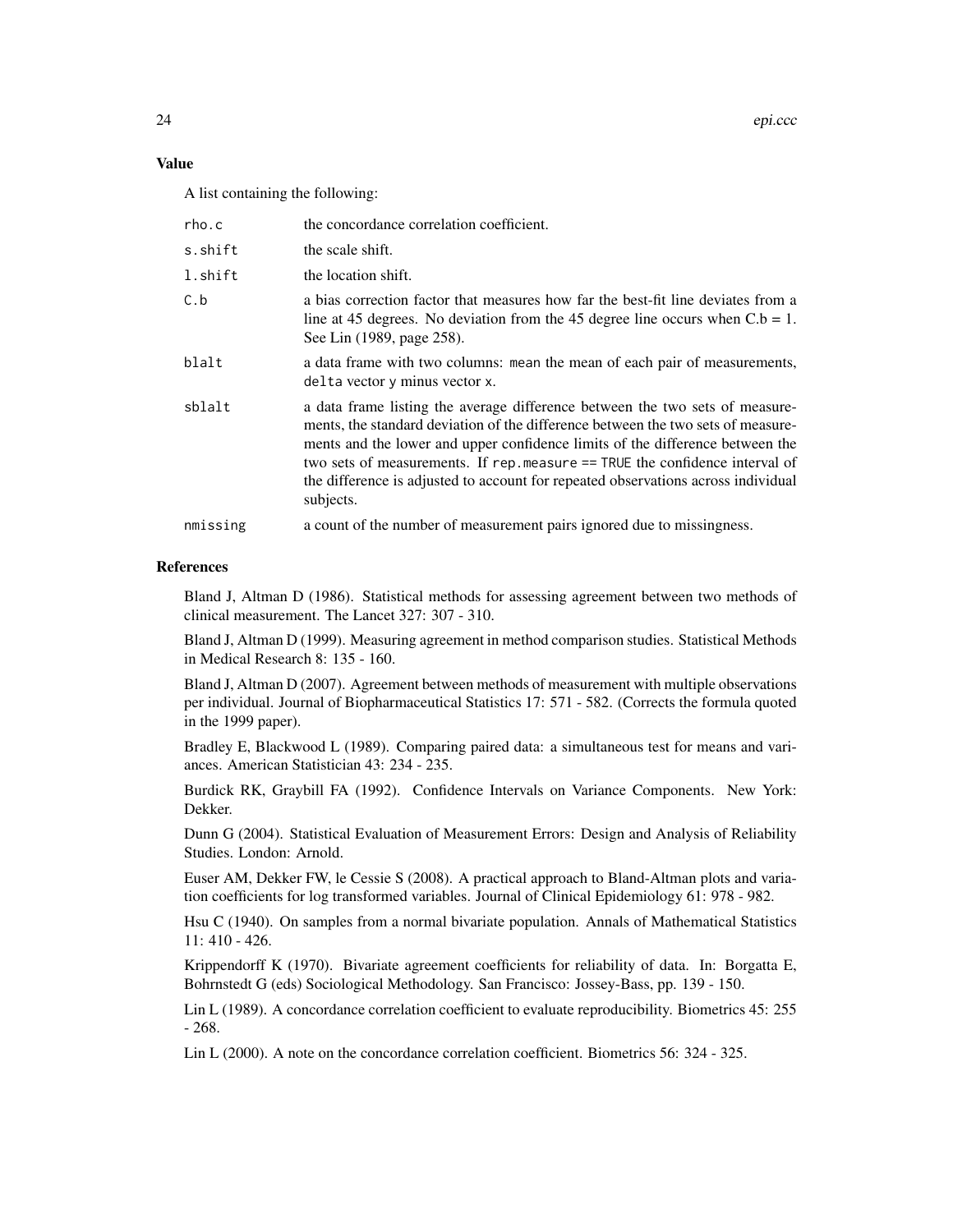### Value

A list containing the following:

| rho.c    | the concordance correlation coefficient.                                                                                                                                                                                                                                                                                                                                                                                           |  |
|----------|------------------------------------------------------------------------------------------------------------------------------------------------------------------------------------------------------------------------------------------------------------------------------------------------------------------------------------------------------------------------------------------------------------------------------------|--|
| s.shift  | the scale shift.                                                                                                                                                                                                                                                                                                                                                                                                                   |  |
| l.shift  | the location shift.                                                                                                                                                                                                                                                                                                                                                                                                                |  |
| C.b      | a bias correction factor that measures how far the best-fit line deviates from a<br>line at 45 degrees. No deviation from the 45 degree line occurs when $C.b = 1$ .<br>See Lin (1989, page 258).                                                                                                                                                                                                                                  |  |
| blalt    | a data frame with two columns: mean the mean of each pair of measurements,<br>delta vector y minus vector x.                                                                                                                                                                                                                                                                                                                       |  |
| sblalt   | a data frame listing the average difference between the two sets of measure-<br>ments, the standard deviation of the difference between the two sets of measure-<br>ments and the lower and upper confidence limits of the difference between the<br>two sets of measurements. If rep.measure == TRUE the confidence interval of<br>the difference is adjusted to account for repeated observations across individual<br>subjects. |  |
| nmissing | a count of the number of measurement pairs ignored due to missingness.                                                                                                                                                                                                                                                                                                                                                             |  |

### References

Bland J, Altman D (1986). Statistical methods for assessing agreement between two methods of clinical measurement. The Lancet 327: 307 - 310.

Bland J, Altman D (1999). Measuring agreement in method comparison studies. Statistical Methods in Medical Research 8: 135 - 160.

Bland J, Altman D (2007). Agreement between methods of measurement with multiple observations per individual. Journal of Biopharmaceutical Statistics 17: 571 - 582. (Corrects the formula quoted in the 1999 paper).

Bradley E, Blackwood L (1989). Comparing paired data: a simultaneous test for means and variances. American Statistician 43: 234 - 235.

Burdick RK, Graybill FA (1992). Confidence Intervals on Variance Components. New York: Dekker.

Dunn G (2004). Statistical Evaluation of Measurement Errors: Design and Analysis of Reliability Studies. London: Arnold.

Euser AM, Dekker FW, le Cessie S (2008). A practical approach to Bland-Altman plots and variation coefficients for log transformed variables. Journal of Clinical Epidemiology 61: 978 - 982.

Hsu C (1940). On samples from a normal bivariate population. Annals of Mathematical Statistics 11: 410 - 426.

Krippendorff K (1970). Bivariate agreement coefficients for reliability of data. In: Borgatta E, Bohrnstedt G (eds) Sociological Methodology. San Francisco: Jossey-Bass, pp. 139 - 150.

Lin L (1989). A concordance correlation coefficient to evaluate reproducibility. Biometrics 45: 255 - 268.

Lin L (2000). A note on the concordance correlation coefficient. Biometrics 56: 324 - 325.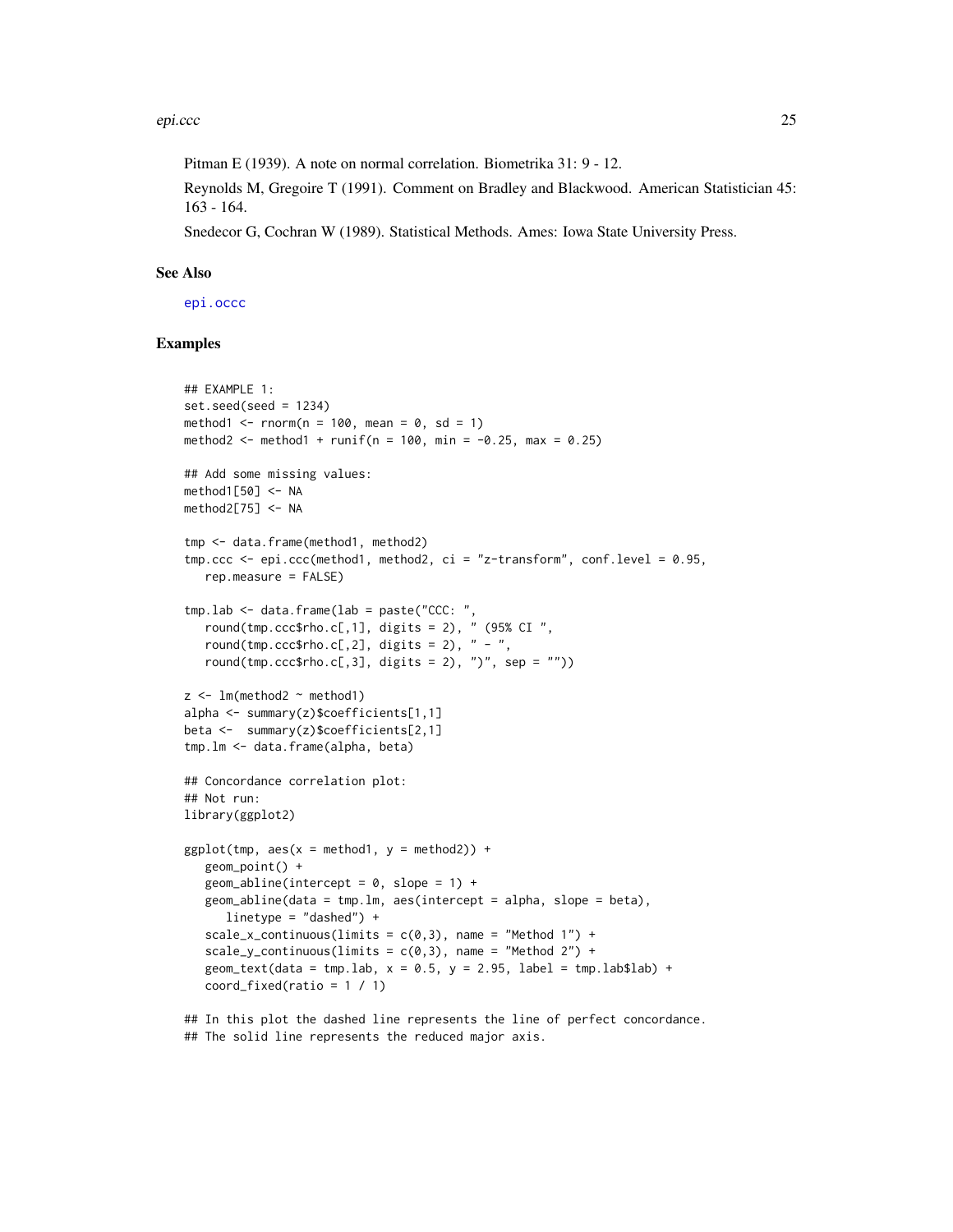Pitman E (1939). A note on normal correlation. Biometrika 31: 9 - 12.

Reynolds M, Gregoire T (1991). Comment on Bradley and Blackwood. American Statistician 45: 163 - 164.

Snedecor G, Cochran W (1989). Statistical Methods. Ames: Iowa State University Press.

### See Also

[epi.occc](#page-68-1)

### Examples

```
## EXAMPLE 1:
set.seed(seed = 1234)
method1 \le- rnorm(n = 100, mean = 0, sd = 1)
method2 <- method1 + runif(n = 100, min = -0.25, max = 0.25)
## Add some missing values:
method1[50] < -NAmethod2[75] < -NAtmp <- data.frame(method1, method2)
tmp.ccc \leq epi.ccc(method1, method2, ci = "z-transform", conf.level = 0.95,rep.measure = FALSE)
tmp.lab <- data.frame(lab = paste("CCC: ",
   round(tmp.ccc$rho.c[,1], digits = 2), " (95% CI",
   round(tmp.ccc$rho.c[,2], digits = 2), " - ",
   round(tmp.ccc$rho.c[,3], digits = 2), ")", sep = ""))
z <- lm(method2 \sim method1)
alpha <- summary(z)$coefficients[1,1]
beta <- summary(z)$coefficients[2,1]
tmp.lm <- data.frame(alpha, beta)
## Concordance correlation plot:
## Not run:
library(ggplot2)
ggplot(tmp, aes(x = method1, y = method2)) +geom_point() +
   geom_abline(intercept = 0, slope = 1) +
   geom_abline(data = tmp.lm, aes(intercept = alpha, slope = beta),
      linetype = "dashed") +
   scale_x_continuous(limits = c(\emptyset,3), name = "Method 1") +
   scale_y_continuous(limits = c(0,3), name = "Method 2") +
   geom\_text(data = tmp.lab, x = 0.5, y = 2.95, label = tmp.lab$lab) +coord_fixed(ratio = 1 / 1)
```
## In this plot the dashed line represents the line of perfect concordance. ## The solid line represents the reduced major axis.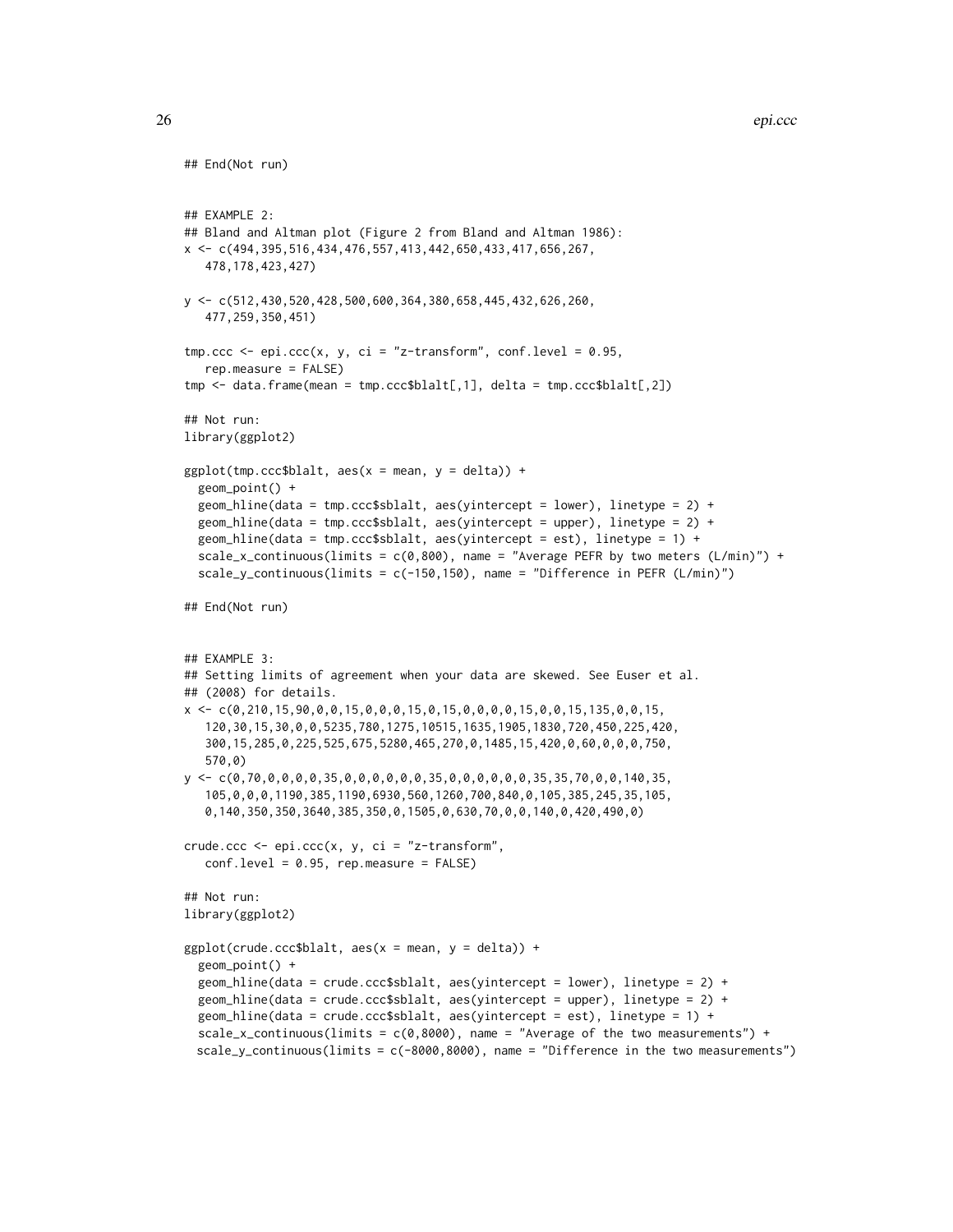```
## End(Not run)
## EXAMPLE 2:
## Bland and Altman plot (Figure 2 from Bland and Altman 1986):
x \leftarrow c (494, 395, 516, 434, 476, 557, 413, 442, 650, 433, 417, 656, 267,
   478,178,423,427)
y <- c(512,430,520,428,500,600,364,380,658,445,432,626,260,
   477,259,350,451)
tmp.ccc \leq epi.ccc(x, y, ci = "z-transform", conf.level = 0.95,rep.measure = FALSE)
tmp <- data.frame(mean = tmp.ccc$blalt[,1], delta = tmp.ccc$blalt[,2])
## Not run:
library(ggplot2)
ggplot(tmp.ccc$blalt, aes(x = mean, y = delta)) +geom_point() +
  geom_hline(data = tmp.ccc$sblalt, aes(yintercept = lower), linetype = 2) +
  geom_hline(data = tmp.ccc$sblalt, aes(yintercept = upper), linetype = 2) +
  geom_hline(data = tmp.ccc$sblalt, aes(yintercept = est), linetype = 1) +
  scale_x_continuous(limits = c(0,800), name = "Average PEFR by two meters (L/min)") +
  scale_y_continuous(limits = c(-150, 150), name = "Difference in PEFR (L/min)")
## End(Not run)
## EXAMPLE 3:
## Setting limits of agreement when your data are skewed. See Euser et al.
## (2008) for details.
x \leq -c(0, 210, 15, 90, 0, 0, 15, 0, 0, 0, 15, 0, 15, 0, 0, 0, 15, 0, 0, 15, 135, 0, 0, 15,120,30,15,30,0,0,5235,780,1275,10515,1635,1905,1830,720,450,225,420,
   300,15,285,0,225,525,675,5280,465,270,0,1485,15,420,0,60,0,0,0,750,
   570,0)
y \leftarrow c(0, 70, 0, 0, 0, 0, 35, 0, 0, 0, 0, 0, 0, 35, 0, 0, 0, 0, 0, 0, 35, 35, 70, 0, 0, 140, 35,105,0,0,0,1190,385,1190,6930,560,1260,700,840,0,105,385,245,35,105,
   0,140,350,350,3640,385,350,0,1505,0,630,70,0,0,140,0,420,490,0)
crude.ccc <- epi.ccc(x, y, ci = "z-transform",
   conf.level = 0.95, rep.measure = FALSE)
## Not run:
library(ggplot2)
ggplot(crude.ccc$blalt, aes(x = mean, y = delta)) +geom_point() +
  geom_hline(data = crude.ccc$sblalt, aes(yintercept = lower), linetype = 2) +
  geom_hline(data = crude.ccc$sblalt, aes(yintercept = upper), linetype = 2) +
  geom_hline(data = crude.ccc$sblalt, aes(yintercept = est), linetype = 1) +
  scale_x_continuous(limits = c(0,8000), name = "Average of the two measurements") +
  scale_y_continuous(limits = c(-8000,8000), name = "Difference in the two measurements")
```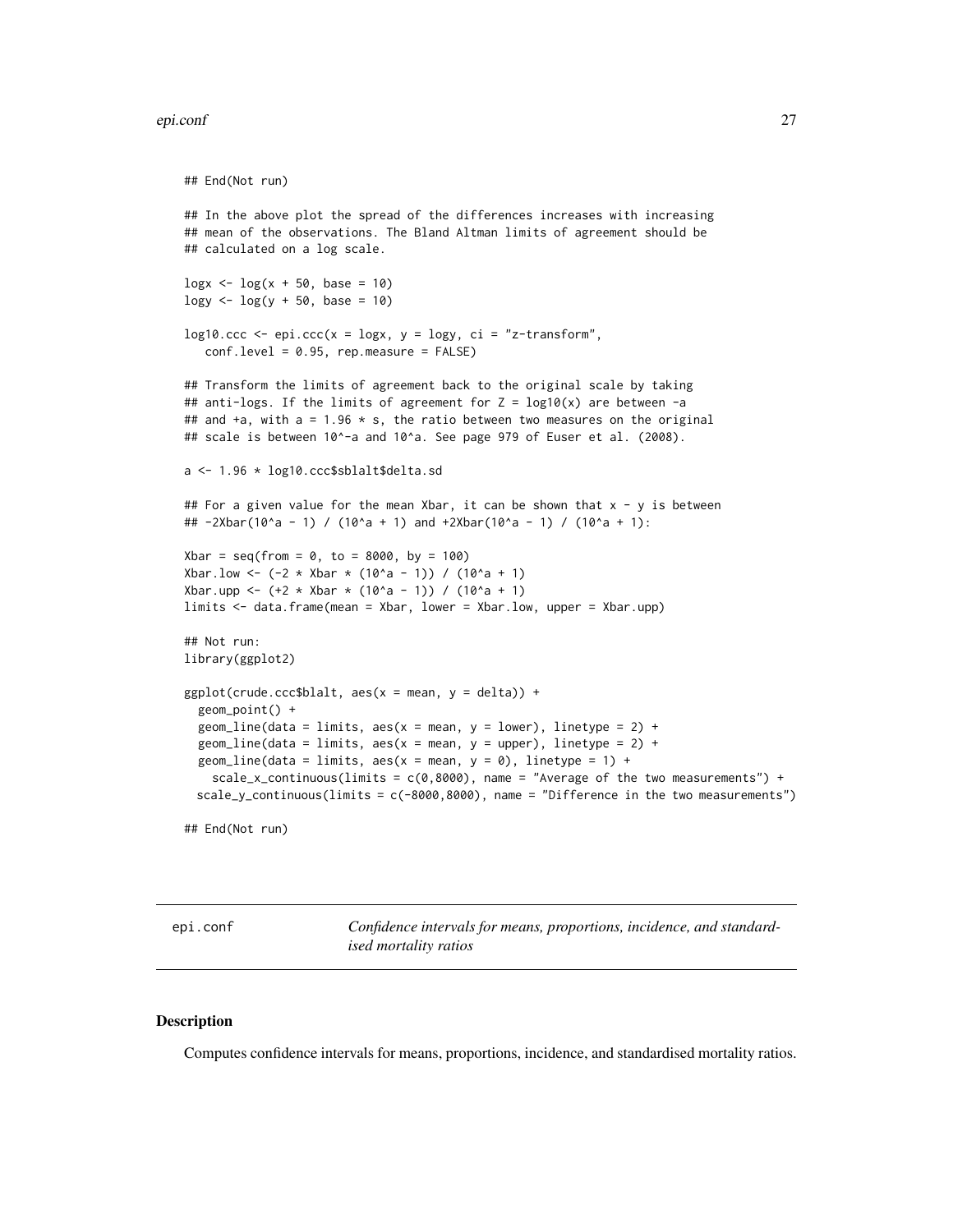### <span id="page-26-0"></span>epi.conf 27

```
## End(Not run)
## In the above plot the spread of the differences increases with increasing
## mean of the observations. The Bland Altman limits of agreement should be
## calculated on a log scale.
\log x <- \log(x + 50, \text{ base} = 10)\log y <- \log(y + 50, \text{ base} = 10)log10.ccc \le -epi.ccc(x = logx, y = logy, ci = "z-transform",conf.level = 0.95, rep.measure = FALSE)
## Transform the limits of agreement back to the original scale by taking
## anti-logs. If the limits of agreement for Z = \text{log}10(x) are between -a
## and +a, with a = 1.96 \times s, the ratio between two measures on the original
## scale is between 10^-a and 10^a. See page 979 of Euser et al. (2008).
a <- 1.96 * log10.ccc$sblalt$delta.sd
## For a given value for the mean Xbar, it can be shown that x - y is between
## -2Xbar(10^a - 1) / (10^a + 1) and +2Xbar(10^a - 1) / (10^a + 1):
Xbar = seq(from = 0, to = 8000, by = 100)Xbar.low <- (-2 * Xbar * (10^a - 1)) / (10^a + 1)Xbar.upp <- (+2 * Xbar * (10^a - 1)) / (10^a + 1)limits <- data.frame(mean = Xbar, lower = Xbar.low, upper = Xbar.upp)
## Not run:
library(ggplot2)
ggplot(crude.ccc$blalt, aes(x = mean, y = delta)) +geom_point() +
 geom\_line(data = limits, aes(x = mean, y = lower), linetype = 2) +geom_line(data = limits, aes(x = mean, y = upper), linetype = 2) +
 geom_line(data = limits, aes(x = mean, y = 0), linetype = 1) +
    scale_x_continuous(limits = c(\theta, 8000), name = "Average of the two measurements") +
 scale_y_{continuous}(limits = c(-8000,8000), name = "Difference in the two measurements")
```
## End(Not run)

<span id="page-26-1"></span>epi.conf *Confidence intervals for means, proportions, incidence, and standardised mortality ratios*

#### **Description**

Computes confidence intervals for means, proportions, incidence, and standardised mortality ratios.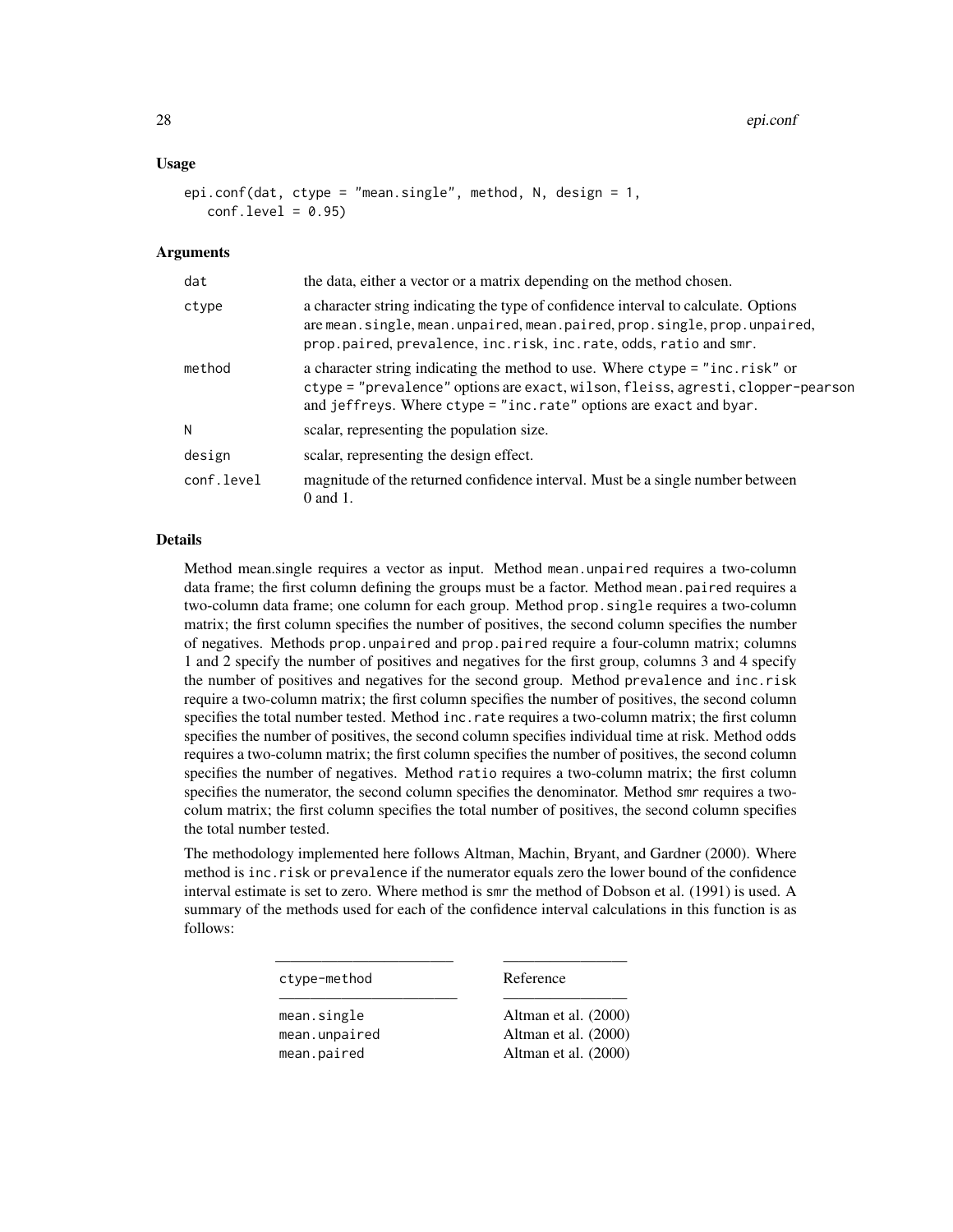### Usage

```
epi.conf(dat, ctype = "mean.single", method, N, design = 1,
   conf<math>.level = 0.95
```
#### Arguments

| dat        | the data, either a vector or a matrix depending on the method chosen.                                                                                                                                                                  |  |
|------------|----------------------------------------------------------------------------------------------------------------------------------------------------------------------------------------------------------------------------------------|--|
| ctype      | a character string indicating the type of confidence interval to calculate. Options<br>are mean.single, mean.unpaired, mean.paired, prop.single, prop.unpaired,<br>prop.paired, prevalence, inc.risk, inc.rate, odds, ratio and smr.   |  |
| method     | a character string indicating the method to use. Where ctype = "inc.risk" or<br>ctype = "prevalence" options are exact, wilson, fleiss, agresti, clopper-pearson<br>and jeffreys. Where ctype = "inc.rate" options are exact and byar. |  |
| N          | scalar, representing the population size.                                                                                                                                                                                              |  |
| design     | scalar, representing the design effect.                                                                                                                                                                                                |  |
| conf.level | magnitude of the returned confidence interval. Must be a single number between<br>$0$ and $1$ .                                                                                                                                        |  |

# Details

Method mean.single requires a vector as input. Method mean.unpaired requires a two-column data frame; the first column defining the groups must be a factor. Method mean.paired requires a two-column data frame; one column for each group. Method prop.single requires a two-column matrix; the first column specifies the number of positives, the second column specifies the number of negatives. Methods prop.unpaired and prop.paired require a four-column matrix; columns 1 and 2 specify the number of positives and negatives for the first group, columns 3 and 4 specify the number of positives and negatives for the second group. Method prevalence and inc.risk require a two-column matrix; the first column specifies the number of positives, the second column specifies the total number tested. Method inc.rate requires a two-column matrix; the first column specifies the number of positives, the second column specifies individual time at risk. Method odds requires a two-column matrix; the first column specifies the number of positives, the second column specifies the number of negatives. Method ratio requires a two-column matrix; the first column specifies the numerator, the second column specifies the denominator. Method smr requires a twocolum matrix; the first column specifies the total number of positives, the second column specifies the total number tested.

The methodology implemented here follows Altman, Machin, Bryant, and Gardner (2000). Where method is inc.risk or prevalence if the numerator equals zero the lower bound of the confidence interval estimate is set to zero. Where method is smr the method of Dobson et al. (1991) is used. A summary of the methods used for each of the confidence interval calculations in this function is as follows:

———————————– ————————

ctype-method Reference

———————————– ————————

mean.single Altman et al. (2000) mean.unpaired Altman et al. (2000) mean.paired Altman et al. (2000)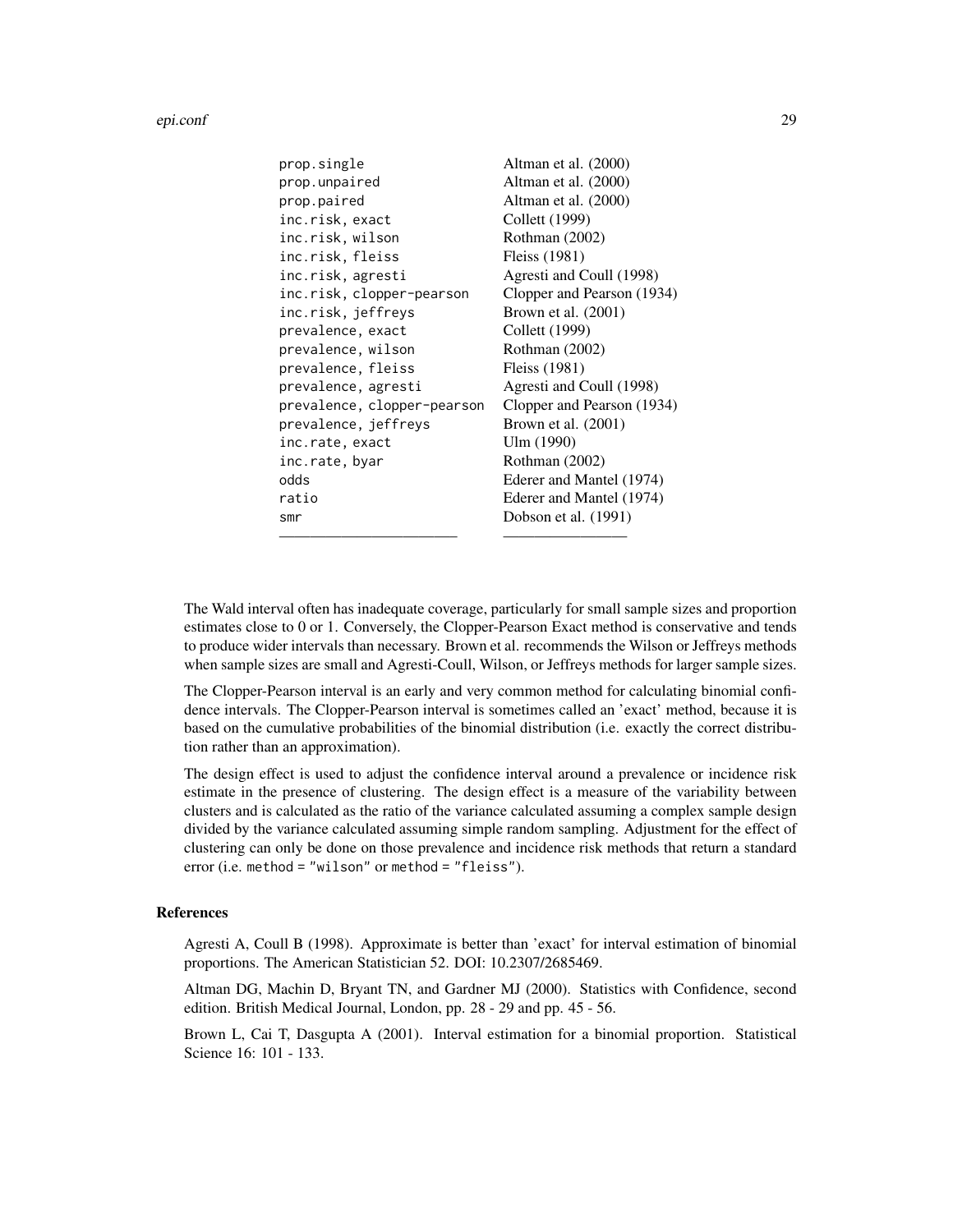| prop.single                 | Altman et al. (2000)       |
|-----------------------------|----------------------------|
| prop.unpaired               | Altman et al. (2000)       |
| prop.paired                 | Altman et al. (2000)       |
| inc.risk, exact             | Collett (1999)             |
| inc.risk, wilson            | Rothman (2002)             |
| inc.risk, fleiss            | Fleiss (1981)              |
| inc.risk, agresti           | Agresti and Coull (1998)   |
| inc.risk, clopper-pearson   | Clopper and Pearson (1934) |
| inc.risk, jeffreys          | Brown et al. $(2001)$      |
| prevalence, exact           | Collett (1999)             |
| prevalence, wilson          | Rothman (2002)             |
| prevalence, fleiss          | Fleiss (1981)              |
| prevalence, agresti         | Agresti and Coull (1998)   |
| prevalence, clopper-pearson | Clopper and Pearson (1934) |
| prevalence, jeffreys        | Brown et al. $(2001)$      |
| inc.rate, exact             | Ulm (1990)                 |
| inc.rate, byar              | Rothman (2002)             |
| odds                        | Ederer and Mantel (1974)   |
| ratio                       | Ederer and Mantel (1974)   |
| smr                         | Dobson et al. (1991)       |
|                             |                            |

The Wald interval often has inadequate coverage, particularly for small sample sizes and proportion estimates close to 0 or 1. Conversely, the Clopper-Pearson Exact method is conservative and tends to produce wider intervals than necessary. Brown et al. recommends the Wilson or Jeffreys methods when sample sizes are small and Agresti-Coull, Wilson, or Jeffreys methods for larger sample sizes.

The Clopper-Pearson interval is an early and very common method for calculating binomial confidence intervals. The Clopper-Pearson interval is sometimes called an 'exact' method, because it is based on the cumulative probabilities of the binomial distribution (i.e. exactly the correct distribution rather than an approximation).

The design effect is used to adjust the confidence interval around a prevalence or incidence risk estimate in the presence of clustering. The design effect is a measure of the variability between clusters and is calculated as the ratio of the variance calculated assuming a complex sample design divided by the variance calculated assuming simple random sampling. Adjustment for the effect of clustering can only be done on those prevalence and incidence risk methods that return a standard error (i.e. method = "wilson" or method = "fleiss").

### References

Agresti A, Coull B (1998). Approximate is better than 'exact' for interval estimation of binomial proportions. The American Statistician 52. DOI: 10.2307/2685469.

Altman DG, Machin D, Bryant TN, and Gardner MJ (2000). Statistics with Confidence, second edition. British Medical Journal, London, pp. 28 - 29 and pp. 45 - 56.

Brown L, Cai T, Dasgupta A (2001). Interval estimation for a binomial proportion. Statistical Science 16: 101 - 133.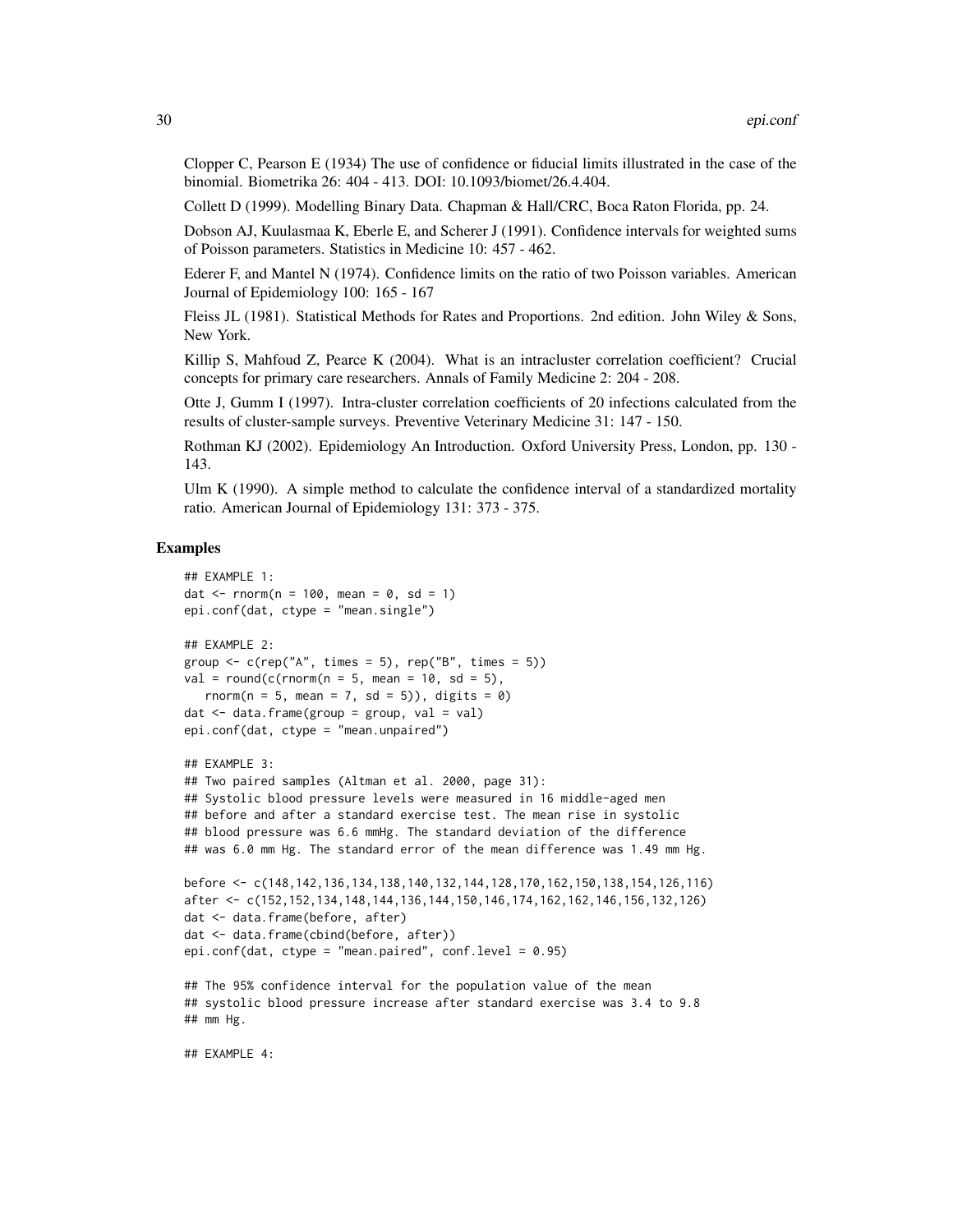Clopper C, Pearson E (1934) The use of confidence or fiducial limits illustrated in the case of the binomial. Biometrika 26: 404 - 413. DOI: 10.1093/biomet/26.4.404.

Collett D (1999). Modelling Binary Data. Chapman & Hall/CRC, Boca Raton Florida, pp. 24.

Dobson AJ, Kuulasmaa K, Eberle E, and Scherer J (1991). Confidence intervals for weighted sums of Poisson parameters. Statistics in Medicine 10: 457 - 462.

Ederer F, and Mantel N (1974). Confidence limits on the ratio of two Poisson variables. American Journal of Epidemiology 100: 165 - 167

Fleiss JL (1981). Statistical Methods for Rates and Proportions. 2nd edition. John Wiley & Sons, New York.

Killip S, Mahfoud Z, Pearce K (2004). What is an intracluster correlation coefficient? Crucial concepts for primary care researchers. Annals of Family Medicine 2: 204 - 208.

Otte J, Gumm I (1997). Intra-cluster correlation coefficients of 20 infections calculated from the results of cluster-sample surveys. Preventive Veterinary Medicine 31: 147 - 150.

Rothman KJ (2002). Epidemiology An Introduction. Oxford University Press, London, pp. 130 - 143.

Ulm K (1990). A simple method to calculate the confidence interval of a standardized mortality ratio. American Journal of Epidemiology 131: 373 - 375.

### Examples

```
## EXAMPLE 1:
dat \le rnorm(n = 100, mean = 0, sd = 1)
epi.conf(dat, ctype = "mean.single")
## EXAMPLE 2:
group \leq c(rep("A", times = 5), rep("B", times = 5))
val = round(c(rnorm(n = 5, mean = 10, sd = 5)),
  rnorm(n = 5, mean = 7, sd = 5)), digits = 0)
dat < - data. frame(group = group, val = val)
epi.conf(dat, ctype = "mean.unpaired")
## EXAMPLE 3:
## Two paired samples (Altman et al. 2000, page 31):
## Systolic blood pressure levels were measured in 16 middle-aged men
## before and after a standard exercise test. The mean rise in systolic
## blood pressure was 6.6 mmHg. The standard deviation of the difference
## was 6.0 mm Hg. The standard error of the mean difference was 1.49 mm Hg.
before <- c(148,142,136,134,138,140,132,144,128,170,162,150,138,154,126,116)
after <- c(152,152,134,148,144,136,144,150,146,174,162,162,146,156,132,126)
dat <- data.frame(before, after)
dat <- data.frame(cbind(before, after))
epi.conf(dat, ctype = "mean.paired", conf.level = 0.95)
## The 95% confidence interval for the population value of the mean
## systolic blood pressure increase after standard exercise was 3.4 to 9.8
## mm Hg.
```
## EXAMPLE 4: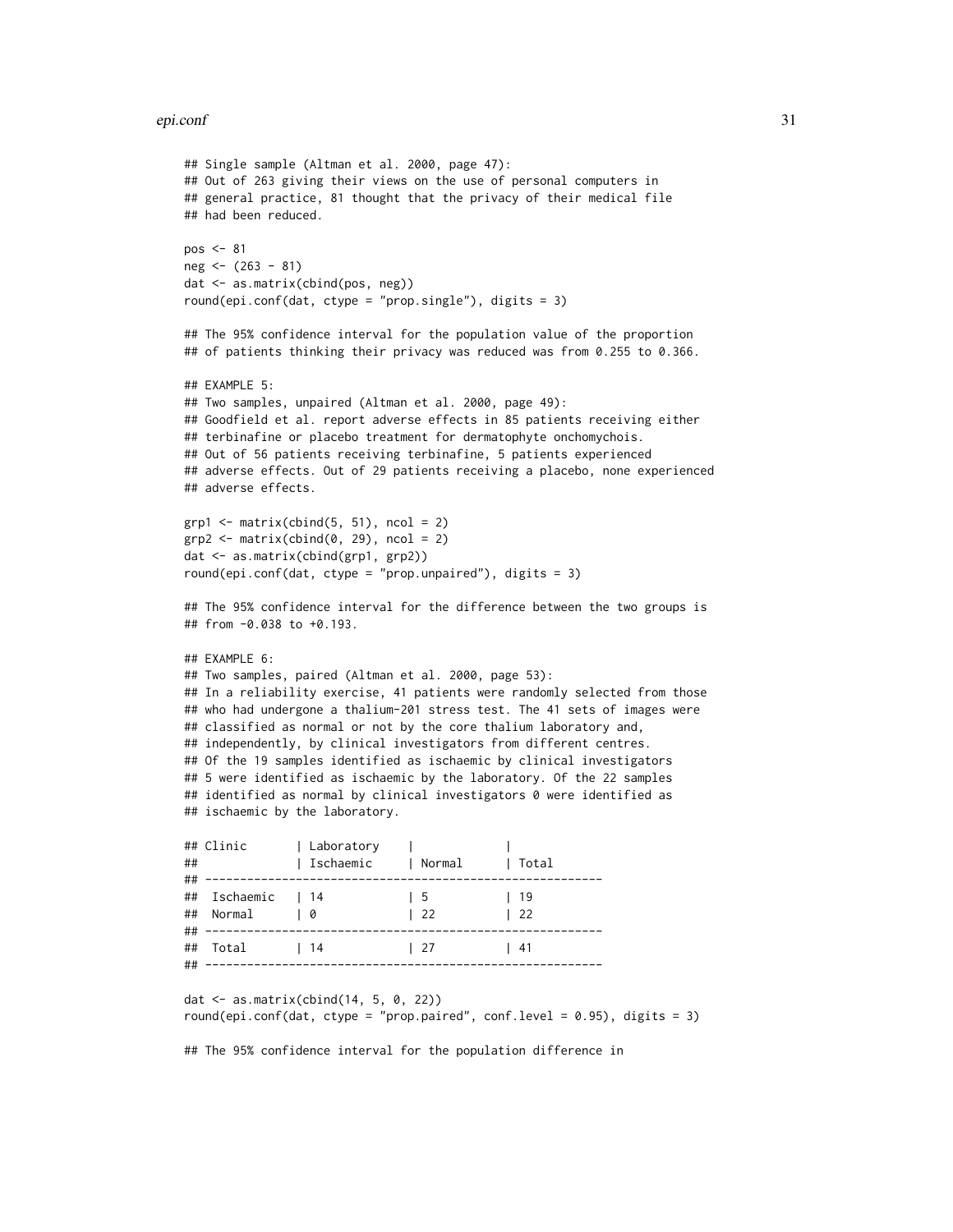### epi.conf 31

```
## Single sample (Altman et al. 2000, page 47):
## Out of 263 giving their views on the use of personal computers in
## general practice, 81 thought that the privacy of their medical file
## had been reduced.
pos < -81neg <- (263 - 81)
dat <- as.matrix(cbind(pos, neg))
round(epi.conf(dat, ctype = "prop.single"), digits = 3)
## The 95% confidence interval for the population value of the proportion
## of patients thinking their privacy was reduced was from 0.255 to 0.366.
## EXAMPLE 5:
## Two samples, unpaired (Altman et al. 2000, page 49):
## Goodfield et al. report adverse effects in 85 patients receiving either
## terbinafine or placebo treatment for dermatophyte onchomychois.
## Out of 56 patients receiving terbinafine, 5 patients experienced
## adverse effects. Out of 29 patients receiving a placebo, none experienced
## adverse effects.
grp1 \leftarrow matrix(cbind(5, 51), ncol = 2)grp2 \leq -\text{matrix}(\text{cbind}(0, 29), \text{ncol} = 2)dat <- as.matrix(cbind(grp1, grp2))
round(epi.conf(dat, ctype = "prop.unpaired"), digits = 3)
## The 95% confidence interval for the difference between the two groups is
## from -0.038 to +0.193.
## EXAMPLE 6:
## Two samples, paired (Altman et al. 2000, page 53):
## In a reliability exercise, 41 patients were randomly selected from those
## who had undergone a thalium-201 stress test. The 41 sets of images were
## classified as normal or not by the core thalium laboratory and,
## independently, by clinical investigators from different centres.
## Of the 19 samples identified as ischaemic by clinical investigators
## 5 were identified as ischaemic by the laboratory. Of the 22 samples
## identified as normal by clinical investigators 0 were identified as
## ischaemic by the laboratory.
## Clinic | Laboratory | |
## | Ischaemic | Normal | Total
## ---------------------------------------------------------
## Ischaemic | 14 | 5 | 19
## Normal | 0 | 22 | 22
## ---------------------------------------------------------
## Total | 14 | 27 | 41
## ---------------------------------------------------------
```

```
dat <- as.matrix(cbind(14, 5, 0, 22))
round(epi.conf(dat, ctype = "prop.paired", conf.level = 0.95), digits = 3)
```
## The 95% confidence interval for the population difference in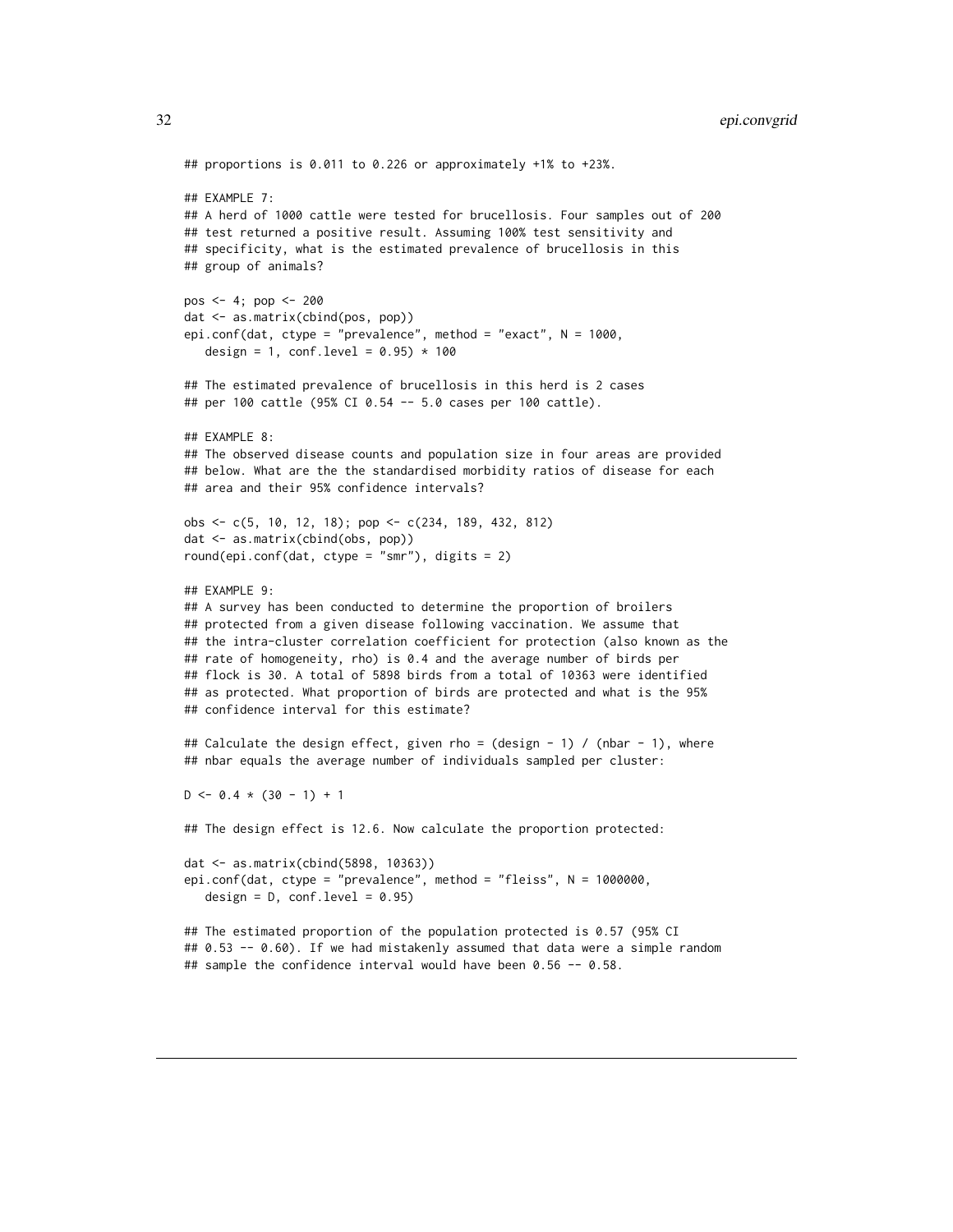```
## proportions is 0.011 to 0.226 or approximately +1% to +23%.
## EXAMPLE 7:
## A herd of 1000 cattle were tested for brucellosis. Four samples out of 200
## test returned a positive result. Assuming 100% test sensitivity and
## specificity, what is the estimated prevalence of brucellosis in this
## group of animals?
pos <- 4; pop <- 200
dat <- as.matrix(cbind(pos, pop))
epi.conf(dat, ctype = "prevalence", method = "exact", N = 1000,
  design = 1, conf.level = 0.95) * 100
## The estimated prevalence of brucellosis in this herd is 2 cases
## per 100 cattle (95% CI 0.54 -- 5.0 cases per 100 cattle).
## EXAMPLE 8:
## The observed disease counts and population size in four areas are provided
## below. What are the the standardised morbidity ratios of disease for each
## area and their 95% confidence intervals?
obs <- c(5, 10, 12, 18); pop <- c(234, 189, 432, 812)
dat <- as.matrix(cbind(obs, pop))
round(epi.conf(dat, ctype = "smr"), digits = 2)
## EXAMPLE 9:
## A survey has been conducted to determine the proportion of broilers
## protected from a given disease following vaccination. We assume that
## the intra-cluster correlation coefficient for protection (also known as the
## rate of homogeneity, rho) is 0.4 and the average number of birds per
## flock is 30. A total of 5898 birds from a total of 10363 were identified
## as protected. What proportion of birds are protected and what is the 95%
## confidence interval for this estimate?
## Calculate the design effect, given rho = (design - 1) / (nbar - 1), where
## nbar equals the average number of individuals sampled per cluster:
D \le -0.4 \times (30 - 1) + 1## The design effect is 12.6. Now calculate the proportion protected:
dat <- as.matrix(cbind(5898, 10363))
epi.conf(dat, ctype = "prevalence", method = "fleiss", N = 1000000,
  design = D, conf.level = 0.95)
## The estimated proportion of the population protected is 0.57 (95% CI
## 0.53 -- 0.60). If we had mistakenly assumed that data were a simple random
## sample the confidence interval would have been 0.56 -- 0.58.
```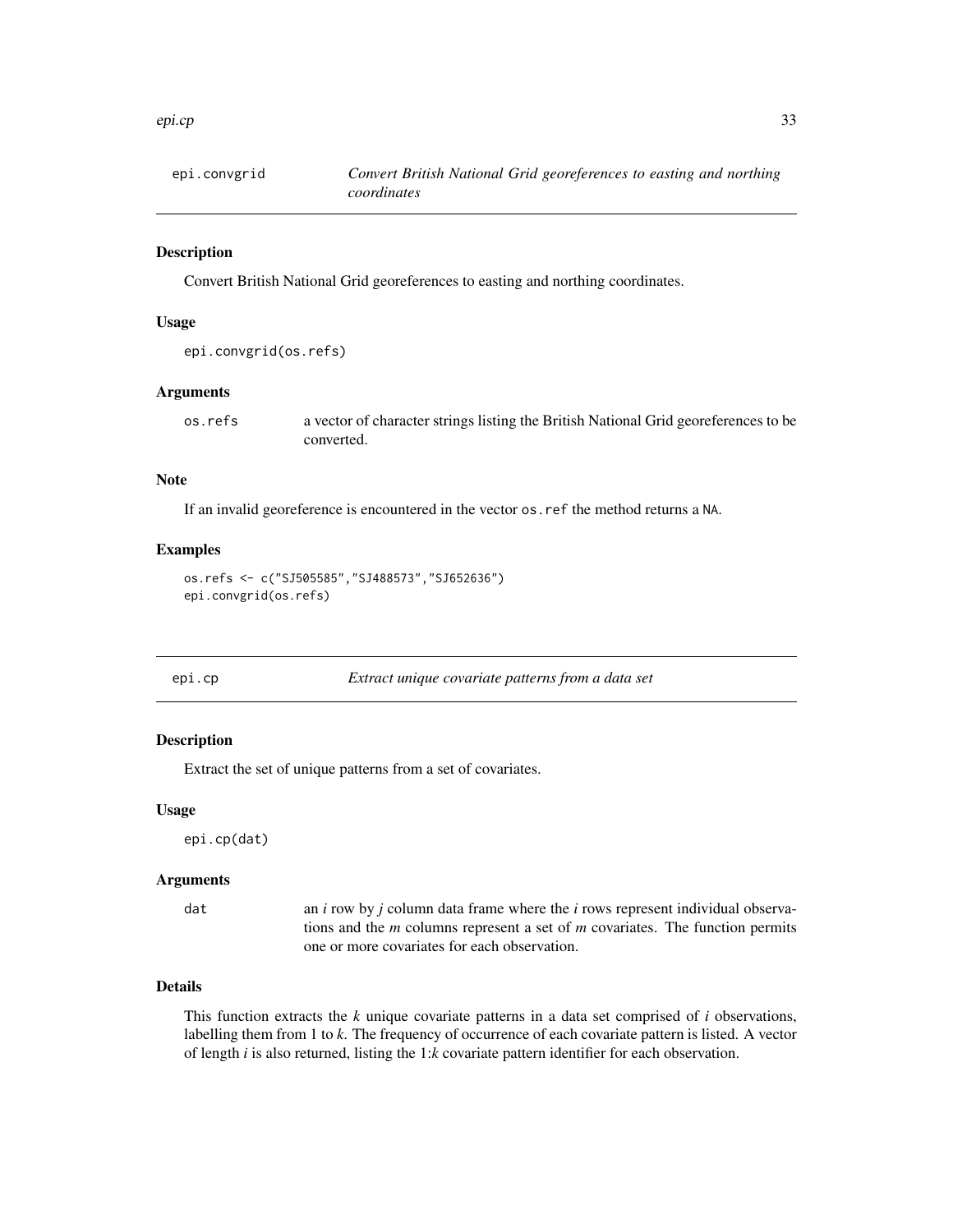### <span id="page-32-0"></span>epi.cp 33

### Description

Convert British National Grid georeferences to easting and northing coordinates.

# Usage

```
epi.convgrid(os.refs)
```
# Arguments

os.refs a vector of character strings listing the British National Grid georeferences to be converted.

### Note

If an invalid georeference is encountered in the vector os.ref the method returns a NA.

### Examples

```
os.refs <- c("SJ505585","SJ488573","SJ652636")
epi.convgrid(os.refs)
```
<span id="page-32-1"></span>

# Description

Extract the set of unique patterns from a set of covariates.

### Usage

epi.cp(dat)

# Arguments

dat an *i* row by *j* column data frame where the *i* rows represent individual observations and the *m* columns represent a set of *m* covariates. The function permits one or more covariates for each observation.

# Details

This function extracts the *k* unique covariate patterns in a data set comprised of *i* observations, labelling them from 1 to *k*. The frequency of occurrence of each covariate pattern is listed. A vector of length *i* is also returned, listing the 1:*k* covariate pattern identifier for each observation.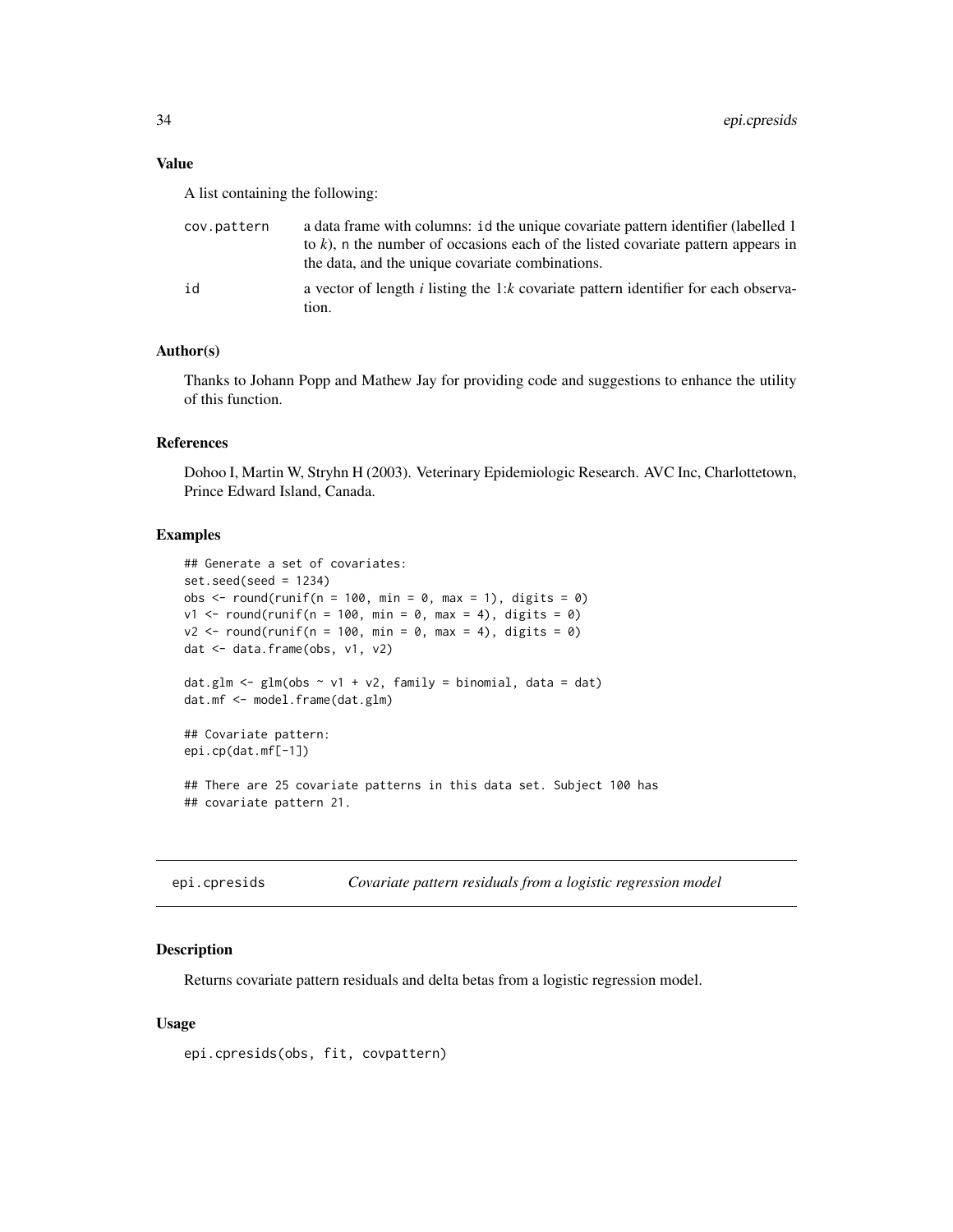### <span id="page-33-0"></span>Value

A list containing the following:

| cov.pattern | a data frame with columns: id the unique covariate pattern identifier (labelled 1)<br>to k), n the number of occasions each of the listed covariate pattern appears in<br>the data, and the unique covariate combinations. |
|-------------|----------------------------------------------------------------------------------------------------------------------------------------------------------------------------------------------------------------------------|
| id          | a vector of length i listing the 1: $k$ covariate pattern identifier for each observa-<br>tion.                                                                                                                            |

# Author(s)

Thanks to Johann Popp and Mathew Jay for providing code and suggestions to enhance the utility of this function.

### References

Dohoo I, Martin W, Stryhn H (2003). Veterinary Epidemiologic Research. AVC Inc, Charlottetown, Prince Edward Island, Canada.

### Examples

```
## Generate a set of covariates:
set.seed(seed = 1234)
obs \le round(runif(n = 100, min = 0, max = 1), digits = 0)
v1 \le round(runif(n = 100, min = 0, max = 4), digits = 0)
v2 \le round(runif(n = 100, min = 0, max = 4), digits = 0)
dat <- data.frame(obs, v1, v2)
dat.glm \leq glm(obs \sim v1 + v2, family = binomial, data = dat)
dat.mf <- model.frame(dat.glm)
## Covariate pattern:
epi.cp(dat.mf[-1])
## There are 25 covariate patterns in this data set. Subject 100 has
## covariate pattern 21.
```
<span id="page-33-1"></span>

| epi.cpresids |  |  | Covariate pattern residuals from a logistic regression model |  |
|--------------|--|--|--------------------------------------------------------------|--|
|              |  |  |                                                              |  |

# Description

Returns covariate pattern residuals and delta betas from a logistic regression model.

### Usage

epi.cpresids(obs, fit, covpattern)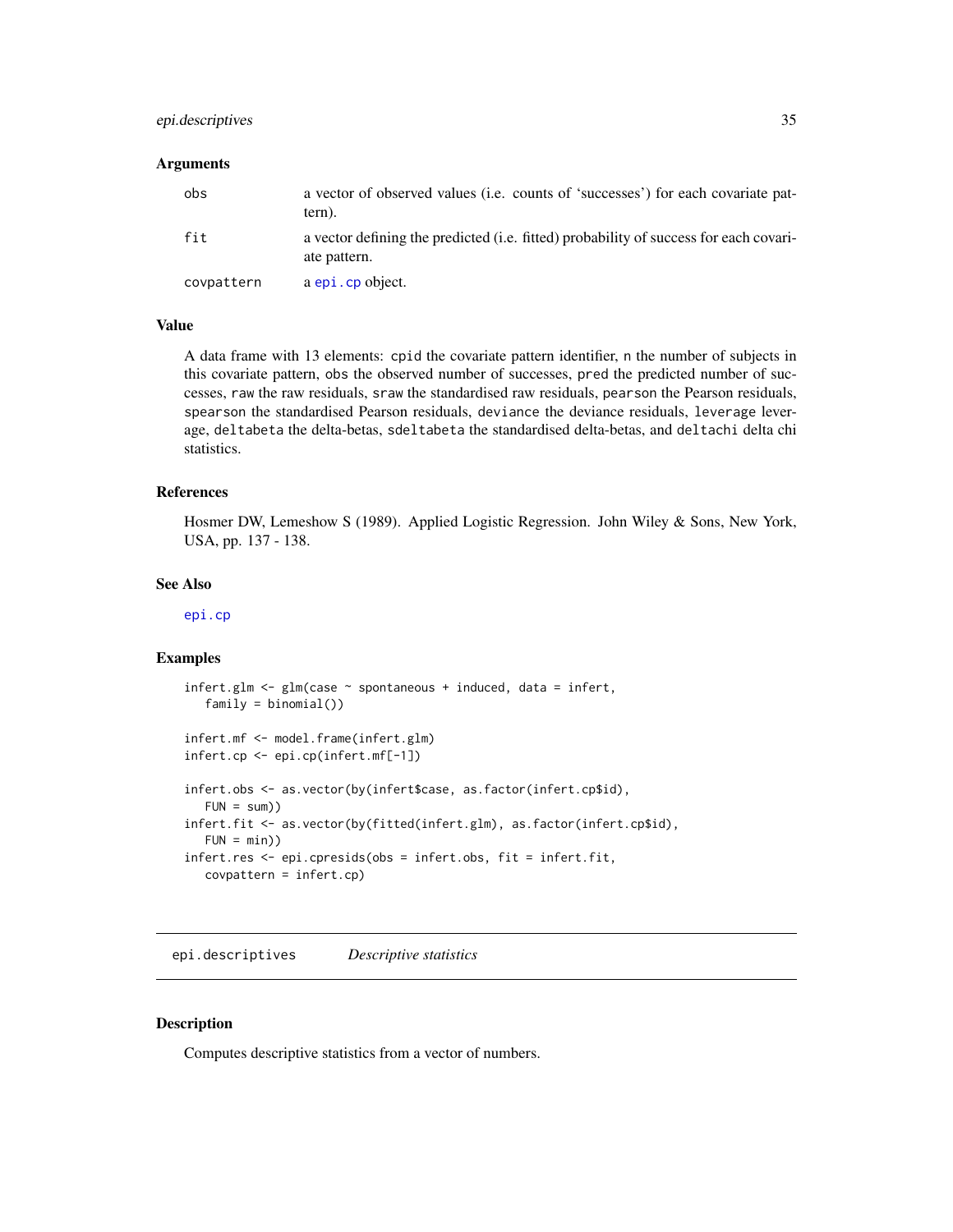# <span id="page-34-0"></span>epi.descriptives 35

### **Arguments**

| obs        | a vector of observed values ( <i>i.e.</i> counts of 'successes') for each covariate pat-<br>tern).    |
|------------|-------------------------------------------------------------------------------------------------------|
| fit        | a vector defining the predicted (i.e. fitted) probability of success for each covari-<br>ate pattern. |
| covpattern | a epi.cp object.                                                                                      |

# Value

A data frame with 13 elements: cpid the covariate pattern identifier, n the number of subjects in this covariate pattern, obs the observed number of successes, pred the predicted number of successes, raw the raw residuals, sraw the standardised raw residuals, pearson the Pearson residuals, spearson the standardised Pearson residuals, deviance the deviance residuals, leverage leverage, deltabeta the delta-betas, sdeltabeta the standardised delta-betas, and deltachi delta chi statistics.

### References

Hosmer DW, Lemeshow S (1989). Applied Logistic Regression. John Wiley & Sons, New York, USA, pp. 137 - 138.

### See Also

[epi.cp](#page-32-1)

### Examples

```
infert.glm \leftarrow glm(case \sim spontaneous + induced, data = infert,family = binomial()infert.mf <- model.frame(infert.glm)
infert.cp <- epi.cp(infert.mf[-1])
infert.obs <- as.vector(by(infert$case, as.factor(infert.cp$id),
  FUN = sum)infert.fit <- as.vector(by(fitted(infert.glm), as.factor(infert.cp$id),
  FUN = min))
infert.res <- epi.cpresids(obs = infert.obs, fit = infert.fit,
  covpattern = infert.cp)
```
<span id="page-34-1"></span>epi.descriptives *Descriptive statistics*

### Description

Computes descriptive statistics from a vector of numbers.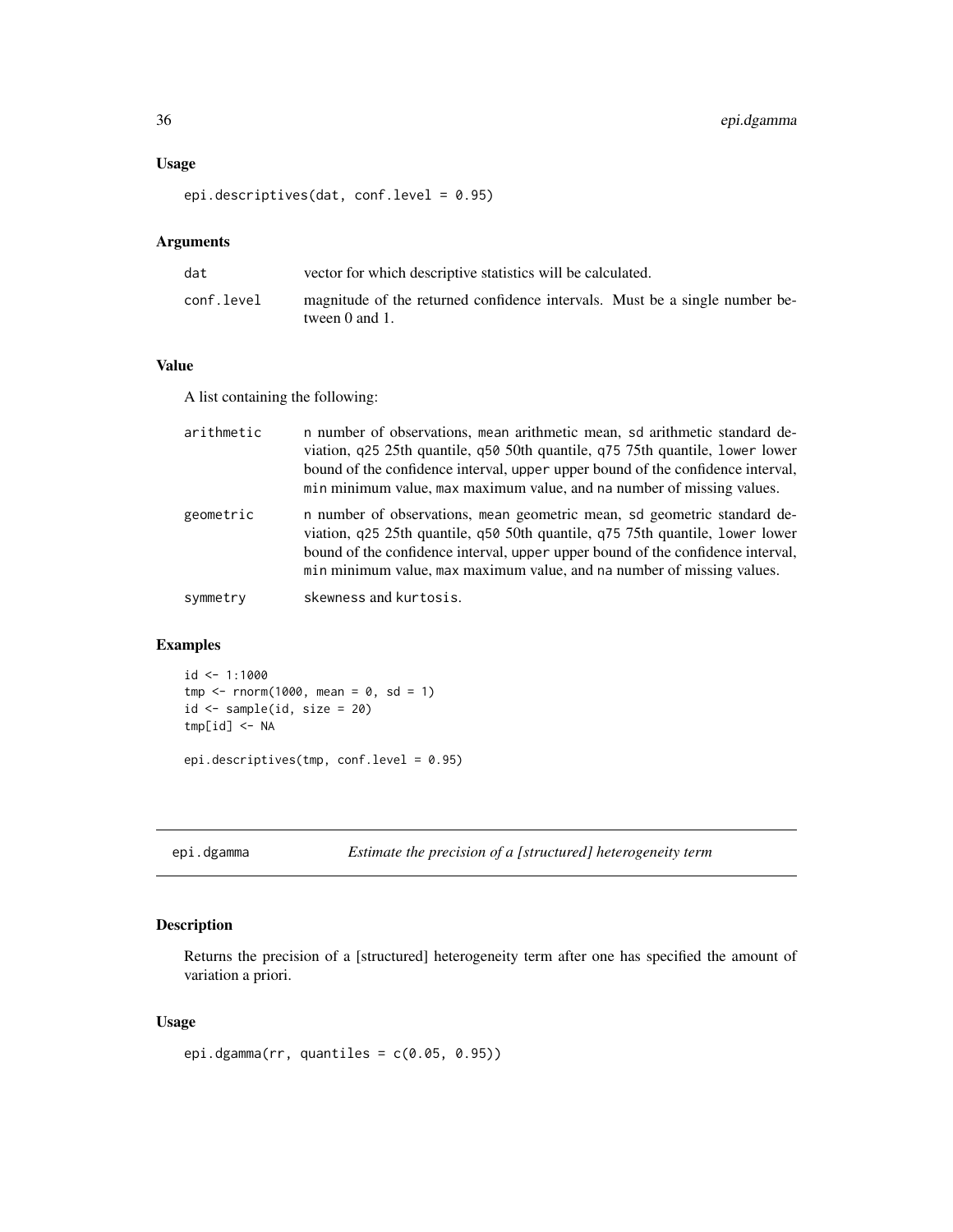# <span id="page-35-0"></span>Usage

epi.descriptives(dat, conf.level = 0.95)

# Arguments

| dat        | vector for which descriptive statistics will be calculated.                                        |
|------------|----------------------------------------------------------------------------------------------------|
| conf.level | magnitude of the returned confidence intervals. Must be a single number be-<br>tween $0$ and $1$ . |

### Value

A list containing the following:

| arithmetic | n number of observations, mean arithmetic mean, so arithmetic standard de-<br>viation, q25 25th quantile, q50 50th quantile, q75 75th quantile, lower lower<br>bound of the confidence interval, upper upper bound of the confidence interval,<br>min minimum value, max maximum value, and na number of missing values. |
|------------|--------------------------------------------------------------------------------------------------------------------------------------------------------------------------------------------------------------------------------------------------------------------------------------------------------------------------|
| geometric  | n number of observations, mean geometric mean, so geometric standard de-<br>viation, q25 25th quantile, q50 50th quantile, q75 75th quantile, lower lower<br>bound of the confidence interval, upper upper bound of the confidence interval,<br>min minimum value, max maximum value, and na number of missing values.   |
| symmetry   | skewness and kurtosis.                                                                                                                                                                                                                                                                                                   |

# Examples

```
id <- 1:1000
tmp < -rnorm(1000, mean = 0, sd = 1)id <- sample(id, size = 20)
tmp[id] <- NA
epi.descriptives(tmp, conf.level = 0.95)
```
epi.dgamma *Estimate the precision of a [structured] heterogeneity term*

# Description

Returns the precision of a [structured] heterogeneity term after one has specified the amount of variation a priori.

# Usage

epi.dgamma(rr, quantiles =  $c(0.05, 0.95)$ )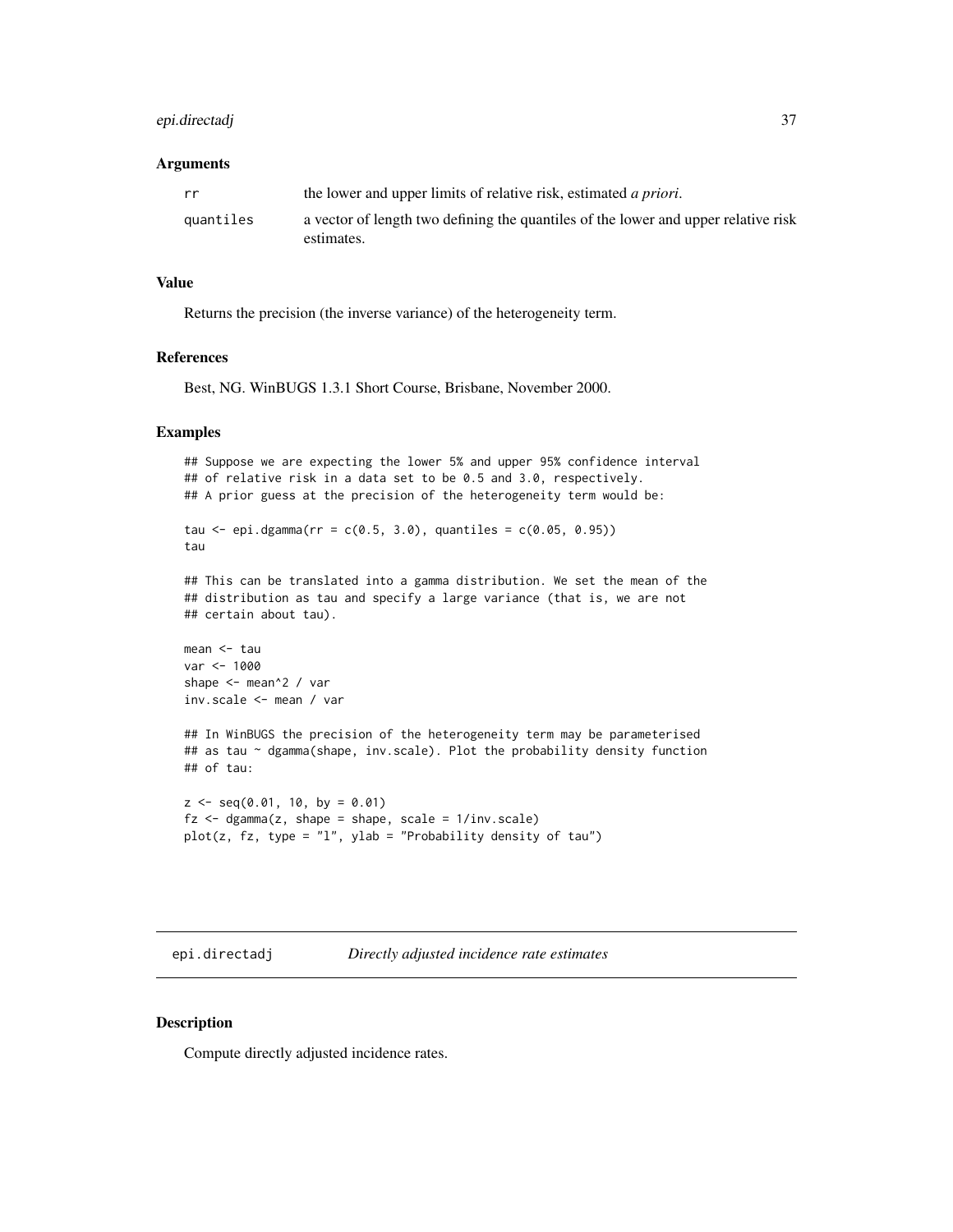# epi.directadj 37

#### **Arguments**

| rr        | the lower and upper limits of relative risk, estimated <i>a priori</i> .           |
|-----------|------------------------------------------------------------------------------------|
| quantiles | a vector of length two defining the quantiles of the lower and upper relative risk |
|           | estimates.                                                                         |

#### Value

Returns the precision (the inverse variance) of the heterogeneity term.

# References

Best, NG. WinBUGS 1.3.1 Short Course, Brisbane, November 2000.

## Examples

```
## Suppose we are expecting the lower 5% and upper 95% confidence interval
## of relative risk in a data set to be 0.5 and 3.0, respectively.
## A prior guess at the precision of the heterogeneity term would be:
tau \le epi.dgamma(rr = c(0.5, 3.0), quantiles = c(0.05, 0.95))
tau
## This can be translated into a gamma distribution. We set the mean of the
## distribution as tau and specify a large variance (that is, we are not
## certain about tau).
mean <- tau
var <- 1000
shape <- mean^2 / var
inv.scale <- mean / var
## In WinBUGS the precision of the heterogeneity term may be parameterised
## as tau ~ dgamma(shape, inv.scale). Plot the probability density function
## of tau:
z \leq -\text{seq}(0.01, 10, \text{ by } = 0.01)fz \leq dgamma(z, shape = shape, scale = 1/inv.scale)plot(z, fz, type = "l", ylab = "Probability density of tau")
```
<span id="page-36-0"></span>epi.directadj *Directly adjusted incidence rate estimates*

## Description

Compute directly adjusted incidence rates.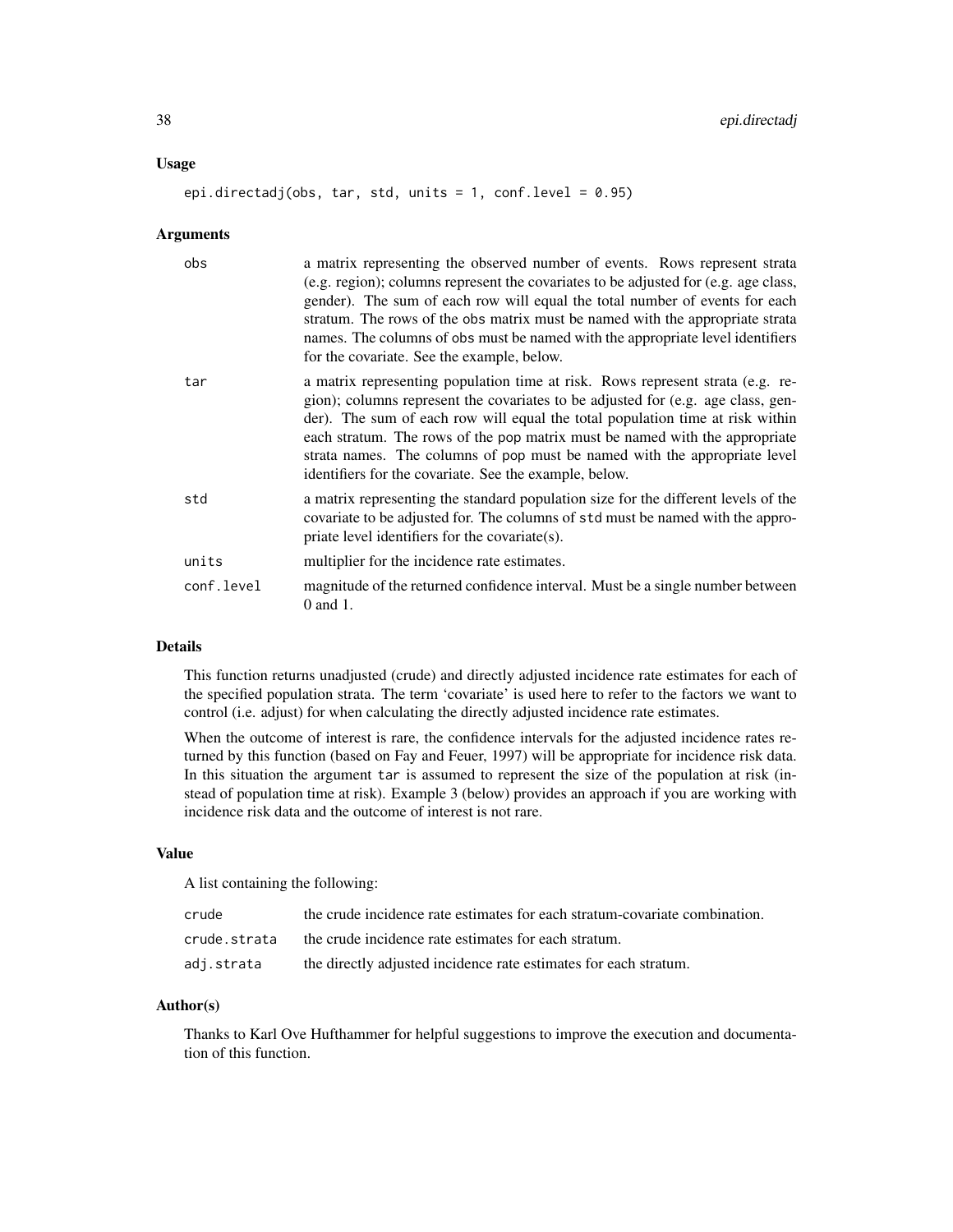#### Usage

#### epi.directadj(obs, tar, std, units = 1, conf.level =  $0.95$ )

#### Arguments

| obs        | a matrix representing the observed number of events. Rows represent strata<br>(e.g. region); columns represent the covariates to be adjusted for (e.g. age class,<br>gender). The sum of each row will equal the total number of events for each<br>stratum. The rows of the obs matrix must be named with the appropriate strata<br>names. The columns of obs must be named with the appropriate level identifiers<br>for the covariate. See the example, below.         |
|------------|---------------------------------------------------------------------------------------------------------------------------------------------------------------------------------------------------------------------------------------------------------------------------------------------------------------------------------------------------------------------------------------------------------------------------------------------------------------------------|
| tar        | a matrix representing population time at risk. Rows represent strata (e.g. re-<br>gion); columns represent the covariates to be adjusted for (e.g. age class, gen-<br>der). The sum of each row will equal the total population time at risk within<br>each stratum. The rows of the pop matrix must be named with the appropriate<br>strata names. The columns of pop must be named with the appropriate level<br>identifiers for the covariate. See the example, below. |
| std        | a matrix representing the standard population size for the different levels of the<br>covariate to be adjusted for. The columns of std must be named with the appro-<br>priate level identifiers for the covariate(s).                                                                                                                                                                                                                                                    |
| units      | multiplier for the incidence rate estimates.                                                                                                                                                                                                                                                                                                                                                                                                                              |
| conf.level | magnitude of the returned confidence interval. Must be a single number between<br>0 and 1.                                                                                                                                                                                                                                                                                                                                                                                |

# Details

This function returns unadjusted (crude) and directly adjusted incidence rate estimates for each of the specified population strata. The term 'covariate' is used here to refer to the factors we want to control (i.e. adjust) for when calculating the directly adjusted incidence rate estimates.

When the outcome of interest is rare, the confidence intervals for the adjusted incidence rates returned by this function (based on Fay and Feuer, 1997) will be appropriate for incidence risk data. In this situation the argument tar is assumed to represent the size of the population at risk (instead of population time at risk). Example 3 (below) provides an approach if you are working with incidence risk data and the outcome of interest is not rare.

#### Value

A list containing the following:

| crude        | the crude incidence rate estimates for each stratum-covariate combination. |
|--------------|----------------------------------------------------------------------------|
| crude.strata | the crude incidence rate estimates for each stratum.                       |
| adj.strata   | the directly adjusted incidence rate estimates for each stratum.           |

## Author(s)

Thanks to Karl Ove Hufthammer for helpful suggestions to improve the execution and documentation of this function.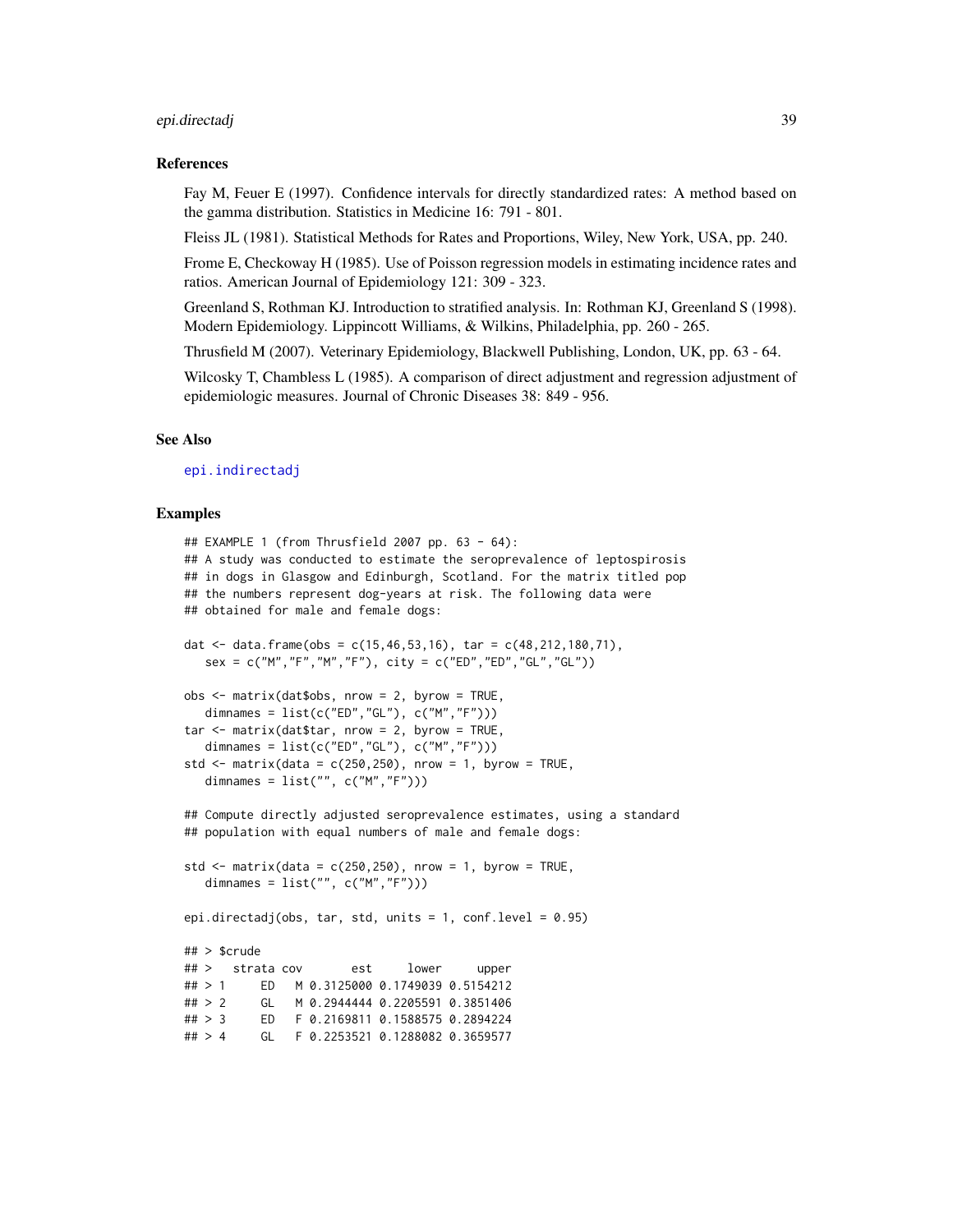#### epi.directadj 39

### References

Fay M, Feuer E (1997). Confidence intervals for directly standardized rates: A method based on the gamma distribution. Statistics in Medicine 16: 791 - 801.

Fleiss JL (1981). Statistical Methods for Rates and Proportions, Wiley, New York, USA, pp. 240.

Frome E, Checkoway H (1985). Use of Poisson regression models in estimating incidence rates and ratios. American Journal of Epidemiology 121: 309 - 323.

Greenland S, Rothman KJ. Introduction to stratified analysis. In: Rothman KJ, Greenland S (1998). Modern Epidemiology. Lippincott Williams, & Wilkins, Philadelphia, pp. 260 - 265.

Thrusfield M (2007). Veterinary Epidemiology, Blackwell Publishing, London, UK, pp. 63 - 64.

Wilcosky T, Chambless L (1985). A comparison of direct adjustment and regression adjustment of epidemiologic measures. Journal of Chronic Diseases 38: 849 - 956.

#### See Also

[epi.indirectadj](#page-50-0)

```
## EXAMPLE 1 (from Thrusfield 2007 pp. 63 - 64):
## A study was conducted to estimate the seroprevalence of leptospirosis
## in dogs in Glasgow and Edinburgh, Scotland. For the matrix titled pop
## the numbers represent dog-years at risk. The following data were
## obtained for male and female dogs:
dat \leq data.frame(obs = c(15,46,53,16), tar = c(48,212,180,71),
  sex = c("M", "F", "M", "F"), city = c("ED", "ED", "GL", "GL")obs <- matrix(dat$obs, nrow = 2, byrow = TRUE,
  dimnames = list(c("ED", "GL"), c("M", "F"))
tar <- matrix(dat$tar, nrow = 2, byrow = TRUE,
  dimnames = list(c("ED", "GL"), c("M", "F"))std \le matrix(data = c(250,250), nrow = 1, byrow = TRUE,
  dimnames = list("", c("M","F")))
## Compute directly adjusted seroprevalence estimates, using a standard
## population with equal numbers of male and female dogs:
std \le matrix(data = c(250,250), nrow = 1, byrow = TRUE,
  dimnames = list("", c("M", "F"))epi.directadj(obs, tar, std, units = 1, conf.level = 0.95)
## > $crude
## > strata cov est lower upper
## > 1 ED M 0.3125000 0.1749039 0.5154212
## > 2 GL M 0.2944444 0.2205591 0.3851406
## > 3 ED F 0.2169811 0.1588575 0.2894224
## > 4 GL F 0.2253521 0.1288082 0.3659577
```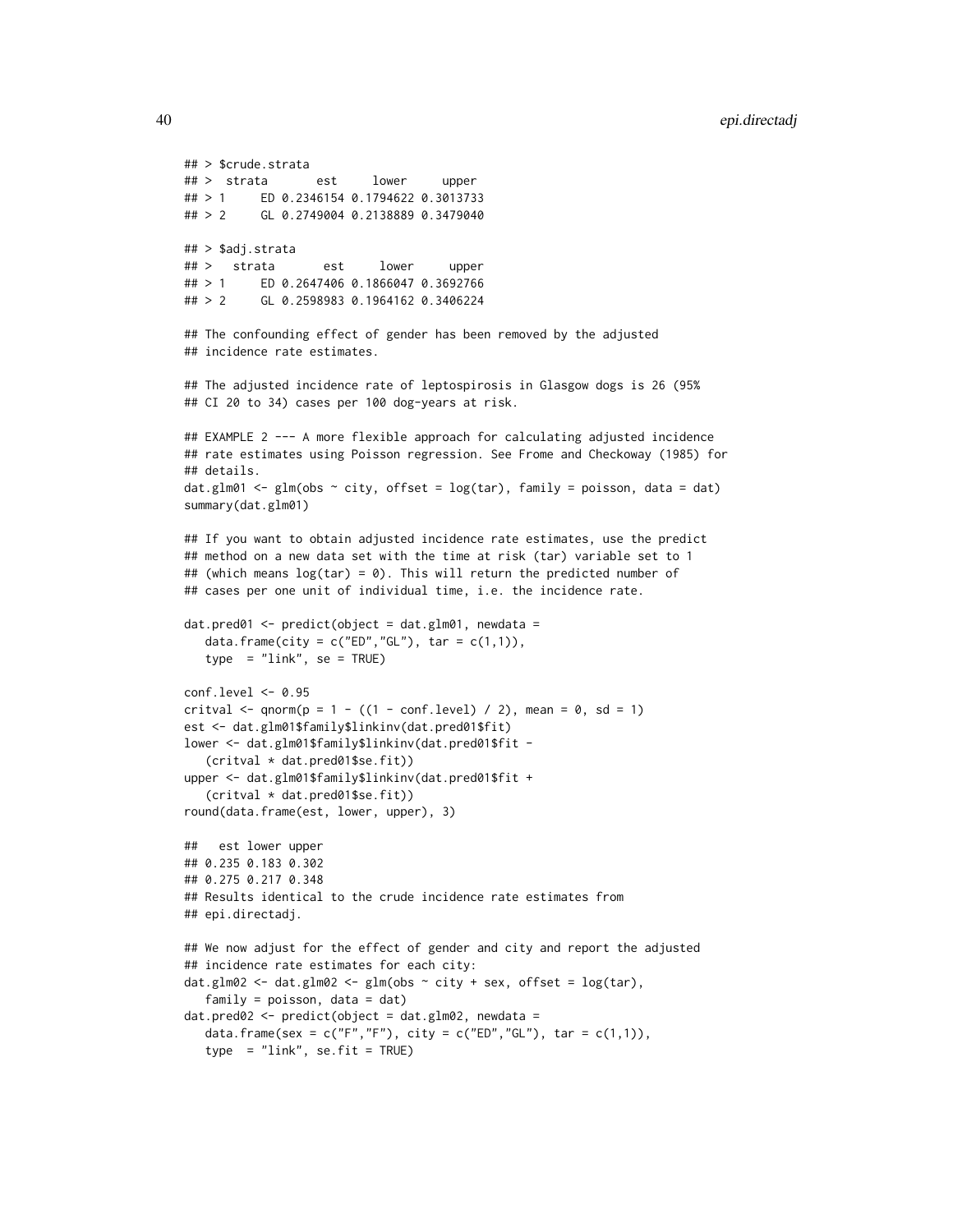```
## > $crude.strata
## > strata est lower upper
## > 1 ED 0.2346154 0.1794622 0.3013733
## > 2 GL 0.2749004 0.2138889 0.3479040
## > $adj.strata
## > strata est lower upper
## > 1 ED 0.2647406 0.1866047 0.3692766
## > 2 GL 0.2598983 0.1964162 0.3406224
## The confounding effect of gender has been removed by the adjusted
## incidence rate estimates.
## The adjusted incidence rate of leptospirosis in Glasgow dogs is 26 (95%
## CI 20 to 34) cases per 100 dog-years at risk.
## EXAMPLE 2 --- A more flexible approach for calculating adjusted incidence
## rate estimates using Poisson regression. See Frome and Checkoway (1985) for
## details.
dat.glm01 <- glm(obs \sim city, offset = log(tar), family = poisson, data = dat)
summary(dat.glm01)
## If you want to obtain adjusted incidence rate estimates, use the predict
## method on a new data set with the time at risk (tar) variable set to 1
## (which means log(tar) = 0). This will return the predicted number of
## cases per one unit of individual time, i.e. the incidence rate.
dat.pred@1 \leq predict(object = dat.glm01, newdata =
  data.frame(city = c("ED", "GL"), tar = c(1,1)),
   type = "link", se = TRUE)
conf.level <- 0.95
critval \leq qnorm(p = 1 - ((1 - conf.level) / 2), mean = 0, sd = 1)
est <- dat.glm01$family$linkinv(dat.pred01$fit)
lower <- dat.glm01$family$linkinv(dat.pred01$fit -
   (critval * dat.pred01$se.fit))
upper <- dat.glm01$family$linkinv(dat.pred01$fit +
   (critval * dat.pred01$se.fit))
round(data.frame(est, lower, upper), 3)
## est lower upper
## 0.235 0.183 0.302
## 0.275 0.217 0.348
## Results identical to the crude incidence rate estimates from
## epi.directadj.
## We now adjust for the effect of gender and city and report the adjusted
## incidence rate estimates for each city:
dat.glm02 <- dat.glm02 <- glm(obs \sim city + sex, offset = log(tar),
  family = poisson, data = dat)dat.pred02 < -</math>predict(object = dat.g1m02, newdata =data.frame(sex = c("F","F"), city = c("ED","GL"), tar = c(1,1)),
   type = "link", se.fit = TRUE)
```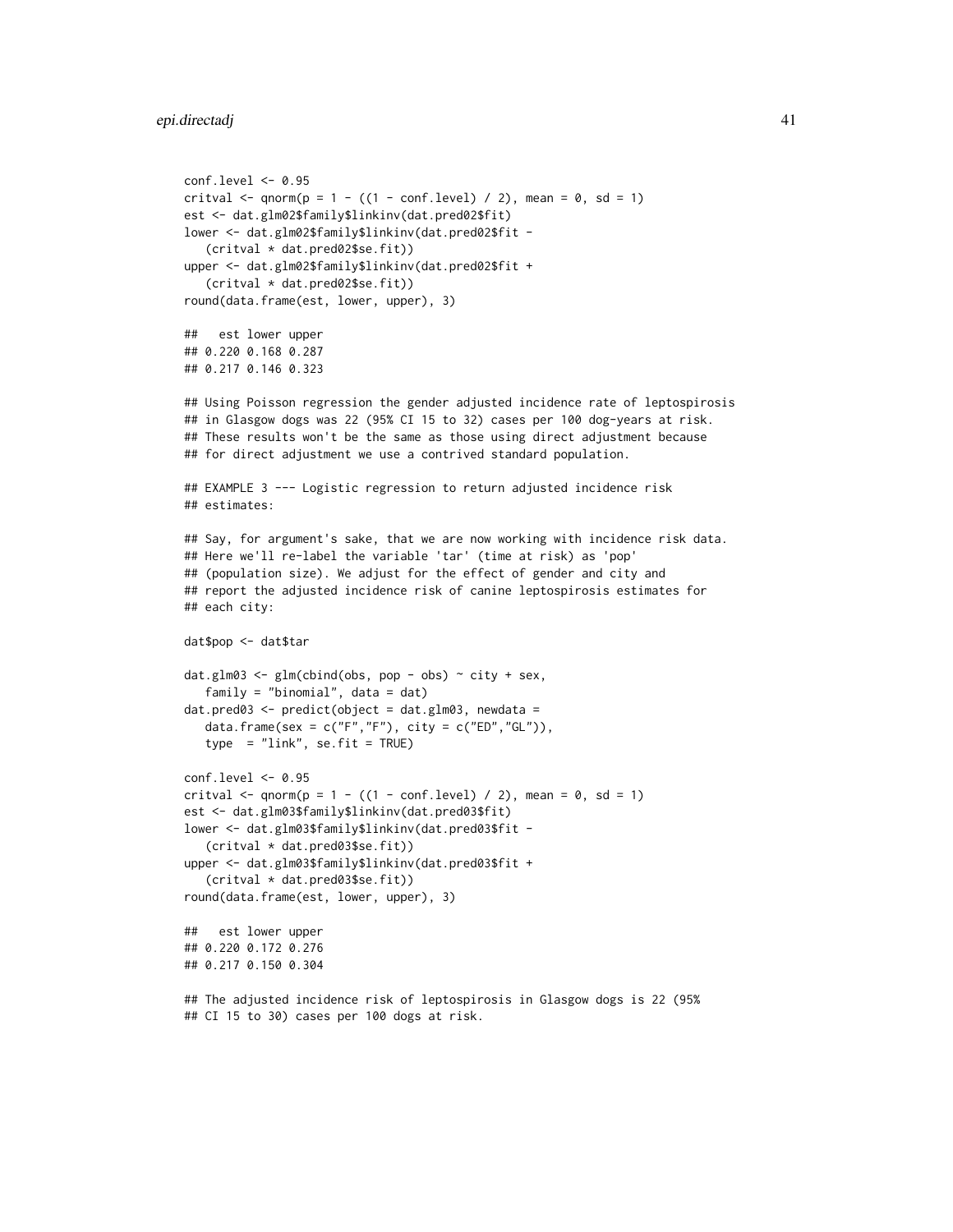```
conf.level <- 0.95
critval \leq qnorm(p = 1 - ((1 - conf.level) / 2), mean = 0, sd = 1)
est <- dat.glm02$family$linkinv(dat.pred02$fit)
lower <- dat.glm02$family$linkinv(dat.pred02$fit -
   (critval * dat.pred02$se.fit))
upper <- dat.glm02$family$linkinv(dat.pred02$fit +
   (critval * dat.pred02$se.fit))
round(data.frame(est, lower, upper), 3)
## est lower upper
## 0.220 0.168 0.287
## 0.217 0.146 0.323
## Using Poisson regression the gender adjusted incidence rate of leptospirosis
## in Glasgow dogs was 22 (95% CI 15 to 32) cases per 100 dog-years at risk.
## These results won't be the same as those using direct adjustment because
## for direct adjustment we use a contrived standard population.
## EXAMPLE 3 --- Logistic regression to return adjusted incidence risk
## estimates:
## Say, for argument's sake, that we are now working with incidence risk data.
## Here we'll re-label the variable 'tar' (time at risk) as 'pop'
## (population size). We adjust for the effect of gender and city and
## report the adjusted incidence risk of canine leptospirosis estimates for
## each city:
dat$pop <- dat$tar
dat.glm03 <- glm(cbind(obs, pop - obs) \sim city + sex,
   family = "binomial", data = dat)
dat.pred03 \leq pt qredict(object = dat.glm03, newdata =data.frame(sex = c("F", "F"), city = c("ED", "GL")),
   type = "link", se.fit = TRUE)
conf.level < -0.95critval \leq qnorm(p = 1 - ((1 - conf.level) / 2), mean = 0, sd = 1)
est <- dat.glm03$family$linkinv(dat.pred03$fit)
lower <- dat.glm03$family$linkinv(dat.pred03$fit -
   (critval * dat.pred03$se.fit))
upper <- dat.glm03$family$linkinv(dat.pred03$fit +
   (critval * dat.pred03$se.fit))
round(data.frame(est, lower, upper), 3)
## est lower upper
## 0.220 0.172 0.276
## 0.217 0.150 0.304
## The adjusted incidence risk of leptospirosis in Glasgow dogs is 22 (95%
## CI 15 to 30) cases per 100 dogs at risk.
```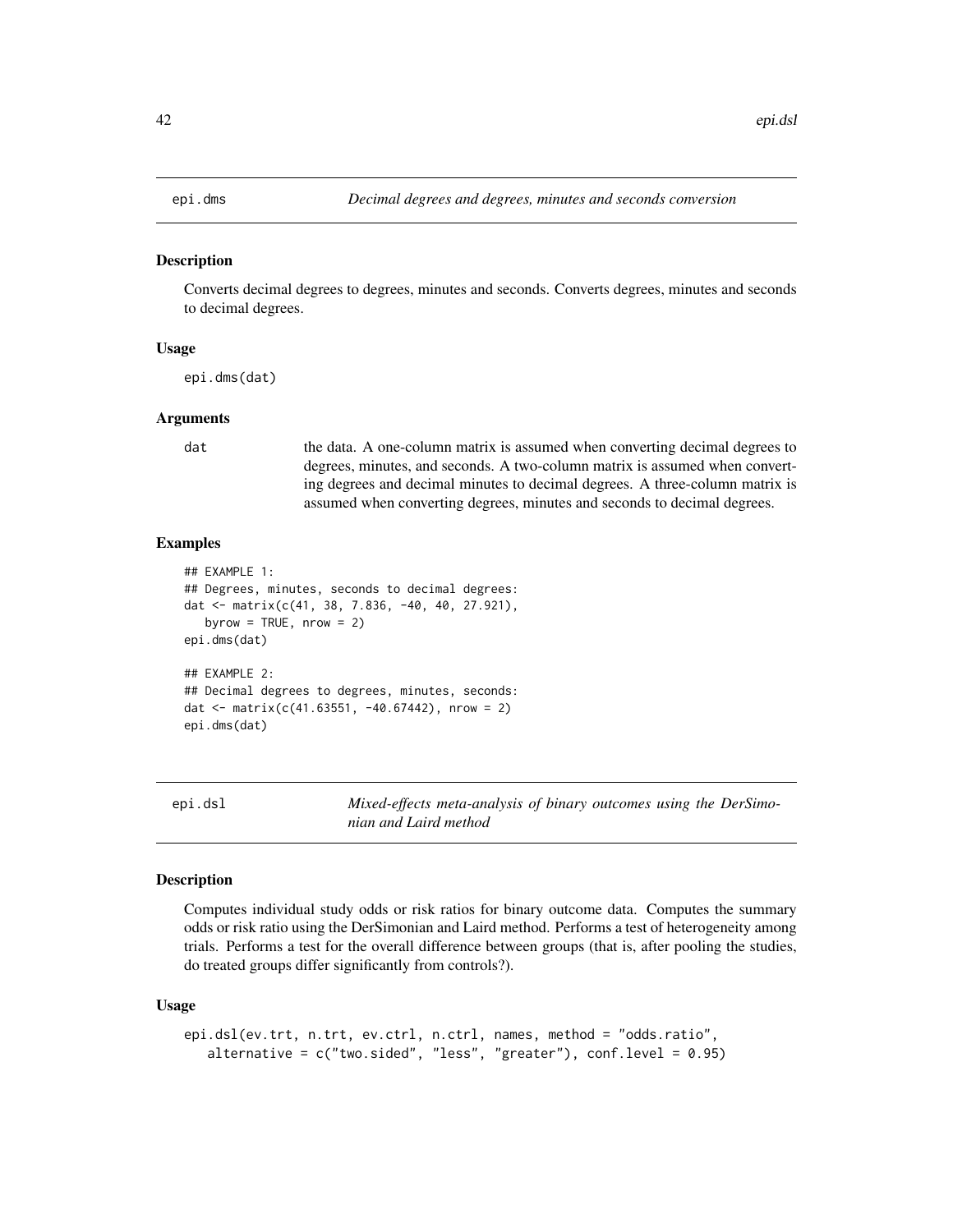Converts decimal degrees to degrees, minutes and seconds. Converts degrees, minutes and seconds to decimal degrees.

## Usage

epi.dms(dat)

## Arguments

dat the data. A one-column matrix is assumed when converting decimal degrees to degrees, minutes, and seconds. A two-column matrix is assumed when converting degrees and decimal minutes to decimal degrees. A three-column matrix is assumed when converting degrees, minutes and seconds to decimal degrees.

## Examples

```
## EXAMPLE 1:
## Degrees, minutes, seconds to decimal degrees:
dat <- matrix(c(41, 38, 7.836, -40, 40, 27.921),
  byrow = TRUE, nrow = 2)
epi.dms(dat)
## EXAMPLE 2:
## Decimal degrees to degrees, minutes, seconds:
dat <- matrix(c(41.63551, -40.67442), nrow = 2)
epi.dms(dat)
```
<span id="page-41-0"></span>epi.dsl *Mixed-effects meta-analysis of binary outcomes using the DerSimonian and Laird method*

# Description

Computes individual study odds or risk ratios for binary outcome data. Computes the summary odds or risk ratio using the DerSimonian and Laird method. Performs a test of heterogeneity among trials. Performs a test for the overall difference between groups (that is, after pooling the studies, do treated groups differ significantly from controls?).

#### Usage

```
epi.dsl(ev.trt, n.trt, ev.ctrl, n.ctrl, names, method = "odds.ratio",
   alternative = c("two-sided", "less", "greater"), conf. level = 0.95)
```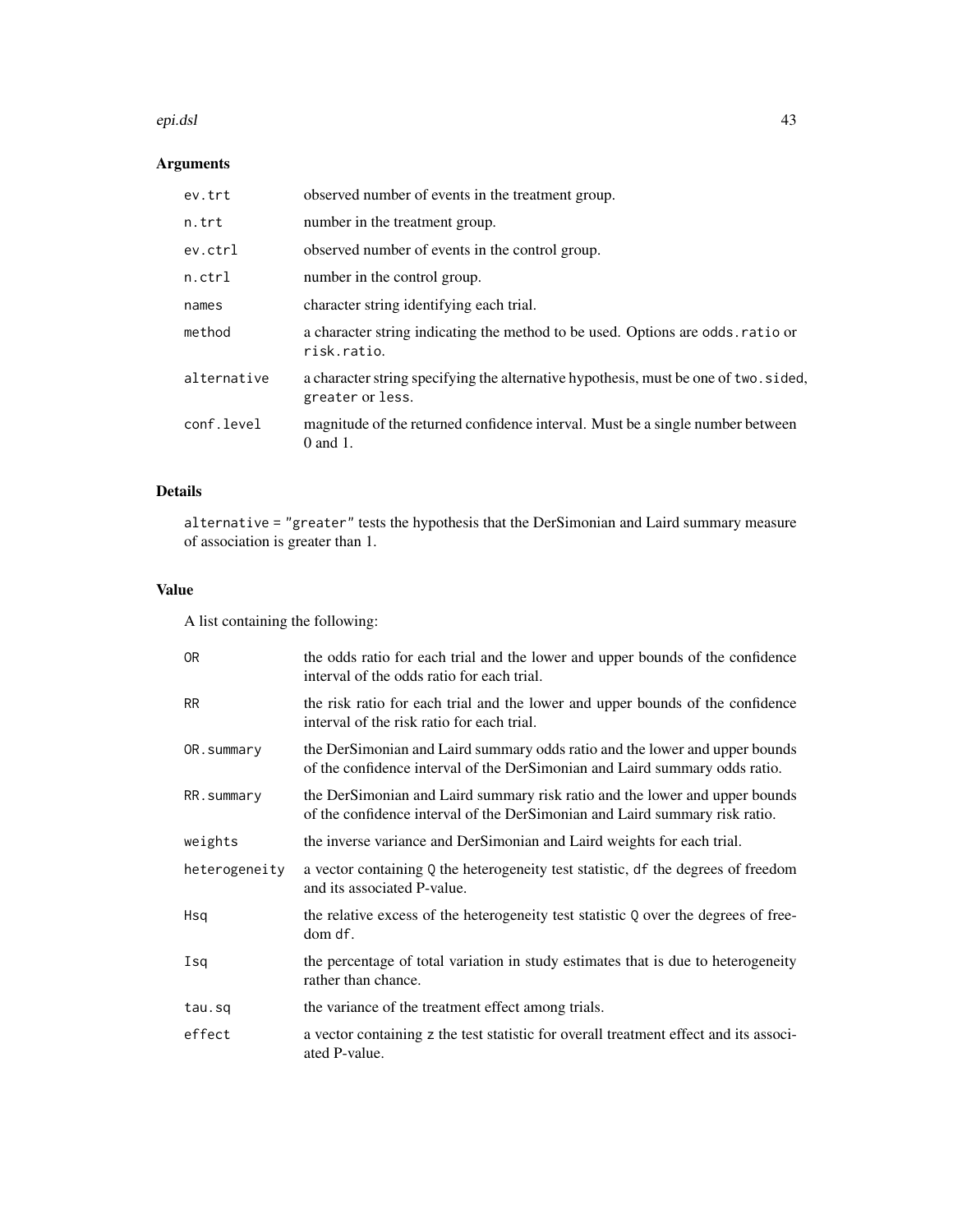#### epi.dsl 43

# Arguments

| ev.trt      | observed number of events in the treatment group.                                                        |
|-------------|----------------------------------------------------------------------------------------------------------|
| n.trt       | number in the treatment group.                                                                           |
| ev.ctrl     | observed number of events in the control group.                                                          |
| $n.$ ctrl   | number in the control group.                                                                             |
| names       | character string identifying each trial.                                                                 |
| method      | a character string indicating the method to be used. Options are odds ratio or<br>risk.ratio.            |
| alternative | a character string specifying the alternative hypothesis, must be one of two. sided,<br>greater or less. |
| conf.level  | magnitude of the returned confidence interval. Must be a single number between<br>$0$ and $1$ .          |

# Details

alternative = "greater" tests the hypothesis that the DerSimonian and Laird summary measure of association is greater than 1.

# Value

A list containing the following:

| 0 <sub>R</sub> | the odds ratio for each trial and the lower and upper bounds of the confidence<br>interval of the odds ratio for each trial.                               |
|----------------|------------------------------------------------------------------------------------------------------------------------------------------------------------|
| <b>RR</b>      | the risk ratio for each trial and the lower and upper bounds of the confidence<br>interval of the risk ratio for each trial.                               |
| OR.summary     | the DerSimonian and Laird summary odds ratio and the lower and upper bounds<br>of the confidence interval of the DerSimonian and Laird summary odds ratio. |
| RR.summary     | the DerSimonian and Laird summary risk ratio and the lower and upper bounds<br>of the confidence interval of the DerSimonian and Laird summary risk ratio. |
| weights        | the inverse variance and DerSimonian and Laird weights for each trial.                                                                                     |
| heterogeneity  | a vector containing $Q$ the heterogeneity test statistic, df the degrees of freedom<br>and its associated P-value.                                         |
| Hsq            | the relative excess of the heterogeneity test statistic Q over the degrees of free-<br>dom df.                                                             |
| Isq            | the percentage of total variation in study estimates that is due to heterogeneity<br>rather than chance.                                                   |
| tau.sq         | the variance of the treatment effect among trials.                                                                                                         |
| effect         | a vector containing z the test statistic for overall treatment effect and its associ-<br>ated P-value.                                                     |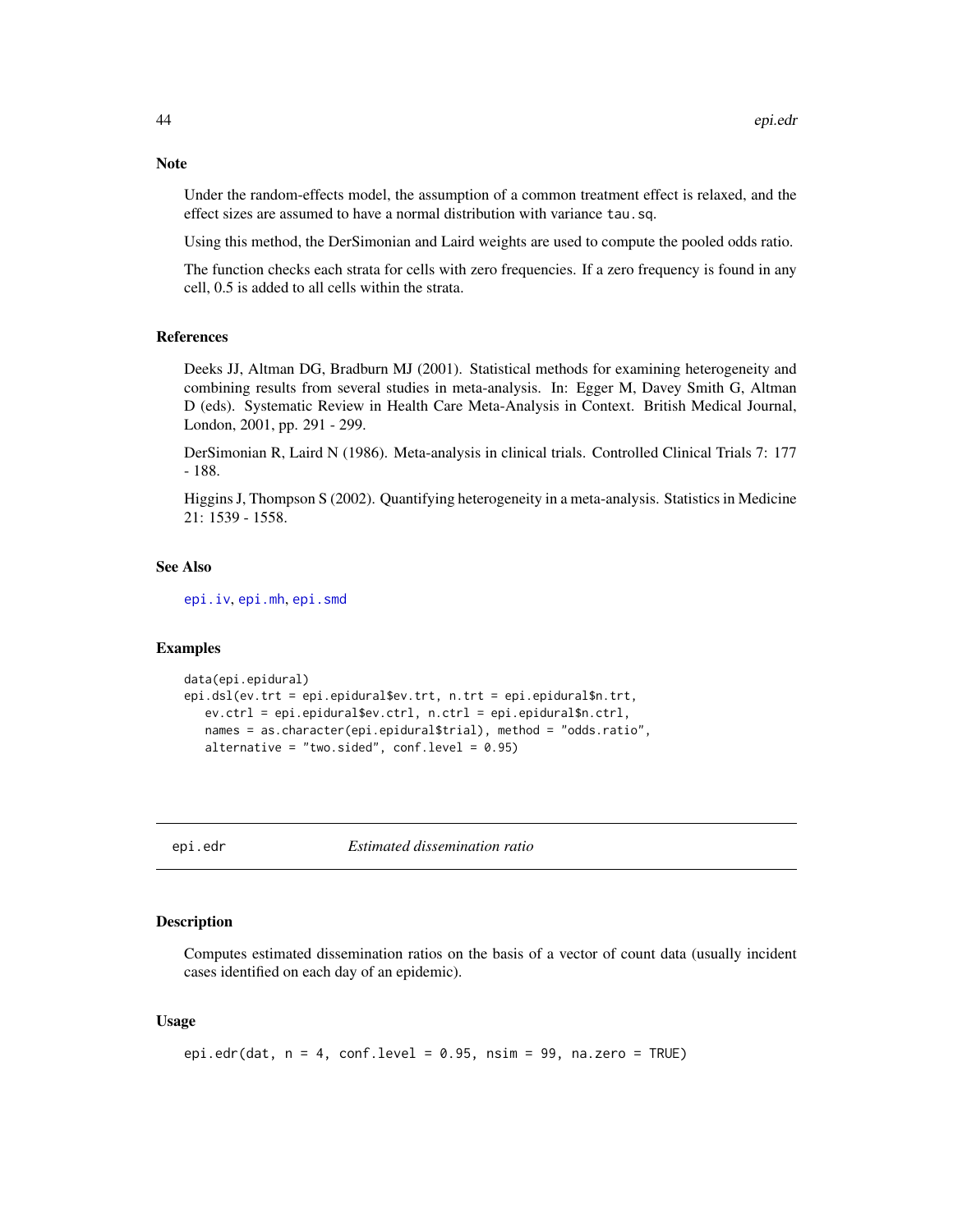Under the random-effects model, the assumption of a common treatment effect is relaxed, and the effect sizes are assumed to have a normal distribution with variance tau.sq.

Using this method, the DerSimonian and Laird weights are used to compute the pooled odds ratio.

The function checks each strata for cells with zero frequencies. If a zero frequency is found in any cell, 0.5 is added to all cells within the strata.

#### References

Deeks JJ, Altman DG, Bradburn MJ (2001). Statistical methods for examining heterogeneity and combining results from several studies in meta-analysis. In: Egger M, Davey Smith G, Altman D (eds). Systematic Review in Health Care Meta-Analysis in Context. British Medical Journal, London, 2001, pp. 291 - 299.

DerSimonian R, Laird N (1986). Meta-analysis in clinical trials. Controlled Clinical Trials 7: 177 - 188.

Higgins J, Thompson S (2002). Quantifying heterogeneity in a meta-analysis. Statistics in Medicine 21: 1539 - 1558.

#### See Also

[epi.iv](#page-58-0), [epi.mh](#page-64-0), [epi.smd](#page-81-0)

# **Examples**

```
data(epi.epidural)
epi.dsl(ev.trt = epi.epidural$ev.trt, n.trt = epi.epidural$n.trt,
  ev.ctrl = epi.epidural$ev.ctrl, n.ctrl = epi.epidural$n.ctrl,
  names = as.character(epi.epidural$trial), method = "odds.ratio",
  alternative = "two.sided", conf.level = 0.95)
```
epi.edr *Estimated dissemination ratio*

## Description

Computes estimated dissemination ratios on the basis of a vector of count data (usually incident cases identified on each day of an epidemic).

## Usage

```
epi.edr(dat, n = 4, conf.level = 0.95, nsim = 99, na.zero = TRUE)
```
# **Note**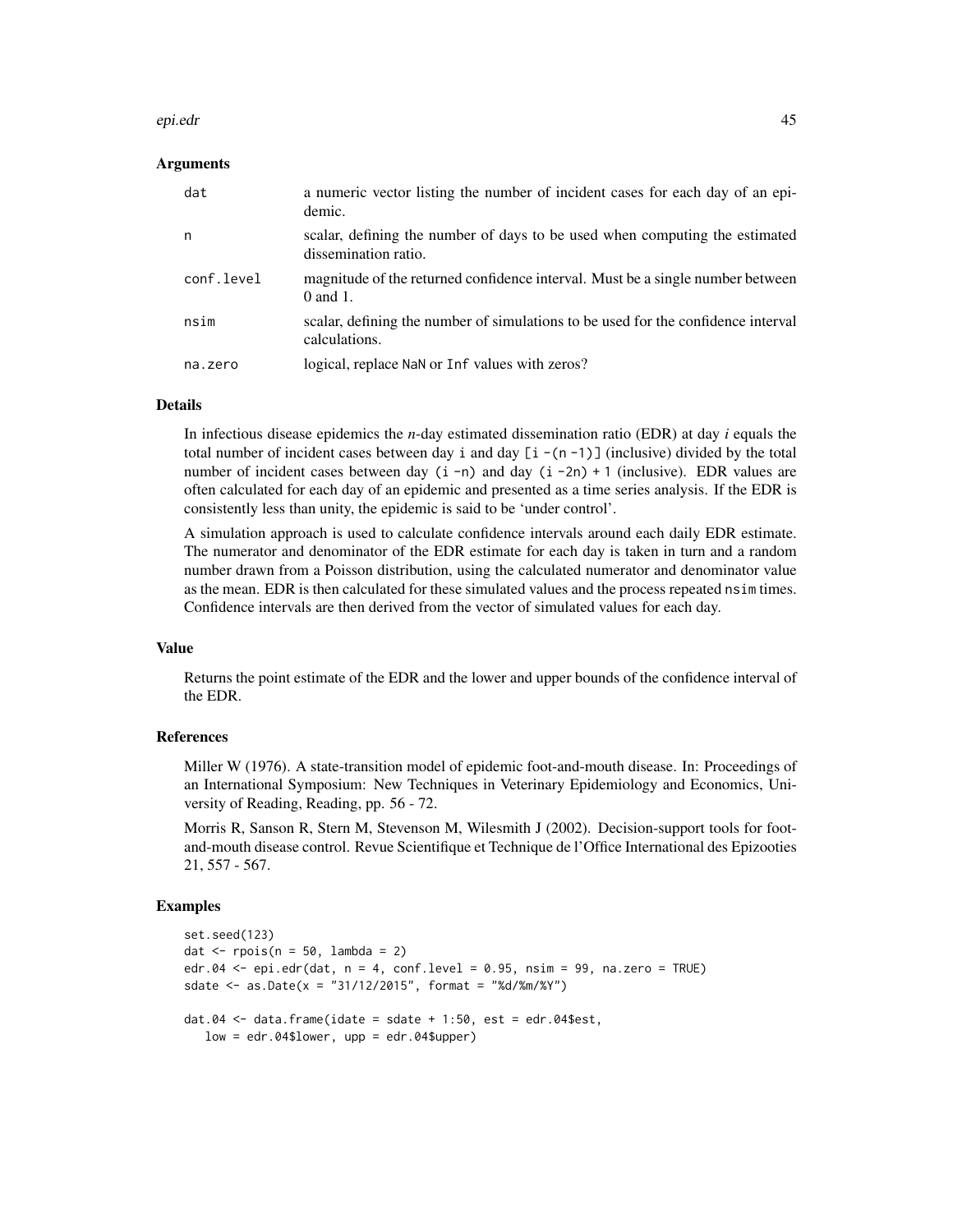#### epi.edr 45

## Arguments

| dat        | a numeric vector listing the number of incident cases for each day of an epi-<br>demic.             |
|------------|-----------------------------------------------------------------------------------------------------|
| n          | scalar, defining the number of days to be used when computing the estimated<br>dissemination ratio. |
| conf.level | magnitude of the returned confidence interval. Must be a single number between<br>$0$ and $1$ .     |
| nsim       | scalar, defining the number of simulations to be used for the confidence interval<br>calculations.  |
| na.zero    | logical, replace NaN or Inf values with zeros?                                                      |

#### Details

In infectious disease epidemics the *n*-day estimated dissemination ratio (EDR) at day *i* equals the total number of incident cases between day i and day  $[i - (n - 1)]$  (inclusive) divided by the total number of incident cases between day  $(i -n)$  and day  $(i -2n) + 1$  (inclusive). EDR values are often calculated for each day of an epidemic and presented as a time series analysis. If the EDR is consistently less than unity, the epidemic is said to be 'under control'.

A simulation approach is used to calculate confidence intervals around each daily EDR estimate. The numerator and denominator of the EDR estimate for each day is taken in turn and a random number drawn from a Poisson distribution, using the calculated numerator and denominator value as the mean. EDR is then calculated for these simulated values and the process repeated nsim times. Confidence intervals are then derived from the vector of simulated values for each day.

## Value

Returns the point estimate of the EDR and the lower and upper bounds of the confidence interval of the EDR.

# References

Miller W (1976). A state-transition model of epidemic foot-and-mouth disease. In: Proceedings of an International Symposium: New Techniques in Veterinary Epidemiology and Economics, University of Reading, Reading, pp. 56 - 72.

Morris R, Sanson R, Stern M, Stevenson M, Wilesmith J (2002). Decision-support tools for footand-mouth disease control. Revue Scientifique et Technique de l'Office International des Epizooties 21, 557 - 567.

```
set.seed(123)
dat \leq rpois(n = 50, lambda = 2)
edr.04 <- epi.edr(dat, n = 4, conf.level = 0.95, n \sin m = 99, na.zero = TRUE)
sdate <- as.Date(x = "31/12/2015", format = "%d/%m/%Y")
dat.04 \leq data.frame(idate = sdate + 1:50, est = edr.04$est,
  low = edr.04$lower, upp = edr.04$upper)
```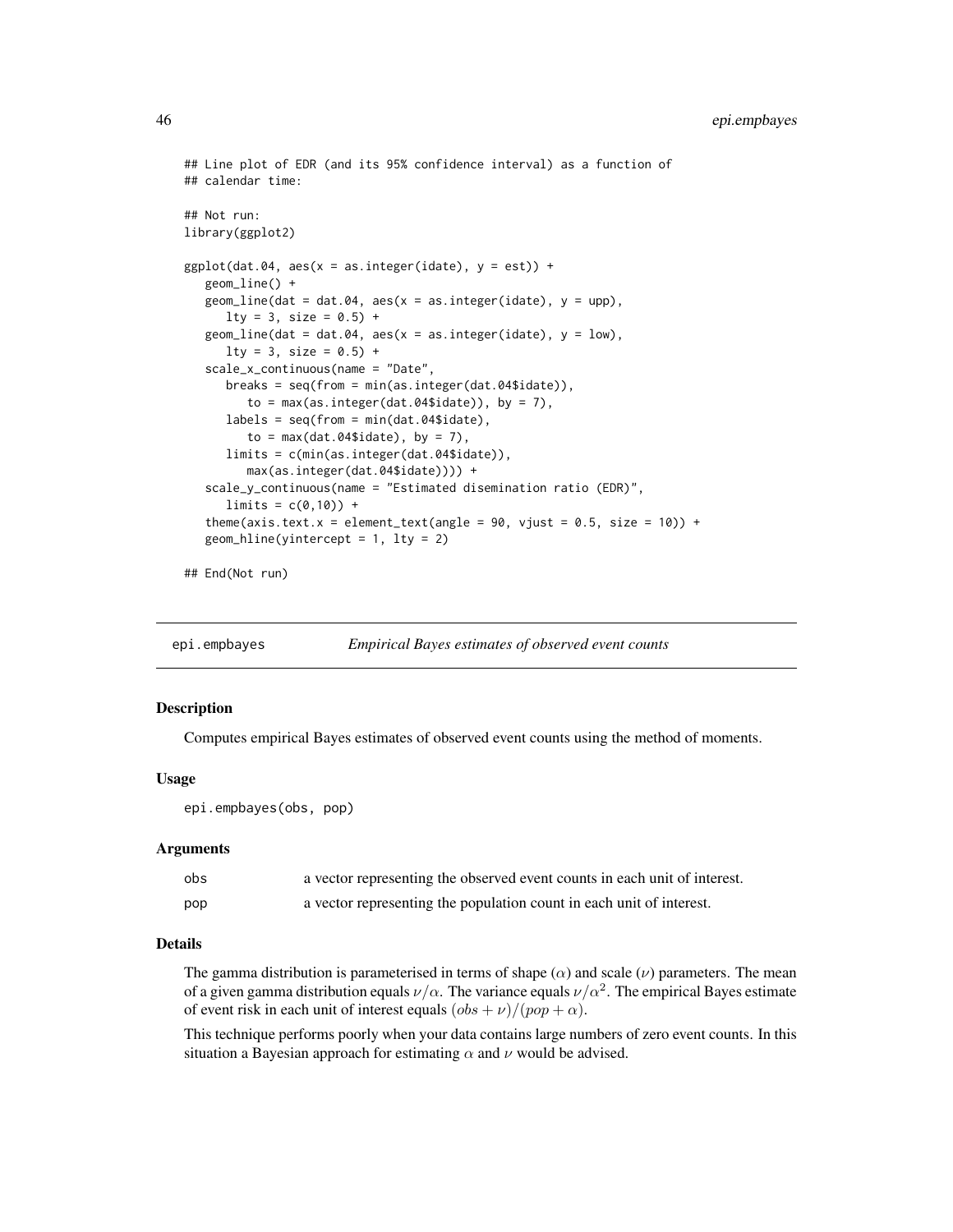```
## Line plot of EDR (and its 95% confidence interval) as a function of
## calendar time:
## Not run:
library(ggplot2)
ggplot(data.04, aes(x = as.integer(idate), y = est)) +geom_line() +
  geom_line(dat = dat.04, aes(x = as.integer(idate), y = upp),
     lty = 3, size = 0.5) +
   geom_line(dat = dat.04, aes(x = as.interder(idate), y = low),
     lty = 3, size = 0.5) +
   scale_x_continuous(name = "Date",
     breaks = seq(from = min(as.integer(dat.04$idate)),
         to = max(as.integer(data.04$ideal), by = 7),
     labels = seq(from = min(dat.04$idate),
         to = max(data.04$ideal, by = 7),
     limits = c(min(as.integer(dat.04$idate)),
        max(as.integer(dat.04$idate)))) +
   scale_y_continuous(name = "Estimated disemination ratio (EDR)",
     limits = c(0,10) +
   theme(axis.text.x = element_text(angle = 90, vjust = 0.5, size = 10)) +
  geom_hline(yintercept = 1, lty = 2)
```
## End(Not run)

epi.empbayes *Empirical Bayes estimates of observed event counts*

## Description

Computes empirical Bayes estimates of observed event counts using the method of moments.

## Usage

```
epi.empbayes(obs, pop)
```
#### Arguments

| obs | a vector representing the observed event counts in each unit of interest. |
|-----|---------------------------------------------------------------------------|
| pop | a vector representing the population count in each unit of interest.      |

#### Details

The gamma distribution is parameterised in terms of shape ( $\alpha$ ) and scale ( $\nu$ ) parameters. The mean of a given gamma distribution equals  $\nu/\alpha$ . The variance equals  $\nu/\alpha^2$ . The empirical Bayes estimate of event risk in each unit of interest equals  $(\cos + \nu)/(\rho \circ p + \alpha)$ .

This technique performs poorly when your data contains large numbers of zero event counts. In this situation a Bayesian approach for estimating  $\alpha$  and  $\nu$  would be advised.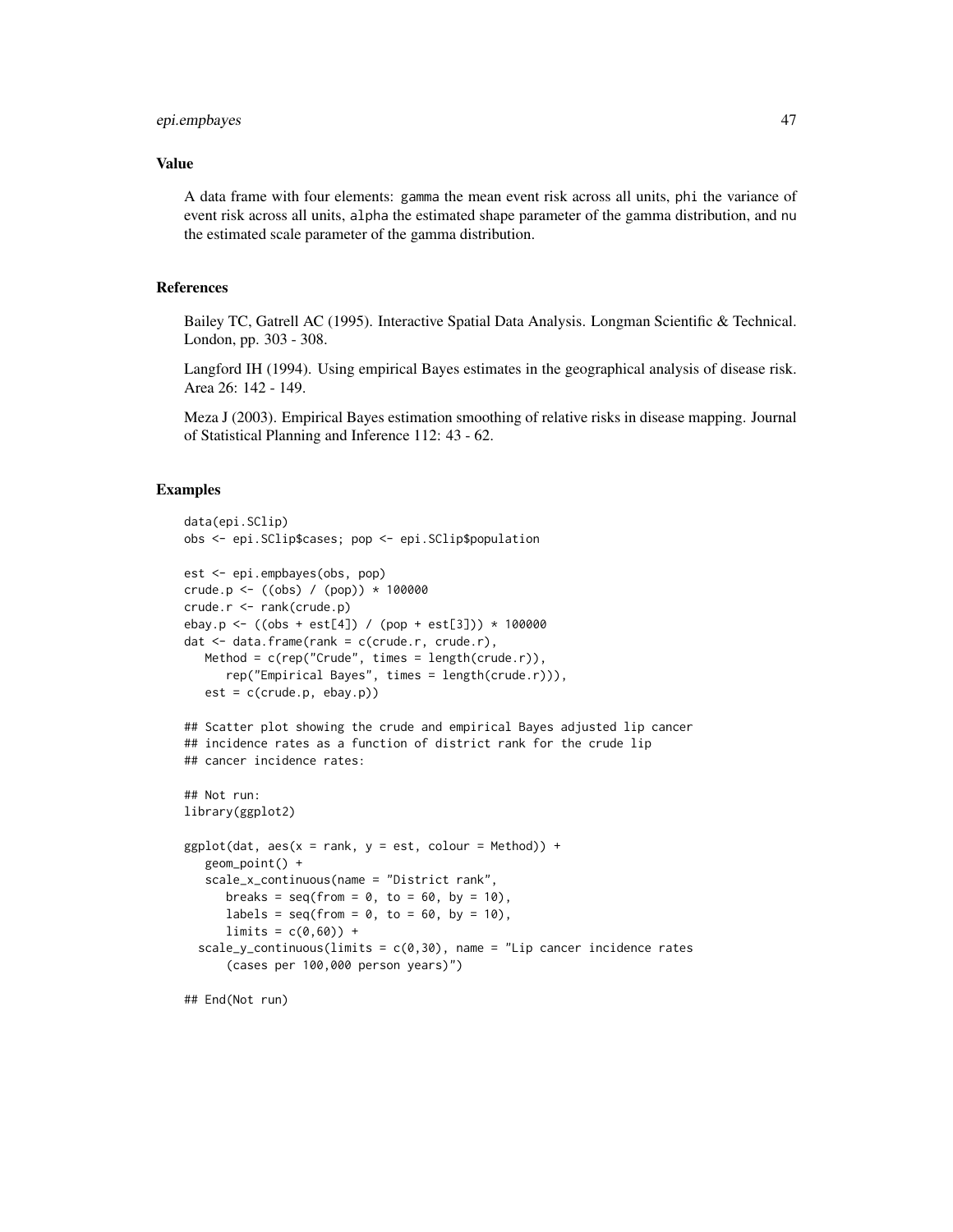# epi.empbayes 47

# Value

A data frame with four elements: gamma the mean event risk across all units, phi the variance of event risk across all units, alpha the estimated shape parameter of the gamma distribution, and nu the estimated scale parameter of the gamma distribution.

## References

Bailey TC, Gatrell AC (1995). Interactive Spatial Data Analysis. Longman Scientific & Technical. London, pp. 303 - 308.

Langford IH (1994). Using empirical Bayes estimates in the geographical analysis of disease risk. Area 26: 142 - 149.

Meza J (2003). Empirical Bayes estimation smoothing of relative risks in disease mapping. Journal of Statistical Planning and Inference 112: 43 - 62.

```
data(epi.SClip)
obs <- epi.SClip$cases; pop <- epi.SClip$population
est <- epi.empbayes(obs, pop)
crude.p <- ((obs) / (pop)) * 100000
crude.r <- rank(crude.p)
ebay.p <- ((obs + est[4]) / (pop + est[3])) * 100000
dat <- data.frame(rank = c(crude.r, crude.r),
  Method = c(rep("Crude", times = length(crude.r)),
     rep("Empirical Bayes", times = length(crude.r))),
  est = c(crude.p, ebay.p)## Scatter plot showing the crude and empirical Bayes adjusted lip cancer
## incidence rates as a function of district rank for the crude lip
## cancer incidence rates:
## Not run:
library(ggplot2)
ggplot(data, aes(x = rank, y = est, colour = Method)) +geom_point() +
   scale_x_continuous(name = "District rank",
     breaks = seq(from = 0, to = 60, by = 10),
     labels = seq(from = 0, to = 60, by = 10),
     limits = c(0,60) +
 scale_y_continuous(limits = c(0,30), name = "Lip cancer incidence rates
      (cases per 100,000 person years)")
## End(Not run)
```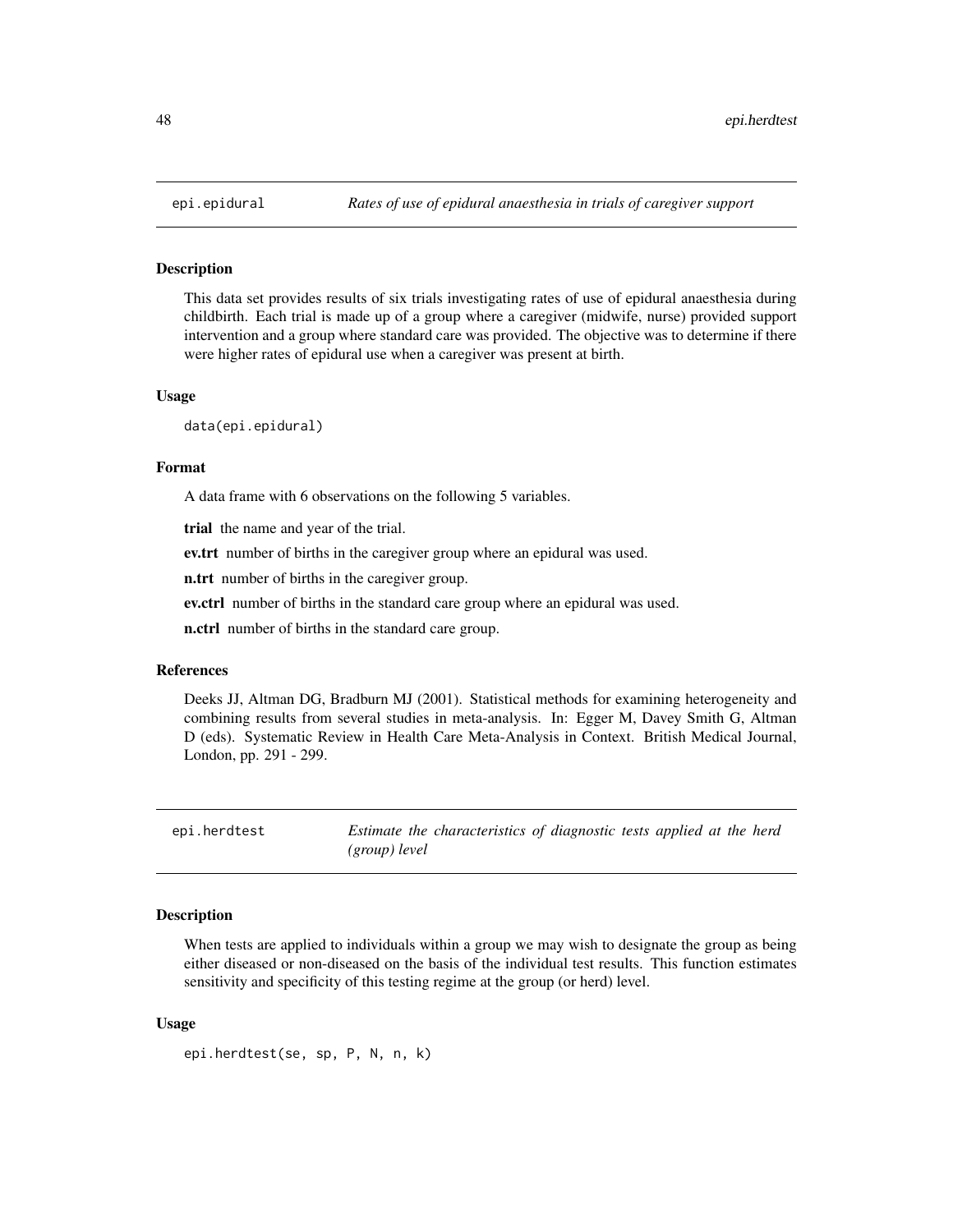This data set provides results of six trials investigating rates of use of epidural anaesthesia during childbirth. Each trial is made up of a group where a caregiver (midwife, nurse) provided support intervention and a group where standard care was provided. The objective was to determine if there were higher rates of epidural use when a caregiver was present at birth.

#### Usage

data(epi.epidural)

#### Format

A data frame with 6 observations on the following 5 variables.

trial the name and year of the trial.

ev.trt number of births in the caregiver group where an epidural was used.

n.trt number of births in the caregiver group.

ev.ctrl number of births in the standard care group where an epidural was used.

n.ctrl number of births in the standard care group.

#### References

Deeks JJ, Altman DG, Bradburn MJ (2001). Statistical methods for examining heterogeneity and combining results from several studies in meta-analysis. In: Egger M, Davey Smith G, Altman D (eds). Systematic Review in Health Care Meta-Analysis in Context. British Medical Journal, London, pp. 291 - 299.

epi.herdtest *Estimate the characteristics of diagnostic tests applied at the herd (group) level*

## Description

When tests are applied to individuals within a group we may wish to designate the group as being either diseased or non-diseased on the basis of the individual test results. This function estimates sensitivity and specificity of this testing regime at the group (or herd) level.

## Usage

```
epi.herdtest(se, sp, P, N, n, k)
```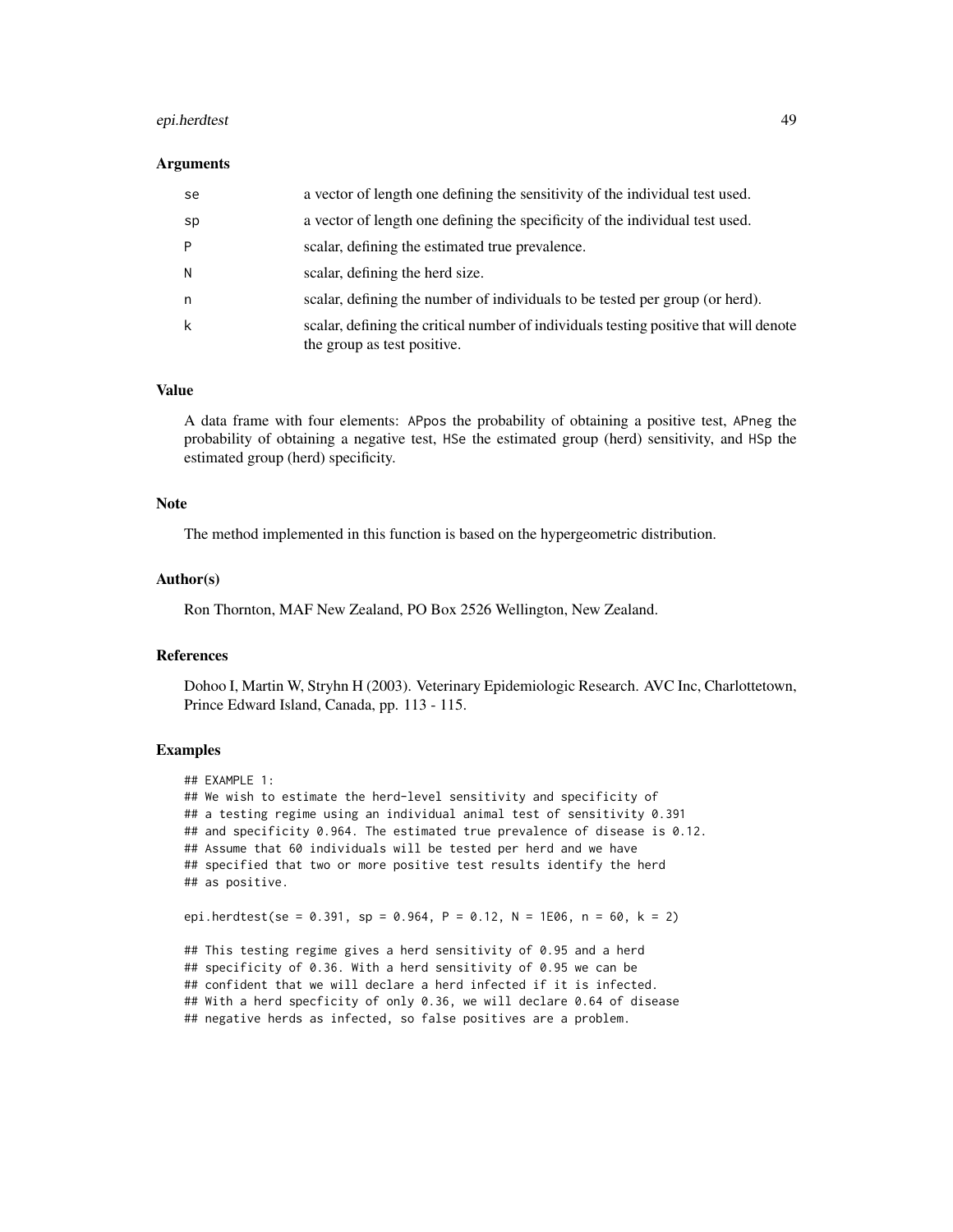# epi.herdtest 49

#### Arguments

| se | a vector of length one defining the sensitivity of the individual test used.                                         |
|----|----------------------------------------------------------------------------------------------------------------------|
| sp | a vector of length one defining the specificity of the individual test used.                                         |
| P  | scalar, defining the estimated true prevalence.                                                                      |
| N  | scalar, defining the herd size.                                                                                      |
| n  | scalar, defining the number of individuals to be tested per group (or herd).                                         |
| k  | scalar, defining the critical number of individuals testing positive that will denote<br>the group as test positive. |

### Value

A data frame with four elements: APpos the probability of obtaining a positive test, APneg the probability of obtaining a negative test, HSe the estimated group (herd) sensitivity, and HSp the estimated group (herd) specificity.

# Note

The method implemented in this function is based on the hypergeometric distribution.

## Author(s)

Ron Thornton, MAF New Zealand, PO Box 2526 Wellington, New Zealand.

## References

Dohoo I, Martin W, Stryhn H (2003). Veterinary Epidemiologic Research. AVC Inc, Charlottetown, Prince Edward Island, Canada, pp. 113 - 115.

# Examples

```
## EXAMPLE 1:
## We wish to estimate the herd-level sensitivity and specificity of
## a testing regime using an individual animal test of sensitivity 0.391
## and specificity 0.964. The estimated true prevalence of disease is 0.12.
## Assume that 60 individuals will be tested per herd and we have
## specified that two or more positive test results identify the herd
## as positive.
epi.herdtest(se = 0.391, sp = 0.964, P = 0.12, N = 1E06, n = 60, k = 2)
## This testing regime gives a herd sensitivity of 0.95 and a herd
## specificity of 0.36. With a herd sensitivity of 0.95 we can be
```
## confident that we will declare a herd infected if it is infected. ## With a herd specficity of only 0.36, we will declare 0.64 of disease ## negative herds as infected, so false positives are a problem.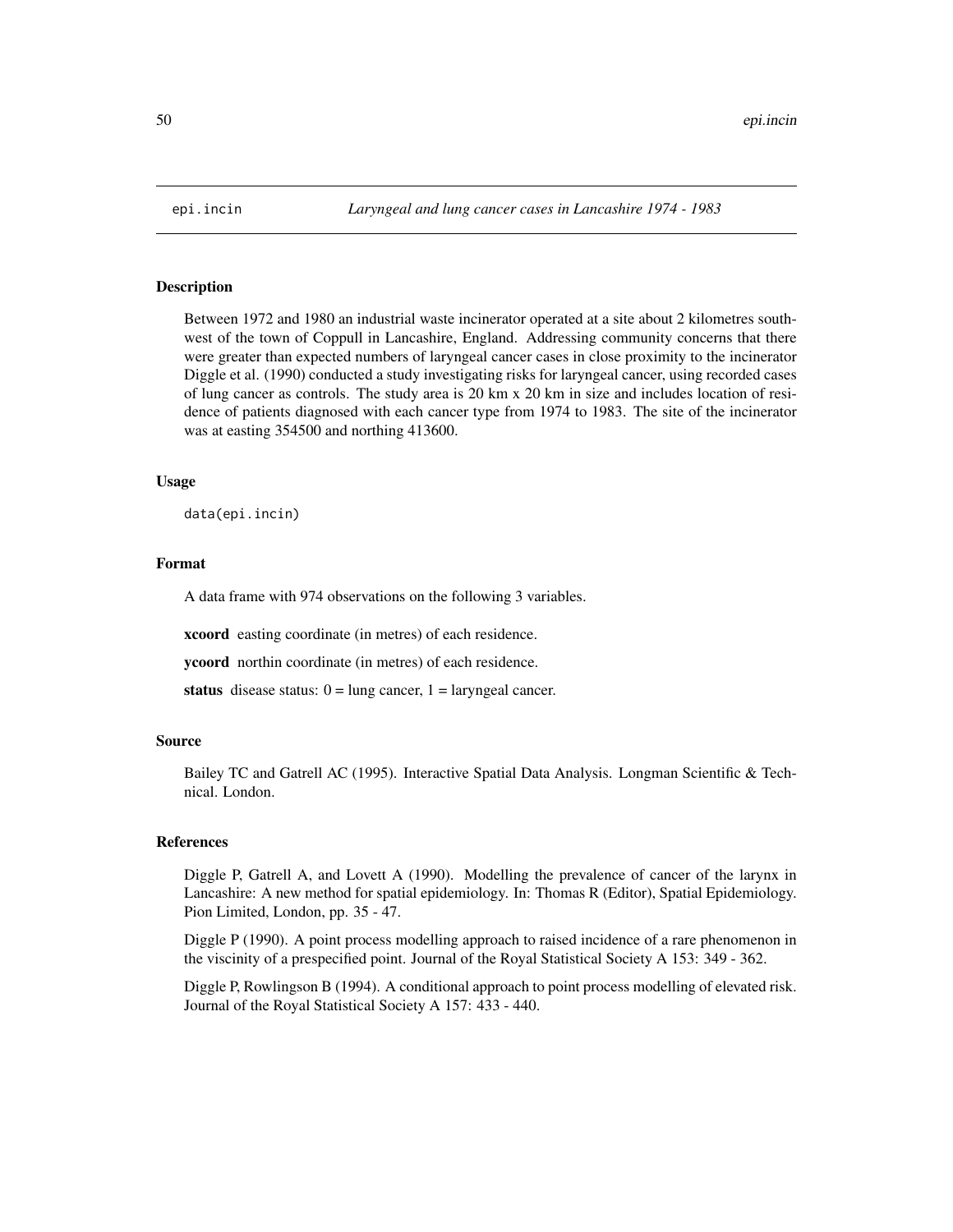Between 1972 and 1980 an industrial waste incinerator operated at a site about 2 kilometres southwest of the town of Coppull in Lancashire, England. Addressing community concerns that there were greater than expected numbers of laryngeal cancer cases in close proximity to the incinerator Diggle et al. (1990) conducted a study investigating risks for laryngeal cancer, using recorded cases of lung cancer as controls. The study area is 20 km x 20 km in size and includes location of residence of patients diagnosed with each cancer type from 1974 to 1983. The site of the incinerator was at easting 354500 and northing 413600.

## Usage

data(epi.incin)

# Format

A data frame with 974 observations on the following 3 variables.

xcoord easting coordinate (in metres) of each residence.

ycoord northin coordinate (in metres) of each residence.

status disease status:  $0 = \text{lung cancer}, 1 = \text{laryngeal cancer}.$ 

### Source

Bailey TC and Gatrell AC (1995). Interactive Spatial Data Analysis. Longman Scientific & Technical. London.

#### References

Diggle P, Gatrell A, and Lovett A (1990). Modelling the prevalence of cancer of the larynx in Lancashire: A new method for spatial epidemiology. In: Thomas R (Editor), Spatial Epidemiology. Pion Limited, London, pp. 35 - 47.

Diggle P (1990). A point process modelling approach to raised incidence of a rare phenomenon in the viscinity of a prespecified point. Journal of the Royal Statistical Society A 153: 349 - 362.

Diggle P, Rowlingson B (1994). A conditional approach to point process modelling of elevated risk. Journal of the Royal Statistical Society A 157: 433 - 440.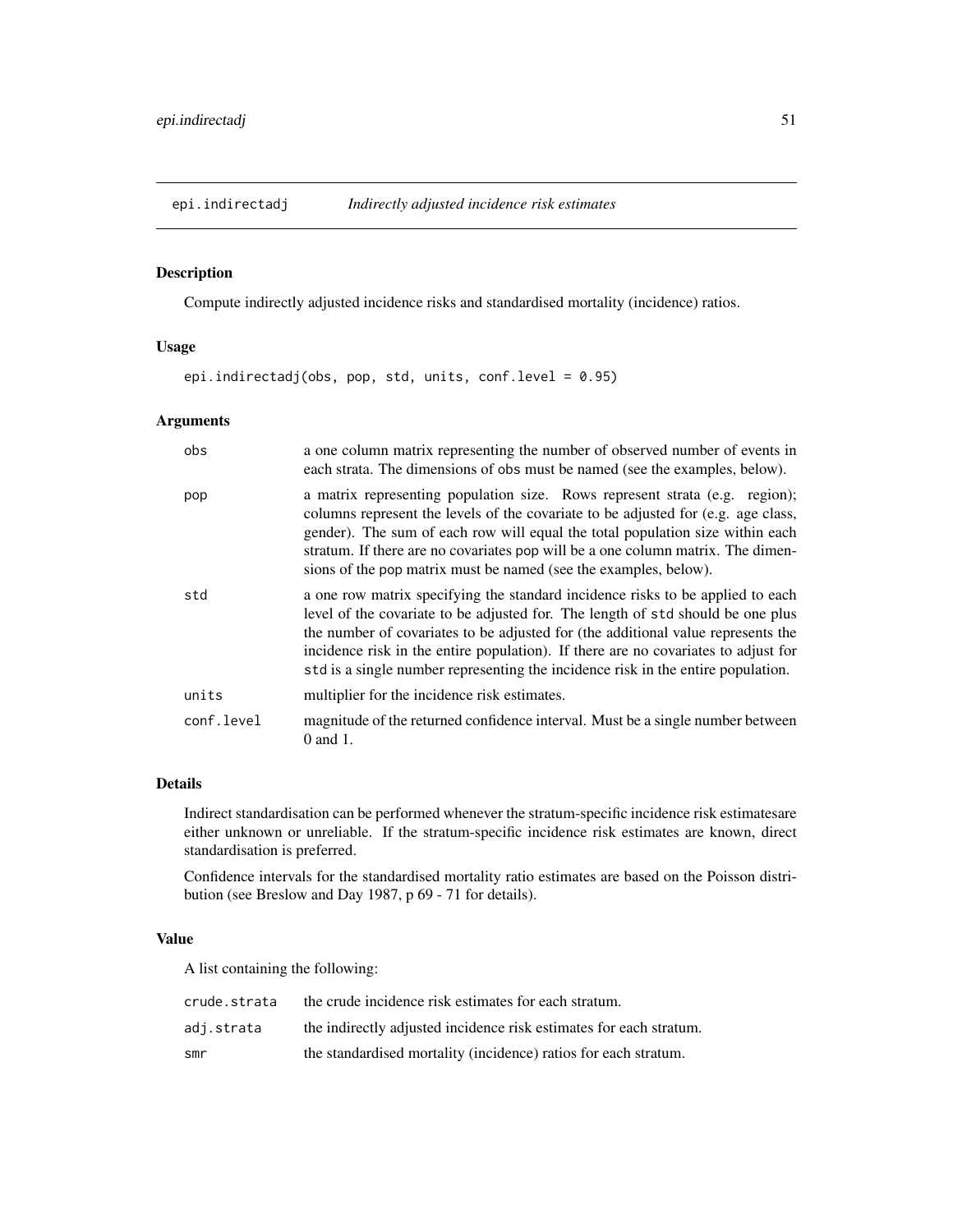<span id="page-50-0"></span>

Compute indirectly adjusted incidence risks and standardised mortality (incidence) ratios.

# Usage

epi.indirectadj(obs, pop, std, units, conf.level = 0.95)

# Arguments

| obs        | a one column matrix representing the number of observed number of events in<br>each strata. The dimensions of obs must be named (see the examples, below).                                                                                                                                                                                                                                                                      |
|------------|---------------------------------------------------------------------------------------------------------------------------------------------------------------------------------------------------------------------------------------------------------------------------------------------------------------------------------------------------------------------------------------------------------------------------------|
| pop        | a matrix representing population size. Rows represent strata (e.g. region);<br>columns represent the levels of the covariate to be adjusted for (e.g. age class,<br>gender). The sum of each row will equal the total population size within each<br>stratum. If there are no covariates pop will be a one column matrix. The dimen-<br>sions of the pop matrix must be named (see the examples, below).                        |
| std        | a one row matrix specifying the standard incidence risks to be applied to each<br>level of the covariate to be adjusted for. The length of std should be one plus<br>the number of covariates to be adjusted for (the additional value represents the<br>incidence risk in the entire population). If there are no covariates to adjust for<br>std is a single number representing the incidence risk in the entire population. |
| units      | multiplier for the incidence risk estimates.                                                                                                                                                                                                                                                                                                                                                                                    |
| conf.level | magnitude of the returned confidence interval. Must be a single number between<br>$0$ and $1$ .                                                                                                                                                                                                                                                                                                                                 |

# Details

Indirect standardisation can be performed whenever the stratum-specific incidence risk estimatesare either unknown or unreliable. If the stratum-specific incidence risk estimates are known, direct standardisation is preferred.

Confidence intervals for the standardised mortality ratio estimates are based on the Poisson distribution (see Breslow and Day 1987, p 69 - 71 for details).

## Value

A list containing the following:

| crude.strata | the crude incidence risk estimates for each stratum.               |
|--------------|--------------------------------------------------------------------|
| adi.strata   | the indirectly adjusted incidence risk estimates for each stratum. |
| smr          | the standardised mortality (incidence) ratios for each stratum.    |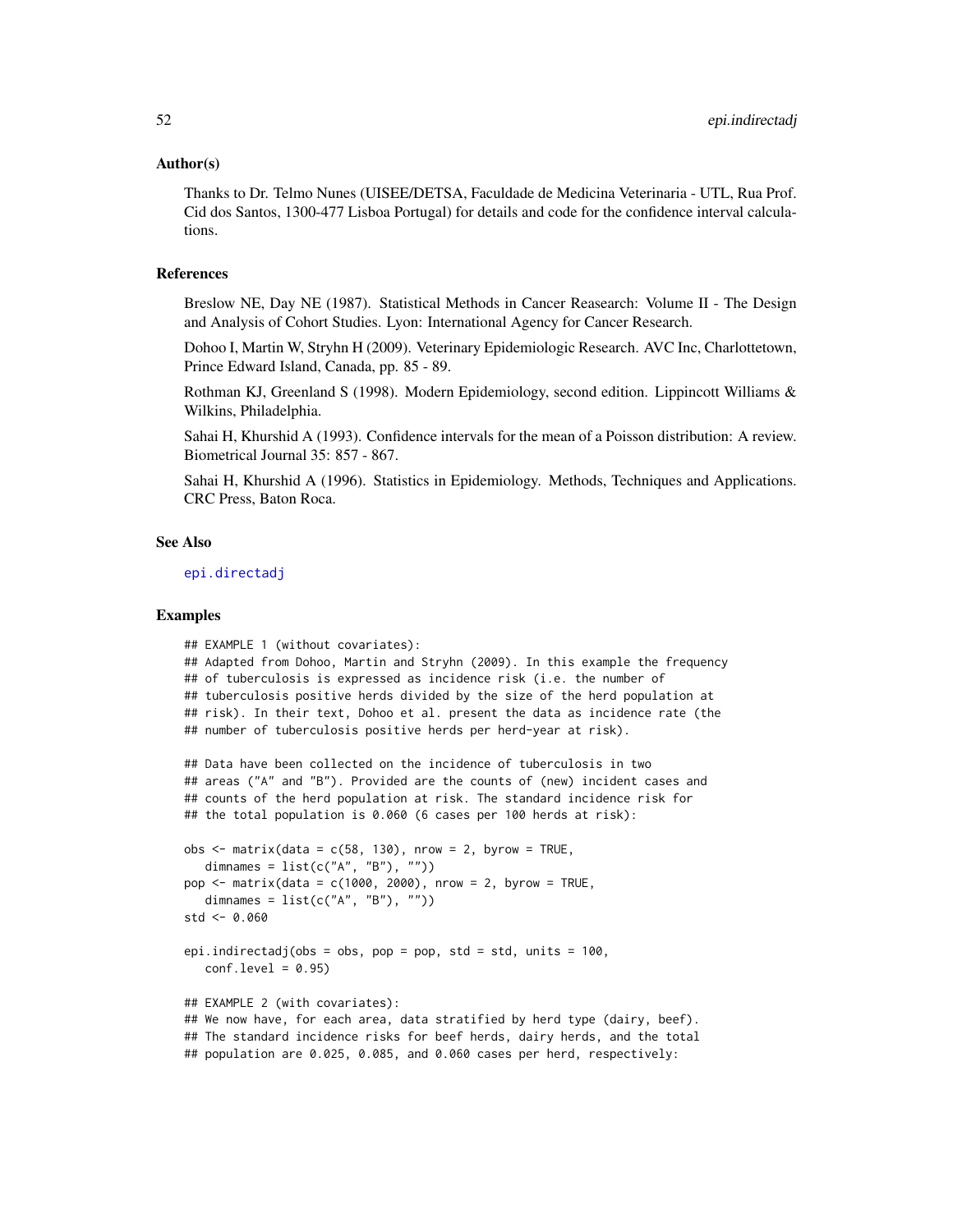#### Author(s)

Thanks to Dr. Telmo Nunes (UISEE/DETSA, Faculdade de Medicina Veterinaria - UTL, Rua Prof. Cid dos Santos, 1300-477 Lisboa Portugal) for details and code for the confidence interval calculations.

## References

Breslow NE, Day NE (1987). Statistical Methods in Cancer Reasearch: Volume II - The Design and Analysis of Cohort Studies. Lyon: International Agency for Cancer Research.

Dohoo I, Martin W, Stryhn H (2009). Veterinary Epidemiologic Research. AVC Inc, Charlottetown, Prince Edward Island, Canada, pp. 85 - 89.

Rothman KJ, Greenland S (1998). Modern Epidemiology, second edition. Lippincott Williams & Wilkins, Philadelphia.

Sahai H, Khurshid A (1993). Confidence intervals for the mean of a Poisson distribution: A review. Biometrical Journal 35: 857 - 867.

Sahai H, Khurshid A (1996). Statistics in Epidemiology. Methods, Techniques and Applications. CRC Press, Baton Roca.

## See Also

[epi.directadj](#page-36-0)

```
## EXAMPLE 1 (without covariates):
## Adapted from Dohoo, Martin and Stryhn (2009). In this example the frequency
## of tuberculosis is expressed as incidence risk (i.e. the number of
## tuberculosis positive herds divided by the size of the herd population at
## risk). In their text, Dohoo et al. present the data as incidence rate (the
## number of tuberculosis positive herds per herd-year at risk).
## Data have been collected on the incidence of tuberculosis in two
## areas ("A" and "B"). Provided are the counts of (new) incident cases and
## counts of the herd population at risk. The standard incidence risk for
## the total population is 0.060 (6 cases per 100 herds at risk):
obs < - matrix(data = c(58, 130), nrow = 2, byrow = TRUE,
  dimnames = list(c("A", "B"), "")pop <- matrix(data = c(1000, 2000), nrow = 2, byrow = TRUE,
  dimnames = list(c("A", "B"), ""))
std <- 0.060
epi.indirectadj(obs = obs, pop = pop, std = std, units = 100,
  conf<math>level = 0.95## EXAMPLE 2 (with covariates):
## We now have, for each area, data stratified by herd type (dairy, beef).
## The standard incidence risks for beef herds, dairy herds, and the total
## population are 0.025, 0.085, and 0.060 cases per herd, respectively:
```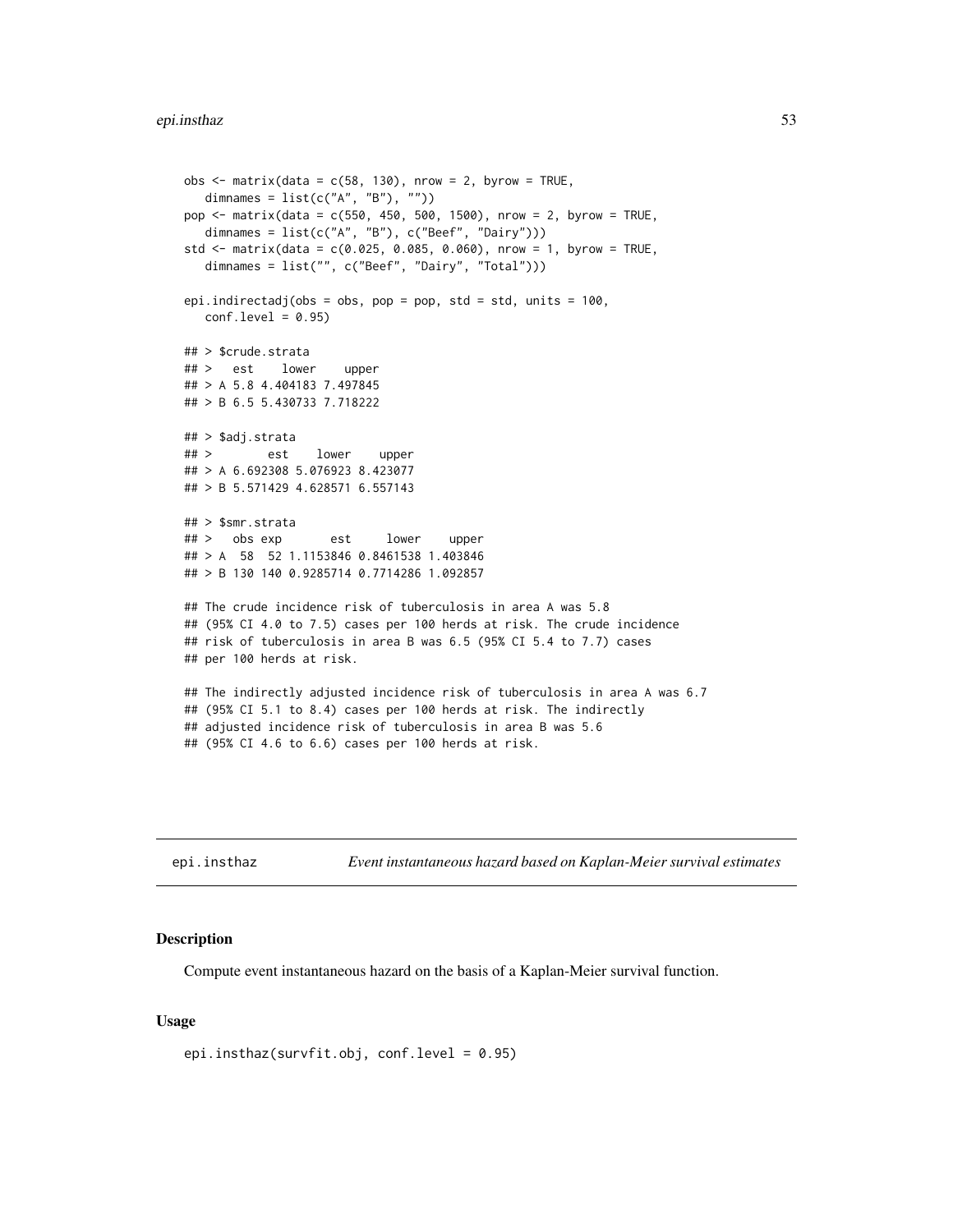```
obs \le matrix(data = c(58, 130), nrow = 2, byrow = TRUE,
  dimnames = list(c("A", "B"), ""))
pop <- matrix(data = c(550, 450, 500, 1500), nrow = 2, byrow = TRUE,
  dimnames = list(c("A", "B"), c("Beef", "Dairy")))
std <- matrix(data = c(0.025, 0.085, 0.060), nrow = 1, byrow = TRUE,
  dimnames = list("", c("Beef", "Dairy", "Total")))
epi.indirectadj(obs = obs, pop = pop, std = std, units = 100,
  conf<math>. level = 0.95## > $crude.strata
## > est lower upper
## > A 5.8 4.404183 7.497845
## > B 6.5 5.430733 7.718222
## > $adj.strata
## > est lower upper
## > A 6.692308 5.076923 8.423077
## > B 5.571429 4.628571 6.557143
## > $smr.strata
## > obs exp est lower upper
## > A 58 52 1.1153846 0.8461538 1.403846
## > B 130 140 0.9285714 0.7714286 1.092857
## The crude incidence risk of tuberculosis in area A was 5.8
## (95% CI 4.0 to 7.5) cases per 100 herds at risk. The crude incidence
## risk of tuberculosis in area B was 6.5 (95% CI 5.4 to 7.7) cases
## per 100 herds at risk.
## The indirectly adjusted incidence risk of tuberculosis in area A was 6.7
## (95% CI 5.1 to 8.4) cases per 100 herds at risk. The indirectly
## adjusted incidence risk of tuberculosis in area B was 5.6
## (95% CI 4.6 to 6.6) cases per 100 herds at risk.
```
epi.insthaz *Event instantaneous hazard based on Kaplan-Meier survival estimates*

### **Description**

Compute event instantaneous hazard on the basis of a Kaplan-Meier survival function.

#### Usage

epi.insthaz(survfit.obj, conf.level = 0.95)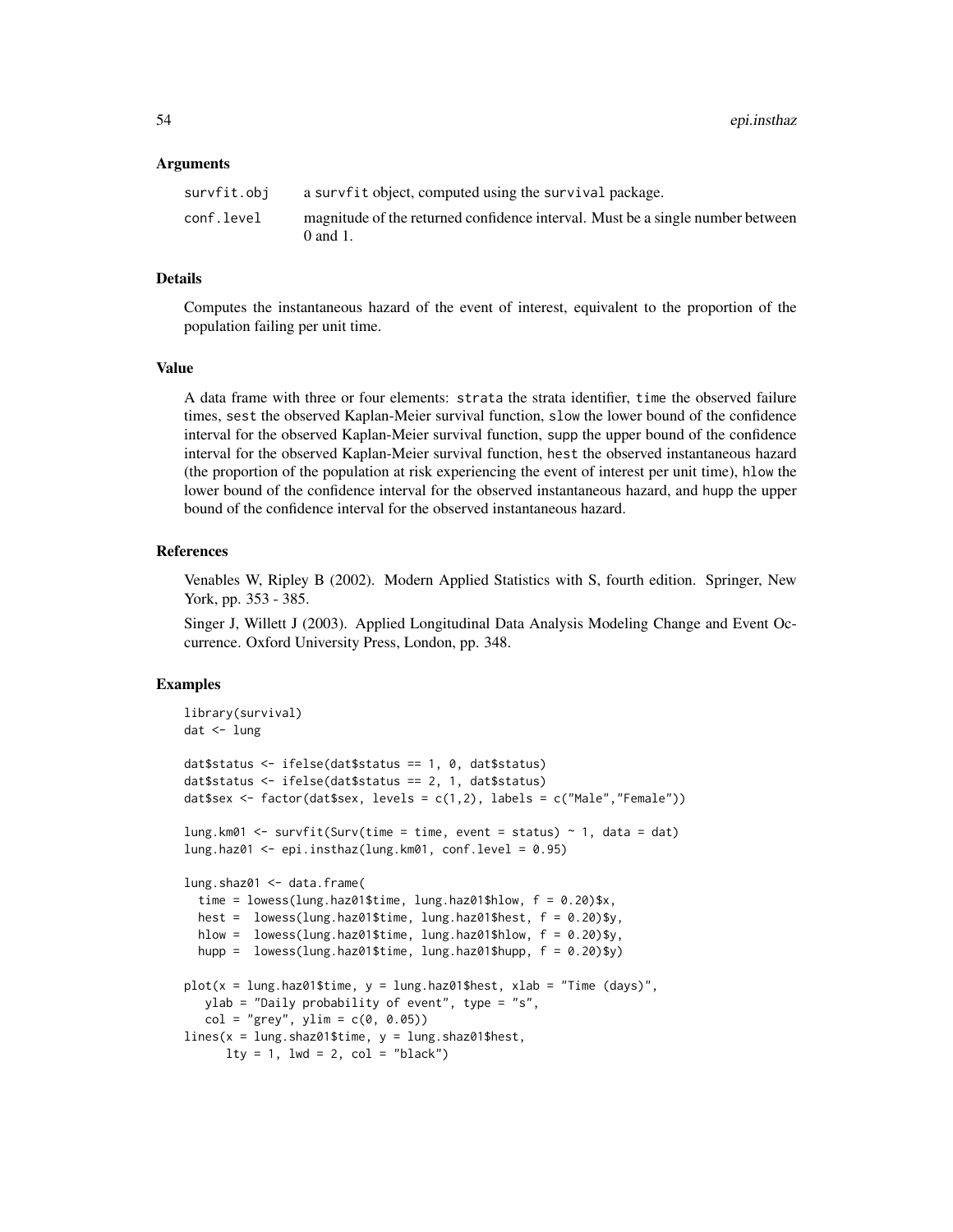#### Arguments

| survfit.obj | a survfit object, computed using the survival package.                                          |
|-------------|-------------------------------------------------------------------------------------------------|
| conf.level  | magnitude of the returned confidence interval. Must be a single number between<br>$0$ and $1$ . |

## Details

Computes the instantaneous hazard of the event of interest, equivalent to the proportion of the population failing per unit time.

### Value

A data frame with three or four elements: strata the strata identifier, time the observed failure times, sest the observed Kaplan-Meier survival function, slow the lower bound of the confidence interval for the observed Kaplan-Meier survival function, supp the upper bound of the confidence interval for the observed Kaplan-Meier survival function, hest the observed instantaneous hazard (the proportion of the population at risk experiencing the event of interest per unit time), hlow the lower bound of the confidence interval for the observed instantaneous hazard, and hupp the upper bound of the confidence interval for the observed instantaneous hazard.

## **References**

Venables W, Ripley B (2002). Modern Applied Statistics with S, fourth edition. Springer, New York, pp. 353 - 385.

Singer J, Willett J (2003). Applied Longitudinal Data Analysis Modeling Change and Event Occurrence. Oxford University Press, London, pp. 348.

```
library(survival)
dat <- lung
dat$status <- ifelse(dat$status == 1, 0, dat$status)
dat$status <- ifelse(dat$status == 2, 1, dat$status)
dat$sex <- factor(dat$sex, levels = c(1,2), labels = c("Male", "Female"))lung.km01 <- survfit(Surv(time = time, event = status) \sim 1, data = dat)
lung.haz01 <- epi.insthaz(lung.km01, conf.level = 0.95)
lung.shaz01 <- data.frame(
 time = lowess(lung.haz01$time, lung.haz01$hlow, f = 0.20)$x,
 hest = lowess(lung.haz01$time, lung.haz01$hest, f = 0.20)$y,
 hlow = lowess(lung.haz01$time, lung.haz01$hlow, f = 0.20)$y,
 hupp = lowess(lung.haz01$time, lung.haz01$hupp, f = 0.20)$y)
plot(x = lung.haz01$time, y = lung.haz01$hest, xlab = "Time (days)",
  ylab = "Daily probability of event", type = "s",
  col = "grey", ylim = c(0, 0.05))lines(x = lung.shape1$time, y = lung.shape1$hest,lty = 1, lwd = 2, col = "black")
```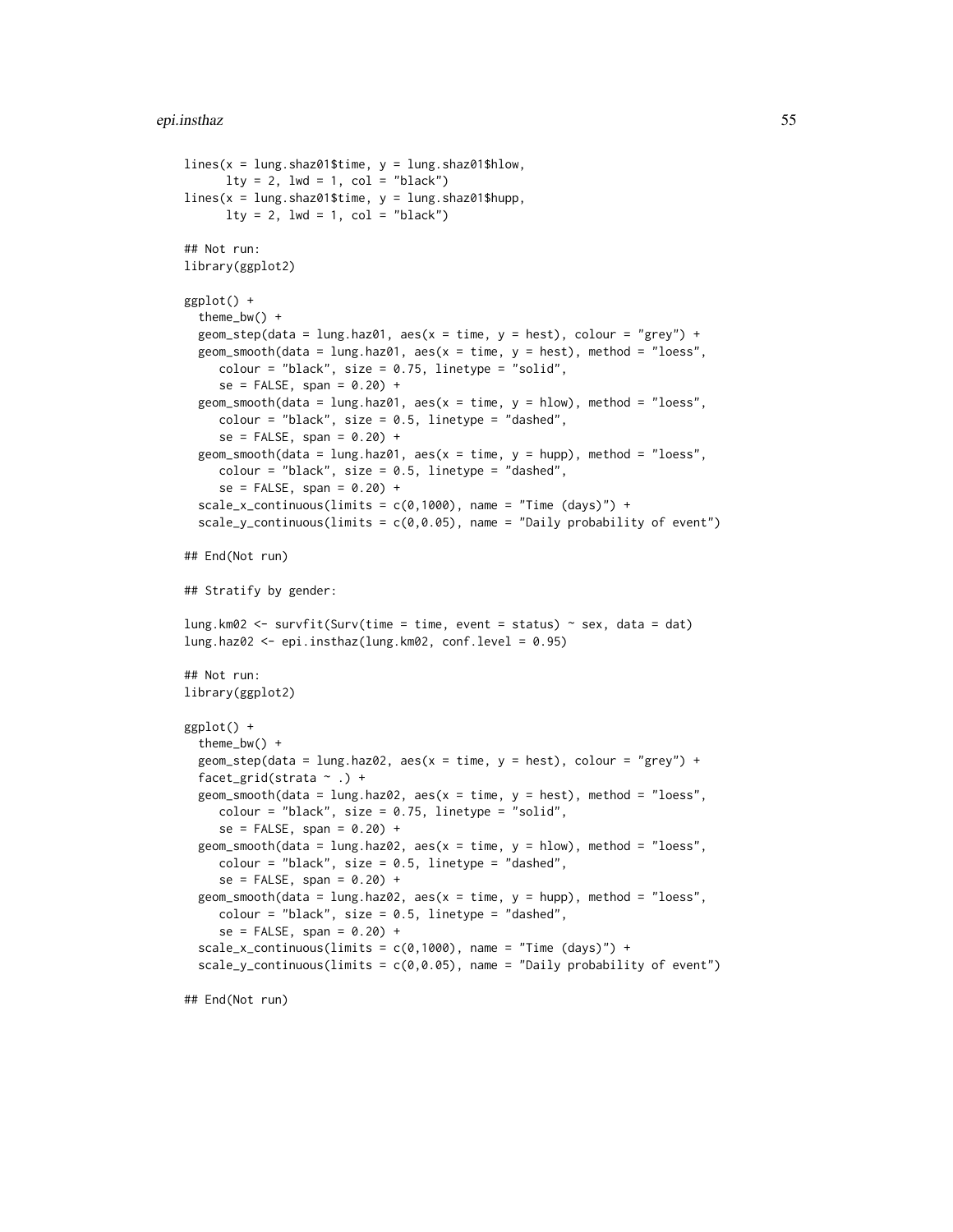#### epi.insthaz 55

```
lines(x = lung.shape1$time, y = lung.shape1$hlow,lty = 2, lwd = 1, col = "black")lines(x = lung.shaz01$time, y = lung.shaz01$hupp,
     lty = 2, lwd = 1, col = "black")## Not run:
library(ggplot2)
ggplot() +
 theme_bw() +
 geom_step(data = lung.haz01, aes(x = time, y = hest), colour = "grey") +
 geom_smooth(data = lung.haz01, aes(x = time, y = host), method = "loess",
     color = "black", size = 0.75, linetype = "solid",se = FALSE, span = 0.20) +geom_smooth(data = lung.haz01, aes(x = time, y = hlow), method = "loess",
     colour = "black", size = 0.5, linetype = "dashed",
     se = FALSE, span = 0.20) +geom_smooth(data = lung.haz01, aes(x = time, y = hupp), method = "loess",
     colour = "black", size = 0.5, linetype = "dashed",
     se = FALSE, span = 0.20) +scale_x_continuous(limits = c(0,1000), name = "Time (days)") +
 scale_y_continuous(limits = c(0, 0.05), name = "Daily probability of event")
## End(Not run)
## Stratify by gender:
lung.km02 <- survfit(Surv(time = time, event = status) ~ sex, data = dat)
lung.haz02 <- epi.insthaz(lung.km02, conf.level = 0.95)
## Not run:
library(ggplot2)
ggplot() +
 theme_bw() +
 geom_step(data = lung.haz02, aes(x = time, y = heat), colour = "grey") +
 facet_grid(strata ~ .) +
 geom_smooth(data = lung.haz02, aes(x = time, y = heat), method = "loess",
     color = "black", size = 0.75, linetype = "solid",se = FALSE, span = 0.20) +geom_smooth(data = lung.haz02, aes(x = time, y = hlow), method = "loess",
     colour = "black", size = 0.5, linetype = "dashed",
     se = FALSE, span = 0.20) +geom_smooth(data = lung.haz02, aes(x = time, y = hupp), method = "loess",
     colour = "black", size = 0.5, linetype = "dashed",
     se = FALSE, span = 0.20) +scale_x_continuous(limits = c(0,1000), name = "Time (days)") +
 scale_y_continuous(limits = c(0, 0.05), name = "Daily probability of event")
## End(Not run)
```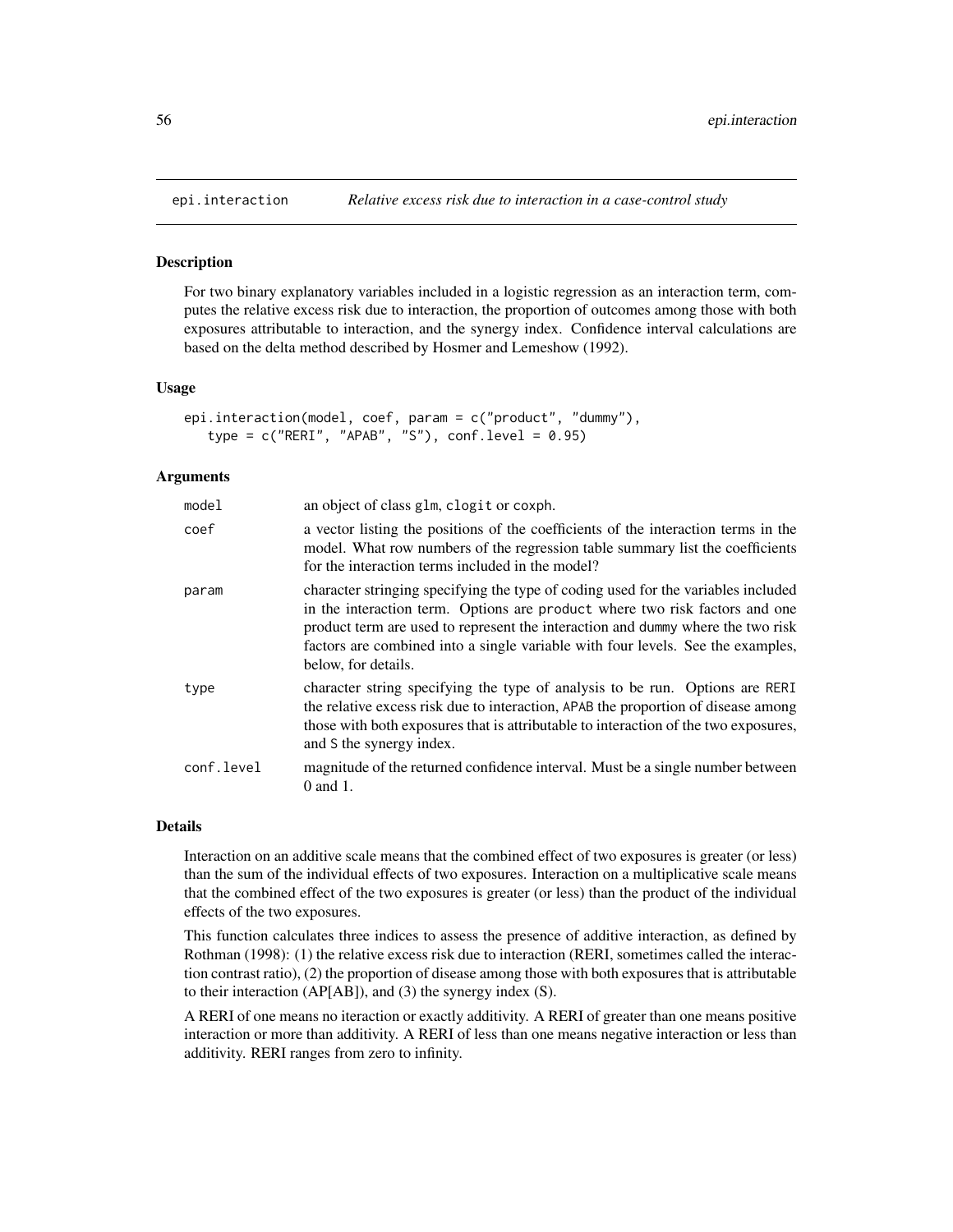For two binary explanatory variables included in a logistic regression as an interaction term, computes the relative excess risk due to interaction, the proportion of outcomes among those with both exposures attributable to interaction, and the synergy index. Confidence interval calculations are based on the delta method described by Hosmer and Lemeshow (1992).

#### Usage

```
epi.interaction(model, coef, param = c("product", "dummy"),
   type = c("RERI", "APAB", "S"), conf. level = 0.95)
```
## Arguments

| mode1      | an object of class glm, clogit or coxph.                                                                                                                                                                                                                                                                                                                      |
|------------|---------------------------------------------------------------------------------------------------------------------------------------------------------------------------------------------------------------------------------------------------------------------------------------------------------------------------------------------------------------|
| coef       | a vector listing the positions of the coefficients of the interaction terms in the<br>model. What row numbers of the regression table summary list the coefficients<br>for the interaction terms included in the model?                                                                                                                                       |
| param      | character stringing specifying the type of coding used for the variables included<br>in the interaction term. Options are product where two risk factors and one<br>product term are used to represent the interaction and dummy where the two risk<br>factors are combined into a single variable with four levels. See the examples,<br>below, for details. |
| type       | character string specifying the type of analysis to be run. Options are RERI<br>the relative excess risk due to interaction, APAB the proportion of disease among<br>those with both exposures that is attributable to interaction of the two exposures,<br>and S the synergy index.                                                                          |
| conf.level | magnitude of the returned confidence interval. Must be a single number between<br>$0$ and $1$ .                                                                                                                                                                                                                                                               |

## Details

Interaction on an additive scale means that the combined effect of two exposures is greater (or less) than the sum of the individual effects of two exposures. Interaction on a multiplicative scale means that the combined effect of the two exposures is greater (or less) than the product of the individual effects of the two exposures.

This function calculates three indices to assess the presence of additive interaction, as defined by Rothman (1998): (1) the relative excess risk due to interaction (RERI, sometimes called the interaction contrast ratio), (2) the proportion of disease among those with both exposures that is attributable to their interaction (AP[AB]), and (3) the synergy index (S).

A RERI of one means no iteraction or exactly additivity. A RERI of greater than one means positive interaction or more than additivity. A RERI of less than one means negative interaction or less than additivity. RERI ranges from zero to infinity.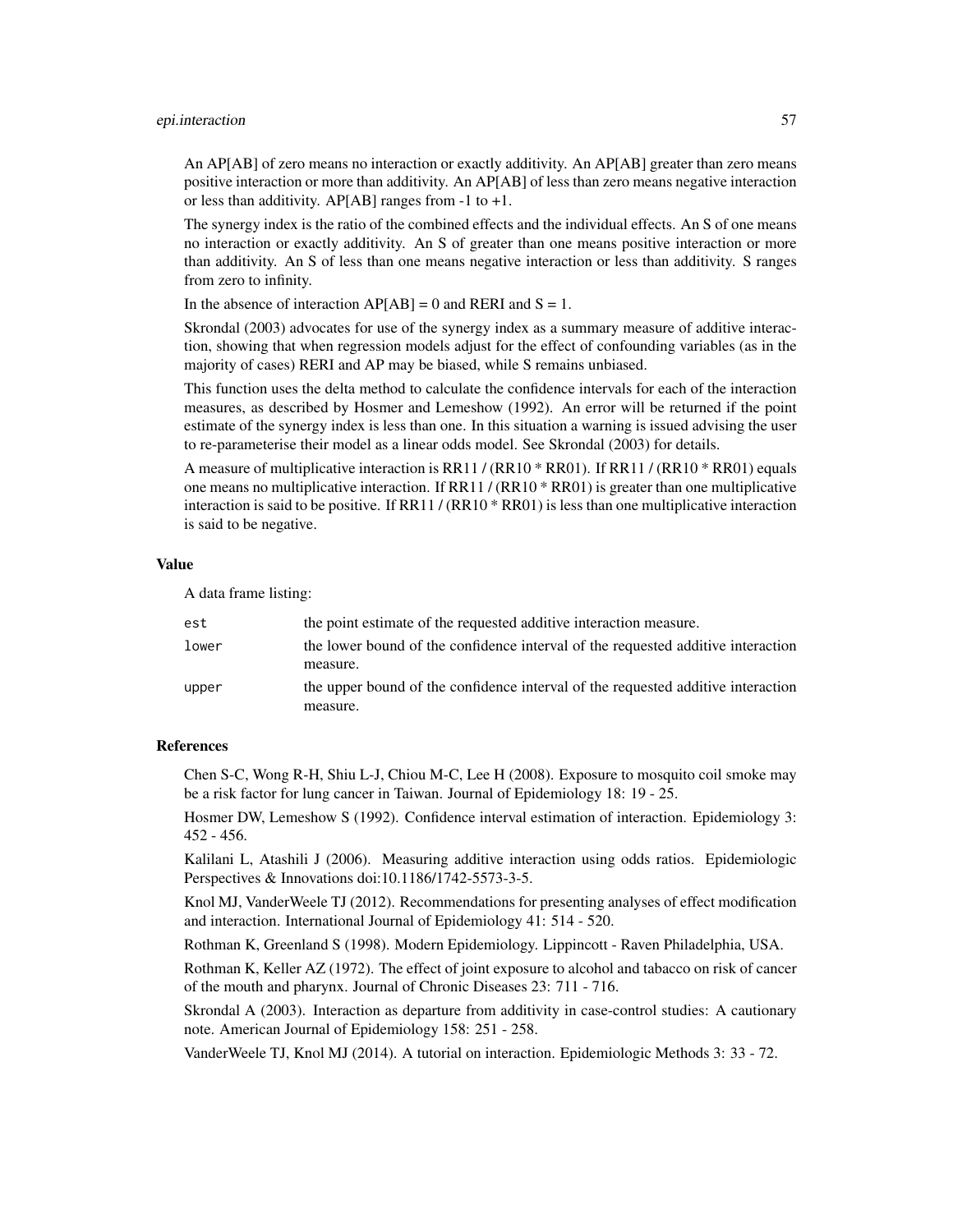An AP[AB] of zero means no interaction or exactly additivity. An AP[AB] greater than zero means positive interaction or more than additivity. An AP[AB] of less than zero means negative interaction or less than additivity. AP[AB] ranges from  $-1$  to  $+1$ .

The synergy index is the ratio of the combined effects and the individual effects. An S of one means no interaction or exactly additivity. An S of greater than one means positive interaction or more than additivity. An S of less than one means negative interaction or less than additivity. S ranges from zero to infinity.

In the absence of interaction  $AP[AB] = 0$  and RERI and  $S = 1$ .

Skrondal (2003) advocates for use of the synergy index as a summary measure of additive interaction, showing that when regression models adjust for the effect of confounding variables (as in the majority of cases) RERI and AP may be biased, while S remains unbiased.

This function uses the delta method to calculate the confidence intervals for each of the interaction measures, as described by Hosmer and Lemeshow (1992). An error will be returned if the point estimate of the synergy index is less than one. In this situation a warning is issued advising the user to re-parameterise their model as a linear odds model. See Skrondal (2003) for details.

A measure of multiplicative interaction is RR11 / (RR10 \* RR01). If RR11 / (RR10 \* RR01) equals one means no multiplicative interaction. If RR11 / (RR10 \* RR01) is greater than one multiplicative interaction is said to be positive. If RR11 / (RR10 \* RR01) is less than one multiplicative interaction is said to be negative.

# Value

A data frame listing:

| est   | the point estimate of the requested additive interaction measure.                |
|-------|----------------------------------------------------------------------------------|
| lower | the lower bound of the confidence interval of the requested additive interaction |
|       | measure.                                                                         |
| upper | the upper bound of the confidence interval of the requested additive interaction |
|       | measure.                                                                         |

#### References

Chen S-C, Wong R-H, Shiu L-J, Chiou M-C, Lee H (2008). Exposure to mosquito coil smoke may be a risk factor for lung cancer in Taiwan. Journal of Epidemiology 18: 19 - 25.

Hosmer DW, Lemeshow S (1992). Confidence interval estimation of interaction. Epidemiology 3: 452 - 456.

Kalilani L, Atashili J (2006). Measuring additive interaction using odds ratios. Epidemiologic Perspectives & Innovations doi:10.1186/1742-5573-3-5.

Knol MJ, VanderWeele TJ (2012). Recommendations for presenting analyses of effect modification and interaction. International Journal of Epidemiology 41: 514 - 520.

Rothman K, Greenland S (1998). Modern Epidemiology. Lippincott - Raven Philadelphia, USA.

Rothman K, Keller AZ (1972). The effect of joint exposure to alcohol and tabacco on risk of cancer of the mouth and pharynx. Journal of Chronic Diseases 23: 711 - 716.

Skrondal A (2003). Interaction as departure from additivity in case-control studies: A cautionary note. American Journal of Epidemiology 158: 251 - 258.

VanderWeele TJ, Knol MJ (2014). A tutorial on interaction. Epidemiologic Methods 3: 33 - 72.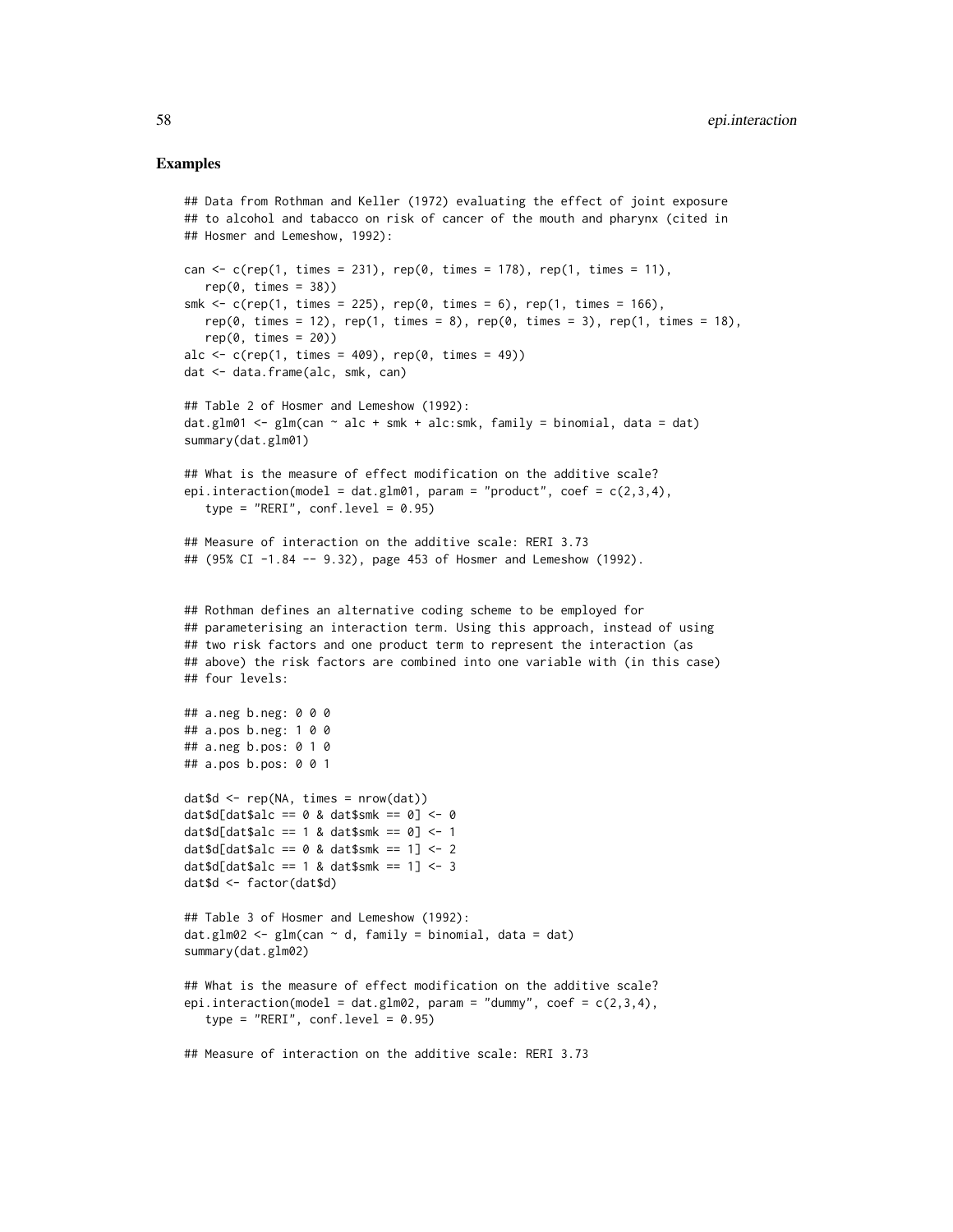```
## Data from Rothman and Keller (1972) evaluating the effect of joint exposure
## to alcohol and tabacco on risk of cancer of the mouth and pharynx (cited in
## Hosmer and Lemeshow, 1992):
can \leq c(rep(1, times = 231), rep(0, times = 178), rep(1, times = 11),
   rep(0, times = 38)smk \leq c(rep(1, times = 225), rep(0, times = 6), rep(1, times = 166),
   rep(0, times = 12), rep(1, times = 8), rep(0, times = 3), rep(1, times = 18),rep(0, times = 20)alc \leq c(rep(1, times = 409), rep(0, times = 49))
dat <- data.frame(alc, smk, can)
## Table 2 of Hosmer and Lemeshow (1992):
dat.glm01 <- glm(can \sim alc + smk + alc:smk, family = binomial, data = dat)
summary(dat.glm01)
## What is the measure of effect modification on the additive scale?
epi.interaction(model = dat.glm01, param = "product", coef = c(2,3,4),
   type = "RERI", conf<math>level = 0.95)
## Measure of interaction on the additive scale: RERI 3.73
## (95% CI -1.84 -- 9.32), page 453 of Hosmer and Lemeshow (1992).
## Rothman defines an alternative coding scheme to be employed for
## parameterising an interaction term. Using this approach, instead of using
## two risk factors and one product term to represent the interaction (as
## above) the risk factors are combined into one variable with (in this case)
## four levels:
## a.neg b.neg: 0 0 0
## a.pos b.neg: 1 0 0
## a.neg b.pos: 0 1 0
## a.pos b.pos: 0 0 1
dat$d <- rep(NA, times = nrow(dat))
dat$d[dat$alc == 0 & dat$smk == 0] < -0dat$d[dat$alc == 1 & dat$smk == 0] <- 1
dat$d[dat$alc == 0 & dat$smk == 1] < -2dat$d[dat$a1c == 1 & add $dat$smk == 1] <- 3dat$d <- factor(dat$d)
## Table 3 of Hosmer and Lemeshow (1992):
dat.glm02 <- glm(can \sim d, family = binomial, data = dat)
summary(dat.glm02)
## What is the measure of effect modification on the additive scale?
epi.interaction(model = dat.glm02, param = "dummy", coef = c(2,3,4),
   type = "RERI", conf<math>level = 0.95)
## Measure of interaction on the additive scale: RERI 3.73
```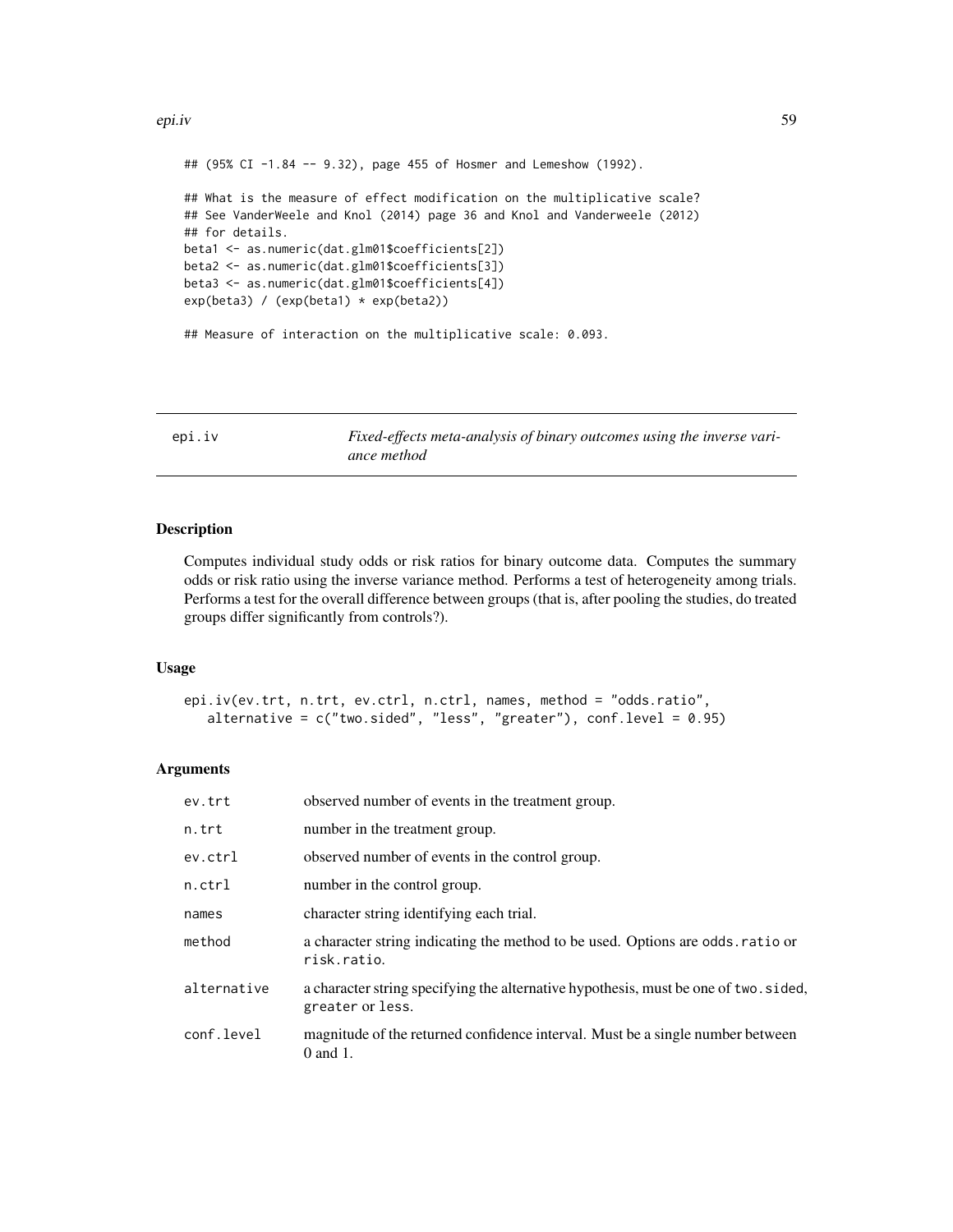#### epi.iv 59

```
## (95% CI -1.84 -- 9.32), page 455 of Hosmer and Lemeshow (1992).
## What is the measure of effect modification on the multiplicative scale?
## See VanderWeele and Knol (2014) page 36 and Knol and Vanderweele (2012)
## for details.
beta1 <- as.numeric(dat.glm01$coefficients[2])
beta2 <- as.numeric(dat.glm01$coefficients[3])
beta3 <- as.numeric(dat.glm01$coefficients[4])
exp(beta3) / (exp(beta1) * exp(beta2))
## Measure of interaction on the multiplicative scale: 0.093.
```
<span id="page-58-0"></span>epi.iv *Fixed-effects meta-analysis of binary outcomes using the inverse variance method*

# **Description**

Computes individual study odds or risk ratios for binary outcome data. Computes the summary odds or risk ratio using the inverse variance method. Performs a test of heterogeneity among trials. Performs a test for the overall difference between groups (that is, after pooling the studies, do treated groups differ significantly from controls?).

# Usage

epi.iv(ev.trt, n.trt, ev.ctrl, n.ctrl, names, method = "odds.ratio", alternative =  $c("two-sided", "less", "greater"), conf. level = 0.95)$ 

## Arguments

| ev.trt      | observed number of events in the treatment group.                                                        |
|-------------|----------------------------------------------------------------------------------------------------------|
| n.trt       | number in the treatment group.                                                                           |
| ev.ctrl     | observed number of events in the control group.                                                          |
| $n.$ ctrl   | number in the control group.                                                                             |
| names       | character string identifying each trial.                                                                 |
| method      | a character string indicating the method to be used. Options are odds. ratio or<br>risk.ratio.           |
| alternative | a character string specifying the alternative hypothesis, must be one of two. sided,<br>greater or less. |
| conf.level  | magnitude of the returned confidence interval. Must be a single number between<br>$0$ and $1$ .          |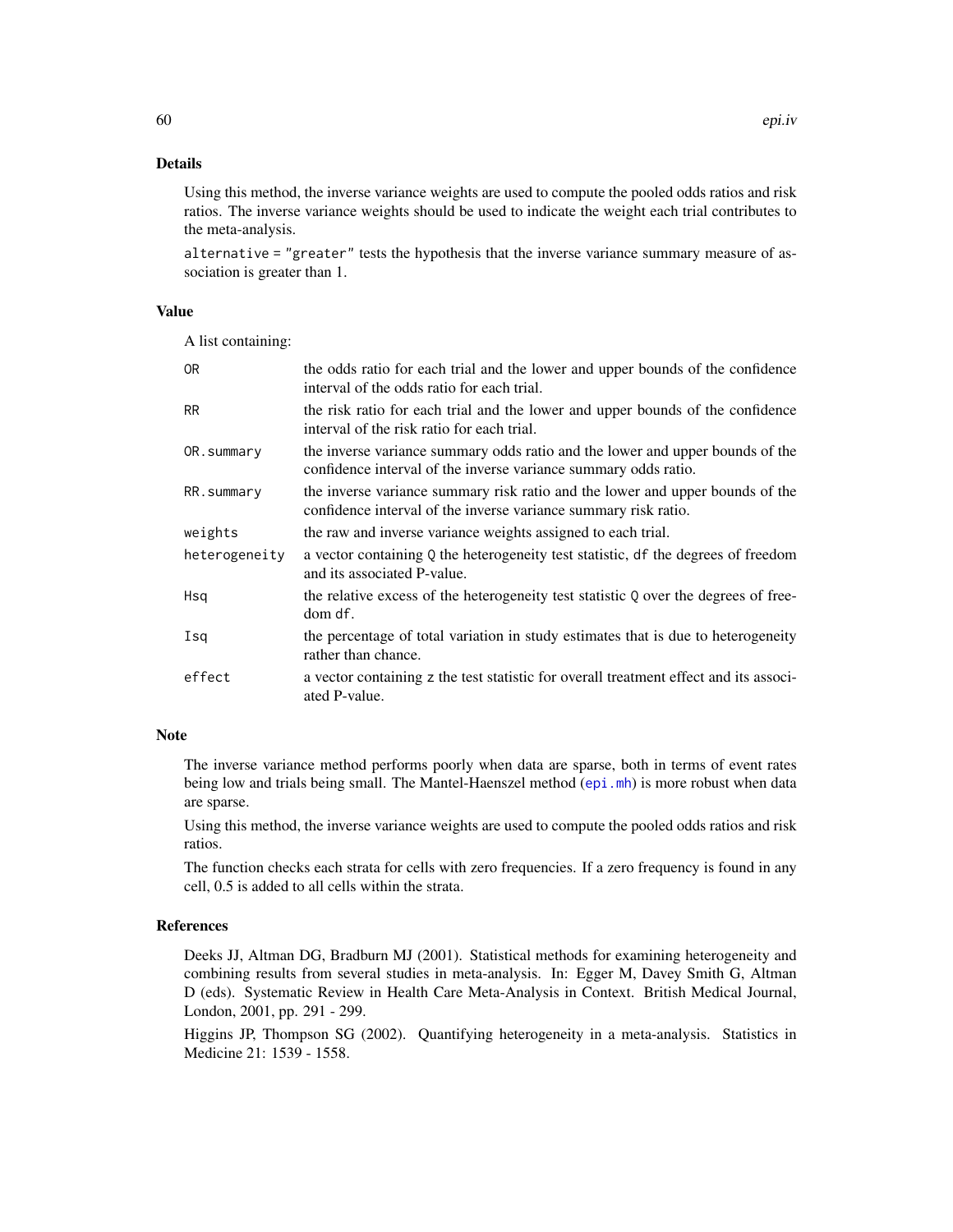# Details

Using this method, the inverse variance weights are used to compute the pooled odds ratios and risk ratios. The inverse variance weights should be used to indicate the weight each trial contributes to the meta-analysis.

alternative = "greater" tests the hypothesis that the inverse variance summary measure of association is greater than 1.

# Value

A list containing:

| 0R            | the odds ratio for each trial and the lower and upper bounds of the confidence<br>interval of the odds ratio for each trial.                     |
|---------------|--------------------------------------------------------------------------------------------------------------------------------------------------|
| <b>RR</b>     | the risk ratio for each trial and the lower and upper bounds of the confidence<br>interval of the risk ratio for each trial.                     |
| OR.summary    | the inverse variance summary odds ratio and the lower and upper bounds of the<br>confidence interval of the inverse variance summary odds ratio. |
| RR.summary    | the inverse variance summary risk ratio and the lower and upper bounds of the<br>confidence interval of the inverse variance summary risk ratio. |
| weights       | the raw and inverse variance weights assigned to each trial.                                                                                     |
| heterogeneity | a vector containing Q the heterogeneity test statistic, df the degrees of freedom<br>and its associated P-value.                                 |
| Hsq           | the relative excess of the heterogeneity test statistic Q over the degrees of free-<br>dom df.                                                   |
| Isa           | the percentage of total variation in study estimates that is due to heterogeneity<br>rather than chance.                                         |
| effect        | a vector containing z the test statistic for overall treatment effect and its associ-<br>ated P-value.                                           |

# Note

The inverse variance method performs poorly when data are sparse, both in terms of event rates being low and trials being small. The Mantel-Haenszel method ([epi.mh](#page-64-0)) is more robust when data are sparse.

Using this method, the inverse variance weights are used to compute the pooled odds ratios and risk ratios.

The function checks each strata for cells with zero frequencies. If a zero frequency is found in any cell, 0.5 is added to all cells within the strata.

# References

Deeks JJ, Altman DG, Bradburn MJ (2001). Statistical methods for examining heterogeneity and combining results from several studies in meta-analysis. In: Egger M, Davey Smith G, Altman D (eds). Systematic Review in Health Care Meta-Analysis in Context. British Medical Journal, London, 2001, pp. 291 - 299.

Higgins JP, Thompson SG (2002). Quantifying heterogeneity in a meta-analysis. Statistics in Medicine 21: 1539 - 1558.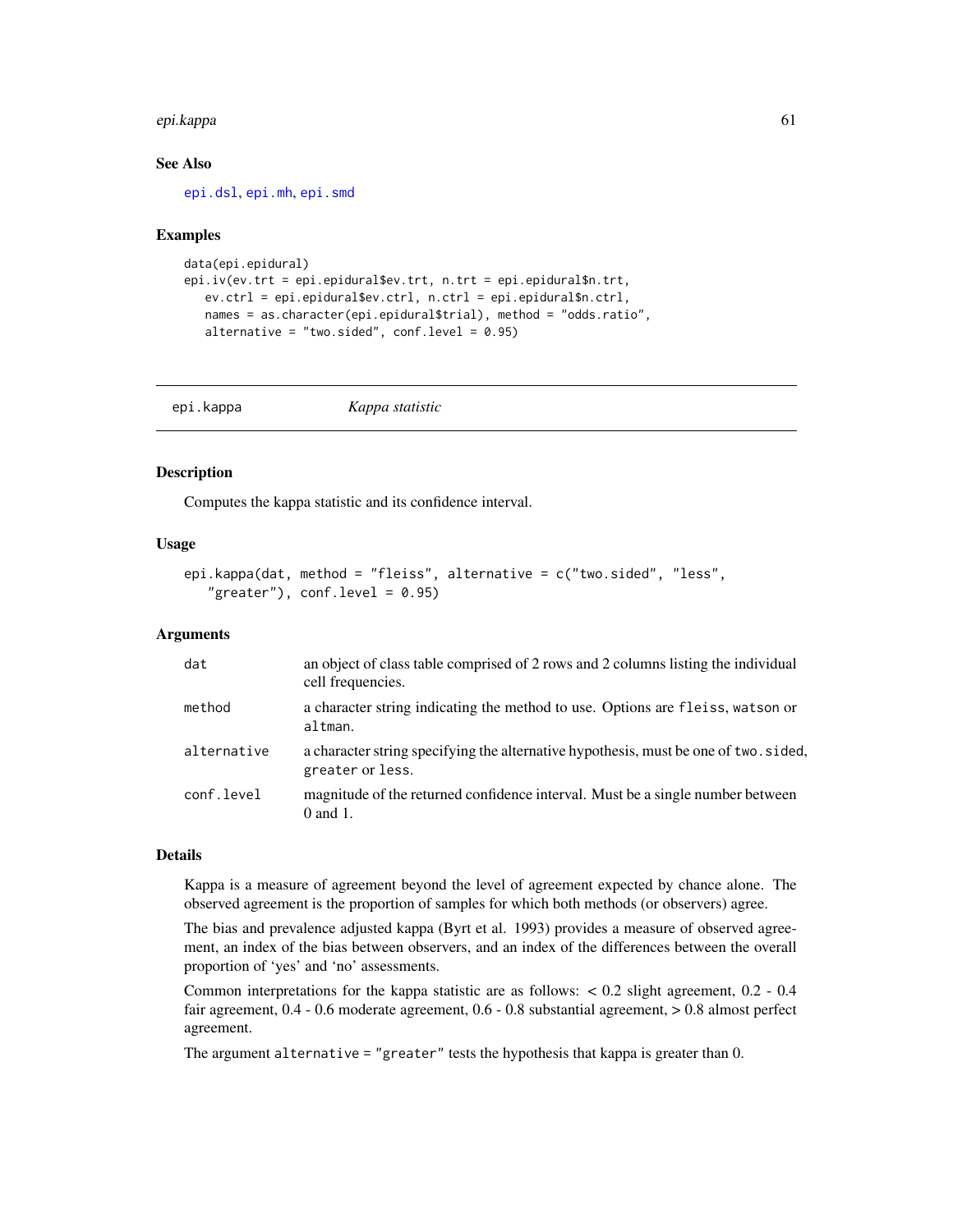#### epi.kappa 61

# See Also

[epi.dsl](#page-41-0), [epi.mh](#page-64-0), [epi.smd](#page-81-0)

## Examples

```
data(epi.epidural)
epi.iv(ev.trt = epi.epidural$ev.trt, n.trt = epi.epidural$n.trt,
  ev.ctrl = epi.epidural$ev.ctrl, n.ctrl = epi.epidural$n.ctrl,
  names = as.character(epi.epidural$trial), method = "odds.ratio",
  alternative = "two.sided", conf. level = 0.95)
```

| epi.kappa | Kappa statistic |  |
|-----------|-----------------|--|
|-----------|-----------------|--|

# Description

Computes the kappa statistic and its confidence interval.

## Usage

```
epi.kappa(dat, method = "fleiss", alternative = c("two.sided", "less",
   "greater"), conf<math>level = 0.95)
```
## Arguments

| dat         | an object of class table comprised of 2 rows and 2 columns listing the individual<br>cell frequencies.   |
|-------------|----------------------------------------------------------------------------------------------------------|
| method      | a character string indicating the method to use. Options are fleiss, watson or<br>altman.                |
| alternative | a character string specifying the alternative hypothesis, must be one of two. sided,<br>greater or less. |
| conf.level  | magnitude of the returned confidence interval. Must be a single number between<br>$0$ and $1$ .          |

# Details

Kappa is a measure of agreement beyond the level of agreement expected by chance alone. The observed agreement is the proportion of samples for which both methods (or observers) agree.

The bias and prevalence adjusted kappa (Byrt et al. 1993) provides a measure of observed agreement, an index of the bias between observers, and an index of the differences between the overall proportion of 'yes' and 'no' assessments.

Common interpretations for the kappa statistic are as follows: < 0.2 slight agreement, 0.2 - 0.4 fair agreement, 0.4 - 0.6 moderate agreement, 0.6 - 0.8 substantial agreement, > 0.8 almost perfect agreement.

The argument alternative = "greater" tests the hypothesis that kappa is greater than 0.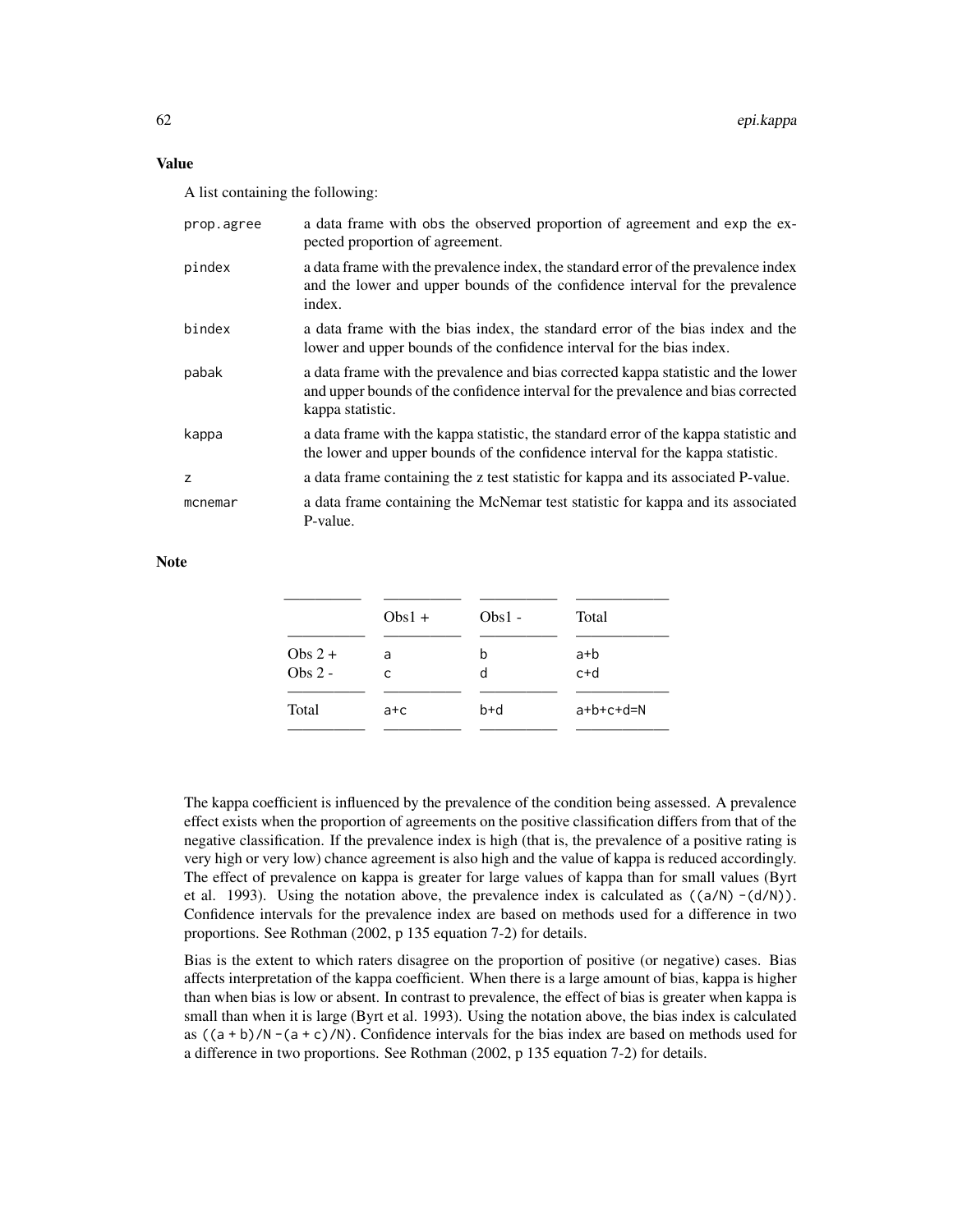# Value

A list containing the following:

| prop.agree | a data frame with obs the observed proportion of agreement and exp the ex-<br>pected proportion of agreement.                                                                              |
|------------|--------------------------------------------------------------------------------------------------------------------------------------------------------------------------------------------|
| pindex     | a data frame with the prevalence index, the standard error of the prevalence index<br>and the lower and upper bounds of the confidence interval for the prevalence<br>index.               |
| bindex     | a data frame with the bias index, the standard error of the bias index and the<br>lower and upper bounds of the confidence interval for the bias index.                                    |
| pabak      | a data frame with the prevalence and bias corrected kappa statistic and the lower<br>and upper bounds of the confidence interval for the prevalence and bias corrected<br>kappa statistic. |
| kappa      | a data frame with the kappa statistic, the standard error of the kappa statistic and<br>the lower and upper bounds of the confidence interval for the kappa statistic.                     |
| z          | a data frame containing the z test statistic for kappa and its associated P-value.                                                                                                         |
| mcnemar    | a data frame containing the McNemar test statistic for kappa and its associated<br>P-value.                                                                                                |

**Note** 

|                       | $Obs1 +$ | $Obs1 -$ | Total        |
|-----------------------|----------|----------|--------------|
| Obs $2 +$<br>$Obs2 -$ | a<br>C   | b<br>d   | a+b<br>$c+d$ |
| Total                 | a+c      | $b+d$    | $a+b+c+d=N$  |

The kappa coefficient is influenced by the prevalence of the condition being assessed. A prevalence effect exists when the proportion of agreements on the positive classification differs from that of the negative classification. If the prevalence index is high (that is, the prevalence of a positive rating is very high or very low) chance agreement is also high and the value of kappa is reduced accordingly. The effect of prevalence on kappa is greater for large values of kappa than for small values (Byrt et al. 1993). Using the notation above, the prevalence index is calculated as  $((a/N) - (d/N))$ . Confidence intervals for the prevalence index are based on methods used for a difference in two proportions. See Rothman (2002, p 135 equation 7-2) for details.

Bias is the extent to which raters disagree on the proportion of positive (or negative) cases. Bias affects interpretation of the kappa coefficient. When there is a large amount of bias, kappa is higher than when bias is low or absent. In contrast to prevalence, the effect of bias is greater when kappa is small than when it is large (Byrt et al. 1993). Using the notation above, the bias index is calculated as  $((a + b)/N - (a + c)/N)$ . Confidence intervals for the bias index are based on methods used for a difference in two proportions. See Rothman (2002, p 135 equation 7-2) for details.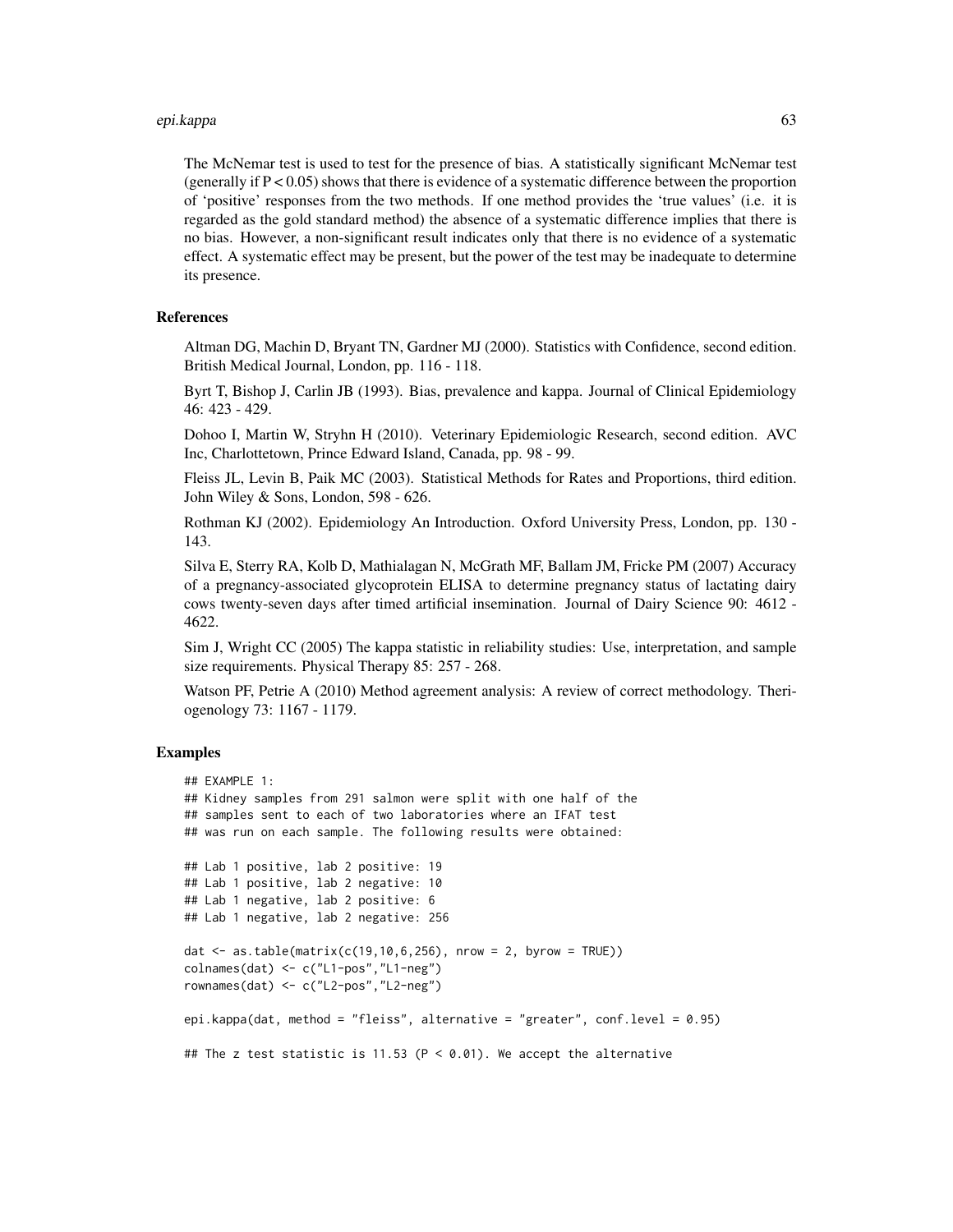#### epi.kappa 63

The McNemar test is used to test for the presence of bias. A statistically significant McNemar test (generally if  $P < 0.05$ ) shows that there is evidence of a systematic difference between the proportion of 'positive' responses from the two methods. If one method provides the 'true values' (i.e. it is regarded as the gold standard method) the absence of a systematic difference implies that there is no bias. However, a non-significant result indicates only that there is no evidence of a systematic effect. A systematic effect may be present, but the power of the test may be inadequate to determine its presence.

# References

Altman DG, Machin D, Bryant TN, Gardner MJ (2000). Statistics with Confidence, second edition. British Medical Journal, London, pp. 116 - 118.

Byrt T, Bishop J, Carlin JB (1993). Bias, prevalence and kappa. Journal of Clinical Epidemiology 46: 423 - 429.

Dohoo I, Martin W, Stryhn H (2010). Veterinary Epidemiologic Research, second edition. AVC Inc, Charlottetown, Prince Edward Island, Canada, pp. 98 - 99.

Fleiss JL, Levin B, Paik MC (2003). Statistical Methods for Rates and Proportions, third edition. John Wiley & Sons, London, 598 - 626.

Rothman KJ (2002). Epidemiology An Introduction. Oxford University Press, London, pp. 130 - 143.

Silva E, Sterry RA, Kolb D, Mathialagan N, McGrath MF, Ballam JM, Fricke PM (2007) Accuracy of a pregnancy-associated glycoprotein ELISA to determine pregnancy status of lactating dairy cows twenty-seven days after timed artificial insemination. Journal of Dairy Science 90: 4612 - 4622.

Sim J, Wright CC (2005) The kappa statistic in reliability studies: Use, interpretation, and sample size requirements. Physical Therapy 85: 257 - 268.

Watson PF, Petrie A (2010) Method agreement analysis: A review of correct methodology. Theriogenology 73: 1167 - 1179.

```
## EXAMPLE 1:
## Kidney samples from 291 salmon were split with one half of the
## samples sent to each of two laboratories where an IFAT test
## was run on each sample. The following results were obtained:
## Lab 1 positive, lab 2 positive: 19
## Lab 1 positive, lab 2 negative: 10
## Lab 1 negative, lab 2 positive: 6
## Lab 1 negative, lab 2 negative: 256
dat \leq as.table(matrix(c(19,10,6,256), nrow = 2, byrow = TRUE))
colnames(dat) <- c("L1-pos","L1-neg")
rownames(dat) <- c("L2-pos","L2-neg")
epi.kappa(dat, method = "fleiss", alternative = "greater", conf.level = 0.95)
## The z test statistic is 11.53 (P < 0.01). We accept the alternative
```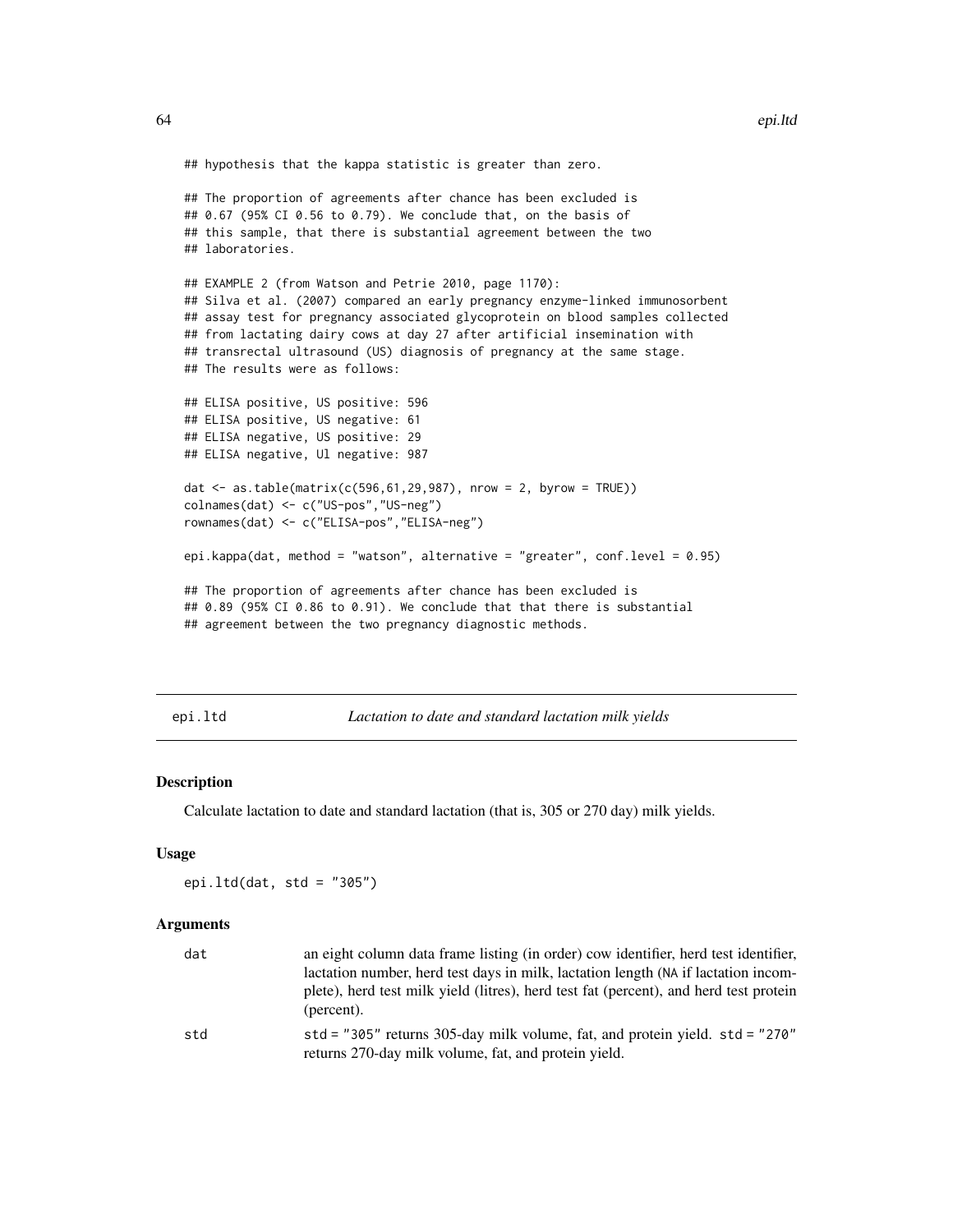```
## hypothesis that the kappa statistic is greater than zero.
## The proportion of agreements after chance has been excluded is
## 0.67 (95% CI 0.56 to 0.79). We conclude that, on the basis of
## this sample, that there is substantial agreement between the two
## laboratories.
## EXAMPLE 2 (from Watson and Petrie 2010, page 1170):
## Silva et al. (2007) compared an early pregnancy enzyme-linked immunosorbent
## assay test for pregnancy associated glycoprotein on blood samples collected
## from lactating dairy cows at day 27 after artificial insemination with
## transrectal ultrasound (US) diagnosis of pregnancy at the same stage.
## The results were as follows:
## ELISA positive, US positive: 596
## ELISA positive, US negative: 61
## ELISA negative, US positive: 29
## ELISA negative, Ul negative: 987
dat \leq as.table(matrix(c(596,61,29,987), nrow = 2, byrow = TRUE))
colnames(dat) <- c("US-pos","US-neg")
rownames(dat) <- c("ELISA-pos","ELISA-neg")
epi.kappa(dat, method = "watson", alternative = "greater", conf.level = 0.95)
## The proportion of agreements after chance has been excluded is
## 0.89 (95% CI 0.86 to 0.91). We conclude that that there is substantial
## agreement between the two pregnancy diagnostic methods.
```
epi.ltd *Lactation to date and standard lactation milk yields*

### Description

Calculate lactation to date and standard lactation (that is, 305 or 270 day) milk yields.

#### Usage

epi.ltd(dat, std =  $"305"$ )

#### Arguments

| dat | an eight column data frame listing (in order) cow identifier, herd test identifier,<br>lactation number, herd test days in milk, lactation length (NA if lactation incom- |
|-----|---------------------------------------------------------------------------------------------------------------------------------------------------------------------------|
|     | plete), herd test milk yield (litres), herd test fat (percent), and herd test protein<br>(percent).                                                                       |
| std | std = "305" returns 305-day milk volume, fat, and protein yield. $std = "270"$<br>returns 270-day milk volume, fat, and protein yield.                                    |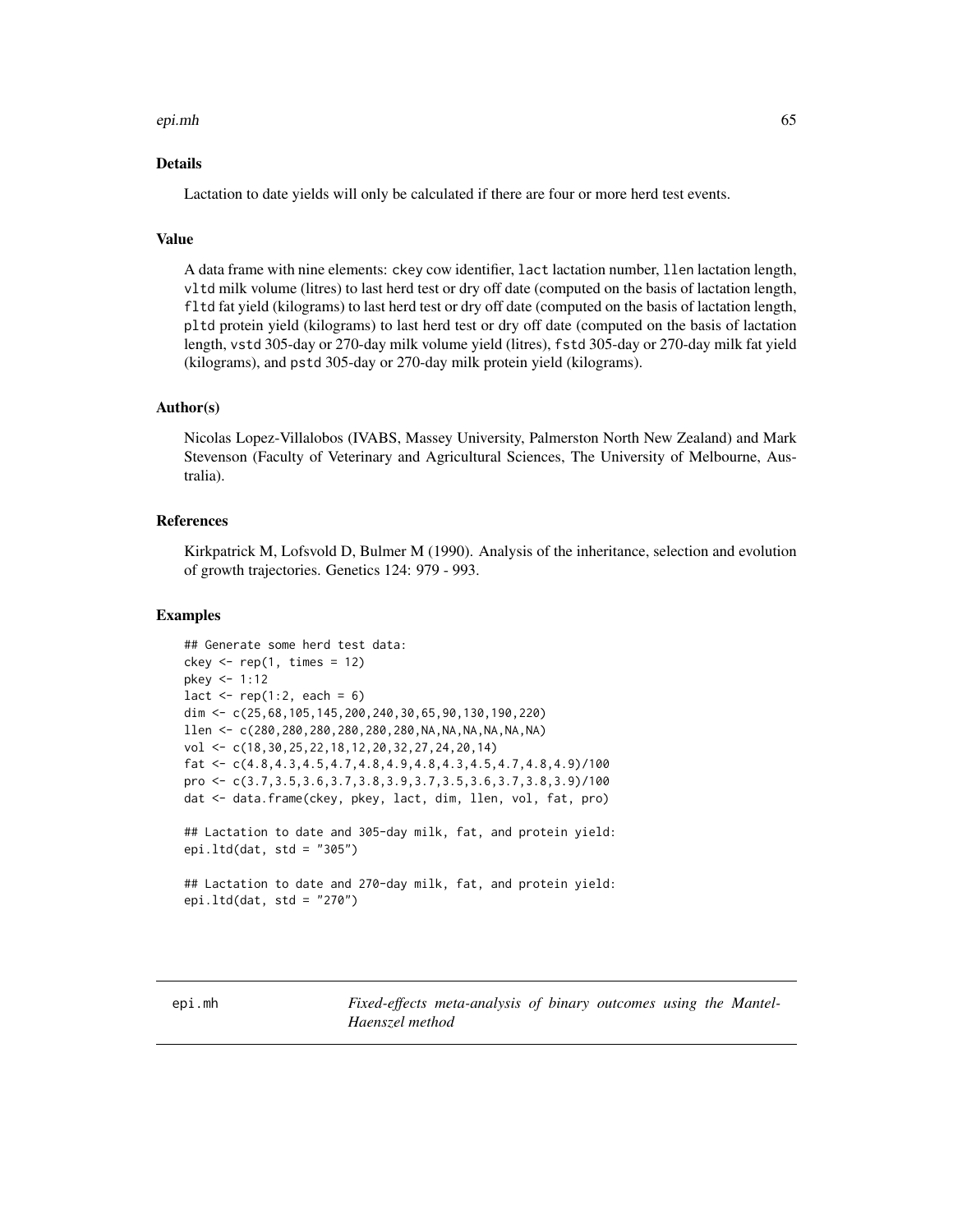#### epi.mh 65

## Details

Lactation to date yields will only be calculated if there are four or more herd test events.

# Value

A data frame with nine elements: ckey cow identifier, lact lactation number, llen lactation length, vltd milk volume (litres) to last herd test or dry off date (computed on the basis of lactation length, fltd fat yield (kilograms) to last herd test or dry off date (computed on the basis of lactation length, pltd protein yield (kilograms) to last herd test or dry off date (computed on the basis of lactation length, vstd 305-day or 270-day milk volume yield (litres), fstd 305-day or 270-day milk fat yield (kilograms), and pstd 305-day or 270-day milk protein yield (kilograms).

# Author(s)

Nicolas Lopez-Villalobos (IVABS, Massey University, Palmerston North New Zealand) and Mark Stevenson (Faculty of Veterinary and Agricultural Sciences, The University of Melbourne, Australia).

# References

Kirkpatrick M, Lofsvold D, Bulmer M (1990). Analysis of the inheritance, selection and evolution of growth trajectories. Genetics 124: 979 - 993.

## Examples

```
## Generate some herd test data:
ckey \leq rep(1, times = 12)
pkey <- 1:12
lact \leq rep(1:2, each = 6)
dim <- c(25,68,105,145,200,240,30,65,90,130,190,220)
llen < c(280, 280, 280, 280, 280, 280, 280, NA, NA, NA, NA, NA)vol <- c(18,30,25,22,18,12,20,32,27,24,20,14)
fat \leq c(4.8, 4.3, 4.5, 4.7, 4.8, 4.9, 4.8, 4.3, 4.5, 4.7, 4.8, 4.9)/100
pro <- c(3.7,3.5,3.6,3.7,3.8,3.9,3.7,3.5,3.6,3.7,3.8,3.9)/100
dat <- data.frame(ckey, pkey, lact, dim, llen, vol, fat, pro)
## Lactation to date and 305-day milk, fat, and protein yield:
epi.ltd(dat, std = "305")## Lactation to date and 270-day milk, fat, and protein yield:
epi.ltd(dat, std = "270")
```
<span id="page-64-0"></span>epi.mh *Fixed-effects meta-analysis of binary outcomes using the Mantel-Haenszel method*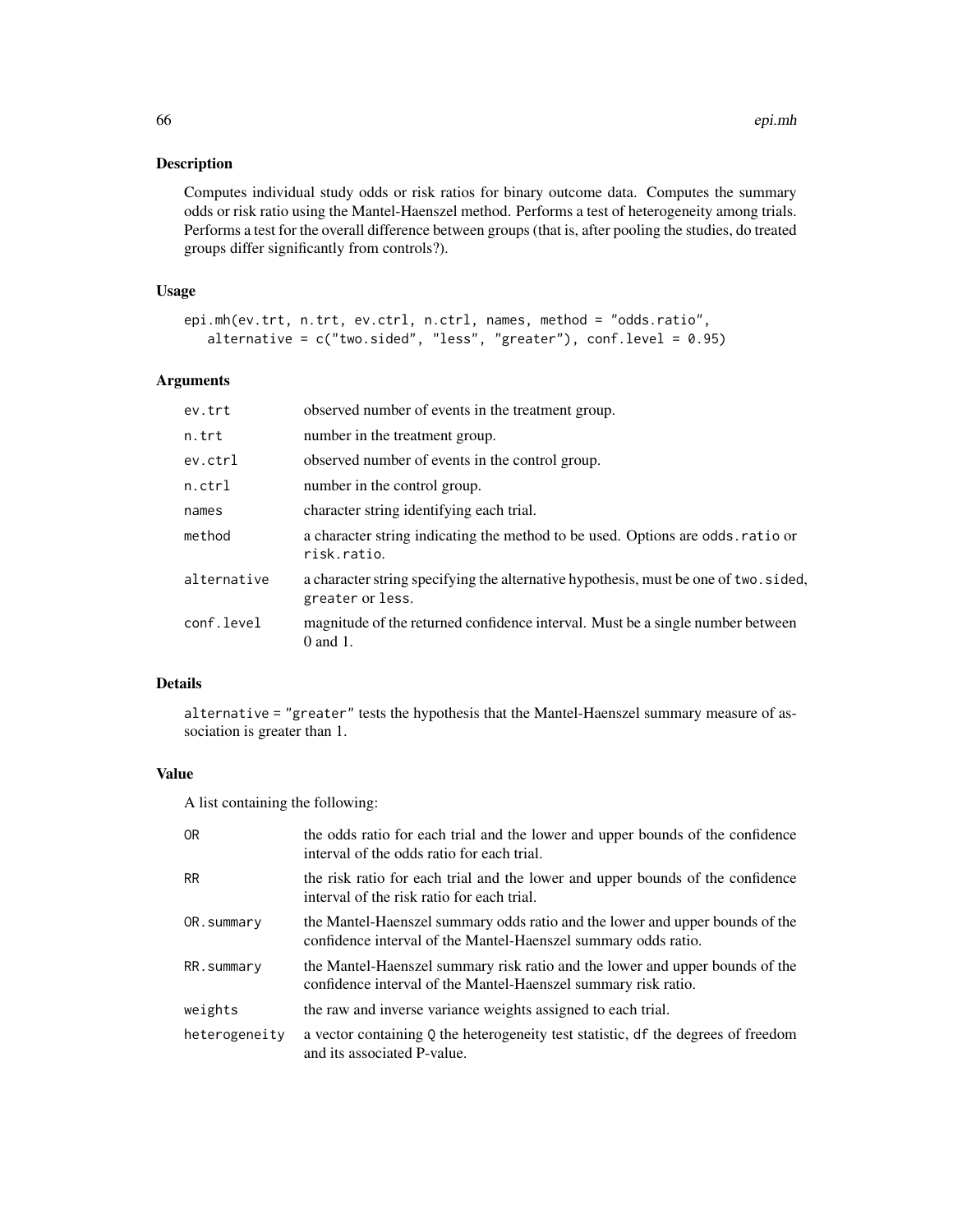Computes individual study odds or risk ratios for binary outcome data. Computes the summary odds or risk ratio using the Mantel-Haenszel method. Performs a test of heterogeneity among trials. Performs a test for the overall difference between groups (that is, after pooling the studies, do treated groups differ significantly from controls?).

# Usage

```
epi.mh(ev.trt, n.trt, ev.ctrl, n.ctrl, names, method = "odds.ratio",
   alternative = c("two.sided", "less", "greater"), conf.level = 0.95)
```
### Arguments

| ev.trt      | observed number of events in the treatment group.                                                        |
|-------------|----------------------------------------------------------------------------------------------------------|
| n.trt       | number in the treatment group.                                                                           |
| ev.ctrl     | observed number of events in the control group.                                                          |
| $n.$ ctrl   | number in the control group.                                                                             |
| names       | character string identifying each trial.                                                                 |
| method      | a character string indicating the method to be used. Options are odds ratio or<br>risk.ratio.            |
| alternative | a character string specifying the alternative hypothesis, must be one of two. sided,<br>greater or less. |
| conf.level  | magnitude of the returned confidence interval. Must be a single number between<br>$0$ and $1$ .          |

## Details

alternative = "greater" tests the hypothesis that the Mantel-Haenszel summary measure of association is greater than 1.

# Value

A list containing the following:

| 0 <sub>R</sub> | the odds ratio for each trial and the lower and upper bounds of the confidence<br>interval of the odds ratio for each trial.                   |
|----------------|------------------------------------------------------------------------------------------------------------------------------------------------|
| <b>RR</b>      | the risk ratio for each trial and the lower and upper bounds of the confidence<br>interval of the risk ratio for each trial.                   |
| OR.summary     | the Mantel-Haenszel summary odds ratio and the lower and upper bounds of the<br>confidence interval of the Mantel-Haenszel summary odds ratio. |
| RR.summary     | the Mantel-Haenszel summary risk ratio and the lower and upper bounds of the<br>confidence interval of the Mantel-Haenszel summary risk ratio. |
| weights        | the raw and inverse variance weights assigned to each trial.                                                                                   |
| heterogeneity  | a vector containing Q the heterogeneity test statistic, df the degrees of freedom<br>and its associated P-value.                               |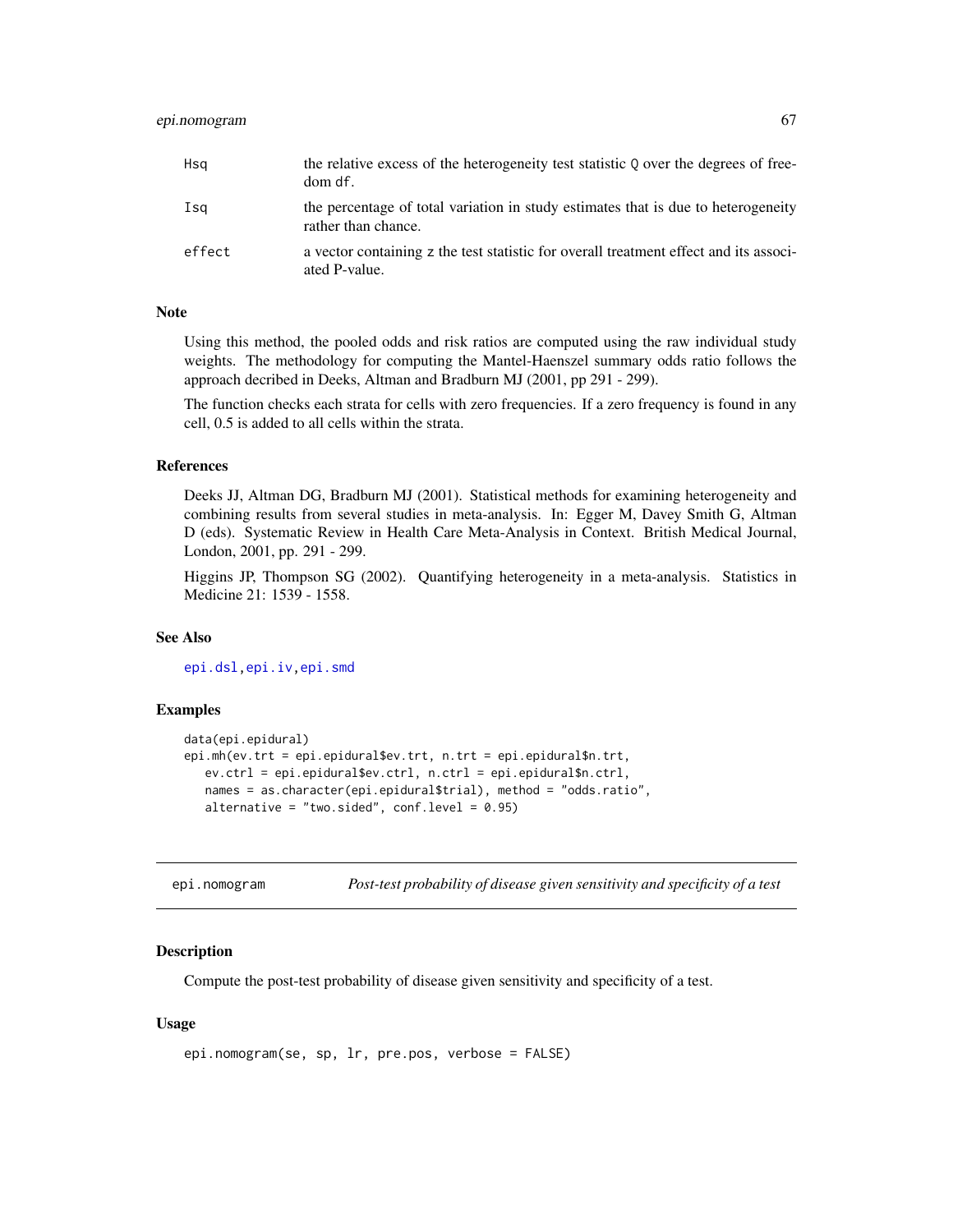| Hsa    | the relative excess of the heterogeneity test statistic Q over the degrees of free-<br>dom df.           |
|--------|----------------------------------------------------------------------------------------------------------|
| Isa    | the percentage of total variation in study estimates that is due to heterogeneity<br>rather than chance. |
| effect | a vector containing z the test statistic for overall treatment effect and its associ-<br>ated P-value.   |

## **Note**

Using this method, the pooled odds and risk ratios are computed using the raw individual study weights. The methodology for computing the Mantel-Haenszel summary odds ratio follows the approach decribed in Deeks, Altman and Bradburn MJ (2001, pp 291 - 299).

The function checks each strata for cells with zero frequencies. If a zero frequency is found in any cell, 0.5 is added to all cells within the strata.

#### References

Deeks JJ, Altman DG, Bradburn MJ (2001). Statistical methods for examining heterogeneity and combining results from several studies in meta-analysis. In: Egger M, Davey Smith G, Altman D (eds). Systematic Review in Health Care Meta-Analysis in Context. British Medical Journal, London, 2001, pp. 291 - 299.

Higgins JP, Thompson SG (2002). Quantifying heterogeneity in a meta-analysis. Statistics in Medicine 21: 1539 - 1558.

# See Also

[epi.dsl](#page-41-0)[,epi.iv](#page-58-0)[,epi.smd](#page-81-0)

#### Examples

```
data(epi.epidural)
epi.mh(ev.trt = epi.epidural$ev.trt, n.trt = epi.epidural$n.trt,
  ev.ctrl = epi.epidural$ev.ctrl, n.ctrl = epi.epidural$n.ctrl,
  names = as.character(epi.epidural$trial), method = "odds.ratio",
  alternative = "two.sided", conf. level = 0.95)
```
epi.nomogram *Post-test probability of disease given sensitivity and specificity of a test*

## **Description**

Compute the post-test probability of disease given sensitivity and specificity of a test.

# Usage

```
epi.nomogram(se, sp, lr, pre.pos, verbose = FALSE)
```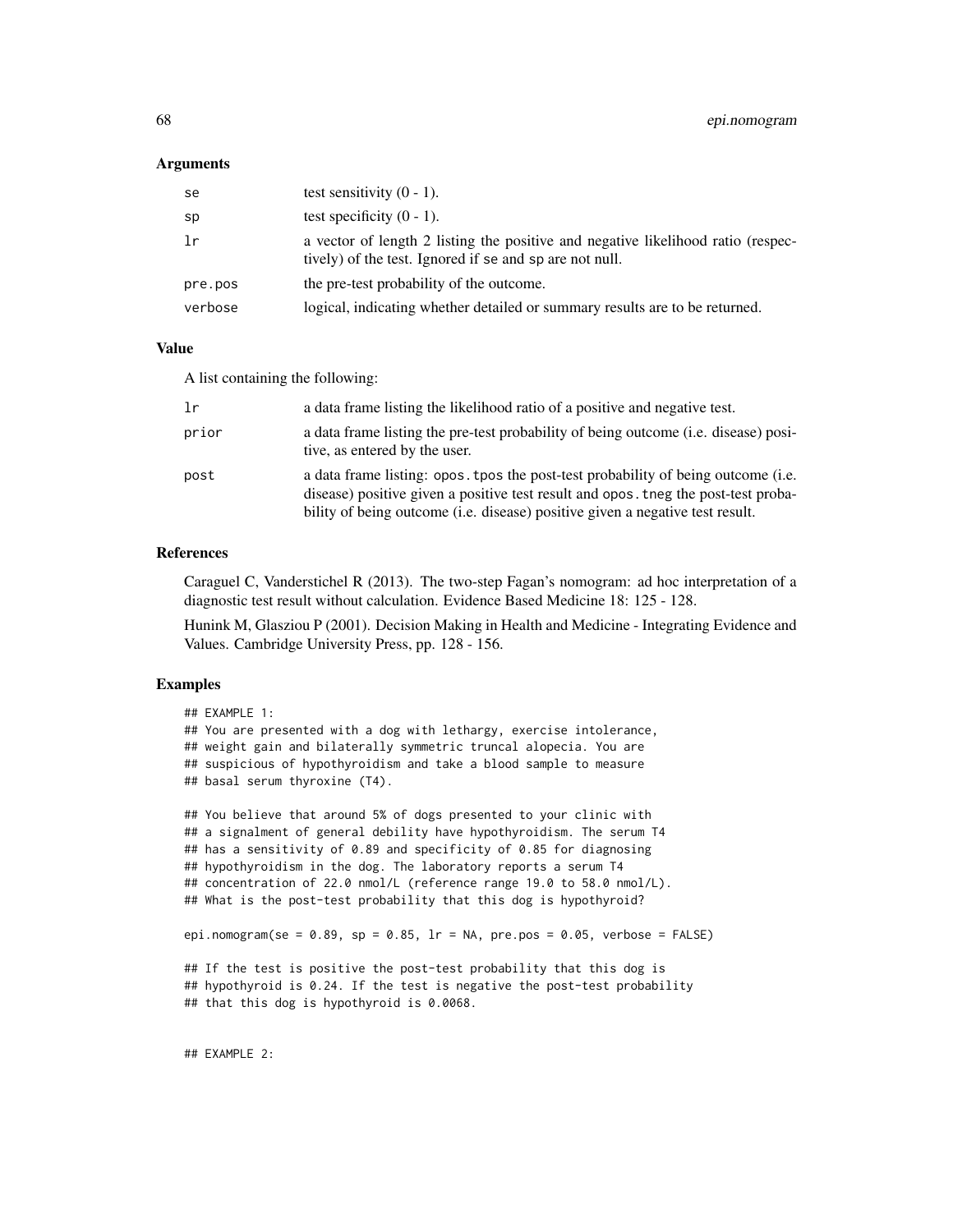#### Arguments

| se      | test sensitivity $(0 - 1)$ .                                                                                                                |
|---------|---------------------------------------------------------------------------------------------------------------------------------------------|
| sp      | test specificity $(0 - 1)$ .                                                                                                                |
| 1r      | a vector of length 2 listing the positive and negative likelihood ratio (respec-<br>tively) of the test. Ignored if se and sp are not null. |
| pre.pos | the pre-test probability of the outcome.                                                                                                    |
| verbose | logical, indicating whether detailed or summary results are to be returned.                                                                 |

#### Value

A list containing the following:

| 1r    | a data frame listing the likelihood ratio of a positive and negative test.                                                                                                                                                                               |
|-------|----------------------------------------------------------------------------------------------------------------------------------------------------------------------------------------------------------------------------------------------------------|
| prior | a data frame listing the pre-test probability of being outcome (i.e. disease) posi-<br>tive, as entered by the user.                                                                                                                                     |
| post  | a data frame listing: opos. tpos the post-test probability of being outcome (i.e.<br>disease) positive given a positive test result and opos, they the post-test proba-<br>bility of being outcome (i.e. disease) positive given a negative test result. |

## References

Caraguel C, Vanderstichel R (2013). The two-step Fagan's nomogram: ad hoc interpretation of a diagnostic test result without calculation. Evidence Based Medicine 18: 125 - 128.

Hunink M, Glasziou P (2001). Decision Making in Health and Medicine - Integrating Evidence and Values. Cambridge University Press, pp. 128 - 156.

### Examples

```
## EXAMPLE 1:
## You are presented with a dog with lethargy, exercise intolerance,
## weight gain and bilaterally symmetric truncal alopecia. You are
## suspicious of hypothyroidism and take a blood sample to measure
## basal serum thyroxine (T4).
## You believe that around 5% of dogs presented to your clinic with
## a signalment of general debility have hypothyroidism. The serum T4
## has a sensitivity of 0.89 and specificity of 0.85 for diagnosing
## hypothyroidism in the dog. The laboratory reports a serum T4
## concentration of 22.0 nmol/L (reference range 19.0 to 58.0 nmol/L).
## What is the post-test probability that this dog is hypothyroid?
epi.nomogram(se = 0.89, sp = 0.85, lr = NA, pre.pos = 0.05, verbose = FALSE)
## If the test is positive the post-test probability that this dog is
## hypothyroid is 0.24. If the test is negative the post-test probability
## that this dog is hypothyroid is 0.0068.
```
## EXAMPLE 2: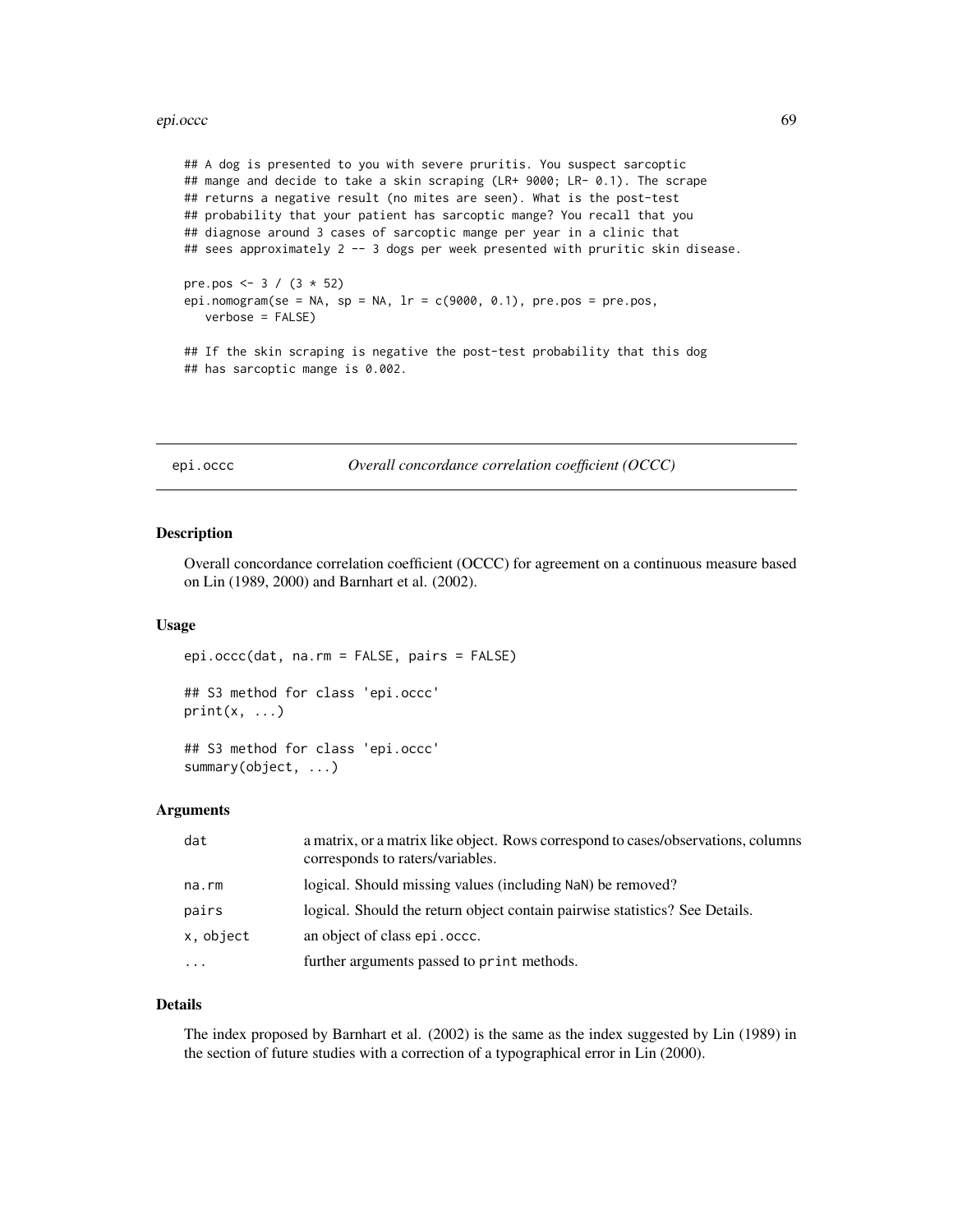#### epi.occc 69

## A dog is presented to you with severe pruritis. You suspect sarcoptic ## mange and decide to take a skin scraping (LR+ 9000; LR- 0.1). The scrape ## returns a negative result (no mites are seen). What is the post-test ## probability that your patient has sarcoptic mange? You recall that you ## diagnose around 3 cases of sarcoptic mange per year in a clinic that ## sees approximately 2 -- 3 dogs per week presented with pruritic skin disease. pre.pos <-  $3 / (3 * 52)$ epi.nomogram(se = NA, sp = NA,  $lr = c(9000, 0.1)$ , pre.pos = pre.pos, verbose = FALSE) ## If the skin scraping is negative the post-test probability that this dog ## has sarcoptic mange is 0.002.

epi.occc *Overall concordance correlation coefficient (OCCC)*

#### Description

Overall concordance correlation coefficient (OCCC) for agreement on a continuous measure based on Lin (1989, 2000) and Barnhart et al. (2002).

#### Usage

epi.occc(dat, na.rm = FALSE, pairs = FALSE)

## S3 method for class 'epi.occc'  $print(x, \ldots)$ 

## S3 method for class 'epi.occc' summary(object, ...)

## Arguments

| dat               | a matrix, or a matrix like object. Rows correspond to cases/observations, columns<br>corresponds to raters/variables. |
|-------------------|-----------------------------------------------------------------------------------------------------------------------|
| na.rm             | logical. Should missing values (including NaN) be removed?                                                            |
| pairs             | logical. Should the return object contain pairwise statistics? See Details.                                           |
| x, object         | an object of class epi. occc.                                                                                         |
| $\cdot\cdot\cdot$ | further arguments passed to print methods.                                                                            |

## Details

The index proposed by Barnhart et al. (2002) is the same as the index suggested by Lin (1989) in the section of future studies with a correction of a typographical error in Lin (2000).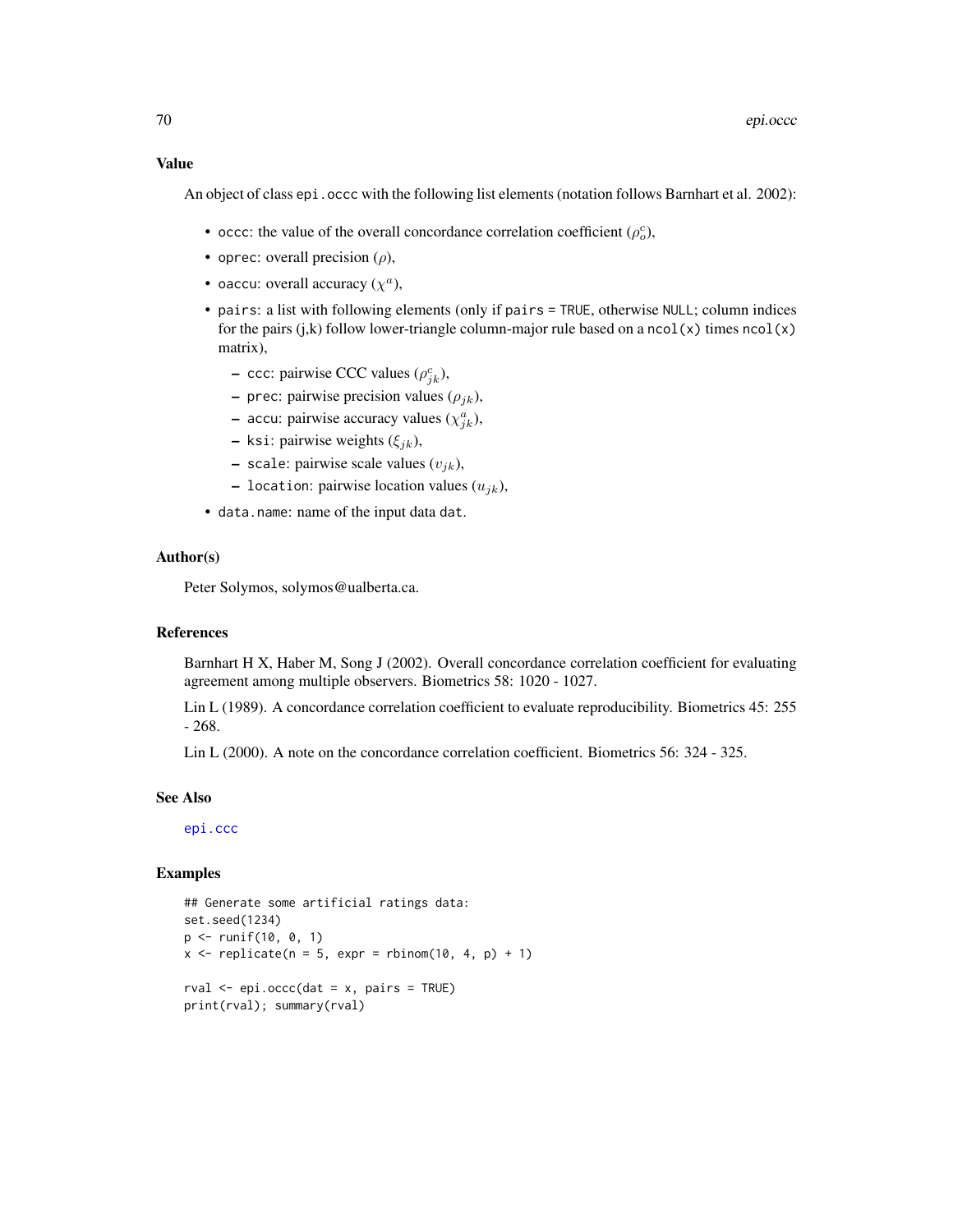An object of class epi. occc with the following list elements (notation follows Barnhart et al. 2002):

- occc: the value of the overall concordance correlation coefficient  $(\rho_o^c)$ ,
- oprec: overall precision  $(\rho)$ ,
- oaccu: overall accuracy  $(\chi^a)$ ,
- pairs: a list with following elements (only if pairs = TRUE, otherwise NULL; column indices for the pairs (j,k) follow lower-triangle column-major rule based on a ncol(x) times  $ncol(x)$ matrix),
	- $\sim$  ccc: pairwise CCC values ( $\rho_{jk}^c$ ),
	- prec: pairwise precision values  $(\rho_{ik})$ ,
	- accu: pairwise accuracy values  $(\chi^a_{jk})$ ,
	- ksi: pairwise weights  $(\xi_{jk})$ ,
	- scale: pairwise scale values  $(v_{ik})$ ,
	- location: pairwise location values  $(u_{jk})$ ,
- data.name: name of the input data dat.

## Author(s)

Peter Solymos, solymos@ualberta.ca.

# References

Barnhart H X, Haber M, Song J (2002). Overall concordance correlation coefficient for evaluating agreement among multiple observers. Biometrics 58: 1020 - 1027.

Lin L (1989). A concordance correlation coefficient to evaluate reproducibility. Biometrics 45: 255 - 268.

Lin L (2000). A note on the concordance correlation coefficient. Biometrics 56: 324 - 325.

# See Also

[epi.ccc](#page-22-0)

```
## Generate some artificial ratings data:
set.seed(1234)
p <- runif(10, 0, 1)
x \le replicate(n = 5, expr = rbinom(10, 4, p) + 1)
rval \leq epi.occc(dat = x, pairs = TRUE)
print(rval); summary(rval)
```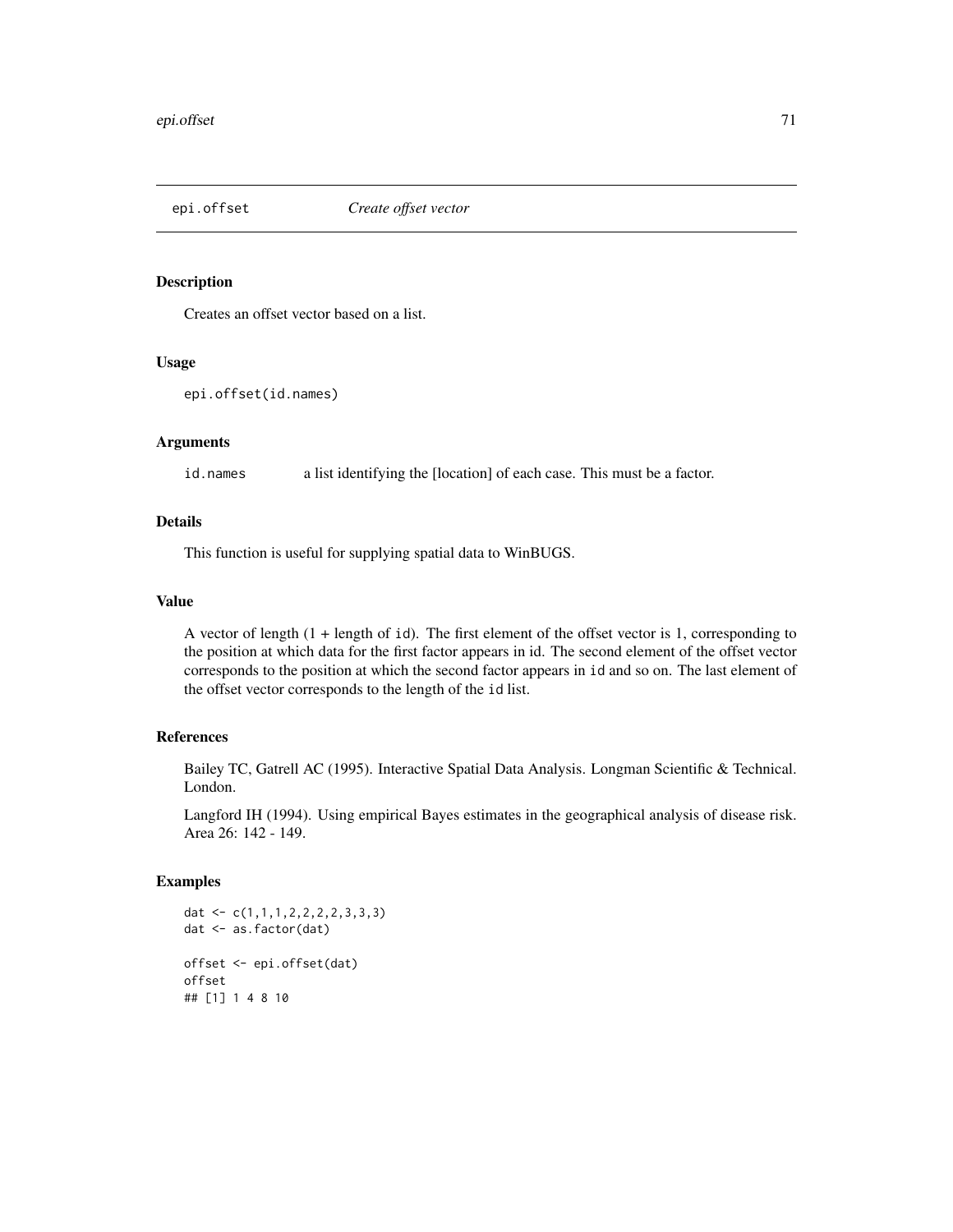Creates an offset vector based on a list.

#### Usage

```
epi.offset(id.names)
```
# Arguments

id.names a list identifying the [location] of each case. This must be a factor.

# Details

This function is useful for supplying spatial data to WinBUGS.

# Value

A vector of length (1 + length of id). The first element of the offset vector is 1, corresponding to the position at which data for the first factor appears in id. The second element of the offset vector corresponds to the position at which the second factor appears in id and so on. The last element of the offset vector corresponds to the length of the id list.

# References

Bailey TC, Gatrell AC (1995). Interactive Spatial Data Analysis. Longman Scientific & Technical. London.

Langford IH (1994). Using empirical Bayes estimates in the geographical analysis of disease risk. Area 26: 142 - 149.

```
dat <- c(1,1,1,2,2,2,2,3,3,3)
dat <- as.factor(dat)
offset <- epi.offset(dat)
offset
## [1] 1 4 8 10
```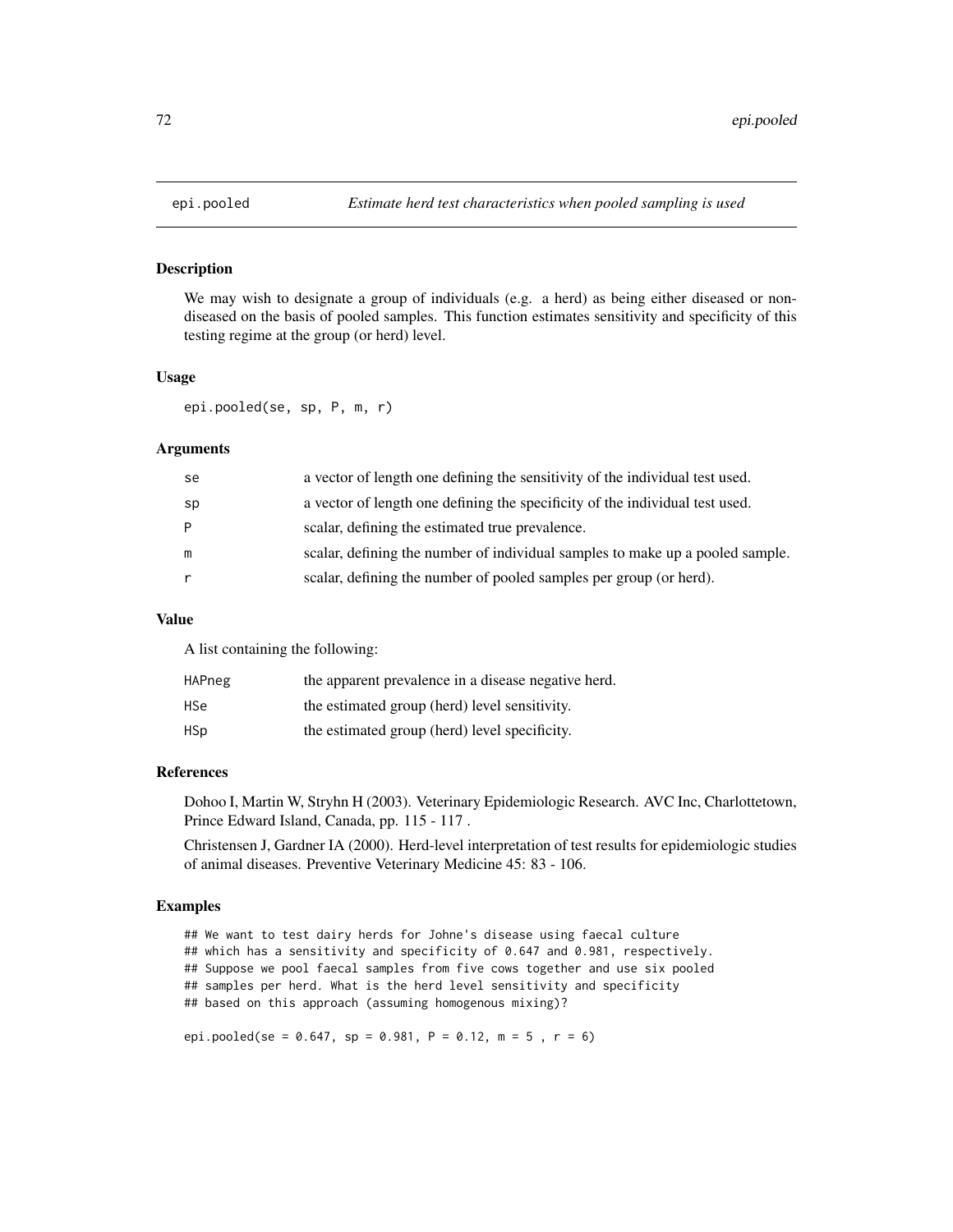We may wish to designate a group of individuals (e.g. a herd) as being either diseased or nondiseased on the basis of pooled samples. This function estimates sensitivity and specificity of this testing regime at the group (or herd) level.

## Usage

epi.pooled(se, sp, P, m, r)

## Arguments

| se | a vector of length one defining the sensitivity of the individual test used.  |
|----|-------------------------------------------------------------------------------|
| sp | a vector of length one defining the specificity of the individual test used.  |
| P  | scalar, defining the estimated true prevalence.                               |
| m  | scalar, defining the number of individual samples to make up a pooled sample. |
|    | scalar, defining the number of pooled samples per group (or herd).            |

## Value

A list containing the following:

| <b>HAPneg</b> | the apparent prevalence in a disease negative herd. |
|---------------|-----------------------------------------------------|
| HSe           | the estimated group (herd) level sensitivity.       |
| HSp           | the estimated group (herd) level specificity.       |

# References

Dohoo I, Martin W, Stryhn H (2003). Veterinary Epidemiologic Research. AVC Inc, Charlottetown, Prince Edward Island, Canada, pp. 115 - 117 .

Christensen J, Gardner IA (2000). Herd-level interpretation of test results for epidemiologic studies of animal diseases. Preventive Veterinary Medicine 45: 83 - 106.

# Examples

## We want to test dairy herds for Johne's disease using faecal culture ## which has a sensitivity and specificity of 0.647 and 0.981, respectively. ## Suppose we pool faecal samples from five cows together and use six pooled ## samples per herd. What is the herd level sensitivity and specificity ## based on this approach (assuming homogenous mixing)?

epi.pooled(se = 0.647, sp = 0.981, P = 0.12, m = 5, r = 6)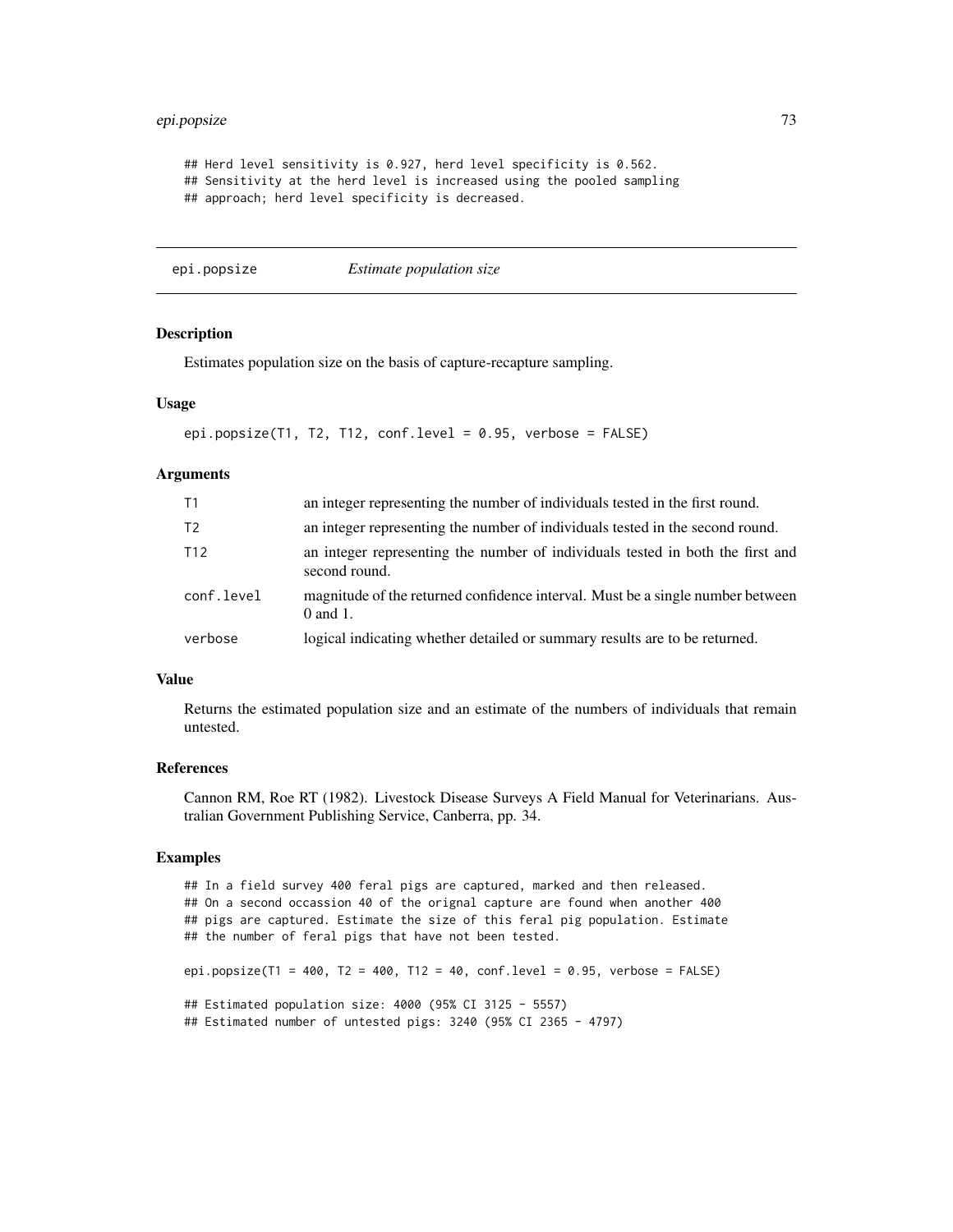# epi.popsize 73

```
## Herd level sensitivity is 0.927, herd level specificity is 0.562.
## Sensitivity at the herd level is increased using the pooled sampling
## approach; herd level specificity is decreased.
```
epi.popsize *Estimate population size*

# **Description**

Estimates population size on the basis of capture-recapture sampling.

# Usage

```
epi.popsize(T1, T2, T12, conf.level = 0.95, verbose = FALSE)
```
## Arguments

| T1              | an integer representing the number of individuals tested in the first round.                    |
|-----------------|-------------------------------------------------------------------------------------------------|
| T <sub>2</sub>  | an integer representing the number of individuals tested in the second round.                   |
| T <sub>12</sub> | an integer representing the number of individuals tested in both the first and<br>second round. |
| conf.level      | magnitude of the returned confidence interval. Must be a single number between<br>$0$ and $1$ . |
| verbose         | logical indicating whether detailed or summary results are to be returned.                      |

#### Value

Returns the estimated population size and an estimate of the numbers of individuals that remain untested.

# References

Cannon RM, Roe RT (1982). Livestock Disease Surveys A Field Manual for Veterinarians. Australian Government Publishing Service, Canberra, pp. 34.

# Examples

```
## In a field survey 400 feral pigs are captured, marked and then released.
## On a second occassion 40 of the orignal capture are found when another 400
## pigs are captured. Estimate the size of this feral pig population. Estimate
## the number of feral pigs that have not been tested.
epi.popsize(T1 = 400, T2 = 400, T12 = 40, conf.level = 0.95, verbose = FALSE)
## Estimated population size: 4000 (95% CI 3125 - 5557)
## Estimated number of untested pigs: 3240 (95% CI 2365 - 4797)
```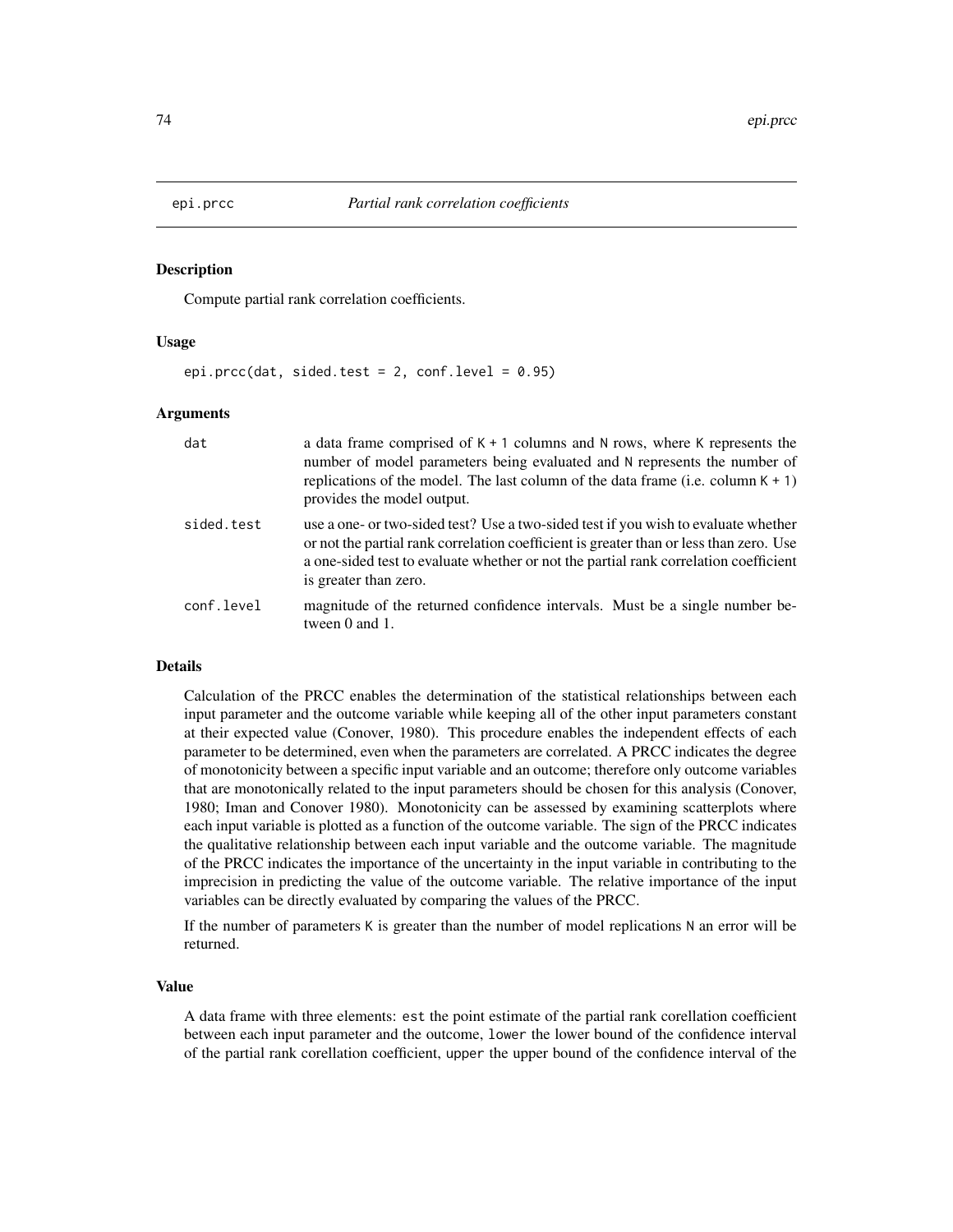## Description

Compute partial rank correlation coefficients.

# Usage

epi.prcc(dat, sided.test = 2, conf.level =  $0.95$ )

## Arguments

| dat        | a data frame comprised of $K + 1$ columns and N rows, where K represents the<br>number of model parameters being evaluated and N represents the number of<br>replications of the model. The last column of the data frame (i.e. column $K + 1$ )<br>provides the model output.                |
|------------|-----------------------------------------------------------------------------------------------------------------------------------------------------------------------------------------------------------------------------------------------------------------------------------------------|
| sided.test | use a one- or two-sided test? Use a two-sided test if you wish to evaluate whether<br>or not the partial rank correlation coefficient is greater than or less than zero. Use<br>a one-sided test to evaluate whether or not the partial rank correlation coefficient<br>is greater than zero. |
| conf.level | magnitude of the returned confidence intervals. Must be a single number be-<br>tween 0 and 1.                                                                                                                                                                                                 |

# Details

Calculation of the PRCC enables the determination of the statistical relationships between each input parameter and the outcome variable while keeping all of the other input parameters constant at their expected value (Conover, 1980). This procedure enables the independent effects of each parameter to be determined, even when the parameters are correlated. A PRCC indicates the degree of monotonicity between a specific input variable and an outcome; therefore only outcome variables that are monotonically related to the input parameters should be chosen for this analysis (Conover, 1980; Iman and Conover 1980). Monotonicity can be assessed by examining scatterplots where each input variable is plotted as a function of the outcome variable. The sign of the PRCC indicates the qualitative relationship between each input variable and the outcome variable. The magnitude of the PRCC indicates the importance of the uncertainty in the input variable in contributing to the imprecision in predicting the value of the outcome variable. The relative importance of the input variables can be directly evaluated by comparing the values of the PRCC.

If the number of parameters K is greater than the number of model replications N an error will be returned.

## Value

A data frame with three elements: est the point estimate of the partial rank corellation coefficient between each input parameter and the outcome, lower the lower bound of the confidence interval of the partial rank corellation coefficient, upper the upper bound of the confidence interval of the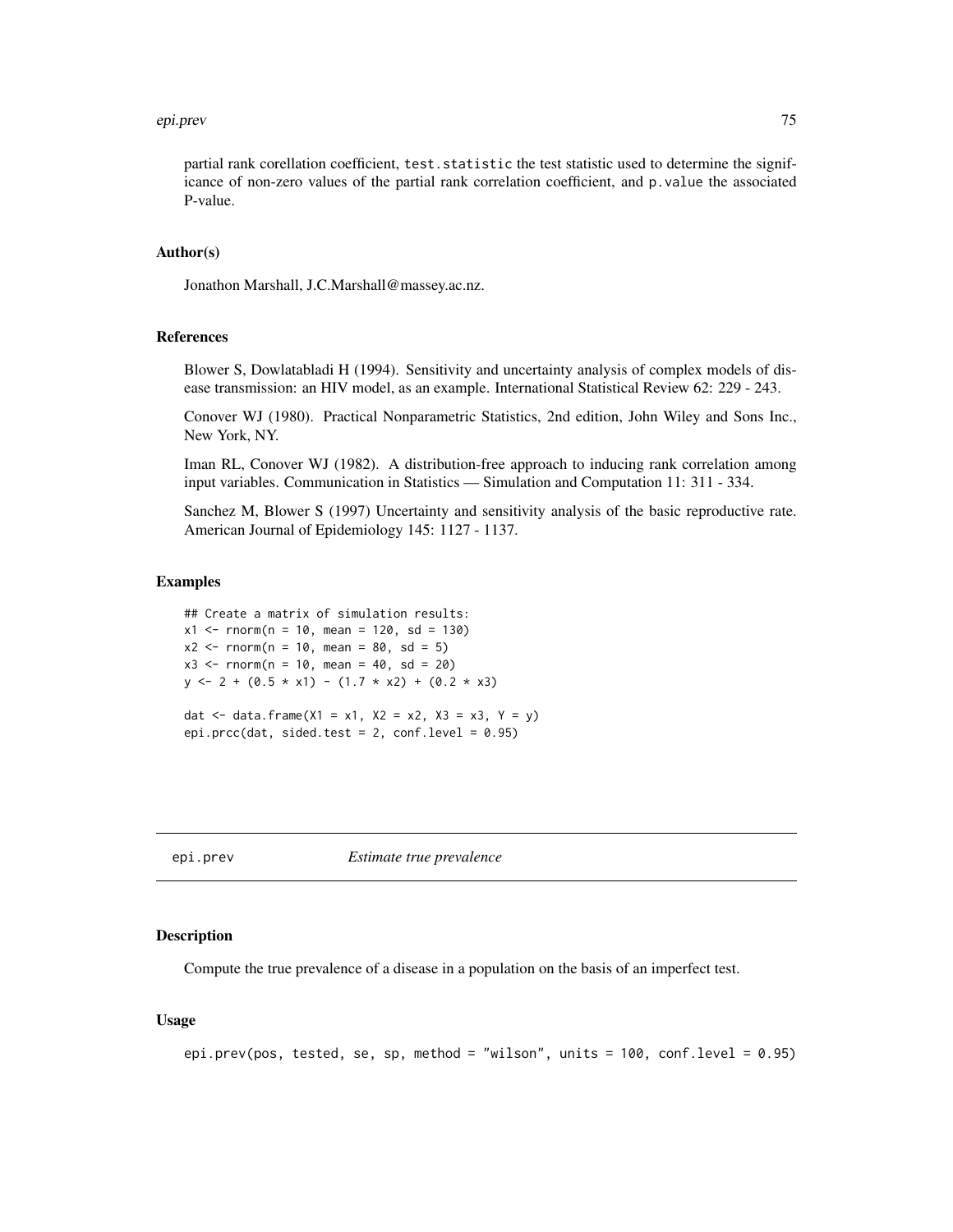#### epi.prev 75

partial rank corellation coefficient, test. statistic the test statistic used to determine the significance of non-zero values of the partial rank correlation coefficient, and p.value the associated P-value.

# Author(s)

Jonathon Marshall, J.C.Marshall@massey.ac.nz.

#### References

Blower S, Dowlatabladi H (1994). Sensitivity and uncertainty analysis of complex models of disease transmission: an HIV model, as an example. International Statistical Review 62: 229 - 243.

Conover WJ (1980). Practical Nonparametric Statistics, 2nd edition, John Wiley and Sons Inc., New York, NY.

Iman RL, Conover WJ (1982). A distribution-free approach to inducing rank correlation among input variables. Communication in Statistics — Simulation and Computation 11: 311 - 334.

Sanchez M, Blower S (1997) Uncertainty and sensitivity analysis of the basic reproductive rate. American Journal of Epidemiology 145: 1127 - 1137.

#### Examples

## Create a matrix of simulation results:  $x1 \le -$  rnorm(n = 10, mean = 120, sd = 130)  $x2 \le -$  rnorm(n = 10, mean = 80, sd = 5)  $x3 \le -$  rnorm(n = 10, mean = 40, sd = 20)  $y \le -2 + (0.5 \times x1) - (1.7 \times x2) + (0.2 \times x3)$ dat <- data.frame(X1 = x1, X2 = x2, X3 = x3, Y = y) epi.prcc(dat, sided.test = 2, conf.level =  $0.95$ )

epi.prev *Estimate true prevalence*

## Description

Compute the true prevalence of a disease in a population on the basis of an imperfect test.

#### Usage

```
epi.prev(pos, tested, se, sp, method = "wilson", units = 100, conf.level = 0.95)
```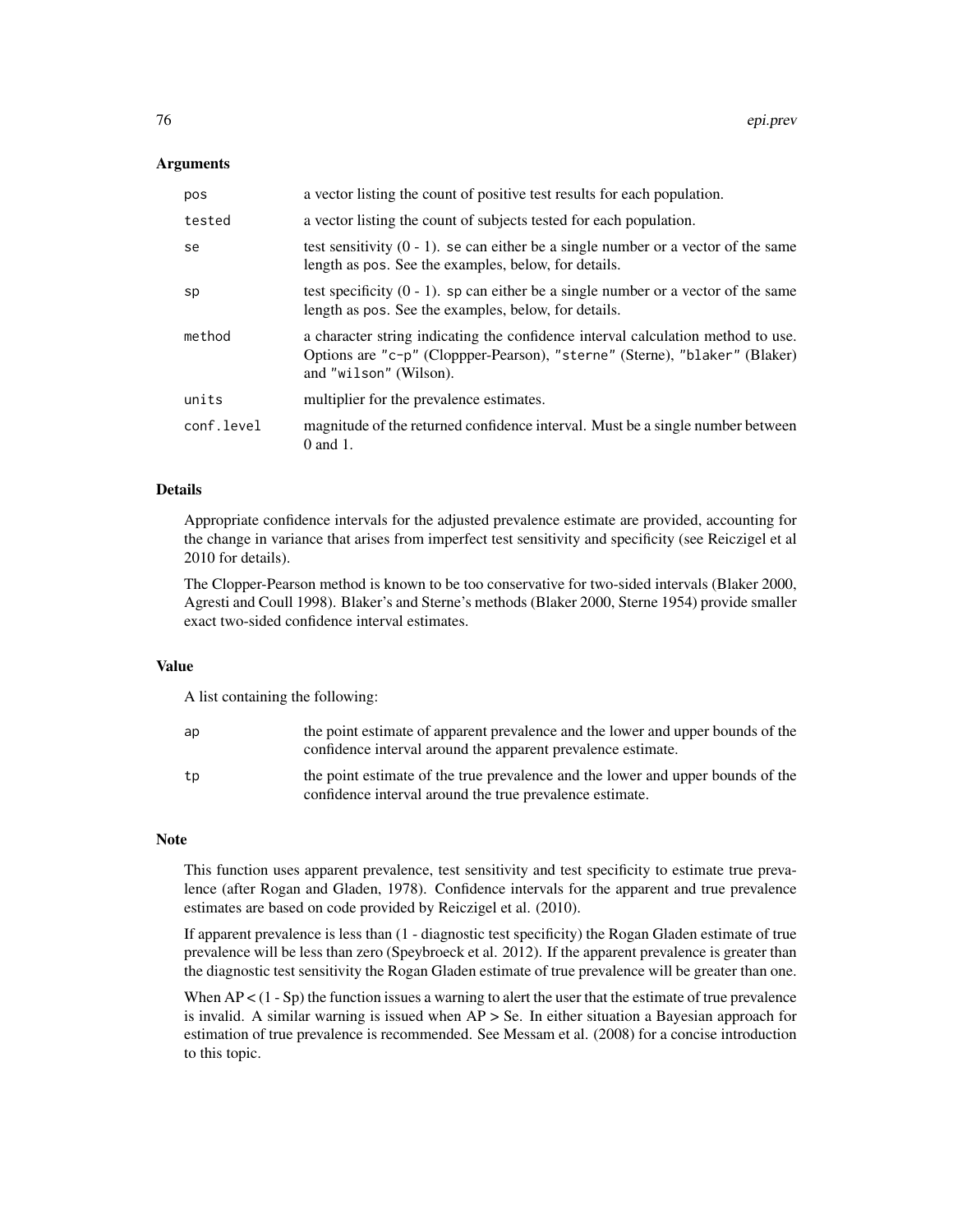## **Arguments**

| pos        | a vector listing the count of positive test results for each population.                                                                                                                 |
|------------|------------------------------------------------------------------------------------------------------------------------------------------------------------------------------------------|
| tested     | a vector listing the count of subjects tested for each population.                                                                                                                       |
| se         | test sensitivity $(0 - 1)$ , se can either be a single number or a vector of the same<br>length as pos. See the examples, below, for details.                                            |
| sp         | test specificity $(0 - 1)$ . sp can either be a single number or a vector of the same<br>length as pos. See the examples, below, for details.                                            |
| method     | a character string indicating the confidence interval calculation method to use.<br>Options are "c-p" (Cloppper-Pearson), "sterne" (Sterne), "blaker" (Blaker)<br>and "wilson" (Wilson). |
| units      | multiplier for the prevalence estimates.                                                                                                                                                 |
| conf.level | magnitude of the returned confidence interval. Must be a single number between<br>$0$ and $1$ .                                                                                          |

# Details

Appropriate confidence intervals for the adjusted prevalence estimate are provided, accounting for the change in variance that arises from imperfect test sensitivity and specificity (see Reiczigel et al 2010 for details).

The Clopper-Pearson method is known to be too conservative for two-sided intervals (Blaker 2000, Agresti and Coull 1998). Blaker's and Sterne's methods (Blaker 2000, Sterne 1954) provide smaller exact two-sided confidence interval estimates.

# Value

A list containing the following:

| ap | the point estimate of apparent prevalence and the lower and upper bounds of the<br>confidence interval around the apparent prevalence estimate. |
|----|-------------------------------------------------------------------------------------------------------------------------------------------------|
| tp | the point estimate of the true prevalence and the lower and upper bounds of the<br>confidence interval around the true prevalence estimate.     |

# Note

This function uses apparent prevalence, test sensitivity and test specificity to estimate true prevalence (after Rogan and Gladen, 1978). Confidence intervals for the apparent and true prevalence estimates are based on code provided by Reiczigel et al. (2010).

If apparent prevalence is less than (1 - diagnostic test specificity) the Rogan Gladen estimate of true prevalence will be less than zero (Speybroeck et al. 2012). If the apparent prevalence is greater than the diagnostic test sensitivity the Rogan Gladen estimate of true prevalence will be greater than one.

When  $AP < (1 - Sp)$  the function issues a warning to alert the user that the estimate of true prevalence is invalid. A similar warning is issued when AP > Se. In either situation a Bayesian approach for estimation of true prevalence is recommended. See Messam et al. (2008) for a concise introduction to this topic.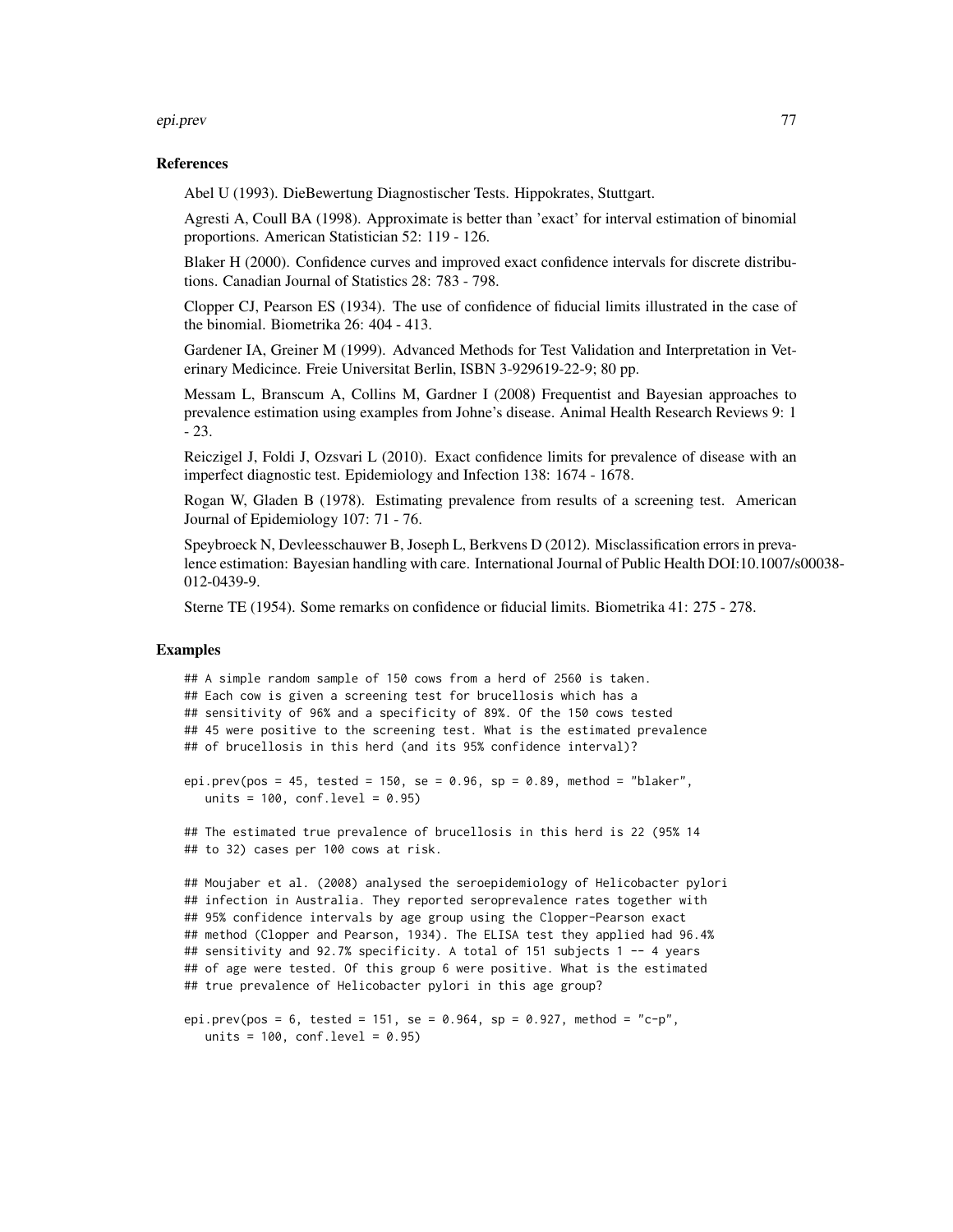#### epi.prev 77

## References

Abel U (1993). DieBewertung Diagnostischer Tests. Hippokrates, Stuttgart.

Agresti A, Coull BA (1998). Approximate is better than 'exact' for interval estimation of binomial proportions. American Statistician 52: 119 - 126.

Blaker H (2000). Confidence curves and improved exact confidence intervals for discrete distributions. Canadian Journal of Statistics 28: 783 - 798.

Clopper CJ, Pearson ES (1934). The use of confidence of fiducial limits illustrated in the case of the binomial. Biometrika 26: 404 - 413.

Gardener IA, Greiner M (1999). Advanced Methods for Test Validation and Interpretation in Veterinary Medicince. Freie Universitat Berlin, ISBN 3-929619-22-9; 80 pp.

Messam L, Branscum A, Collins M, Gardner I (2008) Frequentist and Bayesian approaches to prevalence estimation using examples from Johne's disease. Animal Health Research Reviews 9: 1 - 23.

Reiczigel J, Foldi J, Ozsvari L (2010). Exact confidence limits for prevalence of disease with an imperfect diagnostic test. Epidemiology and Infection 138: 1674 - 1678.

Rogan W, Gladen B (1978). Estimating prevalence from results of a screening test. American Journal of Epidemiology 107: 71 - 76.

Speybroeck N, Devleesschauwer B, Joseph L, Berkvens D (2012). Misclassification errors in prevalence estimation: Bayesian handling with care. International Journal of Public Health DOI:10.1007/s00038- 012-0439-9.

Sterne TE (1954). Some remarks on confidence or fiducial limits. Biometrika 41: 275 - 278.

# Examples

```
## A simple random sample of 150 cows from a herd of 2560 is taken.
## Each cow is given a screening test for brucellosis which has a
## sensitivity of 96% and a specificity of 89%. Of the 150 cows tested
## 45 were positive to the screening test. What is the estimated prevalence
## of brucellosis in this herd (and its 95% confidence interval)?
epi.prev(pos = 45, tested = 150, se = 0.96, sp = 0.89, method = "blaker",
```
units =  $100$ , conf.level =  $0.95$ )

## The estimated true prevalence of brucellosis in this herd is 22 (95% 14 ## to 32) cases per 100 cows at risk.

```
## Moujaber et al. (2008) analysed the seroepidemiology of Helicobacter pylori
## infection in Australia. They reported seroprevalence rates together with
## 95% confidence intervals by age group using the Clopper-Pearson exact
## method (Clopper and Pearson, 1934). The ELISA test they applied had 96.4%
## sensitivity and 92.7% specificity. A total of 151 subjects 1 -- 4 years
## of age were tested. Of this group 6 were positive. What is the estimated
## true prevalence of Helicobacter pylori in this age group?
```

```
epi.prev(pos = 6, tested = 151, se = 0.964, sp = 0.927, method = "c-p",
  units = 100, conf.level = 0.95)
```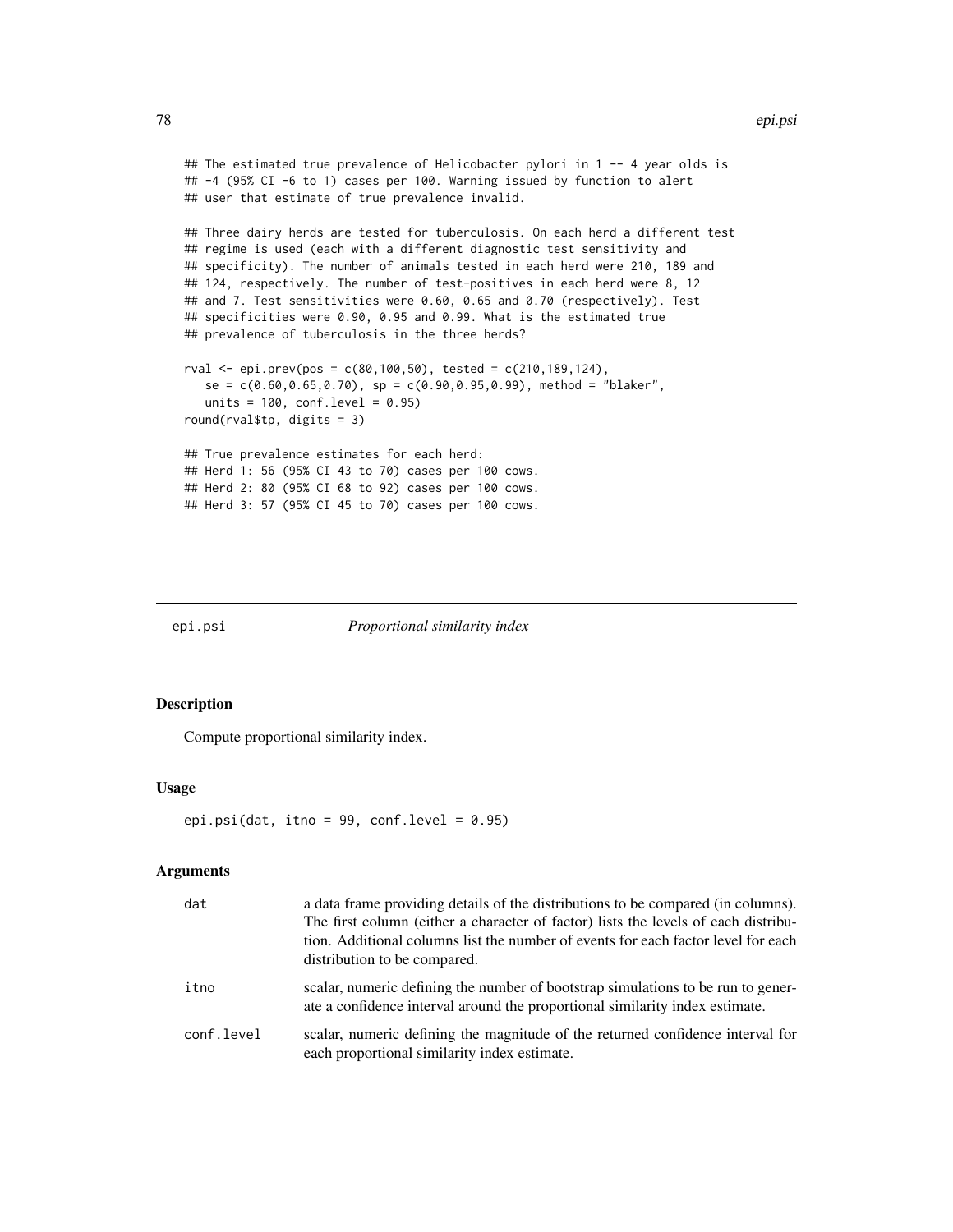#### 78 epi.psi

```
## The estimated true prevalence of Helicobacter pylori in 1 -- 4 year olds is
## -4 (95% CI -6 to 1) cases per 100. Warning issued by function to alert
## user that estimate of true prevalence invalid.
## Three dairy herds are tested for tuberculosis. On each herd a different test
## regime is used (each with a different diagnostic test sensitivity and
## specificity). The number of animals tested in each herd were 210, 189 and
## 124, respectively. The number of test-positives in each herd were 8, 12
## and 7. Test sensitivities were 0.60, 0.65 and 0.70 (respectively). Test
## specificities were 0.90, 0.95 and 0.99. What is the estimated true
## prevalence of tuberculosis in the three herds?
rval \le epi.prev(pos = c(80,100,50), tested = c(210,189,124),
   se = c(0.60, 0.65, 0.70), sp = c(0.90, 0.95, 0.99), method = "blaker",
   units = 100, conf.level = 0.95)
round(rval$tp, digits = 3)
## True prevalence estimates for each herd:
## Herd 1: 56 (95% CI 43 to 70) cases per 100 cows.
## Herd 2: 80 (95% CI 68 to 92) cases per 100 cows.
## Herd 3: 57 (95% CI 45 to 70) cases per 100 cows.
```
#### epi.psi *Proportional similarity index*

# Description

Compute proportional similarity index.

#### Usage

```
epi.psi(dat, itno = 99, conf.level = 0.95)
```

| dat        | a data frame providing details of the distributions to be compared (in columns).<br>The first column (either a character of factor) lists the levels of each distribu-<br>tion. Additional columns list the number of events for each factor level for each<br>distribution to be compared. |
|------------|---------------------------------------------------------------------------------------------------------------------------------------------------------------------------------------------------------------------------------------------------------------------------------------------|
| itno       | scalar, numeric defining the number of bootstrap simulations to be run to gener-<br>ate a confidence interval around the proportional similarity index estimate.                                                                                                                            |
| conf.level | scalar, numeric defining the magnitude of the returned confidence interval for<br>each proportional similarity index estimate.                                                                                                                                                              |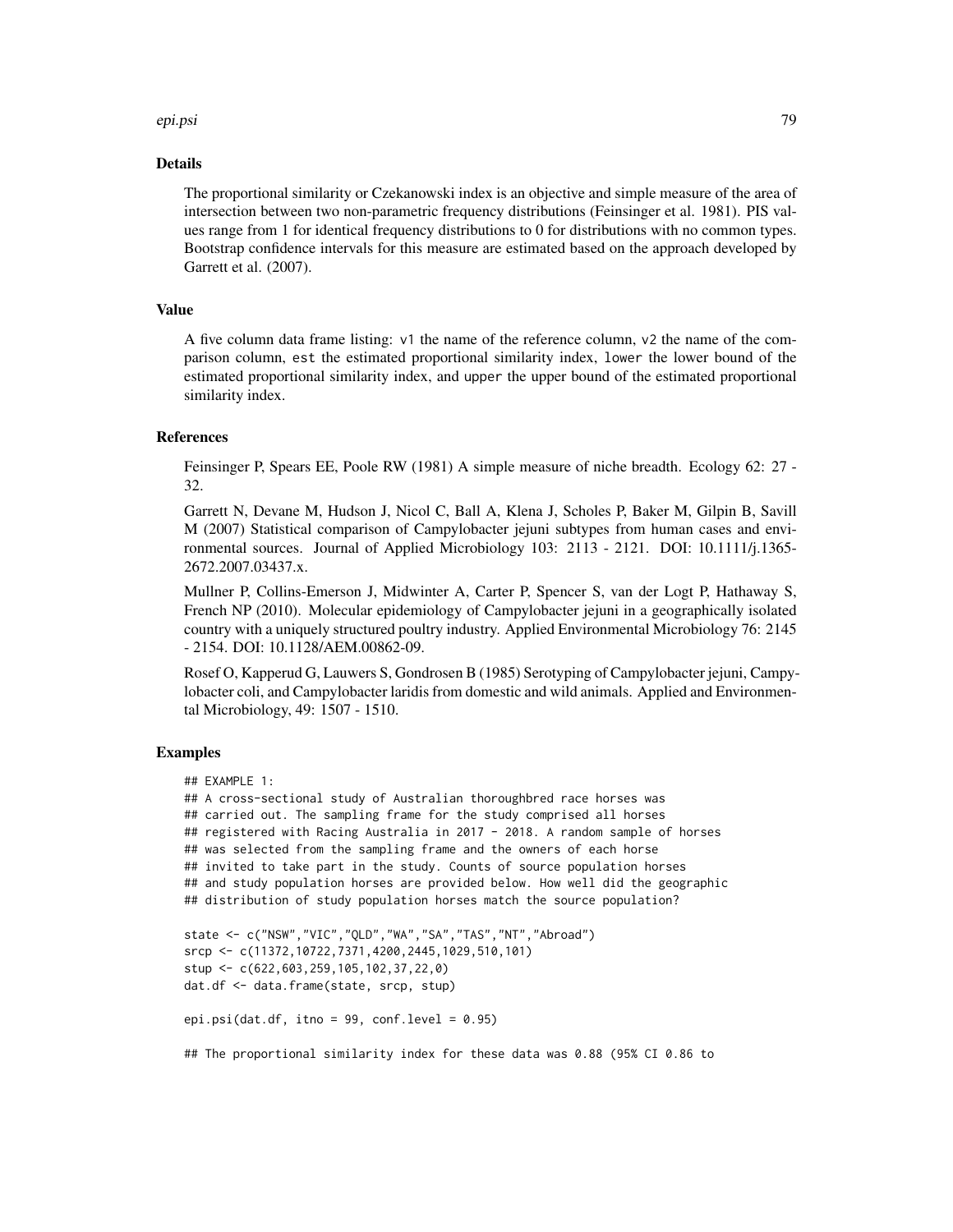#### epi.psi 79

## Details

The proportional similarity or Czekanowski index is an objective and simple measure of the area of intersection between two non-parametric frequency distributions (Feinsinger et al. 1981). PIS values range from 1 for identical frequency distributions to 0 for distributions with no common types. Bootstrap confidence intervals for this measure are estimated based on the approach developed by Garrett et al. (2007).

# Value

A five column data frame listing: v1 the name of the reference column, v2 the name of the comparison column, est the estimated proportional similarity index, lower the lower bound of the estimated proportional similarity index, and upper the upper bound of the estimated proportional similarity index.

## References

Feinsinger P, Spears EE, Poole RW (1981) A simple measure of niche breadth. Ecology 62: 27 - 32.

Garrett N, Devane M, Hudson J, Nicol C, Ball A, Klena J, Scholes P, Baker M, Gilpin B, Savill M (2007) Statistical comparison of Campylobacter jejuni subtypes from human cases and environmental sources. Journal of Applied Microbiology 103: 2113 - 2121. DOI: 10.1111/j.1365- 2672.2007.03437.x.

Mullner P, Collins-Emerson J, Midwinter A, Carter P, Spencer S, van der Logt P, Hathaway S, French NP (2010). Molecular epidemiology of Campylobacter jejuni in a geographically isolated country with a uniquely structured poultry industry. Applied Environmental Microbiology 76: 2145 - 2154. DOI: 10.1128/AEM.00862-09.

Rosef O, Kapperud G, Lauwers S, Gondrosen B (1985) Serotyping of Campylobacter jejuni, Campylobacter coli, and Campylobacter laridis from domestic and wild animals. Applied and Environmental Microbiology, 49: 1507 - 1510.

# Examples

```
## EXAMPLE 1:
```

```
## A cross-sectional study of Australian thoroughbred race horses was
## carried out. The sampling frame for the study comprised all horses
## registered with Racing Australia in 2017 - 2018. A random sample of horses
## was selected from the sampling frame and the owners of each horse
## invited to take part in the study. Counts of source population horses
## and study population horses are provided below. How well did the geographic
## distribution of study population horses match the source population?
```

```
state <- c("NSW","VIC","QLD","WA","SA","TAS","NT","Abroad")
srcp <- c(11372,10722,7371,4200,2445,1029,510,101)
stup <- c(622,603,259,105,102,37,22,0)
dat.df <- data.frame(state, srcp, stup)
```

```
epi.psi(dat.df, itno = 99, conf.level = 0.95)
```
## The proportional similarity index for these data was 0.88 (95% CI 0.86 to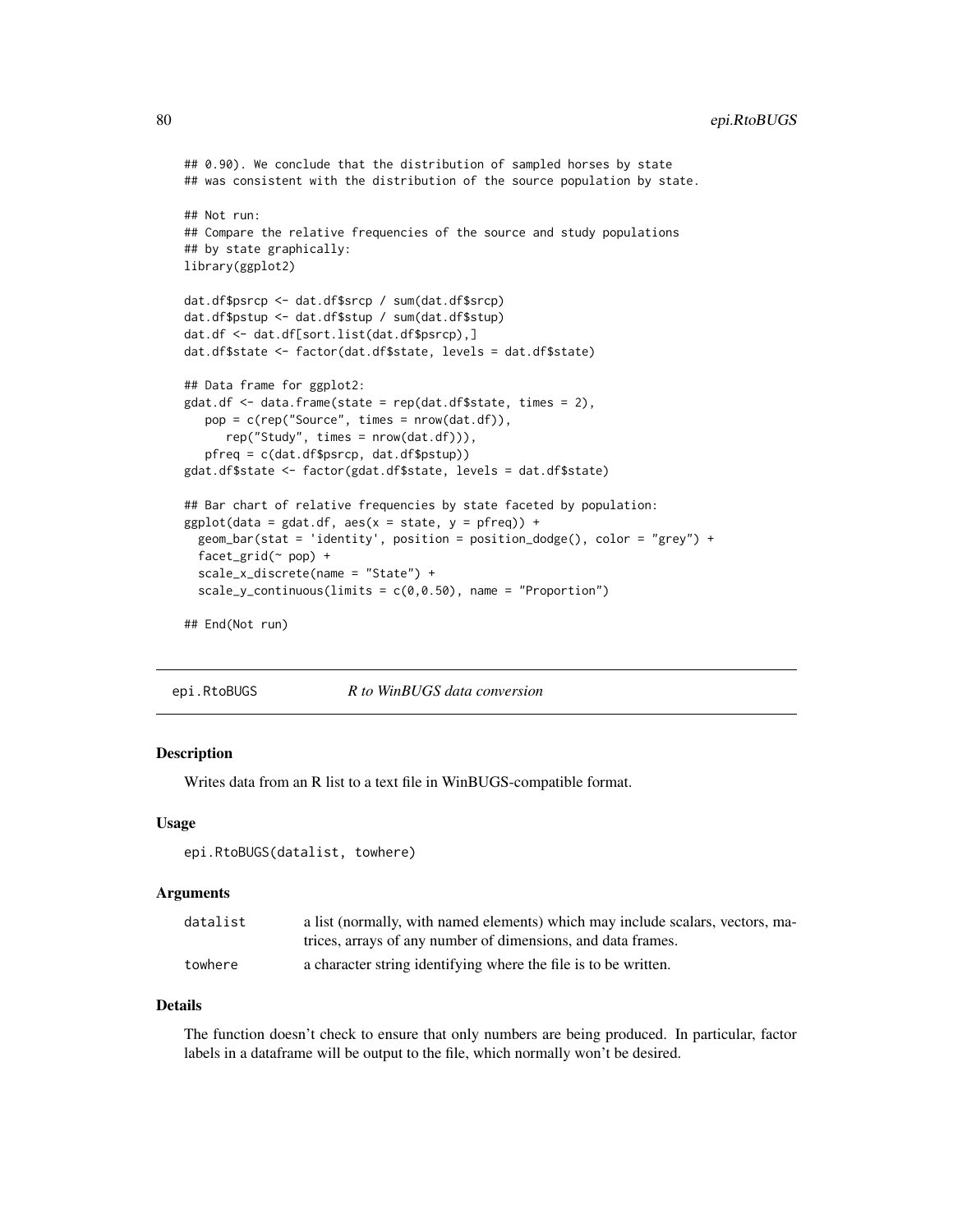```
## 0.90). We conclude that the distribution of sampled horses by state
## was consistent with the distribution of the source population by state.
## Not run:
## Compare the relative frequencies of the source and study populations
## by state graphically:
library(ggplot2)
dat.df$psrcp <- dat.df$srcp / sum(dat.df$srcp)
dat.df$pstup <- dat.df$stup / sum(dat.df$stup)
dat.df <- dat.df[sort.list(dat.df$psrcp),]
dat.df$state <- factor(dat.df$state, levels = dat.df$state)
## Data frame for ggplot2:
gdat.df <- data.frame(state = rep(dat.df$state, times = 2),
  pop = c(rep("Source", times = nrow(dat.df)),
     rep("Study", times = nrow(dat.df))),
  pfreq = c(dat.df$psrcp, dat.df$pstup))
gdat.df$state <- factor(gdat.df$state, levels = dat.df$state)
## Bar chart of relative frequencies by state faceted by population:
ggplot(data = gdat.df, aes(x = state, y = pfreq)) +geom_bar(stat = 'identity', position = position_dodge(), color = "grey") +
 facet_grid(~ pop) +
 scale_x_discrete(name = "State") +
  scale_y_continuous(limits = c(0, 0.50), name = "Proportion")
## End(Not run)
```
epi.RtoBUGS *R to WinBUGS data conversion*

## **Description**

Writes data from an R list to a text file in WinBUGS-compatible format.

#### Usage

epi.RtoBUGS(datalist, towhere)

#### Arguments

| datalist | a list (normally, with named elements) which may include scalars, vectors, ma- |
|----------|--------------------------------------------------------------------------------|
|          | trices, arrays of any number of dimensions, and data frames.                   |
| towhere  | a character string identifying where the file is to be written.                |

#### Details

The function doesn't check to ensure that only numbers are being produced. In particular, factor labels in a dataframe will be output to the file, which normally won't be desired.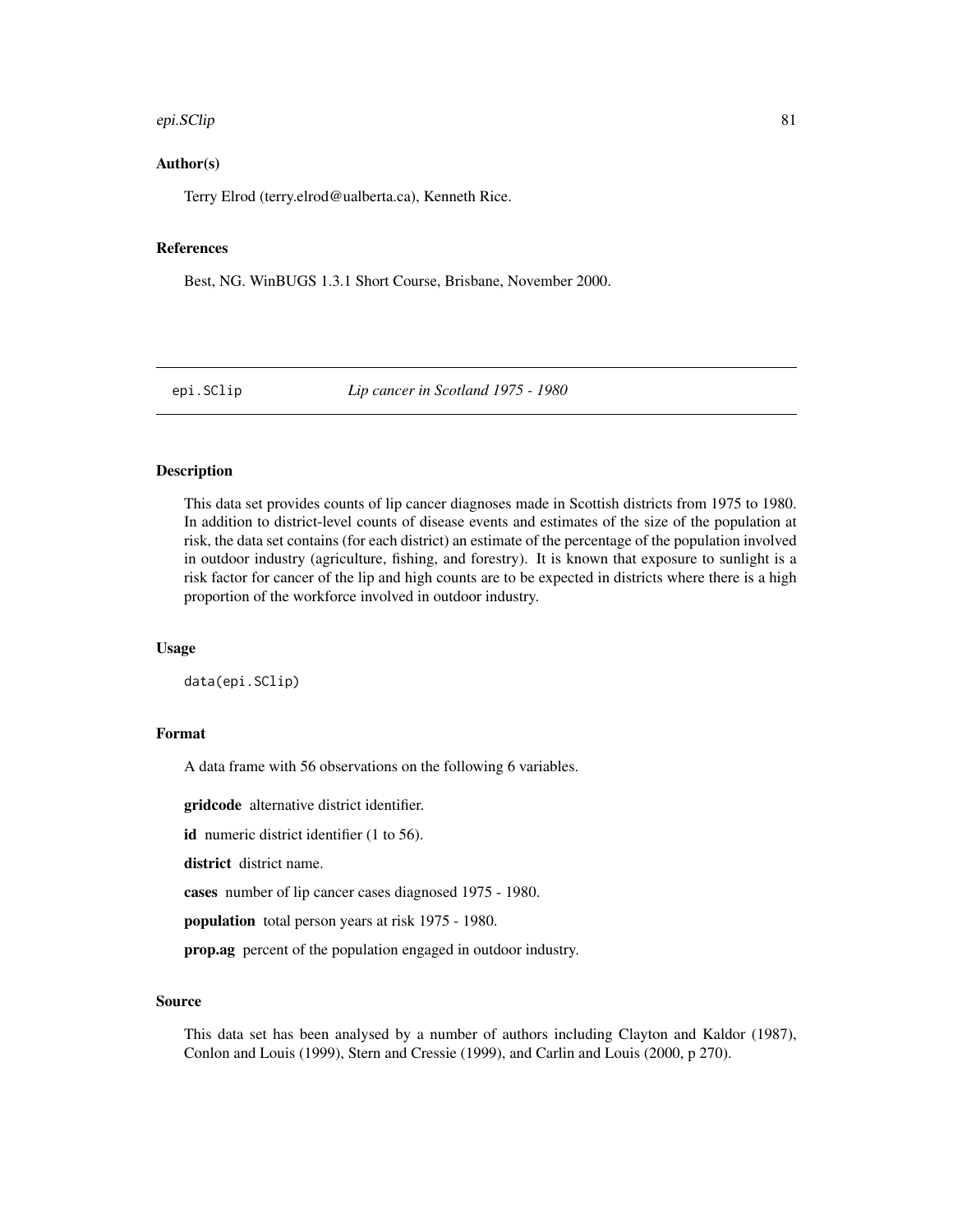#### epi.SClip 81

# Author(s)

Terry Elrod (terry.elrod@ualberta.ca), Kenneth Rice.

# References

Best, NG. WinBUGS 1.3.1 Short Course, Brisbane, November 2000.

epi.SClip *Lip cancer in Scotland 1975 - 1980*

# Description

This data set provides counts of lip cancer diagnoses made in Scottish districts from 1975 to 1980. In addition to district-level counts of disease events and estimates of the size of the population at risk, the data set contains (for each district) an estimate of the percentage of the population involved in outdoor industry (agriculture, fishing, and forestry). It is known that exposure to sunlight is a risk factor for cancer of the lip and high counts are to be expected in districts where there is a high proportion of the workforce involved in outdoor industry.

## Usage

data(epi.SClip)

# Format

A data frame with 56 observations on the following 6 variables.

gridcode alternative district identifier.

id numeric district identifier (1 to 56).

district district name.

cases number of lip cancer cases diagnosed 1975 - 1980.

population total person years at risk 1975 - 1980.

prop.ag percent of the population engaged in outdoor industry.

#### Source

This data set has been analysed by a number of authors including Clayton and Kaldor (1987), Conlon and Louis (1999), Stern and Cressie (1999), and Carlin and Louis (2000, p 270).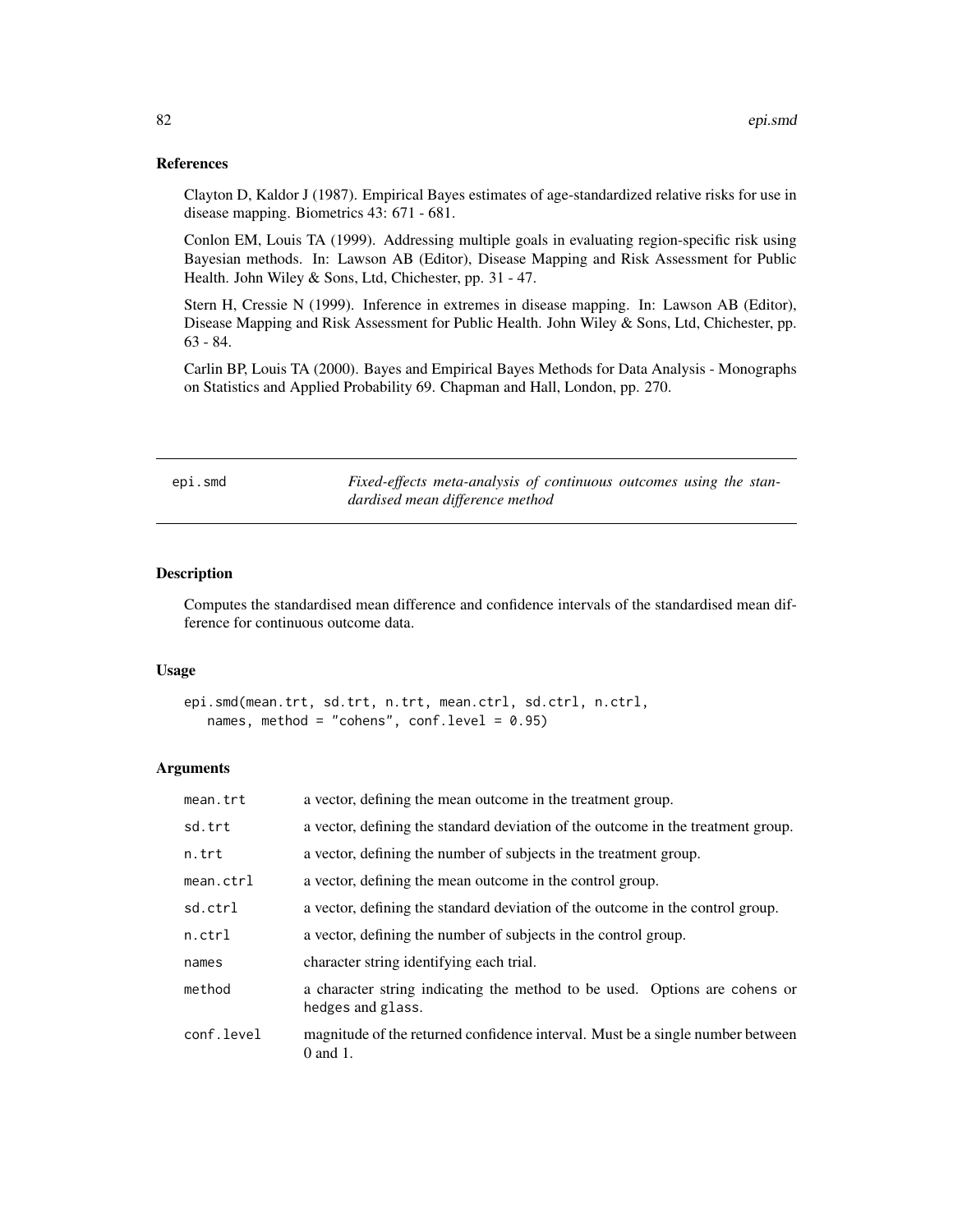## References

Clayton D, Kaldor J (1987). Empirical Bayes estimates of age-standardized relative risks for use in disease mapping. Biometrics 43: 671 - 681.

Conlon EM, Louis TA (1999). Addressing multiple goals in evaluating region-specific risk using Bayesian methods. In: Lawson AB (Editor), Disease Mapping and Risk Assessment for Public Health. John Wiley & Sons, Ltd, Chichester, pp. 31 - 47.

Stern H, Cressie N (1999). Inference in extremes in disease mapping. In: Lawson AB (Editor), Disease Mapping and Risk Assessment for Public Health. John Wiley & Sons, Ltd, Chichester, pp. 63 - 84.

Carlin BP, Louis TA (2000). Bayes and Empirical Bayes Methods for Data Analysis - Monographs on Statistics and Applied Probability 69. Chapman and Hall, London, pp. 270.

epi.smd *Fixed-effects meta-analysis of continuous outcomes using the standardised mean difference method*

# **Description**

Computes the standardised mean difference and confidence intervals of the standardised mean difference for continuous outcome data.

# Usage

```
epi.smd(mean.trt, sd.trt, n.trt, mean.ctrl, sd.ctrl, n.ctrl,
   names, method = "cohens", conf.level = 0.95)
```

| mean.trt   | a vector, defining the mean outcome in the treatment group.                                     |
|------------|-------------------------------------------------------------------------------------------------|
| sd.trt     | a vector, defining the standard deviation of the outcome in the treatment group.                |
| n.trt      | a vector, defining the number of subjects in the treatment group.                               |
| mean.ctrl  | a vector, defining the mean outcome in the control group.                                       |
| sd.ctrl    | a vector, defining the standard deviation of the outcome in the control group.                  |
| n.ctrl     | a vector, defining the number of subjects in the control group.                                 |
| names      | character string identifying each trial.                                                        |
| method     | a character string indicating the method to be used. Options are cohens or<br>hedges and glass. |
| conf.level | magnitude of the returned confidence interval. Must be a single number between<br>$0$ and $1$ . |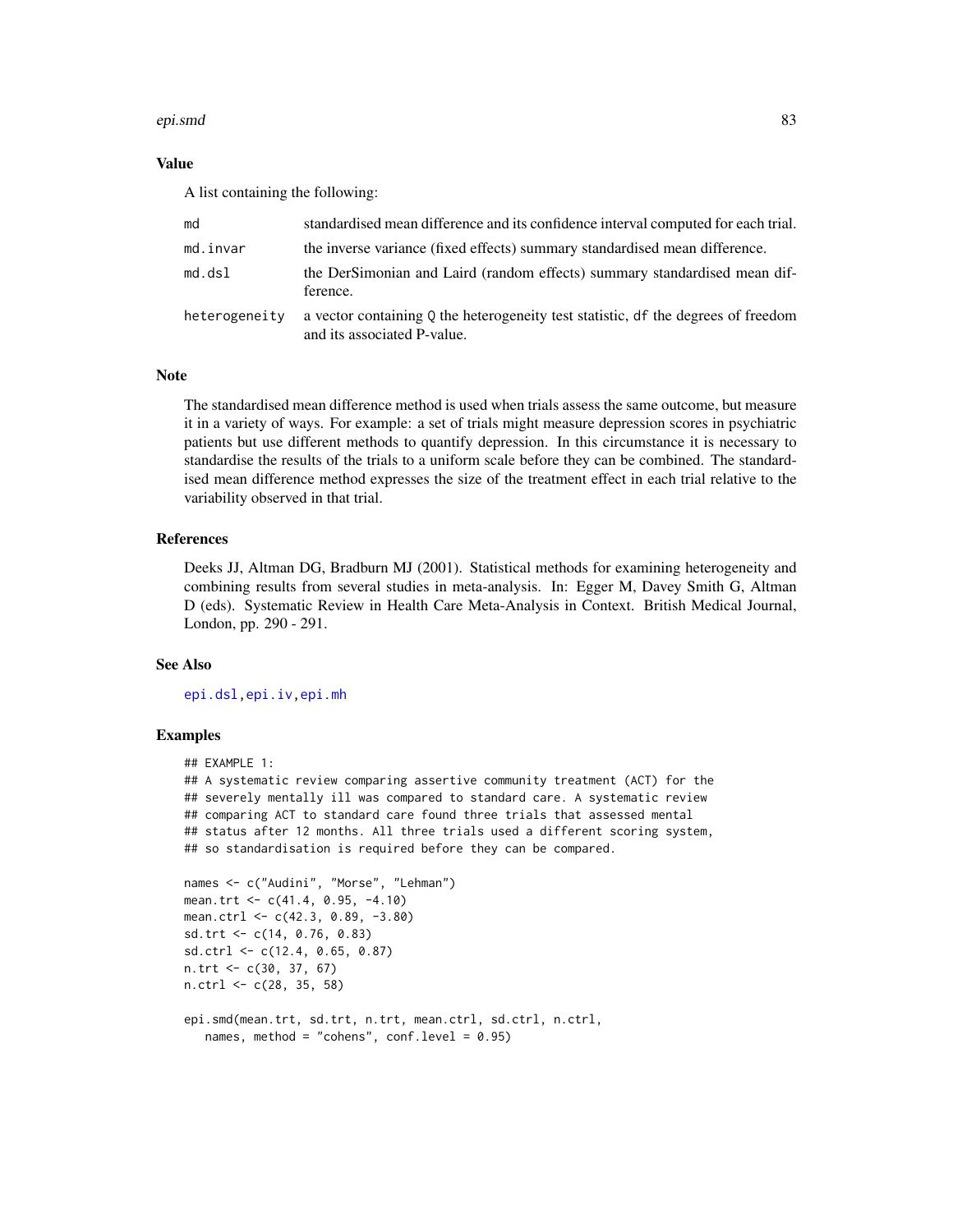#### epi.smd 83

# Value

A list containing the following:

| md            | standardised mean difference and its confidence interval computed for each trial.                                |
|---------------|------------------------------------------------------------------------------------------------------------------|
| md.invar      | the inverse variance (fixed effects) summary standardised mean difference.                                       |
| md.dsl        | the DerSimonian and Laird (random effects) summary standardised mean dif-<br>ference.                            |
| heterogeneity | a vector containing 0 the heterogeneity test statistic, df the degrees of freedom<br>and its associated P-value. |

# Note

The standardised mean difference method is used when trials assess the same outcome, but measure it in a variety of ways. For example: a set of trials might measure depression scores in psychiatric patients but use different methods to quantify depression. In this circumstance it is necessary to standardise the results of the trials to a uniform scale before they can be combined. The standardised mean difference method expresses the size of the treatment effect in each trial relative to the variability observed in that trial.

# References

Deeks JJ, Altman DG, Bradburn MJ (2001). Statistical methods for examining heterogeneity and combining results from several studies in meta-analysis. In: Egger M, Davey Smith G, Altman D (eds). Systematic Review in Health Care Meta-Analysis in Context. British Medical Journal, London, pp. 290 - 291.

# See Also

[epi.dsl](#page-41-0)[,epi.iv](#page-58-0)[,epi.mh](#page-64-0)

# Examples

```
## EXAMPLE 1:
## A systematic review comparing assertive community treatment (ACT) for the
## severely mentally ill was compared to standard care. A systematic review
## comparing ACT to standard care found three trials that assessed mental
## status after 12 months. All three trials used a different scoring system,
## so standardisation is required before they can be compared.
names <- c("Audini", "Morse", "Lehman")
mean.trt <- c(41.4, 0.95, -4.10)
mean.ctrl <- c(42.3, 0.89, -3.80)
sd.trt <- c(14, 0.76, 0.83)
sd.ctrl <- c(12.4, 0.65, 0.87)
n.trt <- c(30, 37, 67)
n.ctrl <- c(28, 35, 58)
```

```
epi.smd(mean.trt, sd.trt, n.trt, mean.ctrl, sd.ctrl, n.ctrl,
  names, method = "cohens", conf.level = 0.95)
```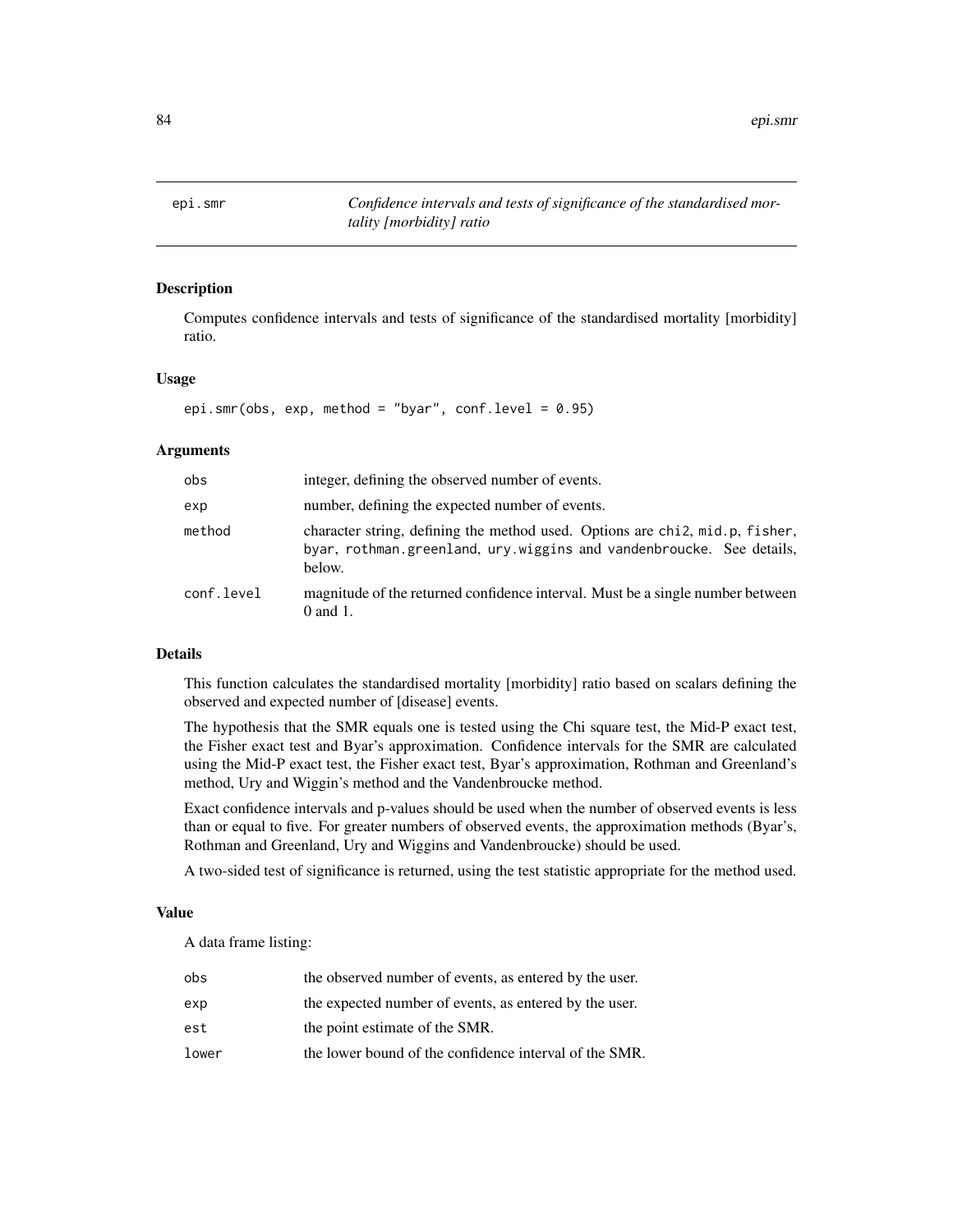epi.smr *Confidence intervals and tests of significance of the standardised mortality [morbidity] ratio*

# Description

Computes confidence intervals and tests of significance of the standardised mortality [morbidity] ratio.

## Usage

epi.smr(obs, exp, method = "byar", conf.level =  $0.95$ )

# Arguments

| obs        | integer, defining the observed number of events.                                                                                                               |
|------------|----------------------------------------------------------------------------------------------------------------------------------------------------------------|
| exp        | number, defining the expected number of events.                                                                                                                |
| method     | character string, defining the method used. Options are chi2, mid.p, fisher,<br>byar, rothman.greenland, ury.wiggins and vandenbroucke. See details,<br>below. |
| conf.level | magnitude of the returned confidence interval. Must be a single number between<br>$0$ and $1$ .                                                                |

# Details

This function calculates the standardised mortality [morbidity] ratio based on scalars defining the observed and expected number of [disease] events.

The hypothesis that the SMR equals one is tested using the Chi square test, the Mid-P exact test, the Fisher exact test and Byar's approximation. Confidence intervals for the SMR are calculated using the Mid-P exact test, the Fisher exact test, Byar's approximation, Rothman and Greenland's method, Ury and Wiggin's method and the Vandenbroucke method.

Exact confidence intervals and p-values should be used when the number of observed events is less than or equal to five. For greater numbers of observed events, the approximation methods (Byar's, Rothman and Greenland, Ury and Wiggins and Vandenbroucke) should be used.

A two-sided test of significance is returned, using the test statistic appropriate for the method used.

## Value

A data frame listing:

| obs   | the observed number of events, as entered by the user. |
|-------|--------------------------------------------------------|
| exp   | the expected number of events, as entered by the user. |
| est   | the point estimate of the SMR.                         |
| lower | the lower bound of the confidence interval of the SMR. |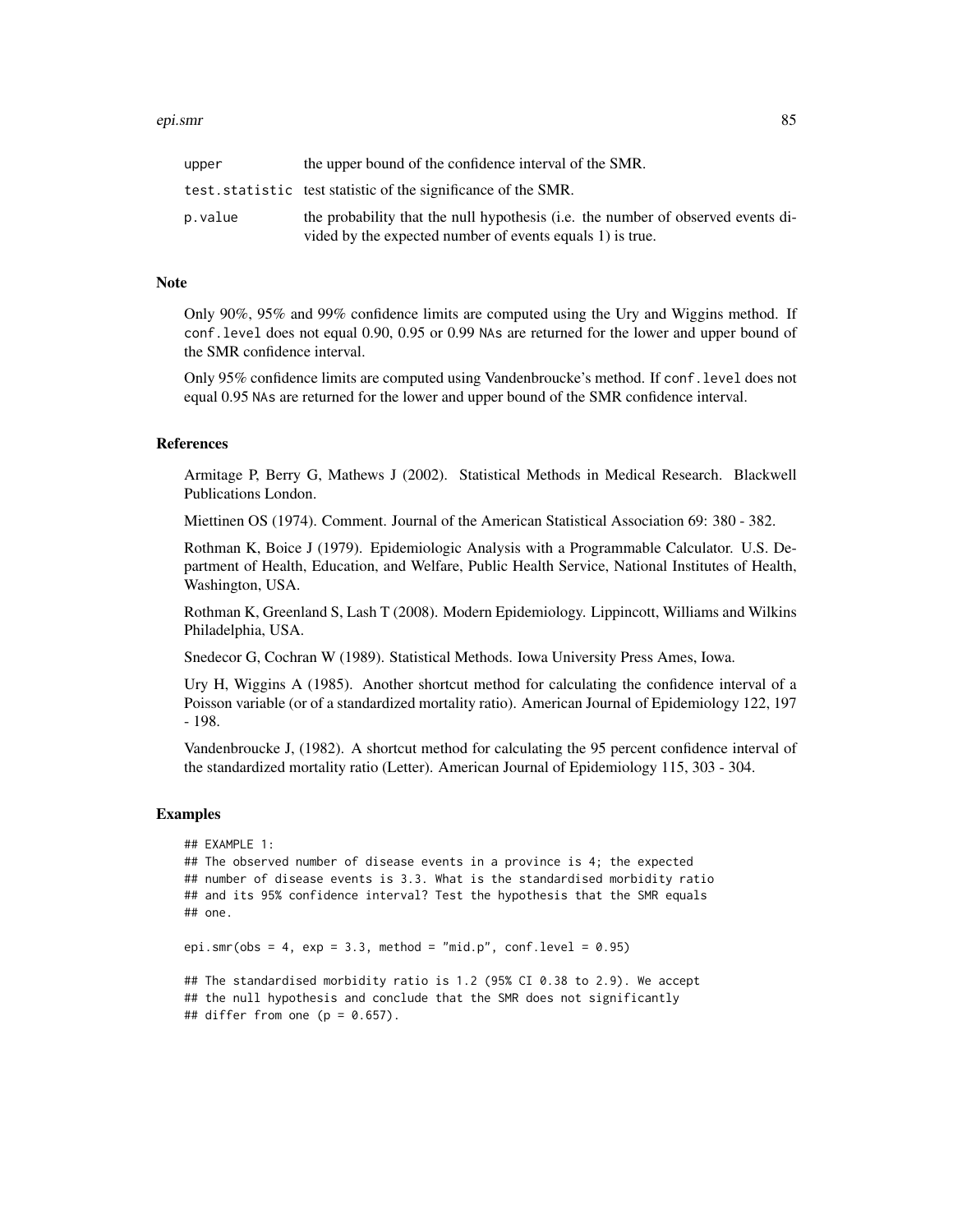#### epi.smr 85

| upper   | the upper bound of the confidence interval of the SMR.                                                                                        |
|---------|-----------------------------------------------------------------------------------------------------------------------------------------------|
|         | test. statistic test statistic of the significance of the SMR.                                                                                |
| p.value | the probability that the null hypothesis (i.e. the number of observed events di-<br>vided by the expected number of events equals 1) is true. |

## Note

Only 90%, 95% and 99% confidence limits are computed using the Ury and Wiggins method. If conf.level does not equal 0.90, 0.95 or 0.99 NAs are returned for the lower and upper bound of the SMR confidence interval.

Only 95% confidence limits are computed using Vandenbroucke's method. If conf.level does not equal 0.95 NAs are returned for the lower and upper bound of the SMR confidence interval.

# References

Armitage P, Berry G, Mathews J (2002). Statistical Methods in Medical Research. Blackwell Publications London.

Miettinen OS (1974). Comment. Journal of the American Statistical Association 69: 380 - 382.

Rothman K, Boice J (1979). Epidemiologic Analysis with a Programmable Calculator. U.S. Department of Health, Education, and Welfare, Public Health Service, National Institutes of Health, Washington, USA.

Rothman K, Greenland S, Lash T (2008). Modern Epidemiology. Lippincott, Williams and Wilkins Philadelphia, USA.

Snedecor G, Cochran W (1989). Statistical Methods. Iowa University Press Ames, Iowa.

Ury H, Wiggins A (1985). Another shortcut method for calculating the confidence interval of a Poisson variable (or of a standardized mortality ratio). American Journal of Epidemiology 122, 197 - 198.

Vandenbroucke J, (1982). A shortcut method for calculating the 95 percent confidence interval of the standardized mortality ratio (Letter). American Journal of Epidemiology 115, 303 - 304.

#### Examples

```
## EXAMPLE 1:
## The observed number of disease events in a province is 4; the expected
## number of disease events is 3.3. What is the standardised morbidity ratio
## and its 95% confidence interval? Test the hypothesis that the SMR equals
## one.
epi.smr(obs = 4, exp = 3.3, method = "mid.p", conf. level = 0.95)
## The standardised morbidity ratio is 1.2 (95% CI 0.38 to 2.9). We accept
## the null hypothesis and conclude that the SMR does not significantly
## differ from one (p = 0.657).
```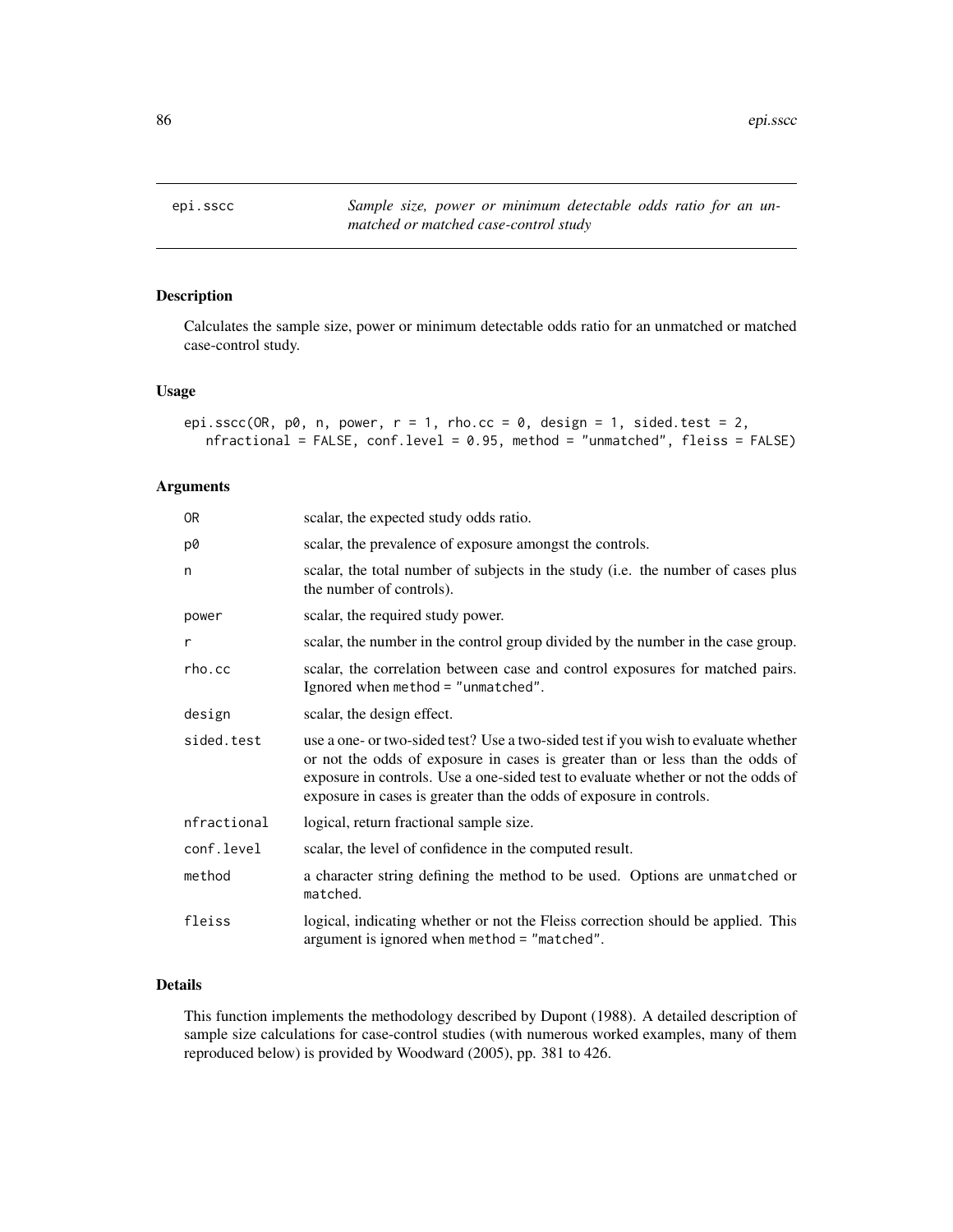epi.sscc *Sample size, power or minimum detectable odds ratio for an unmatched or matched case-control study*

# Description

Calculates the sample size, power or minimum detectable odds ratio for an unmatched or matched case-control study.

## Usage

```
epi.sscc(OR, p0, n, power, r = 1, rho.cc = 0, design = 1, sided.test = 2,
  nfractional = FALSE, conf.level = 0.95, method = "unmatched", fleiss = FALSE)
```
# Arguments

| 0R          | scalar, the expected study odds ratio.                                                                                                                                                                                                                                                                                          |
|-------------|---------------------------------------------------------------------------------------------------------------------------------------------------------------------------------------------------------------------------------------------------------------------------------------------------------------------------------|
| p0          | scalar, the prevalence of exposure amongst the controls.                                                                                                                                                                                                                                                                        |
| n           | scalar, the total number of subjects in the study (i.e. the number of cases plus<br>the number of controls).                                                                                                                                                                                                                    |
| power       | scalar, the required study power.                                                                                                                                                                                                                                                                                               |
| r           | scalar, the number in the control group divided by the number in the case group.                                                                                                                                                                                                                                                |
| rho.cc      | scalar, the correlation between case and control exposures for matched pairs.<br>Ignored when method = "unmatched".                                                                                                                                                                                                             |
| design      | scalar, the design effect.                                                                                                                                                                                                                                                                                                      |
| sided.test  | use a one- or two-sided test? Use a two-sided test if you wish to evaluate whether<br>or not the odds of exposure in cases is greater than or less than the odds of<br>exposure in controls. Use a one-sided test to evaluate whether or not the odds of<br>exposure in cases is greater than the odds of exposure in controls. |
| nfractional | logical, return fractional sample size.                                                                                                                                                                                                                                                                                         |
| conf.level  | scalar, the level of confidence in the computed result.                                                                                                                                                                                                                                                                         |
| method      | a character string defining the method to be used. Options are unmatched or<br>matched.                                                                                                                                                                                                                                         |
| fleiss      | logical, indicating whether or not the Fleiss correction should be applied. This<br>argument is ignored when method = "matched".                                                                                                                                                                                                |

# Details

This function implements the methodology described by Dupont (1988). A detailed description of sample size calculations for case-control studies (with numerous worked examples, many of them reproduced below) is provided by Woodward (2005), pp. 381 to 426.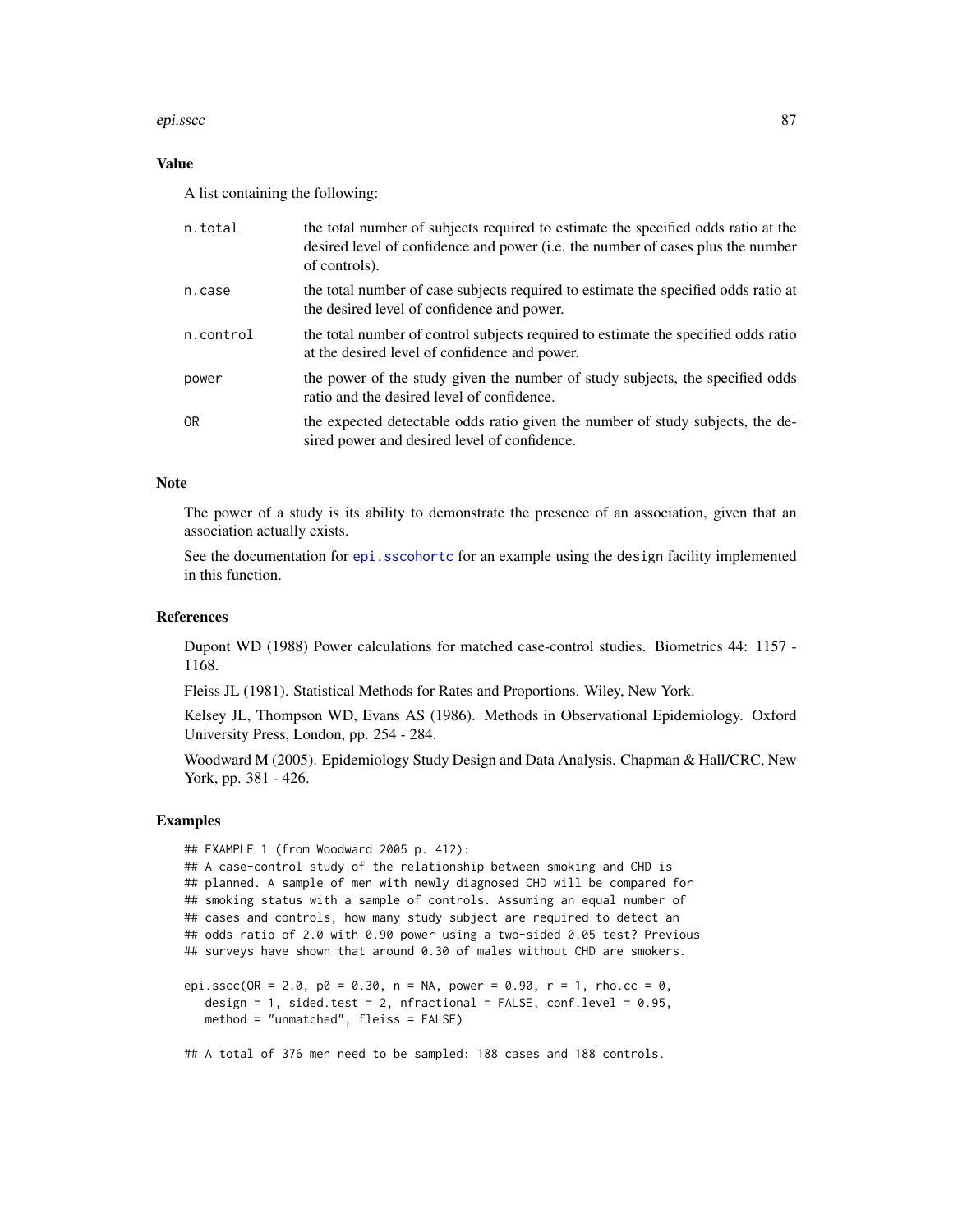#### epi.sscc 87

#### Value

A list containing the following:

| n.total   | the total number of subjects required to estimate the specified odds ratio at the<br>desired level of confidence and power ( <i>i.e.</i> the number of cases plus the number<br>of controls). |
|-----------|-----------------------------------------------------------------------------------------------------------------------------------------------------------------------------------------------|
| n.case    | the total number of case subjects required to estimate the specified odds ratio at<br>the desired level of confidence and power.                                                              |
| n.control | the total number of control subjects required to estimate the specified odds ratio<br>at the desired level of confidence and power.                                                           |
| power     | the power of the study given the number of study subjects, the specified odds<br>ratio and the desired level of confidence.                                                                   |
| 0R        | the expected detectable odds ratio given the number of study subjects, the de-<br>sired power and desired level of confidence.                                                                |

## **Note**

The power of a study is its ability to demonstrate the presence of an association, given that an association actually exists.

See the documentation for [epi.sscohortc](#page-96-0) for an example using the design facility implemented in this function.

# References

Dupont WD (1988) Power calculations for matched case-control studies. Biometrics 44: 1157 - 1168.

Fleiss JL (1981). Statistical Methods for Rates and Proportions. Wiley, New York.

Kelsey JL, Thompson WD, Evans AS (1986). Methods in Observational Epidemiology. Oxford University Press, London, pp. 254 - 284.

Woodward M (2005). Epidemiology Study Design and Data Analysis. Chapman & Hall/CRC, New York, pp. 381 - 426.

# Examples

```
## EXAMPLE 1 (from Woodward 2005 p. 412):
## A case-control study of the relationship between smoking and CHD is
## planned. A sample of men with newly diagnosed CHD will be compared for
## smoking status with a sample of controls. Assuming an equal number of
## cases and controls, how many study subject are required to detect an
## odds ratio of 2.0 with 0.90 power using a two-sided 0.05 test? Previous
## surveys have shown that around 0.30 of males without CHD are smokers.
epi.sscc(OR = 2.0, p0 = 0.30, n = NA, power = 0.90, r = 1, rho.cc = 0,
   design = 1, sided.test = 2, nfractional = FALSE, conf.level = 0.95,
   method = "unmatched", fleiss = FALSE)
```
## A total of 376 men need to be sampled: 188 cases and 188 controls.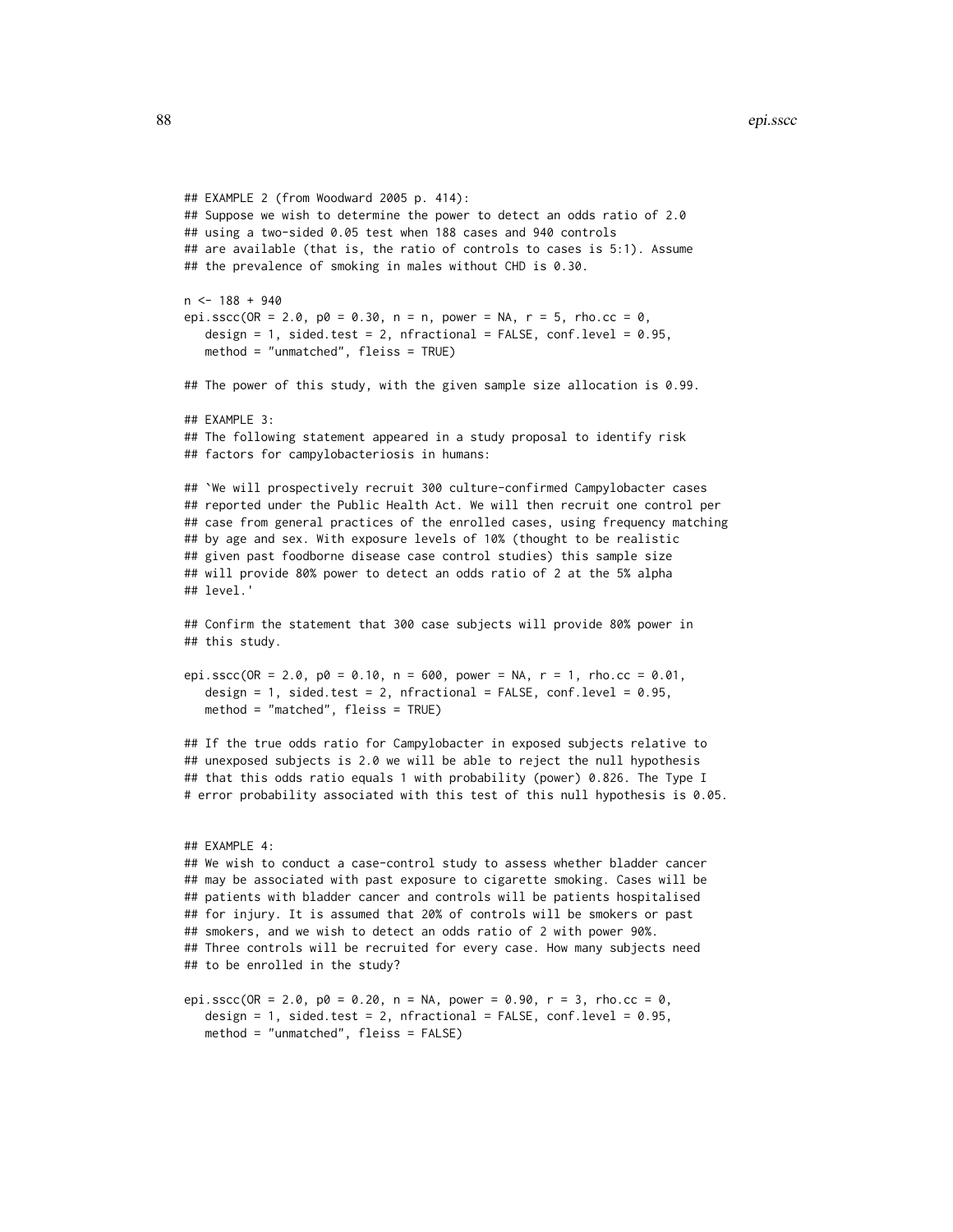```
## EXAMPLE 2 (from Woodward 2005 p. 414):
## Suppose we wish to determine the power to detect an odds ratio of 2.0
## using a two-sided 0.05 test when 188 cases and 940 controls
## are available (that is, the ratio of controls to cases is 5:1). Assume
## the prevalence of smoking in males without CHD is 0.30.
n < -188 + 940epi.sscc(OR = 2.0, p0 = 0.30, n = n, power = NA, r = 5, rho.cc = 0,
  design = 1, sided.test = 2, nfractional = FALSE, conf.level = 0.95,
  method = "unmatched", fleiss = TRUE)
## The power of this study, with the given sample size allocation is 0.99.
## EXAMPLE 3:
## The following statement appeared in a study proposal to identify risk
## factors for campylobacteriosis in humans:
## `We will prospectively recruit 300 culture-confirmed Campylobacter cases
## reported under the Public Health Act. We will then recruit one control per
## case from general practices of the enrolled cases, using frequency matching
## by age and sex. With exposure levels of 10% (thought to be realistic
## given past foodborne disease case control studies) this sample size
## will provide 80% power to detect an odds ratio of 2 at the 5% alpha
## level.'
## Confirm the statement that 300 case subjects will provide 80% power in
## this study.
epi.sscc(OR = 2.0, p0 = 0.10, n = 600, power = NA, r = 1, rho.cc = 0.01,
  design = 1, sided.test = 2, nfractional = FALSE, conf.level = 0.95,
  method = "matched", fleiss = TRUE)
## If the true odds ratio for Campylobacter in exposed subjects relative to
## unexposed subjects is 2.0 we will be able to reject the null hypothesis
## that this odds ratio equals 1 with probability (power) 0.826. The Type I
# error probability associated with this test of this null hypothesis is 0.05.
## EXAMPLE 4:
## We wish to conduct a case-control study to assess whether bladder cancer
## may be associated with past exposure to cigarette smoking. Cases will be
## patients with bladder cancer and controls will be patients hospitalised
## for injury. It is assumed that 20% of controls will be smokers or past
## smokers, and we wish to detect an odds ratio of 2 with power 90%.
## Three controls will be recruited for every case. How many subjects need
## to be enrolled in the study?
epi.sscc(OR = 2.0, p0 = 0.20, n = NA, power = 0.90, r = 3, rho.cc = 0,
  design = 1, sided.test = 2, nfractional = FALSE, conf.level = 0.95,
  method = "unmatched", fleiss = FALSE)
```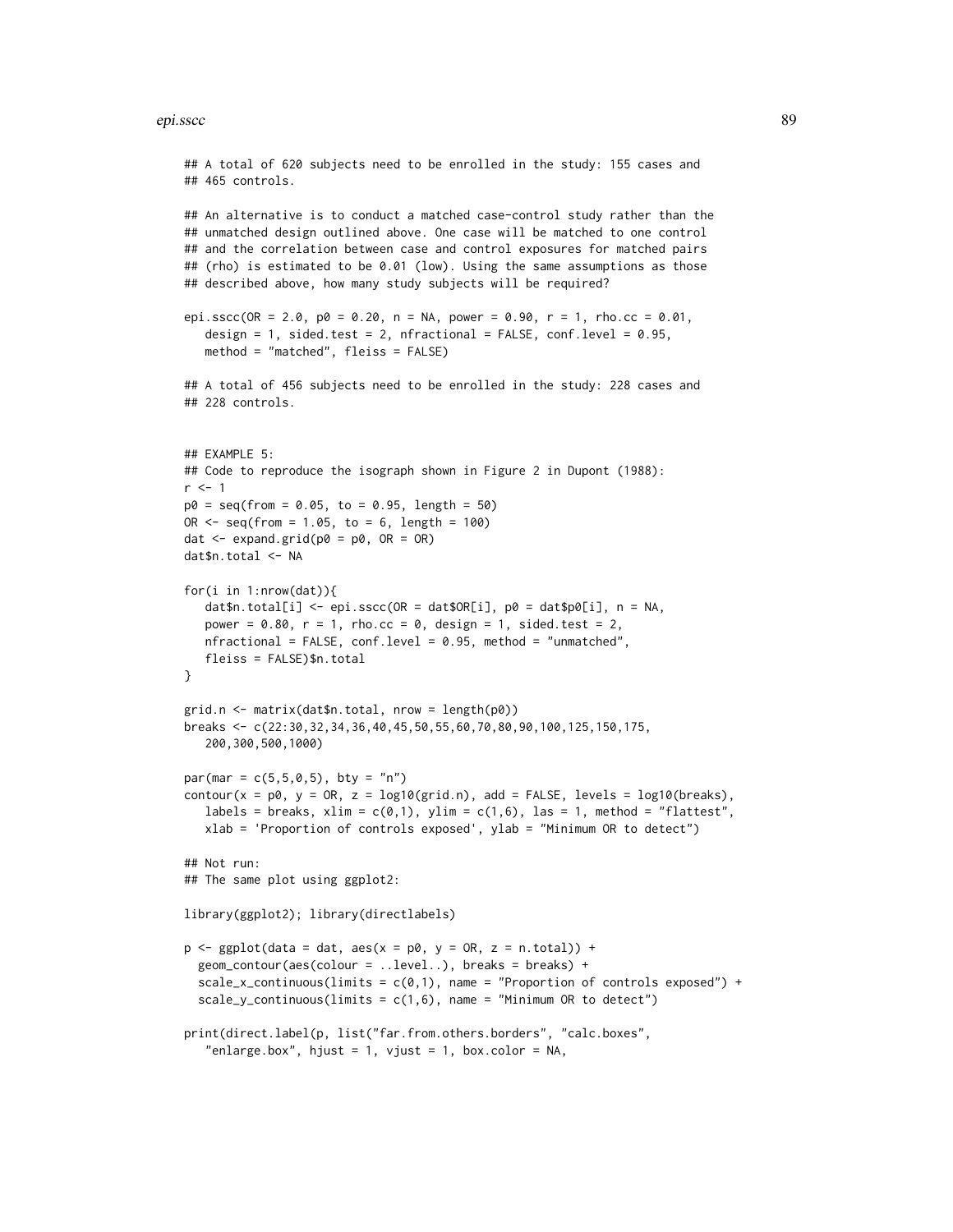#### epi.sscc 89

```
## 465 controls.
## An alternative is to conduct a matched case-control study rather than the
## unmatched design outlined above. One case will be matched to one control
## and the correlation between case and control exposures for matched pairs
## (rho) is estimated to be 0.01 (low). Using the same assumptions as those
## described above, how many study subjects will be required?
epi.sscc(OR = 2.0, p0 = 0.20, n = NA, power = 0.90, r = 1, rho.cc = 0.01,
   design = 1, sided.test = 2, nfractional = FALSE, conf.level = 0.95,
   method = "matched", fleiss = FALSE)
## A total of 456 subjects need to be enrolled in the study: 228 cases and
## 228 controls.
## EXAMPLE 5:
## Code to reproduce the isograph shown in Figure 2 in Dupont (1988):
r <- 1
p0 = seq(from = 0.05, to = 0.95, length = 50)OR \leq seq(from = 1.05, to = 6, length = 100)
dat \leq expand.grid(p0 = p0, OR = OR)
dat$n.total <- NA
for(i in 1:nrow(dat)){
   dat$n.total[i] <- epi.sscc(OR = dat$OR[i], p0 = datsp0[i], n = NA,
   power = 0.80, r = 1, rho.cc = 0, design = 1, sided.test = 2,
   nfractional = FALSE, conf.level = 0.95, method = "unmatched",
   fleiss = FALSE)$n.total
}
grid.n <- matrix(dat$n.total, nrow = length(p0))
breaks <- c(22:30,32,34,36,40,45,50,55,60,70,80,90,100,125,150,175,
   200,300,500,1000)
par(max = c(5, 5, 0, 5), bty = "n")contour(x = p\theta, y = 0R, z = log10(grid.n), add = FALSE, levels = log10(breaks),
   labels = breaks, xlim = c(\emptyset,1), ylim = c(1,6), las = 1, method = "flattest",
   xlab = 'Proportion of controls exposed', ylab = "Minimum OR to detect")
## Not run:
## The same plot using ggplot2:
library(ggplot2); library(directlabels)
p \leq - ggplot(data = dat, aes(x = p0, y = OR, z = n.total)) +
  geom_contour(aes(colour = ..level..), breaks = breaks) +
  scale_x_continuous(limits = c(0,1), name = "Proportion of controls exposed") +
  scale_y_continuous(limits = c(1,6), name = "Minimum OR to detect")
print(direct.label(p, list("far.from.others.borders", "calc.boxes",
   "enlarge.box", hjust = 1, vjust = 1, box.color = NA,
```
## A total of 620 subjects need to be enrolled in the study: 155 cases and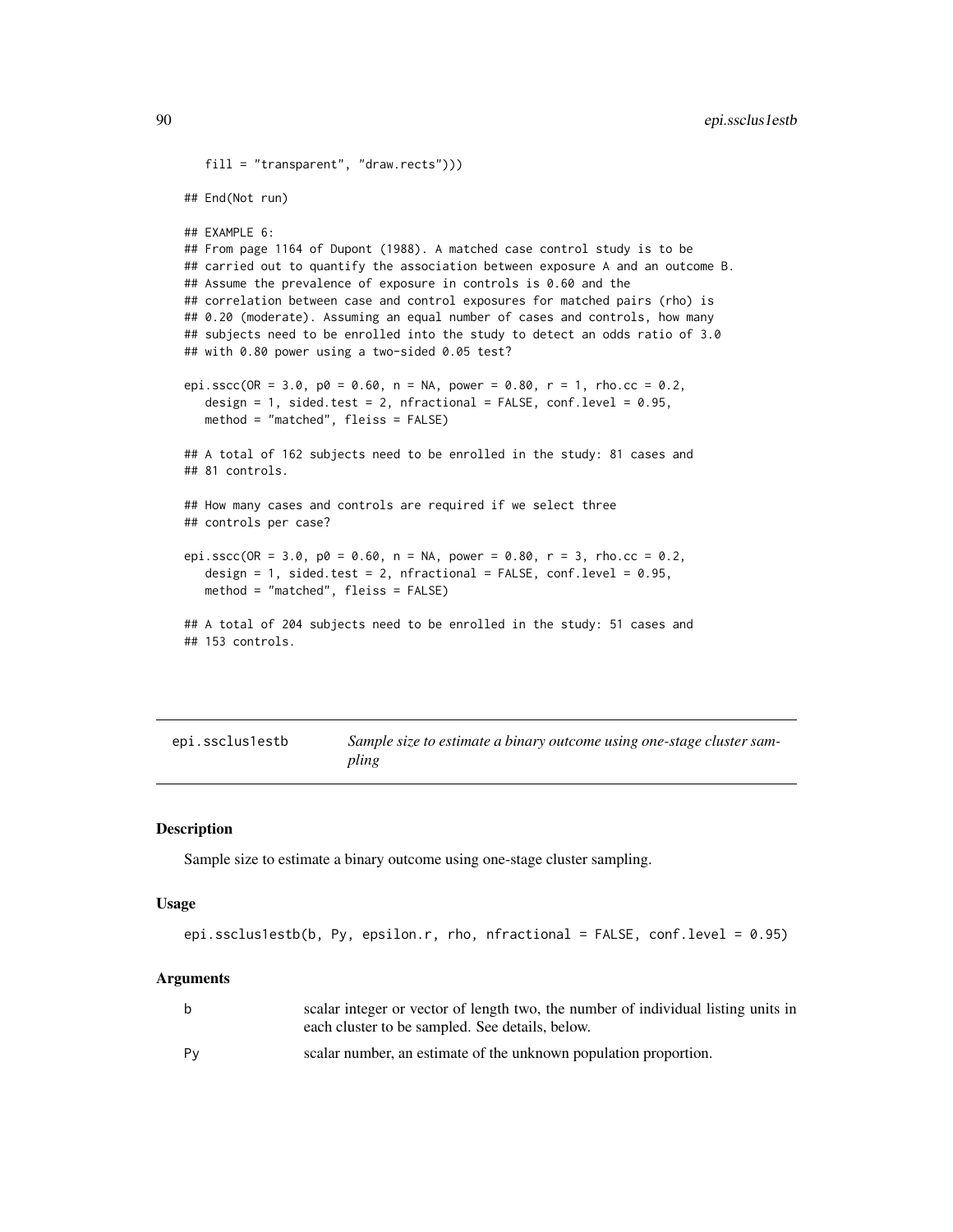```
fill = "transparent", "draw.rects")))
## End(Not run)
## EXAMPLE 6:
## From page 1164 of Dupont (1988). A matched case control study is to be
## carried out to quantify the association between exposure A and an outcome B.
## Assume the prevalence of exposure in controls is 0.60 and the
## correlation between case and control exposures for matched pairs (rho) is
## 0.20 (moderate). Assuming an equal number of cases and controls, how many
## subjects need to be enrolled into the study to detect an odds ratio of 3.0
## with 0.80 power using a two-sided 0.05 test?
epi.sscc(OR = 3.0, p0 = 0.60, n = NA, power = 0.80, r = 1, rho.cc = 0.2,
  design = 1, sided.test = 2, nfractional = FALSE, conf.level = 0.95,
  method = "matched", fleiss = FALSE)
## A total of 162 subjects need to be enrolled in the study: 81 cases and
## 81 controls.
## How many cases and controls are required if we select three
## controls per case?
epi.sscc(OR = 3.0, p0 = 0.60, n = NA, power = 0.80, r = 3, rho.cc = 0.2,
  design = 1, sided.test = 2, nfractional = FALSE, conf.level = 0.95,
  method = "matched", fleiss = FALSE)
## A total of 204 subjects need to be enrolled in the study: 51 cases and
## 153 controls.
```

| epi.ssclus1estb | Sample size to estimate a binary outcome using one-stage cluster sam- |
|-----------------|-----------------------------------------------------------------------|
|                 | pling                                                                 |

# Description

Sample size to estimate a binary outcome using one-stage cluster sampling.

## Usage

```
epi.ssclus1estb(b, Py, epsilon.r, rho, nfractional = FALSE, conf.level = 0.95)
```

| b  | scalar integer or vector of length two, the number of individual listing units in<br>each cluster to be sampled. See details, below. |
|----|--------------------------------------------------------------------------------------------------------------------------------------|
| Py | scalar number, an estimate of the unknown population proportion.                                                                     |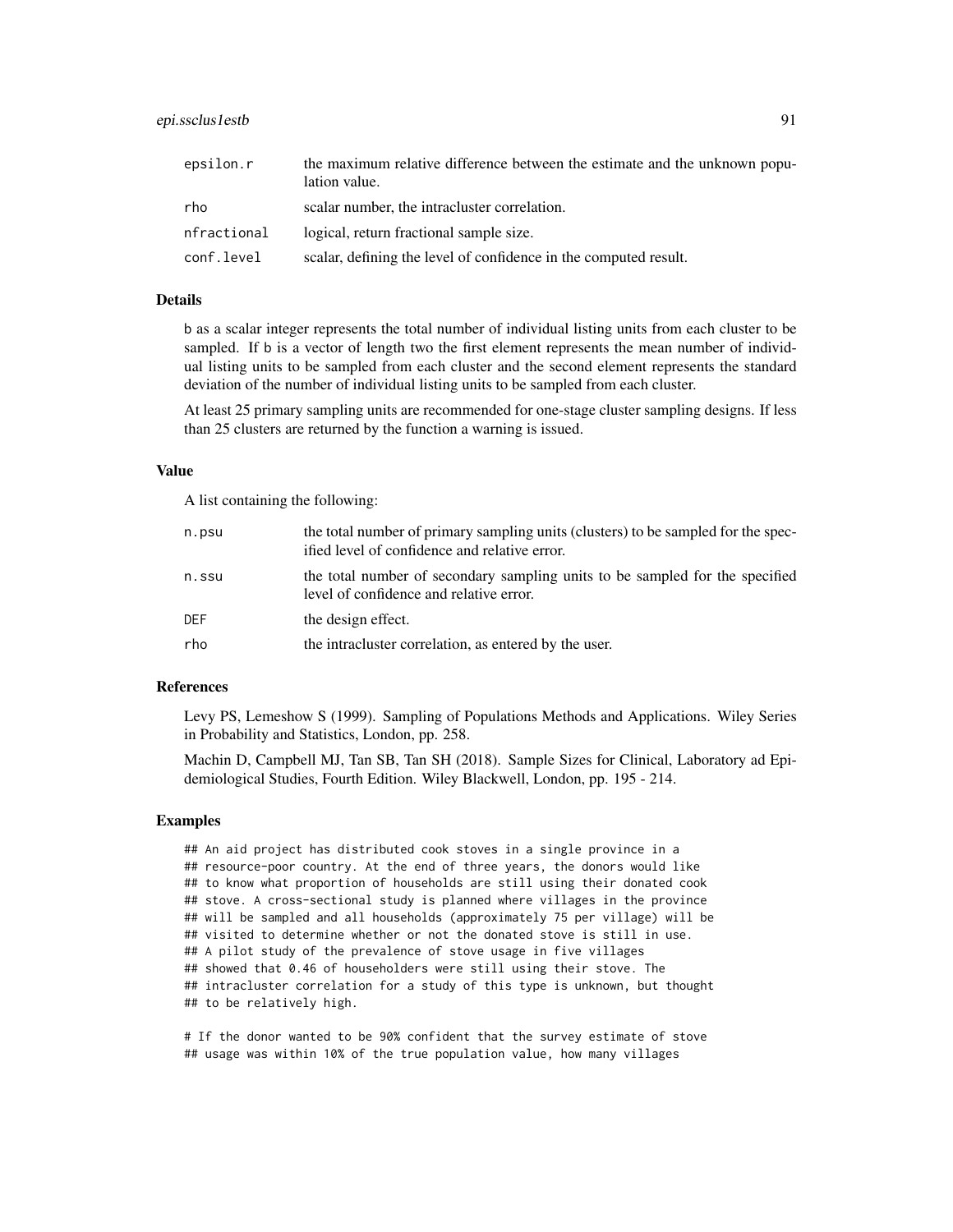| epsilon.r   | the maximum relative difference between the estimate and the unknown popu-<br>lation value. |
|-------------|---------------------------------------------------------------------------------------------|
| rho         | scalar number, the intracluster correlation.                                                |
| nfractional | logical, return fractional sample size.                                                     |
| conf.level  | scalar, defining the level of confidence in the computed result.                            |

## Details

b as a scalar integer represents the total number of individual listing units from each cluster to be sampled. If b is a vector of length two the first element represents the mean number of individual listing units to be sampled from each cluster and the second element represents the standard deviation of the number of individual listing units to be sampled from each cluster.

At least 25 primary sampling units are recommended for one-stage cluster sampling designs. If less than 25 clusters are returned by the function a warning is issued.

#### Value

A list containing the following:

| n.psu      | the total number of primary sampling units (clusters) to be sampled for the spec-<br>ified level of confidence and relative error. |
|------------|------------------------------------------------------------------------------------------------------------------------------------|
| n.ssu      | the total number of secondary sampling units to be sampled for the specified<br>level of confidence and relative error.            |
| <b>DEF</b> | the design effect.                                                                                                                 |
| rho        | the intractuster correlation, as entered by the user.                                                                              |

#### References

Levy PS, Lemeshow S (1999). Sampling of Populations Methods and Applications. Wiley Series in Probability and Statistics, London, pp. 258.

Machin D, Campbell MJ, Tan SB, Tan SH (2018). Sample Sizes for Clinical, Laboratory ad Epidemiological Studies, Fourth Edition. Wiley Blackwell, London, pp. 195 - 214.

#### Examples

## An aid project has distributed cook stoves in a single province in a ## resource-poor country. At the end of three years, the donors would like ## to know what proportion of households are still using their donated cook ## stove. A cross-sectional study is planned where villages in the province ## will be sampled and all households (approximately 75 per village) will be ## visited to determine whether or not the donated stove is still in use. ## A pilot study of the prevalence of stove usage in five villages ## showed that 0.46 of householders were still using their stove. The ## intracluster correlation for a study of this type is unknown, but thought ## to be relatively high.

# If the donor wanted to be 90% confident that the survey estimate of stove ## usage was within 10% of the true population value, how many villages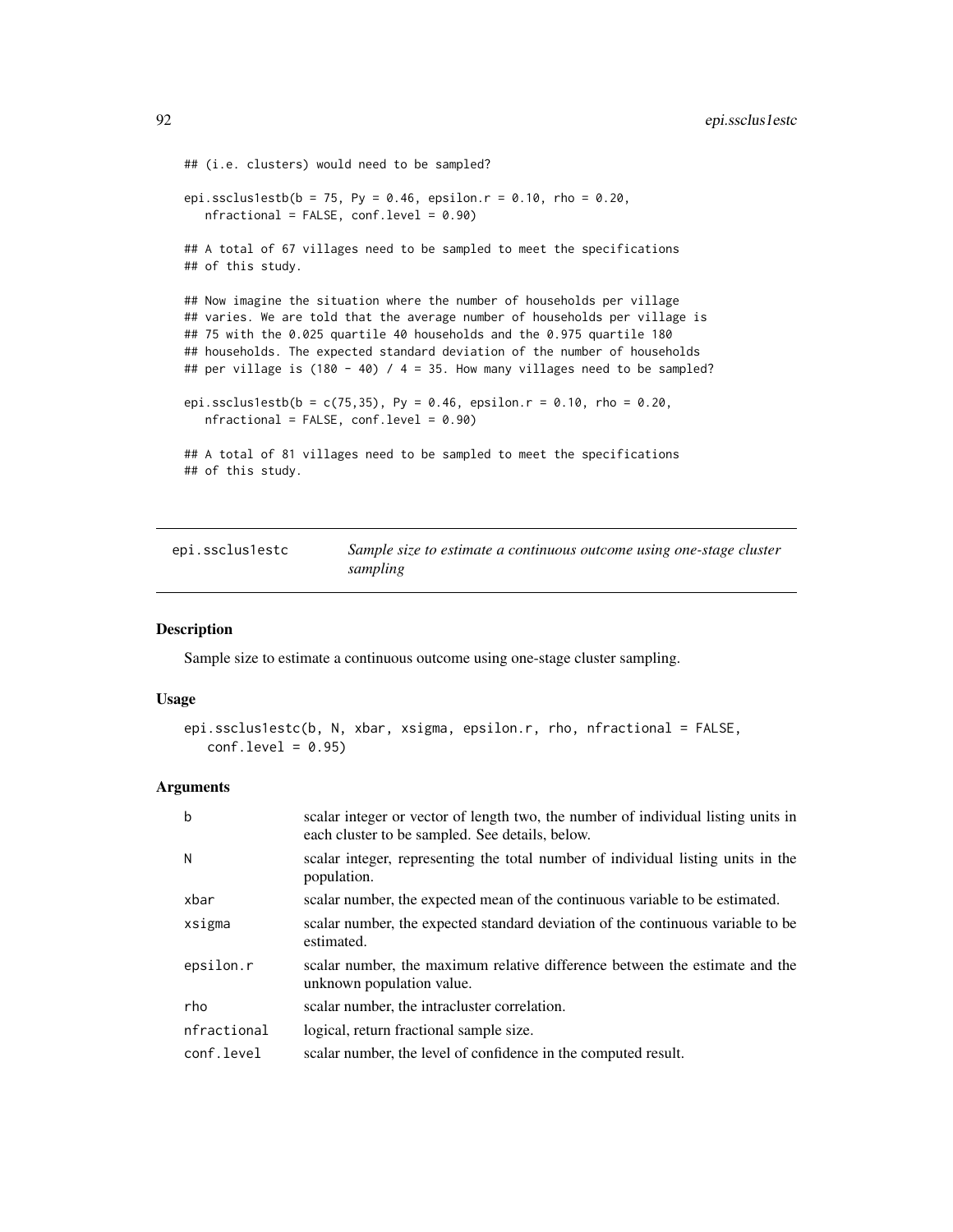```
## (i.e. clusters) would need to be sampled?
epi.ssclus1estb(b = 75, Py = 0.46, epsilon.r = 0.10, rho = 0.20,
  nfractional = FALSE, conf.level = <math>0.90</math>)## A total of 67 villages need to be sampled to meet the specifications
## of this study.
## Now imagine the situation where the number of households per village
## varies. We are told that the average number of households per village is
## 75 with the 0.025 quartile 40 households and the 0.975 quartile 180
## households. The expected standard deviation of the number of households
## per village is (180 - 40) / 4 = 35. How many villages need to be sampled?
epi.ssclus1estb(b = c(75,35), Py = 0.46, epsilon.r = 0.10, rho = 0.20,
  nfractional = FALSE, conf.level = 0.90)
## A total of 81 villages need to be sampled to meet the specifications
## of this study.
```

| epi.ssclus1estc | Sample size to estimate a continuous outcome using one-stage cluster |
|-----------------|----------------------------------------------------------------------|
|                 | sampling                                                             |

#### Description

Sample size to estimate a continuous outcome using one-stage cluster sampling.

# Usage

```
epi.ssclus1estc(b, N, xbar, xsigma, epsilon.r, rho, nfractional = FALSE,
  conf.level = 0.95
```

| $\mathbf b$ | scalar integer or vector of length two, the number of individual listing units in<br>each cluster to be sampled. See details, below. |
|-------------|--------------------------------------------------------------------------------------------------------------------------------------|
| N           | scalar integer, representing the total number of individual listing units in the<br>population.                                      |
| xbar        | scalar number, the expected mean of the continuous variable to be estimated.                                                         |
| xsigma      | scalar number, the expected standard deviation of the continuous variable to be<br>estimated.                                        |
| epsilon.r   | scalar number, the maximum relative difference between the estimate and the<br>unknown population value.                             |
| rho         | scalar number, the intracluster correlation.                                                                                         |
| nfractional | logical, return fractional sample size.                                                                                              |
| conf.level  | scalar number, the level of confidence in the computed result.                                                                       |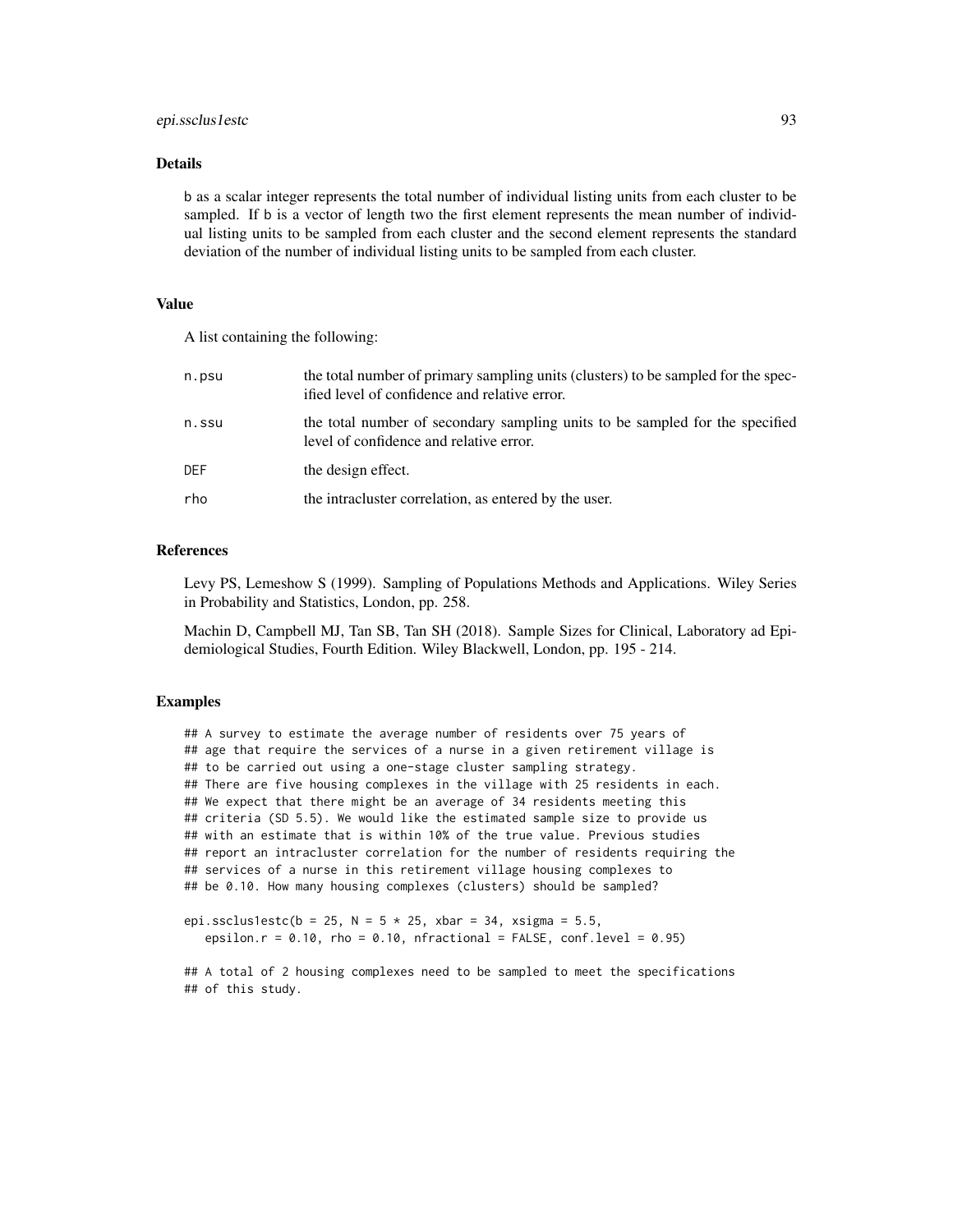# epi.ssclus1estc 93

#### Details

b as a scalar integer represents the total number of individual listing units from each cluster to be sampled. If b is a vector of length two the first element represents the mean number of individual listing units to be sampled from each cluster and the second element represents the standard deviation of the number of individual listing units to be sampled from each cluster.

#### Value

A list containing the following:

| n.psu | the total number of primary sampling units (clusters) to be sampled for the spec-<br>ified level of confidence and relative error. |
|-------|------------------------------------------------------------------------------------------------------------------------------------|
| n.ssu | the total number of secondary sampling units to be sampled for the specified<br>level of confidence and relative error.            |
| DEF   | the design effect.                                                                                                                 |
| rho   | the intracluster correlation, as entered by the user.                                                                              |

## References

Levy PS, Lemeshow S (1999). Sampling of Populations Methods and Applications. Wiley Series in Probability and Statistics, London, pp. 258.

Machin D, Campbell MJ, Tan SB, Tan SH (2018). Sample Sizes for Clinical, Laboratory ad Epidemiological Studies, Fourth Edition. Wiley Blackwell, London, pp. 195 - 214.

## Examples

## A survey to estimate the average number of residents over 75 years of ## age that require the services of a nurse in a given retirement village is ## to be carried out using a one-stage cluster sampling strategy. ## There are five housing complexes in the village with 25 residents in each. ## We expect that there might be an average of 34 residents meeting this ## criteria (SD 5.5). We would like the estimated sample size to provide us ## with an estimate that is within 10% of the true value. Previous studies ## report an intracluster correlation for the number of residents requiring the ## services of a nurse in this retirement village housing complexes to ## be 0.10. How many housing complexes (clusters) should be sampled?

```
epi.ssclus1estc(b = 25, N = 5 * 25, xbar = 34, xsigma = 5.5,
  epsilon.r = 0.10, rho = 0.10, nfractional = FALSE, conf.level = 0.95)
```
## A total of 2 housing complexes need to be sampled to meet the specifications ## of this study.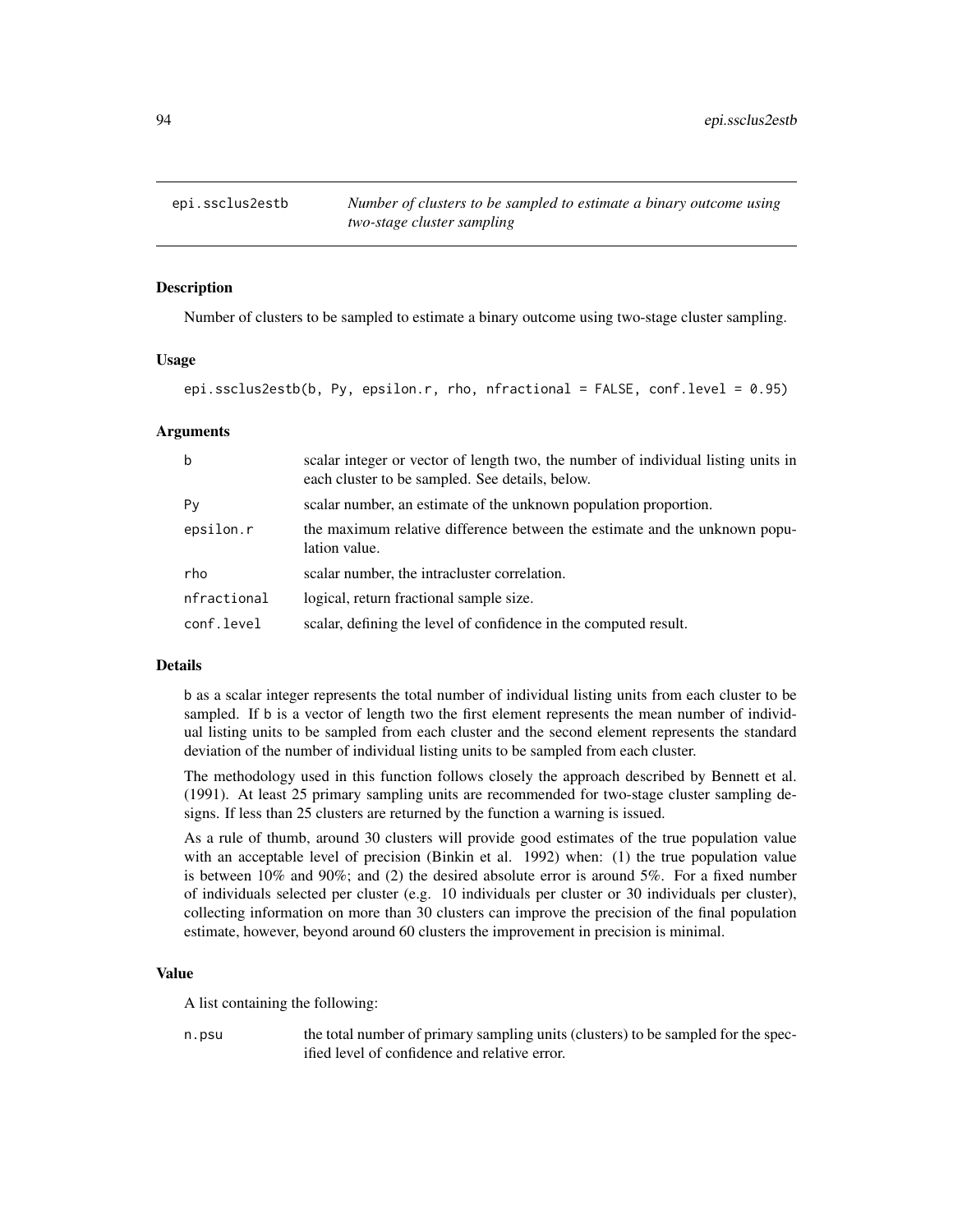# **Description**

Number of clusters to be sampled to estimate a binary outcome using two-stage cluster sampling.

## Usage

epi.ssclus2estb(b, Py, epsilon.r, rho, nfractional = FALSE, conf.level = 0.95)

## Arguments

| $\mathbf b$ | scalar integer or vector of length two, the number of individual listing units in<br>each cluster to be sampled. See details, below. |
|-------------|--------------------------------------------------------------------------------------------------------------------------------------|
| Py          | scalar number, an estimate of the unknown population proportion.                                                                     |
| epsilon.r   | the maximum relative difference between the estimate and the unknown popu-<br>lation value.                                          |
| rho         | scalar number, the intracluster correlation.                                                                                         |
| nfractional | logical, return fractional sample size.                                                                                              |
| conf.level  | scalar, defining the level of confidence in the computed result.                                                                     |

# Details

b as a scalar integer represents the total number of individual listing units from each cluster to be sampled. If b is a vector of length two the first element represents the mean number of individual listing units to be sampled from each cluster and the second element represents the standard deviation of the number of individual listing units to be sampled from each cluster.

The methodology used in this function follows closely the approach described by Bennett et al. (1991). At least 25 primary sampling units are recommended for two-stage cluster sampling designs. If less than 25 clusters are returned by the function a warning is issued.

As a rule of thumb, around 30 clusters will provide good estimates of the true population value with an acceptable level of precision (Binkin et al. 1992) when: (1) the true population value is between  $10\%$  and  $90\%$ ; and (2) the desired absolute error is around  $5\%$ . For a fixed number of individuals selected per cluster (e.g. 10 individuals per cluster or 30 individuals per cluster), collecting information on more than 30 clusters can improve the precision of the final population estimate, however, beyond around 60 clusters the improvement in precision is minimal.

#### Value

A list containing the following:

n.psu the total number of primary sampling units (clusters) to be sampled for the specified level of confidence and relative error.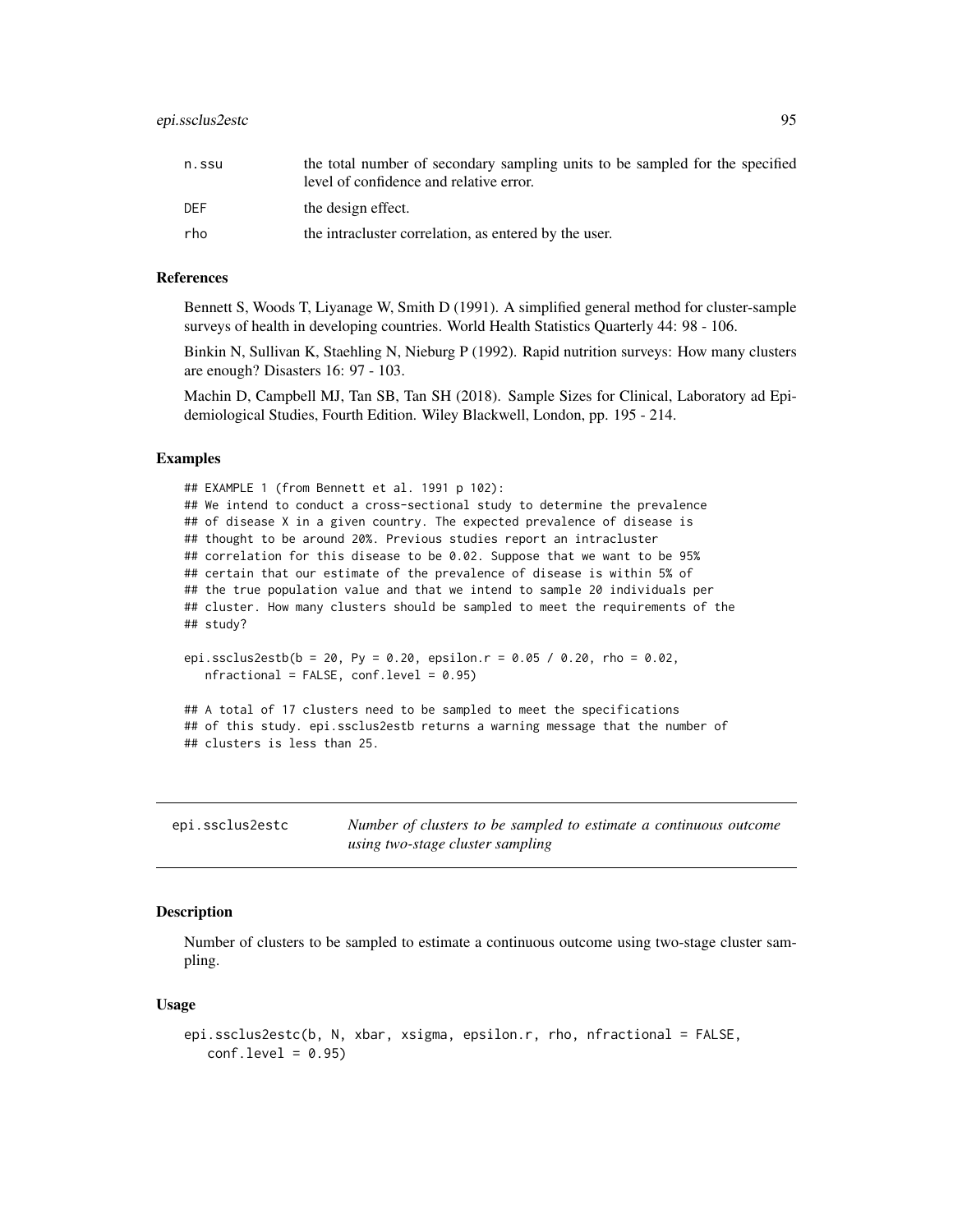| n.ssu | the total number of secondary sampling units to be sampled for the specified<br>level of confidence and relative error. |
|-------|-------------------------------------------------------------------------------------------------------------------------|
| DEF   | the design effect.                                                                                                      |
| rho   | the intracluster correlation, as entered by the user.                                                                   |

#### References

Bennett S, Woods T, Liyanage W, Smith D (1991). A simplified general method for cluster-sample surveys of health in developing countries. World Health Statistics Quarterly 44: 98 - 106.

Binkin N, Sullivan K, Staehling N, Nieburg P (1992). Rapid nutrition surveys: How many clusters are enough? Disasters 16: 97 - 103.

Machin D, Campbell MJ, Tan SB, Tan SH (2018). Sample Sizes for Clinical, Laboratory ad Epidemiological Studies, Fourth Edition. Wiley Blackwell, London, pp. 195 - 214.

## Examples

## EXAMPLE 1 (from Bennett et al. 1991 p 102): ## We intend to conduct a cross-sectional study to determine the prevalence ## of disease X in a given country. The expected prevalence of disease is ## thought to be around 20%. Previous studies report an intracluster ## correlation for this disease to be 0.02. Suppose that we want to be 95% ## certain that our estimate of the prevalence of disease is within 5% of ## the true population value and that we intend to sample 20 individuals per ## cluster. How many clusters should be sampled to meet the requirements of the ## study?

```
epi.ssclus2estb(b = 20, Py = 0.20, epsilon.r = 0.05 / 0.20, rho = 0.02,
  nfractional = FALSE, conf.level = 0.95)
```
## A total of 17 clusters need to be sampled to meet the specifications ## of this study. epi.ssclus2estb returns a warning message that the number of ## clusters is less than 25.

epi.ssclus2estc *Number of clusters to be sampled to estimate a continuous outcome using two-stage cluster sampling*

## **Description**

Number of clusters to be sampled to estimate a continuous outcome using two-stage cluster sampling.

#### Usage

```
epi.ssclus2estc(b, N, xbar, xsigma, epsilon.r, rho, nfractional = FALSE,
  conf.level = 0.95
```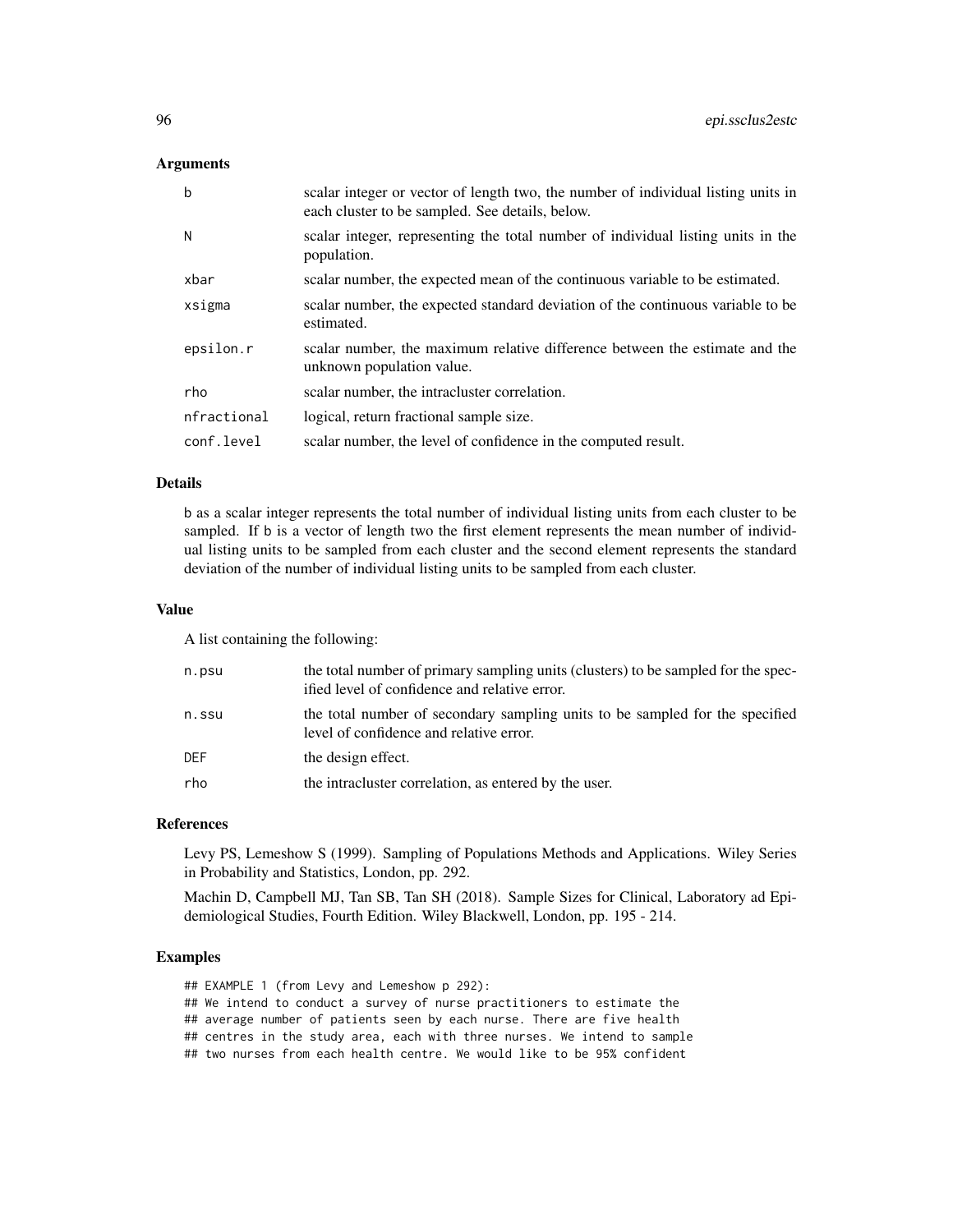# Arguments

| b           | scalar integer or vector of length two, the number of individual listing units in<br>each cluster to be sampled. See details, below. |
|-------------|--------------------------------------------------------------------------------------------------------------------------------------|
| N           | scalar integer, representing the total number of individual listing units in the<br>population.                                      |
| xbar        | scalar number, the expected mean of the continuous variable to be estimated.                                                         |
| xsigma      | scalar number, the expected standard deviation of the continuous variable to be<br>estimated.                                        |
| epsilon.r   | scalar number, the maximum relative difference between the estimate and the<br>unknown population value.                             |
| rho         | scalar number, the intracluster correlation.                                                                                         |
| nfractional | logical, return fractional sample size.                                                                                              |
| conf.level  | scalar number, the level of confidence in the computed result.                                                                       |

## Details

b as a scalar integer represents the total number of individual listing units from each cluster to be sampled. If b is a vector of length two the first element represents the mean number of individual listing units to be sampled from each cluster and the second element represents the standard deviation of the number of individual listing units to be sampled from each cluster.

# Value

A list containing the following:

| n.psu | the total number of primary sampling units (clusters) to be sampled for the spec-<br>ified level of confidence and relative error. |
|-------|------------------------------------------------------------------------------------------------------------------------------------|
| n.ssu | the total number of secondary sampling units to be sampled for the specified<br>level of confidence and relative error.            |
| DEF   | the design effect.                                                                                                                 |
| rho   | the intractuster correlation, as entered by the user.                                                                              |
|       |                                                                                                                                    |

#### References

Levy PS, Lemeshow S (1999). Sampling of Populations Methods and Applications. Wiley Series in Probability and Statistics, London, pp. 292.

Machin D, Campbell MJ, Tan SB, Tan SH (2018). Sample Sizes for Clinical, Laboratory ad Epidemiological Studies, Fourth Edition. Wiley Blackwell, London, pp. 195 - 214.

# Examples

## EXAMPLE 1 (from Levy and Lemeshow p 292):

## We intend to conduct a survey of nurse practitioners to estimate the

## average number of patients seen by each nurse. There are five health

## centres in the study area, each with three nurses. We intend to sample

## two nurses from each health centre. We would like to be 95% confident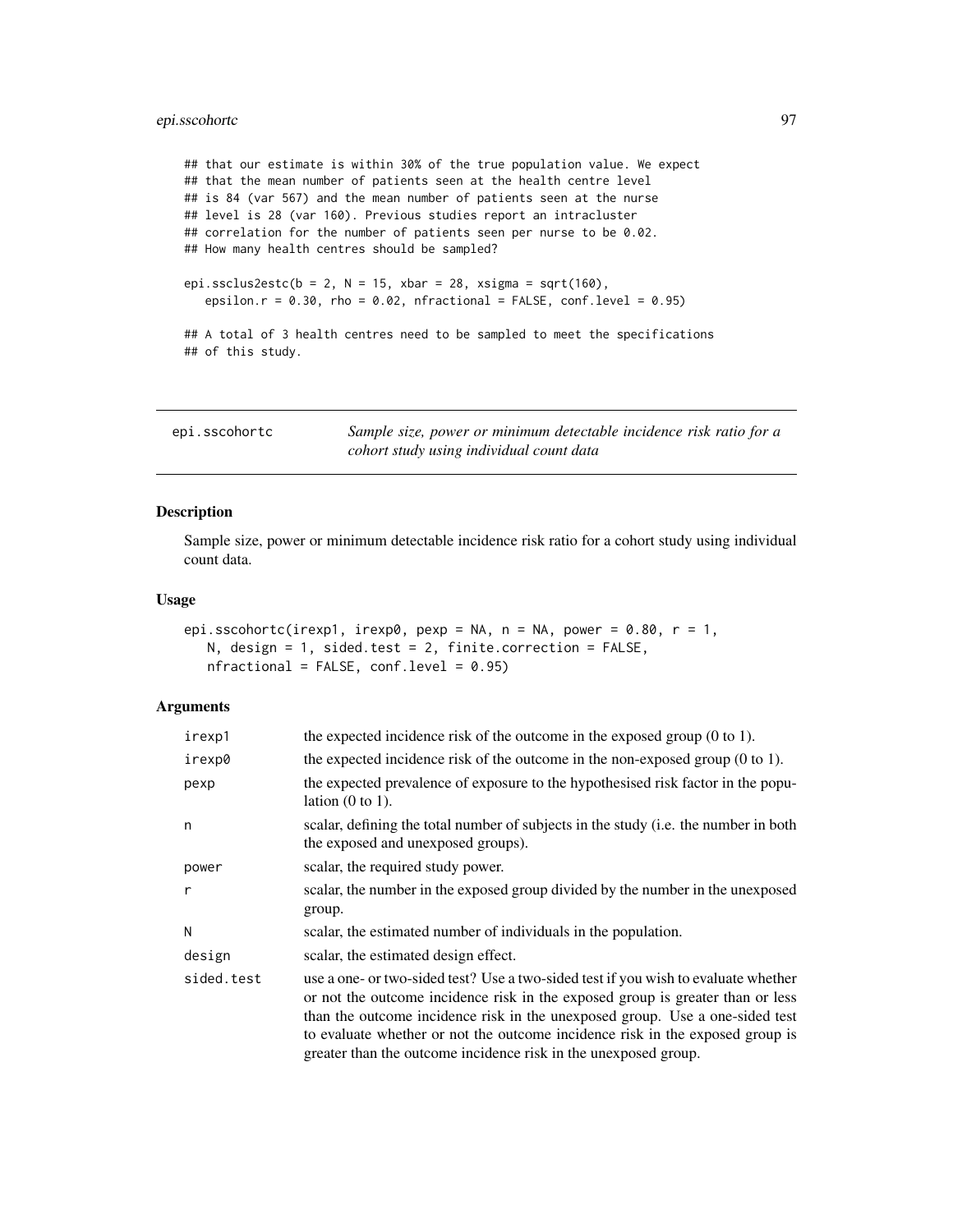# epi.sscohortc 97

## that our estimate is within 30% of the true population value. We expect ## that the mean number of patients seen at the health centre level ## is 84 (var 567) and the mean number of patients seen at the nurse ## level is 28 (var 160). Previous studies report an intracluster ## correlation for the number of patients seen per nurse to be 0.02. ## How many health centres should be sampled? epi.ssclus2estc(b = 2, N = 15, xbar = 28, xsigma = sqrt(160), epsilon.r =  $0.30$ , rho =  $0.02$ , nfractional = FALSE, conf.level =  $0.95$ ) ## A total of 3 health centres need to be sampled to meet the specifications ## of this study.

<span id="page-96-0"></span>epi.sscohortc *Sample size, power or minimum detectable incidence risk ratio for a cohort study using individual count data*

# Description

Sample size, power or minimum detectable incidence risk ratio for a cohort study using individual count data.

# Usage

```
epi.sscohortc(irexp1, irexp0, pexp = NA, n = NA, power = 0.80, r = 1,
   N, design = 1, sided.test = 2, finite.correction = FALSE,
   nfractional = FALSE, conf.level = 0.95)
```

| irexp1       | the expected incidence risk of the outcome in the exposed group $(0 \text{ to } 1)$ .                                                                                                                                                                                                                                                                                                                    |
|--------------|----------------------------------------------------------------------------------------------------------------------------------------------------------------------------------------------------------------------------------------------------------------------------------------------------------------------------------------------------------------------------------------------------------|
| irexp0       | the expected incidence risk of the outcome in the non-exposed group $(0 \text{ to } 1)$ .                                                                                                                                                                                                                                                                                                                |
| pexp         | the expected prevalence of exposure to the hypothesised risk factor in the popu-<br>lation $(0 \text{ to } 1)$ .                                                                                                                                                                                                                                                                                         |
| n            | scalar, defining the total number of subjects in the study (i.e. the number in both<br>the exposed and unexposed groups).                                                                                                                                                                                                                                                                                |
| power        | scalar, the required study power.                                                                                                                                                                                                                                                                                                                                                                        |
| $\mathsf{r}$ | scalar, the number in the exposed group divided by the number in the unexposed<br>group.                                                                                                                                                                                                                                                                                                                 |
| N            | scalar, the estimated number of individuals in the population.                                                                                                                                                                                                                                                                                                                                           |
| design       | scalar, the estimated design effect.                                                                                                                                                                                                                                                                                                                                                                     |
| sided.test   | use a one- or two-sided test? Use a two-sided test if you wish to evaluate whether<br>or not the outcome incidence risk in the exposed group is greater than or less<br>than the outcome incidence risk in the unexposed group. Use a one-sided test<br>to evaluate whether or not the outcome incidence risk in the exposed group is<br>greater than the outcome incidence risk in the unexposed group. |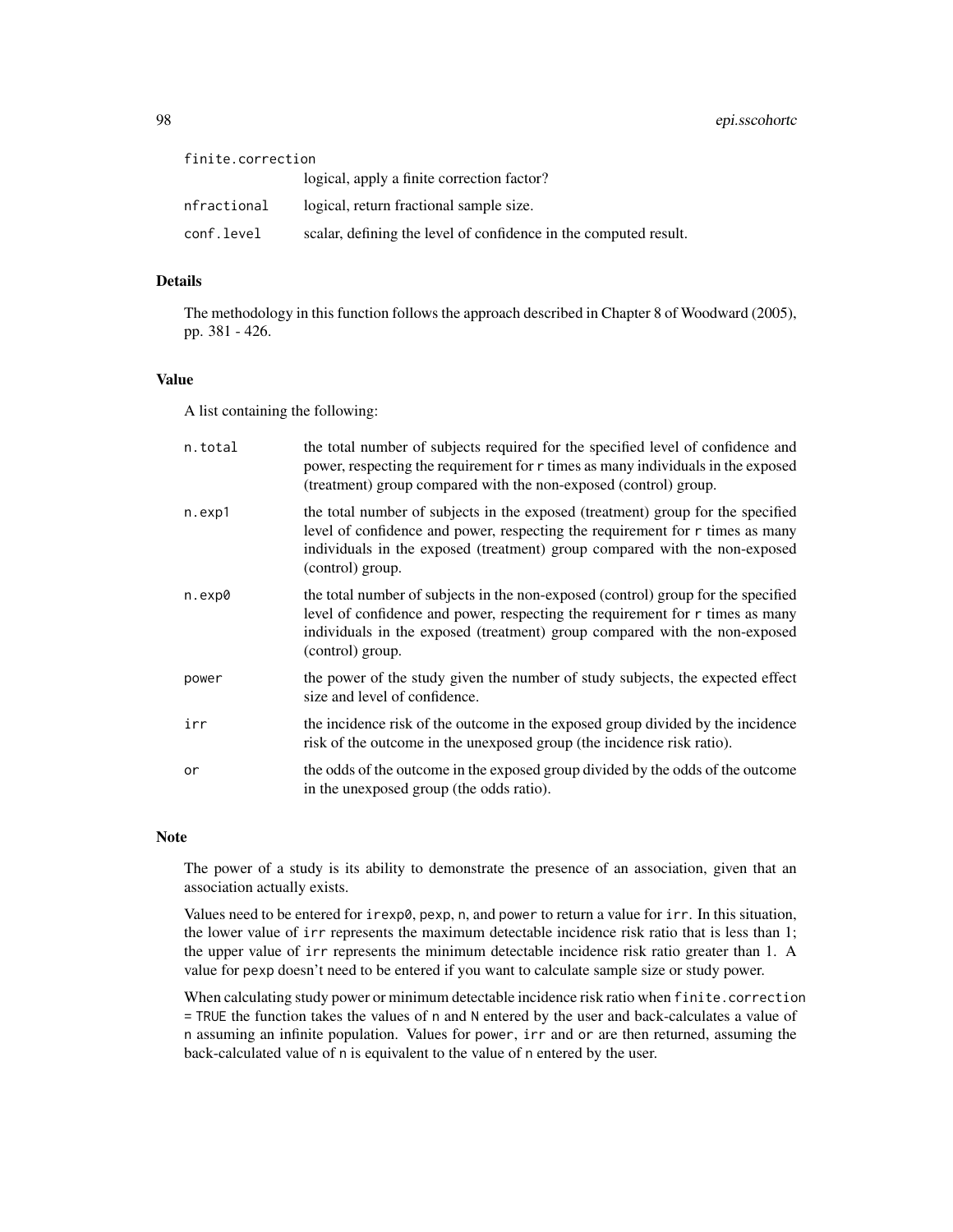| finite.correction |                                                                  |
|-------------------|------------------------------------------------------------------|
|                   | logical, apply a finite correction factor?                       |
| nfractional       | logical, return fractional sample size.                          |
| conf.level        | scalar, defining the level of confidence in the computed result. |

# Details

The methodology in this function follows the approach described in Chapter 8 of Woodward (2005), pp. 381 - 426.

# Value

A list containing the following:

| n.total | the total number of subjects required for the specified level of confidence and<br>power, respecting the requirement for r times as many individuals in the exposed<br>(treatment) group compared with the non-exposed (control) group.                              |
|---------|----------------------------------------------------------------------------------------------------------------------------------------------------------------------------------------------------------------------------------------------------------------------|
| n.exp1  | the total number of subjects in the exposed (treatment) group for the specified<br>level of confidence and power, respecting the requirement for r times as many<br>individuals in the exposed (treatment) group compared with the non-exposed<br>(control) group.   |
| n.exp0  | the total number of subjects in the non-exposed (control) group for the specified<br>level of confidence and power, respecting the requirement for r times as many<br>individuals in the exposed (treatment) group compared with the non-exposed<br>(control) group. |
| power   | the power of the study given the number of study subjects, the expected effect<br>size and level of confidence.                                                                                                                                                      |
| irr     | the incidence risk of the outcome in the exposed group divided by the incidence<br>risk of the outcome in the unexposed group (the incidence risk ratio).                                                                                                            |
| or      | the odds of the outcome in the exposed group divided by the odds of the outcome<br>in the unexposed group (the odds ratio).                                                                                                                                          |

# Note

The power of a study is its ability to demonstrate the presence of an association, given that an association actually exists.

Values need to be entered for irexp0, pexp, n, and power to return a value for irr. In this situation, the lower value of irr represents the maximum detectable incidence risk ratio that is less than 1; the upper value of irr represents the minimum detectable incidence risk ratio greater than 1. A value for pexp doesn't need to be entered if you want to calculate sample size or study power.

When calculating study power or minimum detectable incidence risk ratio when finite.correction = TRUE the function takes the values of n and N entered by the user and back-calculates a value of n assuming an infinite population. Values for power, irr and or are then returned, assuming the back-calculated value of n is equivalent to the value of n entered by the user.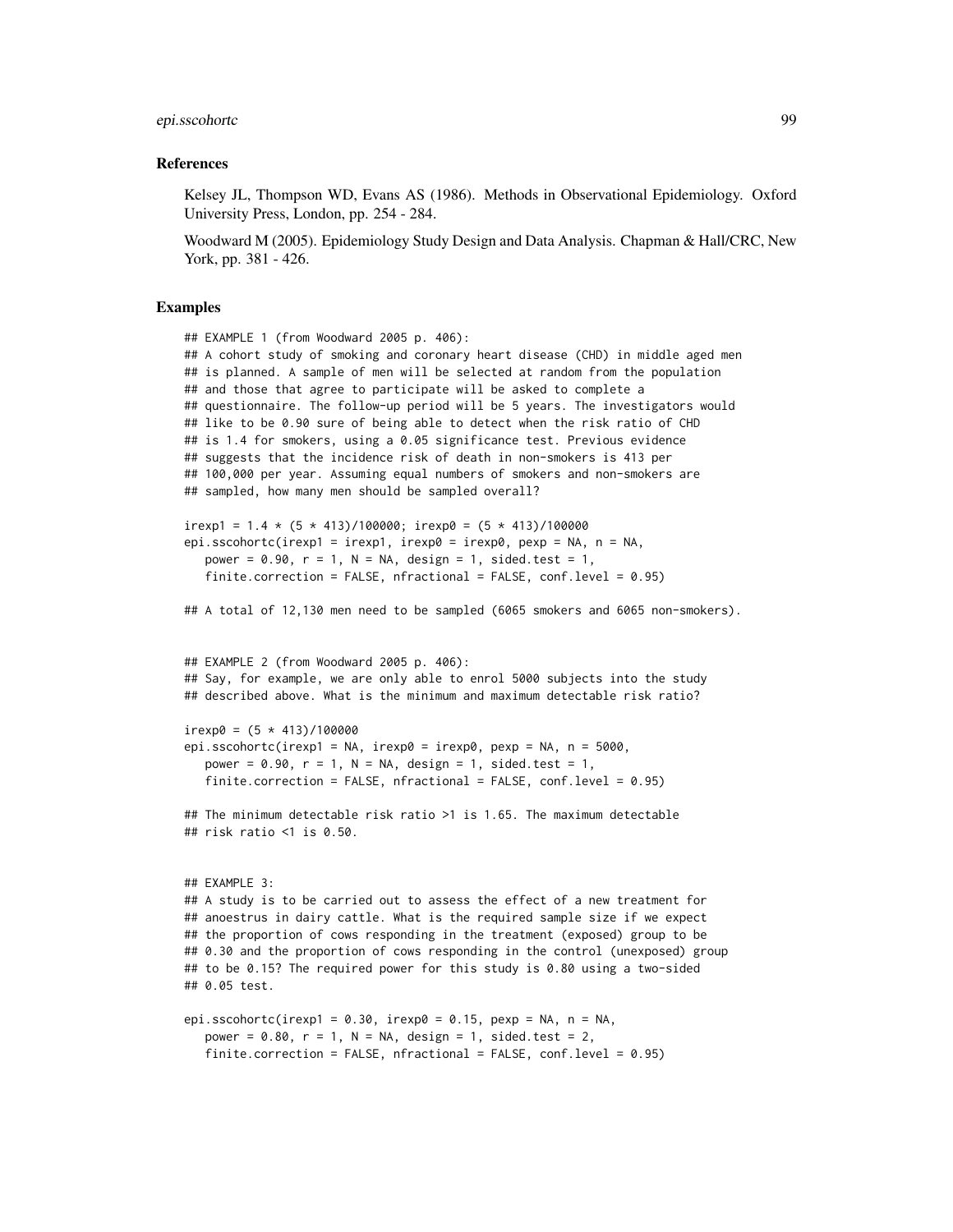# epi.sscohortc 99

#### References

Kelsey JL, Thompson WD, Evans AS (1986). Methods in Observational Epidemiology. Oxford University Press, London, pp. 254 - 284.

Woodward M (2005). Epidemiology Study Design and Data Analysis. Chapman & Hall/CRC, New York, pp. 381 - 426.

## Examples

## EXAMPLE 1 (from Woodward 2005 p. 406):

```
## A cohort study of smoking and coronary heart disease (CHD) in middle aged men
## is planned. A sample of men will be selected at random from the population
## and those that agree to participate will be asked to complete a
## questionnaire. The follow-up period will be 5 years. The investigators would
## like to be 0.90 sure of being able to detect when the risk ratio of CHD
## is 1.4 for smokers, using a 0.05 significance test. Previous evidence
## suggests that the incidence risk of death in non-smokers is 413 per
## 100,000 per year. Assuming equal numbers of smokers and non-smokers are
## sampled, how many men should be sampled overall?
irexp1 = 1.4 \star (5 \star 413)/100000; irexp0 = (5 \star 413)/100000
epi.sscohortc(irexp1 = irexp1, irexp0 = irexp0, pexp = NA, n = NA,
  power = 0.90, r = 1, N = NA, design = 1, sided.test = 1,
   finite.correction = FALSE, nfractional = FALSE, conf.level = 0.95)
## A total of 12,130 men need to be sampled (6065 smokers and 6065 non-smokers).
## EXAMPLE 2 (from Woodward 2005 p. 406):
## Say, for example, we are only able to enrol 5000 subjects into the study
## described above. What is the minimum and maximum detectable risk ratio?
irexp0 = (5 * 413)/100000epi.sscohortc(irexp1 = NA, irexp0 = irexp0, pexp = NA, n = 5000,
   power = 0.90, r = 1, N = NA, design = 1, sided.test = 1,
   finite.correction = FALSE, nfractional = FALSE, conf.level = 0.95)
## The minimum detectable risk ratio >1 is 1.65. The maximum detectable
## risk ratio <1 is 0.50.
## EXAMPLE 3:
## A study is to be carried out to assess the effect of a new treatment for
## anoestrus in dairy cattle. What is the required sample size if we expect
## the proportion of cows responding in the treatment (exposed) group to be
## 0.30 and the proportion of cows responding in the control (unexposed) group
## to be 0.15? The required power for this study is 0.80 using a two-sided
## 0.05 test.
epi.sscohortc(irexp1 = 0.30, irexp0 = 0.15, pexp = NA, n = NA,
  power = 0.80, r = 1, N = NA, design = 1, sided.test = 2,
```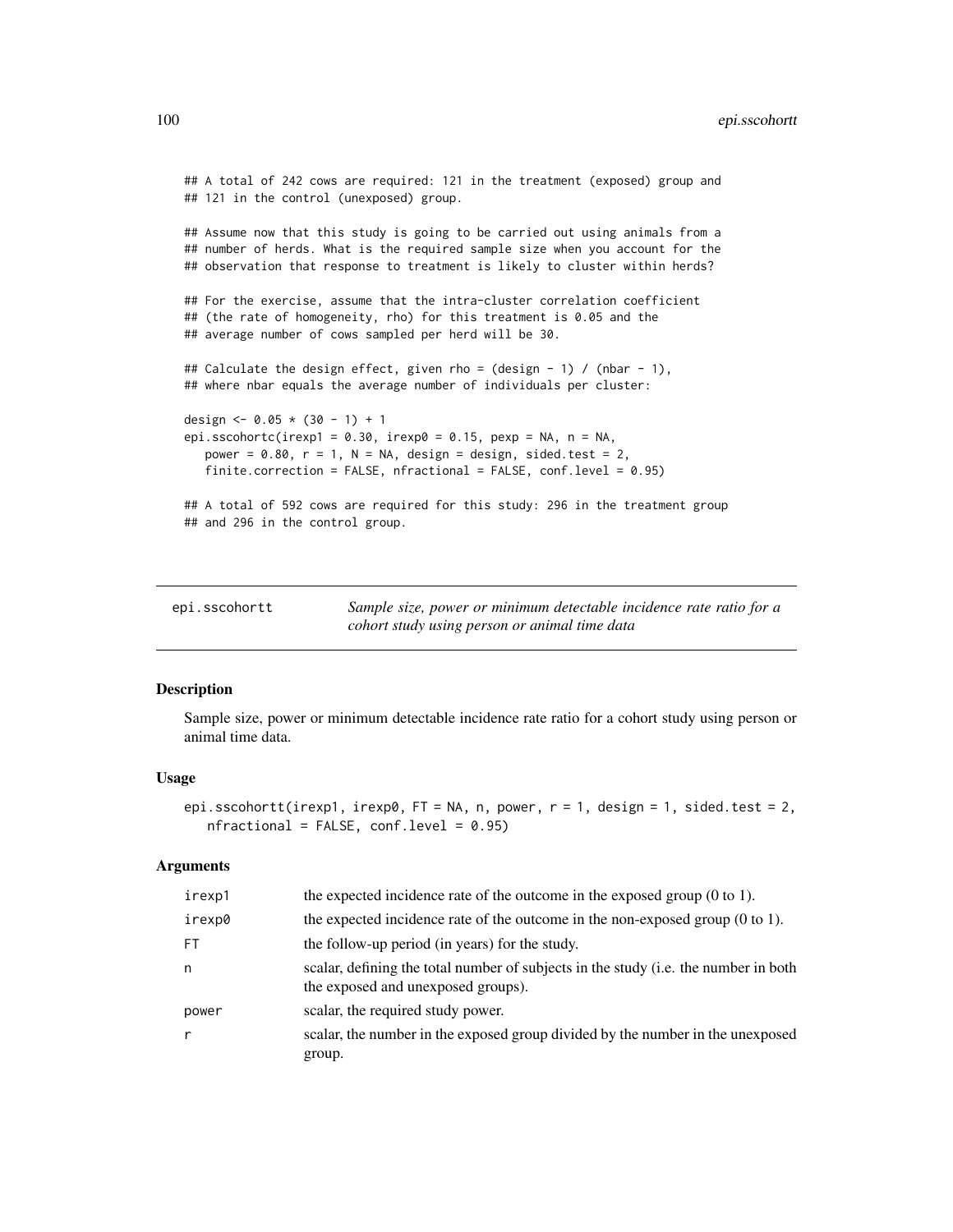```
## A total of 242 cows are required: 121 in the treatment (exposed) group and
## 121 in the control (unexposed) group.
## Assume now that this study is going to be carried out using animals from a
## number of herds. What is the required sample size when you account for the
## observation that response to treatment is likely to cluster within herds?
## For the exercise, assume that the intra-cluster correlation coefficient
## (the rate of homogeneity, rho) for this treatment is 0.05 and the
## average number of cows sampled per herd will be 30.
## Calculate the design effect, given rho = (design - 1) / (nbar - 1),
## where nbar equals the average number of individuals per cluster:
design <- 0.05 * (30 - 1) + 1
epi.sscohortc(irexp1 = 0.30, irexp0 = 0.15, pexp = NA, n = NA,
   power = 0.80, r = 1, N = NA, design = design, sided.test = 2,
   finite.correction = FALSE, nfractional = FALSE, conf.level = 0.95)
## A total of 592 cows are required for this study: 296 in the treatment group
## and 296 in the control group.
```

| epi.sscohortt | Sample size, power or minimum detectable incidence rate ratio for a |
|---------------|---------------------------------------------------------------------|
|               | cohort study using person or animal time data                       |

# Description

Sample size, power or minimum detectable incidence rate ratio for a cohort study using person or animal time data.

### Usage

```
epi.sscohortt(irexp1, irexp0, FT = NA, n, power, r = 1, design = 1, sided.test = 2,
  nfractional = FALSE, conf.level = 0.95
```

| irexp1 | the expected incidence rate of the outcome in the exposed group $(0 \text{ to } 1)$ .                                     |
|--------|---------------------------------------------------------------------------------------------------------------------------|
| irexp0 | the expected incidence rate of the outcome in the non-exposed group $(0 \text{ to } 1)$ .                                 |
| FT.    | the follow-up period (in years) for the study.                                                                            |
| n      | scalar, defining the total number of subjects in the study (i.e. the number in both<br>the exposed and unexposed groups). |
| power  | scalar, the required study power.                                                                                         |
| r      | scalar, the number in the exposed group divided by the number in the unexposed<br>group.                                  |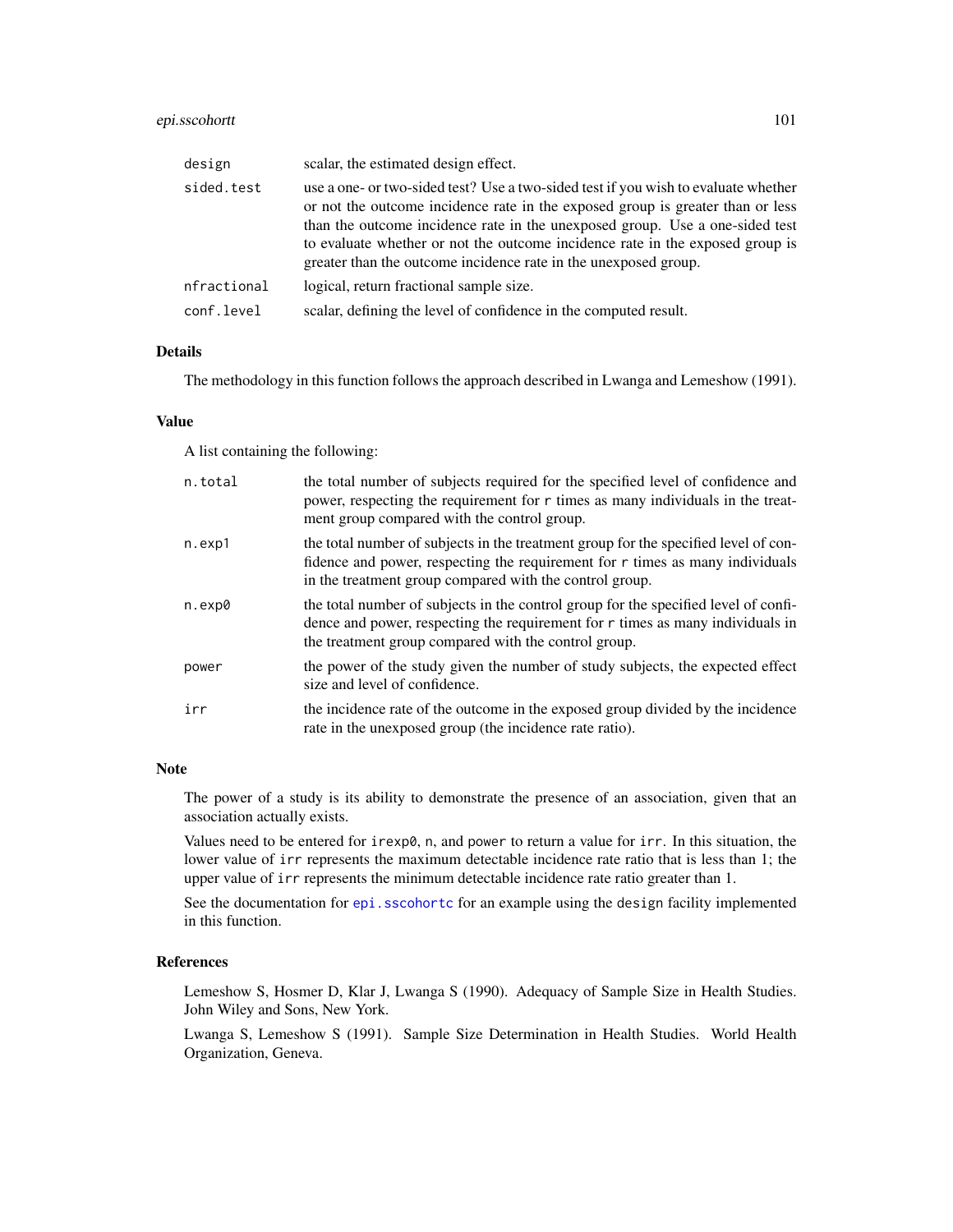# epi.sscohortt 101

| design      | scalar, the estimated design effect.                                                                                                                                                                                                                                                                                                                                                                     |
|-------------|----------------------------------------------------------------------------------------------------------------------------------------------------------------------------------------------------------------------------------------------------------------------------------------------------------------------------------------------------------------------------------------------------------|
| sided.test  | use a one- or two-sided test? Use a two-sided test if you wish to evaluate whether<br>or not the outcome incidence rate in the exposed group is greater than or less<br>than the outcome incidence rate in the unexposed group. Use a one-sided test<br>to evaluate whether or not the outcome incidence rate in the exposed group is<br>greater than the outcome incidence rate in the unexposed group. |
| nfractional | logical, return fractional sample size.                                                                                                                                                                                                                                                                                                                                                                  |
| conf.level  | scalar, defining the level of confidence in the computed result.                                                                                                                                                                                                                                                                                                                                         |

# Details

The methodology in this function follows the approach described in Lwanga and Lemeshow (1991).

#### Value

A list containing the following:

| n.total | the total number of subjects required for the specified level of confidence and<br>power, respecting the requirement for r times as many individuals in the treat-<br>ment group compared with the control group.                 |
|---------|-----------------------------------------------------------------------------------------------------------------------------------------------------------------------------------------------------------------------------------|
| n.exp1  | the total number of subjects in the treatment group for the specified level of con-<br>fidence and power, respecting the requirement for $r$ times as many individuals<br>in the treatment group compared with the control group. |
| n.exp0  | the total number of subjects in the control group for the specified level of confi-<br>dence and power, respecting the requirement for $r$ times as many individuals in<br>the treatment group compared with the control group.   |
| power   | the power of the study given the number of study subjects, the expected effect<br>size and level of confidence.                                                                                                                   |
| irr     | the incidence rate of the outcome in the exposed group divided by the incidence<br>rate in the unexposed group (the incidence rate ratio).                                                                                        |

# Note

The power of a study is its ability to demonstrate the presence of an association, given that an association actually exists.

Values need to be entered for irexp0, n, and power to return a value for irr. In this situation, the lower value of irr represents the maximum detectable incidence rate ratio that is less than 1; the upper value of irr represents the minimum detectable incidence rate ratio greater than 1.

See the documentation for [epi.sscohortc](#page-96-0) for an example using the design facility implemented in this function.

# References

Lemeshow S, Hosmer D, Klar J, Lwanga S (1990). Adequacy of Sample Size in Health Studies. John Wiley and Sons, New York.

Lwanga S, Lemeshow S (1991). Sample Size Determination in Health Studies. World Health Organization, Geneva.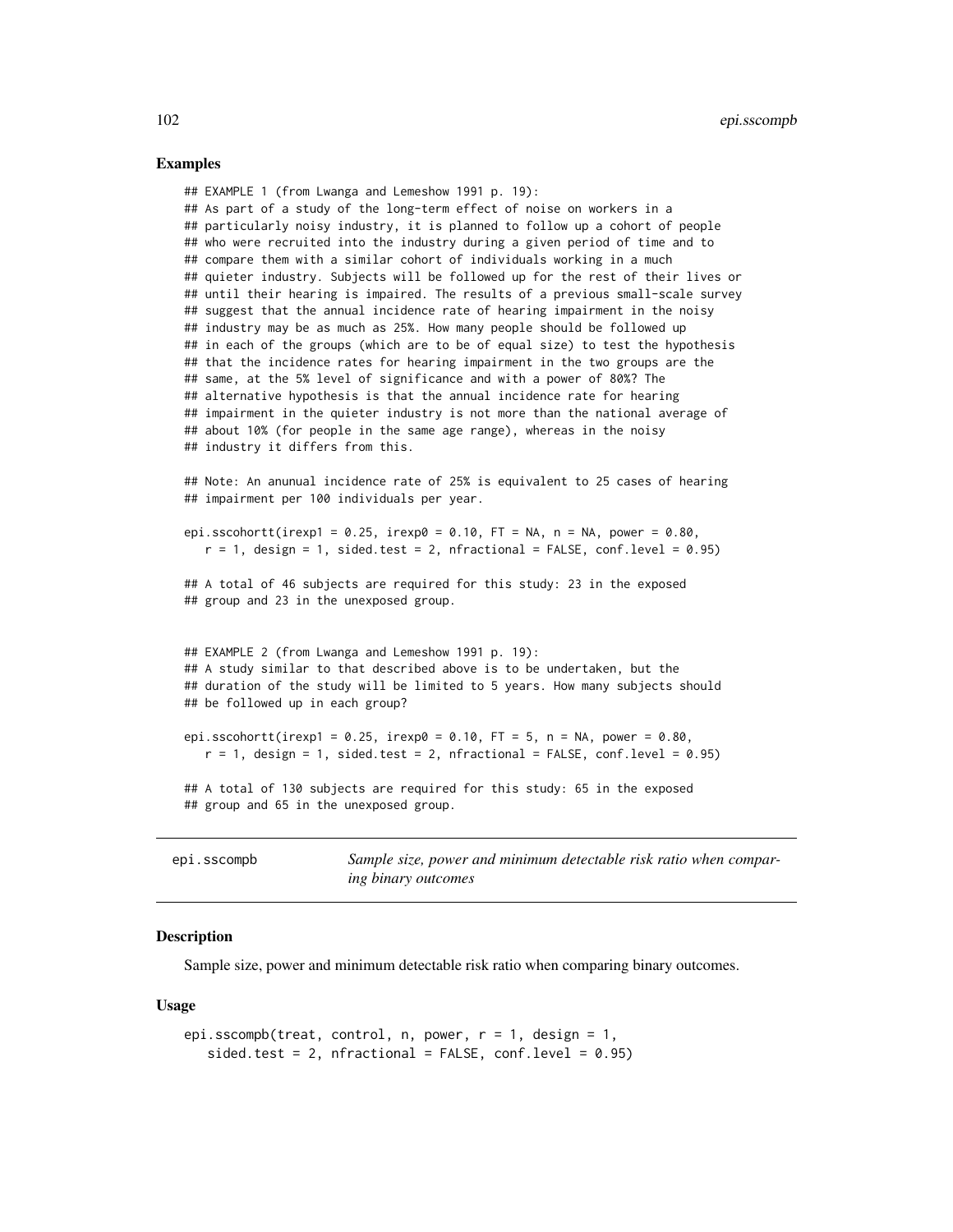#### Examples

## EXAMPLE 1 (from Lwanga and Lemeshow 1991 p. 19): ## As part of a study of the long-term effect of noise on workers in a ## particularly noisy industry, it is planned to follow up a cohort of people ## who were recruited into the industry during a given period of time and to ## compare them with a similar cohort of individuals working in a much ## quieter industry. Subjects will be followed up for the rest of their lives or ## until their hearing is impaired. The results of a previous small-scale survey ## suggest that the annual incidence rate of hearing impairment in the noisy ## industry may be as much as 25%. How many people should be followed up ## in each of the groups (which are to be of equal size) to test the hypothesis ## that the incidence rates for hearing impairment in the two groups are the ## same, at the 5% level of significance and with a power of 80%? The ## alternative hypothesis is that the annual incidence rate for hearing ## impairment in the quieter industry is not more than the national average of ## about 10% (for people in the same age range), whereas in the noisy ## industry it differs from this.

## Note: An anunual incidence rate of 25% is equivalent to 25 cases of hearing ## impairment per 100 individuals per year.

epi.sscohortt(irexp1 =  $0.25$ , irexp0 =  $0.10$ , FT = NA, n = NA, power =  $0.80$ ,  $r = 1$ , design = 1, sided.test = 2, nfractional = FALSE, conf.level = 0.95)

```
## A total of 46 subjects are required for this study: 23 in the exposed
## group and 23 in the unexposed group.
```
## EXAMPLE 2 (from Lwanga and Lemeshow 1991 p. 19): ## A study similar to that described above is to be undertaken, but the ## duration of the study will be limited to 5 years. How many subjects should ## be followed up in each group?

```
epi.sscohortt(irexp1 = 0.25, irexp0 = 0.10, FT = 5, n = NA, power = 0.80,
  r = 1, design = 1, sided.test = 2, nfractional = FALSE, conf.level = 0.95)
```
## A total of 130 subjects are required for this study: 65 in the exposed ## group and 65 in the unexposed group.

epi.sscompb *Sample size, power and minimum detectable risk ratio when comparing binary outcomes*

## **Description**

Sample size, power and minimum detectable risk ratio when comparing binary outcomes.

#### Usage

```
epi.sscompb(treat, control, n, power, r = 1, design = 1,
   sided.test = 2, nfractional = FALSE, conf.level = 0.95)
```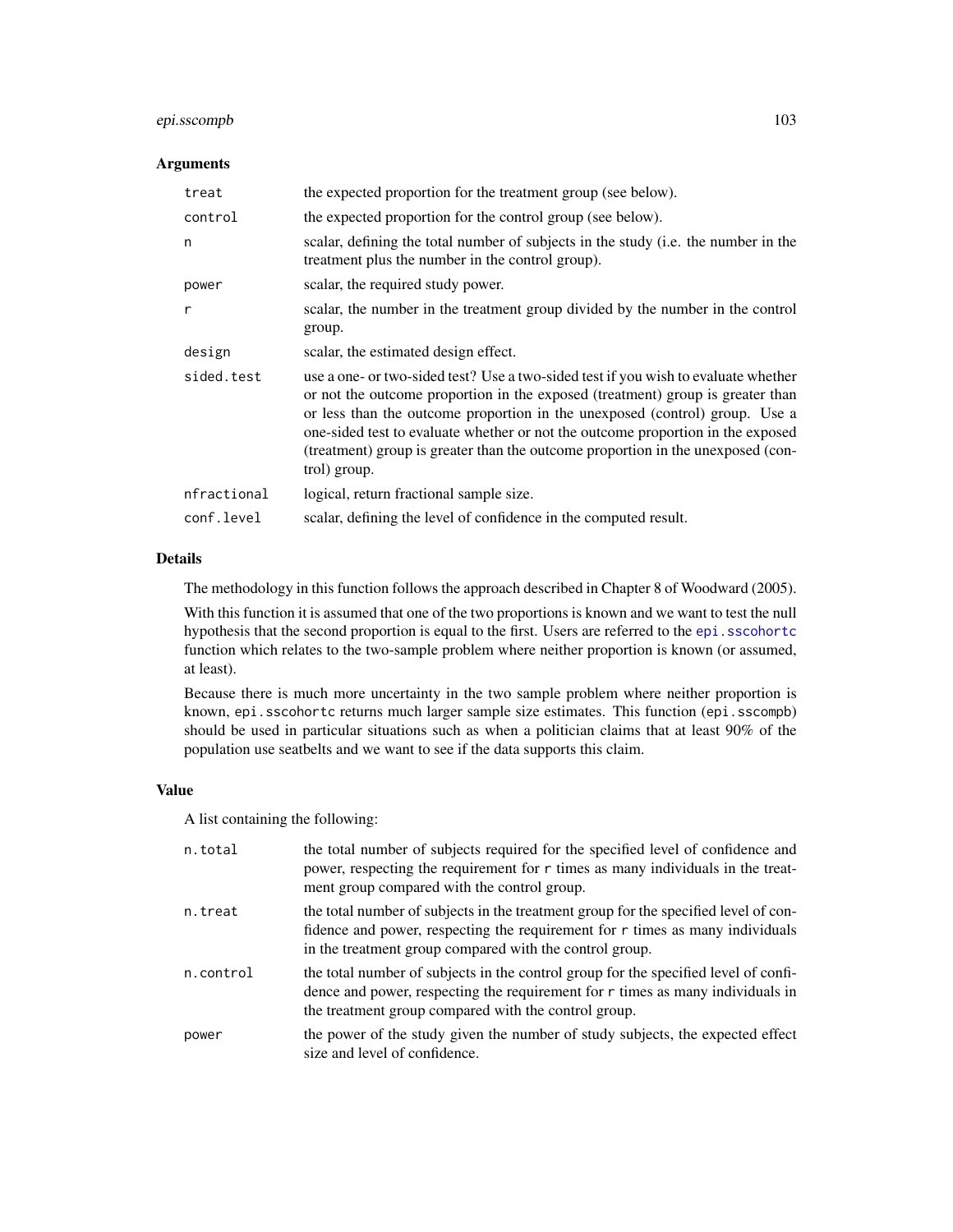# epi.sscompb 103

# Arguments

| treat       | the expected proportion for the treatment group (see below).                                                                                                                                                                                                                                                                                                                                                                              |
|-------------|-------------------------------------------------------------------------------------------------------------------------------------------------------------------------------------------------------------------------------------------------------------------------------------------------------------------------------------------------------------------------------------------------------------------------------------------|
| control     | the expected proportion for the control group (see below).                                                                                                                                                                                                                                                                                                                                                                                |
| n           | scalar, defining the total number of subjects in the study (i.e. the number in the<br>treatment plus the number in the control group).                                                                                                                                                                                                                                                                                                    |
| power       | scalar, the required study power.                                                                                                                                                                                                                                                                                                                                                                                                         |
| r           | scalar, the number in the treatment group divided by the number in the control<br>group.                                                                                                                                                                                                                                                                                                                                                  |
| design      | scalar, the estimated design effect.                                                                                                                                                                                                                                                                                                                                                                                                      |
| sided.test  | use a one- or two-sided test? Use a two-sided test if you wish to evaluate whether<br>or not the outcome proportion in the exposed (treatment) group is greater than<br>or less than the outcome proportion in the unexposed (control) group. Use a<br>one-sided test to evaluate whether or not the outcome proportion in the exposed<br>(treatment) group is greater than the outcome proportion in the unexposed (con-<br>trol) group. |
| nfractional | logical, return fractional sample size.                                                                                                                                                                                                                                                                                                                                                                                                   |
| conf.level  | scalar, defining the level of confidence in the computed result.                                                                                                                                                                                                                                                                                                                                                                          |

# Details

The methodology in this function follows the approach described in Chapter 8 of Woodward (2005).

With this function it is assumed that one of the two proportions is known and we want to test the null hypothesis that the second proportion is equal to the first. Users are referred to the epi.s scohortc function which relates to the two-sample problem where neither proportion is known (or assumed, at least).

Because there is much more uncertainty in the two sample problem where neither proportion is known, epi.sscohortc returns much larger sample size estimates. This function (epi.sscompb) should be used in particular situations such as when a politician claims that at least 90% of the population use seatbelts and we want to see if the data supports this claim.

# Value

A list containing the following:

| n.total   | the total number of subjects required for the specified level of confidence and<br>power, respecting the requirement for r times as many individuals in the treat-<br>ment group compared with the control group.                 |
|-----------|-----------------------------------------------------------------------------------------------------------------------------------------------------------------------------------------------------------------------------------|
| n.treat   | the total number of subjects in the treatment group for the specified level of con-<br>fidence and power, respecting the requirement for $r$ times as many individuals<br>in the treatment group compared with the control group. |
| n.control | the total number of subjects in the control group for the specified level of confi-<br>dence and power, respecting the requirement for $r$ times as many individuals in<br>the treatment group compared with the control group.   |
| power     | the power of the study given the number of study subjects, the expected effect<br>size and level of confidence.                                                                                                                   |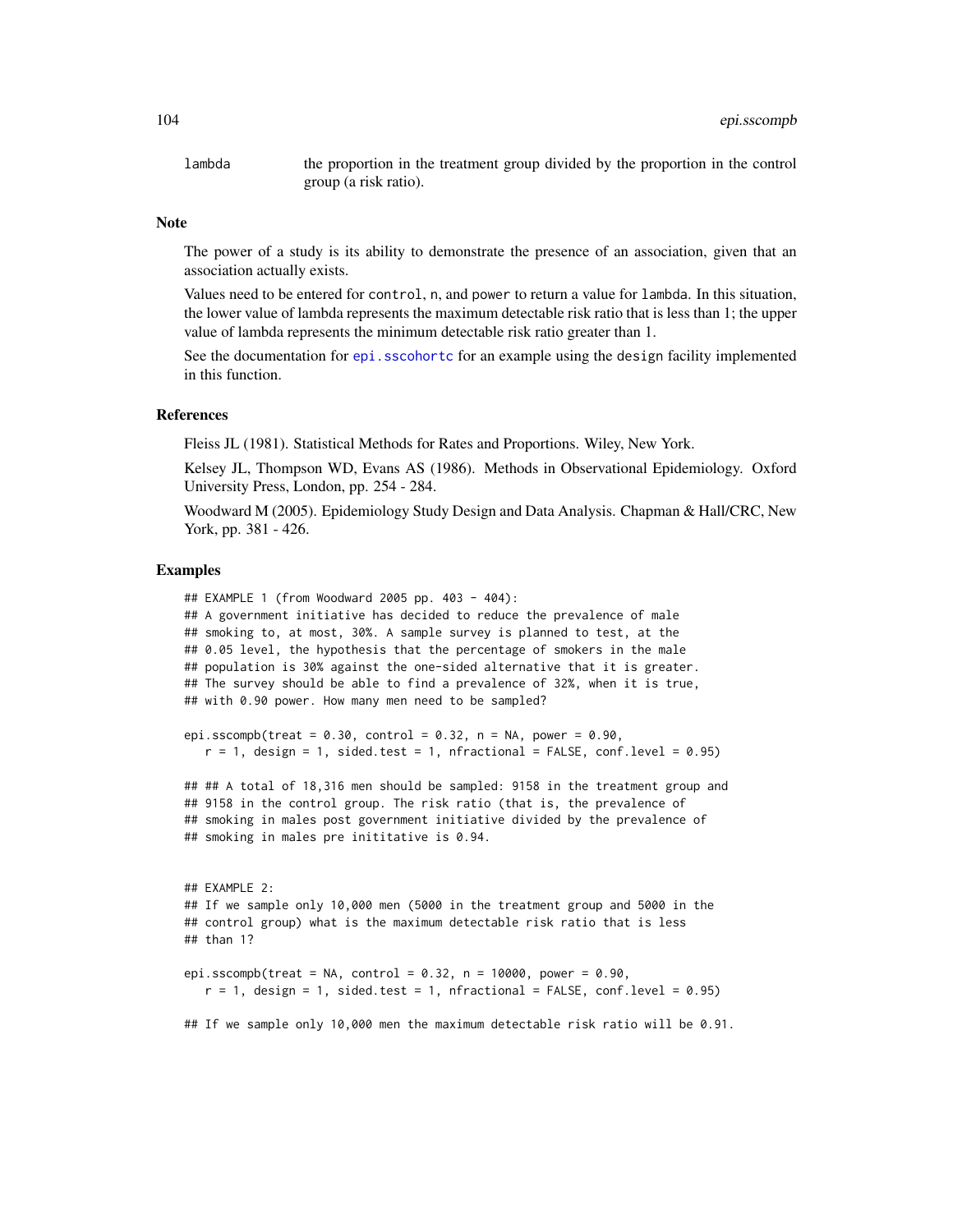lambda the proportion in the treatment group divided by the proportion in the control group (a risk ratio).

## Note

The power of a study is its ability to demonstrate the presence of an association, given that an association actually exists.

Values need to be entered for control, n, and power to return a value for lambda. In this situation, the lower value of lambda represents the maximum detectable risk ratio that is less than 1; the upper value of lambda represents the minimum detectable risk ratio greater than 1.

See the documentation for [epi.sscohortc](#page-96-0) for an example using the design facility implemented in this function.

## References

Fleiss JL (1981). Statistical Methods for Rates and Proportions. Wiley, New York.

Kelsey JL, Thompson WD, Evans AS (1986). Methods in Observational Epidemiology. Oxford University Press, London, pp. 254 - 284.

Woodward M (2005). Epidemiology Study Design and Data Analysis. Chapman & Hall/CRC, New York, pp. 381 - 426.

#### Examples

```
## EXAMPLE 1 (from Woodward 2005 pp. 403 - 404):
## A government initiative has decided to reduce the prevalence of male
## smoking to, at most, 30%. A sample survey is planned to test, at the
## 0.05 level, the hypothesis that the percentage of smokers in the male
## population is 30% against the one-sided alternative that it is greater.
## The survey should be able to find a prevalence of 32%, when it is true,
## with 0.90 power. How many men need to be sampled?
epi.sscompb(treat = 0.30, control = 0.32, n = NA, power = 0.90,
  r = 1, design = 1, sided.test = 1, nfractional = FALSE, conf.level = 0.95)
## ## A total of 18,316 men should be sampled: 9158 in the treatment group and
## 9158 in the control group. The risk ratio (that is, the prevalence of
## smoking in males post government initiative divided by the prevalence of
## smoking in males pre inititative is 0.94.
## EXAMPLE 2:
## If we sample only 10,000 men (5000 in the treatment group and 5000 in the
## control group) what is the maximum detectable risk ratio that is less
## than 1?
epi.sscompb(treat = NA, control = 0.32, n = 10000, power = 0.90,
  r = 1, design = 1, sided.test = 1, nfractional = FALSE, conf.level = 0.95)
## If we sample only 10,000 men the maximum detectable risk ratio will be 0.91.
```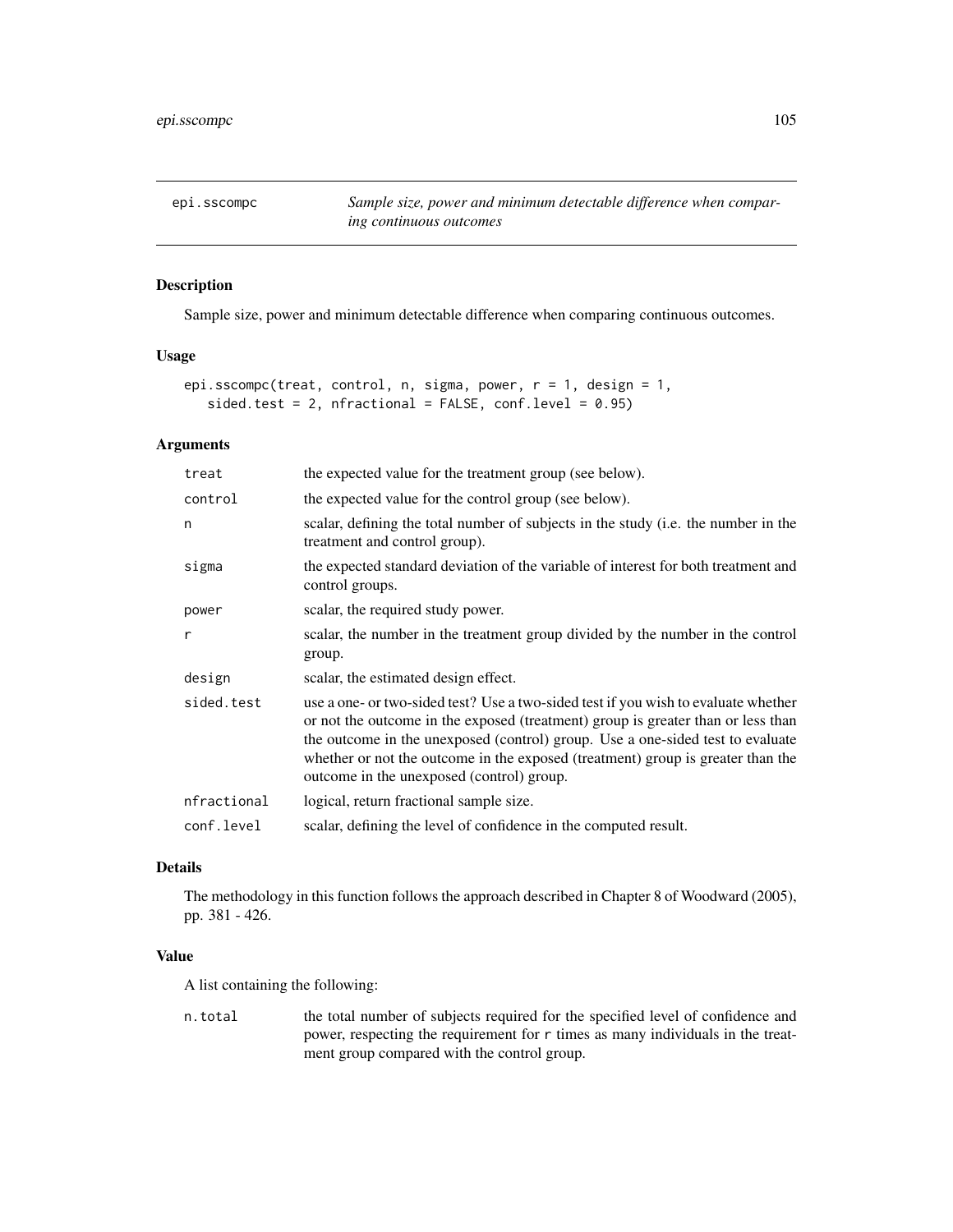epi.sscompc *Sample size, power and minimum detectable difference when comparing continuous outcomes*

# Description

Sample size, power and minimum detectable difference when comparing continuous outcomes.

# Usage

```
epi.sscompc(treat, control, n, sigma, power, r = 1, design = 1,
   sided.test = 2, nfractional = FALSE, conf.level = 0.95)
```
# Arguments

| treat       | the expected value for the treatment group (see below).                                                                                                                                                                                                                                                                                                                                  |
|-------------|------------------------------------------------------------------------------------------------------------------------------------------------------------------------------------------------------------------------------------------------------------------------------------------------------------------------------------------------------------------------------------------|
| control     | the expected value for the control group (see below).                                                                                                                                                                                                                                                                                                                                    |
| n           | scalar, defining the total number of subjects in the study (i.e. the number in the<br>treatment and control group).                                                                                                                                                                                                                                                                      |
| sigma       | the expected standard deviation of the variable of interest for both treatment and<br>control groups.                                                                                                                                                                                                                                                                                    |
| power       | scalar, the required study power.                                                                                                                                                                                                                                                                                                                                                        |
| r           | scalar, the number in the treatment group divided by the number in the control<br>group.                                                                                                                                                                                                                                                                                                 |
| design      | scalar, the estimated design effect.                                                                                                                                                                                                                                                                                                                                                     |
| sided.test  | use a one- or two-sided test? Use a two-sided test if you wish to evaluate whether<br>or not the outcome in the exposed (treatment) group is greater than or less than<br>the outcome in the unexposed (control) group. Use a one-sided test to evaluate<br>whether or not the outcome in the exposed (treatment) group is greater than the<br>outcome in the unexposed (control) group. |
| nfractional | logical, return fractional sample size.                                                                                                                                                                                                                                                                                                                                                  |
| conf.level  | scalar, defining the level of confidence in the computed result.                                                                                                                                                                                                                                                                                                                         |

# Details

The methodology in this function follows the approach described in Chapter 8 of Woodward (2005), pp. 381 - 426.

# Value

A list containing the following:

n.total the total number of subjects required for the specified level of confidence and power, respecting the requirement for r times as many individuals in the treatment group compared with the control group.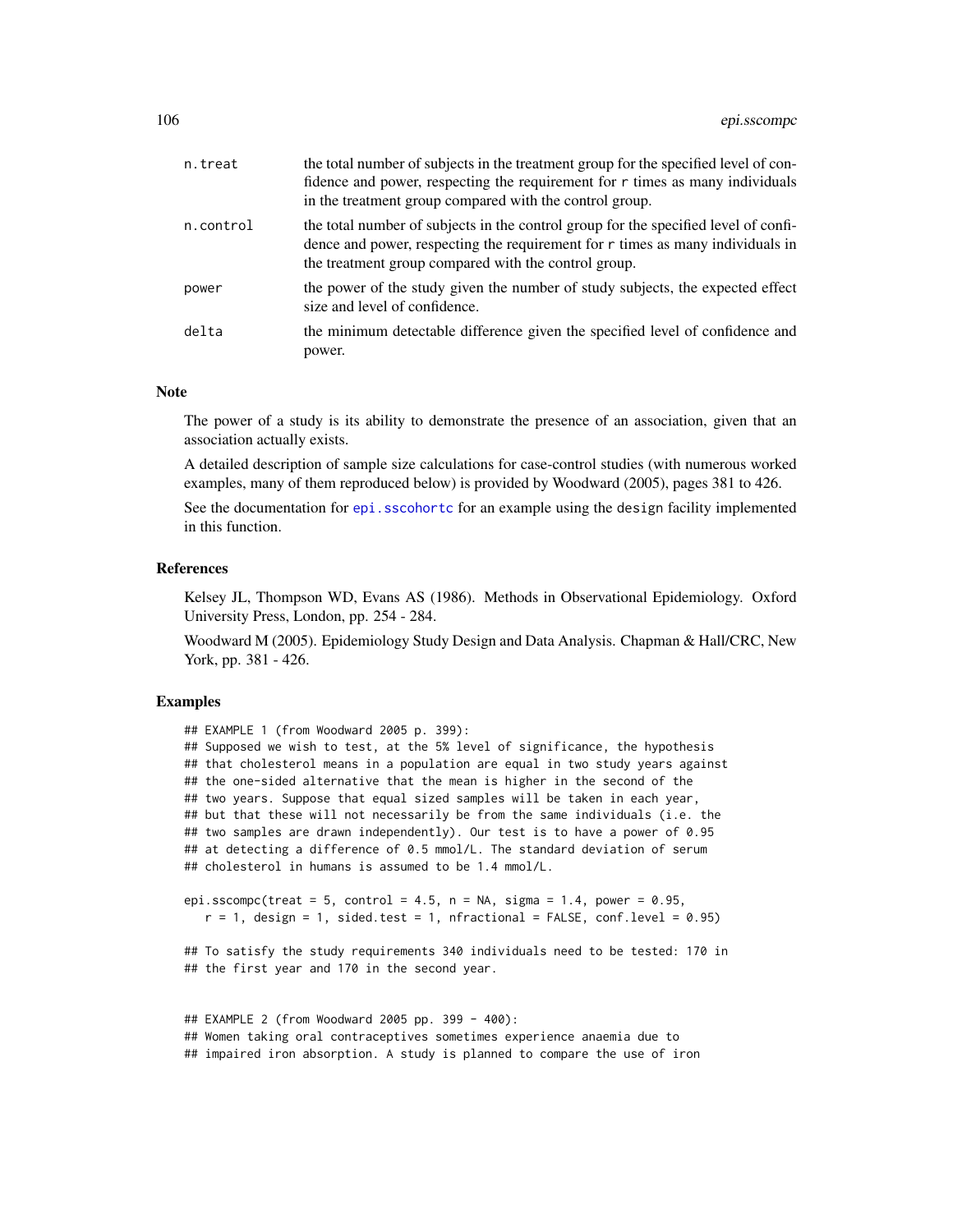| n.treat   | the total number of subjects in the treatment group for the specified level of con-<br>fidence and power, respecting the requirement for $r$ times as many individuals<br>in the treatment group compared with the control group. |
|-----------|-----------------------------------------------------------------------------------------------------------------------------------------------------------------------------------------------------------------------------------|
| n.control | the total number of subjects in the control group for the specified level of confi-<br>dence and power, respecting the requirement for r times as many individuals in<br>the treatment group compared with the control group.     |
| power     | the power of the study given the number of study subjects, the expected effect<br>size and level of confidence.                                                                                                                   |
| delta     | the minimum detectable difference given the specified level of confidence and<br>power.                                                                                                                                           |

#### **Note**

The power of a study is its ability to demonstrate the presence of an association, given that an association actually exists.

A detailed description of sample size calculations for case-control studies (with numerous worked examples, many of them reproduced below) is provided by Woodward (2005), pages 381 to 426.

See the documentation for epi. sscohortc for an example using the design facility implemented in this function.

#### References

Kelsey JL, Thompson WD, Evans AS (1986). Methods in Observational Epidemiology. Oxford University Press, London, pp. 254 - 284.

Woodward M (2005). Epidemiology Study Design and Data Analysis. Chapman & Hall/CRC, New York, pp. 381 - 426.

# Examples

## EXAMPLE 1 (from Woodward 2005 p. 399):

## Supposed we wish to test, at the 5% level of significance, the hypothesis ## that cholesterol means in a population are equal in two study years against ## the one-sided alternative that the mean is higher in the second of the ## two years. Suppose that equal sized samples will be taken in each year, ## but that these will not necessarily be from the same individuals (i.e. the ## two samples are drawn independently). Our test is to have a power of 0.95 ## at detecting a difference of 0.5 mmol/L. The standard deviation of serum ## cholesterol in humans is assumed to be 1.4 mmol/L.

```
epi.sscompc(treat = 5, control = 4.5, n = NA, sigma = 1.4, power = 0.95,
  r = 1, design = 1, sided.test = 1, nfractional = FALSE, conf.level = 0.95)
```
## To satisfy the study requirements 340 individuals need to be tested: 170 in ## the first year and 170 in the second year.

```
## EXAMPLE 2 (from Woodward 2005 pp. 399 - 400):
## Women taking oral contraceptives sometimes experience anaemia due to
## impaired iron absorption. A study is planned to compare the use of iron
```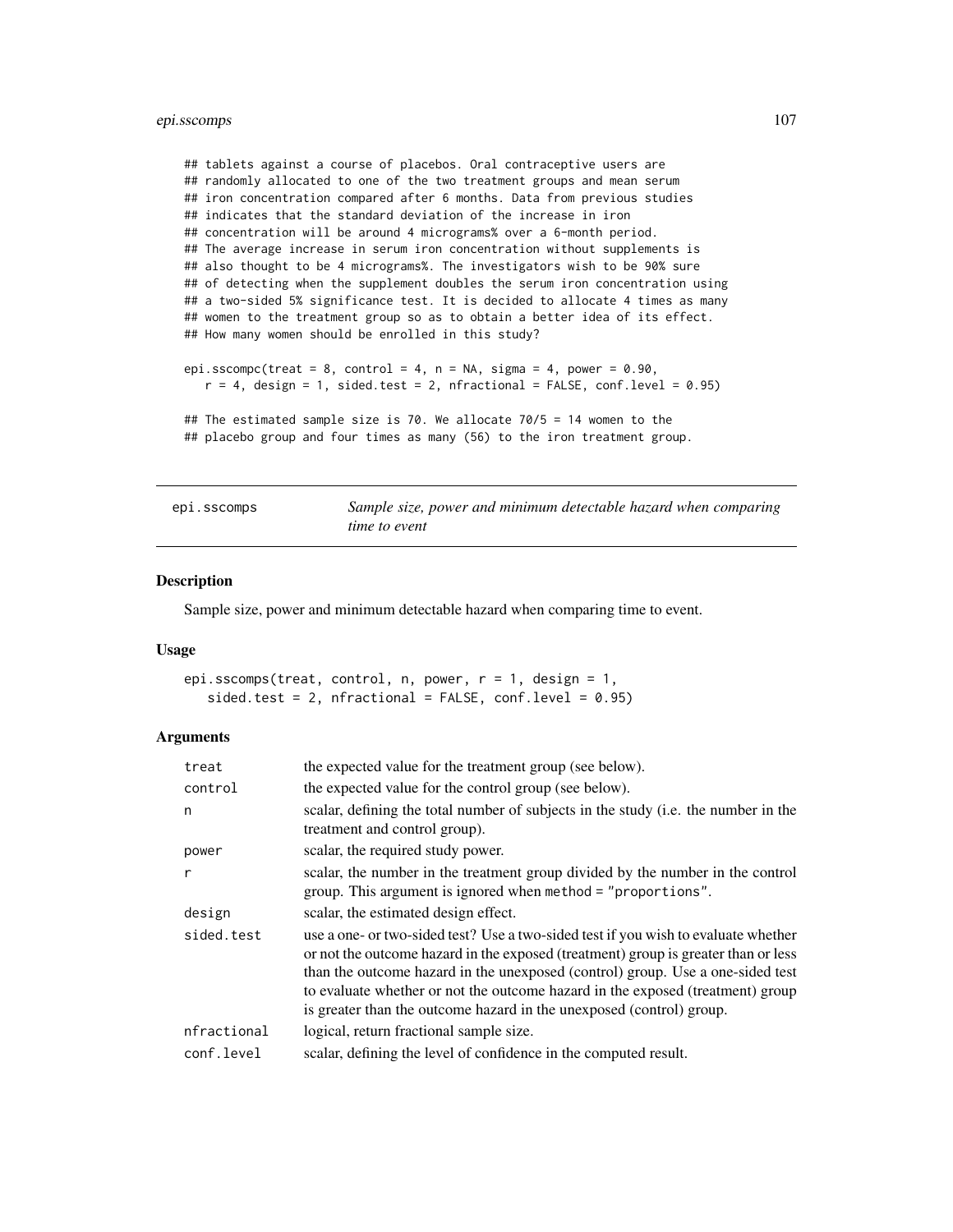# epi.sscomps 107

```
## tablets against a course of placebos. Oral contraceptive users are
## randomly allocated to one of the two treatment groups and mean serum
## iron concentration compared after 6 months. Data from previous studies
## indicates that the standard deviation of the increase in iron
## concentration will be around 4 micrograms% over a 6-month period.
## The average increase in serum iron concentration without supplements is
## also thought to be 4 micrograms%. The investigators wish to be 90% sure
## of detecting when the supplement doubles the serum iron concentration using
## a two-sided 5% significance test. It is decided to allocate 4 times as many
## women to the treatment group so as to obtain a better idea of its effect.
## How many women should be enrolled in this study?
epi.sscompc(treat = 8, control = 4, n = NA, sigma = 4, power = 0.90,
   r = 4, design = 1, sided.test = 2, nfractional = FALSE, conf.level = 0.95)
## The estimated sample size is 70. We allocate 70/5 = 14 women to the
## placebo group and four times as many (56) to the iron treatment group.
```
epi.sscomps *Sample size, power and minimum detectable hazard when comparing time to event*

# Description

Sample size, power and minimum detectable hazard when comparing time to event.

#### Usage

```
epi.sscomps(treat, control, n, power, r = 1, design = 1,
   sided.test = 2, nfractional = FALSE, conf.level = 0.95)
```

| treat        | the expected value for the treatment group (see below).                                                                                                                                                                                                                                                                                                                                                              |
|--------------|----------------------------------------------------------------------------------------------------------------------------------------------------------------------------------------------------------------------------------------------------------------------------------------------------------------------------------------------------------------------------------------------------------------------|
| control      | the expected value for the control group (see below).                                                                                                                                                                                                                                                                                                                                                                |
| n            | scalar, defining the total number of subjects in the study (i.e. the number in the<br>treatment and control group).                                                                                                                                                                                                                                                                                                  |
| power        | scalar, the required study power.                                                                                                                                                                                                                                                                                                                                                                                    |
| $\mathsf{r}$ | scalar, the number in the treatment group divided by the number in the control<br>group. This argument is ignored when method = "proportions".                                                                                                                                                                                                                                                                       |
| design       | scalar, the estimated design effect.                                                                                                                                                                                                                                                                                                                                                                                 |
| sided.test   | use a one- or two-sided test? Use a two-sided test if you wish to evaluate whether<br>or not the outcome hazard in the exposed (treatment) group is greater than or less<br>than the outcome hazard in the unexposed (control) group. Use a one-sided test<br>to evaluate whether or not the outcome hazard in the exposed (treatment) group<br>is greater than the outcome hazard in the unexposed (control) group. |
| nfractional  | logical, return fractional sample size.                                                                                                                                                                                                                                                                                                                                                                              |
| conf.level   | scalar, defining the level of confidence in the computed result.                                                                                                                                                                                                                                                                                                                                                     |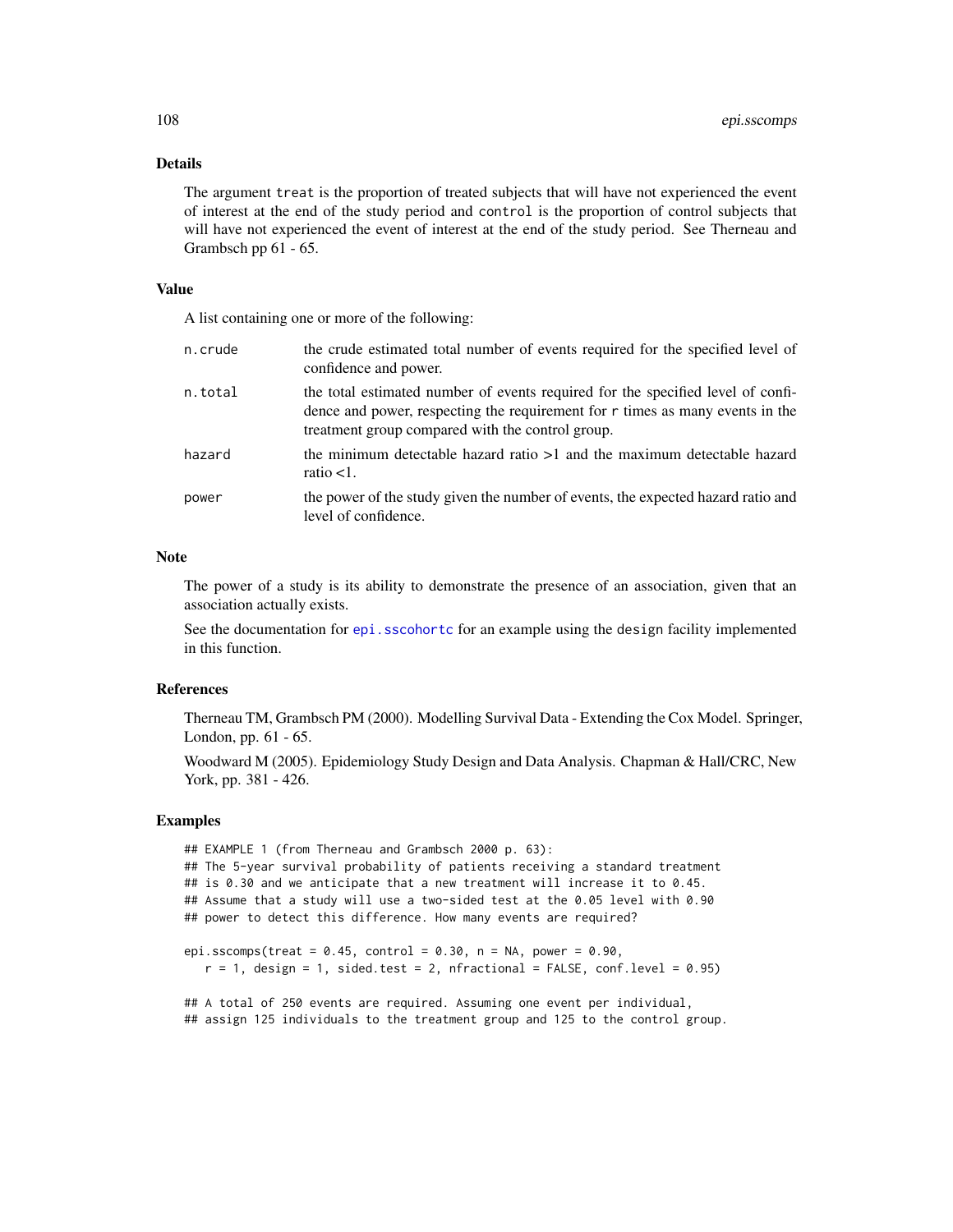# Details

The argument treat is the proportion of treated subjects that will have not experienced the event of interest at the end of the study period and control is the proportion of control subjects that will have not experienced the event of interest at the end of the study period. See Therneau and Grambsch pp 61 - 65.

# Value

A list containing one or more of the following:

| n.crude | the crude estimated total number of events required for the specified level of<br>confidence and power.                                                                                                              |
|---------|----------------------------------------------------------------------------------------------------------------------------------------------------------------------------------------------------------------------|
| n.total | the total estimated number of events required for the specified level of confi-<br>dence and power, respecting the requirement for r times as many events in the<br>treatment group compared with the control group. |
| hazard  | the minimum detectable hazard ratio $>1$ and the maximum detectable hazard<br>ratio $<1$ .                                                                                                                           |
| power   | the power of the study given the number of events, the expected hazard ratio and<br>level of confidence.                                                                                                             |

# Note

The power of a study is its ability to demonstrate the presence of an association, given that an association actually exists.

See the documentation for [epi.sscohortc](#page-96-0) for an example using the design facility implemented in this function.

# References

Therneau TM, Grambsch PM (2000). Modelling Survival Data - Extending the Cox Model. Springer, London, pp. 61 - 65.

Woodward M (2005). Epidemiology Study Design and Data Analysis. Chapman & Hall/CRC, New York, pp. 381 - 426.

# Examples

```
## EXAMPLE 1 (from Therneau and Grambsch 2000 p. 63):
## The 5-year survival probability of patients receiving a standard treatment
## is 0.30 and we anticipate that a new treatment will increase it to 0.45.
## Assume that a study will use a two-sided test at the 0.05 level with 0.90
## power to detect this difference. How many events are required?
epi.sscomps(treat = 0.45, control = 0.30, n = NA, power = 0.90,
  r = 1, design = 1, sided.test = 2, nfractional = FALSE, conf.level = 0.95)
## A total of 250 events are required. Assuming one event per individual,
## assign 125 individuals to the treatment group and 125 to the control group.
```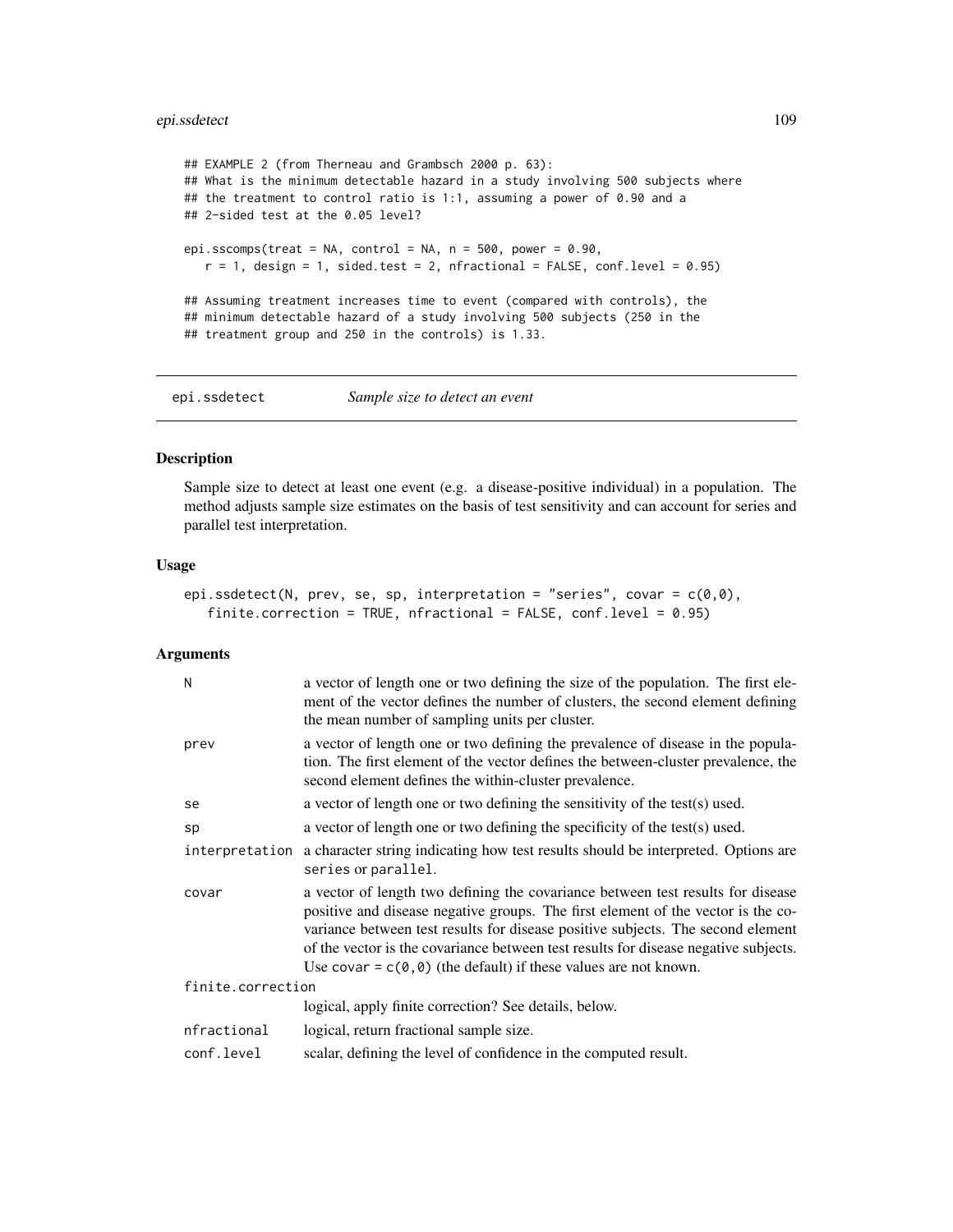# epi.ssdetect 109

```
## EXAMPLE 2 (from Therneau and Grambsch 2000 p. 63):
## What is the minimum detectable hazard in a study involving 500 subjects where
## the treatment to control ratio is 1:1, assuming a power of 0.90 and a
## 2-sided test at the 0.05 level?
epi.sscomps(treat = NA, control = NA, n = 500, power = 0.90,
   r = 1, design = 1, sided.test = 2, nfractional = FALSE, conf.level = 0.95)
## Assuming treatment increases time to event (compared with controls), the
## minimum detectable hazard of a study involving 500 subjects (250 in the
## treatment group and 250 in the controls) is 1.33.
```
epi.ssdetect *Sample size to detect an event*

## Description

Sample size to detect at least one event (e.g. a disease-positive individual) in a population. The method adjusts sample size estimates on the basis of test sensitivity and can account for series and parallel test interpretation.

## Usage

```
epi.ssdetect(N, prev, se, sp, interpretation = "series", covar = c(0,0),
   finite.correction = TRUE, nfractional = FALSE, conf.level = 0.95)
```
# Arguments

| N                 | a vector of length one or two defining the size of the population. The first ele-<br>ment of the vector defines the number of clusters, the second element defining<br>the mean number of sampling units per cluster.                                                                                                                                                                                                         |  |
|-------------------|-------------------------------------------------------------------------------------------------------------------------------------------------------------------------------------------------------------------------------------------------------------------------------------------------------------------------------------------------------------------------------------------------------------------------------|--|
| prev              | a vector of length one or two defining the prevalence of disease in the popula-<br>tion. The first element of the vector defines the between-cluster prevalence, the<br>second element defines the within-cluster prevalence.                                                                                                                                                                                                 |  |
| se                | a vector of length one or two defining the sensitivity of the test(s) used.                                                                                                                                                                                                                                                                                                                                                   |  |
| sp                | a vector of length one or two defining the specificity of the test(s) used.                                                                                                                                                                                                                                                                                                                                                   |  |
|                   | interpretation a character string indicating how test results should be interpreted. Options are<br>series or parallel.                                                                                                                                                                                                                                                                                                       |  |
| covar             | a vector of length two defining the covariance between test results for disease<br>positive and disease negative groups. The first element of the vector is the co-<br>variance between test results for disease positive subjects. The second element<br>of the vector is the covariance between test results for disease negative subjects.<br>Use covar = $c(\theta, \theta)$ (the default) if these values are not known. |  |
| finite.correction |                                                                                                                                                                                                                                                                                                                                                                                                                               |  |
|                   | logical, apply finite correction? See details, below.                                                                                                                                                                                                                                                                                                                                                                         |  |
| nfractional       | logical, return fractional sample size.                                                                                                                                                                                                                                                                                                                                                                                       |  |
| conf.level        | scalar, defining the level of confidence in the computed result.                                                                                                                                                                                                                                                                                                                                                              |  |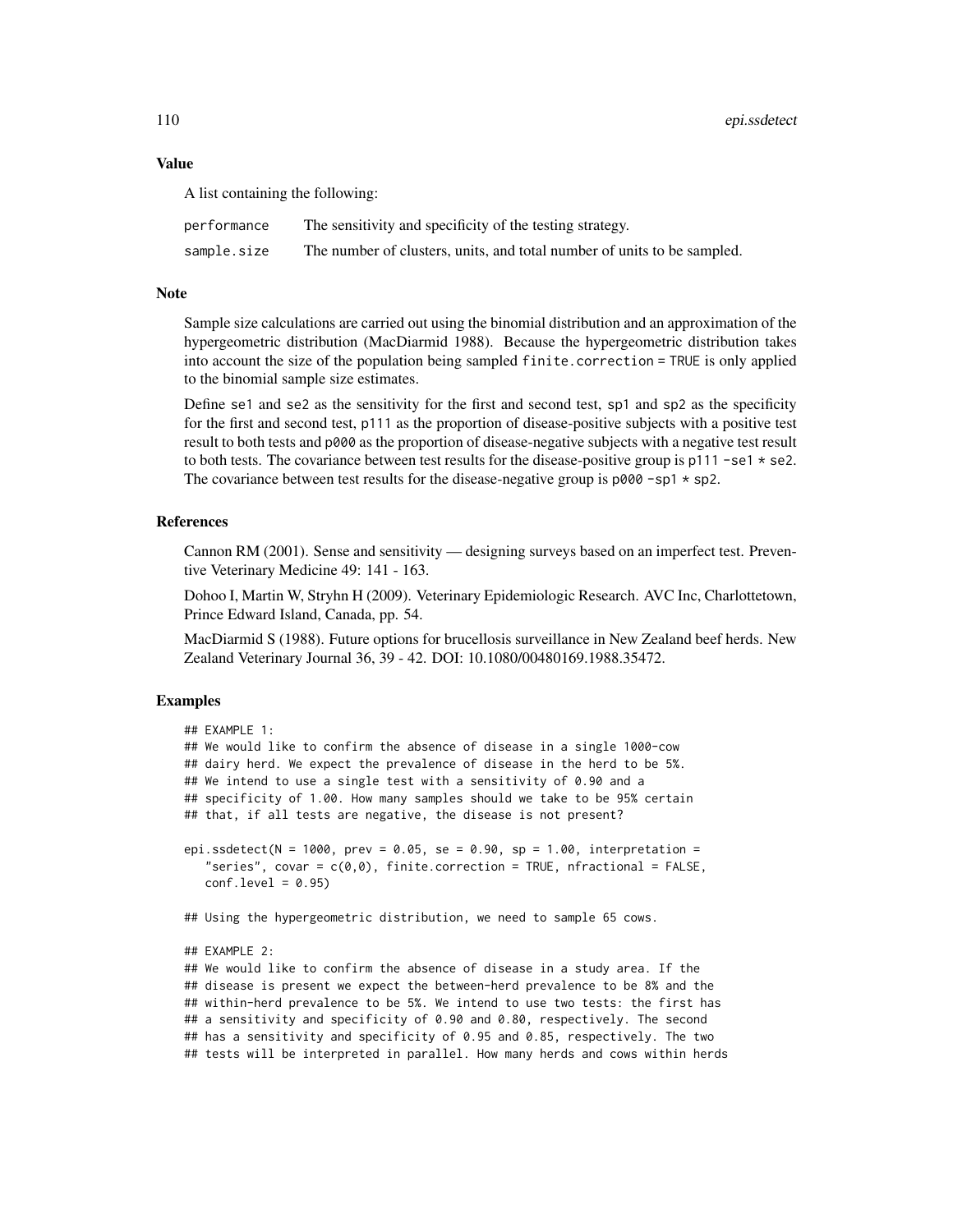#### Value

A list containing the following:

| performance | The sensitivity and specificity of the testing strategy.                |
|-------------|-------------------------------------------------------------------------|
| sample.size | The number of clusters, units, and total number of units to be sampled. |

### **Note**

Sample size calculations are carried out using the binomial distribution and an approximation of the hypergeometric distribution (MacDiarmid 1988). Because the hypergeometric distribution takes into account the size of the population being sampled finite.correction = TRUE is only applied to the binomial sample size estimates.

Define se1 and se2 as the sensitivity for the first and second test, sp1 and sp2 as the specificity for the first and second test, p111 as the proportion of disease-positive subjects with a positive test result to both tests and p000 as the proportion of disease-negative subjects with a negative test result to both tests. The covariance between test results for the disease-positive group is  $p111 - se1 * se2$ . The covariance between test results for the disease-negative group is  $p000 - sp1 * sp2$ .

# References

Cannon RM (2001). Sense and sensitivity — designing surveys based on an imperfect test. Preventive Veterinary Medicine 49: 141 - 163.

Dohoo I, Martin W, Stryhn H (2009). Veterinary Epidemiologic Research. AVC Inc, Charlottetown, Prince Edward Island, Canada, pp. 54.

MacDiarmid S (1988). Future options for brucellosis surveillance in New Zealand beef herds. New Zealand Veterinary Journal 36, 39 - 42. DOI: 10.1080/00480169.1988.35472.

# Examples

```
## EXAMPLE 1:
## We would like to confirm the absence of disease in a single 1000-cow
## dairy herd. We expect the prevalence of disease in the herd to be 5%.
## We intend to use a single test with a sensitivity of 0.90 and a
## specificity of 1.00. How many samples should we take to be 95% certain
## that, if all tests are negative, the disease is not present?
epi.ssdetect(N = 1000, prev = 0.05, se = 0.90, sp = 1.00, interpretation =
   "series", covar = c(0,0), finite.correction = TRUE, nfractional = FALSE,
   conf<math>. level = 0.95## Using the hypergeometric distribution, we need to sample 65 cows.
## EXAMPLE 2:
## We would like to confirm the absence of disease in a study area. If the
## disease is present we expect the between-herd prevalence to be 8% and the
## within-herd prevalence to be 5%. We intend to use two tests: the first has
## a sensitivity and specificity of 0.90 and 0.80, respectively. The second
## has a sensitivity and specificity of 0.95 and 0.85, respectively. The two
```
## tests will be interpreted in parallel. How many herds and cows within herds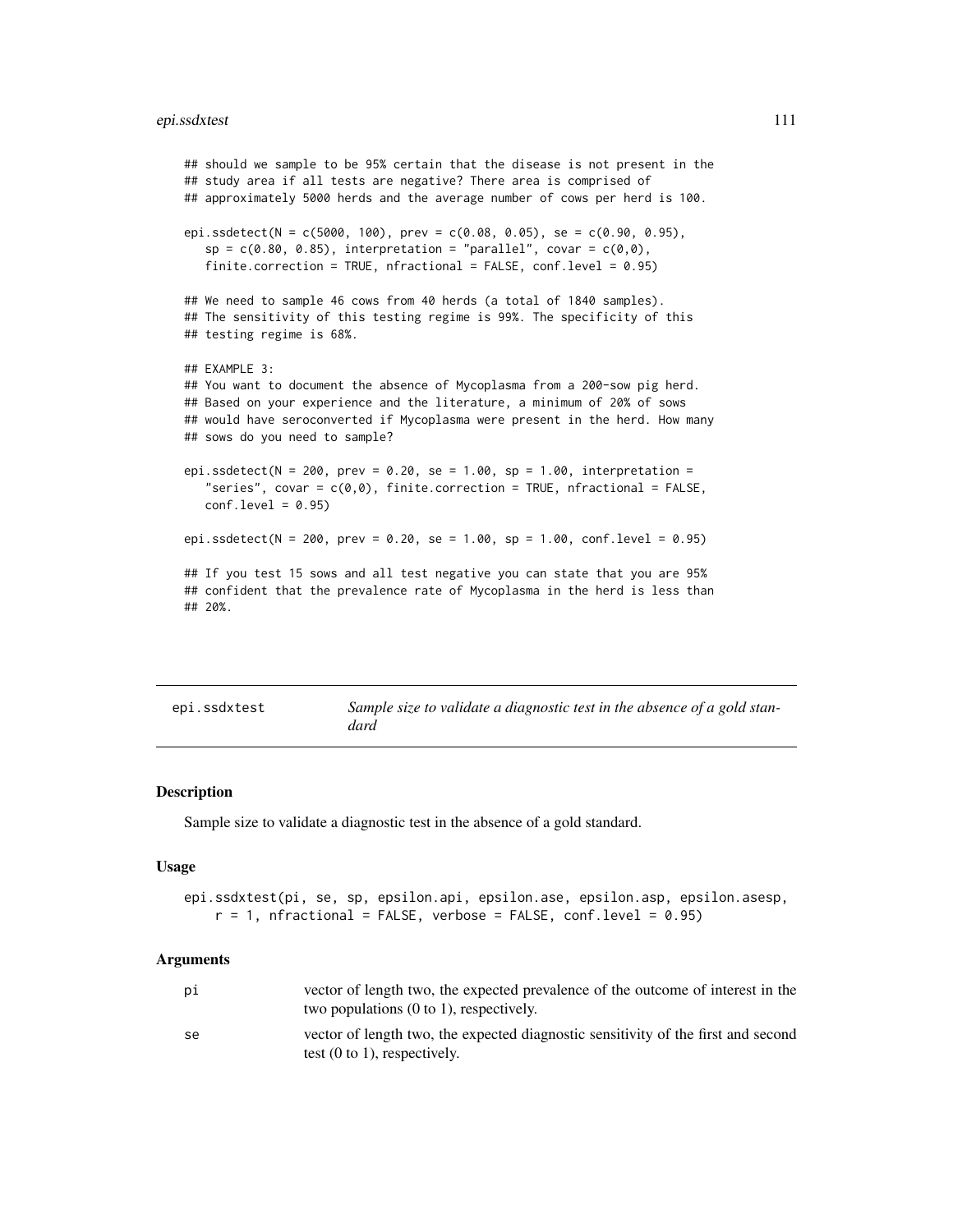# epi.ssdxtest 111

```
## should we sample to be 95% certain that the disease is not present in the
## study area if all tests are negative? There area is comprised of
## approximately 5000 herds and the average number of cows per herd is 100.
epi.ssdetect(N = c(5000, 100), prev = c(0.08, 0.05), se = c(0.90, 0.95),
   sp = c(0.80, 0.85), interpretation = "parallel", covar = c(0,0),
   finite.correction = TRUE, nfractional = FALSE, conf.level = 0.95)
## We need to sample 46 cows from 40 herds (a total of 1840 samples).
## The sensitivity of this testing regime is 99%. The specificity of this
## testing regime is 68%.
## EXAMPLE 3:
## You want to document the absence of Mycoplasma from a 200-sow pig herd.
## Based on your experience and the literature, a minimum of 20% of sows
## would have seroconverted if Mycoplasma were present in the herd. How many
## sows do you need to sample?
epi.ssdetect(N = 200, prev = 0.20, se = 1.00, sp = 1.00, interpretation =
   "series", covar = c(0,0), finite.correction = TRUE, nfractional = FALSE,
  conf<math>level = 0.95epi.ssdetect(N = 200, prev = 0.20, se = 1.00, sp = 1.00, conf.level = 0.95)
## If you test 15 sows and all test negative you can state that you are 95%
## confident that the prevalence rate of Mycoplasma in the herd is less than
## 20%.
```
epi.ssdxtest *Sample size to validate a diagnostic test in the absence of a gold standard*

#### Description

Sample size to validate a diagnostic test in the absence of a gold standard.

#### Usage

```
epi.ssdxtest(pi, se, sp, epsilon.api, epsilon.ase, epsilon.asp, epsilon.asesp,
   r = 1, nfractional = FALSE, verbose = FALSE, conf.level = 0.95)
```
#### Arguments

| рi | vector of length two, the expected prevalence of the outcome of interest in the<br>two populations $(0 \text{ to } 1)$ , respectively. |
|----|----------------------------------------------------------------------------------------------------------------------------------------|
| se | vector of length two, the expected diagnostic sensitivity of the first and second<br>test $(0 \text{ to } 1)$ , respectively.          |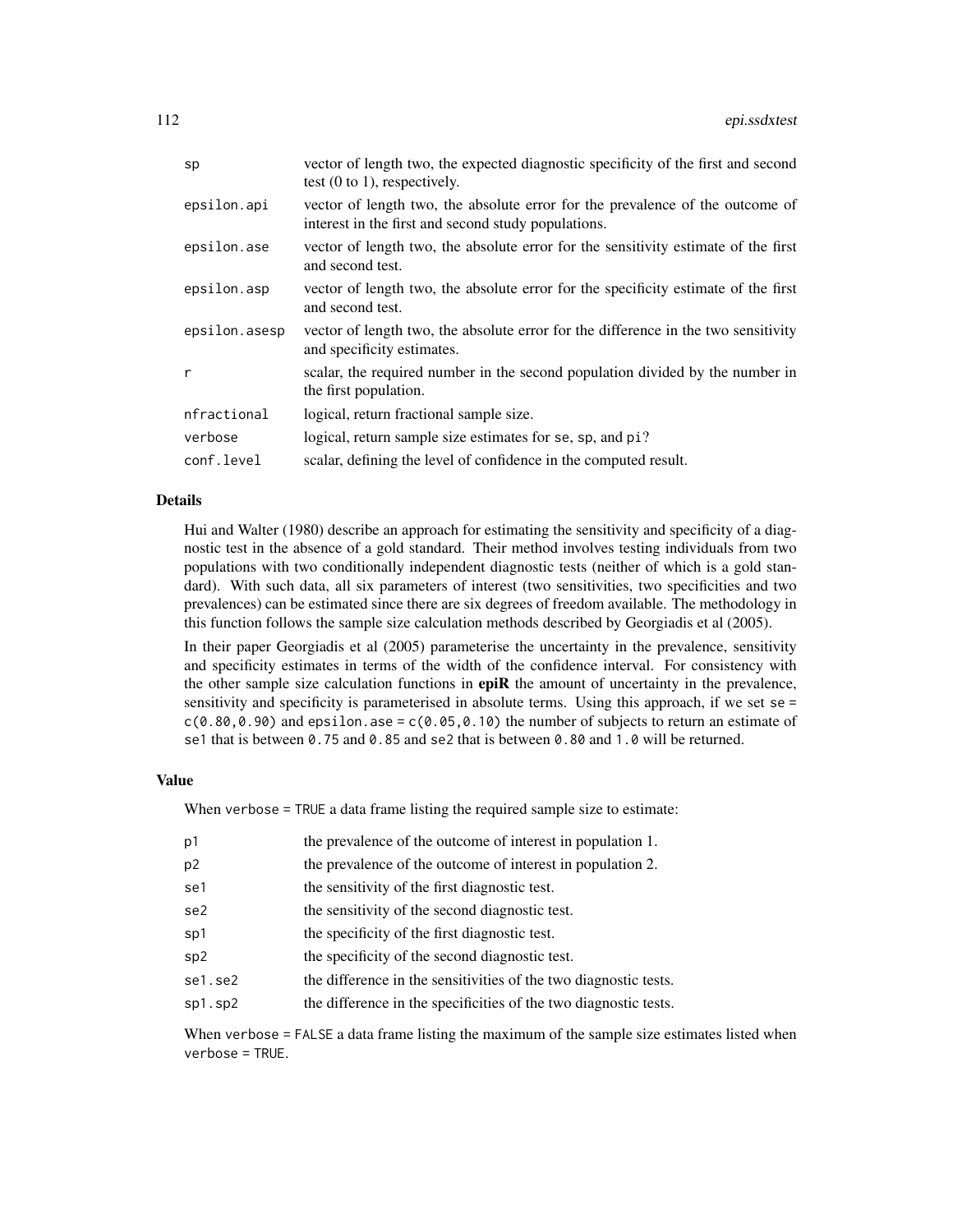| sp            | vector of length two, the expected diagnostic specificity of the first and second<br>test $(0 \text{ to } 1)$ , respectively.        |
|---------------|--------------------------------------------------------------------------------------------------------------------------------------|
| epsilon.api   | vector of length two, the absolute error for the prevalence of the outcome of<br>interest in the first and second study populations. |
| epsilon.ase   | vector of length two, the absolute error for the sensitivity estimate of the first<br>and second test.                               |
| epsilon.asp   | vector of length two, the absolute error for the specificity estimate of the first<br>and second test.                               |
| epsilon.asesp | vector of length two, the absolute error for the difference in the two sensitivity<br>and specificity estimates.                     |
| r             | scalar, the required number in the second population divided by the number in<br>the first population.                               |
| nfractional   | logical, return fractional sample size.                                                                                              |
| verbose       | logical, return sample size estimates for se, sp, and pi?                                                                            |
| conf.level    | scalar, defining the level of confidence in the computed result.                                                                     |

#### Details

Hui and Walter (1980) describe an approach for estimating the sensitivity and specificity of a diagnostic test in the absence of a gold standard. Their method involves testing individuals from two populations with two conditionally independent diagnostic tests (neither of which is a gold standard). With such data, all six parameters of interest (two sensitivities, two specificities and two prevalences) can be estimated since there are six degrees of freedom available. The methodology in this function follows the sample size calculation methods described by Georgiadis et al (2005).

In their paper Georgiadis et al (2005) parameterise the uncertainty in the prevalence, sensitivity and specificity estimates in terms of the width of the confidence interval. For consistency with the other sample size calculation functions in epiR the amount of uncertainty in the prevalence, sensitivity and specificity is parameterised in absolute terms. Using this approach, if we set se =  $c(0.80, 0.90)$  and epsilon.ase =  $c(0.05, 0.10)$  the number of subjects to return an estimate of se1 that is between 0.75 and 0.85 and se2 that is between 0.80 and 1.0 will be returned.

#### Value

When verbose = TRUE a data frame listing the required sample size to estimate:

| p1             | the prevalence of the outcome of interest in population 1.       |
|----------------|------------------------------------------------------------------|
| p <sub>2</sub> | the prevalence of the outcome of interest in population 2.       |
| se1            | the sensitivity of the first diagnostic test.                    |
| se2            | the sensitivity of the second diagnostic test.                   |
| sp1            | the specificity of the first diagnostic test.                    |
| sp2            | the specificity of the second diagnostic test.                   |
| se1.se2        | the difference in the sensitivities of the two diagnostic tests. |
| sp1.sp2        | the difference in the specificities of the two diagnostic tests. |
|                |                                                                  |

When verbose = FALSE a data frame listing the maximum of the sample size estimates listed when verbose = TRUE.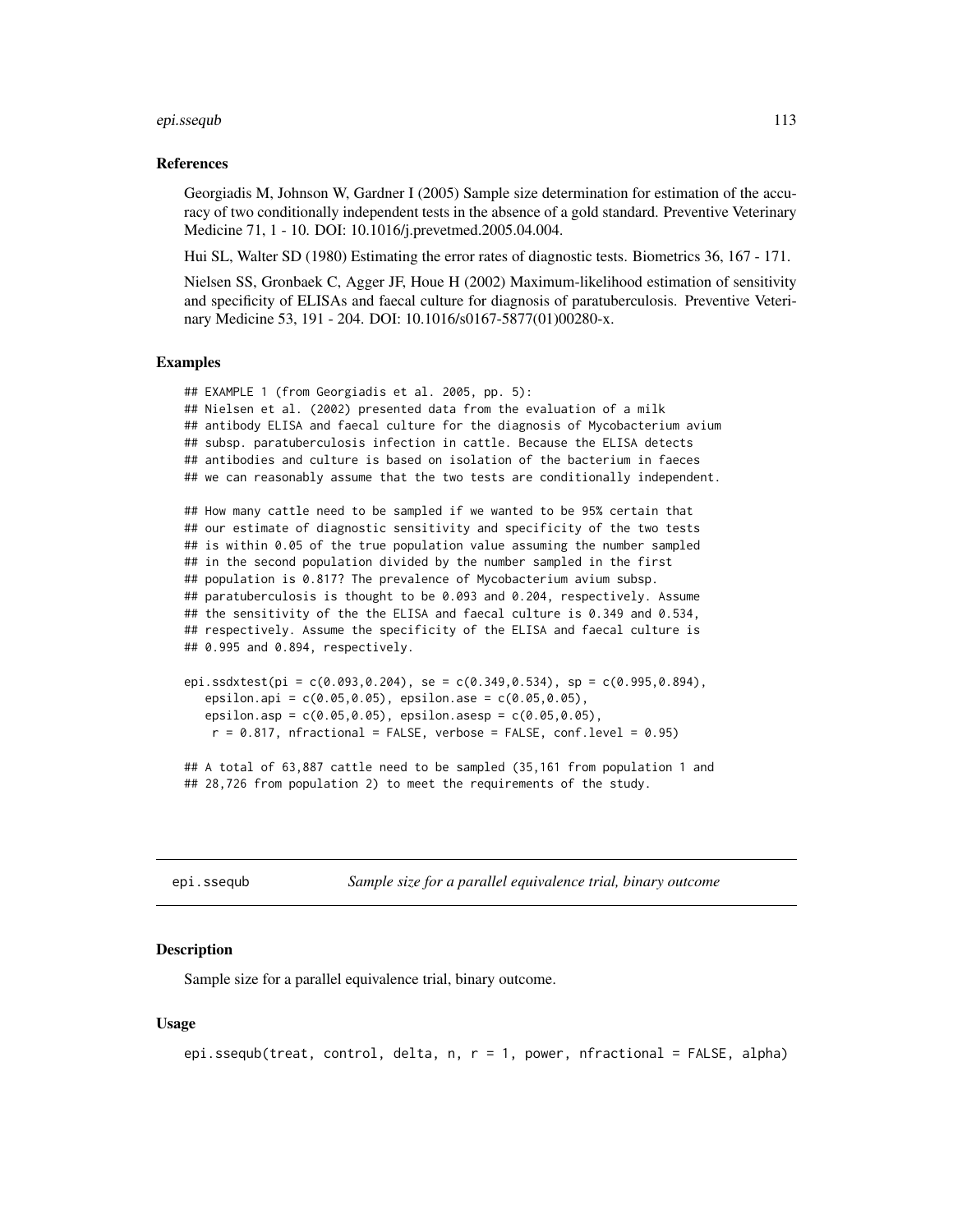#### epi.ssequb 113

#### References

Georgiadis M, Johnson W, Gardner I (2005) Sample size determination for estimation of the accuracy of two conditionally independent tests in the absence of a gold standard. Preventive Veterinary Medicine 71, 1 - 10. DOI: 10.1016/j.prevetmed.2005.04.004.

Hui SL, Walter SD (1980) Estimating the error rates of diagnostic tests. Biometrics 36, 167 - 171.

Nielsen SS, Gronbaek C, Agger JF, Houe H (2002) Maximum-likelihood estimation of sensitivity and specificity of ELISAs and faecal culture for diagnosis of paratuberculosis. Preventive Veterinary Medicine 53, 191 - 204. DOI: 10.1016/s0167-5877(01)00280-x.

#### Examples

```
## EXAMPLE 1 (from Georgiadis et al. 2005, pp. 5):
## Nielsen et al. (2002) presented data from the evaluation of a milk
## antibody ELISA and faecal culture for the diagnosis of Mycobacterium avium
## subsp. paratuberculosis infection in cattle. Because the ELISA detects
## antibodies and culture is based on isolation of the bacterium in faeces
## we can reasonably assume that the two tests are conditionally independent.
## How many cattle need to be sampled if we wanted to be 95% certain that
## our estimate of diagnostic sensitivity and specificity of the two tests
## is within 0.05 of the true population value assuming the number sampled
## in the second population divided by the number sampled in the first
## population is 0.817? The prevalence of Mycobacterium avium subsp.
## paratuberculosis is thought to be 0.093 and 0.204, respectively. Assume
## the sensitivity of the the ELISA and faecal culture is 0.349 and 0.534,
## respectively. Assume the specificity of the ELISA and faecal culture is
## 0.995 and 0.894, respectively.
```

```
epi.ssdxtest(pi = c(0.093, 0.204), se = c(0.349, 0.534), sp = c(0.995, 0.894),
   epsilon.api = c(0.05,0.05), epsilon.ase = c(0.05,0.05),
   epsilon.asp = c(0.05,0.05), epsilon.asesp = c(0.05,0.05),
   r = 0.817, nfractional = FALSE, verbose = FALSE, conf.level = 0.95)
```
## A total of 63,887 cattle need to be sampled (35,161 from population 1 and ## 28,726 from population 2) to meet the requirements of the study.

<span id="page-112-0"></span>epi.ssequb *Sample size for a parallel equivalence trial, binary outcome*

## Description

Sample size for a parallel equivalence trial, binary outcome.

## Usage

```
epi.ssequb(treat, control, delta, n, r = 1, power, nfractional = FALSE, alpha)
```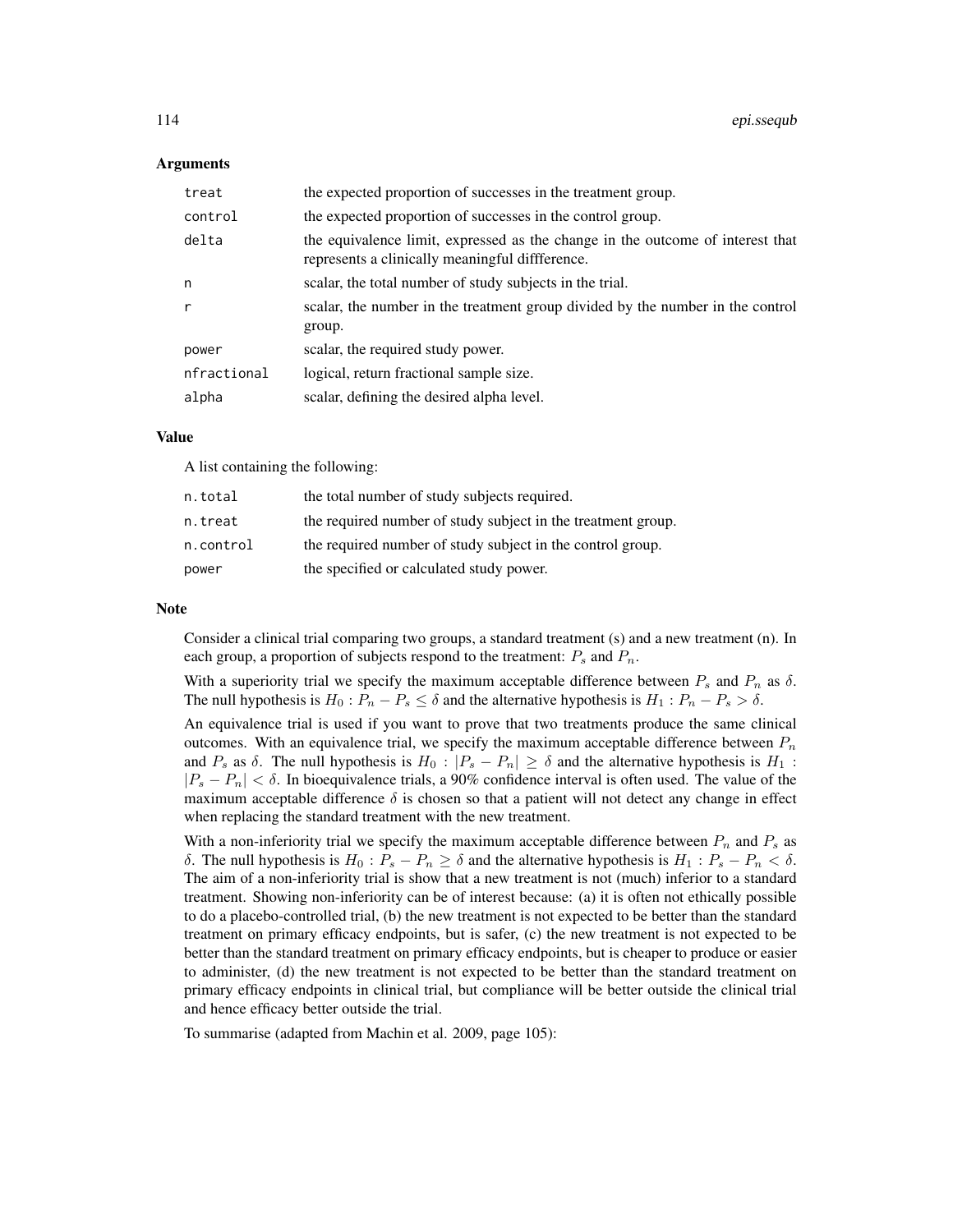#### Arguments

| treat       | the expected proportion of successes in the treatment group.                                                                      |
|-------------|-----------------------------------------------------------------------------------------------------------------------------------|
| control     | the expected proportion of successes in the control group.                                                                        |
| delta       | the equivalence limit, expressed as the change in the outcome of interest that<br>represents a clinically meaningful diffference. |
| n           | scalar, the total number of study subjects in the trial.                                                                          |
| r           | scalar, the number in the treatment group divided by the number in the control<br>group.                                          |
| power       | scalar, the required study power.                                                                                                 |
| nfractional | logical, return fractional sample size.                                                                                           |
| alpha       | scalar, defining the desired alpha level.                                                                                         |

# Value

A list containing the following:

| n.total   | the total number of study subjects required.                 |  |
|-----------|--------------------------------------------------------------|--|
| n.treat   | the required number of study subject in the treatment group. |  |
| n.control | the required number of study subject in the control group.   |  |
| power     | the specified or calculated study power.                     |  |

#### **Note**

Consider a clinical trial comparing two groups, a standard treatment (s) and a new treatment (n). In each group, a proportion of subjects respond to the treatment:  $P_s$  and  $P_n$ .

With a superiority trial we specify the maximum acceptable difference between  $P_s$  and  $P_n$  as  $\delta$ . The null hypothesis is  $H_0: P_n - P_s \leq \delta$  and the alternative hypothesis is  $H_1: P_n - P_s > \delta$ .

An equivalence trial is used if you want to prove that two treatments produce the same clinical outcomes. With an equivalence trial, we specify the maximum acceptable difference between  $P_n$ and  $P_s$  as  $\delta$ . The null hypothesis is  $H_0 : |P_s - P_n| \ge \delta$  and the alternative hypothesis is  $H_1$ :  $|P_s - P_n| < \delta$ . In bioequivalence trials, a 90% confidence interval is often used. The value of the maximum acceptable difference  $\delta$  is chosen so that a patient will not detect any change in effect when replacing the standard treatment with the new treatment.

With a non-inferiority trial we specify the maximum acceptable difference between  $P_n$  and  $P_s$  as δ. The null hypothesis is  $H_0: P_s - P_n \geq \delta$  and the alternative hypothesis is  $H_1: P_s - P_n < \delta$ . The aim of a non-inferiority trial is show that a new treatment is not (much) inferior to a standard treatment. Showing non-inferiority can be of interest because: (a) it is often not ethically possible to do a placebo-controlled trial, (b) the new treatment is not expected to be better than the standard treatment on primary efficacy endpoints, but is safer, (c) the new treatment is not expected to be better than the standard treatment on primary efficacy endpoints, but is cheaper to produce or easier to administer, (d) the new treatment is not expected to be better than the standard treatment on primary efficacy endpoints in clinical trial, but compliance will be better outside the clinical trial and hence efficacy better outside the trial.

To summarise (adapted from Machin et al. 2009, page 105):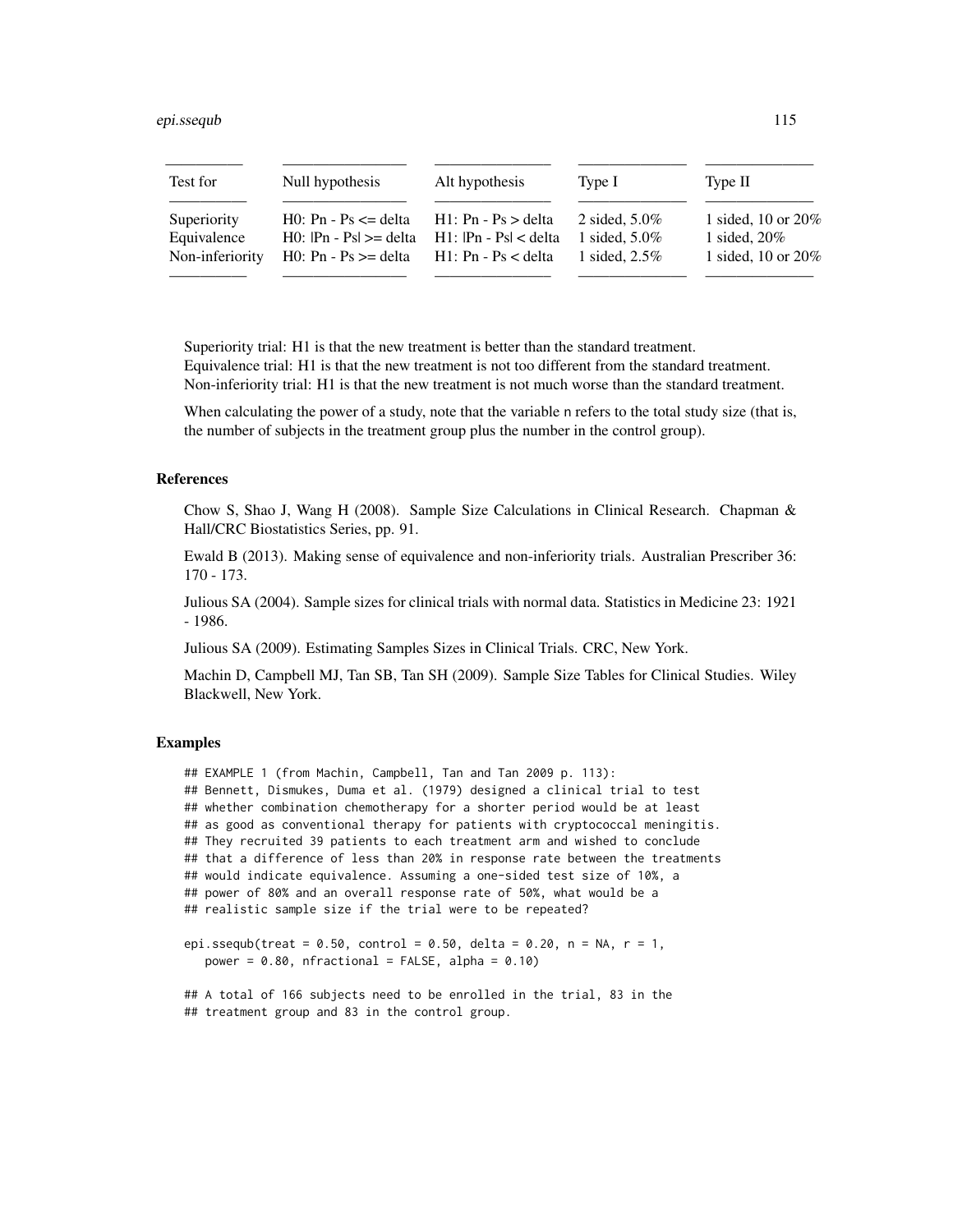| Test for        | Null hypothesis                                  | Alt hypothesis            | Type I           | Type II               |
|-----------------|--------------------------------------------------|---------------------------|------------------|-----------------------|
| Superiority     | $H0$ : Pn - Ps $\leq$ delta                      | $H1: Pn - Ps > delta$     | 2 sided, $5.0\%$ | 1 sided, 10 or $20\%$ |
| Equivalence     | $H0:$ $\text{Pn} - \text{Psl} \geq \text{delta}$ | $H1:$ $ Pn - Ps  <$ delta | 1 sided, $5.0\%$ | 1 sided, $20\%$       |
| Non-inferiority | $H0$ : Pn - Ps $\geq$ delta                      | $H1: Pn - Ps <$ delta     | 1 sided, $2.5\%$ | 1 sided, 10 or $20\%$ |

Superiority trial: H1 is that the new treatment is better than the standard treatment. Equivalence trial: H1 is that the new treatment is not too different from the standard treatment. Non-inferiority trial: H1 is that the new treatment is not much worse than the standard treatment.

When calculating the power of a study, note that the variable n refers to the total study size (that is, the number of subjects in the treatment group plus the number in the control group).

# References

Chow S, Shao J, Wang H (2008). Sample Size Calculations in Clinical Research. Chapman & Hall/CRC Biostatistics Series, pp. 91.

Ewald B (2013). Making sense of equivalence and non-inferiority trials. Australian Prescriber 36: 170 - 173.

Julious SA (2004). Sample sizes for clinical trials with normal data. Statistics in Medicine 23: 1921 - 1986.

Julious SA (2009). Estimating Samples Sizes in Clinical Trials. CRC, New York.

Machin D, Campbell MJ, Tan SB, Tan SH (2009). Sample Size Tables for Clinical Studies. Wiley Blackwell, New York.

# Examples

```
## EXAMPLE 1 (from Machin, Campbell, Tan and Tan 2009 p. 113):
## Bennett, Dismukes, Duma et al. (1979) designed a clinical trial to test
## whether combination chemotherapy for a shorter period would be at least
## as good as conventional therapy for patients with cryptococcal meningitis.
## They recruited 39 patients to each treatment arm and wished to conclude
## that a difference of less than 20% in response rate between the treatments
## would indicate equivalence. Assuming a one-sided test size of 10%, a
## power of 80% and an overall response rate of 50%, what would be a
## realistic sample size if the trial were to be repeated?
```

```
epi.ssequb(treat = 0.50, control = 0.50, delta = 0.20, n = NA, r = 1,
  power = 0.80, nfractional = FALSE, alpha = 0.10)
```

```
## A total of 166 subjects need to be enrolled in the trial, 83 in the
## treatment group and 83 in the control group.
```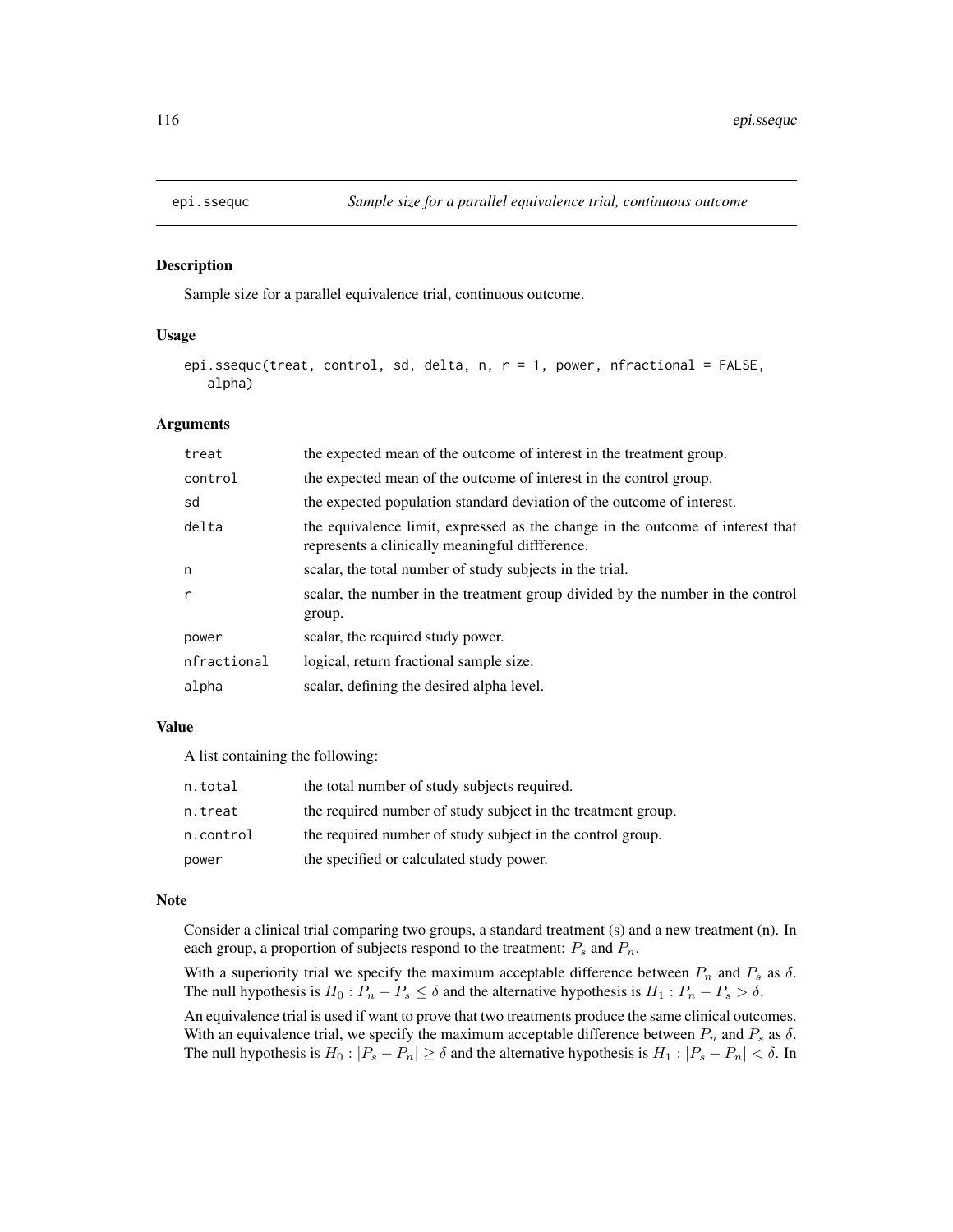## Description

Sample size for a parallel equivalence trial, continuous outcome.

# Usage

```
epi.ssequc(treat, control, sd, delta, n, r = 1, power, nfractional = FALSE,
   alpha)
```
## Arguments

| treat        | the expected mean of the outcome of interest in the treatment group.                                                              |
|--------------|-----------------------------------------------------------------------------------------------------------------------------------|
| control      | the expected mean of the outcome of interest in the control group.                                                                |
| sd           | the expected population standard deviation of the outcome of interest.                                                            |
| delta        | the equivalence limit, expressed as the change in the outcome of interest that<br>represents a clinically meaningful diffference. |
| n            | scalar, the total number of study subjects in the trial.                                                                          |
| $\mathsf{r}$ | scalar, the number in the treatment group divided by the number in the control<br>group.                                          |
| power        | scalar, the required study power.                                                                                                 |
| nfractional  | logical, return fractional sample size.                                                                                           |
| alpha        | scalar, defining the desired alpha level.                                                                                         |

### Value

A list containing the following:

| n.total   | the total number of study subjects required.                 |  |
|-----------|--------------------------------------------------------------|--|
| n.treat   | the required number of study subject in the treatment group. |  |
| n.control | the required number of study subject in the control group.   |  |
| power     | the specified or calculated study power.                     |  |

# Note

Consider a clinical trial comparing two groups, a standard treatment (s) and a new treatment (n). In each group, a proportion of subjects respond to the treatment:  $P_s$  and  $P_n$ .

With a superiority trial we specify the maximum acceptable difference between  $P_n$  and  $P_s$  as  $\delta$ . The null hypothesis is  $H_0: P_n - P_s \leq \delta$  and the alternative hypothesis is  $H_1: P_n - P_s > \delta$ .

An equivalence trial is used if want to prove that two treatments produce the same clinical outcomes. With an equivalence trial, we specify the maximum acceptable difference between  $P_n$  and  $P_s$  as  $\delta$ . The null hypothesis is  $H_0: |P_s - P_n| \ge \delta$  and the alternative hypothesis is  $H_1: |P_s - P_n| < \delta$ . In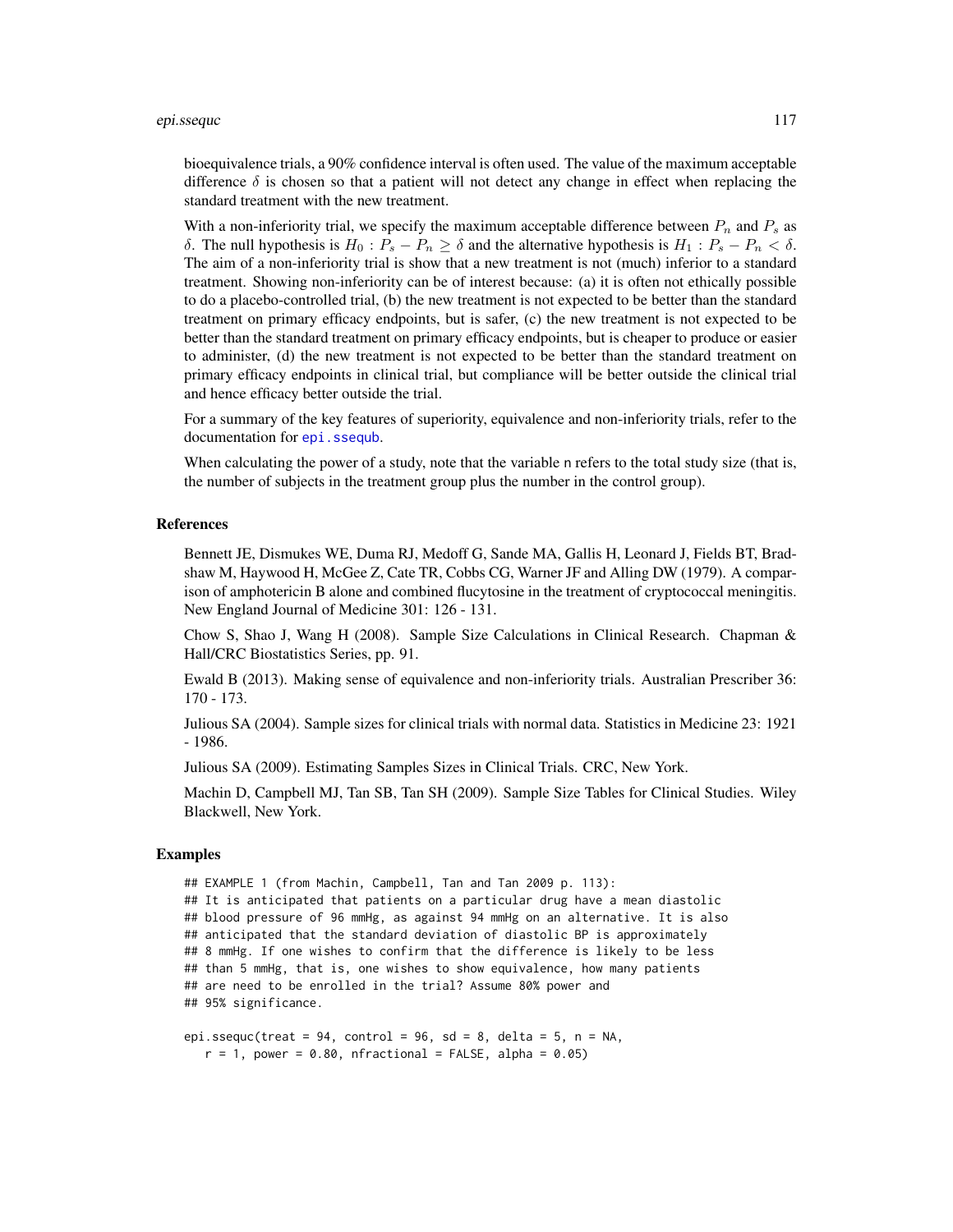#### epi.sseque the contract of the contract of the contract of the contract of the contract of the contract of the contract of the contract of the contract of the contract of the contract of the contract of the contract of the

bioequivalence trials, a 90% confidence interval is often used. The value of the maximum acceptable difference  $\delta$  is chosen so that a patient will not detect any change in effect when replacing the standard treatment with the new treatment.

With a non-inferiority trial, we specify the maximum acceptable difference between  $P_n$  and  $P_s$  as δ. The null hypothesis is  $H_0$ :  $P_s - P_n \geq \delta$  and the alternative hypothesis is  $H_1$ :  $P_s - P_n < \delta$ . The aim of a non-inferiority trial is show that a new treatment is not (much) inferior to a standard treatment. Showing non-inferiority can be of interest because: (a) it is often not ethically possible to do a placebo-controlled trial, (b) the new treatment is not expected to be better than the standard treatment on primary efficacy endpoints, but is safer, (c) the new treatment is not expected to be better than the standard treatment on primary efficacy endpoints, but is cheaper to produce or easier to administer, (d) the new treatment is not expected to be better than the standard treatment on primary efficacy endpoints in clinical trial, but compliance will be better outside the clinical trial and hence efficacy better outside the trial.

For a summary of the key features of superiority, equivalence and non-inferiority trials, refer to the documentation for [epi.ssequb](#page-112-0).

When calculating the power of a study, note that the variable n refers to the total study size (that is, the number of subjects in the treatment group plus the number in the control group).

#### References

Bennett JE, Dismukes WE, Duma RJ, Medoff G, Sande MA, Gallis H, Leonard J, Fields BT, Bradshaw M, Haywood H, McGee Z, Cate TR, Cobbs CG, Warner JF and Alling DW (1979). A comparison of amphotericin B alone and combined flucytosine in the treatment of cryptococcal meningitis. New England Journal of Medicine 301: 126 - 131.

Chow S, Shao J, Wang H (2008). Sample Size Calculations in Clinical Research. Chapman & Hall/CRC Biostatistics Series, pp. 91.

Ewald B (2013). Making sense of equivalence and non-inferiority trials. Australian Prescriber 36: 170 - 173.

Julious SA (2004). Sample sizes for clinical trials with normal data. Statistics in Medicine 23: 1921 - 1986.

Julious SA (2009). Estimating Samples Sizes in Clinical Trials. CRC, New York.

Machin D, Campbell MJ, Tan SB, Tan SH (2009). Sample Size Tables for Clinical Studies. Wiley Blackwell, New York.

# Examples

```
## EXAMPLE 1 (from Machin, Campbell, Tan and Tan 2009 p. 113):
## It is anticipated that patients on a particular drug have a mean diastolic
## blood pressure of 96 mmHg, as against 94 mmHg on an alternative. It is also
## anticipated that the standard deviation of diastolic BP is approximately
## 8 mmHg. If one wishes to confirm that the difference is likely to be less
## than 5 mmHg, that is, one wishes to show equivalence, how many patients
## are need to be enrolled in the trial? Assume 80% power and
## 95% significance.
```

```
epi.ssequc(treat = 94, control = 96, sd = 8, delta = 5, n = NA,
  r = 1, power = 0.80, nfractional = FALSE, alpha = 0.05)
```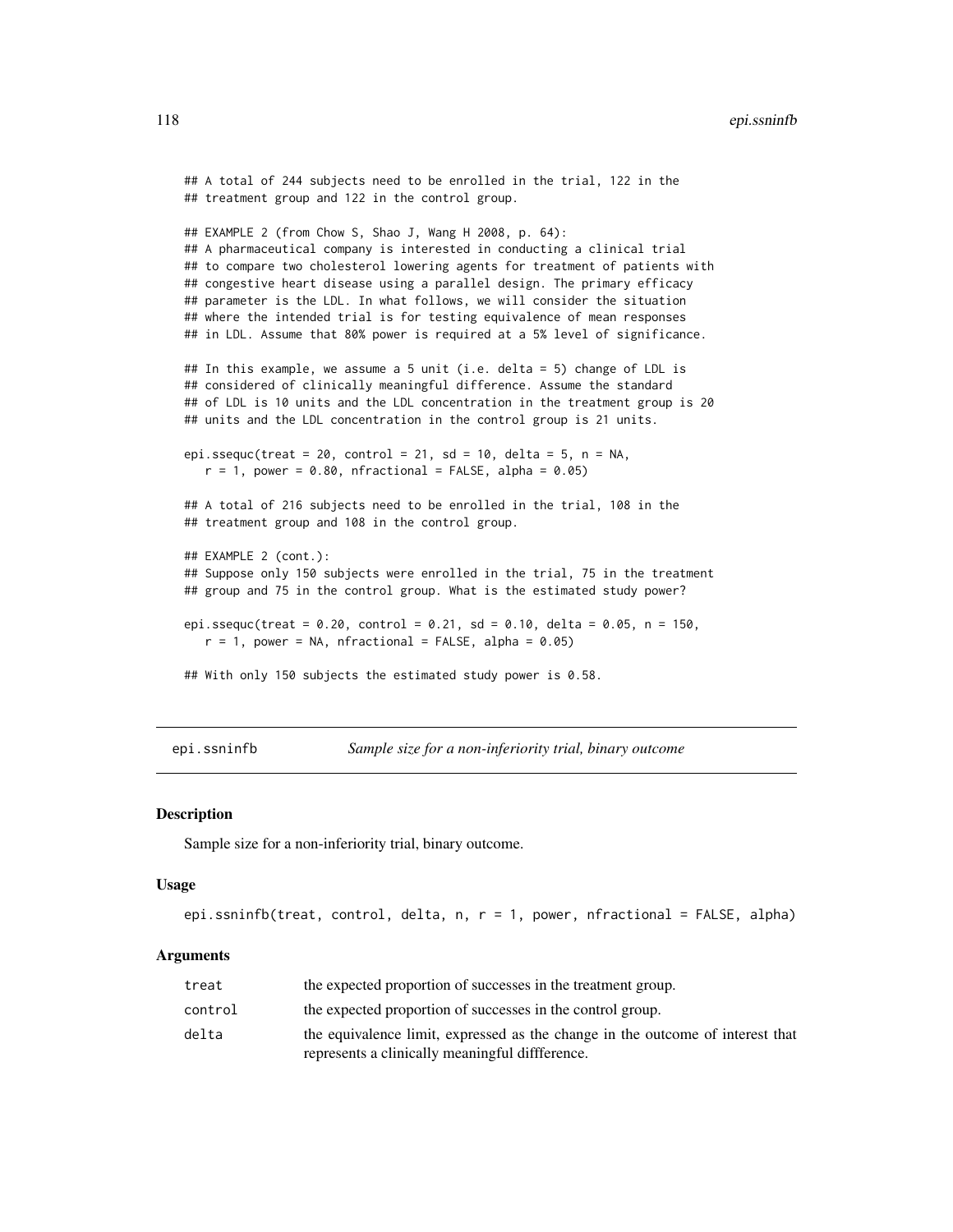```
## A total of 244 subjects need to be enrolled in the trial, 122 in the
## treatment group and 122 in the control group.
## EXAMPLE 2 (from Chow S, Shao J, Wang H 2008, p. 64):
## A pharmaceutical company is interested in conducting a clinical trial
## to compare two cholesterol lowering agents for treatment of patients with
## congestive heart disease using a parallel design. The primary efficacy
## parameter is the LDL. In what follows, we will consider the situation
## where the intended trial is for testing equivalence of mean responses
## in LDL. Assume that 80% power is required at a 5% level of significance.
## In this example, we assume a 5 unit (i.e. delta = 5) change of LDL is
## considered of clinically meaningful difference. Assume the standard
## of LDL is 10 units and the LDL concentration in the treatment group is 20
## units and the LDL concentration in the control group is 21 units.
epi.ssequc(treat = 20, control = 21, sd = 10, delta = 5, n = NA,
  r = 1, power = 0.80, nfractional = FALSE, alpha = 0.05)
## A total of 216 subjects need to be enrolled in the trial, 108 in the
## treatment group and 108 in the control group.
## EXAMPLE 2 (cont.):
## Suppose only 150 subjects were enrolled in the trial, 75 in the treatment
## group and 75 in the control group. What is the estimated study power?
epi.ssequc(treat = 0.20, control = 0.21, sd = 0.10, delta = 0.05, n = 150,
  r = 1, power = NA, nfractional = FALSE, alpha = 0.05)
## With only 150 subjects the estimated study power is 0.58.
```
epi.ssninfb *Sample size for a non-inferiority trial, binary outcome*

#### Description

Sample size for a non-inferiority trial, binary outcome.

#### Usage

```
epi.ssninfb(treat, control, delta, n, r = 1, power, nfractional = FALSE, alpha)
```
#### Arguments

| treat   | the expected proportion of successes in the treatment group.                                                                     |
|---------|----------------------------------------------------------------------------------------------------------------------------------|
| control | the expected proportion of successes in the control group.                                                                       |
| delta   | the equivalence limit, expressed as the change in the outcome of interest that<br>represents a clinically meaningful difference. |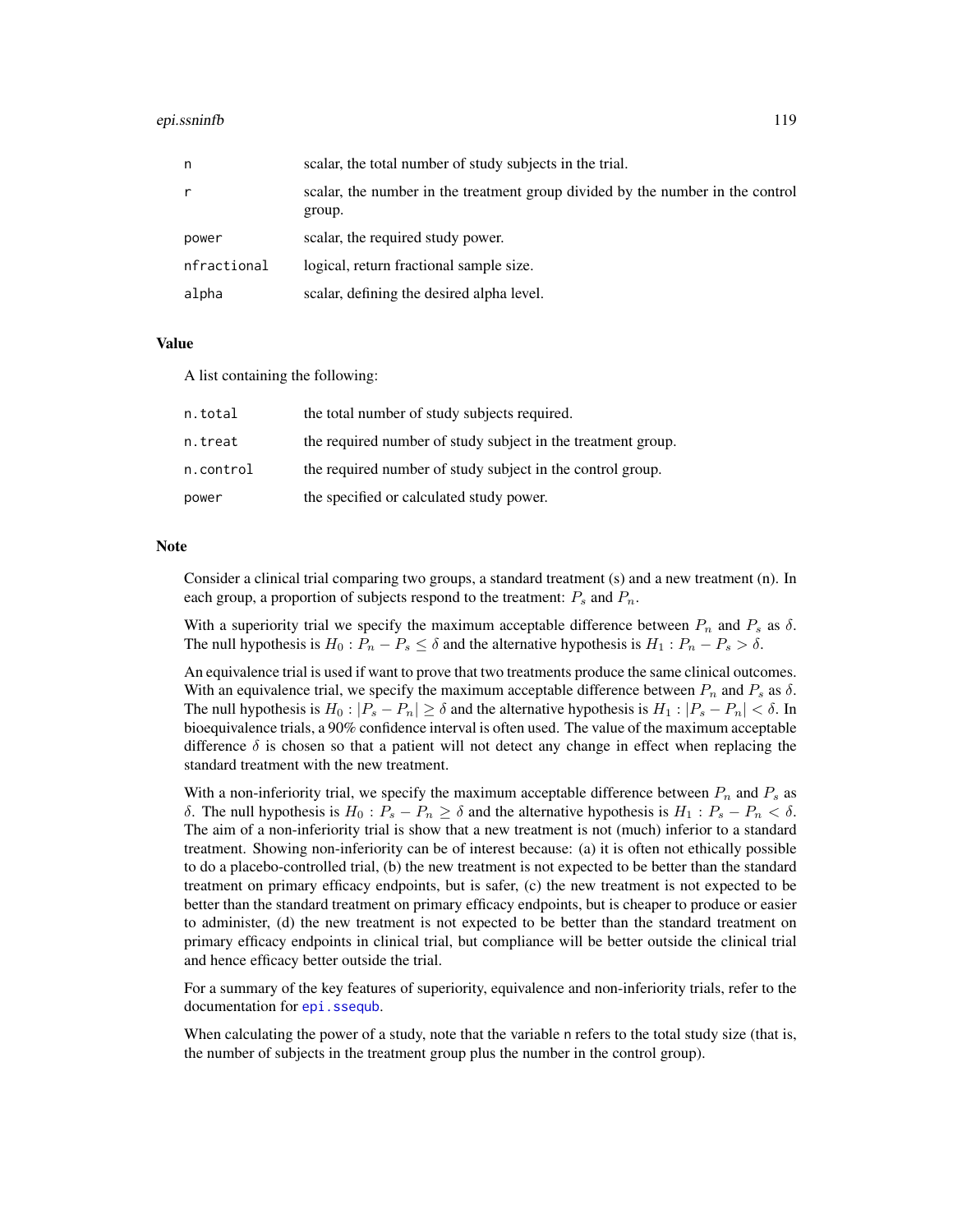#### epi.ssninfb 119

| n           | scalar, the total number of study subjects in the trial.                                 |
|-------------|------------------------------------------------------------------------------------------|
| r           | scalar, the number in the treatment group divided by the number in the control<br>group. |
| power       | scalar, the required study power.                                                        |
| nfractional | logical, return fractional sample size.                                                  |
| alpha       | scalar, defining the desired alpha level.                                                |

## Value

A list containing the following:

| n.total   | the total number of study subjects required.                 |
|-----------|--------------------------------------------------------------|
| n.treat   | the required number of study subject in the treatment group. |
| n.control | the required number of study subject in the control group.   |
| power     | the specified or calculated study power.                     |

## Note

Consider a clinical trial comparing two groups, a standard treatment (s) and a new treatment (n). In each group, a proportion of subjects respond to the treatment:  $P_s$  and  $P_n$ .

With a superiority trial we specify the maximum acceptable difference between  $P_n$  and  $P_s$  as  $\delta$ . The null hypothesis is  $H_0$ :  $P_n - P_s \le \delta$  and the alternative hypothesis is  $H_1$ :  $P_n - P_s > \delta$ .

An equivalence trial is used if want to prove that two treatments produce the same clinical outcomes. With an equivalence trial, we specify the maximum acceptable difference between  $P_n$  and  $P_s$  as  $\delta$ . The null hypothesis is  $H_0: |P_s - P_n| \ge \delta$  and the alternative hypothesis is  $H_1: |P_s - P_n| < \delta$ . In bioequivalence trials, a 90% confidence interval is often used. The value of the maximum acceptable difference  $\delta$  is chosen so that a patient will not detect any change in effect when replacing the standard treatment with the new treatment.

With a non-inferiority trial, we specify the maximum acceptable difference between  $P_n$  and  $P_s$  as δ. The null hypothesis is  $H_0$ :  $P_s - P_n \geq \delta$  and the alternative hypothesis is  $H_1$ :  $P_s - P_n < \delta$ . The aim of a non-inferiority trial is show that a new treatment is not (much) inferior to a standard treatment. Showing non-inferiority can be of interest because: (a) it is often not ethically possible to do a placebo-controlled trial, (b) the new treatment is not expected to be better than the standard treatment on primary efficacy endpoints, but is safer, (c) the new treatment is not expected to be better than the standard treatment on primary efficacy endpoints, but is cheaper to produce or easier to administer, (d) the new treatment is not expected to be better than the standard treatment on primary efficacy endpoints in clinical trial, but compliance will be better outside the clinical trial and hence efficacy better outside the trial.

For a summary of the key features of superiority, equivalence and non-inferiority trials, refer to the documentation for [epi.ssequb](#page-112-0).

When calculating the power of a study, note that the variable n refers to the total study size (that is, the number of subjects in the treatment group plus the number in the control group).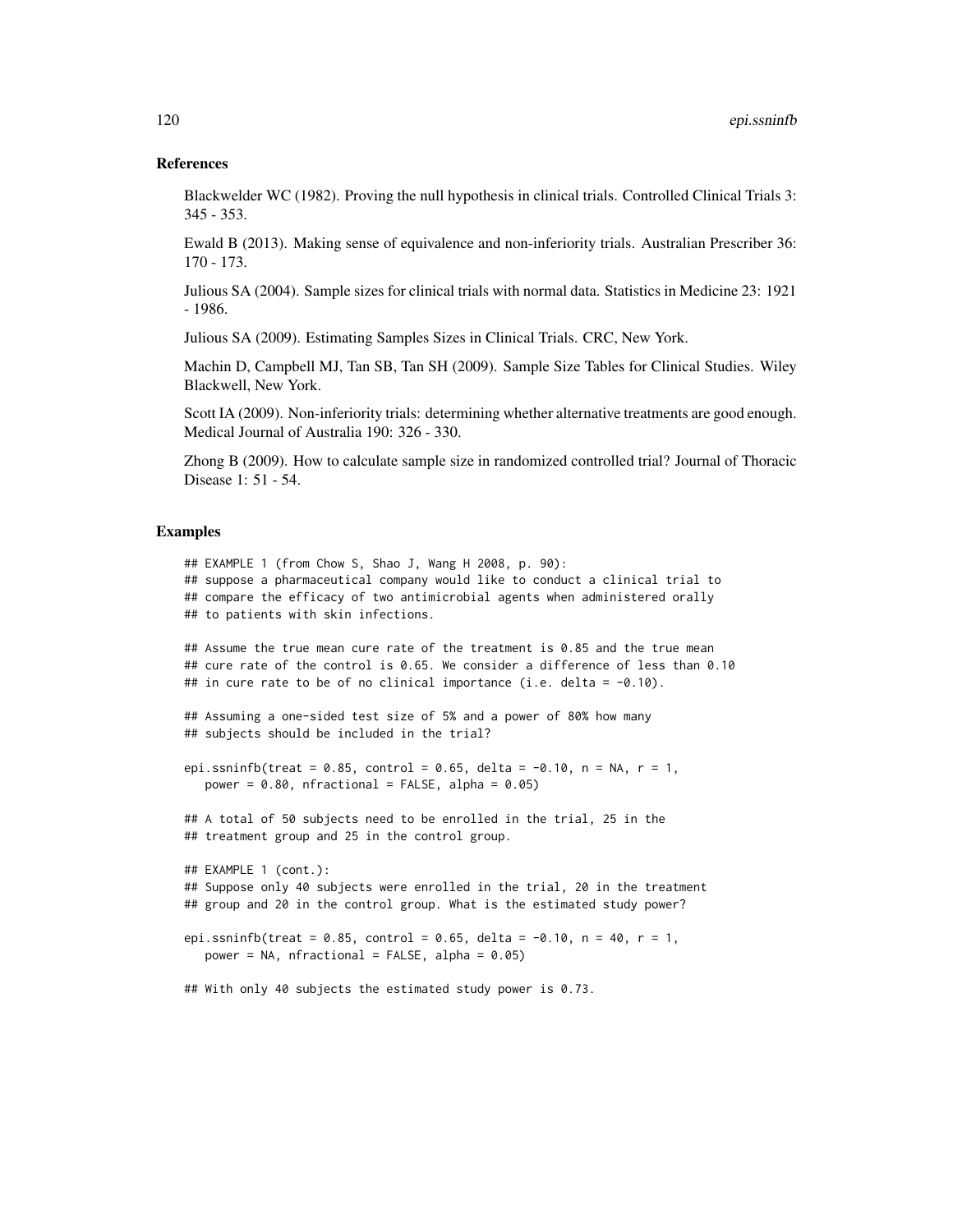## References

Blackwelder WC (1982). Proving the null hypothesis in clinical trials. Controlled Clinical Trials 3: 345 - 353.

Ewald B (2013). Making sense of equivalence and non-inferiority trials. Australian Prescriber 36: 170 - 173.

Julious SA (2004). Sample sizes for clinical trials with normal data. Statistics in Medicine 23: 1921 - 1986.

Julious SA (2009). Estimating Samples Sizes in Clinical Trials. CRC, New York.

Machin D, Campbell MJ, Tan SB, Tan SH (2009). Sample Size Tables for Clinical Studies. Wiley Blackwell, New York.

Scott IA (2009). Non-inferiority trials: determining whether alternative treatments are good enough. Medical Journal of Australia 190: 326 - 330.

Zhong B (2009). How to calculate sample size in randomized controlled trial? Journal of Thoracic Disease 1: 51 - 54.

#### Examples

```
## EXAMPLE 1 (from Chow S, Shao J, Wang H 2008, p. 90):
## suppose a pharmaceutical company would like to conduct a clinical trial to
## compare the efficacy of two antimicrobial agents when administered orally
## to patients with skin infections.
## Assume the true mean cure rate of the treatment is 0.85 and the true mean
## cure rate of the control is 0.65. We consider a difference of less than 0.10
## in cure rate to be of no clinical importance (i.e. delta = -0.10).
## Assuming a one-sided test size of 5% and a power of 80% how many
## subjects should be included in the trial?
epi.ssninfb(treat = 0.85, control = 0.65, delta = -0.10, n = NA, r = 1,
  power = 0.80, nfractional = FALSE, alpha = 0.05)
## A total of 50 subjects need to be enrolled in the trial, 25 in the
## treatment group and 25 in the control group.
## EXAMPLE 1 (cont.):
## Suppose only 40 subjects were enrolled in the trial, 20 in the treatment
## group and 20 in the control group. What is the estimated study power?
epi.ssninfb(treat = 0.85, control = 0.65, delta = -0.10, n = 40, r = 1,
  power = NA, nfractional = FALSE, alpha = 0.05)
## With only 40 subjects the estimated study power is 0.73.
```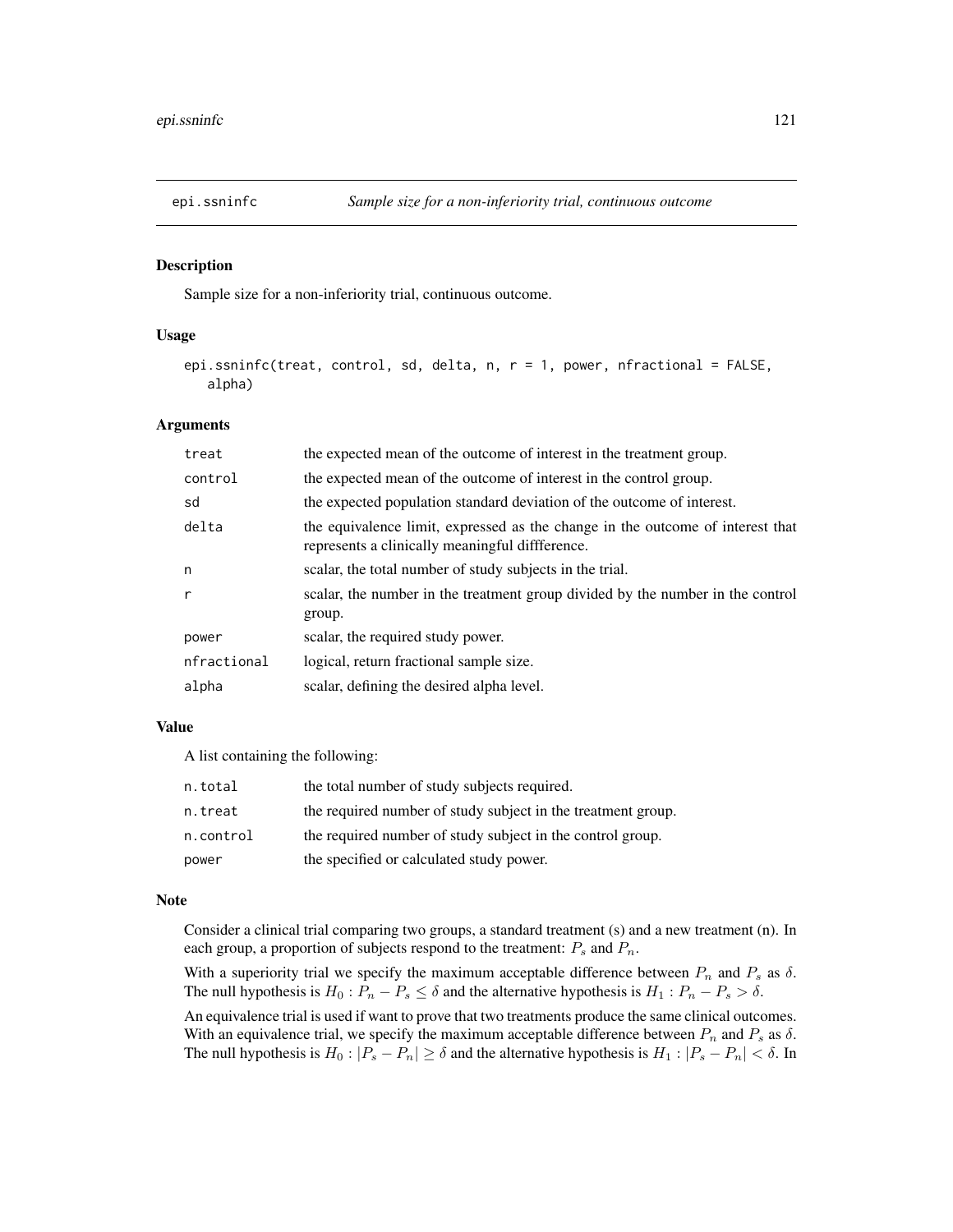# Description

Sample size for a non-inferiority trial, continuous outcome.

# Usage

```
epi.ssninfc(treat, control, sd, delta, n, r = 1, power, nfractional = FALSE,
   alpha)
```
## Arguments

| treat        | the expected mean of the outcome of interest in the treatment group.                                                              |
|--------------|-----------------------------------------------------------------------------------------------------------------------------------|
| control      | the expected mean of the outcome of interest in the control group.                                                                |
| sd           | the expected population standard deviation of the outcome of interest.                                                            |
| delta        | the equivalence limit, expressed as the change in the outcome of interest that<br>represents a clinically meaningful diffference. |
| n            | scalar, the total number of study subjects in the trial.                                                                          |
| $\mathsf{r}$ | scalar, the number in the treatment group divided by the number in the control<br>group.                                          |
| power        | scalar, the required study power.                                                                                                 |
| nfractional  | logical, return fractional sample size.                                                                                           |
| alpha        | scalar, defining the desired alpha level.                                                                                         |

# Value

A list containing the following:

| n.total   | the total number of study subjects required.                 |
|-----------|--------------------------------------------------------------|
| n.treat   | the required number of study subject in the treatment group. |
| n.control | the required number of study subject in the control group.   |
| power     | the specified or calculated study power.                     |

### Note

Consider a clinical trial comparing two groups, a standard treatment (s) and a new treatment (n). In each group, a proportion of subjects respond to the treatment:  $P_s$  and  $P_n$ .

With a superiority trial we specify the maximum acceptable difference between  $P_n$  and  $P_s$  as  $\delta$ . The null hypothesis is  $H_0: P_n - P_s \leq \delta$  and the alternative hypothesis is  $H_1: P_n - P_s > \delta$ .

An equivalence trial is used if want to prove that two treatments produce the same clinical outcomes. With an equivalence trial, we specify the maximum acceptable difference between  $P_n$  and  $P_s$  as  $\delta$ . The null hypothesis is  $H_0: |P_s - P_n| \ge \delta$  and the alternative hypothesis is  $H_1: |P_s - P_n| < \delta$ . In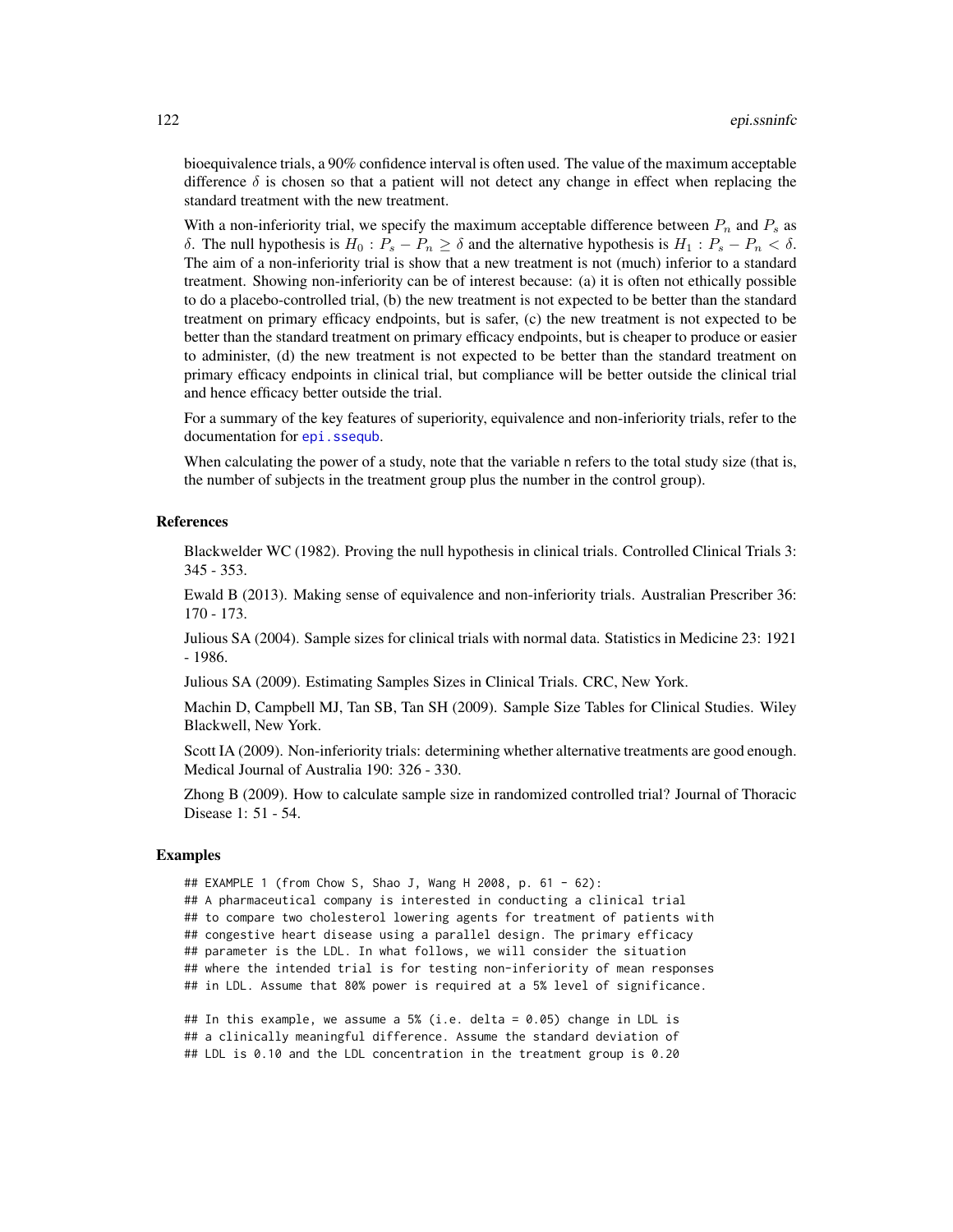bioequivalence trials, a 90% confidence interval is often used. The value of the maximum acceptable difference  $\delta$  is chosen so that a patient will not detect any change in effect when replacing the standard treatment with the new treatment.

With a non-inferiority trial, we specify the maximum acceptable difference between  $P_n$  and  $P_s$  as δ. The null hypothesis is  $H_0$ :  $P_s - P_n \geq \delta$  and the alternative hypothesis is  $H_1$ :  $P_s - P_n < \delta$ . The aim of a non-inferiority trial is show that a new treatment is not (much) inferior to a standard treatment. Showing non-inferiority can be of interest because: (a) it is often not ethically possible to do a placebo-controlled trial, (b) the new treatment is not expected to be better than the standard treatment on primary efficacy endpoints, but is safer, (c) the new treatment is not expected to be better than the standard treatment on primary efficacy endpoints, but is cheaper to produce or easier to administer, (d) the new treatment is not expected to be better than the standard treatment on primary efficacy endpoints in clinical trial, but compliance will be better outside the clinical trial and hence efficacy better outside the trial.

For a summary of the key features of superiority, equivalence and non-inferiority trials, refer to the documentation for [epi.ssequb](#page-112-0).

When calculating the power of a study, note that the variable n refers to the total study size (that is, the number of subjects in the treatment group plus the number in the control group).

# References

Blackwelder WC (1982). Proving the null hypothesis in clinical trials. Controlled Clinical Trials 3: 345 - 353.

Ewald B (2013). Making sense of equivalence and non-inferiority trials. Australian Prescriber 36: 170 - 173.

Julious SA (2004). Sample sizes for clinical trials with normal data. Statistics in Medicine 23: 1921 - 1986.

Julious SA (2009). Estimating Samples Sizes in Clinical Trials. CRC, New York.

Machin D, Campbell MJ, Tan SB, Tan SH (2009). Sample Size Tables for Clinical Studies. Wiley Blackwell, New York.

Scott IA (2009). Non-inferiority trials: determining whether alternative treatments are good enough. Medical Journal of Australia 190: 326 - 330.

Zhong B (2009). How to calculate sample size in randomized controlled trial? Journal of Thoracic Disease 1: 51 - 54.

# Examples

```
## EXAMPLE 1 (from Chow S, Shao J, Wang H 2008, p. 61 - 62):
## A pharmaceutical company is interested in conducting a clinical trial
## to compare two cholesterol lowering agents for treatment of patients with
## congestive heart disease using a parallel design. The primary efficacy
## parameter is the LDL. In what follows, we will consider the situation
## where the intended trial is for testing non-inferiority of mean responses
## in LDL. Assume that 80% power is required at a 5% level of significance.
```
## In this example, we assume a 5% (i.e. delta = 0.05) change in LDL is ## a clinically meaningful difference. Assume the standard deviation of ## LDL is 0.10 and the LDL concentration in the treatment group is 0.20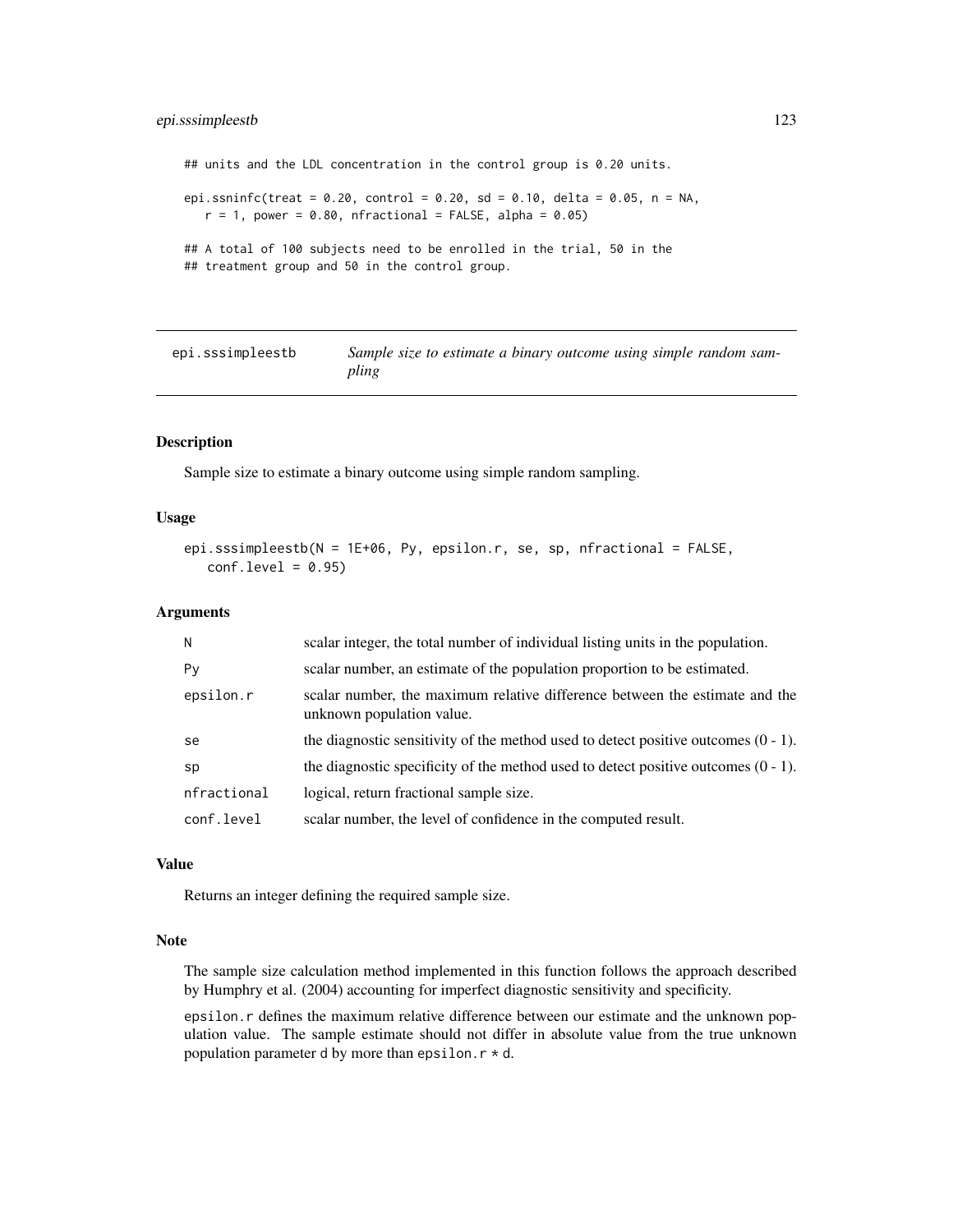# epi.sssimpleestb 123

## units and the LDL concentration in the control group is 0.20 units. epi.ssninfc(treat =  $0.20$ , control =  $0.20$ , sd =  $0.10$ , delta =  $0.05$ , n = NA,  $r = 1$ , power = 0.80, nfractional = FALSE, alpha = 0.05) ## A total of 100 subjects need to be enrolled in the trial, 50 in the ## treatment group and 50 in the control group.

| epi.sssimpleestb | Sample size to estimate a binary outcome using simple random sam- |
|------------------|-------------------------------------------------------------------|
|                  | pling                                                             |

# Description

Sample size to estimate a binary outcome using simple random sampling.

#### Usage

```
epi.sssimpleestb(N = 1E+06, Py, epsilon.r, se, sp, nfractional = FALSE,
   conf<math>level = 0.95
```
## Arguments

| N           | scalar integer, the total number of individual listing units in the population.                          |
|-------------|----------------------------------------------------------------------------------------------------------|
| Py          | scalar number, an estimate of the population proportion to be estimated.                                 |
| epsilon.r   | scalar number, the maximum relative difference between the estimate and the<br>unknown population value. |
| se          | the diagnostic sensitivity of the method used to detect positive outcomes $(0 - 1)$ .                    |
| sp          | the diagnostic specificity of the method used to detect positive outcomes $(0 - 1)$ .                    |
| nfractional | logical, return fractional sample size.                                                                  |
| conf.level  | scalar number, the level of confidence in the computed result.                                           |

# Value

Returns an integer defining the required sample size.

# Note

The sample size calculation method implemented in this function follows the approach described by Humphry et al. (2004) accounting for imperfect diagnostic sensitivity and specificity.

epsilon.r defines the maximum relative difference between our estimate and the unknown population value. The sample estimate should not differ in absolute value from the true unknown population parameter d by more than epsilon.  $r * d$ .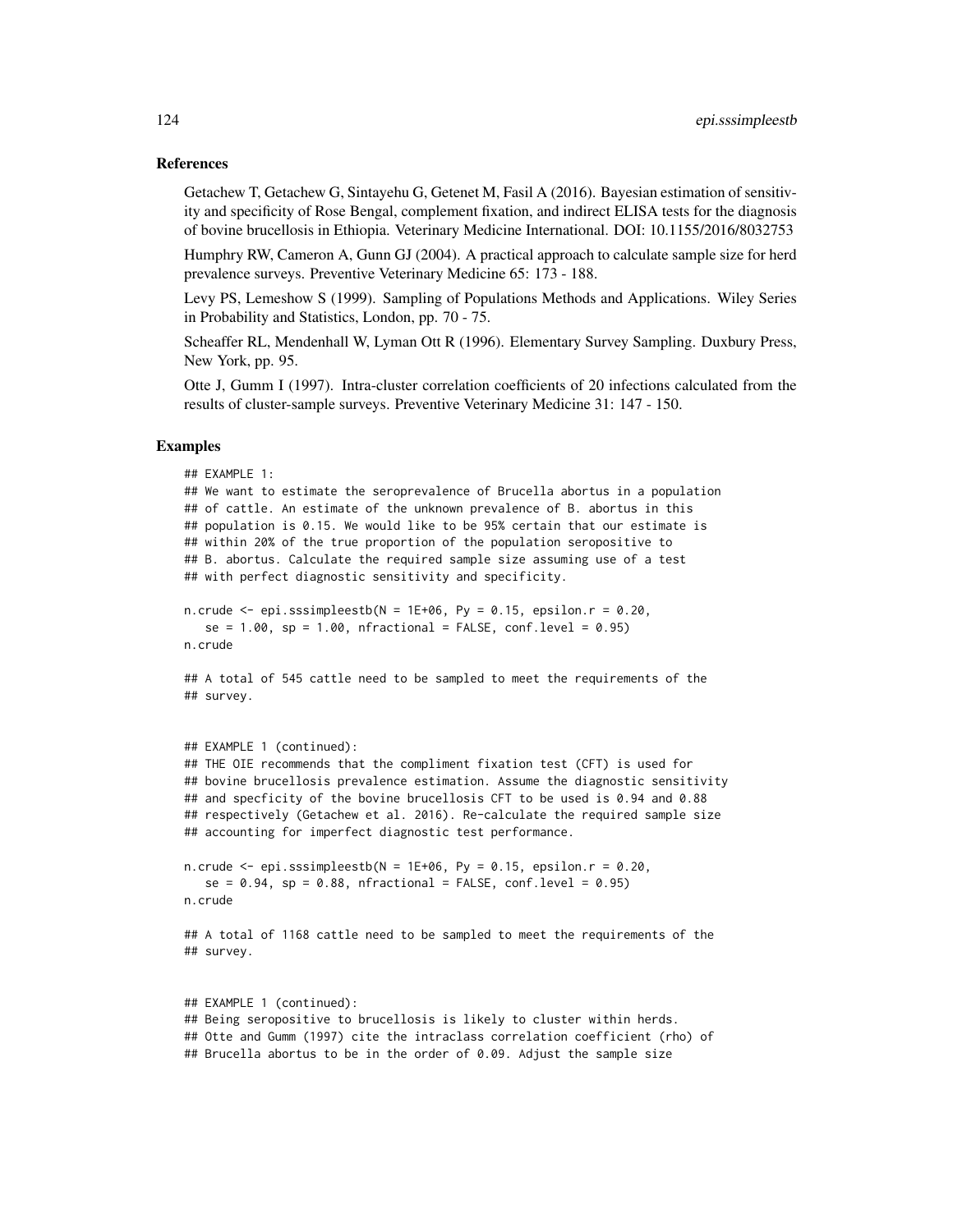#### References

Getachew T, Getachew G, Sintayehu G, Getenet M, Fasil A (2016). Bayesian estimation of sensitivity and specificity of Rose Bengal, complement fixation, and indirect ELISA tests for the diagnosis of bovine brucellosis in Ethiopia. Veterinary Medicine International. DOI: 10.1155/2016/8032753

Humphry RW, Cameron A, Gunn GJ (2004). A practical approach to calculate sample size for herd prevalence surveys. Preventive Veterinary Medicine 65: 173 - 188.

Levy PS, Lemeshow S (1999). Sampling of Populations Methods and Applications. Wiley Series in Probability and Statistics, London, pp. 70 - 75.

Scheaffer RL, Mendenhall W, Lyman Ott R (1996). Elementary Survey Sampling. Duxbury Press, New York, pp. 95.

Otte J, Gumm I (1997). Intra-cluster correlation coefficients of 20 infections calculated from the results of cluster-sample surveys. Preventive Veterinary Medicine 31: 147 - 150.

# Examples

```
## EXAMPLE 1:
## We want to estimate the seroprevalence of Brucella abortus in a population
## of cattle. An estimate of the unknown prevalence of B. abortus in this
## population is 0.15. We would like to be 95% certain that our estimate is
## within 20% of the true proportion of the population seropositive to
## B. abortus. Calculate the required sample size assuming use of a test
## with perfect diagnostic sensitivity and specificity.
n.crude \leq epi.sssimpleestb(N = 1E+06, Py = 0.15, epsilon.r = 0.20,
  se = 1.00, sp = 1.00, nfractional = FALSE, conf.level = 0.95)
n.crude
## A total of 545 cattle need to be sampled to meet the requirements of the
## survey.
## EXAMPLE 1 (continued):
## THE OIE recommends that the compliment fixation test (CFT) is used for
## bovine brucellosis prevalence estimation. Assume the diagnostic sensitivity
## and specficity of the bovine brucellosis CFT to be used is 0.94 and 0.88
## respectively (Getachew et al. 2016). Re-calculate the required sample size
## accounting for imperfect diagnostic test performance.
n.crude \leq epi.sssimpleestb(N = 1E+06, Py = 0.15, epsilon.r = 0.20,
   se = 0.94, sp = 0.88, nfractional = FALSE, conf.level = 0.95)
n.crude
## A total of 1168 cattle need to be sampled to meet the requirements of the
## survey.
## EXAMPLE 1 (continued):
## Being seropositive to brucellosis is likely to cluster within herds.
## Otte and Gumm (1997) cite the intraclass correlation coefficient (rho) of
## Brucella abortus to be in the order of 0.09. Adjust the sample size
```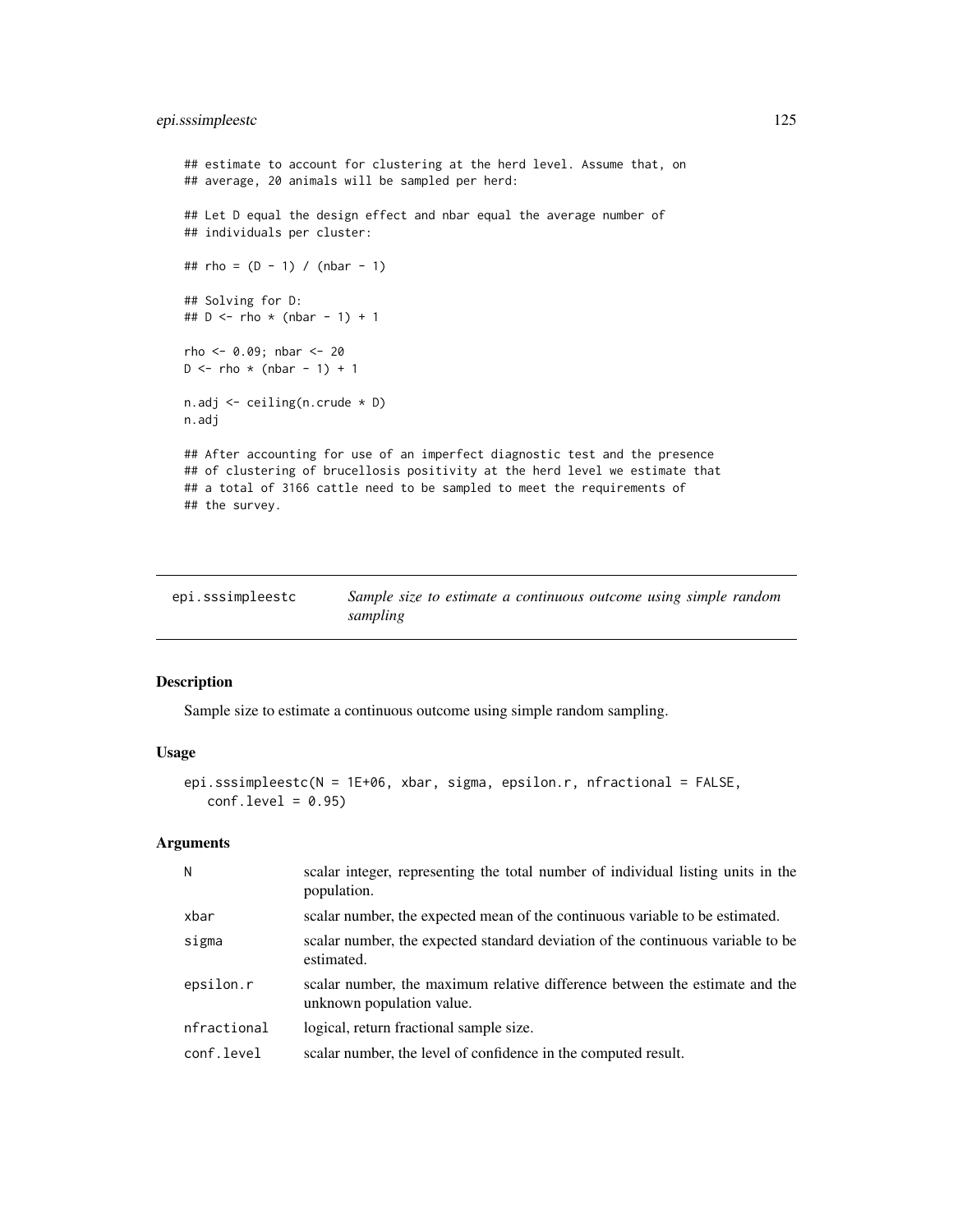# epi.sssimpleestc 125

```
## estimate to account for clustering at the herd level. Assume that, on
## average, 20 animals will be sampled per herd:
## Let D equal the design effect and nbar equal the average number of
## individuals per cluster:
## rho = (D - 1) / (nbar - 1)## Solving for D:
## D \le - rho * (nbar - 1) + 1
rho <- 0.09; nbar <- 20
D \le - rho * (nbar - 1) + 1
n.adj <- ceiling(n.crude * D)
n.adj
## After accounting for use of an imperfect diagnostic test and the presence
## of clustering of brucellosis positivity at the herd level we estimate that
## a total of 3166 cattle need to be sampled to meet the requirements of
## the survey.
```

| epi.sssimpleestc | Sample size to estimate a continuous outcome using simple random |
|------------------|------------------------------------------------------------------|
|                  | sampling                                                         |

#### Description

Sample size to estimate a continuous outcome using simple random sampling.

# Usage

```
epi.sssimpleestc(N = 1E+06, xbar, sigma, epsilon.r, nfractional = FALSE,
   conf. level = 0.95
```
## Arguments

| N           | scalar integer, representing the total number of individual listing units in the<br>population.          |
|-------------|----------------------------------------------------------------------------------------------------------|
| xbar        | scalar number, the expected mean of the continuous variable to be estimated.                             |
| sigma       | scalar number, the expected standard deviation of the continuous variable to be<br>estimated.            |
| epsilon.r   | scalar number, the maximum relative difference between the estimate and the<br>unknown population value. |
| nfractional | logical, return fractional sample size.                                                                  |
| conf.level  | scalar number, the level of confidence in the computed result.                                           |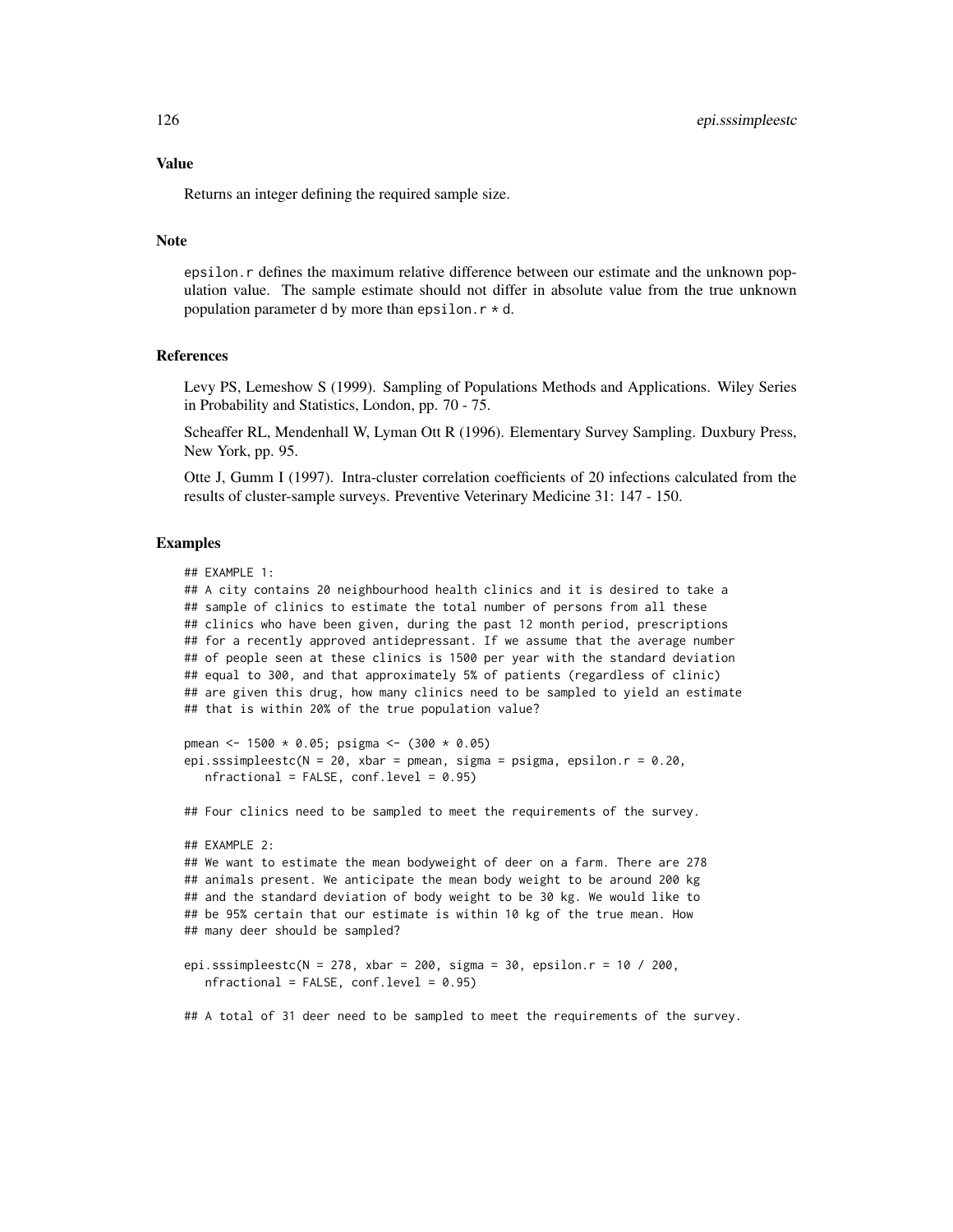Value

Returns an integer defining the required sample size.

#### Note

epsilon.r defines the maximum relative difference between our estimate and the unknown population value. The sample estimate should not differ in absolute value from the true unknown population parameter d by more than epsilon.  $r * d$ .

# References

Levy PS, Lemeshow S (1999). Sampling of Populations Methods and Applications. Wiley Series in Probability and Statistics, London, pp. 70 - 75.

Scheaffer RL, Mendenhall W, Lyman Ott R (1996). Elementary Survey Sampling. Duxbury Press, New York, pp. 95.

Otte J, Gumm I (1997). Intra-cluster correlation coefficients of 20 infections calculated from the results of cluster-sample surveys. Preventive Veterinary Medicine 31: 147 - 150.

# Examples

```
## EXAMPLE 1:
```
## A city contains 20 neighbourhood health clinics and it is desired to take a ## sample of clinics to estimate the total number of persons from all these ## clinics who have been given, during the past 12 month period, prescriptions ## for a recently approved antidepressant. If we assume that the average number ## of people seen at these clinics is 1500 per year with the standard deviation ## equal to 300, and that approximately 5% of patients (regardless of clinic) ## are given this drug, how many clinics need to be sampled to yield an estimate ## that is within 20% of the true population value?

```
pmean <- 1500 * 0.05; psigma <- (300 * 0.05)
epi.sssimpleestc(N = 20, xbar = pmean, sigma = psigma, epsilon.r = 0.20,
  nfractional = FALSE, conf.level = 0.95)
```
## Four clinics need to be sampled to meet the requirements of the survey.

```
## EXAMPLE 2:
## We want to estimate the mean bodyweight of deer on a farm. There are 278
## animals present. We anticipate the mean body weight to be around 200 kg
## and the standard deviation of body weight to be 30 kg. We would like to
## be 95% certain that our estimate is within 10 kg of the true mean. How
## many deer should be sampled?
```
epi.sssimpleestc(N = 278, xbar = 200, sigma = 30, epsilon.r = 10 / 200,  $nfractional = FALSE, conf.level = 0.95)$ 

## A total of 31 deer need to be sampled to meet the requirements of the survey.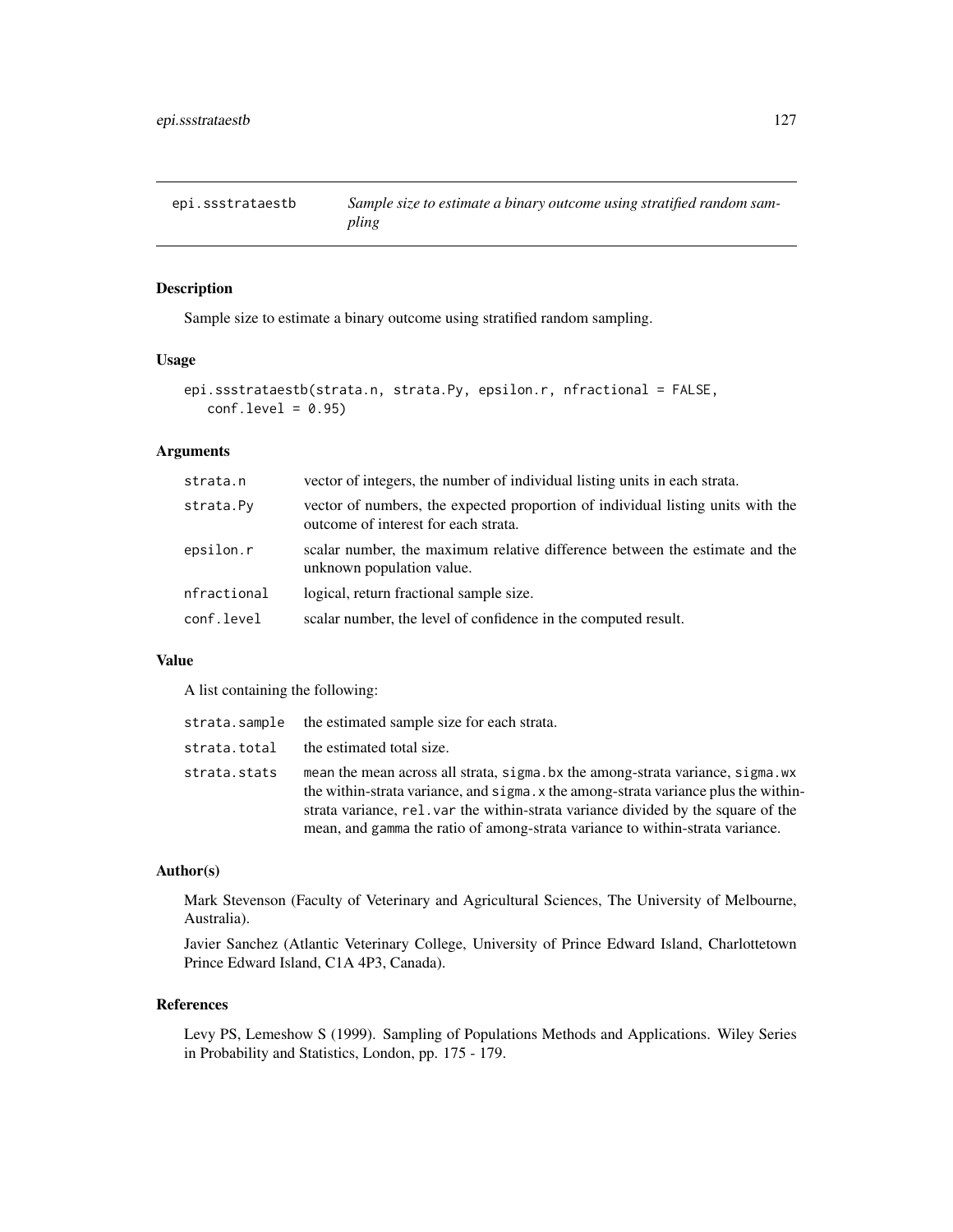epi.ssstrataestb *Sample size to estimate a binary outcome using stratified random sampling*

# Description

Sample size to estimate a binary outcome using stratified random sampling.

#### Usage

```
epi.ssstrataestb(strata.n, strata.Py, epsilon.r, nfractional = FALSE,
   conf. level = 0.95
```
# Arguments

| strata.n    | vector of integers, the number of individual listing units in each strata.                                              |
|-------------|-------------------------------------------------------------------------------------------------------------------------|
| strata.Py   | vector of numbers, the expected proportion of individual listing units with the<br>outcome of interest for each strata. |
| epsilon.r   | scalar number, the maximum relative difference between the estimate and the<br>unknown population value.                |
| nfractional | logical, return fractional sample size.                                                                                 |
| conf.level  | scalar number, the level of confidence in the computed result.                                                          |

#### Value

A list containing the following:

|              | strata.sample the estimated sample size for each strata.                                                                                                                                                                                                                                                                                    |
|--------------|---------------------------------------------------------------------------------------------------------------------------------------------------------------------------------------------------------------------------------------------------------------------------------------------------------------------------------------------|
| strata.total | the estimated total size.                                                                                                                                                                                                                                                                                                                   |
| strata.stats | mean the mean across all strata, sigma, bx the among-strata variance, sigma, wx<br>the within-strata variance, and sigma x the among-strata variance plus the within-<br>strata variance, rel. var the within-strata variance divided by the square of the<br>mean, and gamma the ratio of among-strata variance to within-strata variance. |

# Author(s)

Mark Stevenson (Faculty of Veterinary and Agricultural Sciences, The University of Melbourne, Australia).

Javier Sanchez (Atlantic Veterinary College, University of Prince Edward Island, Charlottetown Prince Edward Island, C1A 4P3, Canada).

#### References

Levy PS, Lemeshow S (1999). Sampling of Populations Methods and Applications. Wiley Series in Probability and Statistics, London, pp. 175 - 179.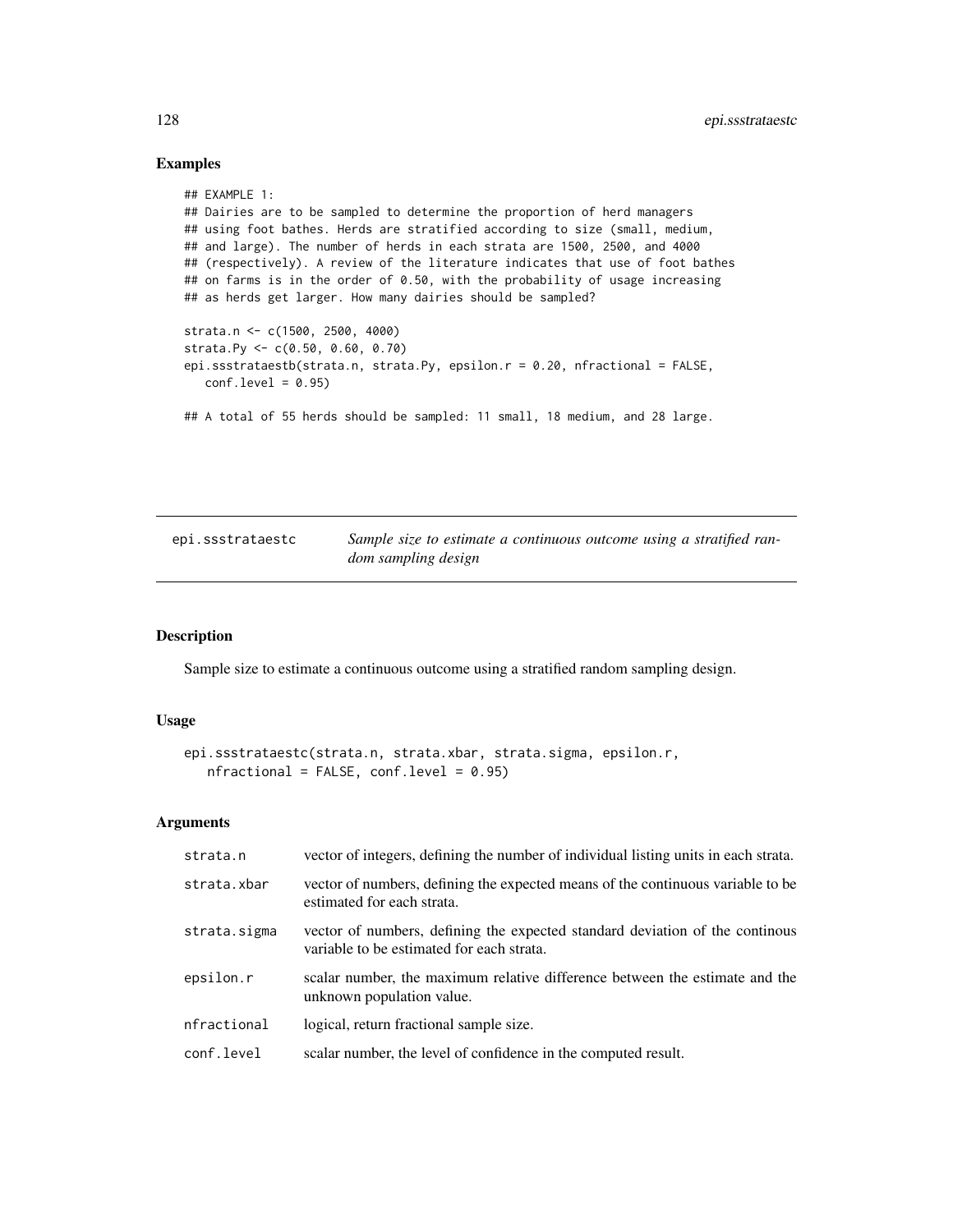# Examples

```
## EXAMPLE 1:
## Dairies are to be sampled to determine the proportion of herd managers
## using foot bathes. Herds are stratified according to size (small, medium,
## and large). The number of herds in each strata are 1500, 2500, and 4000
## (respectively). A review of the literature indicates that use of foot bathes
## on farms is in the order of 0.50, with the probability of usage increasing
## as herds get larger. How many dairies should be sampled?
strata.n <- c(1500, 2500, 4000)
strata.Py <- c(0.50, 0.60, 0.70)
epi.ssstrataestb(strata.n, strata.Py, epsilon.r = 0.20, nfractional = FALSE,
   conf<math>level = 0.95## A total of 55 herds should be sampled: 11 small, 18 medium, and 28 large.
```

| epi.ssstrataestc | Sample size to estimate a continuous outcome using a stratified ran- |
|------------------|----------------------------------------------------------------------|
|                  | dom sampling design                                                  |

#### Description

Sample size to estimate a continuous outcome using a stratified random sampling design.

# Usage

```
epi.ssstrataestc(strata.n, strata.xbar, strata.sigma, epsilon.r,
  nfractional = FALSE, conf.level = 0.95
```
# Arguments

| strata.n     | vector of integers, defining the number of individual listing units in each strata.                                        |
|--------------|----------------------------------------------------------------------------------------------------------------------------|
| strata.xbar  | vector of numbers, defining the expected means of the continuous variable to be<br>estimated for each strata.              |
| strata.sigma | vector of numbers, defining the expected standard deviation of the continuous<br>variable to be estimated for each strata. |
| epsilon.r    | scalar number, the maximum relative difference between the estimate and the<br>unknown population value.                   |
| nfractional  | logical, return fractional sample size.                                                                                    |
| conf.level   | scalar number, the level of confidence in the computed result.                                                             |
|              |                                                                                                                            |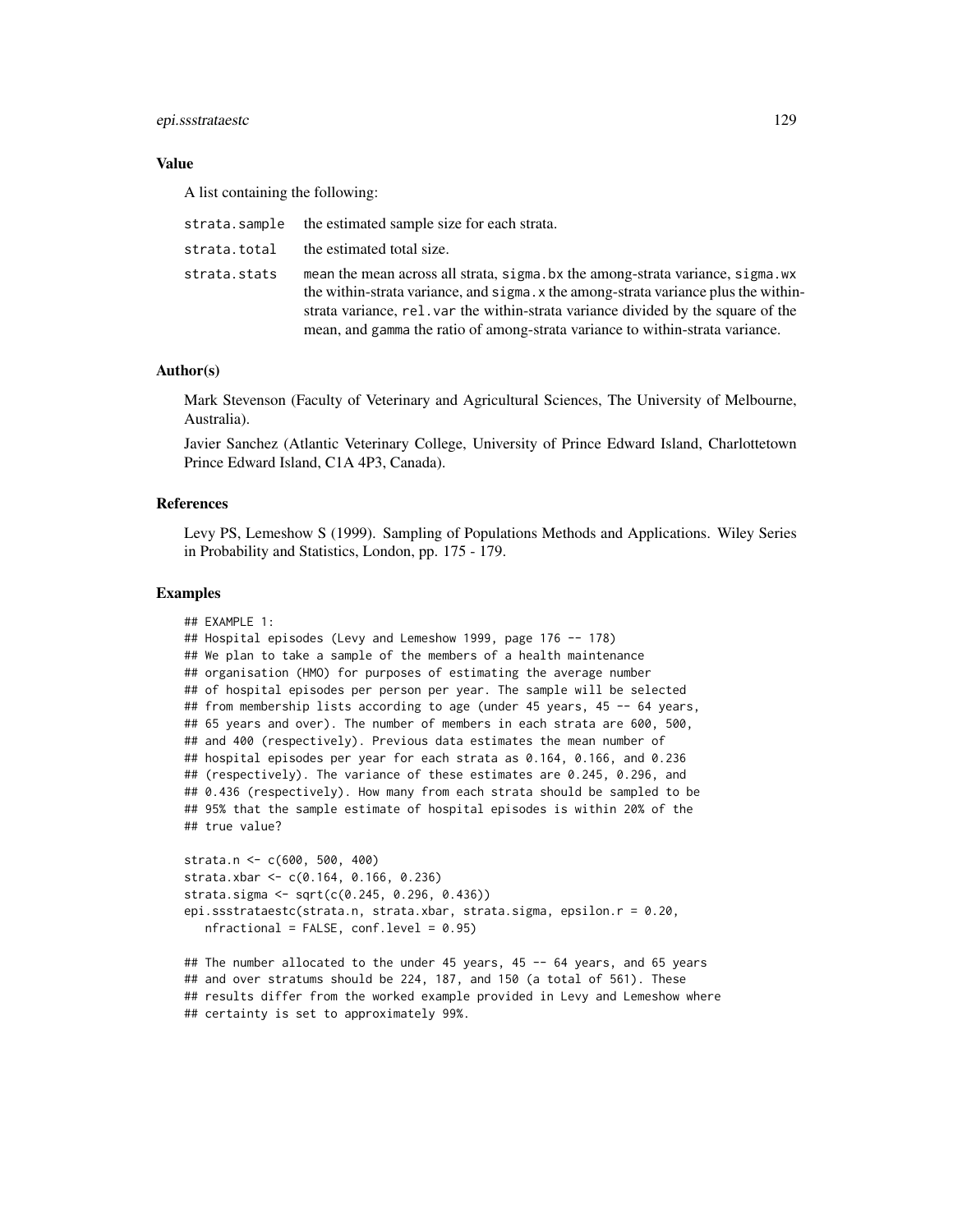#### epi.ssstrataestc 129

# Value

A list containing the following:

|              | strata.sample the estimated sample size for each strata.                                                                                                                                                                                                                                                                                     |
|--------------|----------------------------------------------------------------------------------------------------------------------------------------------------------------------------------------------------------------------------------------------------------------------------------------------------------------------------------------------|
| strata.total | the estimated total size.                                                                                                                                                                                                                                                                                                                    |
| strata.stats | mean the mean across all strata, sigma, bx the among-strata variance, sigma, wx<br>the within-strata variance, and sigma. x the among-strata variance plus the within-<br>strata variance, rel. var the within-strata variance divided by the square of the<br>mean, and gamma the ratio of among-strata variance to within-strata variance. |

## Author(s)

Mark Stevenson (Faculty of Veterinary and Agricultural Sciences, The University of Melbourne, Australia).

Javier Sanchez (Atlantic Veterinary College, University of Prince Edward Island, Charlottetown Prince Edward Island, C1A 4P3, Canada).

# References

Levy PS, Lemeshow S (1999). Sampling of Populations Methods and Applications. Wiley Series in Probability and Statistics, London, pp. 175 - 179.

#### Examples

```
## EXAMPLE 1:
## Hospital episodes (Levy and Lemeshow 1999, page 176 -- 178)
## We plan to take a sample of the members of a health maintenance
## organisation (HMO) for purposes of estimating the average number
## of hospital episodes per person per year. The sample will be selected
## from membership lists according to age (under 45 years, 45 -- 64 years,
## 65 years and over). The number of members in each strata are 600, 500,
## and 400 (respectively). Previous data estimates the mean number of
## hospital episodes per year for each strata as 0.164, 0.166, and 0.236
## (respectively). The variance of these estimates are 0.245, 0.296, and
## 0.436 (respectively). How many from each strata should be sampled to be
## 95% that the sample estimate of hospital episodes is within 20% of the
## true value?
strata.n <- c(600, 500, 400)
strata.xbar <- c(0.164, 0.166, 0.236)
strata.sigma <- sqrt(c(0.245, 0.296, 0.436))
```

```
epi.ssstrataestc(strata.n, strata.xbar, strata.sigma, epsilon.r = 0.20,
  nfractional = FALSE, conf.level = 0.95
```

```
## The number allocated to the under 45 years, 45 -- 64 years, and 65 years
## and over stratums should be 224, 187, and 150 (a total of 561). These
## results differ from the worked example provided in Levy and Lemeshow where
## certainty is set to approximately 99%.
```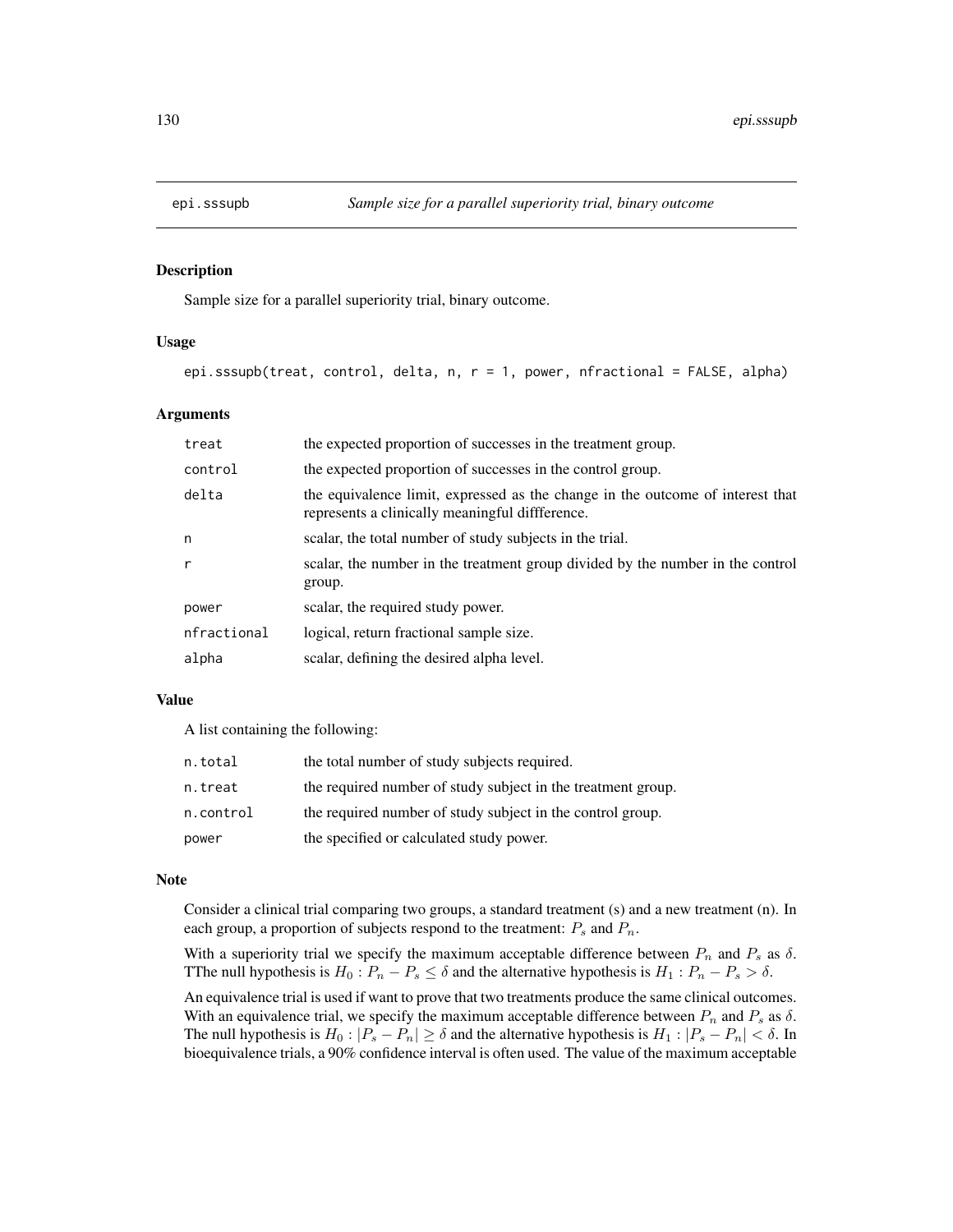## Description

Sample size for a parallel superiority trial, binary outcome.

# Usage

```
epi.sssupb(treat, control, delta, n, r = 1, power, nfractional = FALSE, alpha)
```
## Arguments

| treat       | the expected proportion of successes in the treatment group.                                                                      |
|-------------|-----------------------------------------------------------------------------------------------------------------------------------|
| control     | the expected proportion of successes in the control group.                                                                        |
| delta       | the equivalence limit, expressed as the change in the outcome of interest that<br>represents a clinically meaningful diffference. |
| n           | scalar, the total number of study subjects in the trial.                                                                          |
| r           | scalar, the number in the treatment group divided by the number in the control<br>group.                                          |
| power       | scalar, the required study power.                                                                                                 |
| nfractional | logical, return fractional sample size.                                                                                           |
| alpha       | scalar, defining the desired alpha level.                                                                                         |

# Value

A list containing the following:

| n.total   | the total number of study subjects required.                 |
|-----------|--------------------------------------------------------------|
| n.treat   | the required number of study subject in the treatment group. |
| n.control | the required number of study subject in the control group.   |
| power     | the specified or calculated study power.                     |

# Note

Consider a clinical trial comparing two groups, a standard treatment (s) and a new treatment (n). In each group, a proportion of subjects respond to the treatment:  $P_s$  and  $P_n$ .

With a superiority trial we specify the maximum acceptable difference between  $P_n$  and  $P_s$  as  $\delta$ . TThe null hypothesis is  $H_0: P_n - P_s \le \delta$  and the alternative hypothesis is  $H_1: P_n - P_s > \delta$ .

An equivalence trial is used if want to prove that two treatments produce the same clinical outcomes. With an equivalence trial, we specify the maximum acceptable difference between  $P_n$  and  $P_s$  as  $\delta$ . The null hypothesis is  $H_0: |P_s - P_n| \ge \delta$  and the alternative hypothesis is  $H_1: |P_s - P_n| < \delta$ . In bioequivalence trials, a 90% confidence interval is often used. The value of the maximum acceptable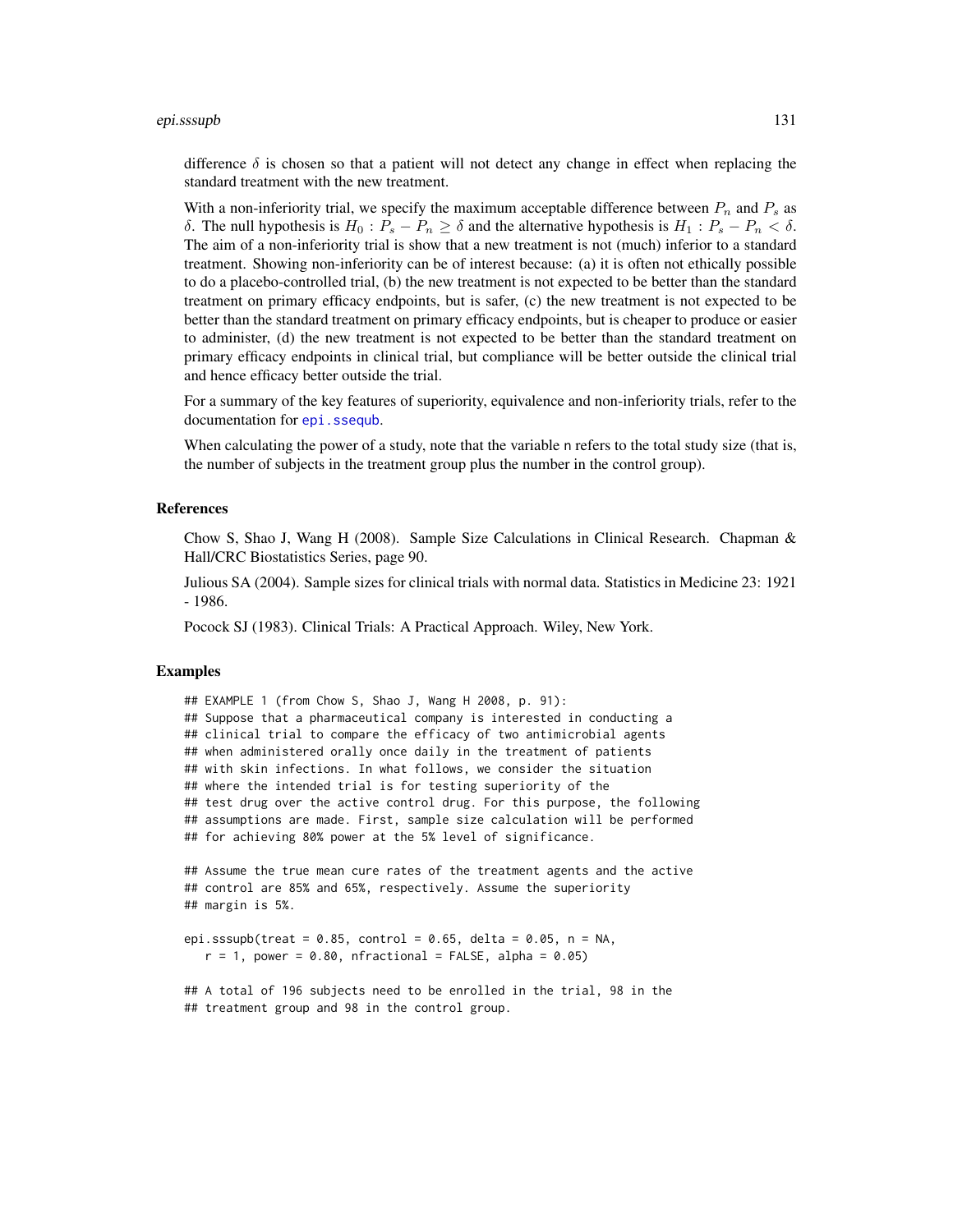#### epi.sssupb 131

difference  $\delta$  is chosen so that a patient will not detect any change in effect when replacing the standard treatment with the new treatment.

With a non-inferiority trial, we specify the maximum acceptable difference between  $P_n$  and  $P_s$  as δ. The null hypothesis is  $H_0: P_s - P_n \geq \delta$  and the alternative hypothesis is  $H_1: P_s - P_n < \delta$ . The aim of a non-inferiority trial is show that a new treatment is not (much) inferior to a standard treatment. Showing non-inferiority can be of interest because: (a) it is often not ethically possible to do a placebo-controlled trial, (b) the new treatment is not expected to be better than the standard treatment on primary efficacy endpoints, but is safer, (c) the new treatment is not expected to be better than the standard treatment on primary efficacy endpoints, but is cheaper to produce or easier to administer, (d) the new treatment is not expected to be better than the standard treatment on primary efficacy endpoints in clinical trial, but compliance will be better outside the clinical trial and hence efficacy better outside the trial.

For a summary of the key features of superiority, equivalence and non-inferiority trials, refer to the documentation for [epi.ssequb](#page-112-0).

When calculating the power of a study, note that the variable n refers to the total study size (that is, the number of subjects in the treatment group plus the number in the control group).

#### References

Chow S, Shao J, Wang H (2008). Sample Size Calculations in Clinical Research. Chapman & Hall/CRC Biostatistics Series, page 90.

Julious SA (2004). Sample sizes for clinical trials with normal data. Statistics in Medicine 23: 1921 - 1986.

Pocock SJ (1983). Clinical Trials: A Practical Approach. Wiley, New York.

#### Examples

```
## EXAMPLE 1 (from Chow S, Shao J, Wang H 2008, p. 91):
## Suppose that a pharmaceutical company is interested in conducting a
## clinical trial to compare the efficacy of two antimicrobial agents
## when administered orally once daily in the treatment of patients
## with skin infections. In what follows, we consider the situation
## where the intended trial is for testing superiority of the
## test drug over the active control drug. For this purpose, the following
## assumptions are made. First, sample size calculation will be performed
## for achieving 80% power at the 5% level of significance.
## Assume the true mean cure rates of the treatment agents and the active
## control are 85% and 65%, respectively. Assume the superiority
## margin is 5%.
epi.sssupb(treat = 0.85, control = 0.65, delta = 0.05, n = NA,
   r = 1, power = 0.80, nfractional = FALSE, alpha = 0.05)
## A total of 196 subjects need to be enrolled in the trial, 98 in the
```
## treatment group and 98 in the control group.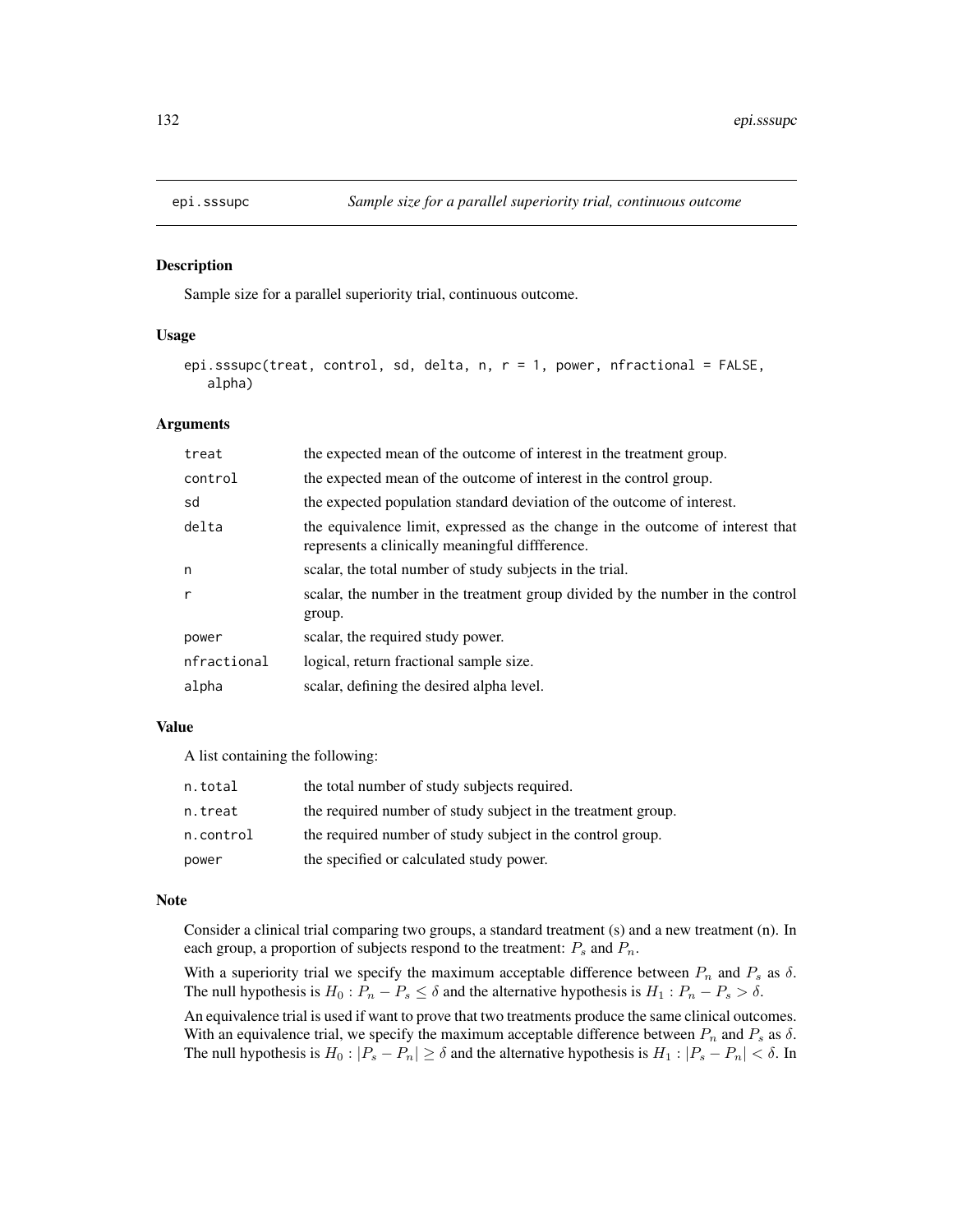## Description

Sample size for a parallel superiority trial, continuous outcome.

# Usage

```
epi.sssupc(treat, control, sd, delta, n, r = 1, power, nfractional = FALSE,
   alpha)
```
## Arguments

| treat        | the expected mean of the outcome of interest in the treatment group.                                                              |
|--------------|-----------------------------------------------------------------------------------------------------------------------------------|
| control      | the expected mean of the outcome of interest in the control group.                                                                |
| sd           | the expected population standard deviation of the outcome of interest.                                                            |
| delta        | the equivalence limit, expressed as the change in the outcome of interest that<br>represents a clinically meaningful diffference. |
| n            | scalar, the total number of study subjects in the trial.                                                                          |
| $\mathsf{r}$ | scalar, the number in the treatment group divided by the number in the control<br>group.                                          |
| power        | scalar, the required study power.                                                                                                 |
| nfractional  | logical, return fractional sample size.                                                                                           |
| alpha        | scalar, defining the desired alpha level.                                                                                         |

### Value

A list containing the following:

| n.total   | the total number of study subjects required.                 |
|-----------|--------------------------------------------------------------|
| n.treat   | the required number of study subject in the treatment group. |
| n.control | the required number of study subject in the control group.   |
| power     | the specified or calculated study power.                     |

# Note

Consider a clinical trial comparing two groups, a standard treatment (s) and a new treatment (n). In each group, a proportion of subjects respond to the treatment:  $P_s$  and  $P_n$ .

With a superiority trial we specify the maximum acceptable difference between  $P_n$  and  $P_s$  as  $\delta$ . The null hypothesis is  $H_0: P_n - P_s \leq \delta$  and the alternative hypothesis is  $H_1: P_n - P_s > \delta$ .

An equivalence trial is used if want to prove that two treatments produce the same clinical outcomes. With an equivalence trial, we specify the maximum acceptable difference between  $P_n$  and  $P_s$  as  $\delta$ . The null hypothesis is  $H_0: |P_s - P_n| \ge \delta$  and the alternative hypothesis is  $H_1: |P_s - P_n| < \delta$ . In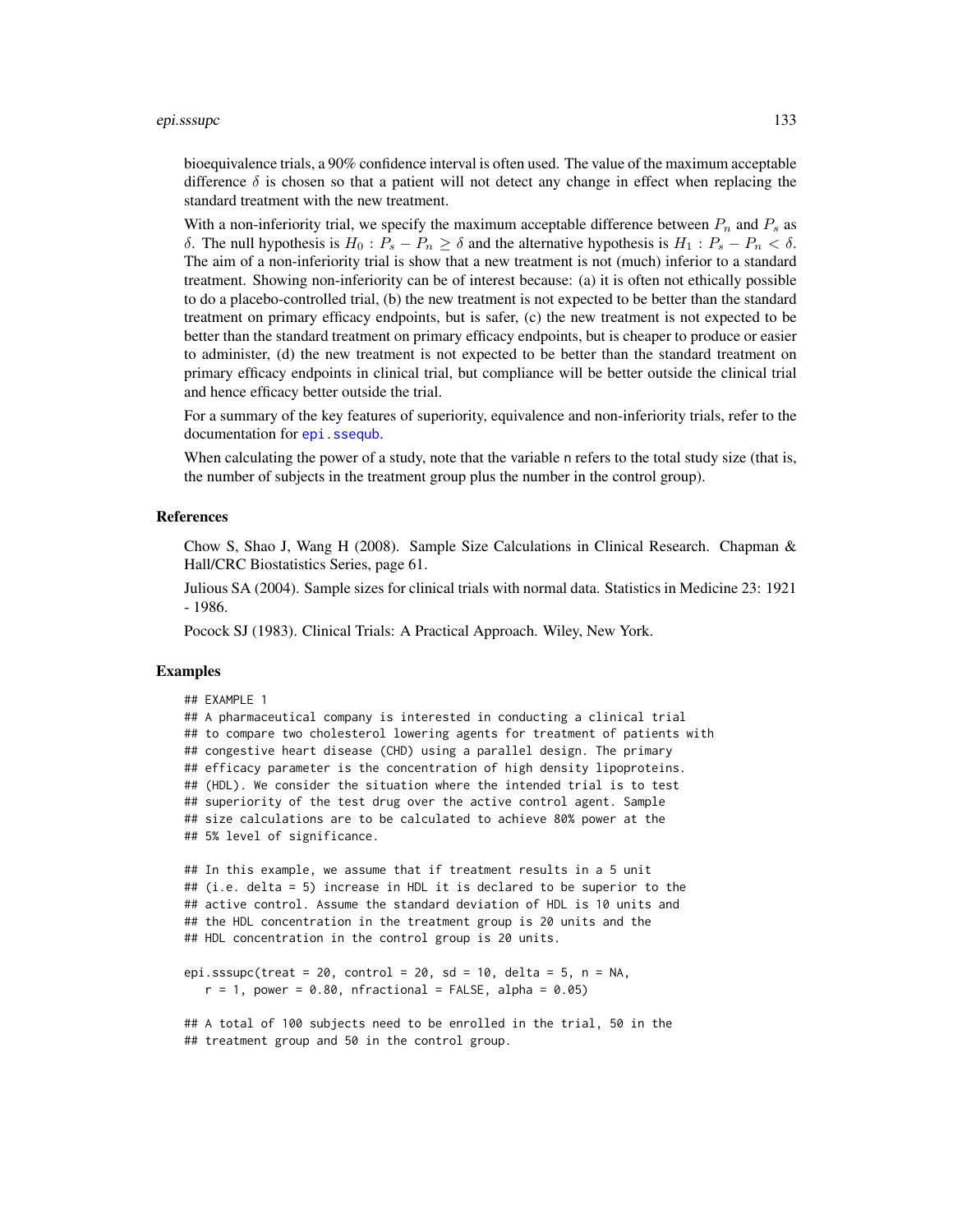#### epi.sssupc 133

bioequivalence trials, a 90% confidence interval is often used. The value of the maximum acceptable difference  $\delta$  is chosen so that a patient will not detect any change in effect when replacing the standard treatment with the new treatment.

With a non-inferiority trial, we specify the maximum acceptable difference between  $P_n$  and  $P_s$  as δ. The null hypothesis is  $H_0: P_s - P_n \ge \delta$  and the alternative hypothesis is  $H_1: P_s - P_n < \delta$ . The aim of a non-inferiority trial is show that a new treatment is not (much) inferior to a standard treatment. Showing non-inferiority can be of interest because: (a) it is often not ethically possible to do a placebo-controlled trial, (b) the new treatment is not expected to be better than the standard treatment on primary efficacy endpoints, but is safer, (c) the new treatment is not expected to be better than the standard treatment on primary efficacy endpoints, but is cheaper to produce or easier to administer, (d) the new treatment is not expected to be better than the standard treatment on primary efficacy endpoints in clinical trial, but compliance will be better outside the clinical trial and hence efficacy better outside the trial.

For a summary of the key features of superiority, equivalence and non-inferiority trials, refer to the documentation for [epi.ssequb](#page-112-0).

When calculating the power of a study, note that the variable n refers to the total study size (that is, the number of subjects in the treatment group plus the number in the control group).

# References

Chow S, Shao J, Wang H (2008). Sample Size Calculations in Clinical Research. Chapman & Hall/CRC Biostatistics Series, page 61.

Julious SA (2004). Sample sizes for clinical trials with normal data. Statistics in Medicine 23: 1921 - 1986.

Pocock SJ (1983). Clinical Trials: A Practical Approach. Wiley, New York.

## Examples

```
## EXAMPLE 1
## A pharmaceutical company is interested in conducting a clinical trial
## to compare two cholesterol lowering agents for treatment of patients with
## congestive heart disease (CHD) using a parallel design. The primary
## efficacy parameter is the concentration of high density lipoproteins.
## (HDL). We consider the situation where the intended trial is to test
## superiority of the test drug over the active control agent. Sample
## size calculations are to be calculated to achieve 80% power at the
## 5% level of significance.
## In this example, we assume that if treatment results in a 5 unit
## (i.e. delta = 5) increase in HDL it is declared to be superior to the
## active control. Assume the standard deviation of HDL is 10 units and
## the HDL concentration in the treatment group is 20 units and the
## HDL concentration in the control group is 20 units.
epi.sssupc(treat = 20, control = 20, sd = 10, delta = 5, n = NA,
```

```
r = 1, power = 0.80, nfractional = FALSE, alpha = 0.05)
```
## A total of 100 subjects need to be enrolled in the trial, 50 in the ## treatment group and 50 in the control group.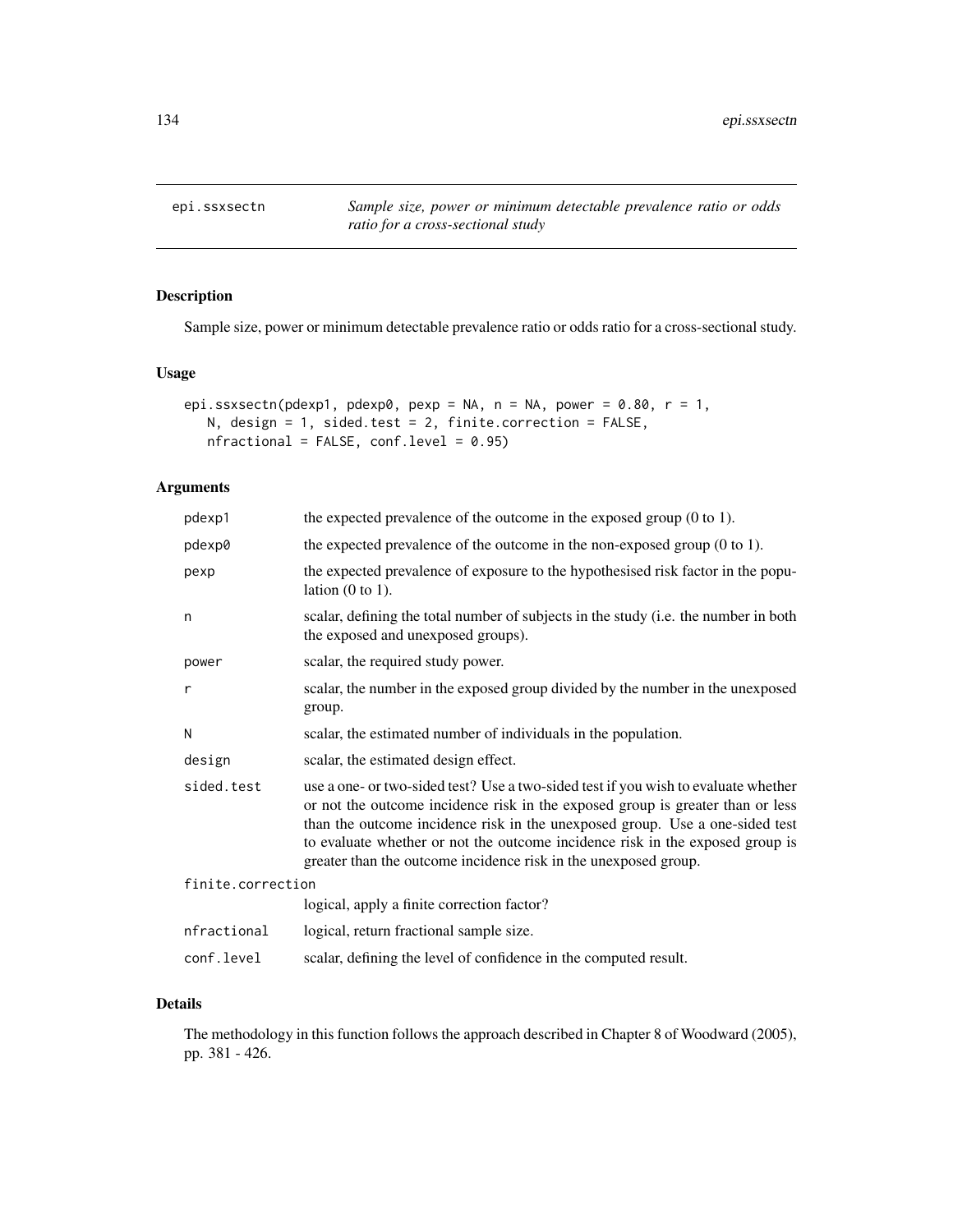epi.ssxsectn *Sample size, power or minimum detectable prevalence ratio or odds ratio for a cross-sectional study*

# Description

Sample size, power or minimum detectable prevalence ratio or odds ratio for a cross-sectional study.

# Usage

```
epi.ssxsectn(pdexp1, pdexp0, pexp = NA, n = NA, power = 0.80, r = 1,
   N, design = 1, sided.test = 2, finite.correction = FALSE,
   nfractional = FALSE, conf.level = 0.95)
```
# Arguments

| pdexp1            | the expected prevalence of the outcome in the exposed group $(0 \text{ to } 1)$ .                                                                                                                                                                                                                                                                                                                        |
|-------------------|----------------------------------------------------------------------------------------------------------------------------------------------------------------------------------------------------------------------------------------------------------------------------------------------------------------------------------------------------------------------------------------------------------|
| pdexp0            | the expected prevalence of the outcome in the non-exposed group $(0 \text{ to } 1)$ .                                                                                                                                                                                                                                                                                                                    |
| pexp              | the expected prevalence of exposure to the hypothesised risk factor in the popu-<br>lation $(0 \text{ to } 1)$ .                                                                                                                                                                                                                                                                                         |
| n                 | scalar, defining the total number of subjects in the study (i.e. the number in both<br>the exposed and unexposed groups).                                                                                                                                                                                                                                                                                |
| power             | scalar, the required study power.                                                                                                                                                                                                                                                                                                                                                                        |
| r                 | scalar, the number in the exposed group divided by the number in the unexposed<br>group.                                                                                                                                                                                                                                                                                                                 |
| N                 | scalar, the estimated number of individuals in the population.                                                                                                                                                                                                                                                                                                                                           |
| design            | scalar, the estimated design effect.                                                                                                                                                                                                                                                                                                                                                                     |
| sided.test        | use a one- or two-sided test? Use a two-sided test if you wish to evaluate whether<br>or not the outcome incidence risk in the exposed group is greater than or less<br>than the outcome incidence risk in the unexposed group. Use a one-sided test<br>to evaluate whether or not the outcome incidence risk in the exposed group is<br>greater than the outcome incidence risk in the unexposed group. |
| finite.correction |                                                                                                                                                                                                                                                                                                                                                                                                          |
|                   | logical, apply a finite correction factor?                                                                                                                                                                                                                                                                                                                                                               |
| nfractional       | logical, return fractional sample size.                                                                                                                                                                                                                                                                                                                                                                  |
| conf.level        | scalar, defining the level of confidence in the computed result.                                                                                                                                                                                                                                                                                                                                         |

# Details

The methodology in this function follows the approach described in Chapter 8 of Woodward (2005), pp. 381 - 426.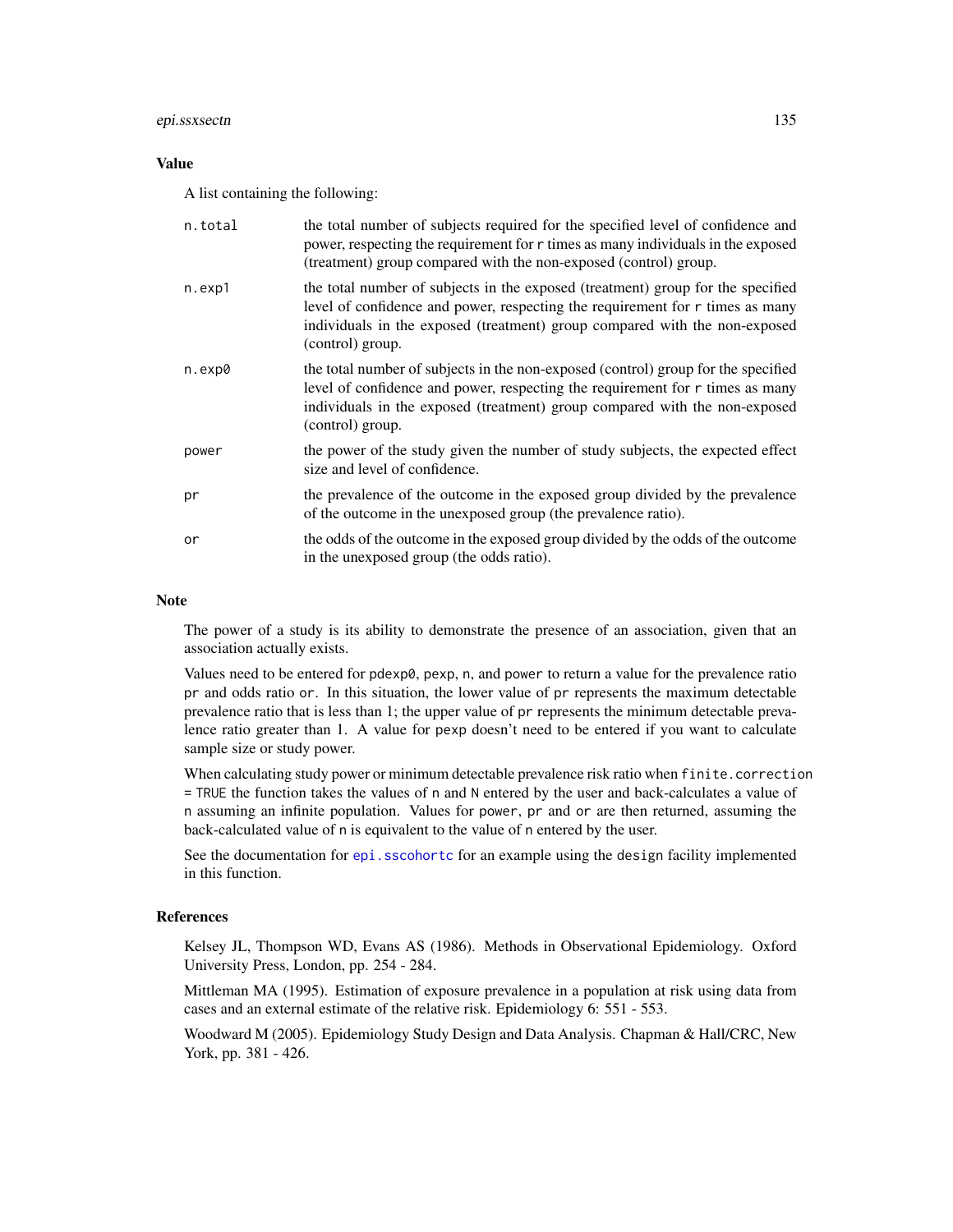#### epi.ssxsectn 135

# Value

A list containing the following:

| n.total | the total number of subjects required for the specified level of confidence and<br>power, respecting the requirement for r times as many individuals in the exposed<br>(treatment) group compared with the non-exposed (control) group.                              |
|---------|----------------------------------------------------------------------------------------------------------------------------------------------------------------------------------------------------------------------------------------------------------------------|
| n.exp1  | the total number of subjects in the exposed (treatment) group for the specified<br>level of confidence and power, respecting the requirement for r times as many<br>individuals in the exposed (treatment) group compared with the non-exposed<br>(control) group.   |
| n.exp0  | the total number of subjects in the non-exposed (control) group for the specified<br>level of confidence and power, respecting the requirement for r times as many<br>individuals in the exposed (treatment) group compared with the non-exposed<br>(control) group. |
| power   | the power of the study given the number of study subjects, the expected effect<br>size and level of confidence.                                                                                                                                                      |
| pr      | the prevalence of the outcome in the exposed group divided by the prevalence<br>of the outcome in the unexposed group (the prevalence ratio).                                                                                                                        |
| or      | the odds of the outcome in the exposed group divided by the odds of the outcome<br>in the unexposed group (the odds ratio).                                                                                                                                          |

# Note

The power of a study is its ability to demonstrate the presence of an association, given that an association actually exists.

Values need to be entered for pdexp0, pexp, n, and power to return a value for the prevalence ratio pr and odds ratio or. In this situation, the lower value of pr represents the maximum detectable prevalence ratio that is less than 1; the upper value of pr represents the minimum detectable prevalence ratio greater than 1. A value for pexp doesn't need to be entered if you want to calculate sample size or study power.

When calculating study power or minimum detectable prevalence risk ratio when finite.correction = TRUE the function takes the values of n and N entered by the user and back-calculates a value of n assuming an infinite population. Values for power, pr and or are then returned, assuming the back-calculated value of n is equivalent to the value of n entered by the user.

See the documentation for [epi.sscohortc](#page-96-0) for an example using the design facility implemented in this function.

# References

Kelsey JL, Thompson WD, Evans AS (1986). Methods in Observational Epidemiology. Oxford University Press, London, pp. 254 - 284.

Mittleman MA (1995). Estimation of exposure prevalence in a population at risk using data from cases and an external estimate of the relative risk. Epidemiology 6: 551 - 553.

Woodward M (2005). Epidemiology Study Design and Data Analysis. Chapman & Hall/CRC, New York, pp. 381 - 426.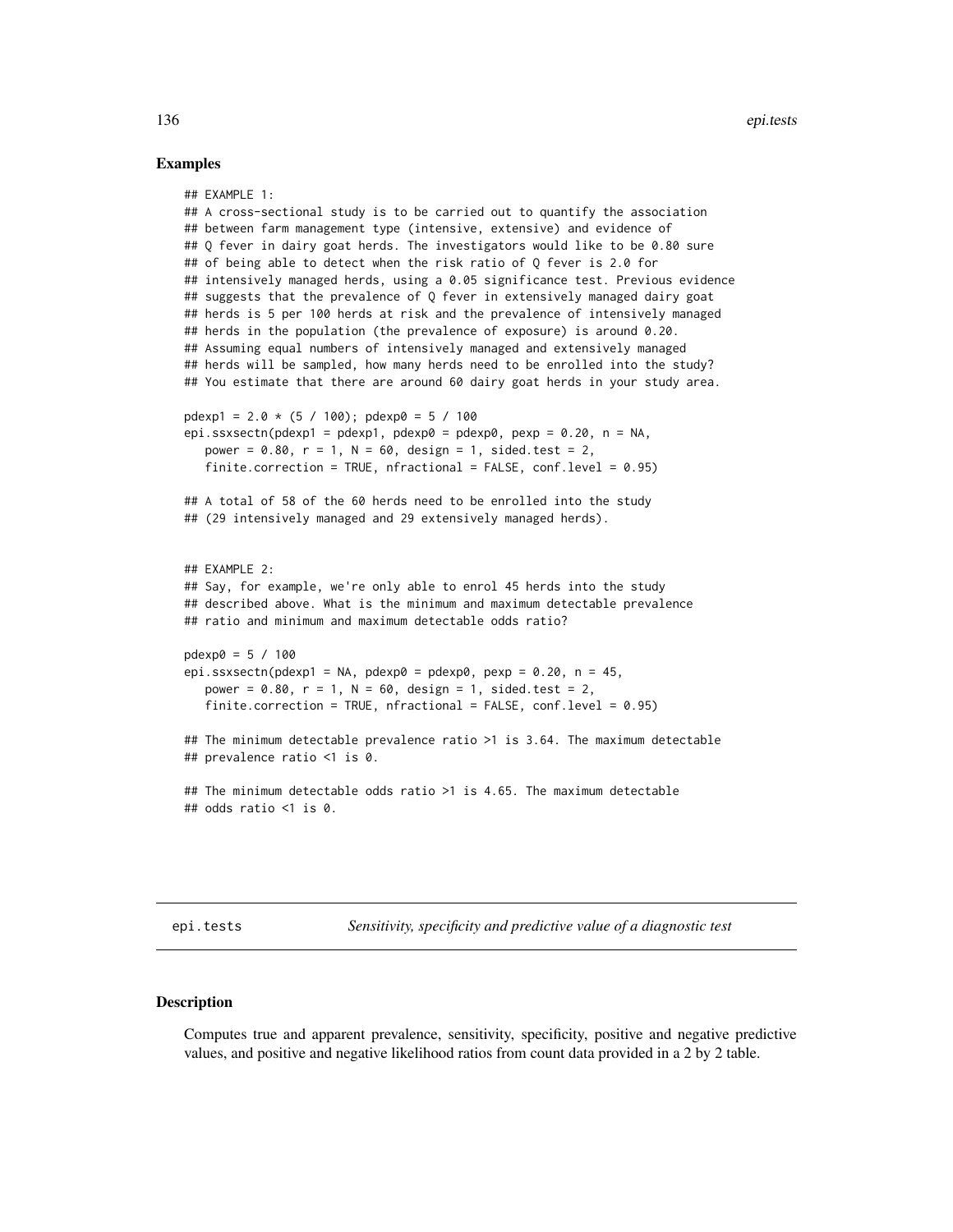#### Examples

```
## EXAMPLE 1:
## A cross-sectional study is to be carried out to quantify the association
## between farm management type (intensive, extensive) and evidence of
## Q fever in dairy goat herds. The investigators would like to be 0.80 sure
## of being able to detect when the risk ratio of Q fever is 2.0 for
## intensively managed herds, using a 0.05 significance test. Previous evidence
## suggests that the prevalence of Q fever in extensively managed dairy goat
## herds is 5 per 100 herds at risk and the prevalence of intensively managed
## herds in the population (the prevalence of exposure) is around 0.20.
## Assuming equal numbers of intensively managed and extensively managed
## herds will be sampled, how many herds need to be enrolled into the study?
## You estimate that there are around 60 dairy goat herds in your study area.
pdexp1 = 2.0 * (5 / 100); pdexp0 = 5 / 100
epi.ssxsectn(pdexp1 = pdexp1, pdexp0 = pdexp0, pexp = 0.20, n = NA,
   power = 0.80, r = 1, N = 60, design = 1, sided.test = 2,
   finite.correction = TRUE, nfractional = FALSE, conf.level = 0.95)
## A total of 58 of the 60 herds need to be enrolled into the study
## (29 intensively managed and 29 extensively managed herds).
## EXAMPLE 2:
## Say, for example, we're only able to enrol 45 herds into the study
## described above. What is the minimum and maximum detectable prevalence
## ratio and minimum and maximum detectable odds ratio?
pdexp0 = 5 / 100
epi.ssxsectn(pdexp1 = NA, pdexp0 = pdexp0, pexp = 0.20, n = 45,
  power = 0.80, r = 1, N = 60, design = 1, sided.test = 2,
   finite.correction = TRUE, nfractional = FALSE, conf.level = 0.95)
## The minimum detectable prevalence ratio >1 is 3.64. The maximum detectable
## prevalence ratio <1 is 0.
## The minimum detectable odds ratio >1 is 4.65. The maximum detectable
## odds ratio <1 is 0.
```
epi.tests *Sensitivity, specificity and predictive value of a diagnostic test*

## Description

Computes true and apparent prevalence, sensitivity, specificity, positive and negative predictive values, and positive and negative likelihood ratios from count data provided in a 2 by 2 table.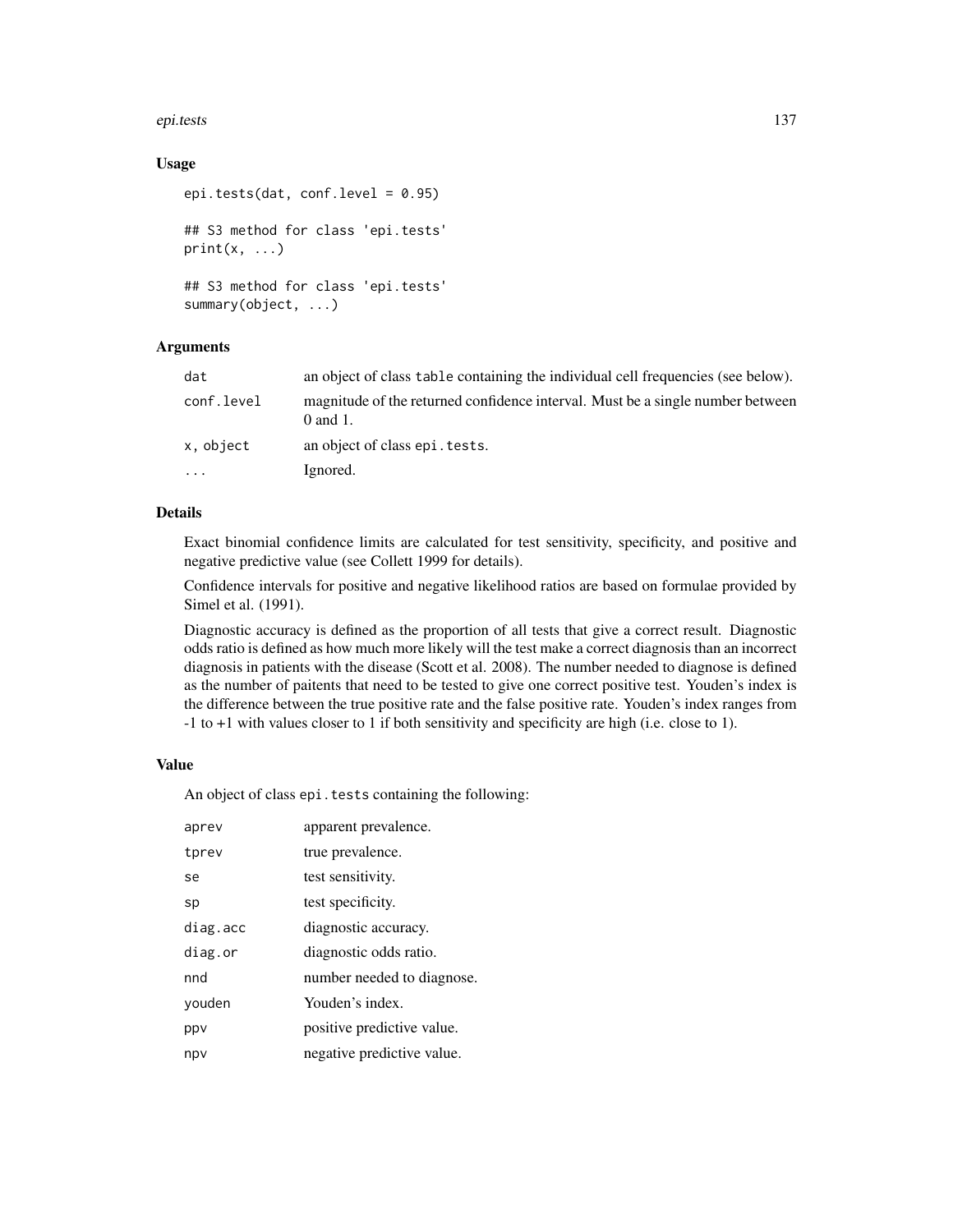#### epi.tests 137

# Usage

```
epi.tests(dat, conf.level = 0.95)
## S3 method for class 'epi.tests'
print(x, \ldots)## S3 method for class 'epi.tests'
summary(object, ...)
```
# Arguments

| dat        | an object of class table containing the individual cell frequencies (see below).                |
|------------|-------------------------------------------------------------------------------------------------|
| conf.level | magnitude of the returned confidence interval. Must be a single number between<br>$0$ and $1$ . |
| x, object  | an object of class epi. tests.                                                                  |
| $\cdots$   | Ignored.                                                                                        |

## Details

Exact binomial confidence limits are calculated for test sensitivity, specificity, and positive and negative predictive value (see Collett 1999 for details).

Confidence intervals for positive and negative likelihood ratios are based on formulae provided by Simel et al. (1991).

Diagnostic accuracy is defined as the proportion of all tests that give a correct result. Diagnostic odds ratio is defined as how much more likely will the test make a correct diagnosis than an incorrect diagnosis in patients with the disease (Scott et al. 2008). The number needed to diagnose is defined as the number of paitents that need to be tested to give one correct positive test. Youden's index is the difference between the true positive rate and the false positive rate. Youden's index ranges from -1 to +1 with values closer to 1 if both sensitivity and specificity are high (i.e. close to 1).

# Value

An object of class epi.tests containing the following:

| aprev    | apparent prevalence.       |
|----------|----------------------------|
| tprev    | true prevalence.           |
| se       | test sensitivity.          |
| sp       | test specificity.          |
| diag.acc | diagnostic accuracy.       |
| diag.or  | diagnostic odds ratio.     |
| nnd      | number needed to diagnose. |
| youden   | Youden's index.            |
| ppv      | positive predictive value. |
| npv      | negative predictive value. |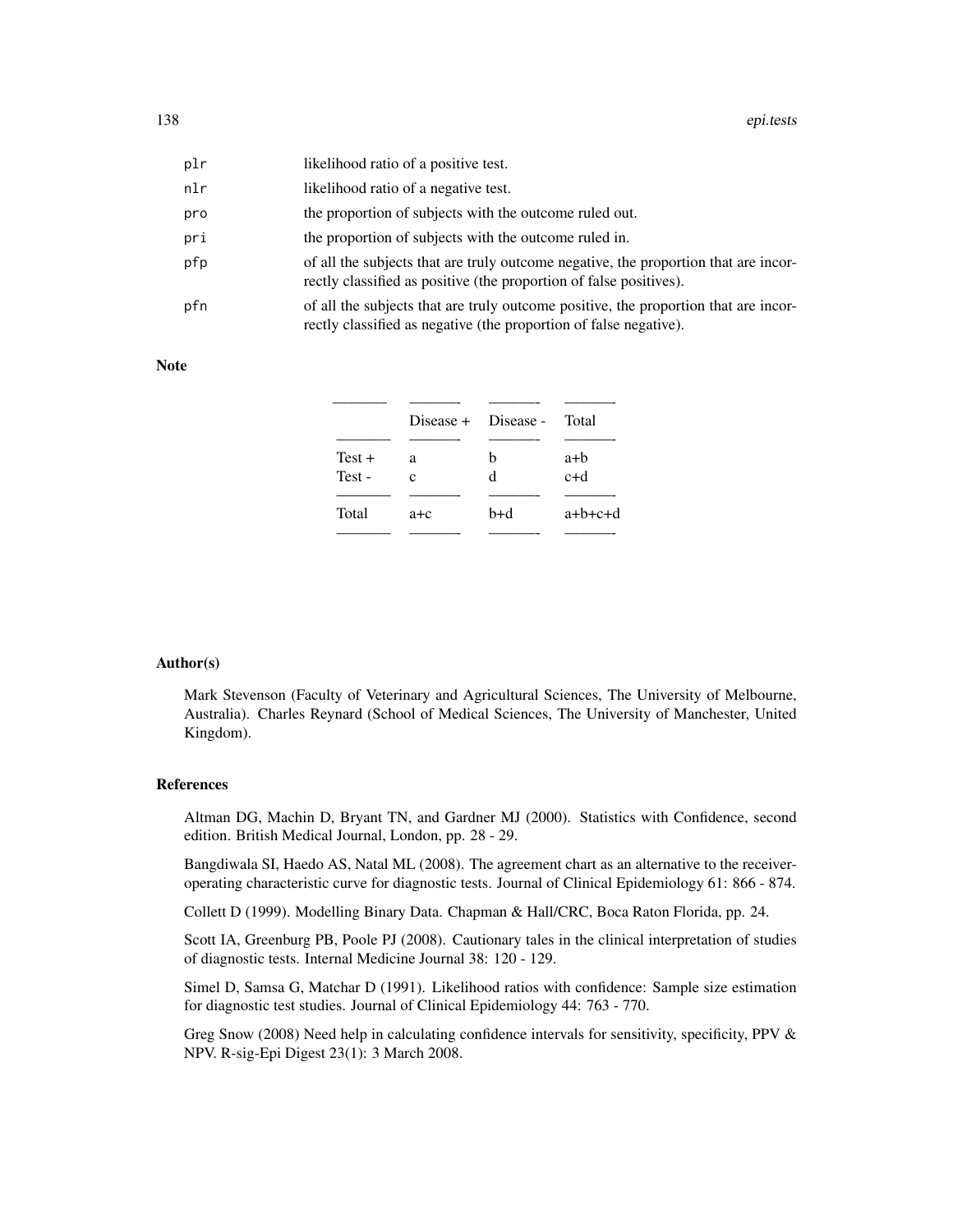| plr | likelihood ratio of a positive test.                                                                                                                      |
|-----|-----------------------------------------------------------------------------------------------------------------------------------------------------------|
| nlr | likelihood ratio of a negative test.                                                                                                                      |
| pro | the proportion of subjects with the outcome ruled out.                                                                                                    |
| pri | the proportion of subjects with the outcome ruled in.                                                                                                     |
| pfp | of all the subjects that are truly outcome negative, the proportion that are incor-<br>rectly classified as positive (the proportion of false positives). |
| pfn | of all the subjects that are truly outcome positive, the proportion that are incor-<br>rectly classified as negative (the proportion of false negative).  |

#### Note

|                   |         | Disease + Disease - Total |              |
|-------------------|---------|---------------------------|--------------|
| $Test +$<br>Test- | a<br>c  | h<br>d                    | a+b<br>$c+d$ |
| Total             | $a + c$ | b+d                       | $a+b+c+d$    |

#### Author(s)

Mark Stevenson (Faculty of Veterinary and Agricultural Sciences, The University of Melbourne, Australia). Charles Reynard (School of Medical Sciences, The University of Manchester, United Kingdom).

#### References

Altman DG, Machin D, Bryant TN, and Gardner MJ (2000). Statistics with Confidence, second edition. British Medical Journal, London, pp. 28 - 29.

Bangdiwala SI, Haedo AS, Natal ML (2008). The agreement chart as an alternative to the receiveroperating characteristic curve for diagnostic tests. Journal of Clinical Epidemiology 61: 866 - 874.

Collett D (1999). Modelling Binary Data. Chapman & Hall/CRC, Boca Raton Florida, pp. 24.

Scott IA, Greenburg PB, Poole PJ (2008). Cautionary tales in the clinical interpretation of studies of diagnostic tests. Internal Medicine Journal 38: 120 - 129.

Simel D, Samsa G, Matchar D (1991). Likelihood ratios with confidence: Sample size estimation for diagnostic test studies. Journal of Clinical Epidemiology 44: 763 - 770.

Greg Snow (2008) Need help in calculating confidence intervals for sensitivity, specificity, PPV & NPV. R-sig-Epi Digest 23(1): 3 March 2008.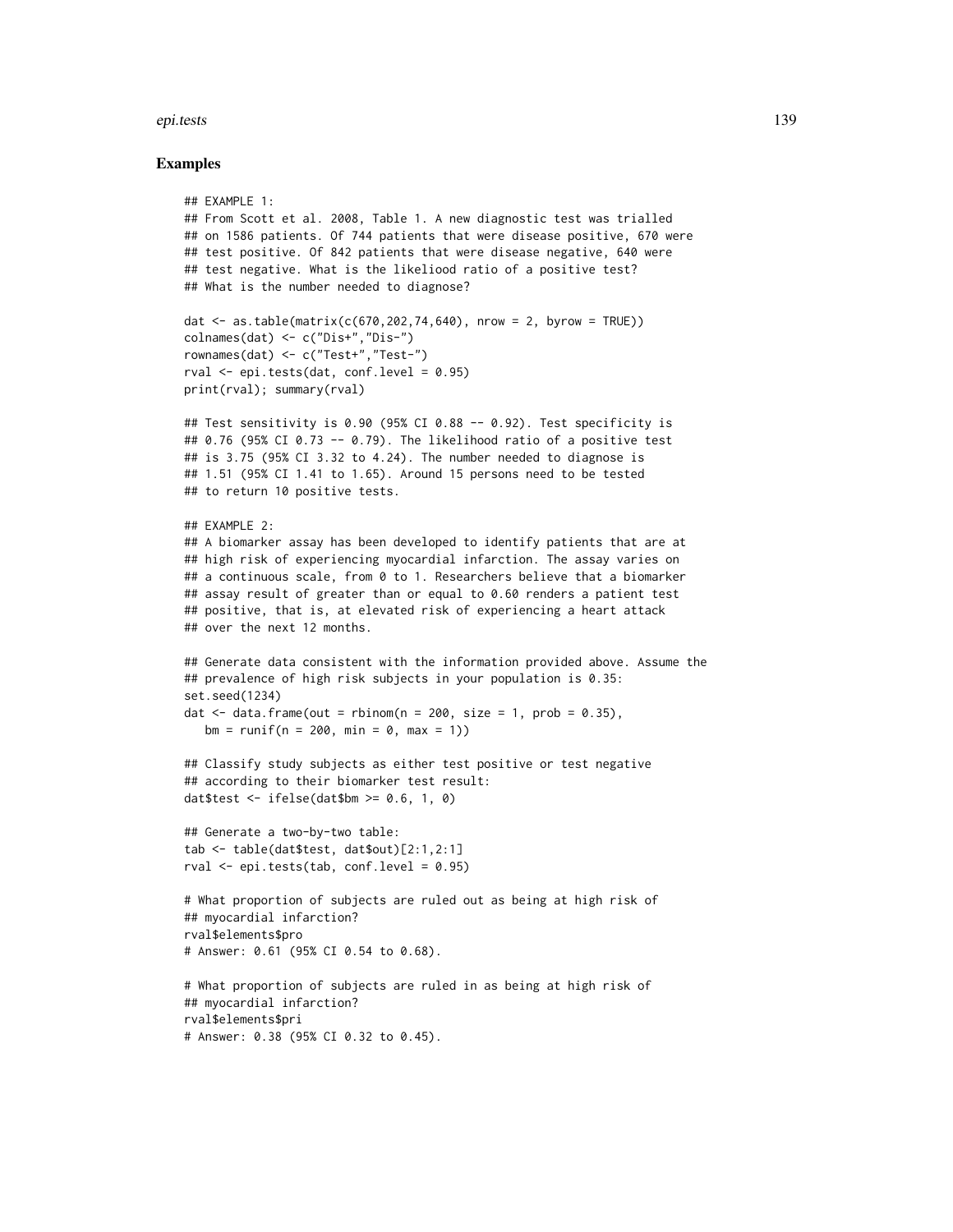#### epi.tests 139

## Examples

```
## EXAMPLE 1:
## From Scott et al. 2008, Table 1. A new diagnostic test was trialled
## on 1586 patients. Of 744 patients that were disease positive, 670 were
## test positive. Of 842 patients that were disease negative, 640 were
## test negative. What is the likeliood ratio of a positive test?
## What is the number needed to diagnose?
dat <- as.table(matrix(c(670,202,74,640), nrow = 2, byrow = TRUE))
colnames(dat) <- c("Dis+","Dis-")
rownames(dat) <- c("Test+","Test-")
rval \leq epi.tests(dat, conf.level = 0.95)
print(rval); summary(rval)
## Test sensitivity is 0.90 (95% CI 0.88 -- 0.92). Test specificity is
## 0.76 (95% CI 0.73 -- 0.79). The likelihood ratio of a positive test
## is 3.75 (95% CI 3.32 to 4.24). The number needed to diagnose is
## 1.51 (95% CI 1.41 to 1.65). Around 15 persons need to be tested
## to return 10 positive tests.
## EXAMPLE 2:
## A biomarker assay has been developed to identify patients that are at
## high risk of experiencing myocardial infarction. The assay varies on
## a continuous scale, from 0 to 1. Researchers believe that a biomarker
## assay result of greater than or equal to 0.60 renders a patient test
## positive, that is, at elevated risk of experiencing a heart attack
## over the next 12 months.
## Generate data consistent with the information provided above. Assume the
## prevalence of high risk subjects in your population is 0.35:
set.seed(1234)
dat \le data.frame(out = rbinom(n = 200, size = 1, prob = 0.35),
   bm = runif(n = 200, min = 0, max = 1))## Classify study subjects as either test positive or test negative
## according to their biomarker test result:
dat$test \le ifelse(dat$bm >= 0.6, 1, 0)
## Generate a two-by-two table:
tab <- table(dat$test, dat$out)[2:1,2:1]
rval \le epi.tests(tab, conf.level = 0.95)
# What proportion of subjects are ruled out as being at high risk of
## myocardial infarction?
rval$elements$pro
# Answer: 0.61 (95% CI 0.54 to 0.68).
# What proportion of subjects are ruled in as being at high risk of
## myocardial infarction?
rval$elements$pri
# Answer: 0.38 (95% CI 0.32 to 0.45).
```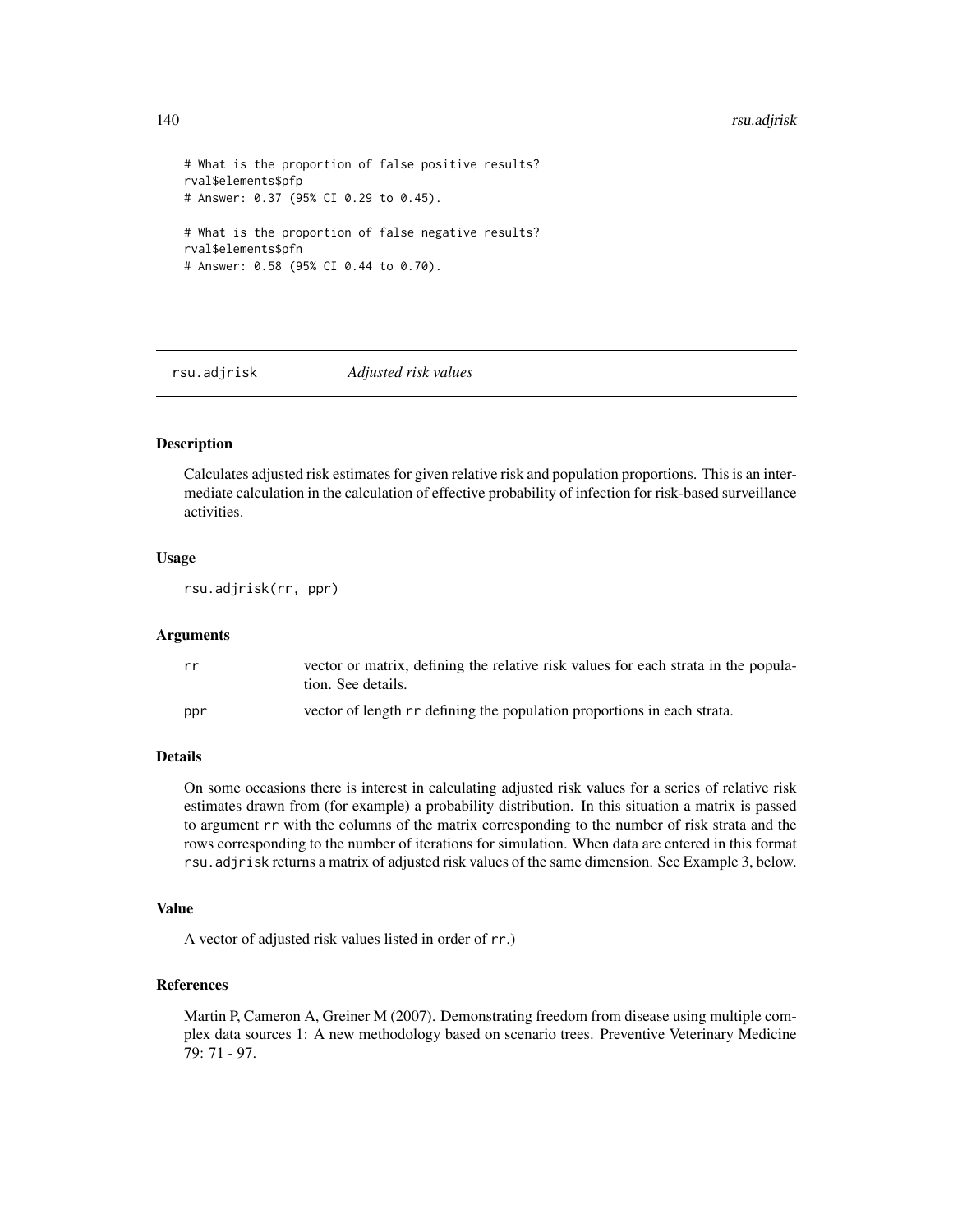# 140 rsu.adjrisk

```
# What is the proportion of false positive results?
rval$elements$pfp
# Answer: 0.37 (95% CI 0.29 to 0.45).
# What is the proportion of false negative results?
rval$elements$pfn
# Answer: 0.58 (95% CI 0.44 to 0.70).
```
rsu.adjrisk *Adjusted risk values*

# Description

Calculates adjusted risk estimates for given relative risk and population proportions. This is an intermediate calculation in the calculation of effective probability of infection for risk-based surveillance activities.

# Usage

rsu.adjrisk(rr, ppr)

#### Arguments

| rr  | vector or matrix, defining the relative risk values for each strata in the popula-<br>tion. See details. |
|-----|----------------------------------------------------------------------------------------------------------|
| ppr | vector of length rr defining the population proportions in each strata.                                  |

# **Details**

On some occasions there is interest in calculating adjusted risk values for a series of relative risk estimates drawn from (for example) a probability distribution. In this situation a matrix is passed to argument rr with the columns of the matrix corresponding to the number of risk strata and the rows corresponding to the number of iterations for simulation. When data are entered in this format rsu.adjrisk returns a matrix of adjusted risk values of the same dimension. See Example 3, below.

# Value

A vector of adjusted risk values listed in order of rr.)

#### References

Martin P, Cameron A, Greiner M (2007). Demonstrating freedom from disease using multiple complex data sources 1: A new methodology based on scenario trees. Preventive Veterinary Medicine 79: 71 - 97.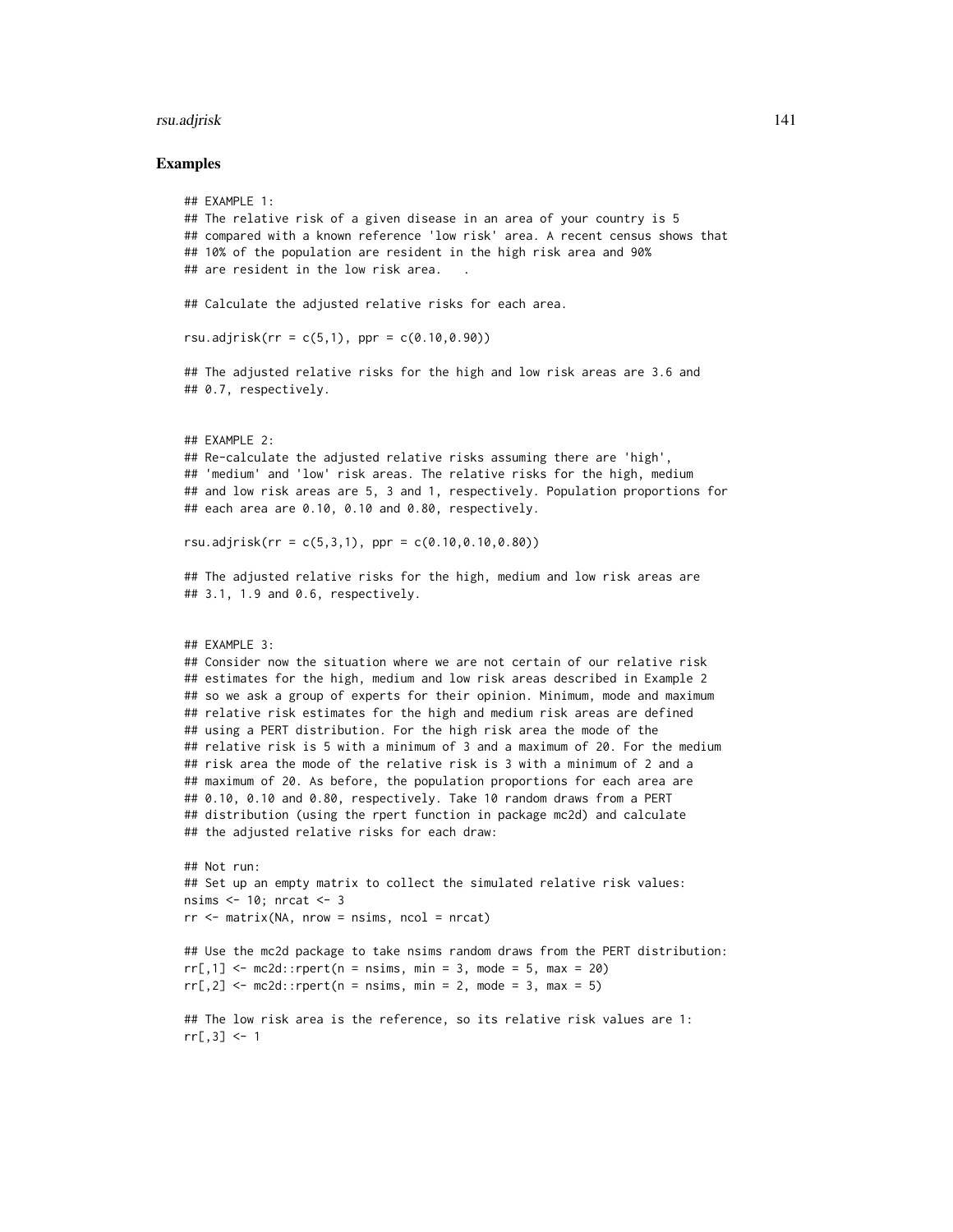#### rsu.adjrisk 141

#### Examples

```
## EXAMPLE 1:
## The relative risk of a given disease in an area of your country is 5
## compared with a known reference 'low risk' area. A recent census shows that
## 10% of the population are resident in the high risk area and 90%
## are resident in the low risk area.
## Calculate the adjusted relative risks for each area.
rsu.adjrisk(rr = c(5,1), ppr = c(0.10, 0.90))
## The adjusted relative risks for the high and low risk areas are 3.6 and
## 0.7, respectively.
## EXAMPLE 2:
## Re-calculate the adjusted relative risks assuming there are 'high',
## 'medium' and 'low' risk areas. The relative risks for the high, medium
## and low risk areas are 5, 3 and 1, respectively. Population proportions for
## each area are 0.10, 0.10 and 0.80, respectively.
rsu.adjrisk(rr = c(5,3,1), ppr = c(0.10,0.10,0.80))
## The adjusted relative risks for the high, medium and low risk areas are
## 3.1, 1.9 and 0.6, respectively.
## EXAMPLE 3:
## Consider now the situation where we are not certain of our relative risk
## estimates for the high, medium and low risk areas described in Example 2
## so we ask a group of experts for their opinion. Minimum, mode and maximum
## relative risk estimates for the high and medium risk areas are defined
## using a PERT distribution. For the high risk area the mode of the
## relative risk is 5 with a minimum of 3 and a maximum of 20. For the medium
## risk area the mode of the relative risk is 3 with a minimum of 2 and a
## maximum of 20. As before, the population proportions for each area are
## 0.10, 0.10 and 0.80, respectively. Take 10 random draws from a PERT
## distribution (using the rpert function in package mc2d) and calculate
## the adjusted relative risks for each draw:
## Not run:
## Set up an empty matrix to collect the simulated relative risk values:
nsims <- 10; nrcat <- 3
rr < - matrix(NA, nrow = nsims, ncol = nrcat)
## Use the mc2d package to take nsims random draws from the PERT distribution:
rr[,1] <- mc2d::rpert(n = nsims, min = 3, mode = 5, max = 20)rr[, 2] <- mc2d::rpert(n = nsims, min = 2, mode = 3, max = 5)## The low risk area is the reference, so its relative risk values are 1:
rr[, 3] < -1
```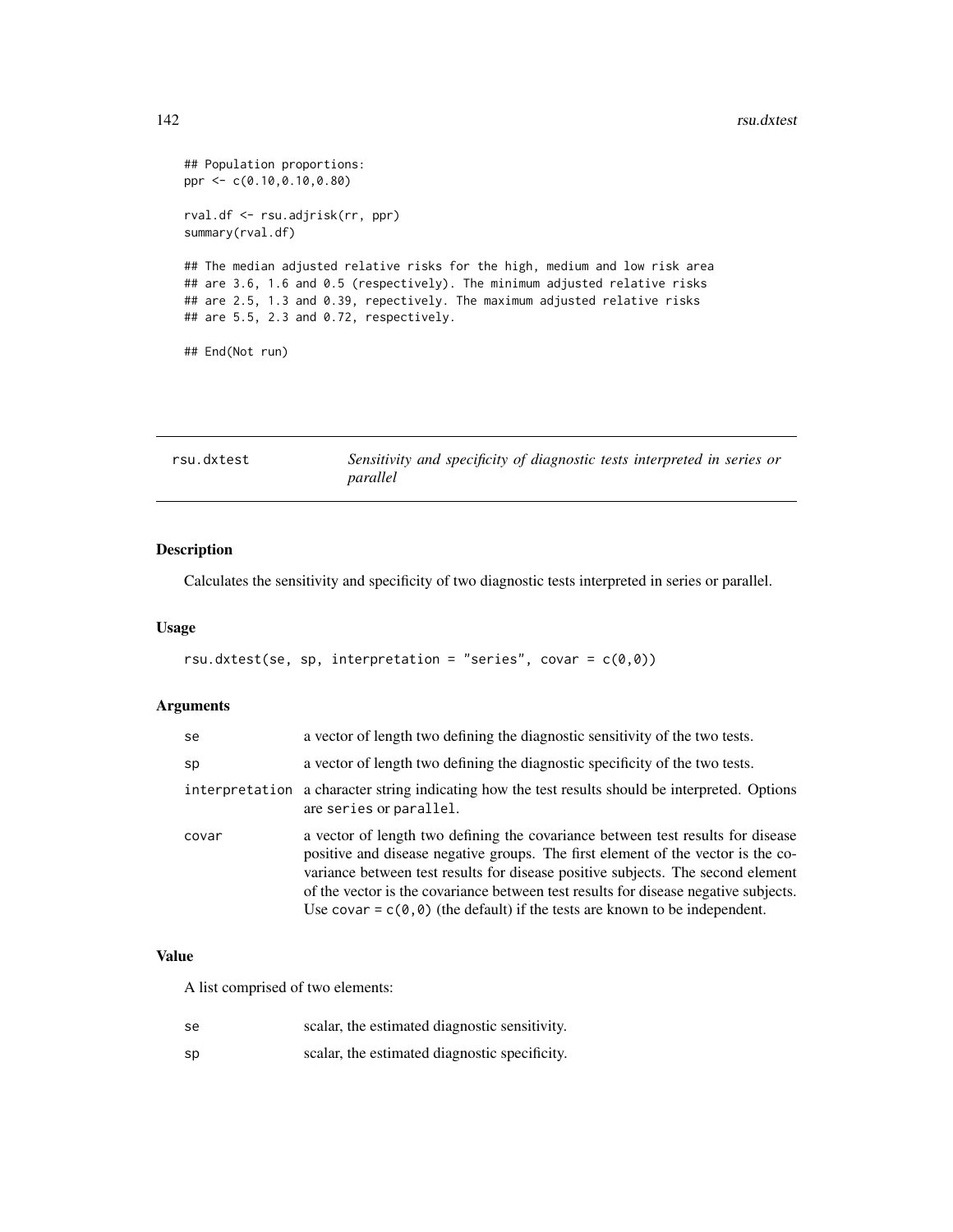```
## Population proportions:
ppr <- c(0.10,0.10,0.80)
rval.df <- rsu.adjrisk(rr, ppr)
summary(rval.df)
## The median adjusted relative risks for the high, medium and low risk area
## are 3.6, 1.6 and 0.5 (respectively). The minimum adjusted relative risks
## are 2.5, 1.3 and 0.39, repectively. The maximum adjusted relative risks
## are 5.5, 2.3 and 0.72, respectively.
## End(Not run)
```

| rsu.dxtest | Sensitivity and specificity of diagnostic tests interpreted in series or |
|------------|--------------------------------------------------------------------------|
|            | parallel                                                                 |

# Description

Calculates the sensitivity and specificity of two diagnostic tests interpreted in series or parallel.

# Usage

```
rsu.dxtest(se, sp, interpretation = "series", covar = c(\emptyset, \emptyset))
```
# Arguments

| se    | a vector of length two defining the diagnostic sensitivity of the two tests.                                                                                                                                                                                                                                                                                                                                                             |
|-------|------------------------------------------------------------------------------------------------------------------------------------------------------------------------------------------------------------------------------------------------------------------------------------------------------------------------------------------------------------------------------------------------------------------------------------------|
| sp    | a vector of length two defining the diagnostic specificity of the two tests.                                                                                                                                                                                                                                                                                                                                                             |
|       | interpretation a character string indicating how the test results should be interpreted. Options<br>are series or parallel.                                                                                                                                                                                                                                                                                                              |
| covar | a vector of length two defining the covariance between test results for disease<br>positive and disease negative groups. The first element of the vector is the co-<br>variance between test results for disease positive subjects. The second element<br>of the vector is the covariance between test results for disease negative subjects.<br>Use covar = $c(\theta, \theta)$ (the default) if the tests are known to be independent. |

#### Value

A list comprised of two elements:

| se | scalar, the estimated diagnostic sensitivity. |
|----|-----------------------------------------------|
| sp | scalar, the estimated diagnostic specificity. |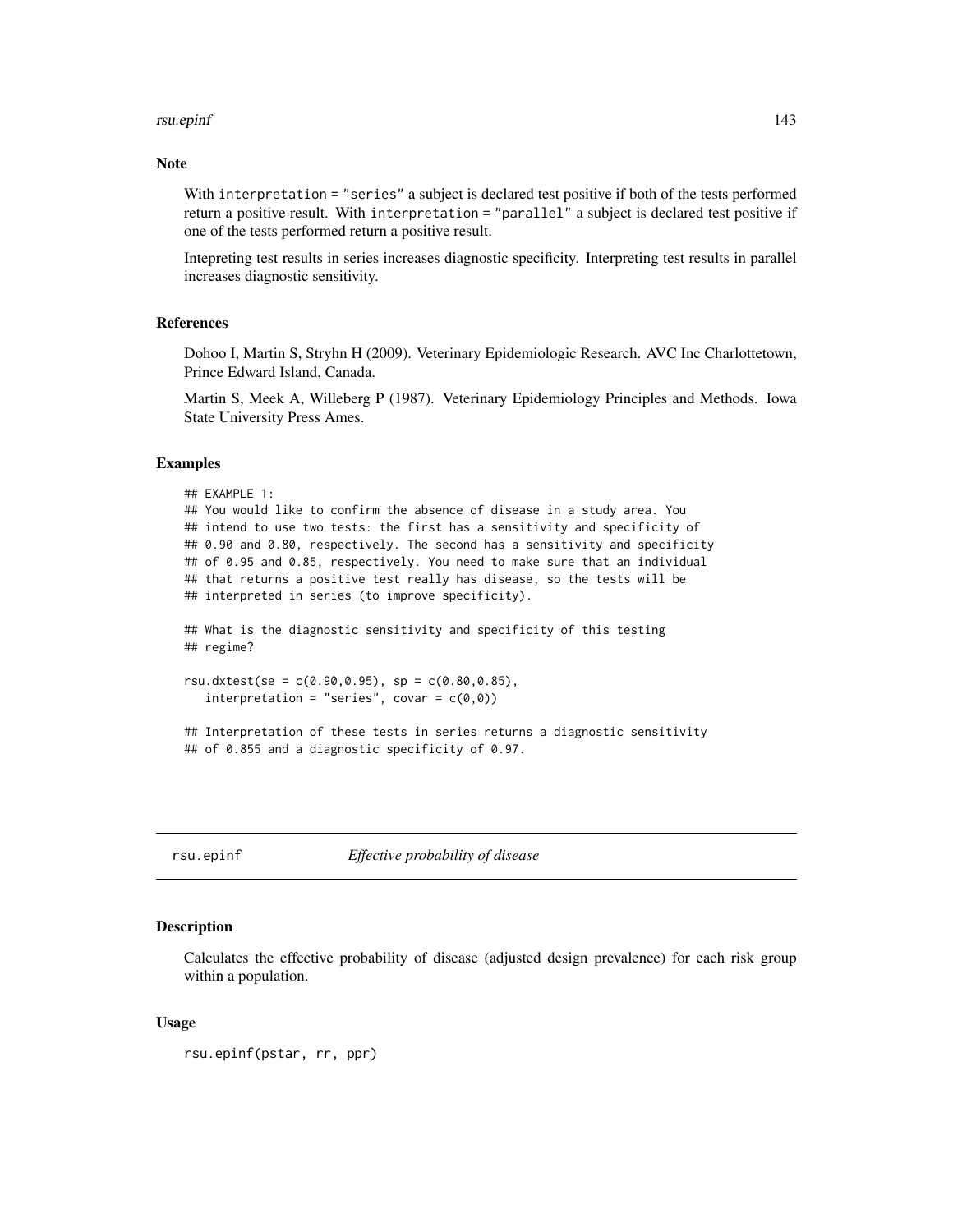#### rsu.epinf 143

# Note

With interpretation = "series" a subject is declared test positive if both of the tests performed return a positive result. With interpretation = "parallel" a subject is declared test positive if one of the tests performed return a positive result.

Intepreting test results in series increases diagnostic specificity. Interpreting test results in parallel increases diagnostic sensitivity.

## References

Dohoo I, Martin S, Stryhn H (2009). Veterinary Epidemiologic Research. AVC Inc Charlottetown, Prince Edward Island, Canada.

Martin S, Meek A, Willeberg P (1987). Veterinary Epidemiology Principles and Methods. Iowa State University Press Ames.

#### Examples

```
## EXAMPLE 1:
## You would like to confirm the absence of disease in a study area. You
## intend to use two tests: the first has a sensitivity and specificity of
## 0.90 and 0.80, respectively. The second has a sensitivity and specificity
## of 0.95 and 0.85, respectively. You need to make sure that an individual
## that returns a positive test really has disease, so the tests will be
## interpreted in series (to improve specificity).
## What is the diagnostic sensitivity and specificity of this testing
## regime?
rsu.dxtest(se = c(0.90, 0.95), sp = c(0.80, 0.85),
   interpretation = "series", covar = c(\emptyset, \emptyset))
## Interpretation of these tests in series returns a diagnostic sensitivity
## of 0.855 and a diagnostic specificity of 0.97.
```
rsu.epinf *Effective probability of disease*

#### **Description**

Calculates the effective probability of disease (adjusted design prevalence) for each risk group within a population.

## Usage

```
rsu.epinf(pstar, rr, ppr)
```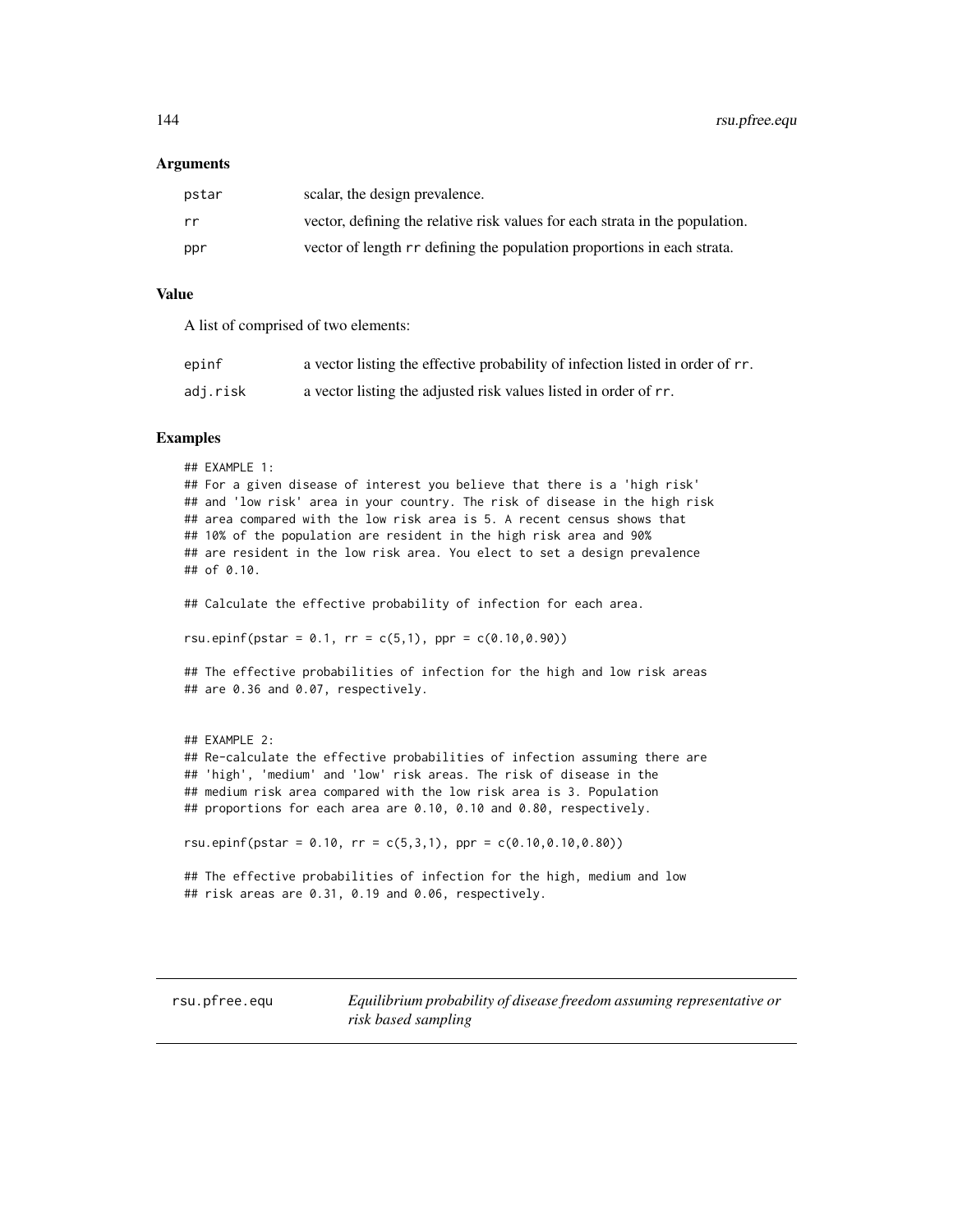#### Arguments

| pstar | scalar, the design prevalence.                                               |
|-------|------------------------------------------------------------------------------|
| rr    | vector, defining the relative risk values for each strata in the population. |
| ppr   | vector of length rr defining the population proportions in each strata.      |

# Value

A list of comprised of two elements:

| epinf    | a vector listing the effective probability of infection listed in order of rr. |
|----------|--------------------------------------------------------------------------------|
| adj.risk | a vector listing the adjusted risk values listed in order of rr.               |

## Examples

```
## EXAMPLE 1:
## For a given disease of interest you believe that there is a 'high risk'
## and 'low risk' area in your country. The risk of disease in the high risk
## area compared with the low risk area is 5. A recent census shows that
## 10% of the population are resident in the high risk area and 90%
## are resident in the low risk area. You elect to set a design prevalence
## of 0.10.
## Calculate the effective probability of infection for each area.
rsu.epinf(pstar = 0.1, rr = c(5,1), ppr = c(0.10,0.90))
## The effective probabilities of infection for the high and low risk areas
## are 0.36 and 0.07, respectively.
## EXAMPLE 2:
## Re-calculate the effective probabilities of infection assuming there are
## 'high', 'medium' and 'low' risk areas. The risk of disease in the
## medium risk area compared with the low risk area is 3. Population
## proportions for each area are 0.10, 0.10 and 0.80, respectively.
rsu.epinf(pstar = 0.10, rr = c(5,3,1), ppr = c(0.10,0.10,0.80))
## The effective probabilities of infection for the high, medium and low
## risk areas are 0.31, 0.19 and 0.06, respectively.
```
rsu.pfree.equ *Equilibrium probability of disease freedom assuming representative or risk based sampling*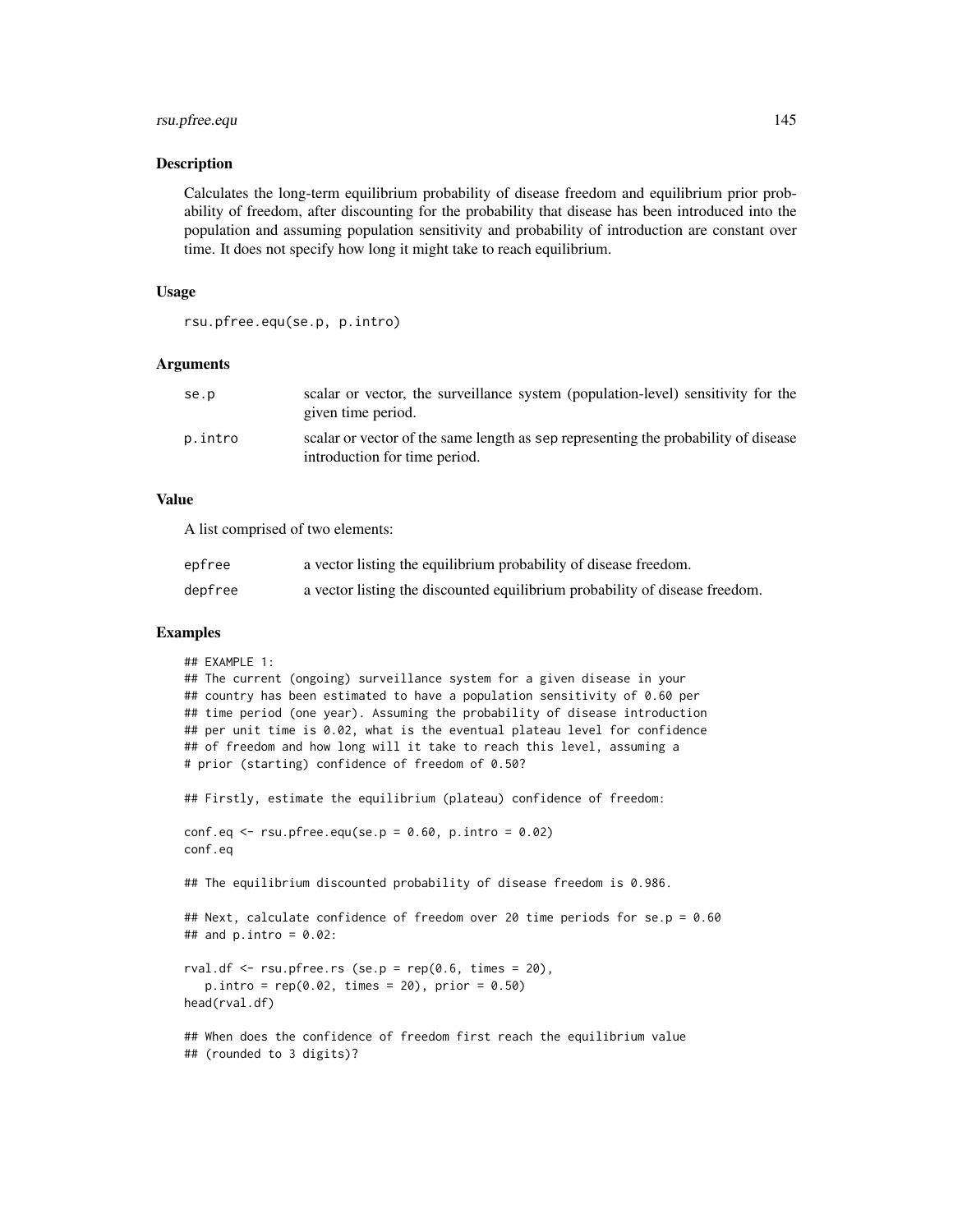# rsu.pfree.equ 145

#### Description

Calculates the long-term equilibrium probability of disease freedom and equilibrium prior probability of freedom, after discounting for the probability that disease has been introduced into the population and assuming population sensitivity and probability of introduction are constant over time. It does not specify how long it might take to reach equilibrium.

### Usage

```
rsu.pfree.equ(se.p, p.intro)
```
#### Arguments

| se.p    | scalar or vector, the surveillance system (population-level) sensitivity for the<br>given time period.              |
|---------|---------------------------------------------------------------------------------------------------------------------|
| p.intro | scalar or vector of the same length as sep representing the probability of disease<br>introduction for time period. |

# Value

A list comprised of two elements:

## (rounded to 3 digits)?

| epfree  | a vector listing the equilibrium probability of disease freedom.            |
|---------|-----------------------------------------------------------------------------|
| depfree | a vector listing the discounted equilibrium probability of disease freedom. |

# Examples

```
## EXAMPLE 1:
## The current (ongoing) surveillance system for a given disease in your
## country has been estimated to have a population sensitivity of 0.60 per
## time period (one year). Assuming the probability of disease introduction
## per unit time is 0.02, what is the eventual plateau level for confidence
## of freedom and how long will it take to reach this level, assuming a
# prior (starting) confidence of freedom of 0.50?
## Firstly, estimate the equilibrium (plateau) confidence of freedom:
conf.eq \le rsu.pfree.equ(se.p = 0.60, p.intro = 0.02)
conf.eq
## The equilibrium discounted probability of disease freedom is 0.986.
## Next, calculate confidence of freedom over 20 time periods for se.p = 0.60
## and p.intro = 0.02:
rval.df \le rsu.pfree.rs (se.p = rep(0.6, times = 20),
   p.intro = rep(0.02, times = 20), prior = 0.50)head(rval.df)
## When does the confidence of freedom first reach the equilibrium value
```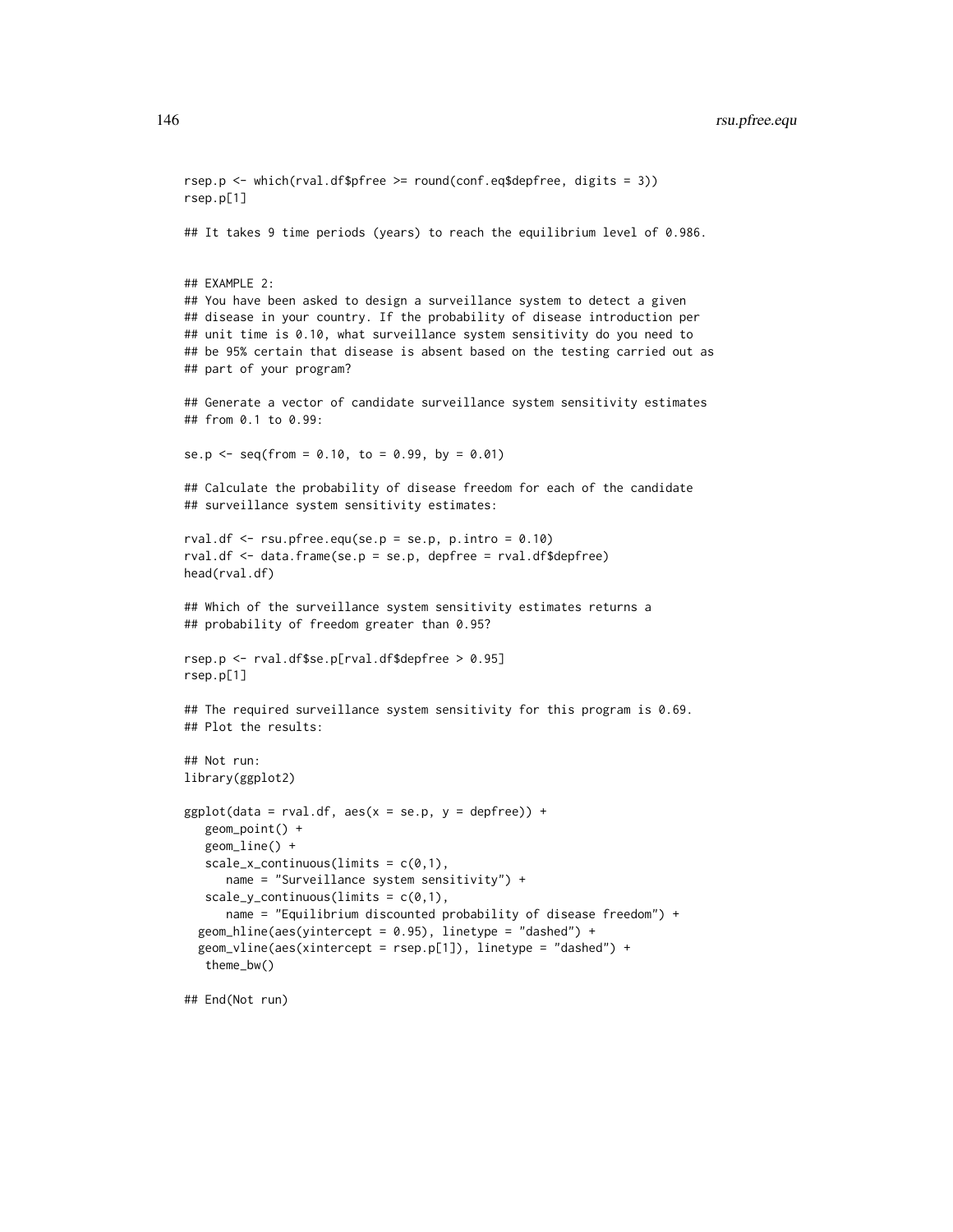```
rsep.p <- which(rval.df$pfree >= round(conf.eq$depfree, digits = 3))
rsep.p[1]
## It takes 9 time periods (years) to reach the equilibrium level of 0.986.
## EXAMPLE 2:
## You have been asked to design a surveillance system to detect a given
## disease in your country. If the probability of disease introduction per
## unit time is 0.10, what surveillance system sensitivity do you need to
## be 95% certain that disease is absent based on the testing carried out as
## part of your program?
## Generate a vector of candidate surveillance system sensitivity estimates
## from 0.1 to 0.99:
se.p <- seq(from = 0.10, to = 0.99, by = 0.01)
## Calculate the probability of disease freedom for each of the candidate
## surveillance system sensitivity estimates:
rval.df \le- rsu.pfree.equ(se.p = se.p, p.intro = 0.10)
rval.df <- data.frame(se.p = se.p, depfree = rval.df$depfree)
head(rval.df)
## Which of the surveillance system sensitivity estimates returns a
## probability of freedom greater than 0.95?
rsep.p <- rval.df$se.p[rval.df$depfree > 0.95]
rsep.p[1]
## The required surveillance system sensitivity for this program is 0.69.
## Plot the results:
## Not run:
library(ggplot2)
ggplot(data = rval.df, aes(x = se.p, y = depfree)) +geom_point() +
   geom_line() +
   scale_x_{continuous} (limits = c(0,1),name = "Surveillance system sensitivity") +
   scale_y_{continuous(limits = c(0,1),name = "Equilibrium discounted probability of disease freedom") +
  geom_hline(aes(yintercept = 0.95), linetype = "dashed") +
  geom_vline(aes(xintercept = rsep.p[1]), linetype = "dashed") +
   theme_bw()
```
## End(Not run)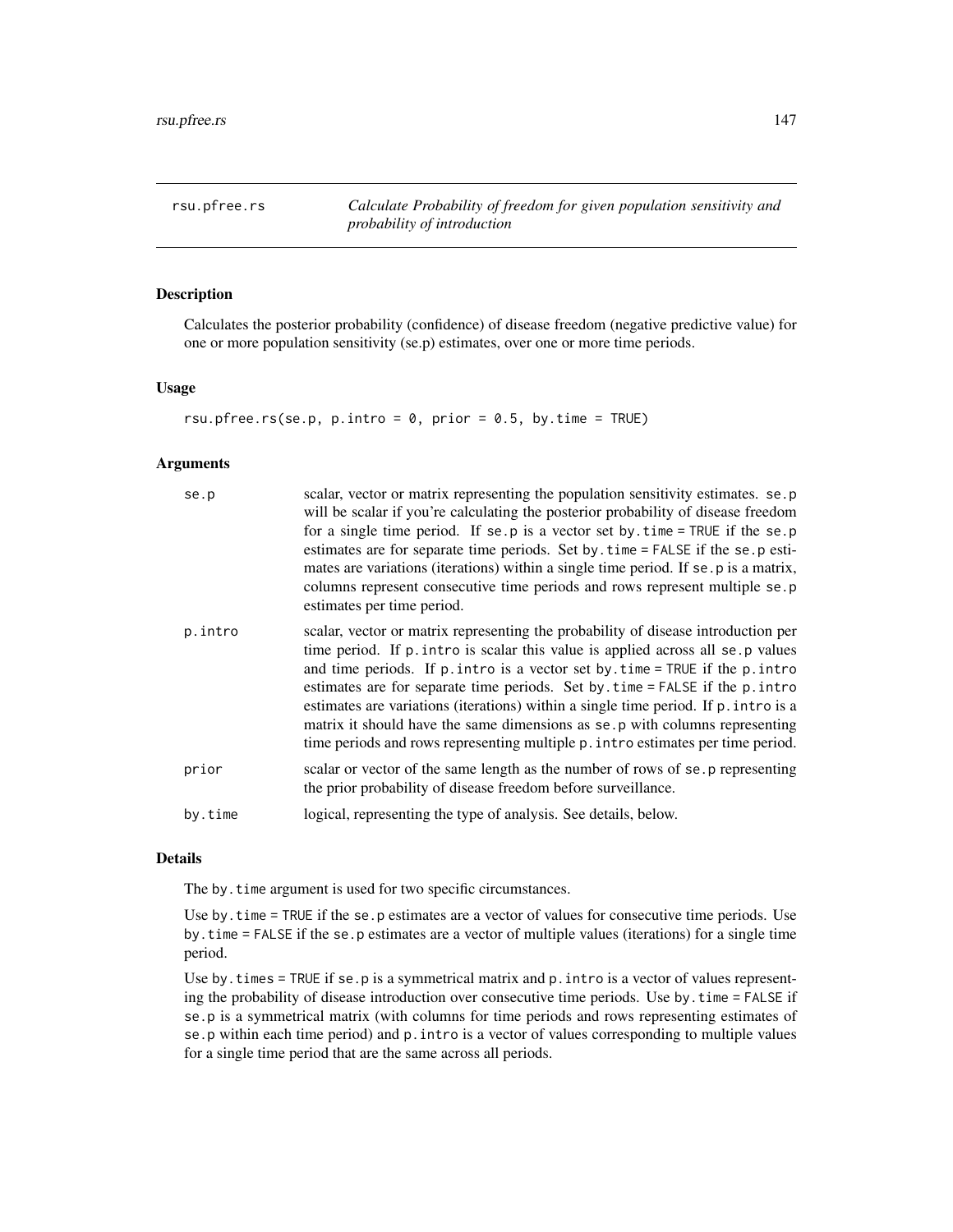rsu.pfree.rs *Calculate Probability of freedom for given population sensitivity and probability of introduction*

## Description

Calculates the posterior probability (confidence) of disease freedom (negative predictive value) for one or more population sensitivity (se.p) estimates, over one or more time periods.

#### Usage

rsu.pfree.rs(se.p, p.intro =  $0$ , prior =  $0.5$ , by.time = TRUE)

## Arguments

| se.p    | scalar, vector or matrix representing the population sensitivity estimates. se.p<br>will be scalar if you're calculating the posterior probability of disease freedom<br>for a single time period. If se.p is a vector set by $time = TRUE$ if the se.p<br>estimates are for separate time periods. Set by . time = FALSE if the se. p esti-<br>mates are variations (iterations) within a single time period. If se. p is a matrix,<br>columns represent consecutive time periods and rows represent multiple se.p<br>estimates per time period.                                               |
|---------|-------------------------------------------------------------------------------------------------------------------------------------------------------------------------------------------------------------------------------------------------------------------------------------------------------------------------------------------------------------------------------------------------------------------------------------------------------------------------------------------------------------------------------------------------------------------------------------------------|
| p.intro | scalar, vector or matrix representing the probability of disease introduction per<br>time period. If p. intro is scalar this value is applied across all se.p values<br>and time periods. If $p$ intro is a vector set by time = TRUE if the $p$ intro<br>estimates are for separate time periods. Set by time = FALSE if the p. intro<br>estimates are variations (iterations) within a single time period. If p. intro is a<br>matrix it should have the same dimensions as se.p with columns representing<br>time periods and rows representing multiple p. intro estimates per time period. |
| prior   | scalar or vector of the same length as the number of rows of se. p representing<br>the prior probability of disease freedom before surveillance.                                                                                                                                                                                                                                                                                                                                                                                                                                                |
| by.time | logical, representing the type of analysis. See details, below.                                                                                                                                                                                                                                                                                                                                                                                                                                                                                                                                 |

# Details

The by.time argument is used for two specific circumstances.

Use by . time = TRUE if the se.p estimates are a vector of values for consecutive time periods. Use by.time = FALSE if the se.p estimates are a vector of multiple values (iterations) for a single time period.

Use by. times  $=$  TRUE if se.p is a symmetrical matrix and  $p$ . intro is a vector of values representing the probability of disease introduction over consecutive time periods. Use by.time = FALSE if se.p is a symmetrical matrix (with columns for time periods and rows representing estimates of se.p within each time period) and p.intro is a vector of values corresponding to multiple values for a single time period that are the same across all periods.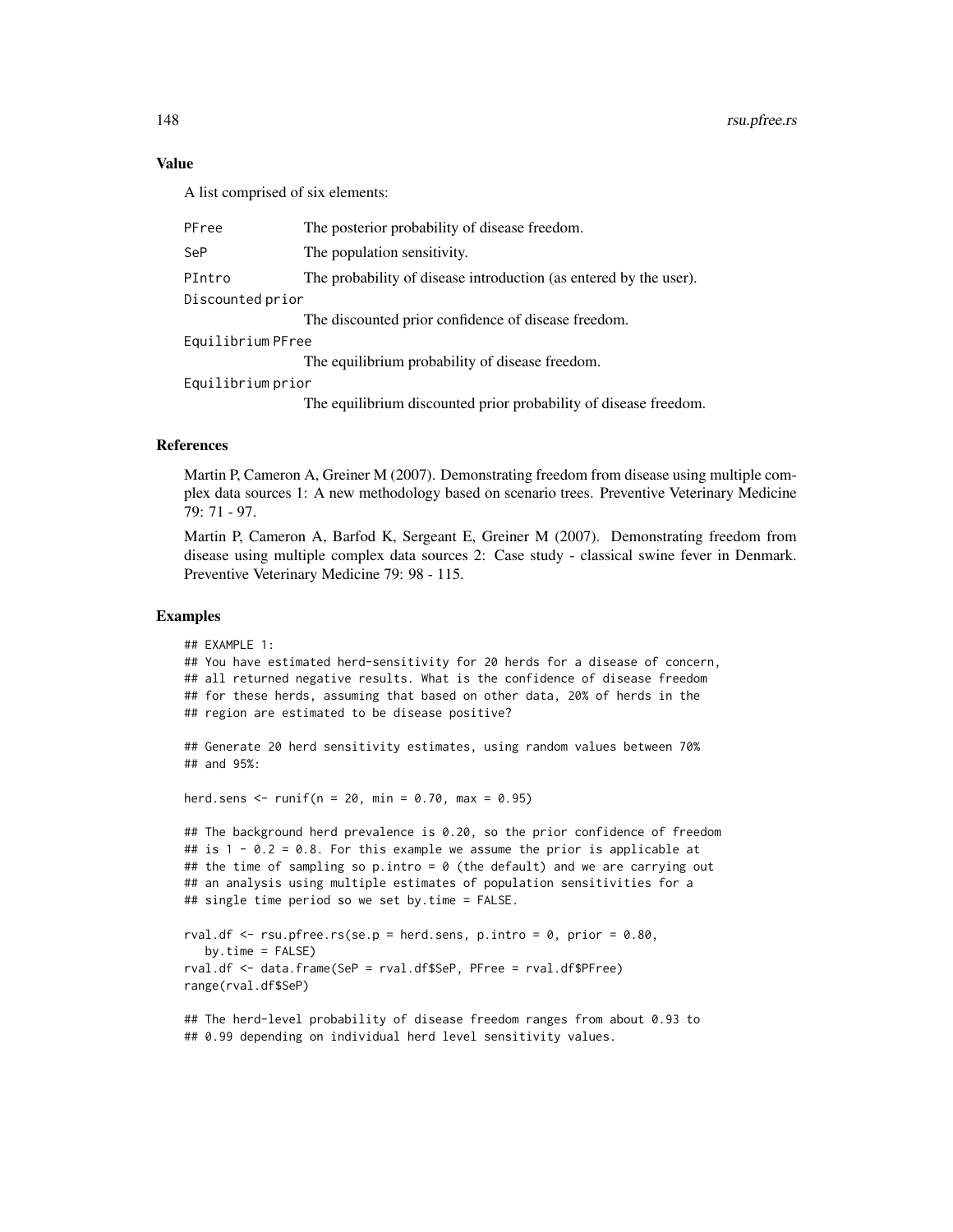# Value

A list comprised of six elements:

| PFree             | The posterior probability of disease freedom.                     |  |
|-------------------|-------------------------------------------------------------------|--|
| SeP               | The population sensitivity.                                       |  |
| PIntro            | The probability of disease introduction (as entered by the user). |  |
| Discounted prior  |                                                                   |  |
|                   | The discounted prior confidence of disease freedom.               |  |
| Equilibrium PFree |                                                                   |  |
|                   | The equilibrium probability of disease freedom.                   |  |
| Equilibrium prior |                                                                   |  |
|                   | The equilibrium discounted prior probability of disease freedom.  |  |

# References

Martin P, Cameron A, Greiner M (2007). Demonstrating freedom from disease using multiple complex data sources 1: A new methodology based on scenario trees. Preventive Veterinary Medicine 79: 71 - 97.

Martin P, Cameron A, Barfod K, Sergeant E, Greiner M (2007). Demonstrating freedom from disease using multiple complex data sources 2: Case study - classical swine fever in Denmark. Preventive Veterinary Medicine 79: 98 - 115.

# Examples

```
## EXAMPLE 1:
## You have estimated herd-sensitivity for 20 herds for a disease of concern,
## all returned negative results. What is the confidence of disease freedom
## for these herds, assuming that based on other data, 20% of herds in the
## region are estimated to be disease positive?
## Generate 20 herd sensitivity estimates, using random values between 70%
## and 95%:
herd.sens <- runif(n = 20, min = 0.70, max = 0.95)
## The background herd prevalence is 0.20, so the prior confidence of freedom
## is 1 - 0.2 = 0.8. For this example we assume the prior is applicable at
## the time of sampling so p.intro = 0 (the default) and we are carrying out
## an analysis using multiple estimates of population sensitivities for a
## single time period so we set by.time = FALSE.
rval.df \leq rsu.pfree.rs(se.p = herd.sens, p.intro = 0, prior = 0.80,
  by.time = FALSE)rval.df <- data.frame(SeP = rval.df$SeP, PFree = rval.df$PFree)
range(rval.df$SeP)
## The herd-level probability of disease freedom ranges from about 0.93 to
## 0.99 depending on individual herd level sensitivity values.
```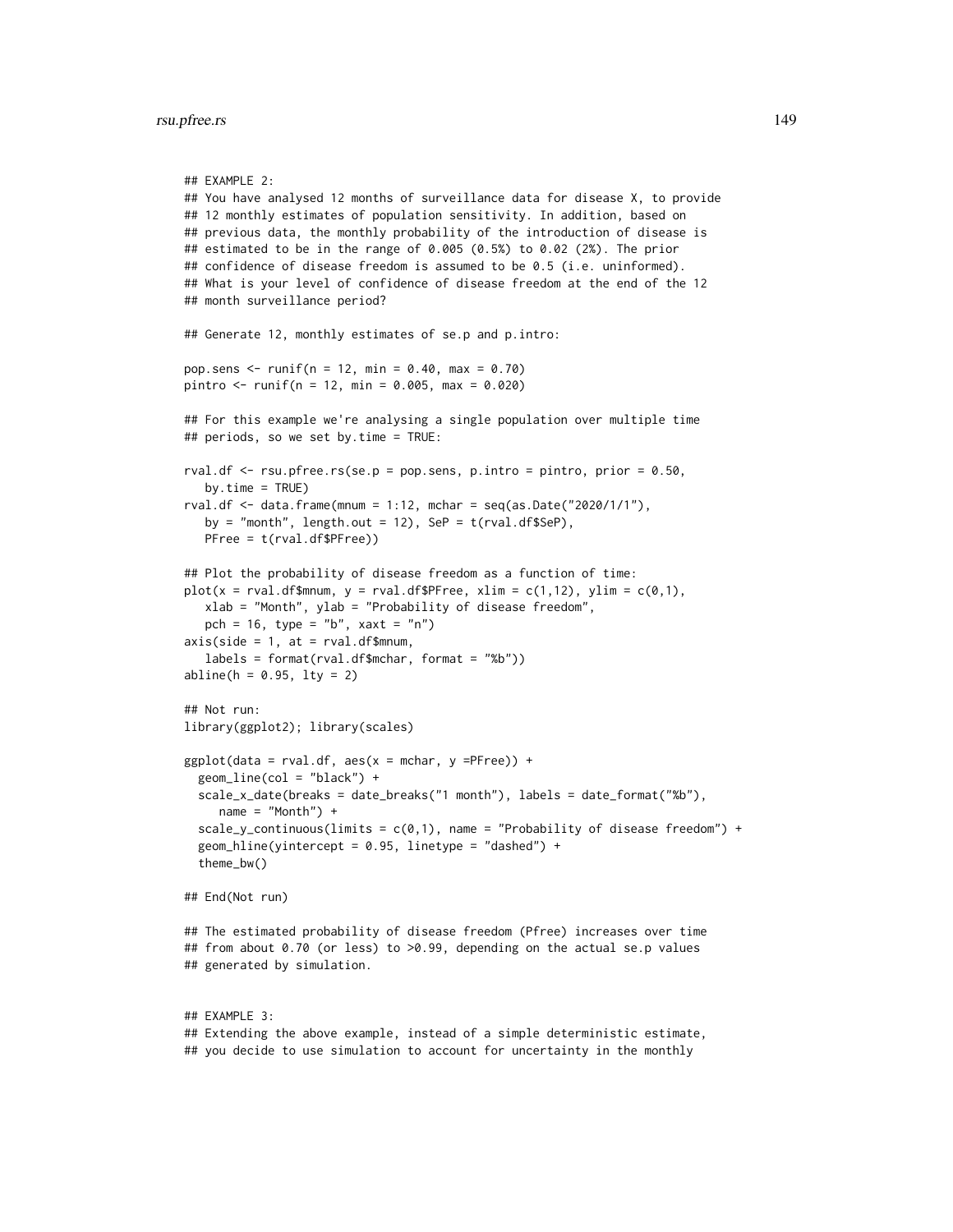```
## EXAMPLE 2:
## You have analysed 12 months of surveillance data for disease X, to provide
## 12 monthly estimates of population sensitivity. In addition, based on
## previous data, the monthly probability of the introduction of disease is
## estimated to be in the range of 0.005 (0.5%) to 0.02 (2%). The prior
## confidence of disease freedom is assumed to be 0.5 (i.e. uninformed).
## What is your level of confidence of disease freedom at the end of the 12
## month surveillance period?
## Generate 12, monthly estimates of se.p and p.intro:
pop.sens <- runif(n = 12, min = 0.40, max = 0.70)
pintro <- runif(n = 12, min = 0.005, max = 0.020)
## For this example we're analysing a single population over multiple time
## periods, so we set by.time = TRUE:
rval.df \le rsu.pfree.rs(se.p = pop.sens, p.intro = pintro, prior = 0.50,
  by.time = TRUE)
rval.df \le data.frame(mnum = 1:12, mchar = seq(as.Date("2020/1/1"),
  by = "month", length.out = 12), SeP = t(rval.df$SeP),
  PFree = t(rval.df$PFree))
## Plot the probability of disease freedom as a function of time:
plot(x = rval.df$mnum, y = rval.df$PFree, xlim = c(1,12), ylim = c(0,1),
  xlab = "Month", ylab = "Probability of disease freedom",
  pch = 16, type = nb'', xaxt = 'n'')
axis(side = 1, at = rval.df$mmum,labels = format(rval.df$mchar, format = "%b"))
abline(h = 0.95, 1ty = 2)## Not run:
library(ggplot2); library(scales)
ggplot(data = rval.df, aes(x = mchar, y =PFree)) +geom_line(col = "black") +
 scale_x_date(breaks = date_breaks("1 month"), labels = date_format("%b"),
     name = "Month") +scale_y_continuous(limits = c(0,1), name = "Probability of disease freedom") +
 geom_hline(yintercept = 0.95, linetype = "dashed") +
 theme_bw()
## End(Not run)
## The estimated probability of disease freedom (Pfree) increases over time
## from about 0.70 (or less) to >0.99, depending on the actual se.p values
## generated by simulation.
## EXAMPLE 3:
## Extending the above example, instead of a simple deterministic estimate,
## you decide to use simulation to account for uncertainty in the monthly
```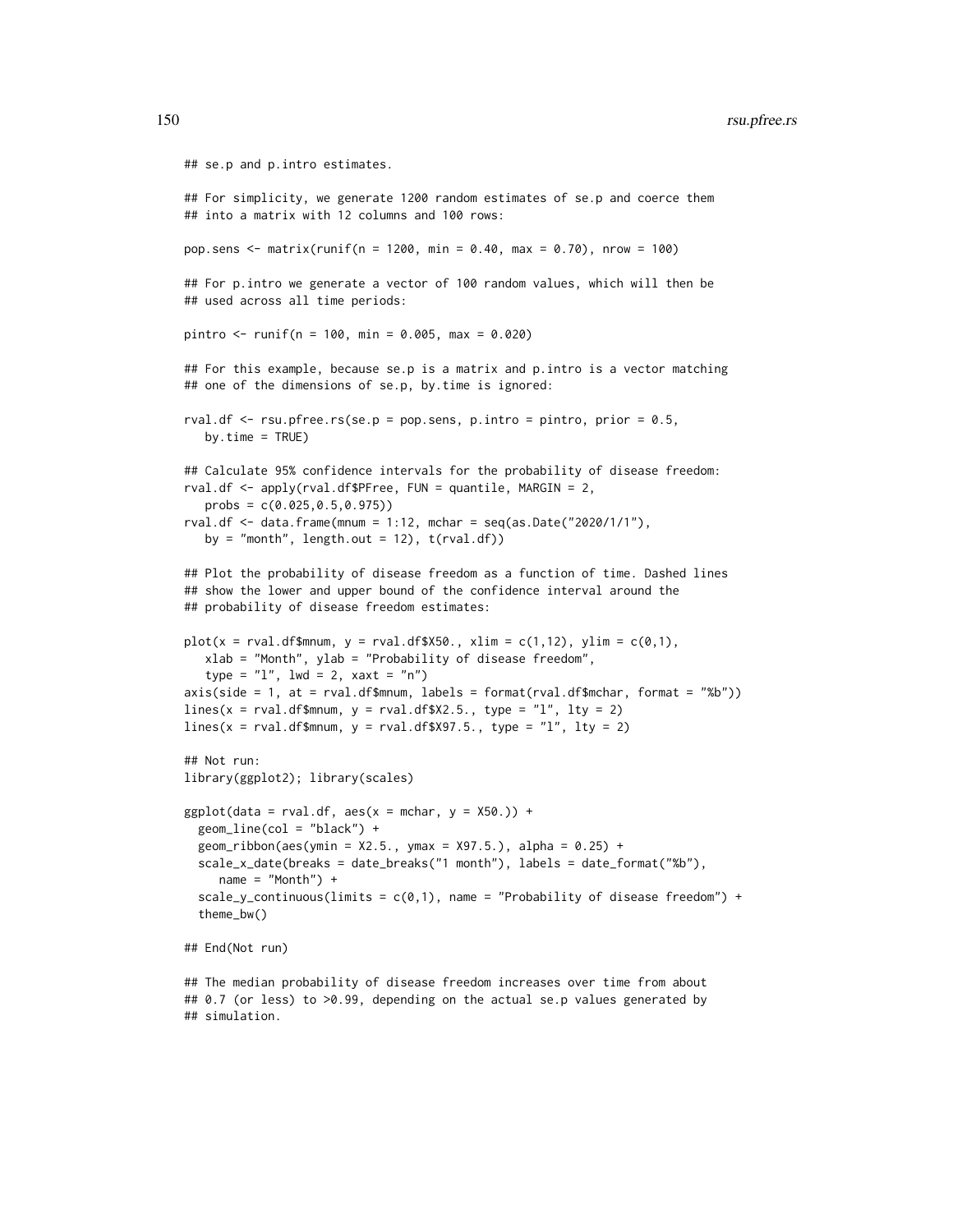```
## se.p and p.intro estimates.
## For simplicity, we generate 1200 random estimates of se.p and coerce them
## into a matrix with 12 columns and 100 rows:
pop.sens <- matrix(runif(n = 1200, min = 0.40, max = 0.70), nrow = 100)
## For p.intro we generate a vector of 100 random values, which will then be
## used across all time periods:
pintro <- runif(n = 100, min = 0.005, max = 0.020)
## For this example, because se.p is a matrix and p.intro is a vector matching
## one of the dimensions of se.p, by.time is ignored:
rval.df \leq rsu.pfree.rs(se.p = pop.sens, p.intro = pintro, prior = 0.5,
  by.time = TRUE)
## Calculate 95% confidence intervals for the probability of disease freedom:
rval.df <- apply(rval.df$PFree, FUN = quantile, MARGIN = 2,
  probs = c(0.025,0.5,0.975))
rval.df \leq data.frame(mnum = 1:12, mchar = seq(as.Date("2020/1/1"),
  by = "month", length.out = 12), t(rval.df))
## Plot the probability of disease freedom as a function of time. Dashed lines
## show the lower and upper bound of the confidence interval around the
## probability of disease freedom estimates:
plot(x = rval.df$mmum, y = rval.df$X50., xlim = c(1,12), ylim = c(0,1),xlab = "Month", ylab = "Probability of disease freedom",
   type = "1", lwd = 2, xaxt = "n")axis(side = 1, at = rval.df$mmum, labels = format(rval.df$mchar, format = "%b")lines(x = \text{rval}.df$mnum, y = \text{rval}.df$X2.5., type = "l", lty = 2)
lines(x = rval.df$mmum, y = rval.df$X97.5., type = "l", lty = 2)## Not run:
library(ggplot2); library(scales)
ggplot(data = rval.df, aes(x = mchar, y = X50.)) +geom_line(col = "black") +
 geom\_ribbon(aes(ymin = X2.5., ymax = X97.5.), alpha = 0.25) +scale_x_date(breaks = date_breaks("1 month"), labels = date_format("%b"),
     name = "Month") +scale_y_continuous(limits = c(\emptyset,1), name = "Probability of disease freedom") +
 theme_bw()
## End(Not run)
## The median probability of disease freedom increases over time from about
## 0.7 (or less) to >0.99, depending on the actual se.p values generated by
```
## simulation.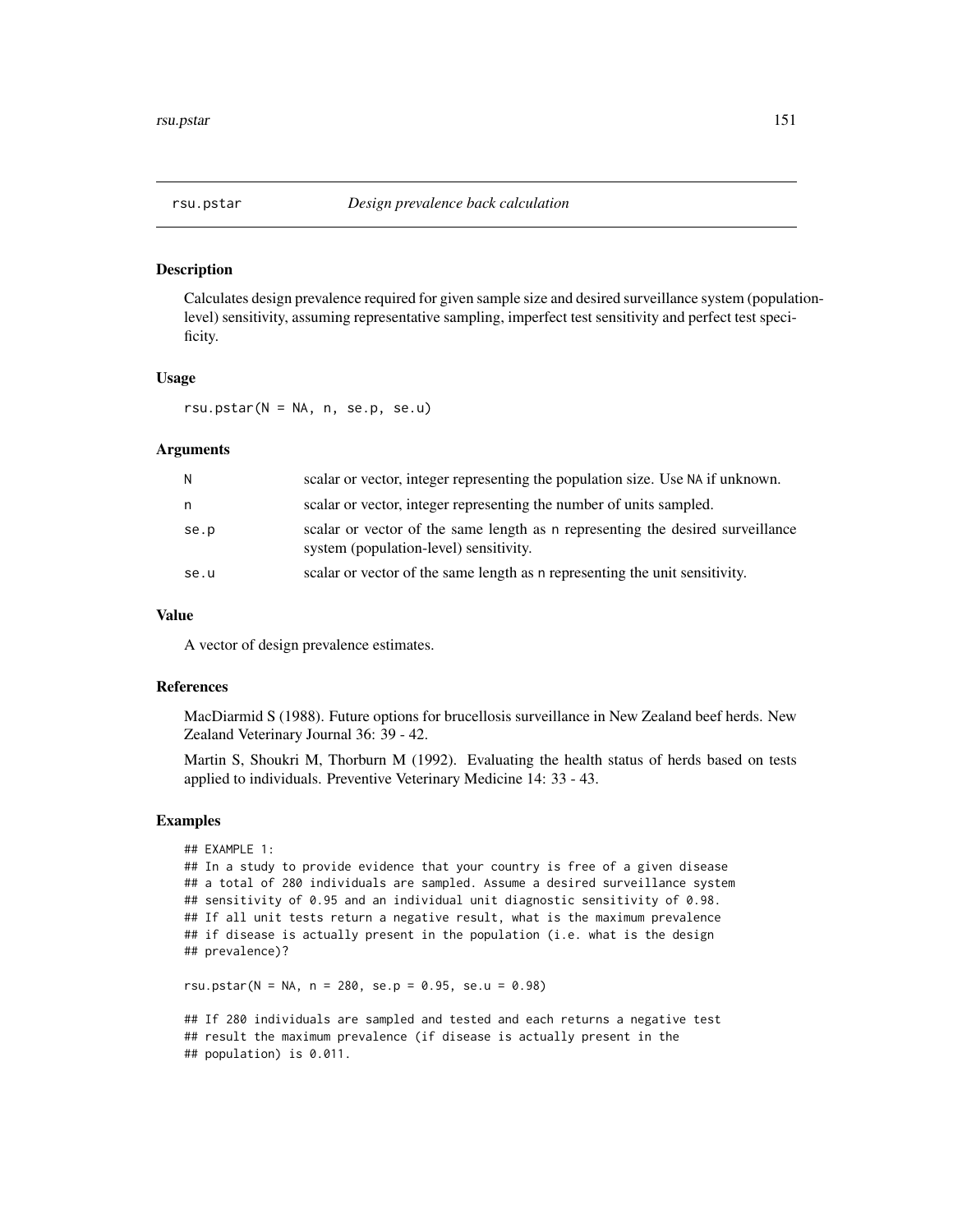## Description

Calculates design prevalence required for given sample size and desired surveillance system (populationlevel) sensitivity, assuming representative sampling, imperfect test sensitivity and perfect test specificity.

### Usage

rsu.pstar(N = NA, n, se.p, se.u)

# Arguments

| N.   | scalar or vector, integer representing the population size. Use NA if unknown.                                           |
|------|--------------------------------------------------------------------------------------------------------------------------|
| n.   | scalar or vector, integer representing the number of units sampled.                                                      |
| se.p | scalar or vector of the same length as n representing the desired surveillance<br>system (population-level) sensitivity. |
| se.u | scalar or vector of the same length as n representing the unit sensitivity.                                              |

## Value

A vector of design prevalence estimates.

## References

MacDiarmid S (1988). Future options for brucellosis surveillance in New Zealand beef herds. New Zealand Veterinary Journal 36: 39 - 42.

Martin S, Shoukri M, Thorburn M (1992). Evaluating the health status of herds based on tests applied to individuals. Preventive Veterinary Medicine 14: 33 - 43.

#### Examples

```
## EXAMPLE 1:
## In a study to provide evidence that your country is free of a given disease
## a total of 280 individuals are sampled. Assume a desired surveillance system
## sensitivity of 0.95 and an individual unit diagnostic sensitivity of 0.98.
## If all unit tests return a negative result, what is the maximum prevalence
## if disease is actually present in the population (i.e. what is the design
## prevalence)?
```
rsu.pstar(N = NA, n = 280, se.p = 0.95, se.u = 0.98)

## If 280 individuals are sampled and tested and each returns a negative test ## result the maximum prevalence (if disease is actually present in the ## population) is 0.011.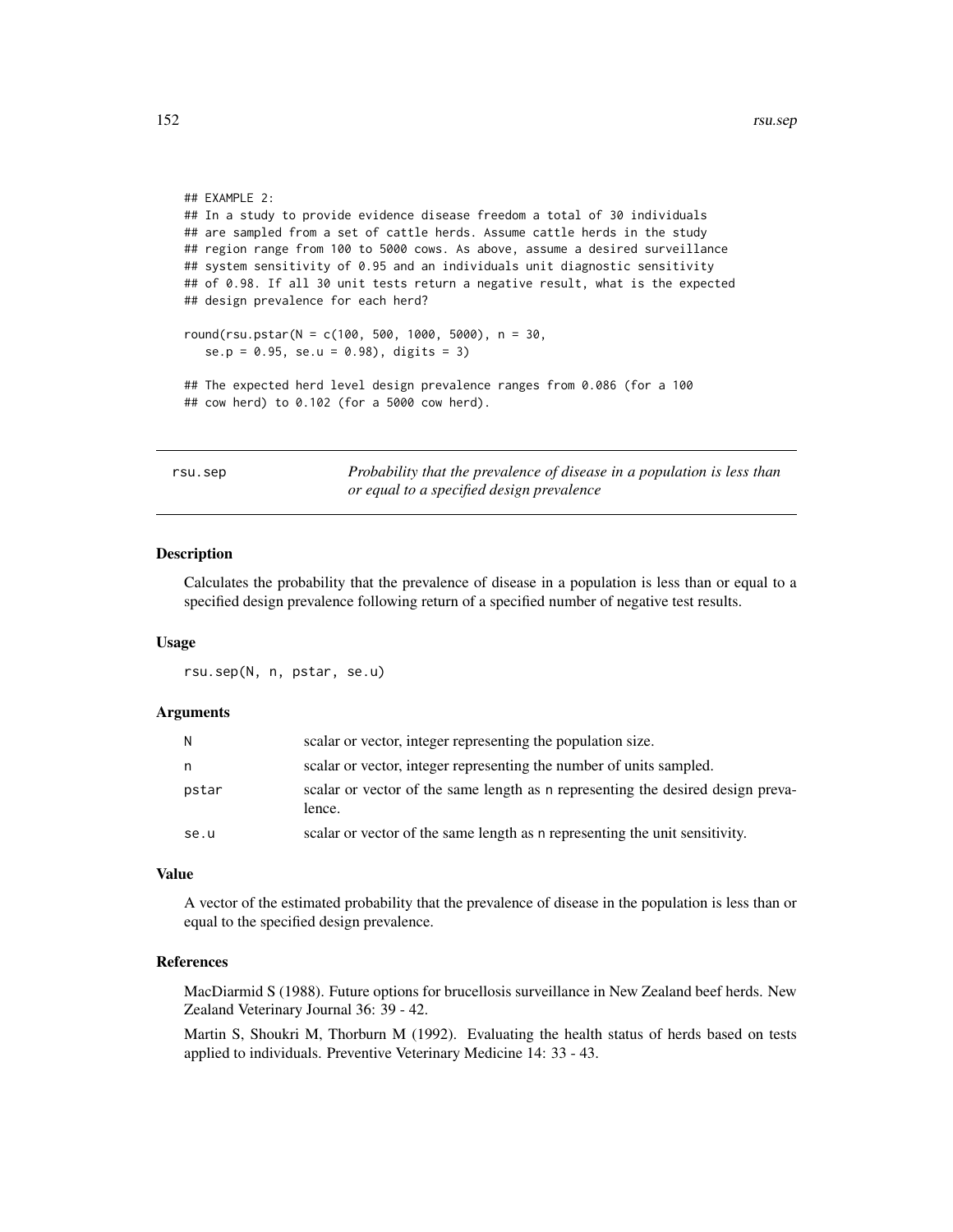```
## EXAMPLE 2:
## In a study to provide evidence disease freedom a total of 30 individuals
## are sampled from a set of cattle herds. Assume cattle herds in the study
## region range from 100 to 5000 cows. As above, assume a desired surveillance
## system sensitivity of 0.95 and an individuals unit diagnostic sensitivity
## of 0.98. If all 30 unit tests return a negative result, what is the expected
## design prevalence for each herd?
round(rsu.pstar(N = c(100, 500, 1000, 5000), n = 30,
   se.p = 0.95, se.u = 0.98), digits = 3)
## The expected herd level design prevalence ranges from 0.086 (for a 100
## cow herd) to 0.102 (for a 5000 cow herd).
```

| rsu.sep | Probability that the prevalence of disease in a population is less than |
|---------|-------------------------------------------------------------------------|
|         | or equal to a specified design prevalence                               |

## Description

Calculates the probability that the prevalence of disease in a population is less than or equal to a specified design prevalence following return of a specified number of negative test results.

#### Usage

rsu.sep(N, n, pstar, se.u)

#### Arguments

| N     | scalar or vector, integer representing the population size.                               |
|-------|-------------------------------------------------------------------------------------------|
| n     | scalar or vector, integer representing the number of units sampled.                       |
| pstar | scalar or vector of the same length as n representing the desired design preva-<br>lence. |
| se.u  | scalar or vector of the same length as a representing the unit sensitivity.               |

#### Value

A vector of the estimated probability that the prevalence of disease in the population is less than or equal to the specified design prevalence.

# References

MacDiarmid S (1988). Future options for brucellosis surveillance in New Zealand beef herds. New Zealand Veterinary Journal 36: 39 - 42.

Martin S, Shoukri M, Thorburn M (1992). Evaluating the health status of herds based on tests applied to individuals. Preventive Veterinary Medicine 14: 33 - 43.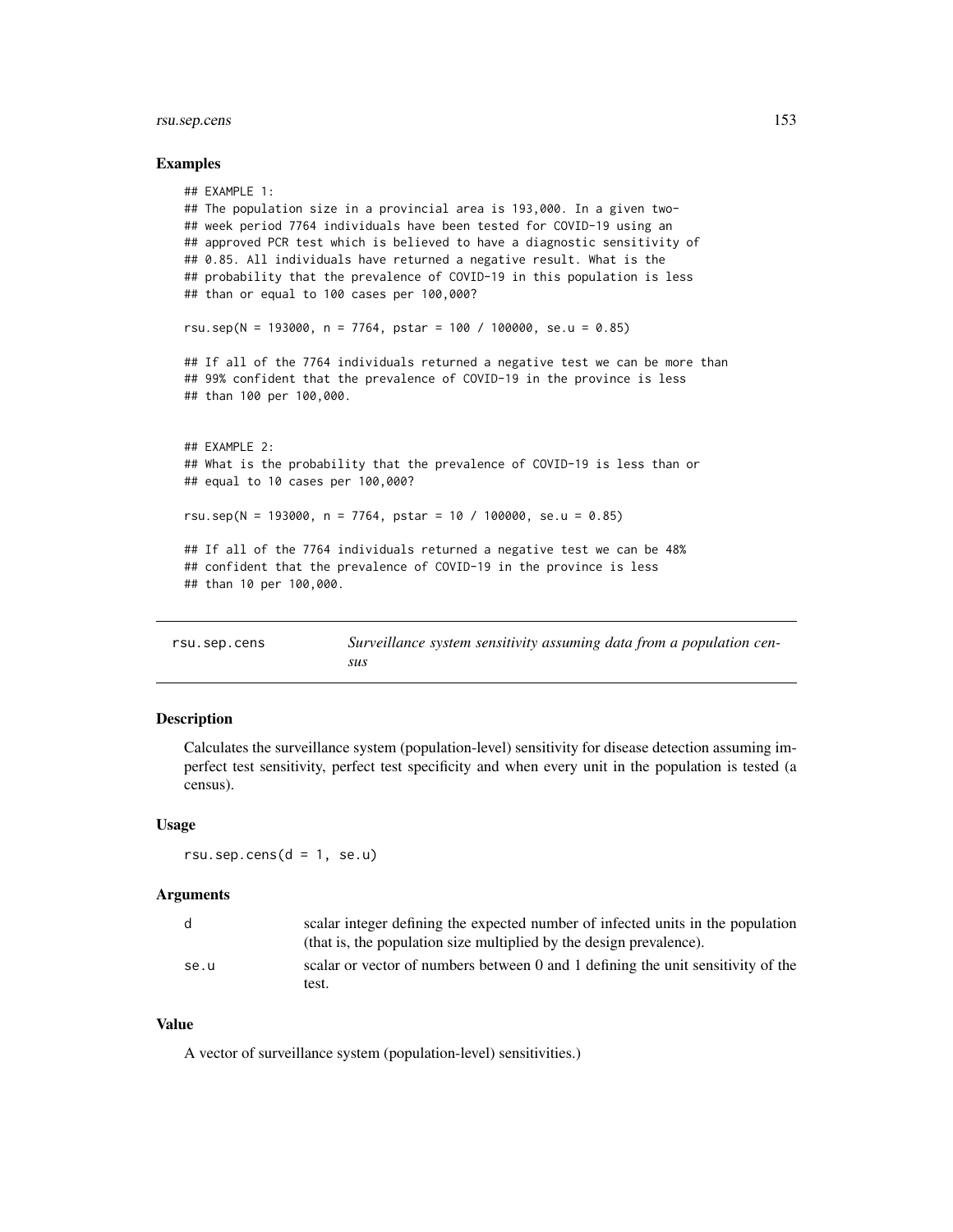# rsu.sep.cens 153

#### Examples

```
## EXAMPLE 1:
## The population size in a provincial area is 193,000. In a given two-
## week period 7764 individuals have been tested for COVID-19 using an
## approved PCR test which is believed to have a diagnostic sensitivity of
## 0.85. All individuals have returned a negative result. What is the
## probability that the prevalence of COVID-19 in this population is less
## than or equal to 100 cases per 100,000?
rsu.sep(N = 193000, n = 7764, pstar = 100 / 100000, se.u = 0.85)
## If all of the 7764 individuals returned a negative test we can be more than
## 99% confident that the prevalence of COVID-19 in the province is less
## than 100 per 100,000.
## EXAMPLE 2:
## What is the probability that the prevalence of COVID-19 is less than or
## equal to 10 cases per 100,000?
rsu.sep(N = 193000, n = 7764, pstar = 10 / 100000, se.u = 0.85)
## If all of the 7764 individuals returned a negative test we can be 48%
## confident that the prevalence of COVID-19 in the province is less
## than 10 per 100,000.
```
rsu.sep.cens *Surveillance system sensitivity assuming data from a population census*

# Description

Calculates the surveillance system (population-level) sensitivity for disease detection assuming imperfect test sensitivity, perfect test specificity and when every unit in the population is tested (a census).

#### Usage

 $rsu.\nsep.cens(d = 1, se.u)$ 

#### Arguments

| d.   | scalar integer defining the expected number of infected units in the population  |
|------|----------------------------------------------------------------------------------|
|      | (that is, the population size multiplied by the design prevalence).              |
| se.u | scalar or vector of numbers between 0 and 1 defining the unit sensitivity of the |
|      | test.                                                                            |

## Value

A vector of surveillance system (population-level) sensitivities.)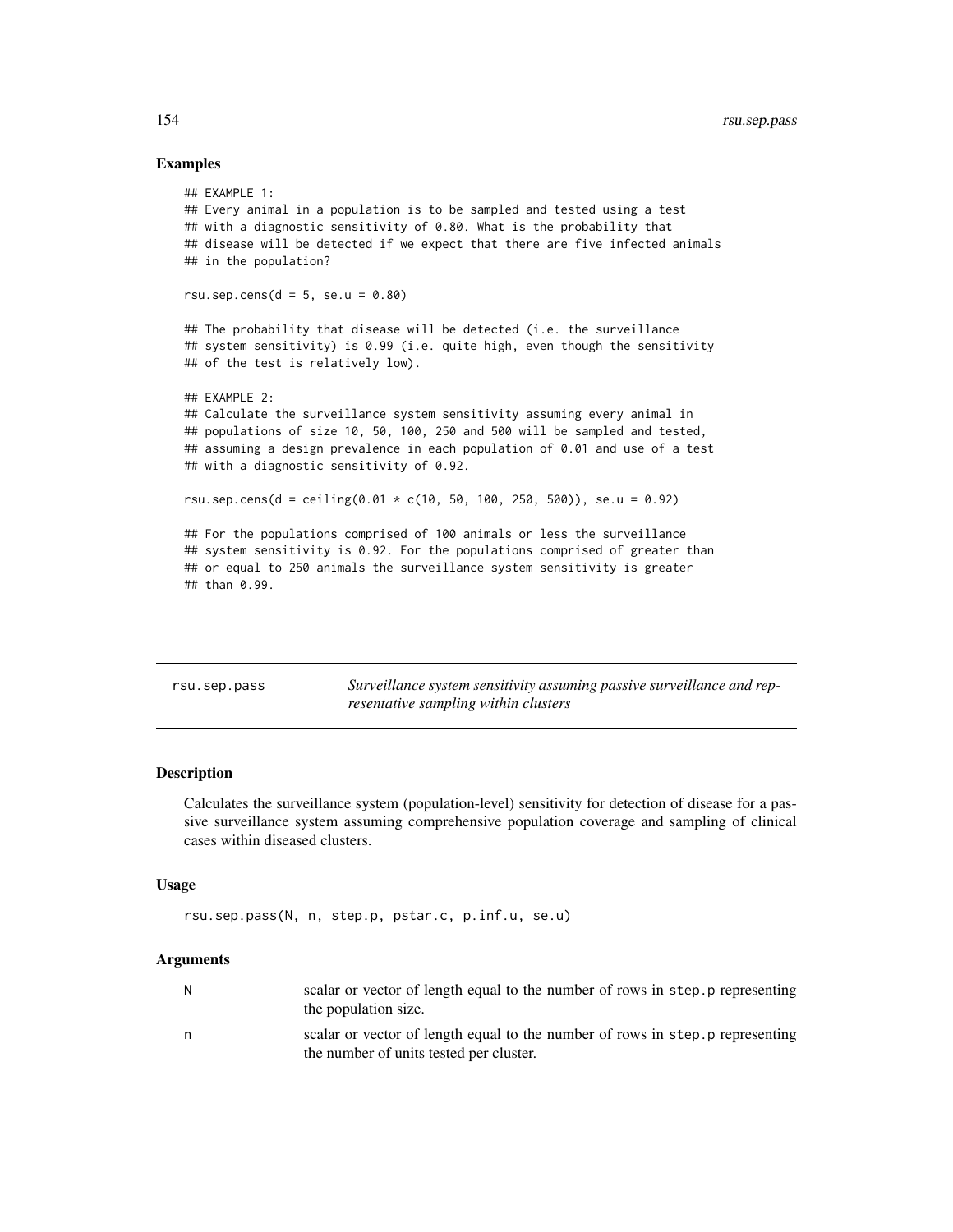## Examples

```
## EXAMPLE 1:
## Every animal in a population is to be sampled and tested using a test
## with a diagnostic sensitivity of 0.80. What is the probability that
## disease will be detected if we expect that there are five infected animals
## in the population?
rsu.sep.cens(d = 5, se.u = 0.80)
## The probability that disease will be detected (i.e. the surveillance
## system sensitivity) is 0.99 (i.e. quite high, even though the sensitivity
## of the test is relatively low).
## EXAMPLE 2:
## Calculate the surveillance system sensitivity assuming every animal in
## populations of size 10, 50, 100, 250 and 500 will be sampled and tested,
## assuming a design prevalence in each population of 0.01 and use of a test
## with a diagnostic sensitivity of 0.92.
rsu.sep.cens(d = ceiling(0.01 * c(10, 50, 100, 250, 500)), se.u = 0.92)
## For the populations comprised of 100 animals or less the surveillance
## system sensitivity is 0.92. For the populations comprised of greater than
## or equal to 250 animals the surveillance system sensitivity is greater
## than 0.99.
```
rsu.sep.pass *Surveillance system sensitivity assuming passive surveillance and representative sampling within clusters*

# Description

Calculates the surveillance system (population-level) sensitivity for detection of disease for a passive surveillance system assuming comprehensive population coverage and sampling of clinical cases within diseased clusters.

#### Usage

```
rsu.sep.pass(N, n, step.p, pstar.c, p.inf.u, se.u)
```

| N | scalar or vector of length equal to the number of rows in step. p representing<br>the population size.                    |
|---|---------------------------------------------------------------------------------------------------------------------------|
| n | scalar or vector of length equal to the number of rows in step. p representing<br>the number of units tested per cluster. |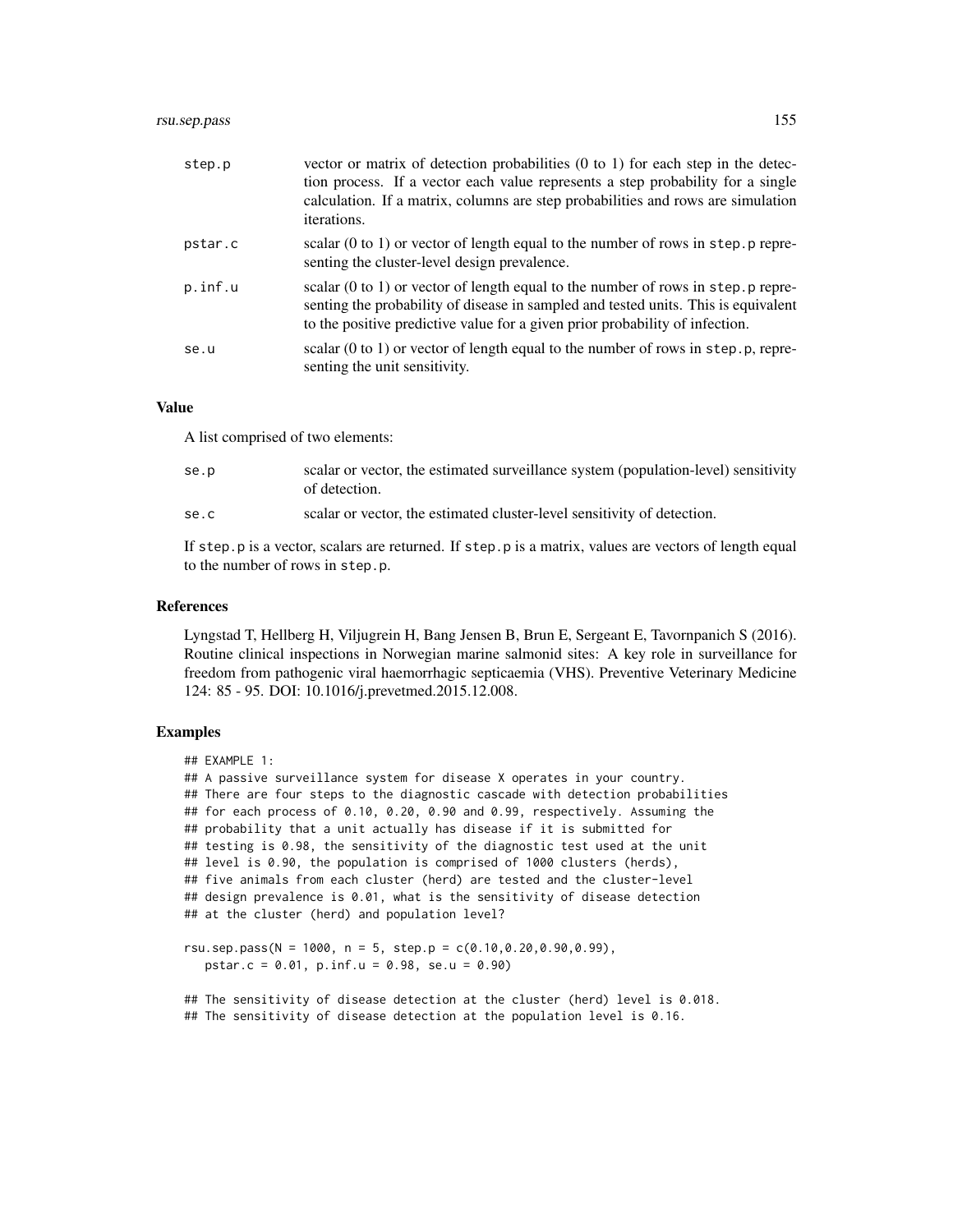# rsu.sep.pass 155

| step.p  | vector or matrix of detection probabilities $(0 \text{ to } 1)$ for each step in the detec-<br>tion process. If a vector each value represents a step probability for a single<br>calculation. If a matrix, columns are step probabilities and rows are simulation<br>iterations. |
|---------|-----------------------------------------------------------------------------------------------------------------------------------------------------------------------------------------------------------------------------------------------------------------------------------|
| pstar.c | scalar $(0 \text{ to } 1)$ or vector of length equal to the number of rows in step. p repre-<br>senting the cluster-level design prevalence.                                                                                                                                      |
| p.inf.u | scalar $(0 \text{ to } 1)$ or vector of length equal to the number of rows in step. p repre-<br>senting the probability of disease in sampled and tested units. This is equivalent<br>to the positive predictive value for a given prior probability of infection.                |
| se.u    | scalar (0 to 1) or vector of length equal to the number of rows in step.p, repre-<br>senting the unit sensitivity.                                                                                                                                                                |

# Value

A list comprised of two elements:

| se.p | scalar or vector, the estimated surveillance system (population-level) sensitivity<br>of detection. |
|------|-----------------------------------------------------------------------------------------------------|
| se.c | scalar or vector, the estimated cluster-level sensitivity of detection.                             |

If step.p is a vector, scalars are returned. If step.p is a matrix, values are vectors of length equal to the number of rows in step.p.

# References

Lyngstad T, Hellberg H, Viljugrein H, Bang Jensen B, Brun E, Sergeant E, Tavornpanich S (2016). Routine clinical inspections in Norwegian marine salmonid sites: A key role in surveillance for freedom from pathogenic viral haemorrhagic septicaemia (VHS). Preventive Veterinary Medicine 124: 85 - 95. DOI: 10.1016/j.prevetmed.2015.12.008.

## Examples

```
## EXAMPLE 1:
## A passive surveillance system for disease X operates in your country.
## There are four steps to the diagnostic cascade with detection probabilities
## for each process of 0.10, 0.20, 0.90 and 0.99, respectively. Assuming the
## probability that a unit actually has disease if it is submitted for
## testing is 0.98, the sensitivity of the diagnostic test used at the unit
## level is 0.90, the population is comprised of 1000 clusters (herds),
## five animals from each cluster (herd) are tested and the cluster-level
## design prevalence is 0.01, what is the sensitivity of disease detection
## at the cluster (herd) and population level?
rsu.sep.pass(N = 1000, n = 5, step.p = c(0.10, 0.20, 0.90, 0.99),
  pstar.c = 0.01, p.inf.u = 0.98, se.u = 0.90)
```

```
## The sensitivity of disease detection at the cluster (herd) level is 0.018.
## The sensitivity of disease detection at the population level is 0.16.
```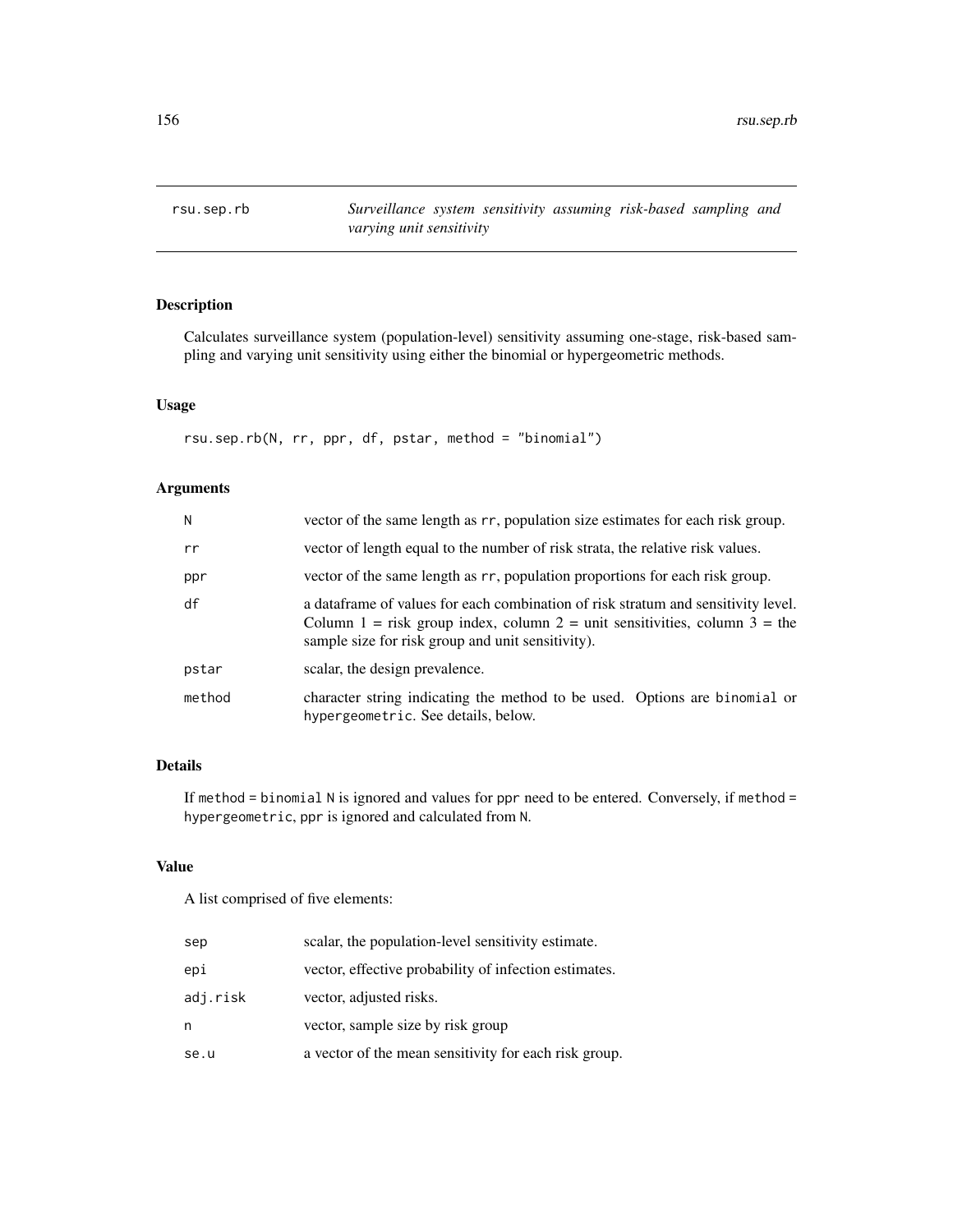rsu.sep.rb *Surveillance system sensitivity assuming risk-based sampling and varying unit sensitivity*

# Description

Calculates surveillance system (population-level) sensitivity assuming one-stage, risk-based sampling and varying unit sensitivity using either the binomial or hypergeometric methods.

# Usage

rsu.sep.rb(N, rr, ppr, df, pstar, method = "binomial")

# Arguments

| N      | vector of the same length as rr, population size estimates for each risk group.                                                                                                                                       |
|--------|-----------------------------------------------------------------------------------------------------------------------------------------------------------------------------------------------------------------------|
| rr     | vector of length equal to the number of risk strata, the relative risk values.                                                                                                                                        |
| ppr    | vector of the same length as rr, population proportions for each risk group.                                                                                                                                          |
| df     | a data frame of values for each combination of risk stratum and sensitivity level.<br>Column 1 = risk group index, column 2 = unit sensitivities, column 3 = the<br>sample size for risk group and unit sensitivity). |
| pstar  | scalar, the design prevalence.                                                                                                                                                                                        |
| method | character string indicating the method to be used. Options are binomial or<br>hypergeometric. See details, below.                                                                                                     |

# Details

If method = binomial N is ignored and values for ppr need to be entered. Conversely, if method = hypergeometric, ppr is ignored and calculated from N.

# Value

A list comprised of five elements:

| sep      | scalar, the population-level sensitivity estimate.    |
|----------|-------------------------------------------------------|
| epi      | vector, effective probability of infection estimates. |
| adj.risk | vector, adjusted risks.                               |
| n        | vector, sample size by risk group                     |
| se.u     | a vector of the mean sensitivity for each risk group. |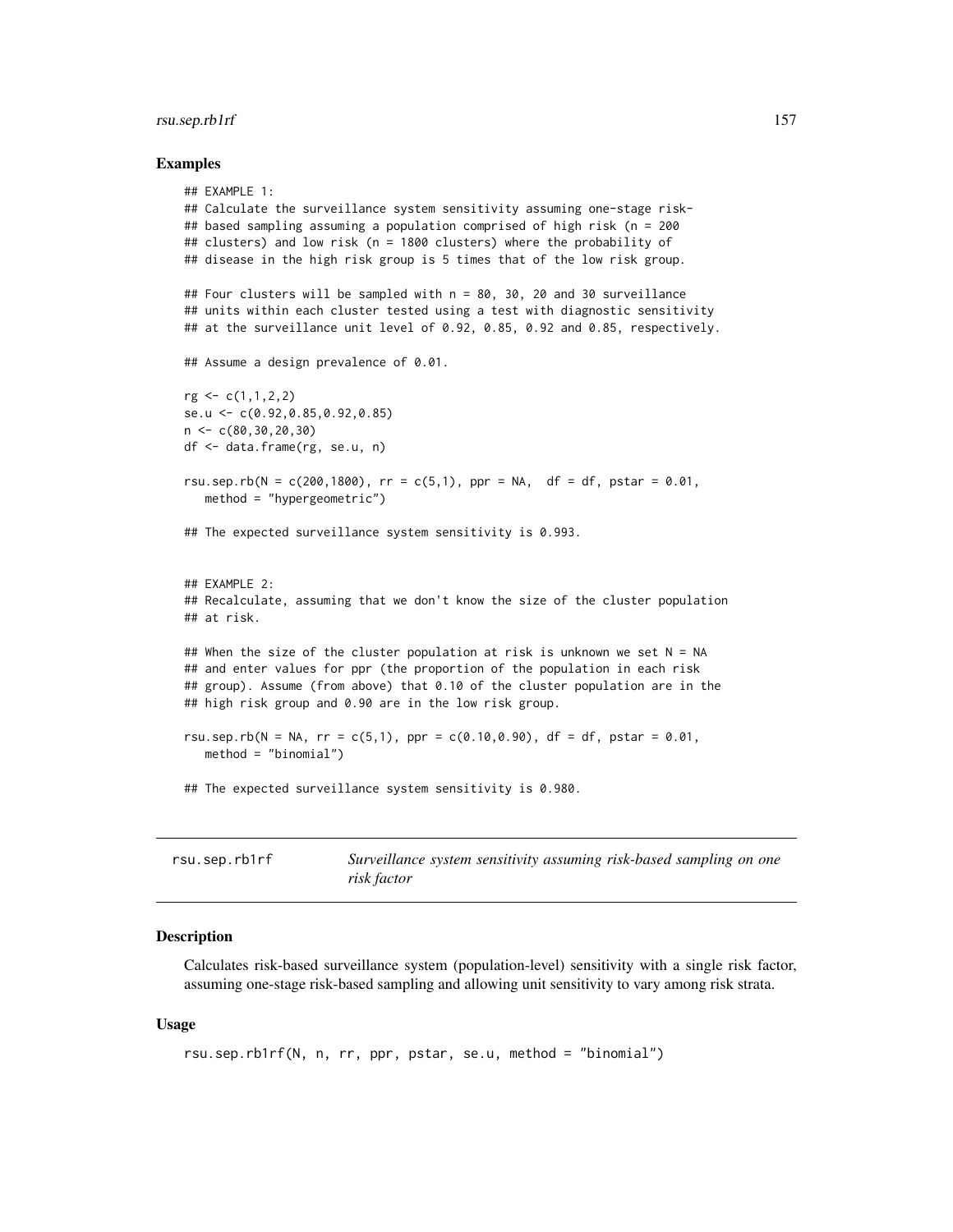## rsu.sep.rb1rf 157

#### Examples

```
## EXAMPLE 1:
## Calculate the surveillance system sensitivity assuming one-stage risk-
## based sampling assuming a population comprised of high risk (n = 200
## clusters) and low risk (n = 1800 clusters) where the probability of
## disease in the high risk group is 5 times that of the low risk group.
## Four clusters will be sampled with n = 80, 30, 20 and 30 surveillance
## units within each cluster tested using a test with diagnostic sensitivity
## at the surveillance unit level of 0.92, 0.85, 0.92 and 0.85, respectively.
## Assume a design prevalence of 0.01.
rg \leftarrow c(1,1,2,2)se.u <- c(0.92,0.85,0.92,0.85)
n < -c(80, 30, 20, 30)df <- data.frame(rg, se.u, n)
rsu.sep.rb(N = c(200,1800), rr = c(5,1), ppr = NA, df = df, pstar = 0.01,
   method = "hypergeometric")
## The expected surveillance system sensitivity is 0.993.
## EXAMPLE 2:
## Recalculate, assuming that we don't know the size of the cluster population
## at risk.
## When the size of the cluster population at risk is unknown we set N = NA## and enter values for ppr (the proportion of the population in each risk
## group). Assume (from above) that 0.10 of the cluster population are in the
## high risk group and 0.90 are in the low risk group.
rsu.sep.rb(N = NA, rr = c(5,1), ppr = c(0.10,0.90), df = df, pstar = 0.01,
   method = "binomial")
## The expected surveillance system sensitivity is 0.980.
```

| rsu.sep.rb1rf | Surveillance system sensitivity assuming risk-based sampling on one |  |  |
|---------------|---------------------------------------------------------------------|--|--|
|               | risk factor                                                         |  |  |

## **Description**

Calculates risk-based surveillance system (population-level) sensitivity with a single risk factor, assuming one-stage risk-based sampling and allowing unit sensitivity to vary among risk strata.

# Usage

```
rsu.sep.rb1rf(N, n, rr, ppr, pstar, se.u, method = "binomial")
```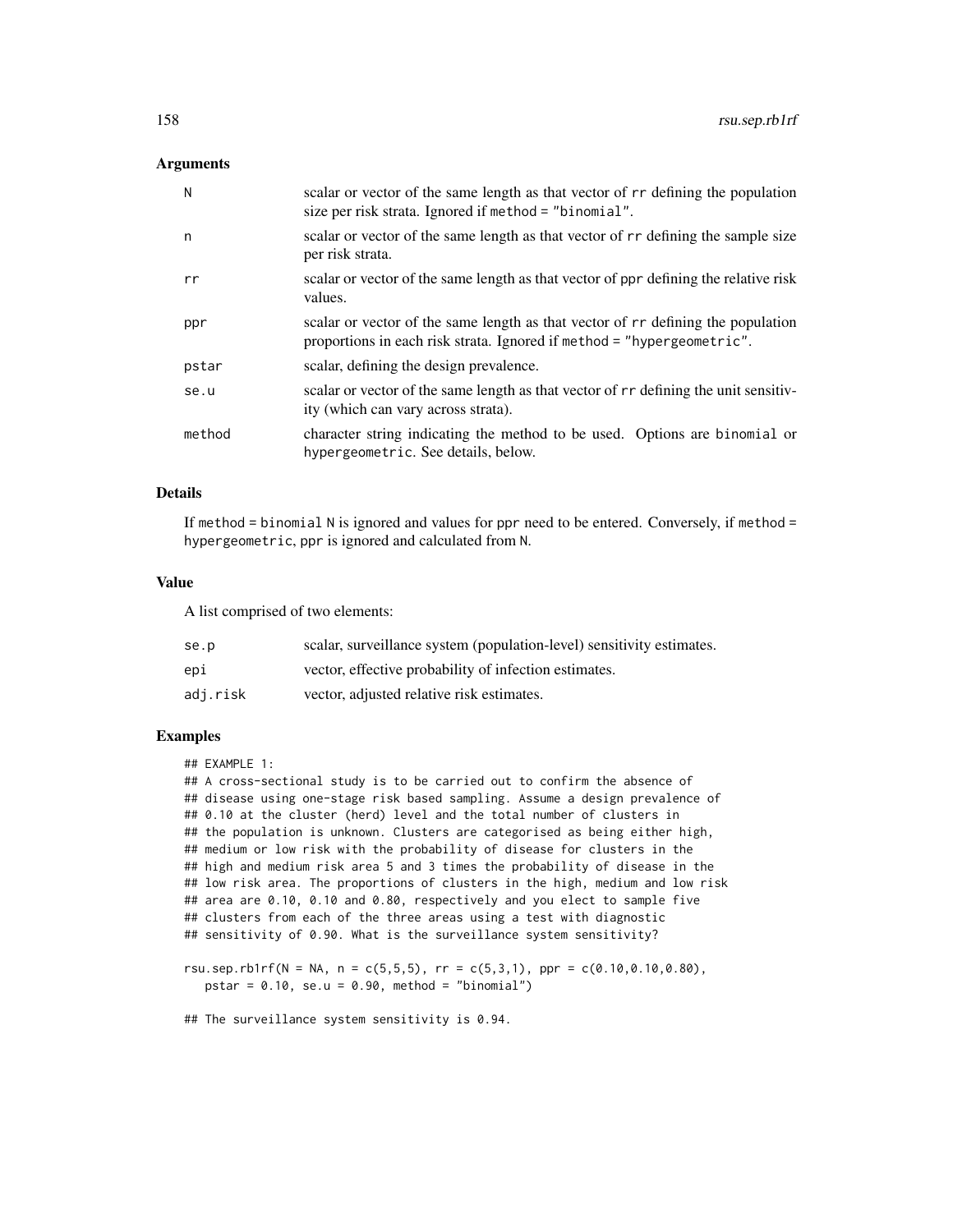## Arguments

| N      | scalar or vector of the same length as that vector of r rdefining the population<br>size per risk strata. Ignored if method = "binomial".                  |
|--------|------------------------------------------------------------------------------------------------------------------------------------------------------------|
| n      | scalar or vector of the same length as that vector of r r defining the sample size<br>per risk strata.                                                     |
| rr     | scalar or vector of the same length as that vector of ppr defining the relative risk<br>values.                                                            |
| ppr    | scalar or vector of the same length as that vector of r rdefining the population<br>proportions in each risk strata. Ignored if method = "hypergeometric". |
| pstar  | scalar, defining the design prevalence.                                                                                                                    |
| se.u   | scalar or vector of the same length as that vector of rr defining the unit sensitiv-<br>ity (which can vary across strata).                                |
| method | character string indicating the method to be used. Options are binomial or<br>hypergeometric. See details, below.                                          |

## Details

If method = binomial N is ignored and values for ppr need to be entered. Conversely, if method = hypergeometric, ppr is ignored and calculated from N.

#### Value

A list comprised of two elements:

| se.p     | scalar, surveillance system (population-level) sensitivity estimates. |
|----------|-----------------------------------------------------------------------|
| epi      | vector, effective probability of infection estimates.                 |
| adj.risk | vector, adjusted relative risk estimates.                             |

# Examples

## EXAMPLE 1:

## A cross-sectional study is to be carried out to confirm the absence of ## disease using one-stage risk based sampling. Assume a design prevalence of ## 0.10 at the cluster (herd) level and the total number of clusters in ## the population is unknown. Clusters are categorised as being either high, ## medium or low risk with the probability of disease for clusters in the ## high and medium risk area 5 and 3 times the probability of disease in the ## low risk area. The proportions of clusters in the high, medium and low risk ## area are 0.10, 0.10 and 0.80, respectively and you elect to sample five ## clusters from each of the three areas using a test with diagnostic ## sensitivity of 0.90. What is the surveillance system sensitivity?

rsu.sep.rb1rf(N = NA, n = c(5,5,5), rr = c(5,3,1), ppr = c(0.10,0.10,0.80), pstar =  $0.10$ , se.u =  $0.90$ , method = "binomial")

## The surveillance system sensitivity is 0.94.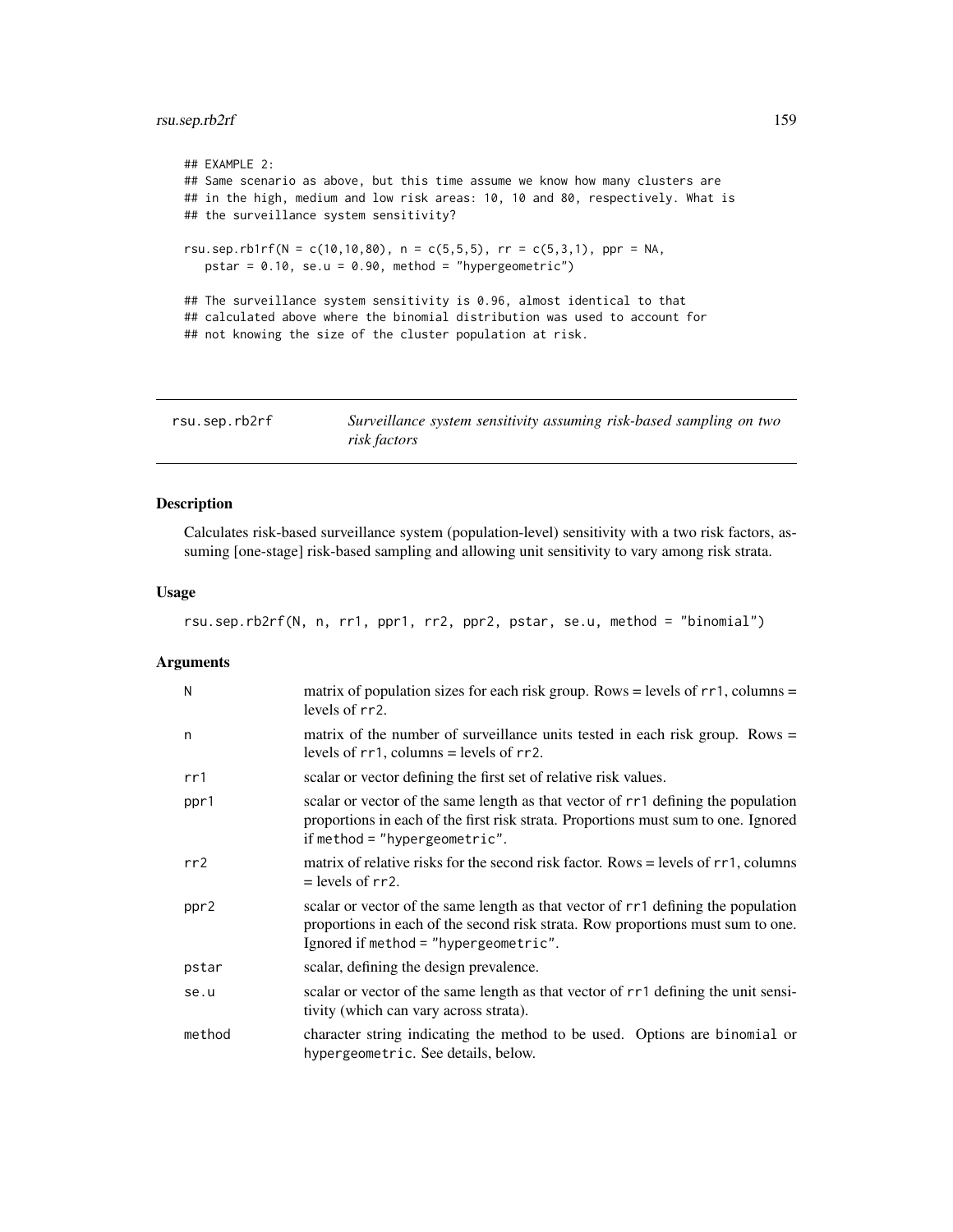# rsu.sep.rb2rf 159

```
## EXAMPLE 2:
## Same scenario as above, but this time assume we know how many clusters are
## in the high, medium and low risk areas: 10, 10 and 80, respectively. What is
## the surveillance system sensitivity?
rsu.sep.rb1rf(N = c(10,10,80), n = c(5,5,5), rr = c(5,3,1), ppr = NA,
   pstar = 0.10, se.u = 0.90, method = "hypergeometric")
## The surveillance system sensitivity is 0.96, almost identical to that
## calculated above where the binomial distribution was used to account for
## not knowing the size of the cluster population at risk.
```

| rsu.sep.rb2rf | Surveillance system sensitivity assuming risk-based sampling on two |
|---------------|---------------------------------------------------------------------|
|               | risk factors                                                        |

# Description

Calculates risk-based surveillance system (population-level) sensitivity with a two risk factors, assuming [one-stage] risk-based sampling and allowing unit sensitivity to vary among risk strata.

# Usage

rsu.sep.rb2rf(N, n, rr1, ppr1, rr2, ppr2, pstar, se.u, method = "binomial")

| N      | matrix of population sizes for each risk group. Rows = levels of $rr1$ , columns =<br>levels of rr2.                                                                                                          |
|--------|---------------------------------------------------------------------------------------------------------------------------------------------------------------------------------------------------------------|
| n      | matrix of the number of surveillance units tested in each risk group. Rows $=$<br>levels of $rr1$ , columns = levels of $rr2$ .                                                                               |
| rr1    | scalar or vector defining the first set of relative risk values.                                                                                                                                              |
| ppr1   | scalar or vector of the same length as that vector of rr1 defining the population<br>proportions in each of the first risk strata. Proportions must sum to one. Ignored<br>if method = "hypergeometric".      |
| rr2    | matrix of relative risks for the second risk factor. Rows = levels of $rr1$ , columns<br>$=$ levels of rr2.                                                                                                   |
| ppr2   | scalar or vector of the same length as that vector of rr1 defining the population<br>proportions in each of the second risk strata. Row proportions must sum to one.<br>Ignored if method = "hypergeometric". |
| pstar  | scalar, defining the design prevalence.                                                                                                                                                                       |
| se.u   | scalar or vector of the same length as that vector of rr1 defining the unit sensi-<br>tivity (which can vary across strata).                                                                                  |
| method | character string indicating the method to be used. Options are binomial or<br>hypergeometric. See details, below.                                                                                             |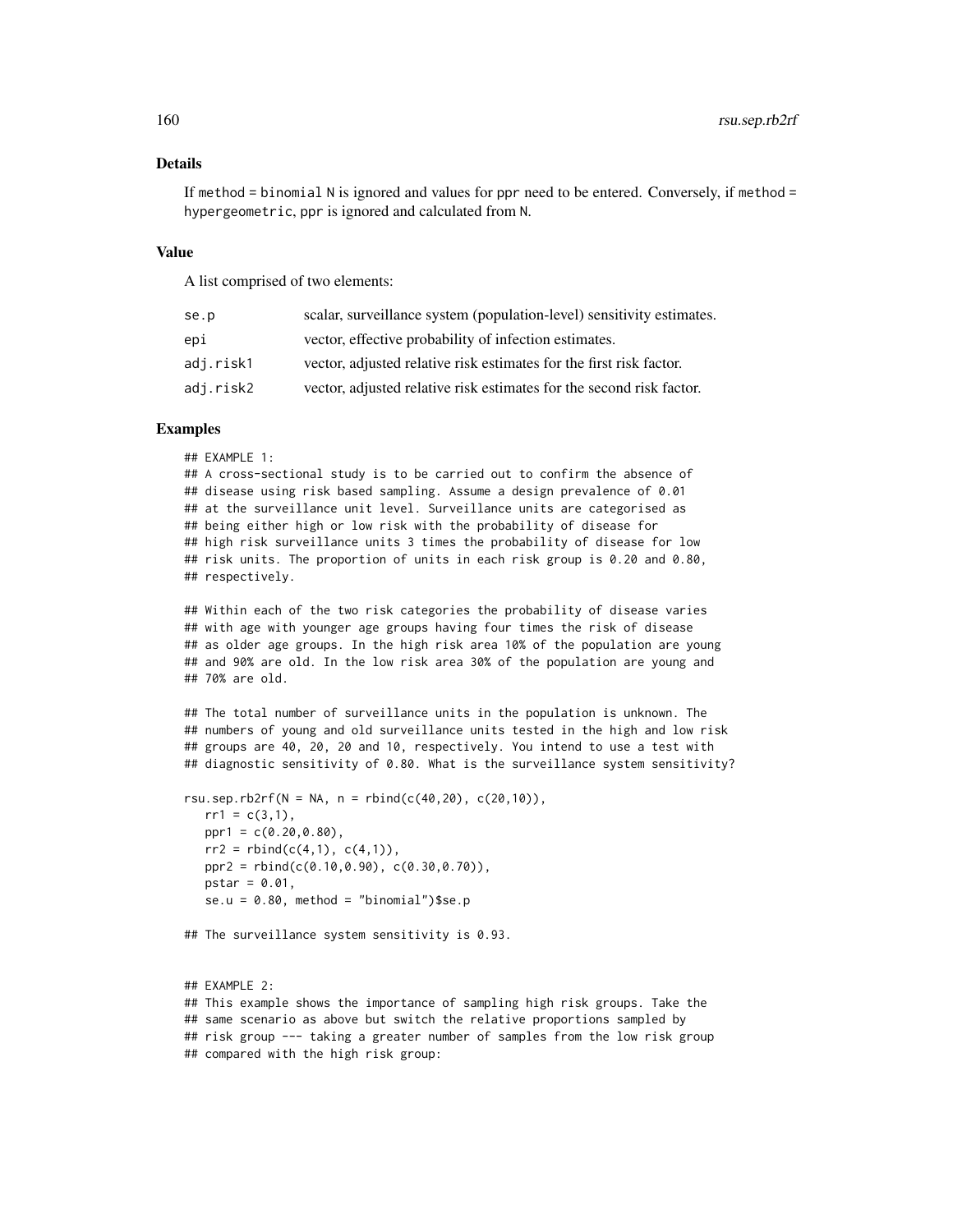# Details

If method = binomial N is ignored and values for ppr need to be entered. Conversely, if method = hypergeometric, ppr is ignored and calculated from N.

#### Value

A list comprised of two elements:

| se.p      | scalar, surveillance system (population-level) sensitivity estimates. |
|-----------|-----------------------------------------------------------------------|
| epi       | vector, effective probability of infection estimates.                 |
| adj.risk1 | vector, adjusted relative risk estimates for the first risk factor.   |
| adj.risk2 | vector, adjusted relative risk estimates for the second risk factor.  |

#### Examples

```
## EXAMPLE 1:
```
## A cross-sectional study is to be carried out to confirm the absence of ## disease using risk based sampling. Assume a design prevalence of 0.01 ## at the surveillance unit level. Surveillance units are categorised as ## being either high or low risk with the probability of disease for ## high risk surveillance units 3 times the probability of disease for low ## risk units. The proportion of units in each risk group is 0.20 and 0.80, ## respectively.

## Within each of the two risk categories the probability of disease varies ## with age with younger age groups having four times the risk of disease ## as older age groups. In the high risk area 10% of the population are young ## and 90% are old. In the low risk area 30% of the population are young and ## 70% are old.

## The total number of surveillance units in the population is unknown. The ## numbers of young and old surveillance units tested in the high and low risk ## groups are 40, 20, 20 and 10, respectively. You intend to use a test with ## diagnostic sensitivity of 0.80. What is the surveillance system sensitivity?

```
rsu.sep.rb2rf(N = NA, n = rbind(c(40,20), c(20,10)),
  rr1 = c(3,1),
  ppr1 = c(0.20, 0.80),
  rr2 = rbind(c(4,1), c(4,1)),ppr2 = rbind(c(0.10,0.90), c(0.30,0.70)),
  pstar = 0.01,
  se.u = 0.80, method = "binomial")$se.p
```

```
## The surveillance system sensitivity is 0.93.
```
## EXAMPLE 2: ## This example shows the importance of sampling high risk groups. Take the ## same scenario as above but switch the relative proportions sampled by ## risk group --- taking a greater number of samples from the low risk group ## compared with the high risk group: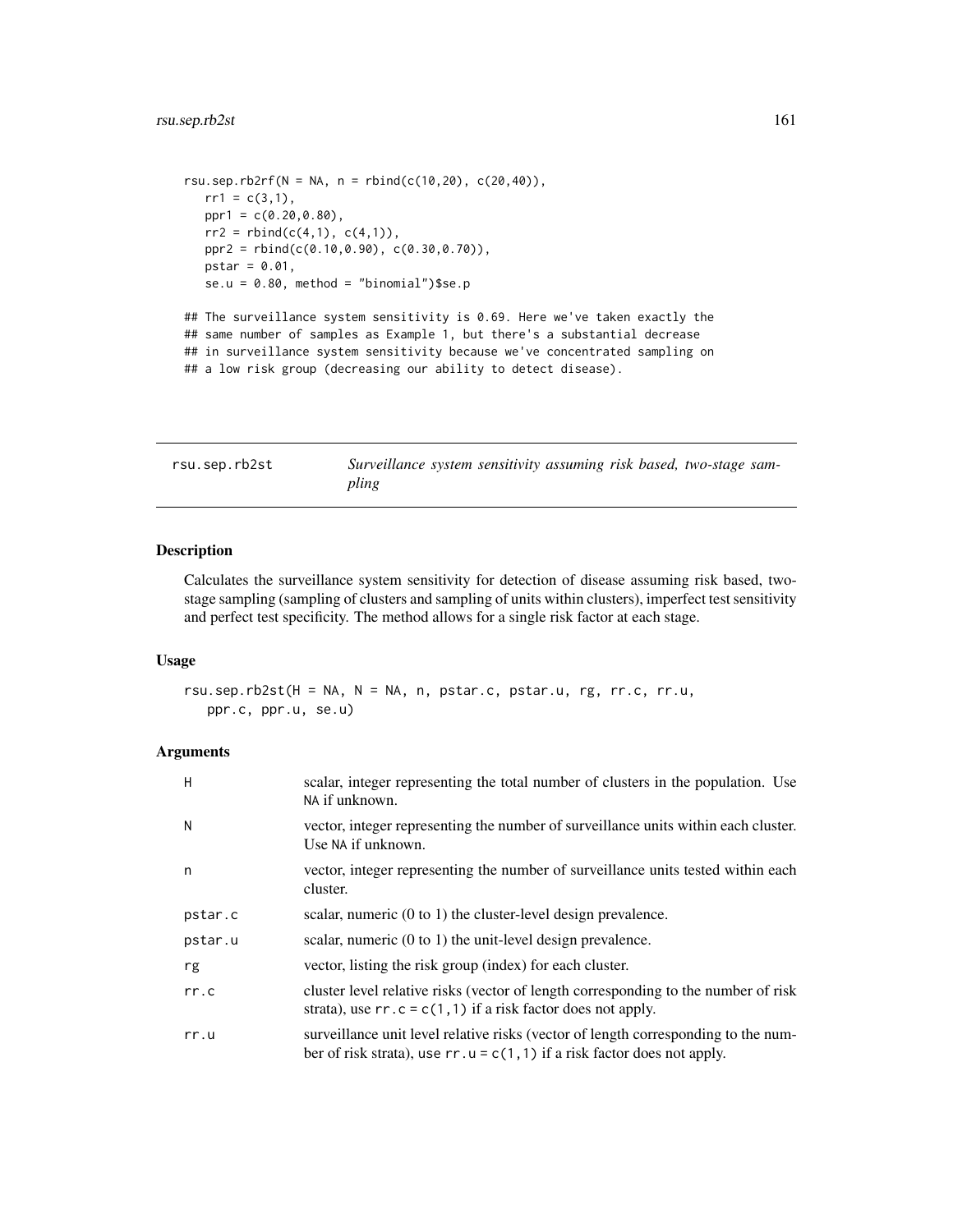```
rsu.sep.rb2rf(N = NA, n = rbind(c(10,20), c(20,40)),
  rr1 = c(3,1),ppr1 = c(0.20, 0.80),
  rr2 = rbind(c(4,1), c(4,1)),ppr2 = rbind(c(0.10,0.90), c(0.30,0.70)),
  pstar = 0.01,
  se.u = 0.80, method = "binomial")$se.p
## The surveillance system sensitivity is 0.69. Here we've taken exactly the
```
## same number of samples as Example 1, but there's a substantial decrease ## in surveillance system sensitivity because we've concentrated sampling on

## a low risk group (decreasing our ability to detect disease).

rsu.sep.rb2st *Surveillance system sensitivity assuming risk based, two-stage sampling*

# Description

Calculates the surveillance system sensitivity for detection of disease assuming risk based, twostage sampling (sampling of clusters and sampling of units within clusters), imperfect test sensitivity and perfect test specificity. The method allows for a single risk factor at each stage.

#### Usage

```
rsu.sep.rb2st(H = NA, N = NA, n, pstar.c, pstar.u, rg, rr.c, rr.u,
  ppr.c, ppr.u, se.u)
```

| H       | scalar, integer representing the total number of clusters in the population. Use<br>NA if unknown.                                                               |
|---------|------------------------------------------------------------------------------------------------------------------------------------------------------------------|
| N       | vector, integer representing the number of surveillance units within each cluster.<br>Use NA if unknown.                                                         |
| n       | vector, integer representing the number of surveillance units tested within each<br>cluster.                                                                     |
| pstar.c | scalar, numeric $(0 \text{ to } 1)$ the cluster-level design prevalence.                                                                                         |
| pstar.u | scalar, numeric $(0 \text{ to } 1)$ the unit-level design prevalence.                                                                                            |
| rg      | vector, listing the risk group (index) for each cluster.                                                                                                         |
| rr.c    | cluster level relative risks (vector of length corresponding to the number of risk<br>strata), use $rr \cdot c = c(1, 1)$ if a risk factor does not apply.       |
| rr.u    | surveillance unit level relative risks (vector of length corresponding to the num-<br>ber of risk strata), use $rr.u = c(1, 1)$ if a risk factor does not apply. |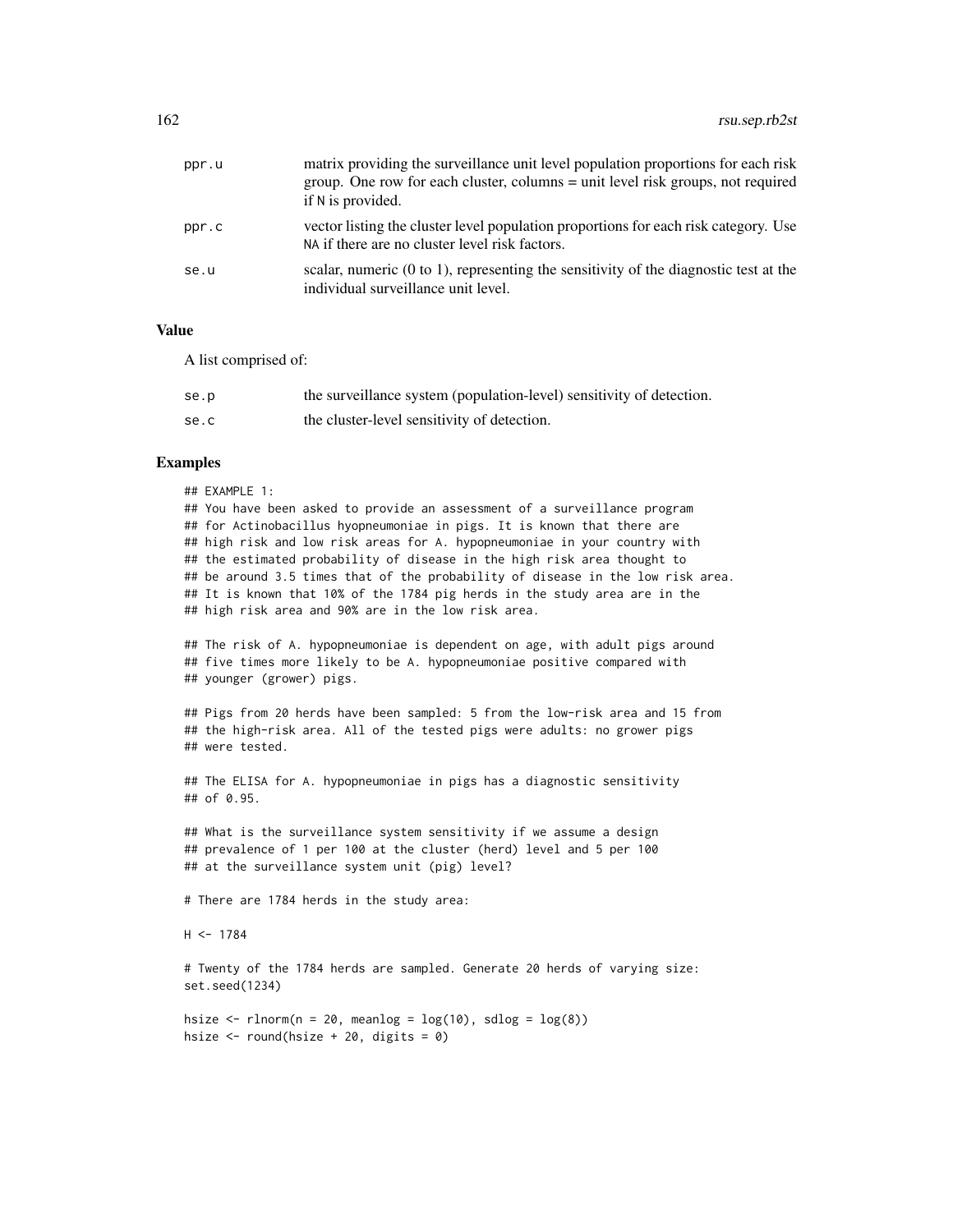| ppr.u | matrix providing the surveillance unit level population proportions for each risk<br>group. One row for each cluster, columns = unit level risk groups, not required<br>if N is provided. |
|-------|-------------------------------------------------------------------------------------------------------------------------------------------------------------------------------------------|
| ppr.c | vector listing the cluster level population proportions for each risk category. Use<br>NA if there are no cluster level risk factors.                                                     |
| se.u  | scalar, numeric $(0 \text{ to } 1)$ , representing the sensitivity of the diagnostic test at the<br>individual surveillance unit level.                                                   |

### Value

A list comprised of:

| se.p | the surveillance system (population-level) sensitivity of detection. |
|------|----------------------------------------------------------------------|
| se.c | the cluster-level sensitivity of detection.                          |

#### Examples

## EXAMPLE 1:

## You have been asked to provide an assessment of a surveillance program ## for Actinobacillus hyopneumoniae in pigs. It is known that there are ## high risk and low risk areas for A. hypopneumoniae in your country with ## the estimated probability of disease in the high risk area thought to ## be around 3.5 times that of the probability of disease in the low risk area. ## It is known that 10% of the 1784 pig herds in the study area are in the ## high risk area and 90% are in the low risk area.

## The risk of A. hypopneumoniae is dependent on age, with adult pigs around ## five times more likely to be A. hypopneumoniae positive compared with ## younger (grower) pigs.

## Pigs from 20 herds have been sampled: 5 from the low-risk area and 15 from ## the high-risk area. All of the tested pigs were adults: no grower pigs ## were tested.

## The ELISA for A. hypopneumoniae in pigs has a diagnostic sensitivity ## of 0.95.

## What is the surveillance system sensitivity if we assume a design ## prevalence of 1 per 100 at the cluster (herd) level and 5 per 100 ## at the surveillance system unit (pig) level?

# There are 1784 herds in the study area:

 $H < -1784$ 

# Twenty of the 1784 herds are sampled. Generate 20 herds of varying size: set.seed(1234)

hsize  $\le$  rlnorm(n = 20, meanlog =  $\log(10)$ , sdlog =  $\log(8)$ ) hsize  $\le$  round(hsize + 20, digits = 0)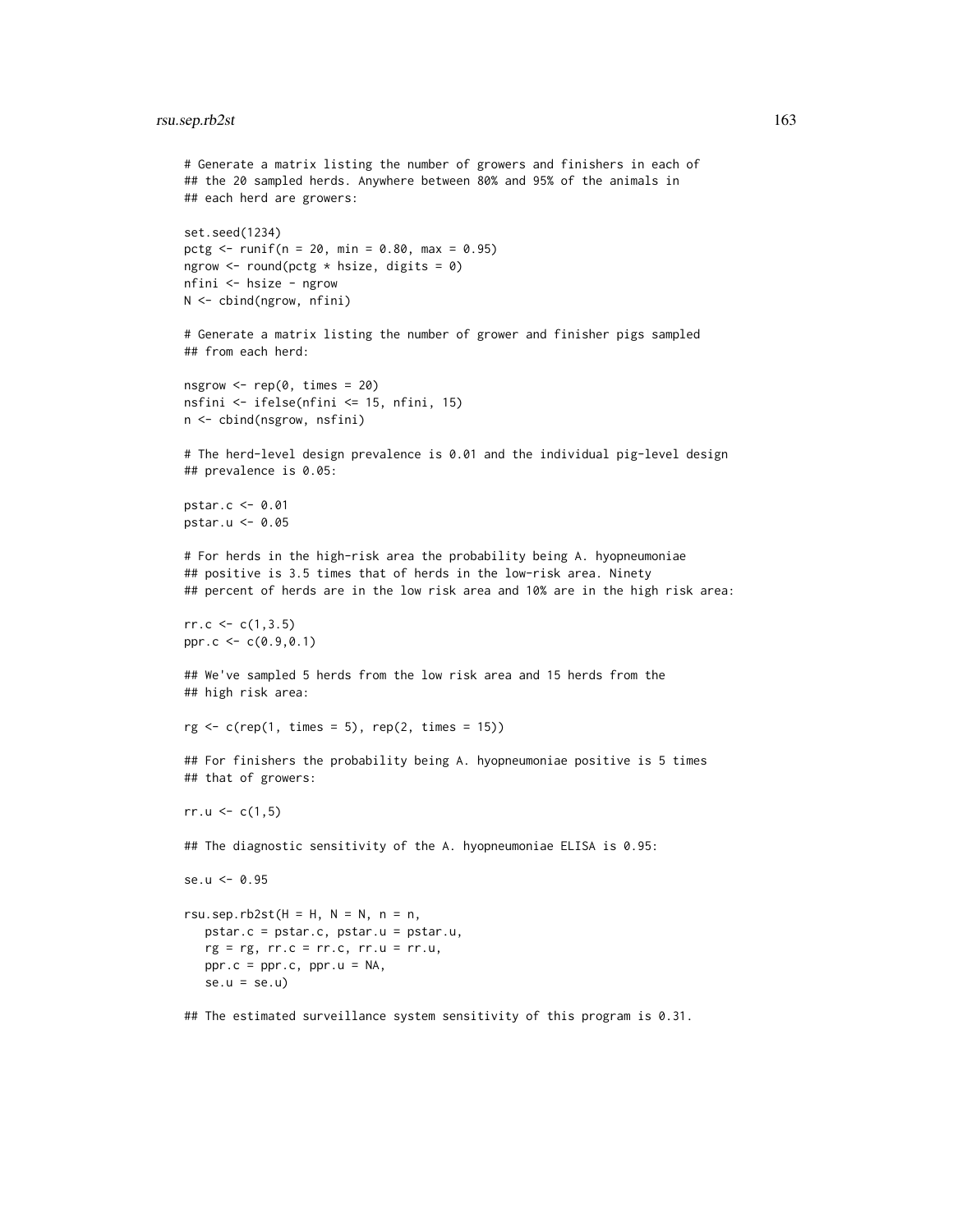```
# Generate a matrix listing the number of growers and finishers in each of
## the 20 sampled herds. Anywhere between 80% and 95% of the animals in
## each herd are growers:
set.seed(1234)
pctg <- runif(n = 20, min = 0.80, max = 0.95)ngrow \le round(pctg * hsize, digits = 0)
nfini <- hsize - ngrow
N <- cbind(ngrow, nfini)
# Generate a matrix listing the number of grower and finisher pigs sampled
## from each herd:
nsgrow \leq rep(0, times = 20)
nsfini <- ifelse(nfini <= 15, nfini, 15)
n <- cbind(nsgrow, nsfini)
# The herd-level design prevalence is 0.01 and the individual pig-level design
## prevalence is 0.05:
pstar.c <- 0.01
pstar.u <- 0.05
# For herds in the high-risk area the probability being A. hyopneumoniae
## positive is 3.5 times that of herds in the low-risk area. Ninety
## percent of herds are in the low risk area and 10% are in the high risk area:
rr.c \leq c(1,3.5)ppr.c <- c(0.9,0.1)
## We've sampled 5 herds from the low risk area and 15 herds from the
## high risk area:
rg \leftarrow c(rep(1, times = 5), rep(2, times = 15))## For finishers the probability being A. hyopneumoniae positive is 5 times
## that of growers:
rr.u < c(1,5)## The diagnostic sensitivity of the A. hyopneumoniae ELISA is 0.95:
se.u <- 0.95
rsu.sep.rb2st(H = H, N = N, n = n,
   pstar.c = pstar.c, pstar.u = pstar.u,
   rg = rg, rr.c = rr.c, rr.u = rr.u,ppr.c = ppr.c, ppr.u = NA,
   se.u = se.u)
## The estimated surveillance system sensitivity of this program is 0.31.
```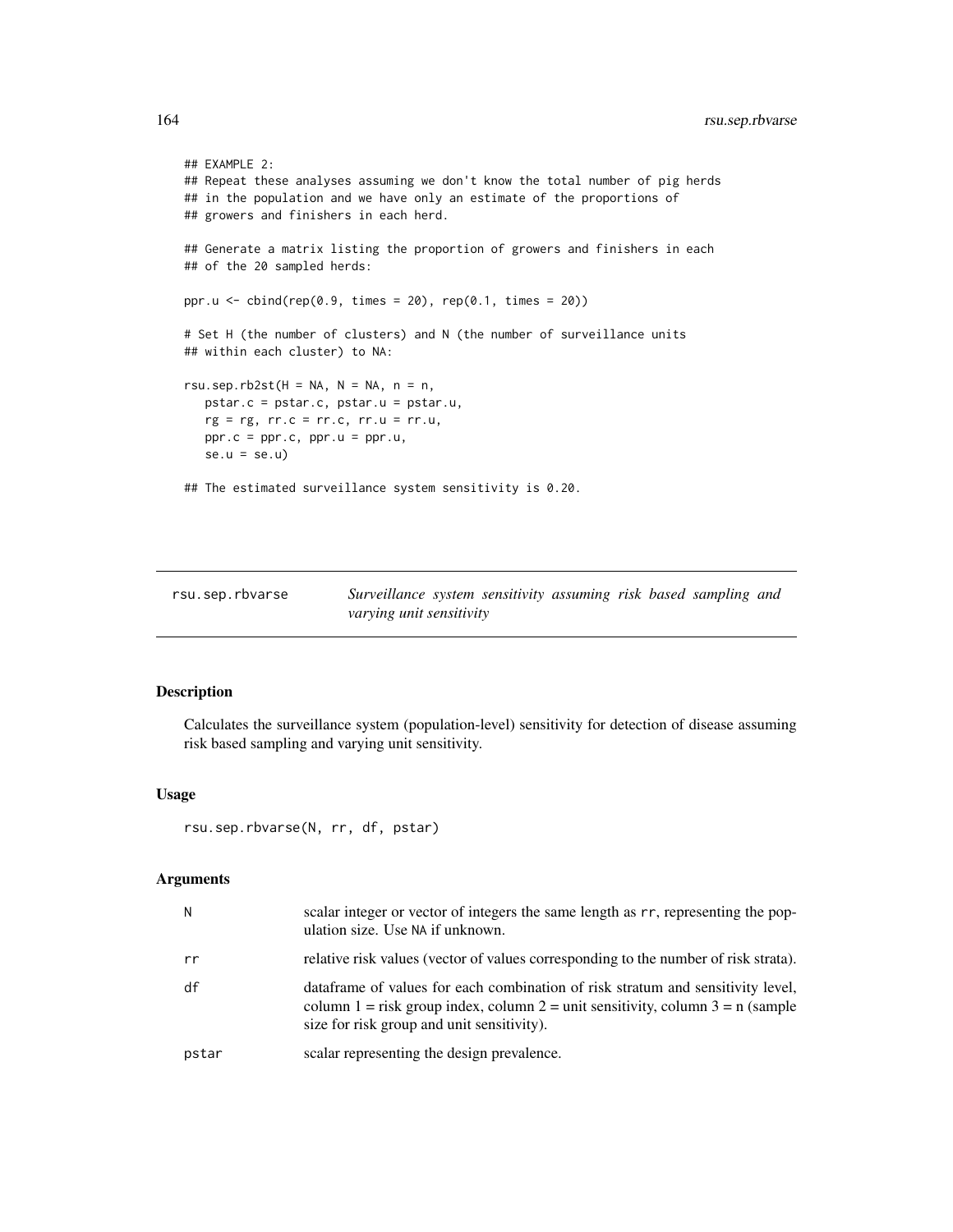```
## EXAMPLE 2:
## Repeat these analyses assuming we don't know the total number of pig herds
## in the population and we have only an estimate of the proportions of
## growers and finishers in each herd.
## Generate a matrix listing the proportion of growers and finishers in each
## of the 20 sampled herds:
ppr.u <- \text{cbind}(\text{rep}(0.9, \text{ times} = 20), \text{rep}(0.1, \text{ times} = 20))# Set H (the number of clusters) and N (the number of surveillance units
## within each cluster) to NA:
rsu.sep.rb2st(H = NA, N = NA, n = n,
   pstar.c = pstar.c, pstar.u = pstar.u,
   rg = rg, rr.c = rr.c, rr.u = rr.u,ppr.c = ppr.c, ppr.u = ppr.u,
   se.u = se.u)
## The estimated surveillance system sensitivity is 0.20.
```

| rsu.sep.rbvarse | Surveillance system sensitivity assuming risk based sampling and |  |  |  |  |
|-----------------|------------------------------------------------------------------|--|--|--|--|
|                 | varying unit sensitivity                                         |  |  |  |  |

# Description

Calculates the surveillance system (population-level) sensitivity for detection of disease assuming risk based sampling and varying unit sensitivity.

# Usage

```
rsu.sep.rbvarse(N, rr, df, pstar)
```

| N     | scalar integer or vector of integers the same length as rr, representing the pop-<br>ulation size. Use NA if unknown.                                                                                              |
|-------|--------------------------------------------------------------------------------------------------------------------------------------------------------------------------------------------------------------------|
| rr    | relative risk values (vector of values corresponding to the number of risk strata).                                                                                                                                |
| df    | data frame of values for each combination of risk stratum and sensitivity level,<br>column 1 = risk group index, column 2 = unit sensitivity, column $3 = n$ (sample<br>size for risk group and unit sensitivity). |
| pstar | scalar representing the design prevalence.                                                                                                                                                                         |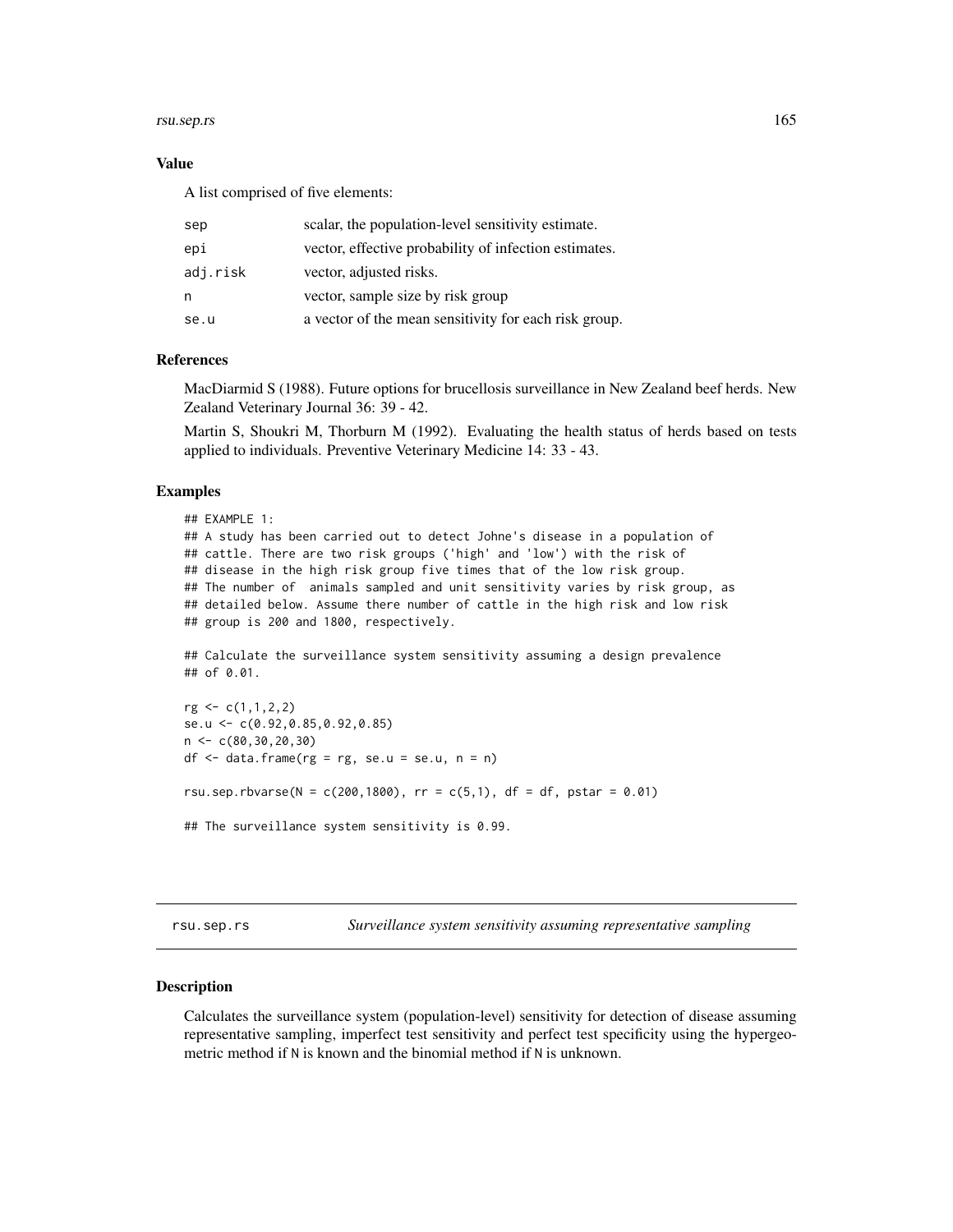#### rsu.sep.rs 165

#### Value

A list comprised of five elements:

| sep      | scalar, the population-level sensitivity estimate.    |
|----------|-------------------------------------------------------|
| epi      | vector, effective probability of infection estimates. |
| adj.risk | vector, adjusted risks.                               |
| n        | vector, sample size by risk group                     |
| se.u     | a vector of the mean sensitivity for each risk group. |

## References

MacDiarmid S (1988). Future options for brucellosis surveillance in New Zealand beef herds. New Zealand Veterinary Journal 36: 39 - 42.

Martin S, Shoukri M, Thorburn M (1992). Evaluating the health status of herds based on tests applied to individuals. Preventive Veterinary Medicine 14: 33 - 43.

#### Examples

```
## EXAMPLE 1:
## A study has been carried out to detect Johne's disease in a population of
## cattle. There are two risk groups ('high' and 'low') with the risk of
## disease in the high risk group five times that of the low risk group.
## The number of animals sampled and unit sensitivity varies by risk group, as
## detailed below. Assume there number of cattle in the high risk and low risk
## group is 200 and 1800, respectively.
## Calculate the surveillance system sensitivity assuming a design prevalence
## of 0.01.
rg <- c(1,1,2,2)
se.u <- c(0.92,0.85,0.92,0.85)
n <- c(80,30,20,30)
df <- data.frame(rg = rg, se.u = se.u, n = n)
rsu.sep.rbvarse(N = c(200, 1800), rr = c(5, 1), df = df, pstar = 0.01)
```

```
## The surveillance system sensitivity is 0.99.
```
rsu.sep.rs *Surveillance system sensitivity assuming representative sampling*

# Description

Calculates the surveillance system (population-level) sensitivity for detection of disease assuming representative sampling, imperfect test sensitivity and perfect test specificity using the hypergeometric method if N is known and the binomial method if N is unknown.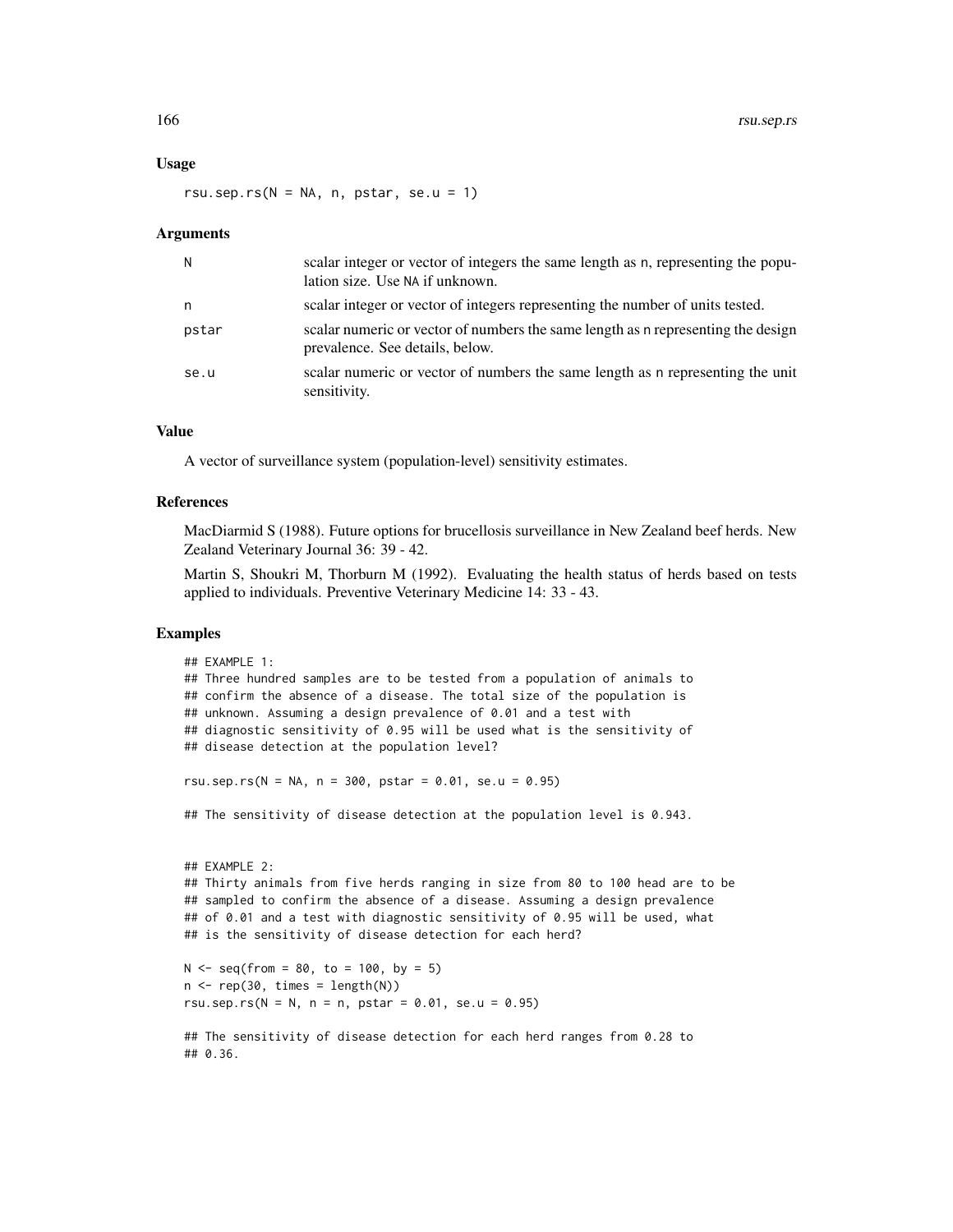#### Usage

rsu.sep.rs( $N = NA$ , n, pstar, se.u = 1)

#### **Arguments**

| N     | scalar integer or vector of integers the same length as n, representing the popu-<br>lation size. Use NA if unknown. |
|-------|----------------------------------------------------------------------------------------------------------------------|
| n     | scalar integer or vector of integers representing the number of units tested.                                        |
| pstar | scalar numeric or vector of numbers the same length as a representing the design<br>prevalence. See details, below.  |
| se.u  | scalar numeric or vector of numbers the same length as n representing the unit<br>sensitivity.                       |

## Value

A vector of surveillance system (population-level) sensitivity estimates.

### References

MacDiarmid S (1988). Future options for brucellosis surveillance in New Zealand beef herds. New Zealand Veterinary Journal 36: 39 - 42.

Martin S, Shoukri M, Thorburn M (1992). Evaluating the health status of herds based on tests applied to individuals. Preventive Veterinary Medicine 14: 33 - 43.

## Examples

```
## EXAMPLE 1:
## Three hundred samples are to be tested from a population of animals to
## confirm the absence of a disease. The total size of the population is
## unknown. Assuming a design prevalence of 0.01 and a test with
## diagnostic sensitivity of 0.95 will be used what is the sensitivity of
## disease detection at the population level?
rsu.sep.rs(N = NA, n = 300, pstar = 0.01, se.u = 0.95)
## The sensitivity of disease detection at the population level is 0.943.
## EXAMPLE 2:
## Thirty animals from five herds ranging in size from 80 to 100 head are to be
## sampled to confirm the absence of a disease. Assuming a design prevalence
## of 0.01 and a test with diagnostic sensitivity of 0.95 will be used, what
## is the sensitivity of disease detection for each herd?
N < - seq(from = 80, to = 100, by = 5)
n \leq -\text{rep}(30, \text{ times} = \text{length}(N))rsu.sep.rs(N = N, n = n, pstar = 0.01, se.u = 0.95)
## The sensitivity of disease detection for each herd ranges from 0.28 to
## 0.36.
```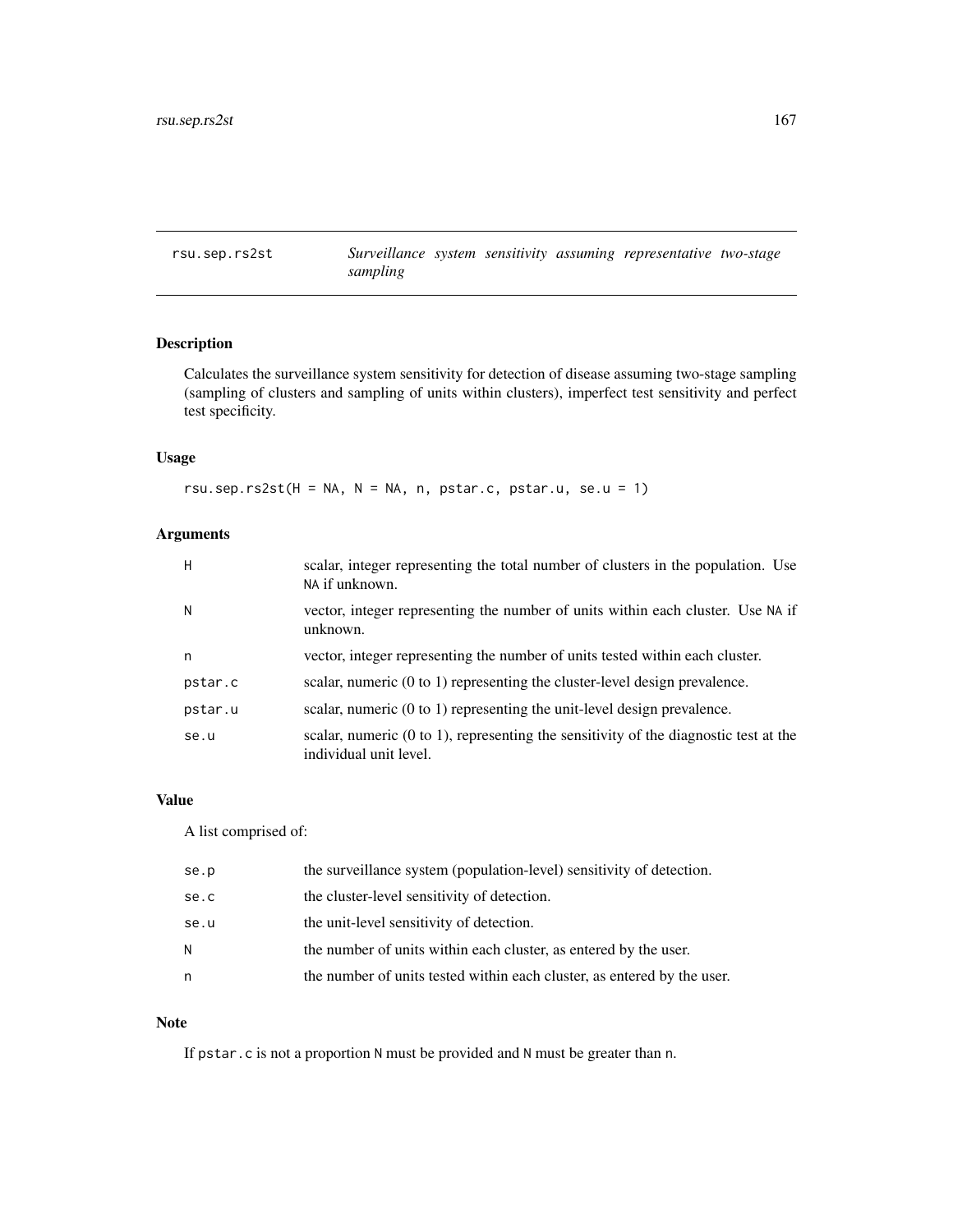rsu.sep.rs2st *Surveillance system sensitivity assuming representative two-stage sampling*

# Description

Calculates the surveillance system sensitivity for detection of disease assuming two-stage sampling (sampling of clusters and sampling of units within clusters), imperfect test sensitivity and perfect test specificity.

# Usage

rsu.sep.rs2st( $H = NA$ ,  $N = NA$ , n, pstar.c, pstar.u, se.u = 1)

# Arguments

| H       | scalar, integer representing the total number of clusters in the population. Use<br>NA if unknown.                         |
|---------|----------------------------------------------------------------------------------------------------------------------------|
| N       | vector, integer representing the number of units within each cluster. Use NA if<br>unknown.                                |
| n       | vector, integer representing the number of units tested within each cluster.                                               |
| pstar.c | scalar, numeric $(0 \text{ to } 1)$ representing the cluster-level design prevalence.                                      |
| pstar.u | scalar, numeric (0 to 1) representing the unit-level design prevalence.                                                    |
| se.u    | scalar, numeric $(0 \text{ to } 1)$ , representing the sensitivity of the diagnostic test at the<br>individual unit level. |

# Value

A list comprised of:

| se.p | the surveillance system (population-level) sensitivity of detection.    |
|------|-------------------------------------------------------------------------|
| se.c | the cluster-level sensitivity of detection.                             |
| se.u | the unit-level sensitivity of detection.                                |
| N    | the number of units within each cluster, as entered by the user.        |
| n    | the number of units tested within each cluster, as entered by the user. |

#### Note

If pstar.c is not a proportion N must be provided and N must be greater than n.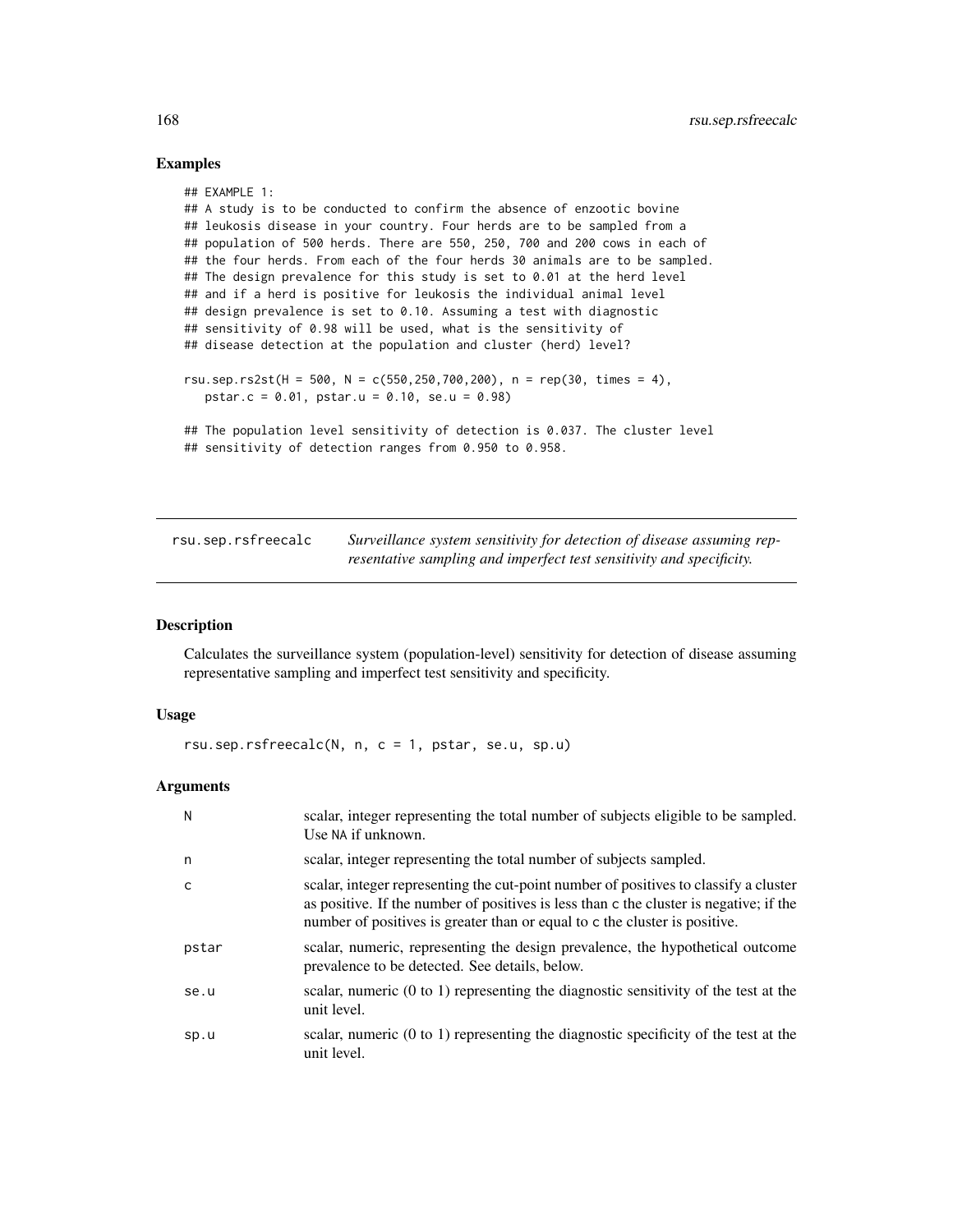## Examples

```
## EXAMPLE 1:
## A study is to be conducted to confirm the absence of enzootic bovine
## leukosis disease in your country. Four herds are to be sampled from a
## population of 500 herds. There are 550, 250, 700 and 200 cows in each of
## the four herds. From each of the four herds 30 animals are to be sampled.
## The design prevalence for this study is set to 0.01 at the herd level
## and if a herd is positive for leukosis the individual animal level
## design prevalence is set to 0.10. Assuming a test with diagnostic
## sensitivity of 0.98 will be used, what is the sensitivity of
## disease detection at the population and cluster (herd) level?
rsu.sep.rs2st(H = 500, N = c(550,250,700,200), n = rep(30, times = 4),
   pstar.c = 0.01, pstar.u = 0.10, se.u = 0.98)
## The population level sensitivity of detection is 0.037. The cluster level
## sensitivity of detection ranges from 0.950 to 0.958.
```

| rsu.sep.rsfreecalc | Surveillance system sensitivity for detection of disease assuming rep- |
|--------------------|------------------------------------------------------------------------|
|                    | resentative sampling and imperfect test sensitivity and specificity.   |

# Description

Calculates the surveillance system (population-level) sensitivity for detection of disease assuming representative sampling and imperfect test sensitivity and specificity.

#### Usage

rsu.sep.rsfreecalc(N, n, c = 1, pstar, se.u, sp.u)

| N     | scalar, integer representing the total number of subjects eligible to be sampled.<br>Use NA if unknown.                                                                                                                                                      |
|-------|--------------------------------------------------------------------------------------------------------------------------------------------------------------------------------------------------------------------------------------------------------------|
| n     | scalar, integer representing the total number of subjects sampled.                                                                                                                                                                                           |
|       | scalar, integer representing the cut-point number of positives to classify a cluster<br>as positive. If the number of positives is less than c the cluster is negative; if the<br>number of positives is greater than or equal to c the cluster is positive. |
| pstar | scalar, numeric, representing the design prevalence, the hypothetical outcome<br>prevalence to be detected. See details, below.                                                                                                                              |
| se.u  | scalar, numeric $(0 \text{ to } 1)$ representing the diagnostic sensitivity of the test at the<br>unit level.                                                                                                                                                |
| sp.u  | scalar, numeric $(0 \text{ to } 1)$ representing the diagnostic specificity of the test at the<br>unit level.                                                                                                                                                |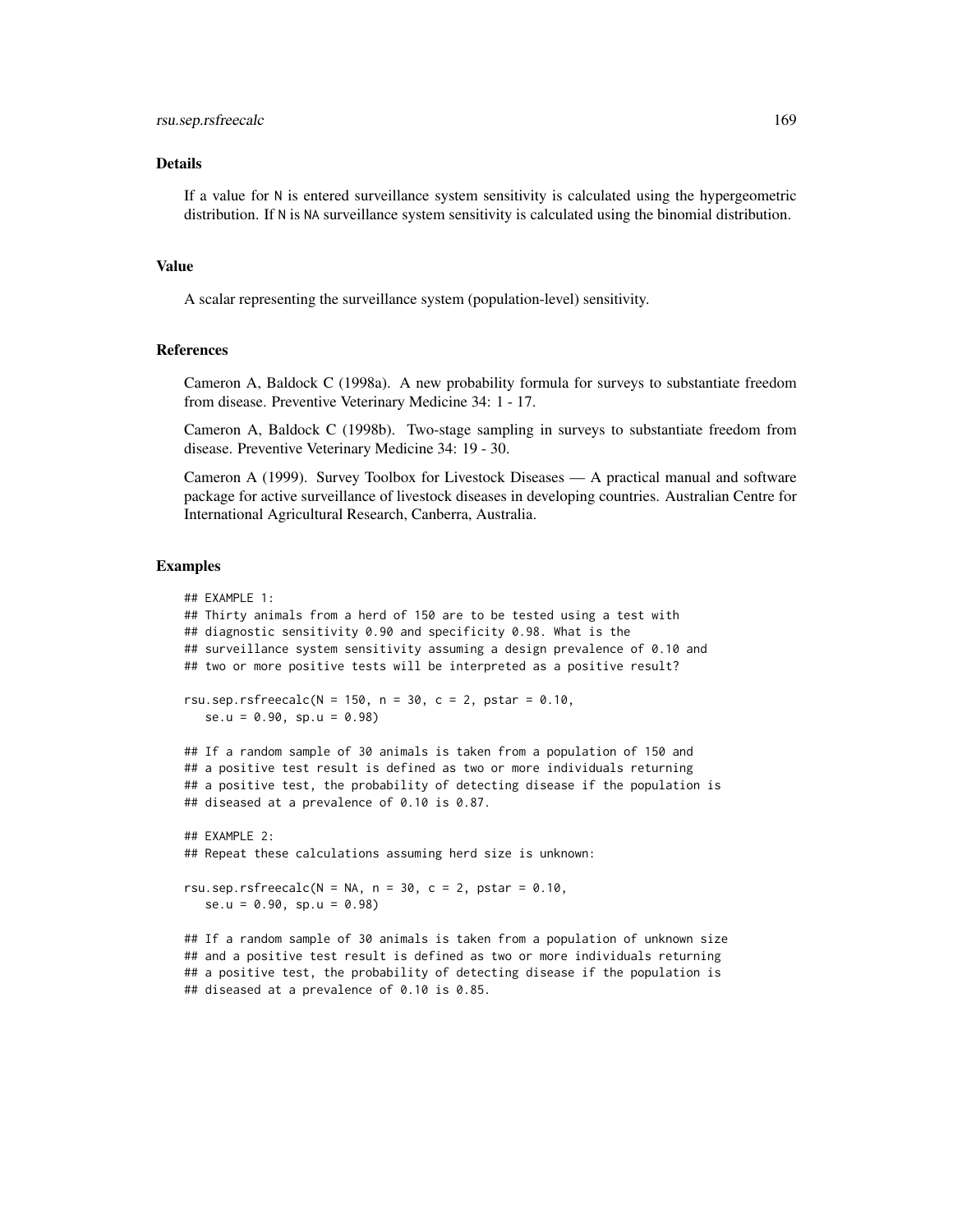#### rsu.sep.rsfreecalc 169

#### Details

If a value for N is entered surveillance system sensitivity is calculated using the hypergeometric distribution. If N is NA surveillance system sensitivity is calculated using the binomial distribution.

### Value

A scalar representing the surveillance system (population-level) sensitivity.

# References

Cameron A, Baldock C (1998a). A new probability formula for surveys to substantiate freedom from disease. Preventive Veterinary Medicine 34: 1 - 17.

Cameron A, Baldock C (1998b). Two-stage sampling in surveys to substantiate freedom from disease. Preventive Veterinary Medicine 34: 19 - 30.

Cameron A (1999). Survey Toolbox for Livestock Diseases — A practical manual and software package for active surveillance of livestock diseases in developing countries. Australian Centre for International Agricultural Research, Canberra, Australia.

## Examples

```
## EXAMPLE 1:
## Thirty animals from a herd of 150 are to be tested using a test with
## diagnostic sensitivity 0.90 and specificity 0.98. What is the
## surveillance system sensitivity assuming a design prevalence of 0.10 and
## two or more positive tests will be interpreted as a positive result?
rsu.sep.rsfreecalc(N = 150, n = 30, c = 2, pstar = 0.10,
   se.u = 0.90, sp.u = 0.98## If a random sample of 30 animals is taken from a population of 150 and
## a positive test result is defined as two or more individuals returning
## a positive test, the probability of detecting disease if the population is
## diseased at a prevalence of 0.10 is 0.87.
## FXAMPLF 2:
## Repeat these calculations assuming herd size is unknown:
rsu.sep.rsfreecalc(N = NA, n = 30, c = 2, pstar = 0.10,
  se.u = 0.90, sp.u = 0.98)
## If a random sample of 30 animals is taken from a population of unknown size
```
## and a positive test result is defined as two or more individuals returning ## a positive test, the probability of detecting disease if the population is ## diseased at a prevalence of 0.10 is 0.85.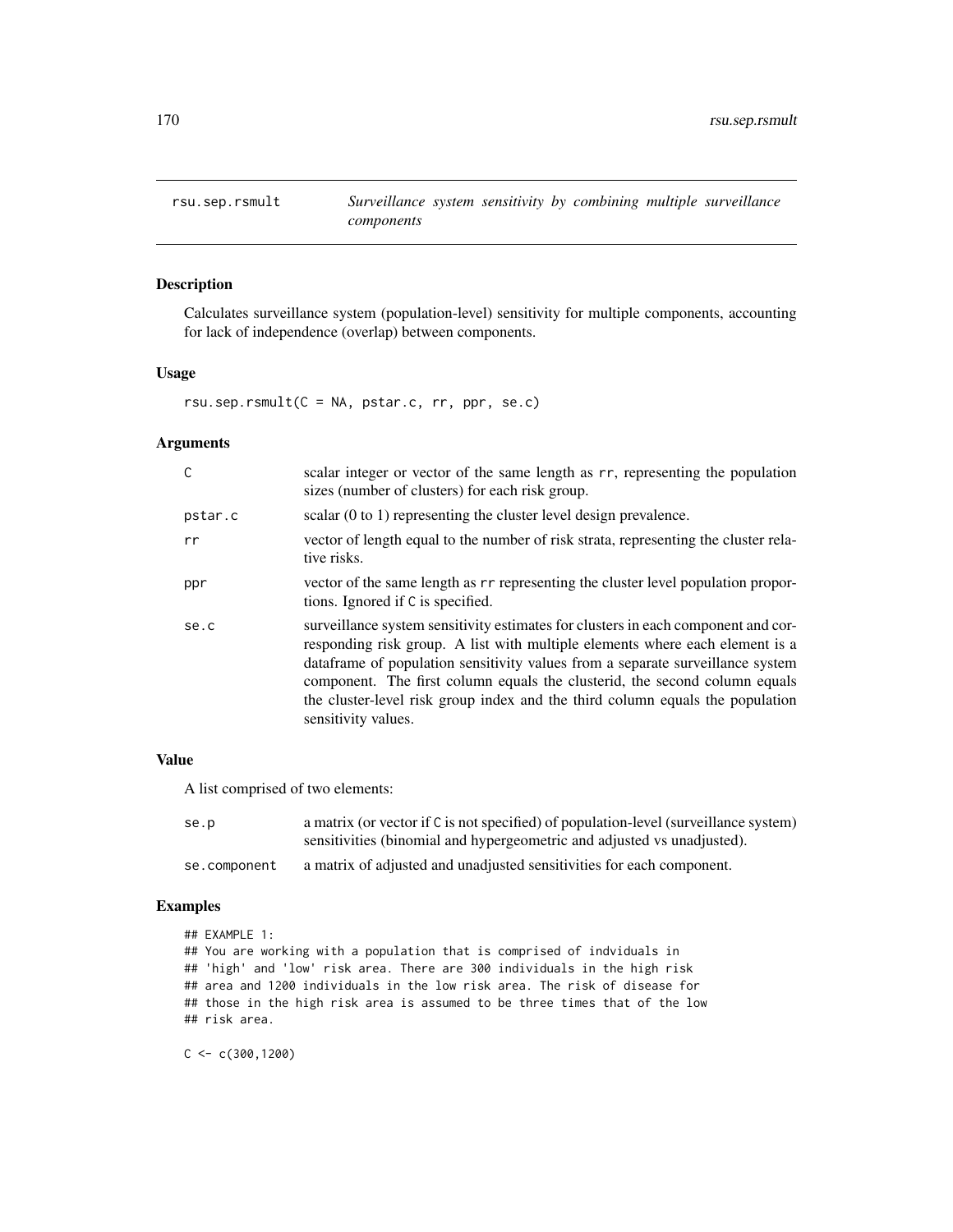# Description

Calculates surveillance system (population-level) sensitivity for multiple components, accounting for lack of independence (overlap) between components.

#### Usage

rsu.sep.rsmult(C = NA, pstar.c, rr, ppr, se.c)

#### Arguments

| C       | scalar integer or vector of the same length as rr, representing the population<br>sizes (number of clusters) for each risk group.                                                                                                                                                                                                                                                                                                         |
|---------|-------------------------------------------------------------------------------------------------------------------------------------------------------------------------------------------------------------------------------------------------------------------------------------------------------------------------------------------------------------------------------------------------------------------------------------------|
| pstar.c | scalar $(0 \text{ to } 1)$ representing the cluster level design prevalence.                                                                                                                                                                                                                                                                                                                                                              |
| rr      | vector of length equal to the number of risk strata, representing the cluster rela-<br>tive risks.                                                                                                                                                                                                                                                                                                                                        |
| ppr     | vector of the same length as r r representing the cluster level population propor-<br>tions. Ignored if C is specified.                                                                                                                                                                                                                                                                                                                   |
| se.c    | surveillance system sensitivity estimates for clusters in each component and cor-<br>responding risk group. A list with multiple elements where each element is a<br>dataframe of population sensitivity values from a separate surveillance system<br>component. The first column equals the clusterid, the second column equals<br>the cluster-level risk group index and the third column equals the population<br>sensitivity values. |

# Value

A list comprised of two elements:

| se.p         | a matrix (or vector if C is not specified) of population-level (surveillance system) |
|--------------|--------------------------------------------------------------------------------------|
|              | sensitivities (binomial and hypergeometric and adjusted vs unadjusted).              |
| se.component | a matrix of adjusted and unadjusted sensitivities for each component.                |

# Examples

```
## EXAMPLE 1:
## You are working with a population that is comprised of indviduals in
## 'high' and 'low' risk area. There are 300 individuals in the high risk
## area and 1200 individuals in the low risk area. The risk of disease for
## those in the high risk area is assumed to be three times that of the low
## risk area.
```
 $C < -c(300, 1200)$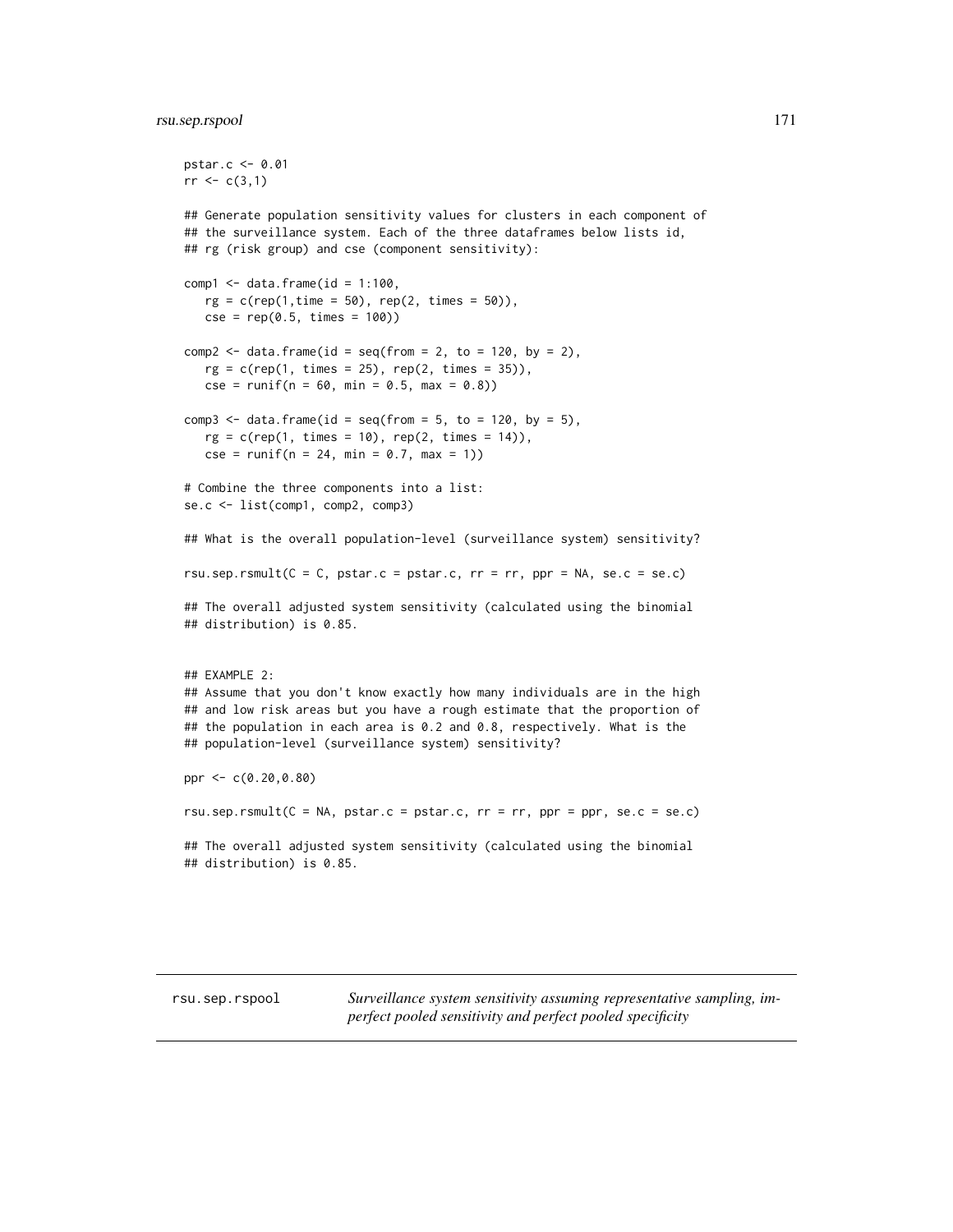# rsu.sep.rspool 171

```
pstar.c <- 0.01
rr < c(3,1)## Generate population sensitivity values for clusters in each component of
## the surveillance system. Each of the three dataframes below lists id,
## rg (risk group) and cse (component sensitivity):
comp1 \leq data.frame(id = 1:100,
   rg = c(rep(1, time = 50), rep(2, times = 50)),cse = rep(0.5, times = 100)comp2 \leq data.frame(id = seq(from = 2, to = 120, by = 2),
   rg = c(rep(1, times = 25), rep(2, times = 35)),cse = runif(n = 60, min = 0.5, max = 0.8)comp3 \le data.frame(id = seq(from = 5, to = 120, by = 5),
   rg = c(rep(1, times = 10), rep(2, times = 14)),cse = runif(n = 24, min = 0.7, max = 1))# Combine the three components into a list:
se.c <- list(comp1, comp2, comp3)
## What is the overall population-level (surveillance system) sensitivity?
rsu.sep.rsmult(C = C, pstar.c = pstar.c, rr = rr, ppr = NA, se.c = se.c)
## The overall adjusted system sensitivity (calculated using the binomial
## distribution) is 0.85.
## EXAMPLE 2:
## Assume that you don't know exactly how many individuals are in the high
## and low risk areas but you have a rough estimate that the proportion of
## the population in each area is 0.2 and 0.8, respectively. What is the
## population-level (surveillance system) sensitivity?
ppr <- c(0.20,0.80)
rsu.sep.rsmult(C = NA, pstar.c = pstar.c, rr = rr, ppr = ppr, se.c = se.c)
## The overall adjusted system sensitivity (calculated using the binomial
## distribution) is 0.85.
```
rsu.sep.rspool *Surveillance system sensitivity assuming representative sampling, imperfect pooled sensitivity and perfect pooled specificity*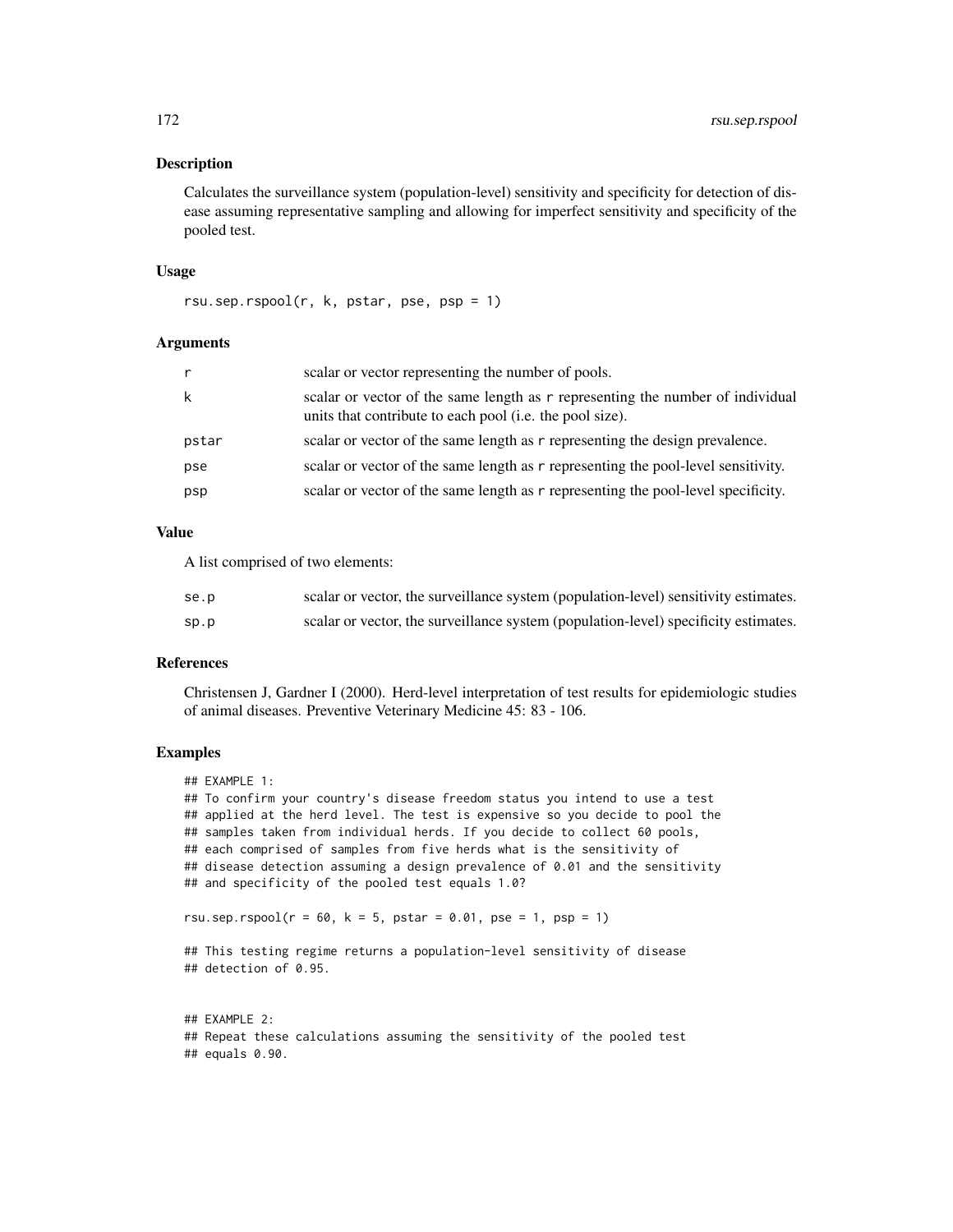#### **Description**

Calculates the surveillance system (population-level) sensitivity and specificity for detection of disease assuming representative sampling and allowing for imperfect sensitivity and specificity of the pooled test.

## Usage

rsu.sep.rspool(r, k, pstar, pse, psp = 1)

# Arguments

| r     | scalar or vector representing the number of pools.                                                                                         |
|-------|--------------------------------------------------------------------------------------------------------------------------------------------|
| k     | scalar or vector of the same length as r representing the number of individual<br>units that contribute to each pool (i.e. the pool size). |
| pstar | scalar or vector of the same length as r representing the design prevalence.                                                               |
| pse   | scalar or vector of the same length as r representing the pool-level sensitivity.                                                          |
| psp   | scalar or vector of the same length as r representing the pool-level specificity.                                                          |

#### Value

A list comprised of two elements:

| se.p | scalar or vector, the surveillance system (population-level) sensitivity estimates. |
|------|-------------------------------------------------------------------------------------|
| sp.p | scalar or vector, the surveillance system (population-level) specificity estimates. |

# References

Christensen J, Gardner I (2000). Herd-level interpretation of test results for epidemiologic studies of animal diseases. Preventive Veterinary Medicine 45: 83 - 106.

# Examples

```
## EXAMPLE 1:
## To confirm your country's disease freedom status you intend to use a test
## applied at the herd level. The test is expensive so you decide to pool the
## samples taken from individual herds. If you decide to collect 60 pools,
## each comprised of samples from five herds what is the sensitivity of
## disease detection assuming a design prevalence of 0.01 and the sensitivity
## and specificity of the pooled test equals 1.0?
rsu.sep.rspool(r = 60, k = 5, pstar = 0.01, pse = 1, psp = 1)
## This testing regime returns a population-level sensitivity of disease
## detection of 0.95.
## EXAMPLE 2:
```
## Repeat these calculations assuming the sensitivity of the pooled test ## equals 0.90.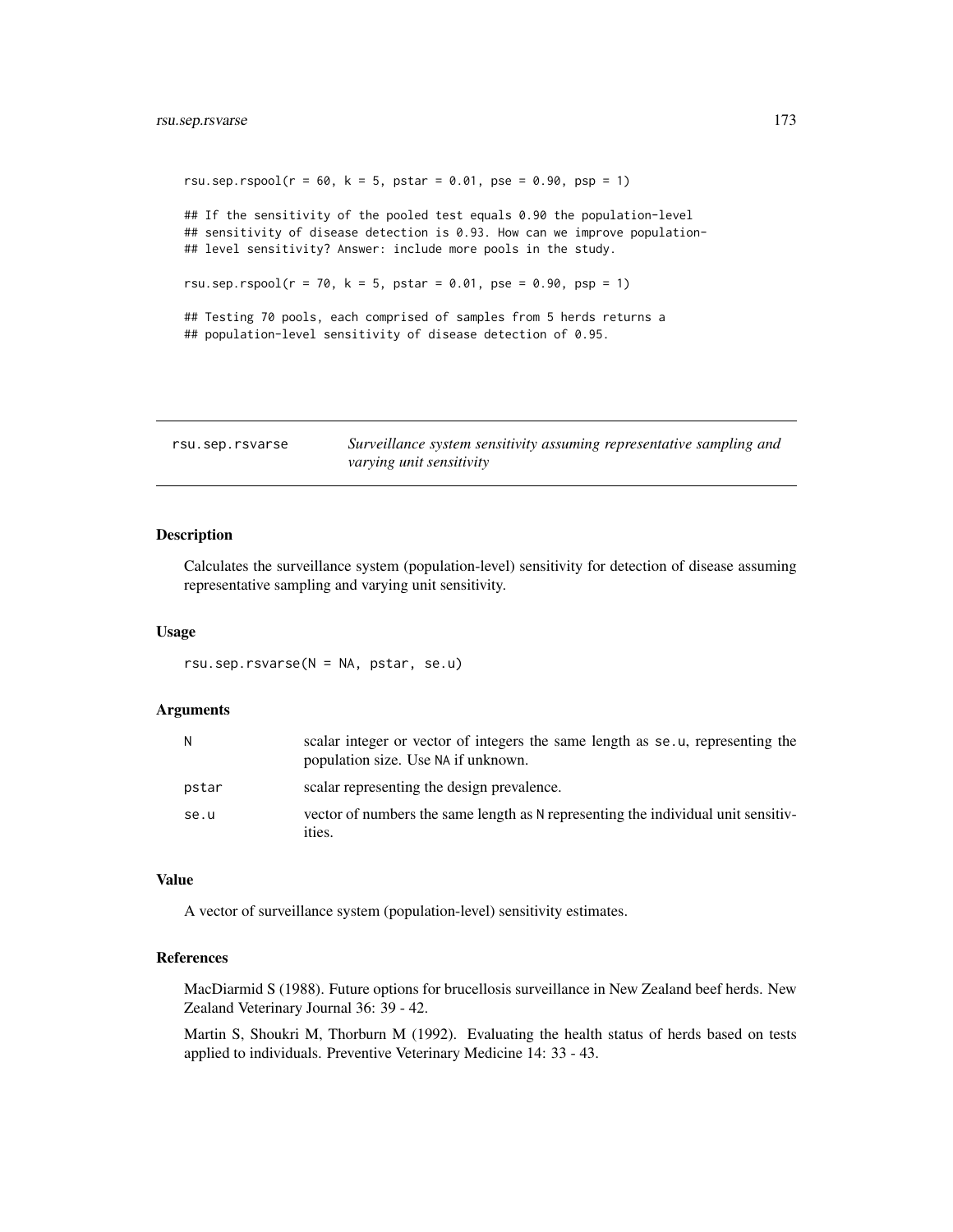```
rsu.sep.rspool(r = 60, k = 5, pstar = 0.01, pse = 0.90, psp = 1)
## If the sensitivity of the pooled test equals 0.90 the population-level
## sensitivity of disease detection is 0.93. How can we improve population-
## level sensitivity? Answer: include more pools in the study.
rsu.sep.rspool(r = 70, k = 5, pstar = 0.01, pse = 0.90, psp = 1)
## Testing 70 pools, each comprised of samples from 5 herds returns a
## population-level sensitivity of disease detection of 0.95.
```

| rsu.sep.rsvarse | Surveillance system sensitivity assuming representative sampling and |
|-----------------|----------------------------------------------------------------------|
|                 | varying unit sensitivity                                             |

# Description

Calculates the surveillance system (population-level) sensitivity for detection of disease assuming representative sampling and varying unit sensitivity.

#### Usage

rsu.sep.rsvarse(N = NA, pstar, se.u)

#### Arguments

| N     | scalar integer or vector of integers the same length as se.u, representing the<br>population size. Use NA if unknown. |
|-------|-----------------------------------------------------------------------------------------------------------------------|
| pstar | scalar representing the design prevalence.                                                                            |
| se.u  | vector of numbers the same length as N representing the individual unit sensitiv-<br>ities.                           |

### Value

A vector of surveillance system (population-level) sensitivity estimates.

# References

MacDiarmid S (1988). Future options for brucellosis surveillance in New Zealand beef herds. New Zealand Veterinary Journal 36: 39 - 42.

Martin S, Shoukri M, Thorburn M (1992). Evaluating the health status of herds based on tests applied to individuals. Preventive Veterinary Medicine 14: 33 - 43.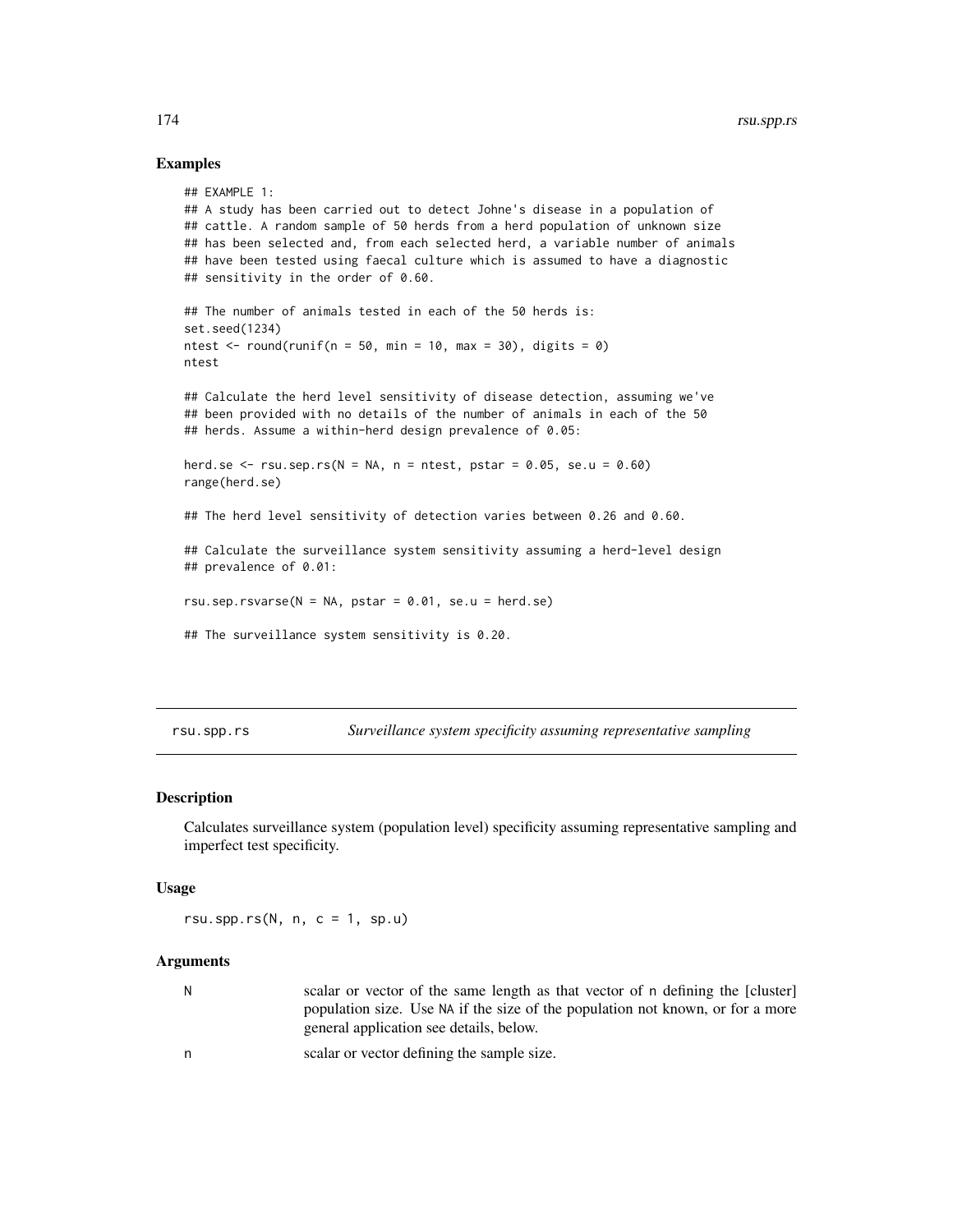## Examples

```
## EXAMPLE 1:
## A study has been carried out to detect Johne's disease in a population of
## cattle. A random sample of 50 herds from a herd population of unknown size
## has been selected and, from each selected herd, a variable number of animals
## have been tested using faecal culture which is assumed to have a diagnostic
## sensitivity in the order of 0.60.
## The number of animals tested in each of the 50 herds is:
set.seed(1234)
ntest \le round(runif(n = 50, min = 10, max = 30), digits = 0)
ntest
## Calculate the herd level sensitivity of disease detection, assuming we've
## been provided with no details of the number of animals in each of the 50
## herds. Assume a within-herd design prevalence of 0.05:
herd.se \leq rsu.sep.rs(N = NA, n = ntest, pstar = 0.05, se.u = 0.60)
range(herd.se)
## The herd level sensitivity of detection varies between 0.26 and 0.60.
## Calculate the surveillance system sensitivity assuming a herd-level design
## prevalence of 0.01:
rsu.sep.rsvarse(N = NA, pstar = 0.01, se.u = herd.se)
## The surveillance system sensitivity is 0.20.
```
rsu.spp.rs *Surveillance system specificity assuming representative sampling*

# **Description**

Calculates surveillance system (population level) specificity assuming representative sampling and imperfect test specificity.

#### Usage

rsu.spp.rs $(N, n, c = 1, sp.u)$ 

# Arguments

| N. | scalar or vector of the same length as that vector of n defining the [cluster] |
|----|--------------------------------------------------------------------------------|
|    | population size. Use NA if the size of the population not known, or for a more |
|    | general application see details, below.                                        |

n scalar or vector defining the sample size.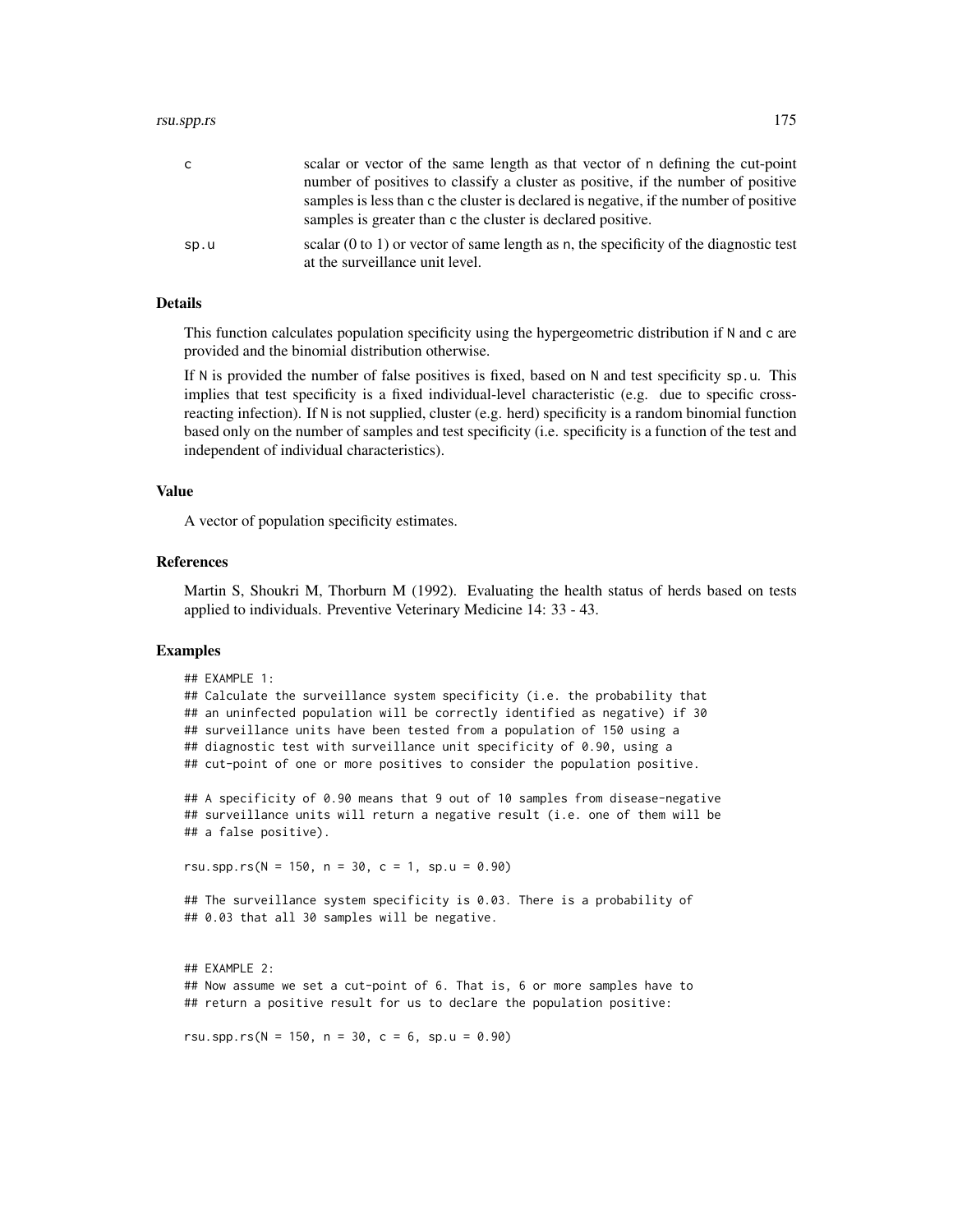#### rsu.spp.rs 175

| C.   | scalar or vector of the same length as that vector of n defining the cut-point                   |
|------|--------------------------------------------------------------------------------------------------|
|      | number of positives to classify a cluster as positive, if the number of positive                 |
|      | samples is less than c the cluster is declared is negative, if the number of positive            |
|      | samples is greater than c the cluster is declared positive.                                      |
| sp.u | scalar $(0 \text{ to } 1)$ or vector of same length as n, the specificity of the diagnostic test |
|      | at the surveillance unit level.                                                                  |

#### Details

This function calculates population specificity using the hypergeometric distribution if N and c are provided and the binomial distribution otherwise.

If N is provided the number of false positives is fixed, based on N and test specificity sp.u. This implies that test specificity is a fixed individual-level characteristic (e.g. due to specific crossreacting infection). If N is not supplied, cluster (e.g. herd) specificity is a random binomial function based only on the number of samples and test specificity (i.e. specificity is a function of the test and independent of individual characteristics).

#### Value

A vector of population specificity estimates.

## References

Martin S, Shoukri M, Thorburn M (1992). Evaluating the health status of herds based on tests applied to individuals. Preventive Veterinary Medicine 14: 33 - 43.

## Examples

```
## EXAMPLE 1:
## Calculate the surveillance system specificity (i.e. the probability that
## an uninfected population will be correctly identified as negative) if 30
## surveillance units have been tested from a population of 150 using a
## diagnostic test with surveillance unit specificity of 0.90, using a
## cut-point of one or more positives to consider the population positive.
## A specificity of 0.90 means that 9 out of 10 samples from disease-negative
## surveillance units will return a negative result (i.e. one of them will be
## a false positive).
rsu.spp.rs(N = 150, n = 30, c = 1, sp.u = 0.90)
## The surveillance system specificity is 0.03. There is a probability of
## 0.03 that all 30 samples will be negative.
## EXAMPLE 2:
## Now assume we set a cut-point of 6. That is, 6 or more samples have to
## return a positive result for us to declare the population positive:
rsu.spp.rs(N = 150, n = 30, c = 6, sp.u = 0.90)
```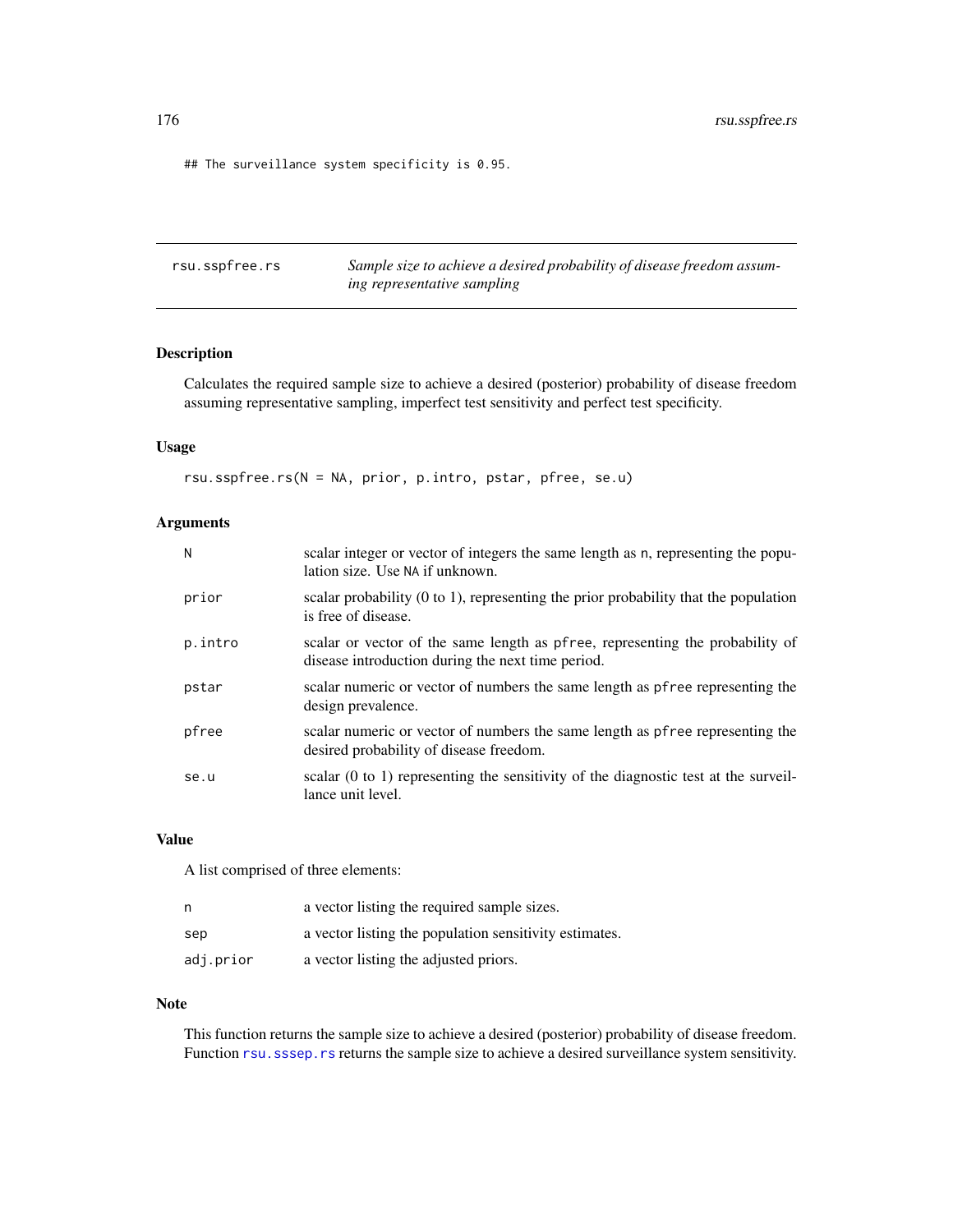## The surveillance system specificity is 0.95.

rsu.sspfree.rs *Sample size to achieve a desired probability of disease freedom assuming representative sampling*

# Description

Calculates the required sample size to achieve a desired (posterior) probability of disease freedom assuming representative sampling, imperfect test sensitivity and perfect test specificity.

#### Usage

rsu.sspfree.rs(N = NA, prior, p.intro, pstar, pfree, se.u)

# Arguments

| N       | scalar integer or vector of integers the same length as n, representing the popu-<br>lation size. Use NA if unknown.               |
|---------|------------------------------------------------------------------------------------------------------------------------------------|
| prior   | scalar probability $(0 \text{ to } 1)$ , representing the prior probability that the population<br>is free of disease.             |
| p.intro | scalar or vector of the same length as pfree, representing the probability of<br>disease introduction during the next time period. |
| pstar   | scalar numeric or vector of numbers the same length as pfree representing the<br>design prevalence.                                |
| pfree   | scalar numeric or vector of numbers the same length as pfree representing the<br>desired probability of disease freedom.           |
| se.u    | scalar $(0 \text{ to } 1)$ representing the sensitivity of the diagnostic test at the surveil-<br>lance unit level.                |

# Value

A list comprised of three elements:

| n         | a vector listing the required sample sizes.            |
|-----------|--------------------------------------------------------|
| sep       | a vector listing the population sensitivity estimates. |
| adj.prior | a vector listing the adjusted priors.                  |

# Note

This function returns the sample size to achieve a desired (posterior) probability of disease freedom. Function rsu. sssep. rs returns the sample size to achieve a desired surveillance system sensitivity.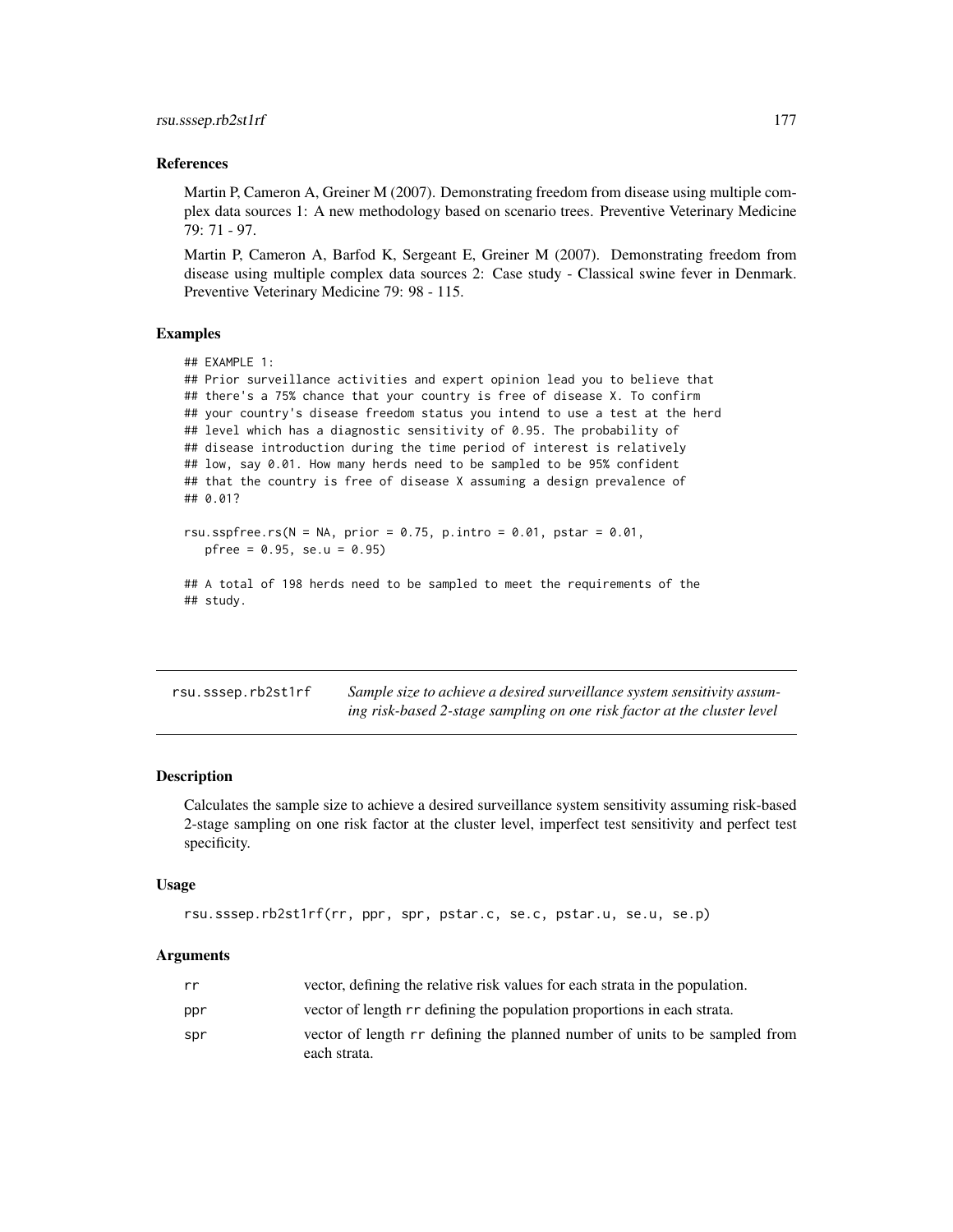## References

Martin P, Cameron A, Greiner M (2007). Demonstrating freedom from disease using multiple complex data sources 1: A new methodology based on scenario trees. Preventive Veterinary Medicine 79: 71 - 97.

Martin P, Cameron A, Barfod K, Sergeant E, Greiner M (2007). Demonstrating freedom from disease using multiple complex data sources 2: Case study - Classical swine fever in Denmark. Preventive Veterinary Medicine 79: 98 - 115.

## Examples

```
## EXAMPLE 1:
## Prior surveillance activities and expert opinion lead you to believe that
## there's a 75% chance that your country is free of disease X. To confirm
## your country's disease freedom status you intend to use a test at the herd
## level which has a diagnostic sensitivity of 0.95. The probability of
## disease introduction during the time period of interest is relatively
## low, say 0.01. How many herds need to be sampled to be 95% confident
## that the country is free of disease X assuming a design prevalence of
## 0.01?
rsu.sspfree.rs(N = NA, prior = 0.75, p.intro = 0.01, pstar = 0.01,
  pfree = 0.95, se.u = 0.95)
## A total of 198 herds need to be sampled to meet the requirements of the
```

| rsu.sssep.rb2st1rf | Sample size to achieve a desired surveillance system sensitivity assum- |
|--------------------|-------------------------------------------------------------------------|
|                    | ing risk-based 2-stage sampling on one risk factor at the cluster level |

#### Description

## study.

Calculates the sample size to achieve a desired surveillance system sensitivity assuming risk-based 2-stage sampling on one risk factor at the cluster level, imperfect test sensitivity and perfect test specificity.

#### Usage

```
rsu.sssep.rb2st1rf(rr, ppr, spr, pstar.c, se.c, pstar.u, se.u, se.p)
```

| rr  | vector, defining the relative risk values for each strata in the population. |
|-----|------------------------------------------------------------------------------|
| ppr | vector of length r rdefining the population proportions in each strata.      |
| spr | vector of length rr defining the planned number of units to be sampled from  |
|     | each strata.                                                                 |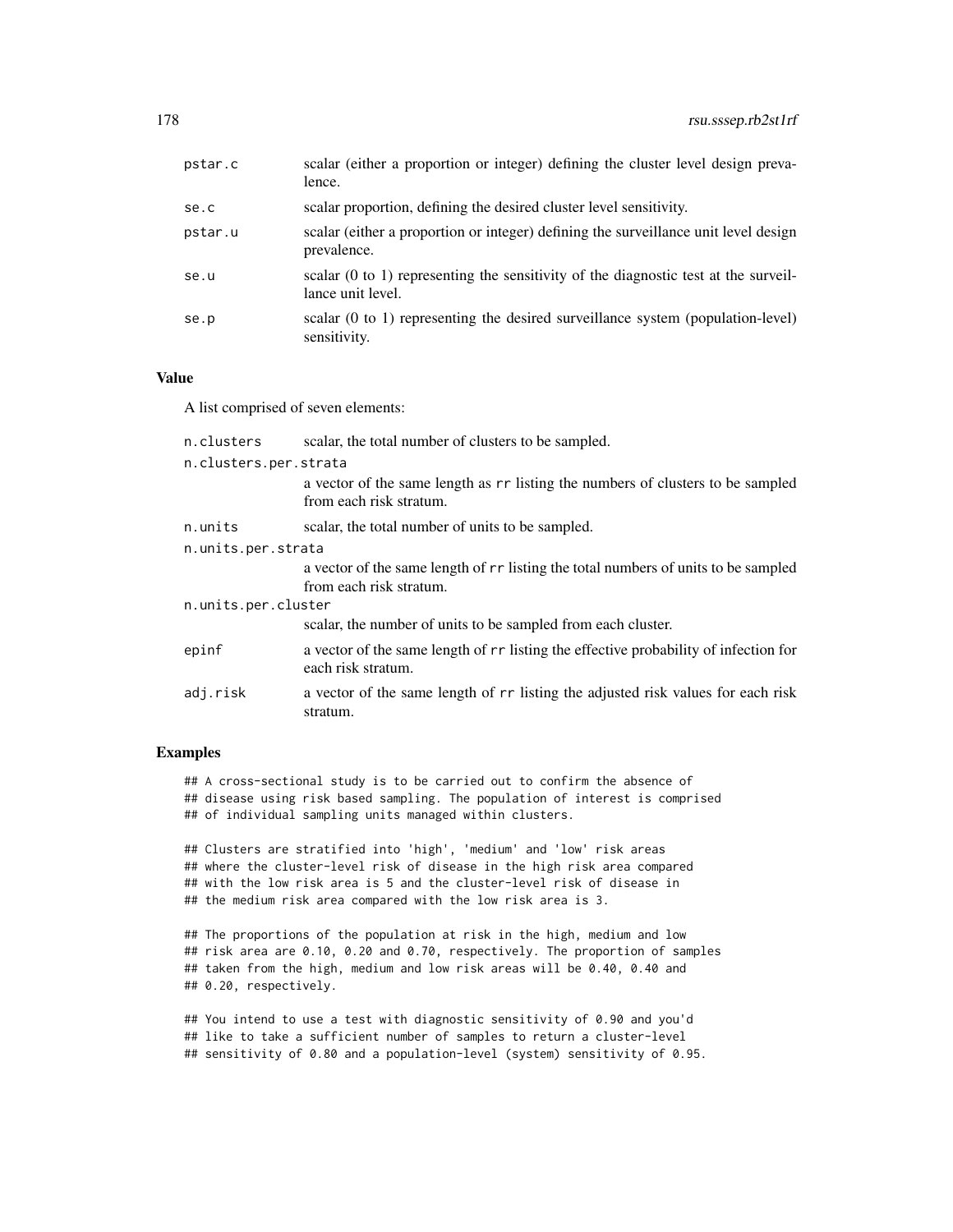| pstar.c | scalar (either a proportion or integer) defining the cluster level design preva-<br>lence.                          |
|---------|---------------------------------------------------------------------------------------------------------------------|
| se.c    | scalar proportion, defining the desired cluster level sensitivity.                                                  |
| pstar.u | scalar (either a proportion or integer) defining the surveillance unit level design<br>prevalence.                  |
| se.u    | scalar $(0 \text{ to } 1)$ representing the sensitivity of the diagnostic test at the surveil-<br>lance unit level. |
| se.p    | scalar (0 to 1) representing the desired surveillance system (population-level)<br>sensitivity.                     |

## Value

A list comprised of seven elements:

| n.clusters          | scalar, the total number of clusters to be sampled.                                                         |  |  |
|---------------------|-------------------------------------------------------------------------------------------------------------|--|--|
|                     | n.clusters.per.strata                                                                                       |  |  |
|                     | a vector of the same length as r r listing the numbers of clusters to be sampled<br>from each risk stratum. |  |  |
| n.units             | scalar, the total number of units to be sampled.                                                            |  |  |
| n.units.per.strata  |                                                                                                             |  |  |
|                     | a vector of the same length of rr listing the total numbers of units to be sampled                          |  |  |
|                     | from each risk stratum.                                                                                     |  |  |
| n.units.per.cluster |                                                                                                             |  |  |
|                     | scalar, the number of units to be sampled from each cluster.                                                |  |  |
| epinf               | a vector of the same length of rr listing the effective probability of infection for<br>each risk stratum.  |  |  |
| adj.risk            | a vector of the same length of r r listing the adjusted risk values for each risk<br>stratum.               |  |  |

# Examples

## A cross-sectional study is to be carried out to confirm the absence of ## disease using risk based sampling. The population of interest is comprised ## of individual sampling units managed within clusters.

## Clusters are stratified into 'high', 'medium' and 'low' risk areas ## where the cluster-level risk of disease in the high risk area compared ## with the low risk area is 5 and the cluster-level risk of disease in ## the medium risk area compared with the low risk area is 3.

## The proportions of the population at risk in the high, medium and low ## risk area are 0.10, 0.20 and 0.70, respectively. The proportion of samples ## taken from the high, medium and low risk areas will be 0.40, 0.40 and ## 0.20, respectively.

## You intend to use a test with diagnostic sensitivity of 0.90 and you'd ## like to take a sufficient number of samples to return a cluster-level ## sensitivity of 0.80 and a population-level (system) sensitivity of 0.95.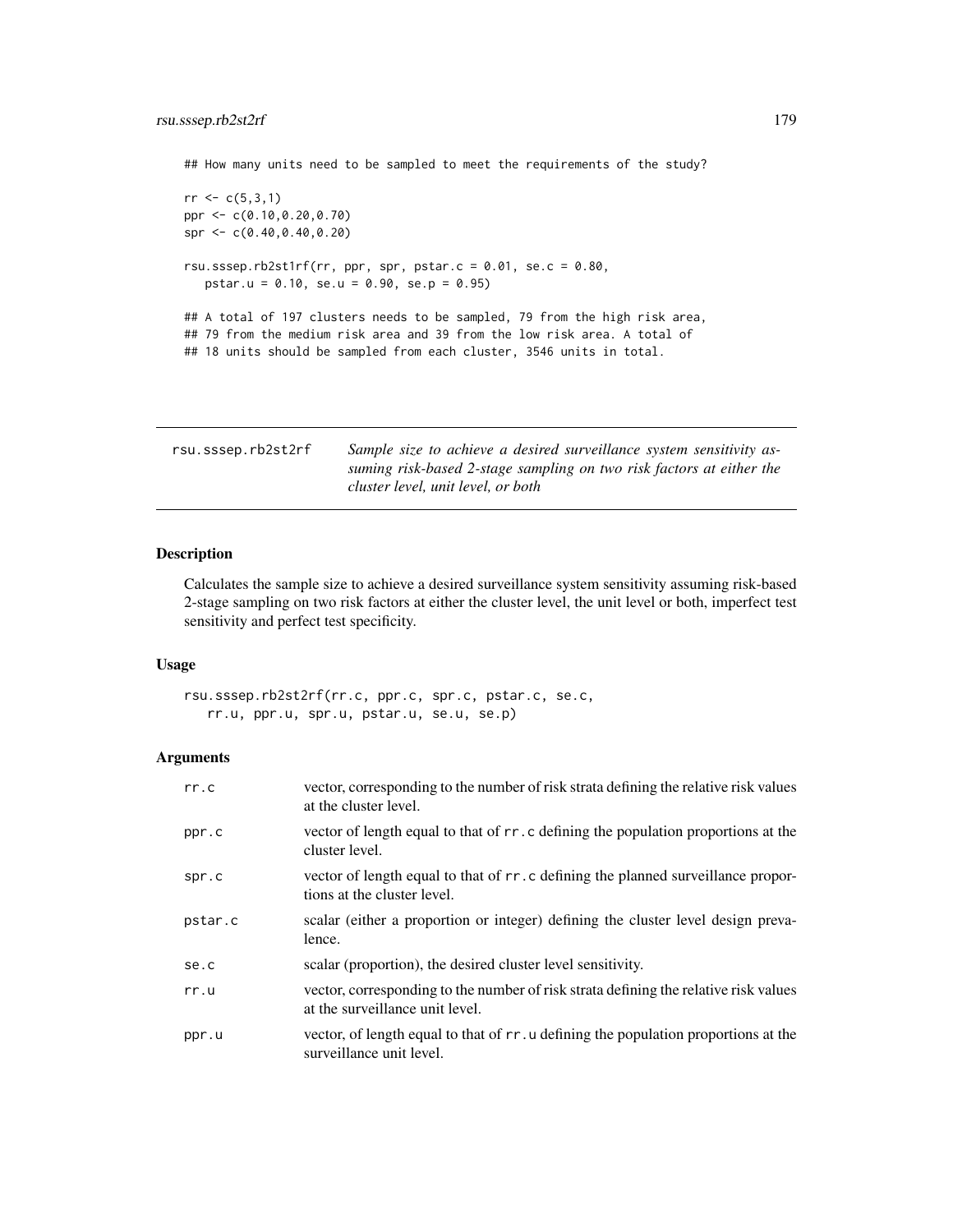## How many units need to be sampled to meet the requirements of the study?

```
rr < c(5,3,1)ppr <- c(0.10,0.20,0.70)
spr <- c(0.40,0.40,0.20)
rsu.sssep.rb2st1rf(rr, ppr, spr, pstar.c = 0.01, se.c = 0.80,
   pstar.u = 0.10, se.u = 0.90, se.p = 0.95)
## A total of 197 clusters needs to be sampled, 79 from the high risk area,
## 79 from the medium risk area and 39 from the low risk area. A total of
## 18 units should be sampled from each cluster, 3546 units in total.
```

| rsu.sssep.rb2st2rf | Sample size to achieve a desired surveillance system sensitivity as- |
|--------------------|----------------------------------------------------------------------|
|                    | suming risk-based 2-stage sampling on two risk factors at either the |
|                    | cluster level, unit level, or both                                   |

## Description

Calculates the sample size to achieve a desired surveillance system sensitivity assuming risk-based 2-stage sampling on two risk factors at either the cluster level, the unit level or both, imperfect test sensitivity and perfect test specificity.

#### Usage

```
rsu.sssep.rb2st2rf(rr.c, ppr.c, spr.c, pstar.c, se.c,
   rr.u, ppr.u, spr.u, pstar.u, se.u, se.p)
```

| rr.c    | vector, corresponding to the number of risk strata defining the relative risk values<br>at the cluster level.           |
|---------|-------------------------------------------------------------------------------------------------------------------------|
| ppr.c   | vector of length equal to that of rr. c defining the population proportions at the<br>cluster level.                    |
| spr.c   | vector of length equal to that of rr.c defining the planned surveillance propor-<br>tions at the cluster level.         |
| pstar.c | scalar (either a proportion or integer) defining the cluster level design preva-<br>lence.                              |
| se.c    | scalar (proportion), the desired cluster level sensitivity.                                                             |
| rr.u    | vector, corresponding to the number of risk strata defining the relative risk values<br>at the surveillance unit level. |
| ppr.u   | vector, of length equal to that of r r. u defining the population proportions at the<br>surveillance unit level.        |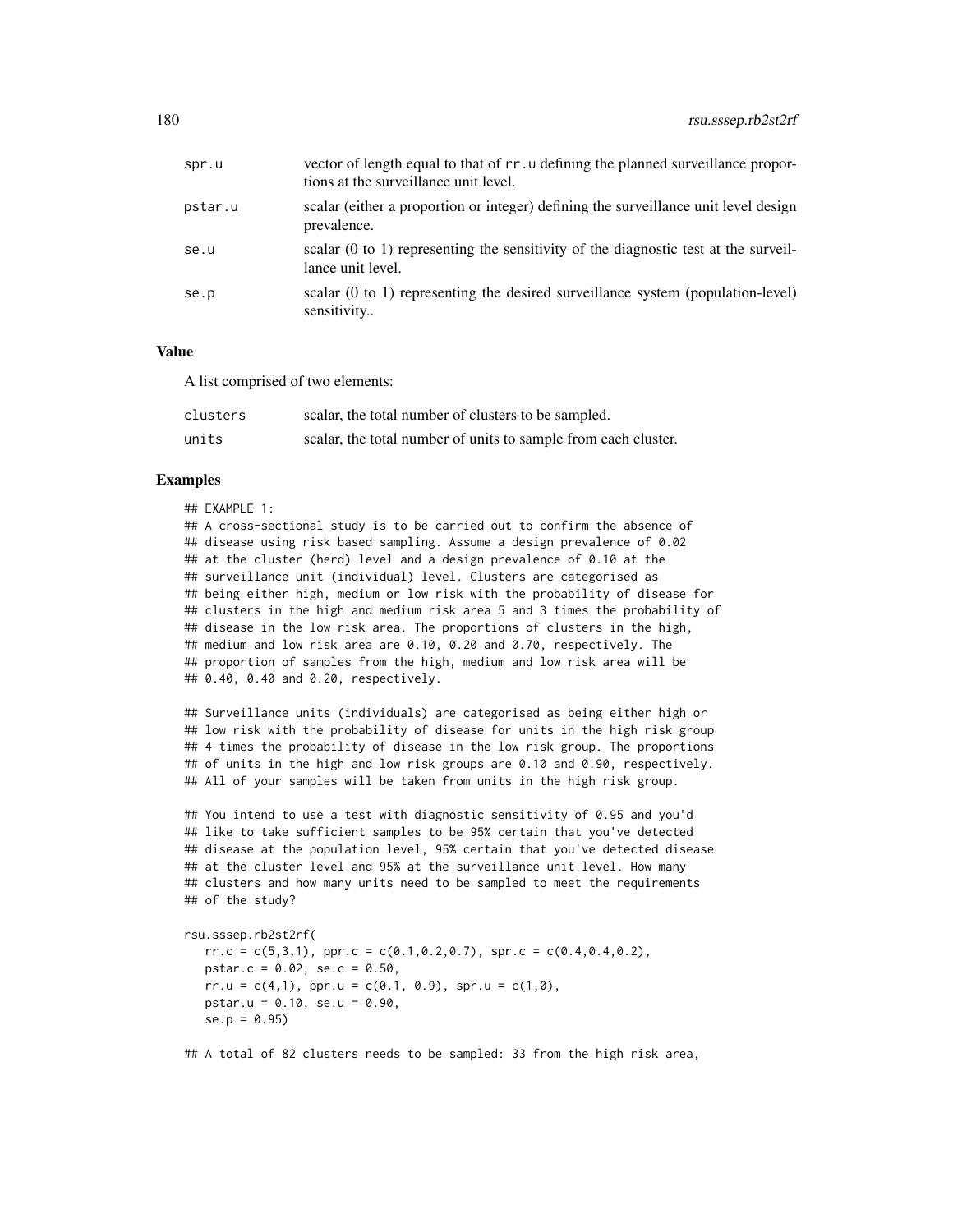| spr.u   | vector of length equal to that of rr. u defining the planned surveillance propor-<br>tions at the surveillance unit level. |
|---------|----------------------------------------------------------------------------------------------------------------------------|
| pstar.u | scalar (either a proportion or integer) defining the surveillance unit level design<br>prevalence.                         |
| se.u    | scalar $(0 \text{ to } 1)$ representing the sensitivity of the diagnostic test at the surveil-<br>lance unit level.        |
| se.p    | scalar $(0 \text{ to } 1)$ representing the desired surveillance system (population-level)<br>sensitivity                  |

## Value

A list comprised of two elements:

| clusters | scalar, the total number of clusters to be sampled.            |
|----------|----------------------------------------------------------------|
| units    | scalar, the total number of units to sample from each cluster. |

#### Examples

## EXAMPLE 1: ## A cross-sectional study is to be carried out to confirm the absence of ## disease using risk based sampling. Assume a design prevalence of 0.02 ## at the cluster (herd) level and a design prevalence of 0.10 at the ## surveillance unit (individual) level. Clusters are categorised as ## being either high, medium or low risk with the probability of disease for ## clusters in the high and medium risk area 5 and 3 times the probability of ## disease in the low risk area. The proportions of clusters in the high, ## medium and low risk area are 0.10, 0.20 and 0.70, respectively. The ## proportion of samples from the high, medium and low risk area will be ## 0.40, 0.40 and 0.20, respectively.

## Surveillance units (individuals) are categorised as being either high or ## low risk with the probability of disease for units in the high risk group ## 4 times the probability of disease in the low risk group. The proportions ## of units in the high and low risk groups are 0.10 and 0.90, respectively. ## All of your samples will be taken from units in the high risk group.

## You intend to use a test with diagnostic sensitivity of 0.95 and you'd ## like to take sufficient samples to be 95% certain that you've detected ## disease at the population level, 95% certain that you've detected disease ## at the cluster level and 95% at the surveillance unit level. How many ## clusters and how many units need to be sampled to meet the requirements ## of the study?

```
rsu.sssep.rb2st2rf(
```
 $rr.c = c(5,3,1)$ , ppr.c =  $c(0.1,0.2,0.7)$ , spr.c =  $c(0.4,0.4,0.2)$ , pstar.c = 0.02, se.c = 0.50,  $rr.u = c(4,1)$ ,  $ppr.u = c(0.1, 0.9)$ ,  $spr.u = c(1,0)$ , pstar.u = 0.10, se.u = 0.90,  $se.p = 0.95$ 

## A total of 82 clusters needs to be sampled: 33 from the high risk area,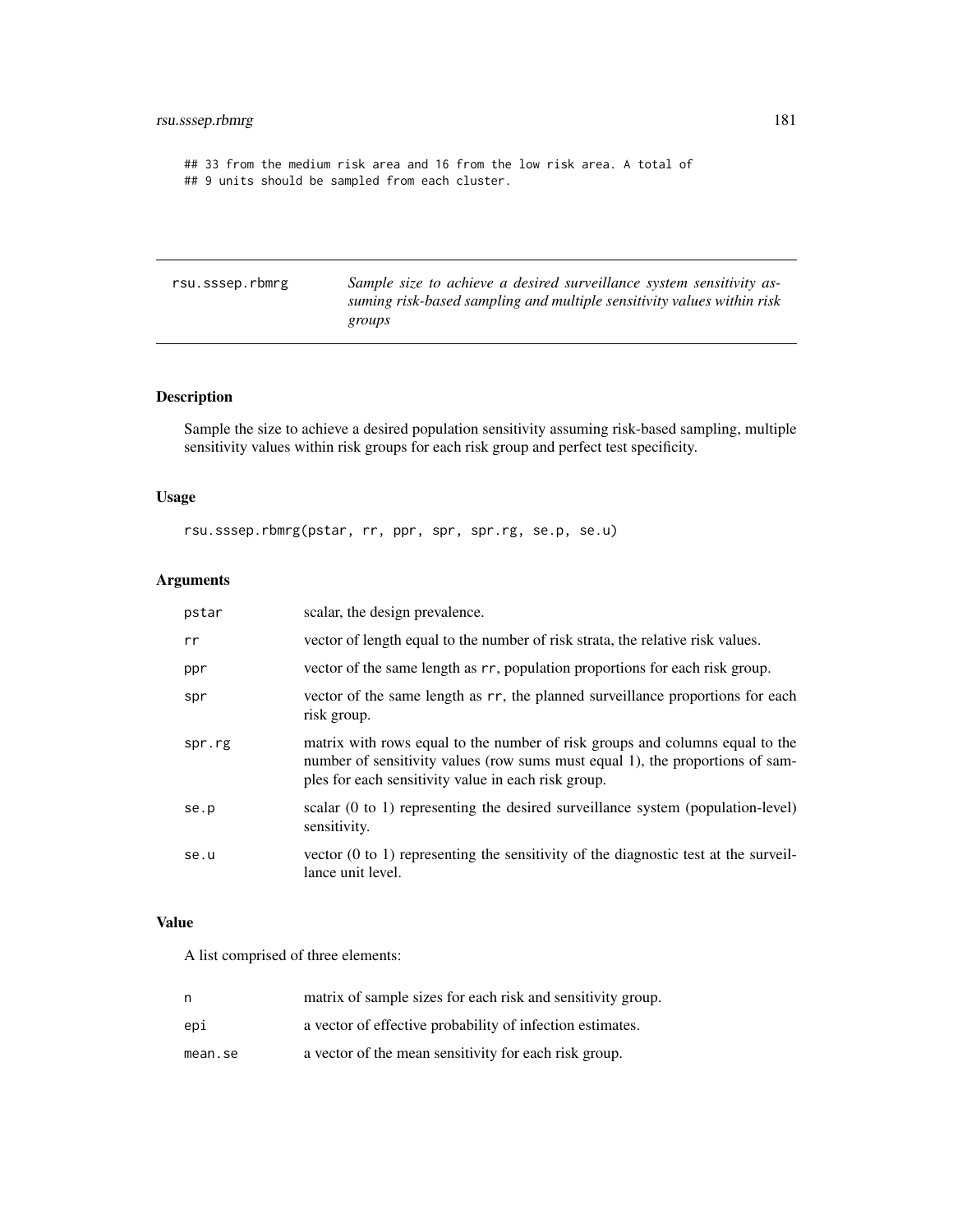<span id="page-180-0"></span>## 33 from the medium risk area and 16 from the low risk area. A total of ## 9 units should be sampled from each cluster.

rsu.sssep.rbmrg *Sample size to achieve a desired surveillance system sensitivity assuming risk-based sampling and multiple sensitivity values within risk groups*

# Description

Sample the size to achieve a desired population sensitivity assuming risk-based sampling, multiple sensitivity values within risk groups for each risk group and perfect test specificity.

## Usage

rsu.sssep.rbmrg(pstar, rr, ppr, spr, spr.rg, se.p, se.u)

# Arguments

| pstar  | scalar, the design prevalence.                                                                                                                                                                                       |
|--------|----------------------------------------------------------------------------------------------------------------------------------------------------------------------------------------------------------------------|
| rr     | vector of length equal to the number of risk strata, the relative risk values.                                                                                                                                       |
| ppr    | vector of the same length as r r, population proportions for each risk group.                                                                                                                                        |
| spr    | vector of the same length as rr, the planned surveillance proportions for each<br>risk group.                                                                                                                        |
| spr.rg | matrix with rows equal to the number of risk groups and columns equal to the<br>number of sensitivity values (row sums must equal 1), the proportions of sam-<br>ples for each sensitivity value in each risk group. |
| se.p   | scalar $(0 \text{ to } 1)$ representing the desired surveillance system (population-level)<br>sensitivity.                                                                                                           |
| se.u   | vector $(0 \text{ to } 1)$ representing the sensitivity of the diagnostic test at the surveil-<br>lance unit level.                                                                                                  |

## Value

A list comprised of three elements:

| n       | matrix of sample sizes for each risk and sensitivity group. |
|---------|-------------------------------------------------------------|
| epi     | a vector of effective probability of infection estimates.   |
| mean.se | a vector of the mean sensitivity for each risk group.       |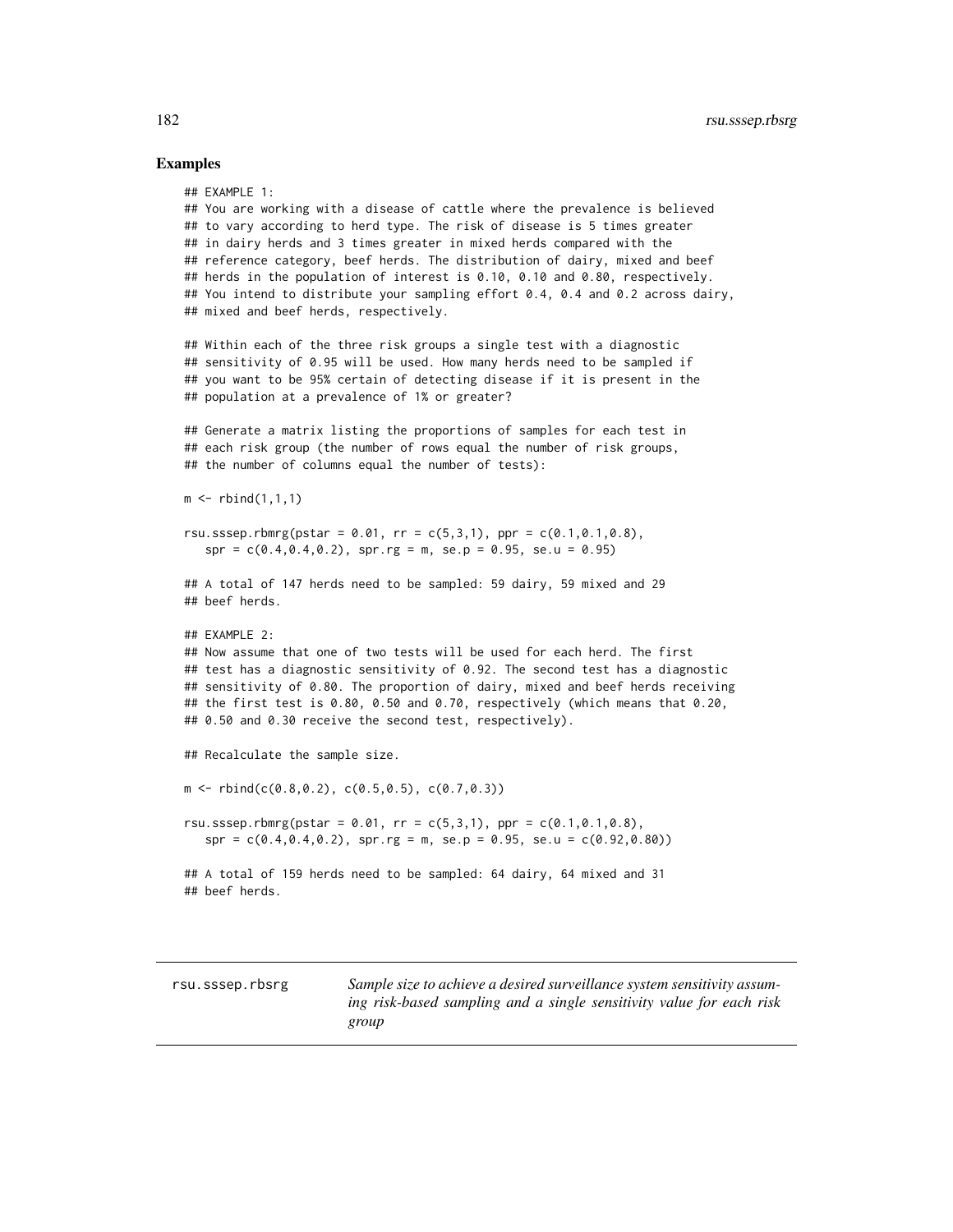## Examples

```
## EXAMPLE 1:
## You are working with a disease of cattle where the prevalence is believed
## to vary according to herd type. The risk of disease is 5 times greater
## in dairy herds and 3 times greater in mixed herds compared with the
## reference category, beef herds. The distribution of dairy, mixed and beef
## herds in the population of interest is 0.10, 0.10 and 0.80, respectively.
## You intend to distribute your sampling effort 0.4, 0.4 and 0.2 across dairy,
## mixed and beef herds, respectively.
## Within each of the three risk groups a single test with a diagnostic
## sensitivity of 0.95 will be used. How many herds need to be sampled if
## you want to be 95% certain of detecting disease if it is present in the
## population at a prevalence of 1% or greater?
## Generate a matrix listing the proportions of samples for each test in
## each risk group (the number of rows equal the number of risk groups,
## the number of columns equal the number of tests):
m \le rbind(1,1,1)
rsu.sssep.rbmrg(pstar = 0.01, rr = c(5,3,1), ppr = c(0.1,0.1,0.8),
   spr = c(0.4, 0.4, 0.2), spr.rg = m, se.p = 0.95, se.u = 0.95)
## A total of 147 herds need to be sampled: 59 dairy, 59 mixed and 29
## beef herds.
## EXAMPLE 2:
## Now assume that one of two tests will be used for each herd. The first
## test has a diagnostic sensitivity of 0.92. The second test has a diagnostic
## sensitivity of 0.80. The proportion of dairy, mixed and beef herds receiving
## the first test is 0.80, 0.50 and 0.70, respectively (which means that 0.20,
## 0.50 and 0.30 receive the second test, respectively).
## Recalculate the sample size.
m \leftarrow \text{rbind}(c(0.8, 0.2), c(0.5, 0.5), c(0.7, 0.3))rsu.sssep.rbmrg(pstar = 0.01, rr = c(5,3,1), ppr = c(0.1,0.1,0.8),
   spr = c(0.4, 0.4, 0.2), spr.rg = m, se.p = 0.95, se.u = c(0.92, 0.80)## A total of 159 herds need to be sampled: 64 dairy, 64 mixed and 31
## beef herds.
```
<span id="page-181-0"></span>

rsu.sssep.rbsrg *Sample size to achieve a desired surveillance system sensitivity assuming risk-based sampling and a single sensitivity value for each risk group*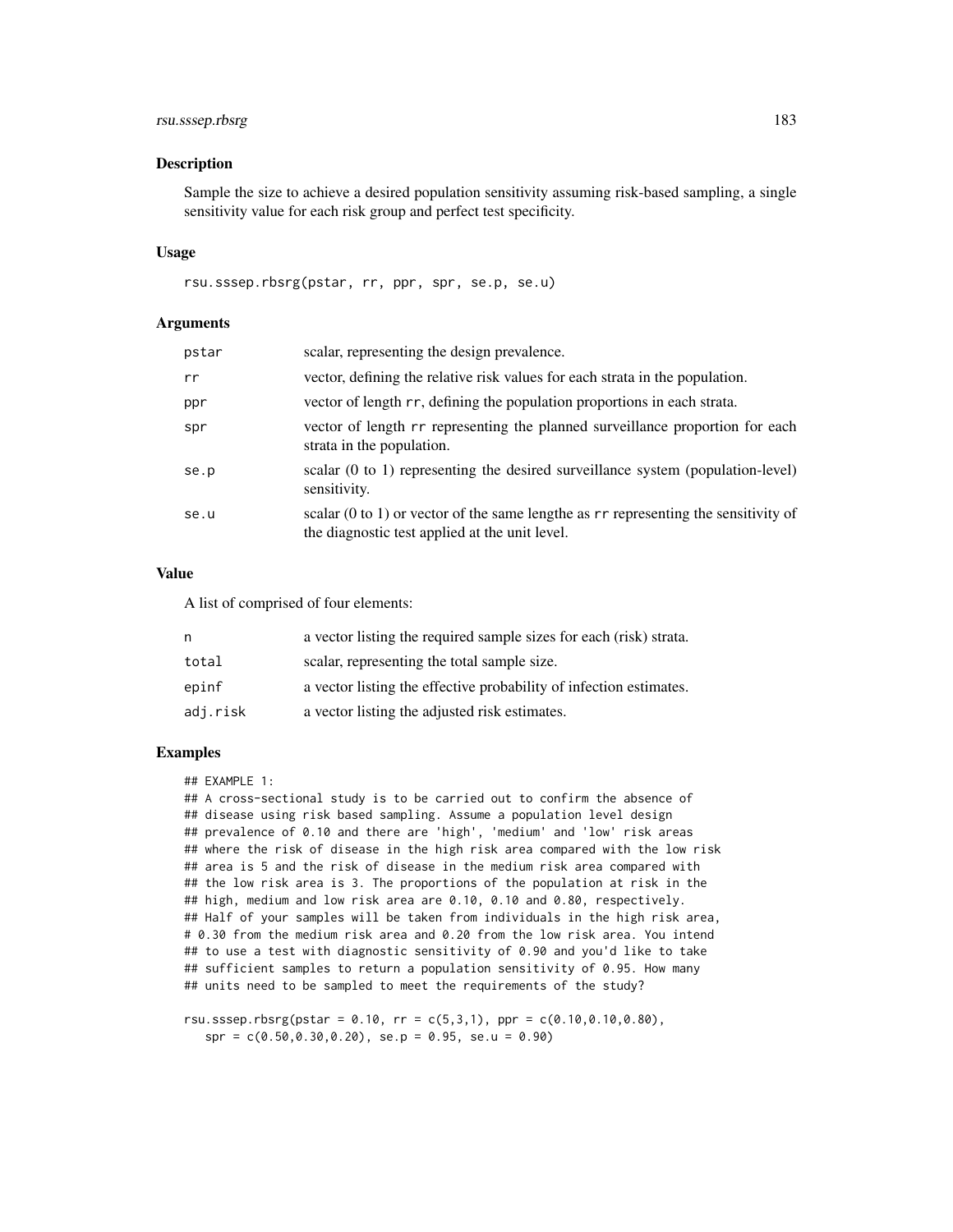# rsu.sssep.rbsrg 183

## Description

Sample the size to achieve a desired population sensitivity assuming risk-based sampling, a single sensitivity value for each risk group and perfect test specificity.

## Usage

rsu.sssep.rbsrg(pstar, rr, ppr, spr, se.p, se.u)

## Arguments

| pstar | scalar, representing the design prevalence.                                                                                                        |
|-------|----------------------------------------------------------------------------------------------------------------------------------------------------|
| rr    | vector, defining the relative risk values for each strata in the population.                                                                       |
| ppr   | vector of length rr, defining the population proportions in each strata.                                                                           |
| spr   | vector of length rr representing the planned surveillance proportion for each<br>strata in the population.                                         |
| se.p  | scalar (0 to 1) representing the desired surveillance system (population-level)<br>sensitivity.                                                    |
| se.u  | scalar $(0 \text{ to } 1)$ or vector of the same lengthe as $rr$ representing the sensitivity of<br>the diagnostic test applied at the unit level. |

# Value

A list of comprised of four elements:

| n        | a vector listing the required sample sizes for each (risk) strata. |
|----------|--------------------------------------------------------------------|
| total    | scalar, representing the total sample size.                        |
| epinf    | a vector listing the effective probability of infection estimates. |
| adj.risk | a vector listing the adjusted risk estimates.                      |

# Examples

## EXAMPLE 1:

## A cross-sectional study is to be carried out to confirm the absence of ## disease using risk based sampling. Assume a population level design ## prevalence of 0.10 and there are 'high', 'medium' and 'low' risk areas ## where the risk of disease in the high risk area compared with the low risk ## area is 5 and the risk of disease in the medium risk area compared with ## the low risk area is 3. The proportions of the population at risk in the ## high, medium and low risk area are 0.10, 0.10 and 0.80, respectively. ## Half of your samples will be taken from individuals in the high risk area, # 0.30 from the medium risk area and 0.20 from the low risk area. You intend ## to use a test with diagnostic sensitivity of 0.90 and you'd like to take ## sufficient samples to return a population sensitivity of 0.95. How many ## units need to be sampled to meet the requirements of the study?

rsu.sssep.rbsrg(pstar =  $0.10$ , rr =  $c(5,3,1)$ , ppr =  $c(0.10,0.10,0.80)$ ,  $spr = c(0.50, 0.30, 0.20),$   $se.p = 0.95,$   $se.u = 0.90)$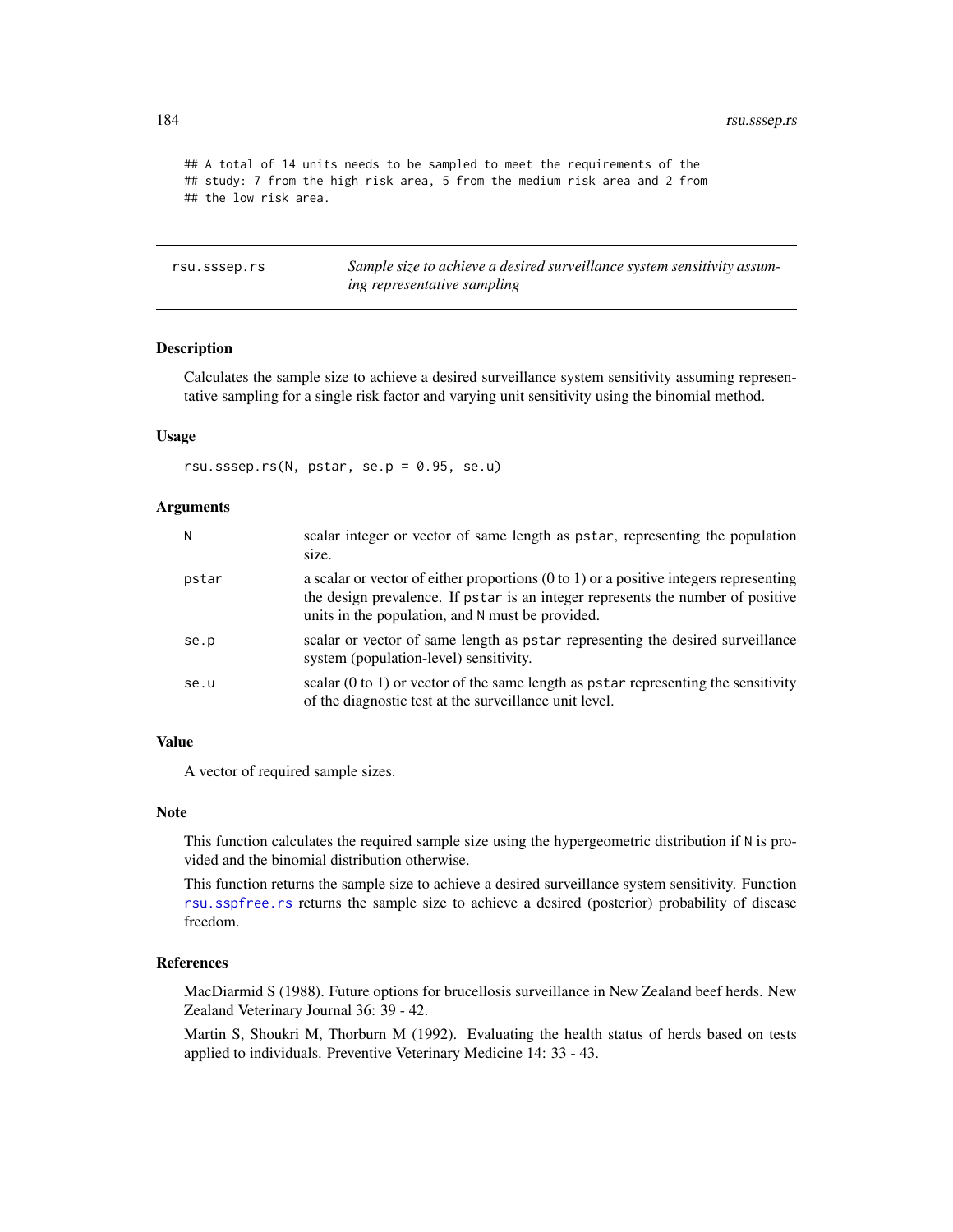<span id="page-183-0"></span>## A total of 14 units needs to be sampled to meet the requirements of the ## study: 7 from the high risk area, 5 from the medium risk area and 2 from ## the low risk area.

rsu.sssep.rs *Sample size to achieve a desired surveillance system sensitivity assuming representative sampling*

## Description

Calculates the sample size to achieve a desired surveillance system sensitivity assuming representative sampling for a single risk factor and varying unit sensitivity using the binomial method.

# Usage

rsu.sssep.rs(N, pstar, se.p = 0.95, se.u)

#### Arguments

| N     | scalar integer or vector of same length as pstar, representing the population<br>size.                                                                                                                                                  |
|-------|-----------------------------------------------------------------------------------------------------------------------------------------------------------------------------------------------------------------------------------------|
| pstar | a scalar or vector of either proportions $(0 \text{ to } 1)$ or a positive integers representing<br>the design prevalence. If pstar is an integer represents the number of positive<br>units in the population, and N must be provided. |
| se.p  | scalar or vector of same length as pstar representing the desired surveillance<br>system (population-level) sensitivity.                                                                                                                |
| se.u  | scalar $(0 \text{ to } 1)$ or vector of the same length as pstar representing the sensitivity<br>of the diagnostic test at the surveillance unit level.                                                                                 |

#### Value

A vector of required sample sizes.

#### Note

This function calculates the required sample size using the hypergeometric distribution if N is provided and the binomial distribution otherwise.

This function returns the sample size to achieve a desired surveillance system sensitivity. Function [rsu.sspfree.rs](#page-175-0) returns the sample size to achieve a desired (posterior) probability of disease freedom.

# References

MacDiarmid S (1988). Future options for brucellosis surveillance in New Zealand beef herds. New Zealand Veterinary Journal 36: 39 - 42.

Martin S, Shoukri M, Thorburn M (1992). Evaluating the health status of herds based on tests applied to individuals. Preventive Veterinary Medicine 14: 33 - 43.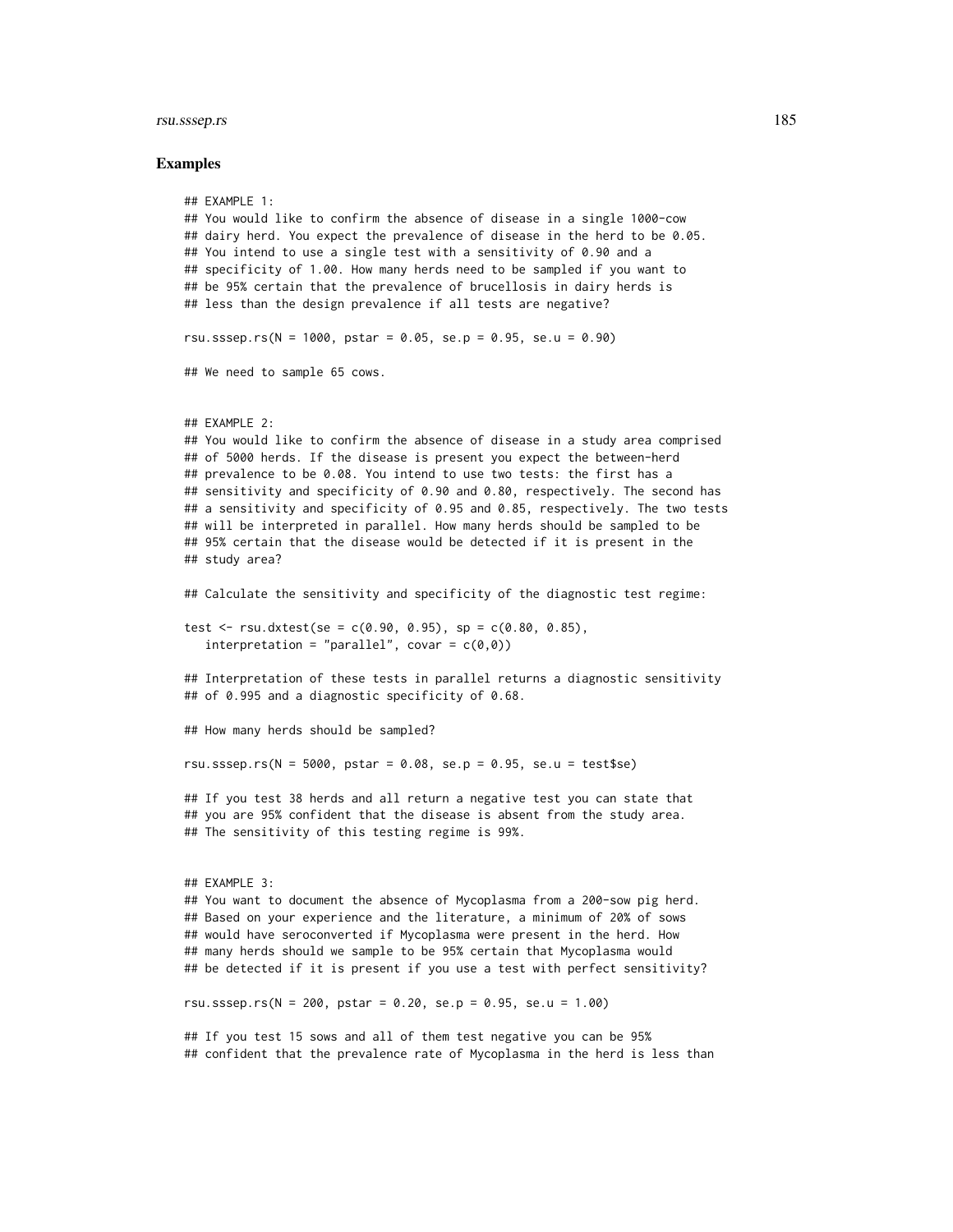#### rsu.sssep.rs 185

```
## EXAMPLE 1:
## You would like to confirm the absence of disease in a single 1000-cow
## dairy herd. You expect the prevalence of disease in the herd to be 0.05.
## You intend to use a single test with a sensitivity of 0.90 and a
## specificity of 1.00. How many herds need to be sampled if you want to
## be 95% certain that the prevalence of brucellosis in dairy herds is
## less than the design prevalence if all tests are negative?
rsu.sssep.rs(N = 1000, pstar = 0.05, se.p = 0.95, se.u = 0.90)
## We need to sample 65 cows.
## EXAMPLE 2:
## You would like to confirm the absence of disease in a study area comprised
## of 5000 herds. If the disease is present you expect the between-herd
## prevalence to be 0.08. You intend to use two tests: the first has a
## sensitivity and specificity of 0.90 and 0.80, respectively. The second has
## a sensitivity and specificity of 0.95 and 0.85, respectively. The two tests
## will be interpreted in parallel. How many herds should be sampled to be
## 95% certain that the disease would be detected if it is present in the
## study area?
## Calculate the sensitivity and specificity of the diagnostic test regime:
test \le rsu.dxtest(se = c(0.90, 0.95), sp = c(0.80, 0.85),
   interpretation = "parallel", covar = c(0,0))
## Interpretation of these tests in parallel returns a diagnostic sensitivity
## of 0.995 and a diagnostic specificity of 0.68.
## How many herds should be sampled?
rsu.sssep.rs(N = 5000, pstar = 0.08, se.p = 0.95, se.u = test$se)
## If you test 38 herds and all return a negative test you can state that
## you are 95% confident that the disease is absent from the study area.
## The sensitivity of this testing regime is 99%.
## EXAMPLE 3:
## You want to document the absence of Mycoplasma from a 200-sow pig herd.
## Based on your experience and the literature, a minimum of 20% of sows
## would have seroconverted if Mycoplasma were present in the herd. How
## many herds should we sample to be 95% certain that Mycoplasma would
## be detected if it is present if you use a test with perfect sensitivity?
rsu.sssep.rs(N = 200, pstar = 0.20, se.p = 0.95, se.u = 1.00)
## If you test 15 sows and all of them test negative you can be 95%
## confident that the prevalence rate of Mycoplasma in the herd is less than
```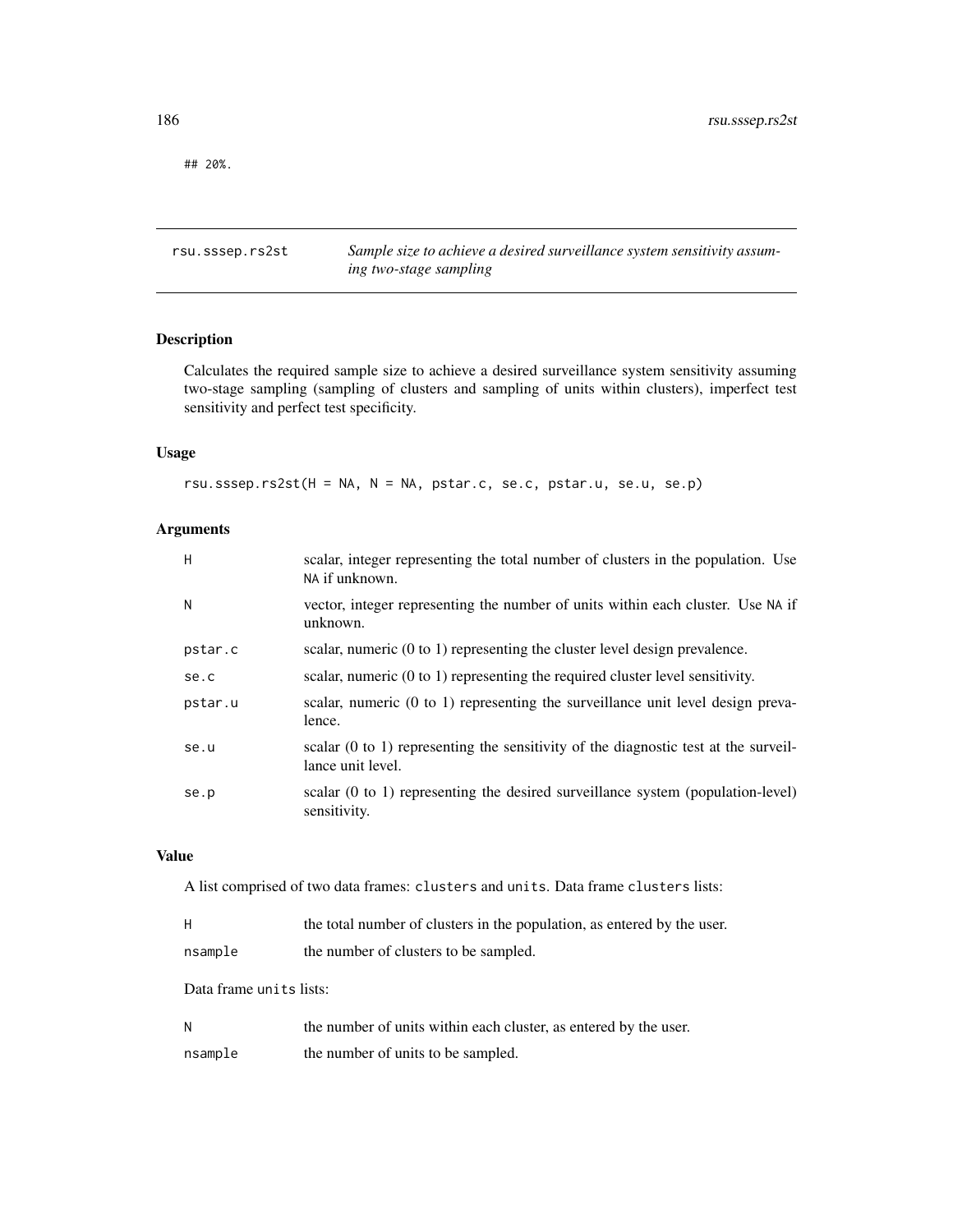## 20%.

rsu.sssep.rs2st *Sample size to achieve a desired surveillance system sensitivity assuming two-stage sampling*

# Description

Calculates the required sample size to achieve a desired surveillance system sensitivity assuming two-stage sampling (sampling of clusters and sampling of units within clusters), imperfect test sensitivity and perfect test specificity.

# Usage

rsu.sssep.rs2st(H = NA, N = NA, pstar.c, se.c, pstar.u, se.u, se.p)

# Arguments

| H       | scalar, integer representing the total number of clusters in the population. Use<br>NA if unknown.                  |
|---------|---------------------------------------------------------------------------------------------------------------------|
| N       | vector, integer representing the number of units within each cluster. Use NA if<br>unknown.                         |
| pstar.c | scalar, numeric $(0 \text{ to } 1)$ representing the cluster level design prevalence.                               |
| se.c    | scalar, numeric $(0 \text{ to } 1)$ representing the required cluster level sensitivity.                            |
| pstar.u | scalar, numeric $(0 \text{ to } 1)$ representing the surveillance unit level design preva-<br>lence.                |
| se.u    | scalar $(0 \text{ to } 1)$ representing the sensitivity of the diagnostic test at the surveil-<br>lance unit level. |
| se.p    | scalar (0 to 1) representing the desired surveillance system (population-level)<br>sensitivity.                     |

# Value

A list comprised of two data frames: clusters and units. Data frame clusters lists:

| Н       | the total number of clusters in the population, as entered by the user. |
|---------|-------------------------------------------------------------------------|
| nsample | the number of clusters to be sampled.                                   |

Data frame units lists:

| N       | the number of units within each cluster, as entered by the user. |
|---------|------------------------------------------------------------------|
| nsample | the number of units to be sampled.                               |

<span id="page-185-0"></span>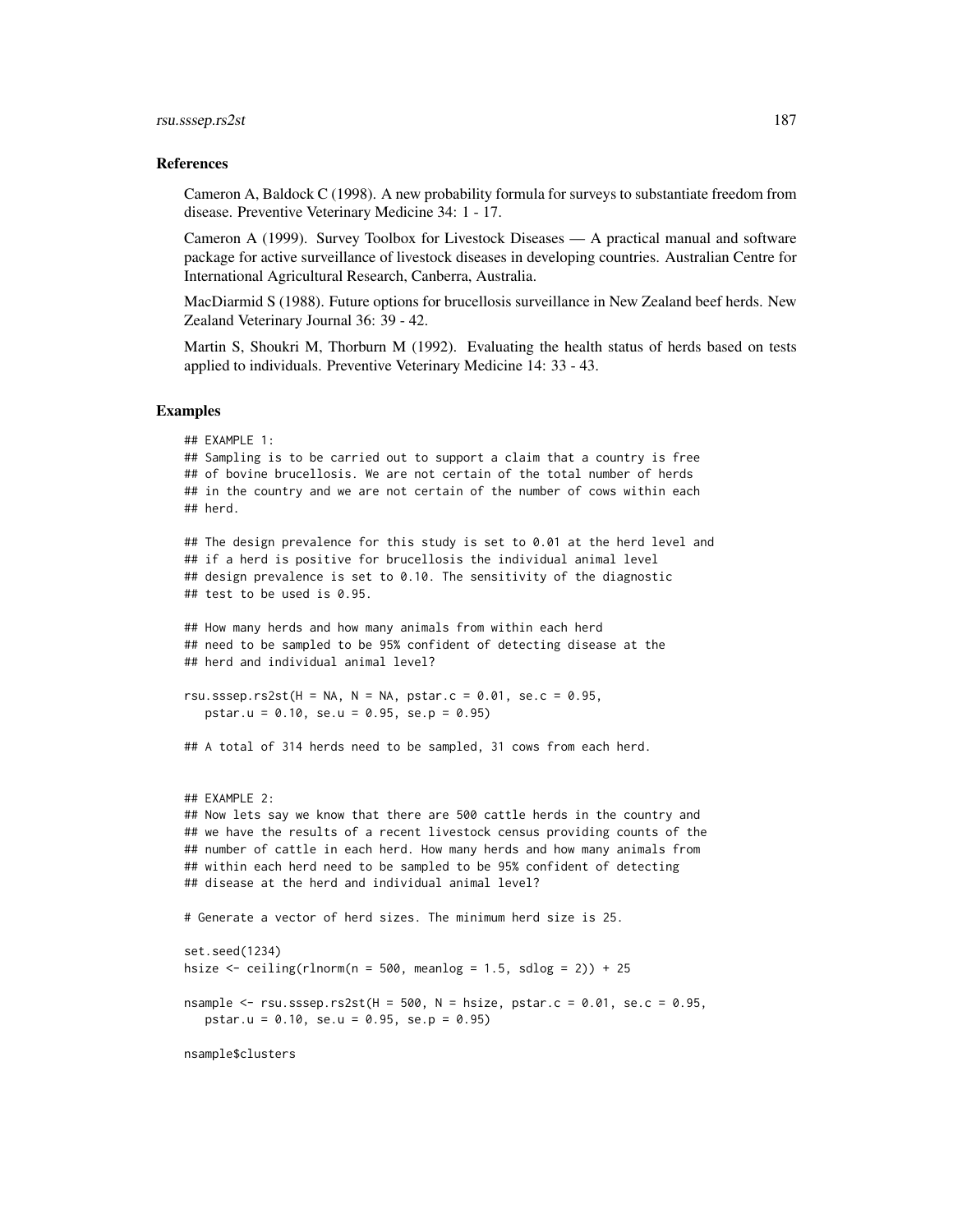#### References

Cameron A, Baldock C (1998). A new probability formula for surveys to substantiate freedom from disease. Preventive Veterinary Medicine 34: 1 - 17.

Cameron A (1999). Survey Toolbox for Livestock Diseases — A practical manual and software package for active surveillance of livestock diseases in developing countries. Australian Centre for International Agricultural Research, Canberra, Australia.

MacDiarmid S (1988). Future options for brucellosis surveillance in New Zealand beef herds. New Zealand Veterinary Journal 36: 39 - 42.

Martin S, Shoukri M, Thorburn M (1992). Evaluating the health status of herds based on tests applied to individuals. Preventive Veterinary Medicine 14: 33 - 43.

```
## EXAMPLE 1:
## Sampling is to be carried out to support a claim that a country is free
## of bovine brucellosis. We are not certain of the total number of herds
## in the country and we are not certain of the number of cows within each
## herd.
## The design prevalence for this study is set to 0.01 at the herd level and
## if a herd is positive for brucellosis the individual animal level
## design prevalence is set to 0.10. The sensitivity of the diagnostic
## test to be used is 0.95.
## How many herds and how many animals from within each herd
## need to be sampled to be 95% confident of detecting disease at the
## herd and individual animal level?
rsu.sssep.rs2st(H = NA, N = NA, pstar.c = 0.01, se.c = 0.95,
  pstar.u = 0.10, se.u = 0.95, se.p = 0.95)
## A total of 314 herds need to be sampled, 31 cows from each herd.
## EXAMPLE 2:
## Now lets say we know that there are 500 cattle herds in the country and
## we have the results of a recent livestock census providing counts of the
## number of cattle in each herd. How many herds and how many animals from
## within each herd need to be sampled to be 95% confident of detecting
## disease at the herd and individual animal level?
# Generate a vector of herd sizes. The minimum herd size is 25.
set.seed(1234)
hsize \le ceiling(rlnorm(n = 500, meanlog = 1.5, sdlog = 2)) + 25
nsample \leq rsu.sssep.rs2st(H = 500, N = hsize, pstar.c = 0.01, se.c = 0.95,
  pstar.u = 0.10, se.u = 0.95, se.p = 0.95)
nsample$clusters
```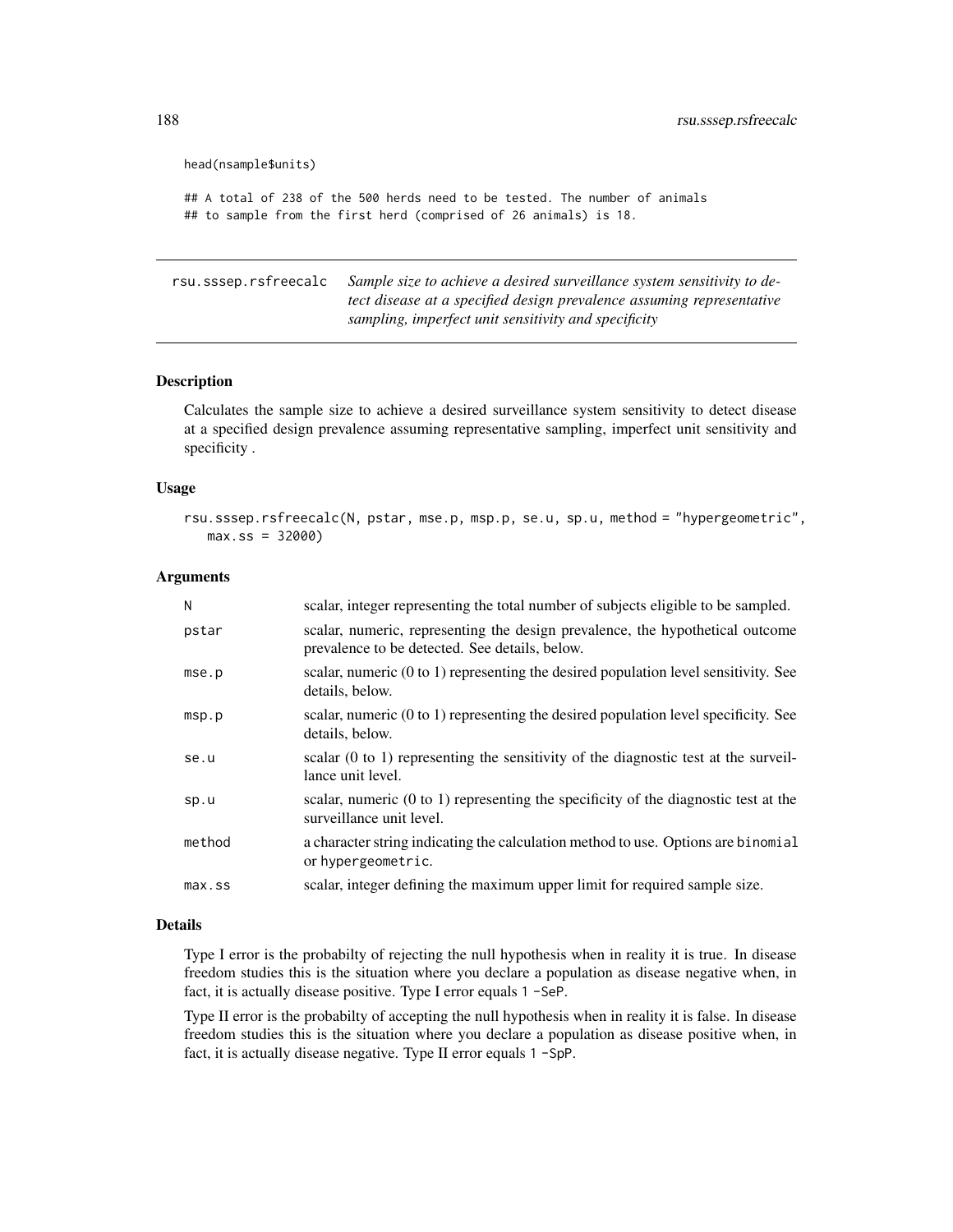```
head(nsample$units)
## A total of 238 of the 500 herds need to be tested. The number of animals
## to sample from the first herd (comprised of 26 animals) is 18.
```
rsu.sssep.rsfreecalc *Sample size to achieve a desired surveillance system sensitivity to detect disease at a specified design prevalence assuming representative sampling, imperfect unit sensitivity and specificity*

## Description

Calculates the sample size to achieve a desired surveillance system sensitivity to detect disease at a specified design prevalence assuming representative sampling, imperfect unit sensitivity and specificity .

## Usage

```
rsu.sssep.rsfreecalc(N, pstar, mse.p, msp.p, se.u, sp.u, method = "hypergeometric",
  max:ss = 32000
```
## Arguments

| N         | scalar, integer representing the total number of subjects eligible to be sampled.                                               |
|-----------|---------------------------------------------------------------------------------------------------------------------------------|
| pstar     | scalar, numeric, representing the design prevalence, the hypothetical outcome<br>prevalence to be detected. See details, below. |
| mse.p     | scalar, numeric $(0 to 1)$ representing the desired population level sensitivity. See<br>details, below.                        |
| msp.p     | scalar, numeric $(0 to 1)$ representing the desired population level specificity. See<br>details, below.                        |
| se.u      | scalar $(0 \text{ to } 1)$ representing the sensitivity of the diagnostic test at the surveil-<br>lance unit level.             |
| sp.u      | scalar, numeric (0 to 1) representing the specificity of the diagnostic test at the<br>surveillance unit level.                 |
| method    | a character string indicating the calculation method to use. Options are binomial<br>or hypergeometric.                         |
| $max$ .ss | scalar, integer defining the maximum upper limit for required sample size.                                                      |

## Details

Type I error is the probabilty of rejecting the null hypothesis when in reality it is true. In disease freedom studies this is the situation where you declare a population as disease negative when, in fact, it is actually disease positive. Type I error equals 1 -SeP.

Type II error is the probabilty of accepting the null hypothesis when in reality it is false. In disease freedom studies this is the situation where you declare a population as disease positive when, in fact, it is actually disease negative. Type II error equals 1 -SpP.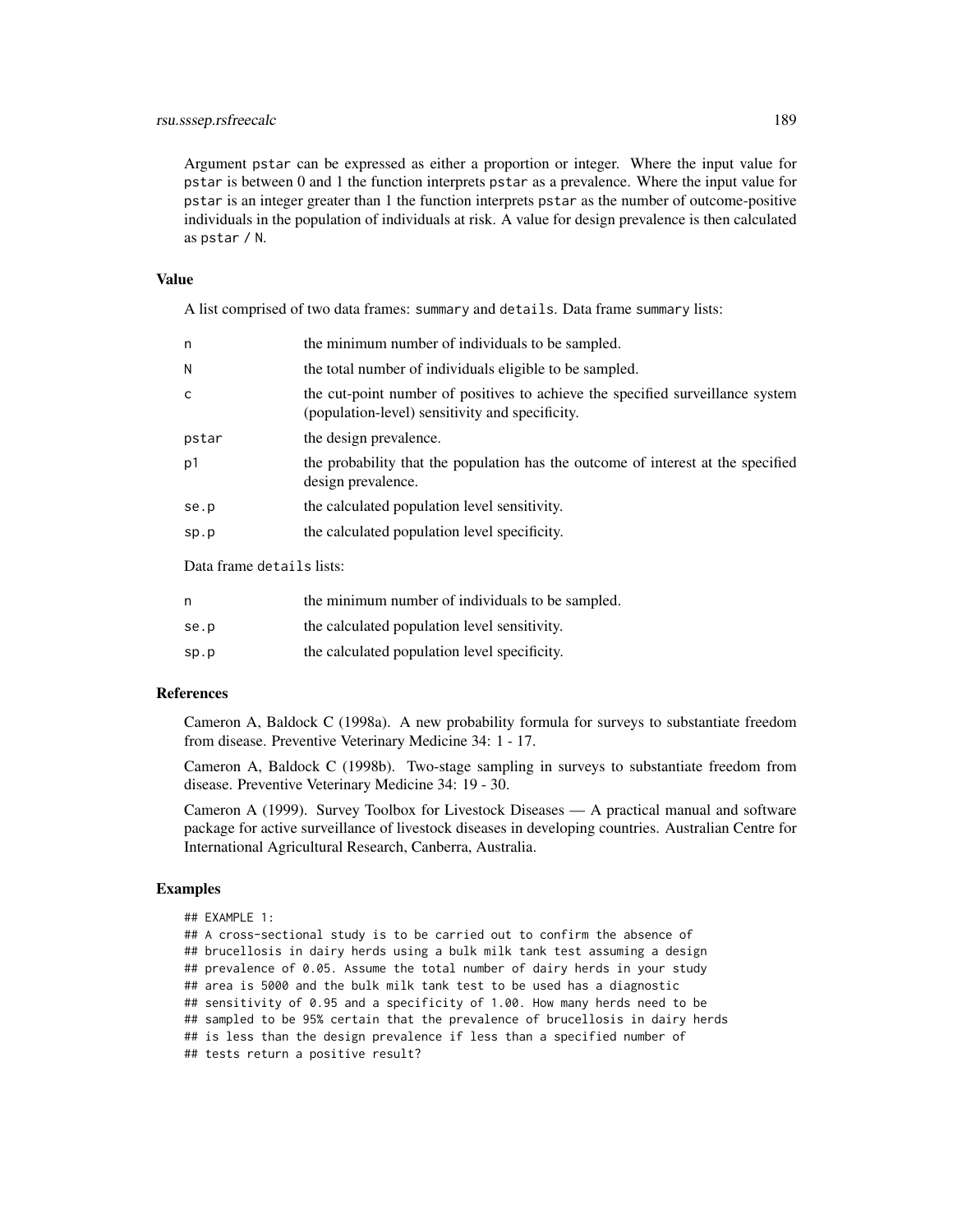## rsu.sssep.rsfreecalc 189

Argument pstar can be expressed as either a proportion or integer. Where the input value for pstar is between 0 and 1 the function interprets pstar as a prevalence. Where the input value for pstar is an integer greater than 1 the function interprets pstar as the number of outcome-positive individuals in the population of individuals at risk. A value for design prevalence is then calculated as pstar / N.

## Value

A list comprised of two data frames: summary and details. Data frame summary lists:

| n     | the minimum number of individuals to be sampled.                                                                                  |
|-------|-----------------------------------------------------------------------------------------------------------------------------------|
| Ν     | the total number of individuals eligible to be sampled.                                                                           |
| C     | the cut-point number of positives to achieve the specified surveillance system<br>(population-level) sensitivity and specificity. |
| pstar | the design prevalence.                                                                                                            |
| p1    | the probability that the population has the outcome of interest at the specified<br>design prevalence.                            |
| se.p  | the calculated population level sensitivity.                                                                                      |
| sp.p  | the calculated population level specificity.                                                                                      |

Data frame details lists:

| n    | the minimum number of individuals to be sampled. |
|------|--------------------------------------------------|
| se.p | the calculated population level sensitivity.     |
| sp.p | the calculated population level specificity.     |

## References

Cameron A, Baldock C (1998a). A new probability formula for surveys to substantiate freedom from disease. Preventive Veterinary Medicine 34: 1 - 17.

Cameron A, Baldock C (1998b). Two-stage sampling in surveys to substantiate freedom from disease. Preventive Veterinary Medicine 34: 19 - 30.

Cameron A (1999). Survey Toolbox for Livestock Diseases — A practical manual and software package for active surveillance of livestock diseases in developing countries. Australian Centre for International Agricultural Research, Canberra, Australia.

```
## EXAMPLE 1:
## A cross-sectional study is to be carried out to confirm the absence of
## brucellosis in dairy herds using a bulk milk tank test assuming a design
## prevalence of 0.05. Assume the total number of dairy herds in your study
## area is 5000 and the bulk milk tank test to be used has a diagnostic
## sensitivity of 0.95 and a specificity of 1.00. How many herds need to be
## sampled to be 95% certain that the prevalence of brucellosis in dairy herds
## is less than the design prevalence if less than a specified number of
## tests return a positive result?
```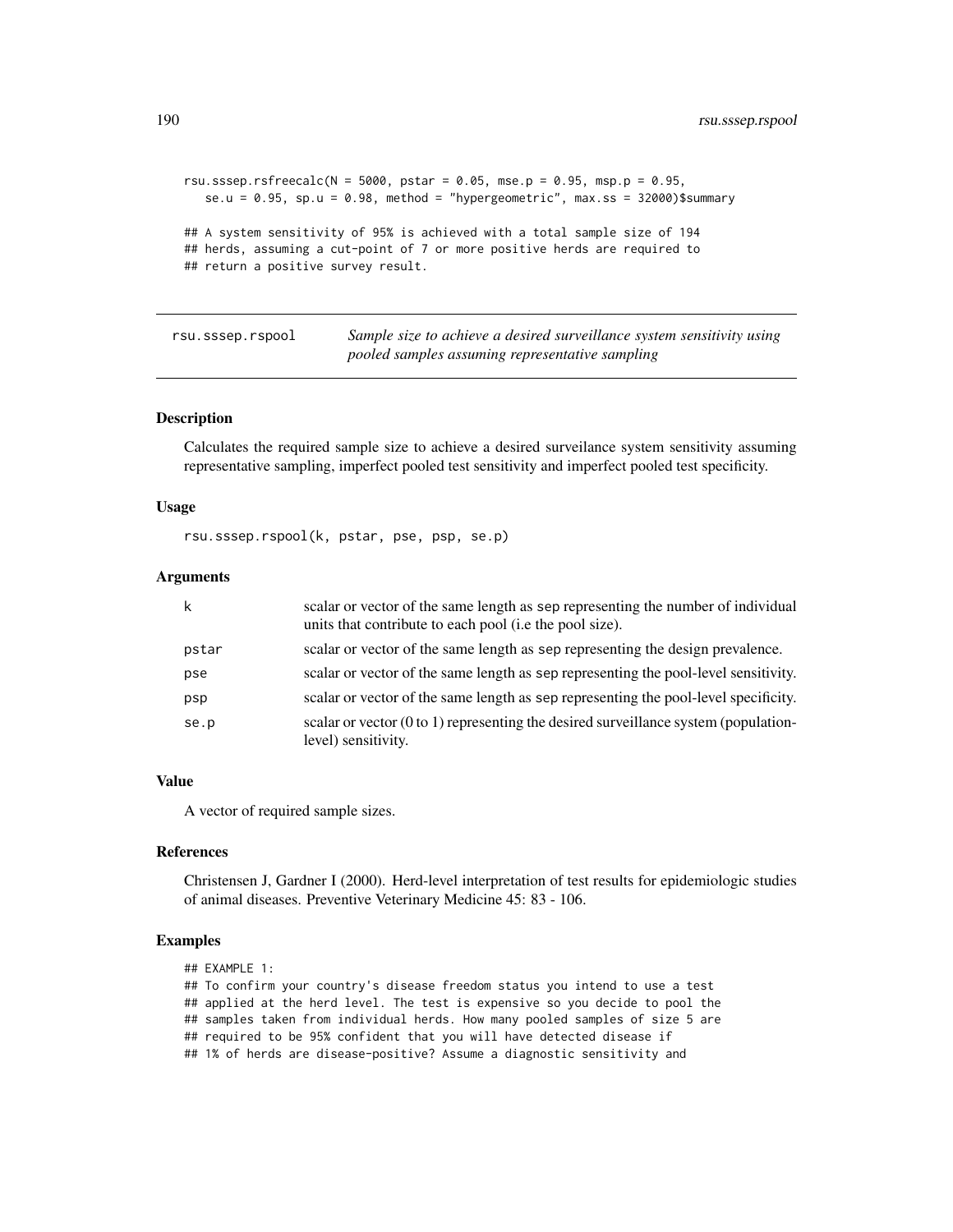```
rsu.sssep.rsfreecalc(N = 5000, pstar = 0.05, mse.p = 0.95, msp.p = 0.95,
  se.u = 0.95, sp.u = 0.98, method = "hypergeometric", max.ss = 32000)$summary
## A system sensitivity of 95% is achieved with a total sample size of 194
## herds, assuming a cut-point of 7 or more positive herds are required to
## return a positive survey result.
```
rsu.sssep.rspool *Sample size to achieve a desired surveillance system sensitivity using pooled samples assuming representative sampling*

## Description

Calculates the required sample size to achieve a desired surveilance system sensitivity assuming representative sampling, imperfect pooled test sensitivity and imperfect pooled test specificity.

## Usage

rsu.sssep.rspool(k, pstar, pse, psp, se.p)

## **Arguments**

| k     | scalar or vector of the same length as sep representing the number of individual<br>units that contribute to each pool (i.e the pool size). |
|-------|---------------------------------------------------------------------------------------------------------------------------------------------|
| pstar | scalar or vector of the same length as sep representing the design prevalence.                                                              |
| pse   | scalar or vector of the same length as sep representing the pool-level sensitivity.                                                         |
| psp   | scalar or vector of the same length as sep representing the pool-level specificity.                                                         |
| se.p  | scalar or vector $(0 \text{ to } 1)$ representing the desired surveillance system (population-<br>level) sensitivity.                       |

# Value

A vector of required sample sizes.

### **References**

Christensen J, Gardner I (2000). Herd-level interpretation of test results for epidemiologic studies of animal diseases. Preventive Veterinary Medicine 45: 83 - 106.

```
## EXAMPLE 1:
## To confirm your country's disease freedom status you intend to use a test
## applied at the herd level. The test is expensive so you decide to pool the
## samples taken from individual herds. How many pooled samples of size 5 are
## required to be 95% confident that you will have detected disease if
## 1% of herds are disease-positive? Assume a diagnostic sensitivity and
```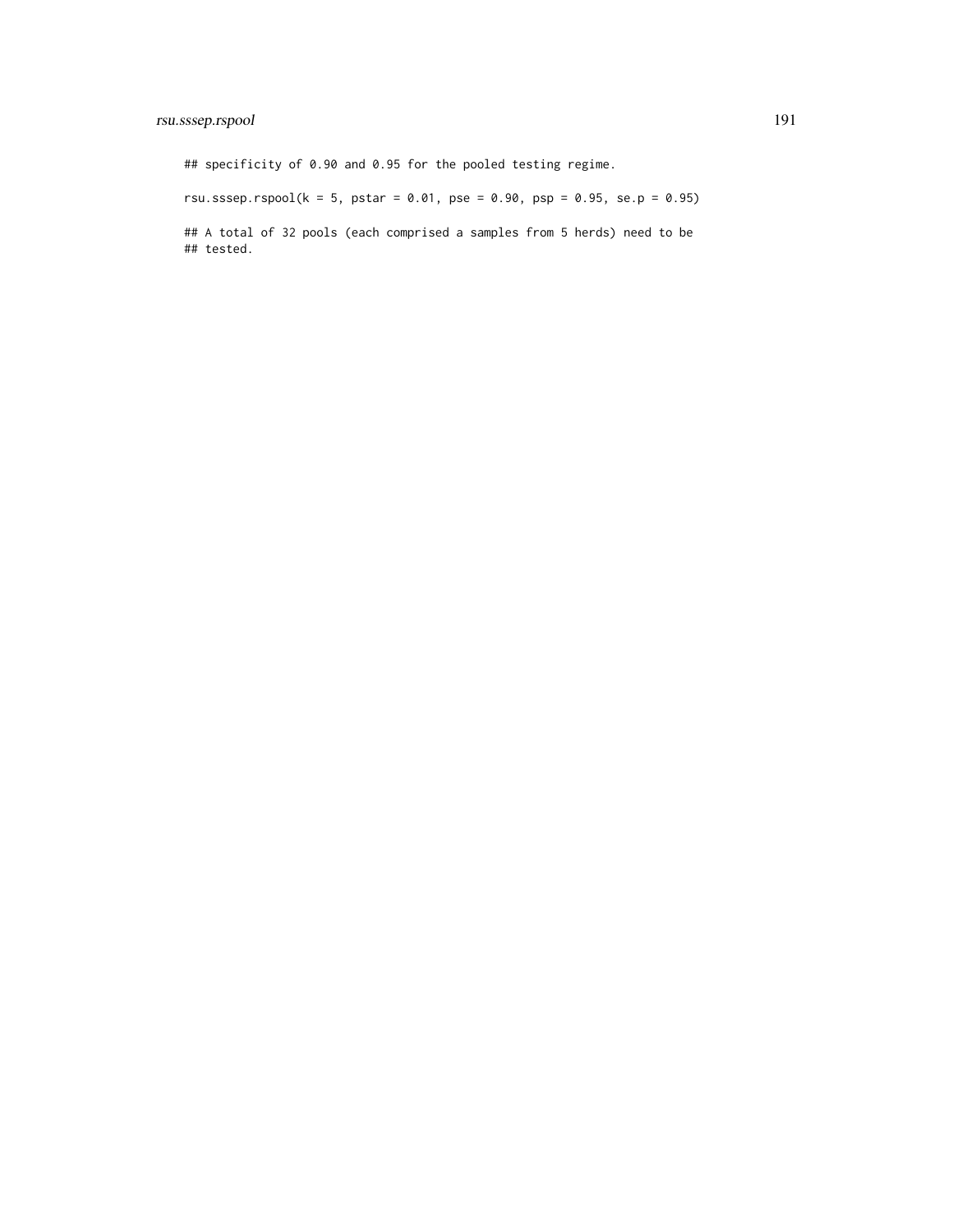# rsu.sssep.rspool 191

## specificity of 0.90 and 0.95 for the pooled testing regime.

rsu.sssep.rspool( $k = 5$ , pstar = 0.01, pse = 0.90, psp = 0.95, se.p = 0.95)

## A total of 32 pools (each comprised a samples from 5 herds) need to be ## tested.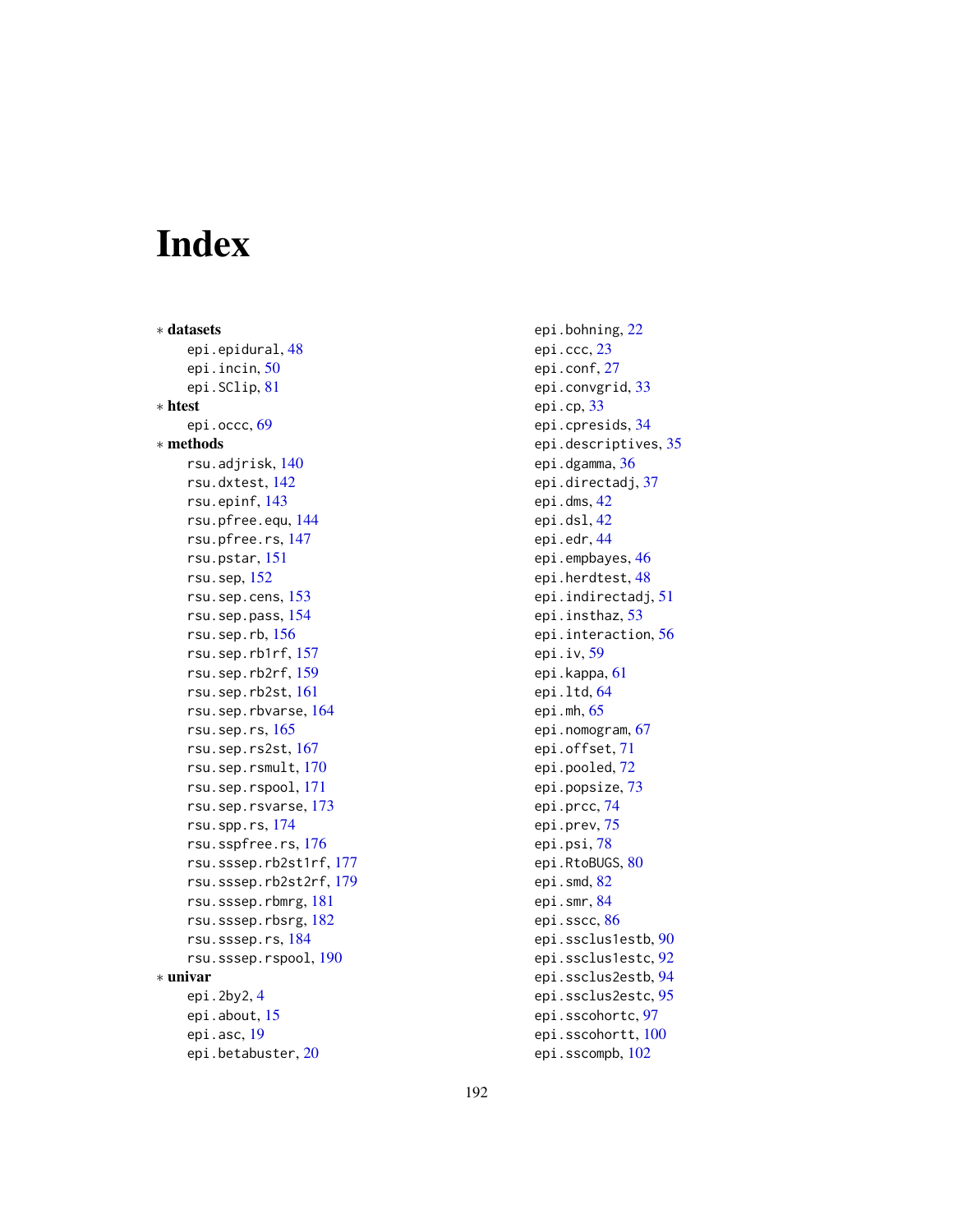# Index

∗ datasets epi.epidural, [48](#page-47-0) epi.incin, [50](#page-49-0) epi.SClip, [81](#page-80-0) ∗ htest epi.occc, [69](#page-68-0) ∗ methods rsu.adjrisk, [140](#page-139-0) rsu.dxtest, [142](#page-141-0) rsu.epinf, [143](#page-142-0) rsu.pfree.equ, [144](#page-143-0) rsu.pfree.rs, [147](#page-146-0) rsu.pstar, [151](#page-150-0) rsu.sep, [152](#page-151-0) rsu.sep.cens, [153](#page-152-0) rsu.sep.pass, [154](#page-153-0) rsu.sep.rb, [156](#page-155-0) rsu.sep.rb1rf, [157](#page-156-0) rsu.sep.rb2rf, [159](#page-158-0) rsu.sep.rb2st, [161](#page-160-0) rsu.sep.rbvarse, [164](#page-163-0) rsu.sep.rs, [165](#page-164-0) rsu.sep.rs2st, [167](#page-166-0) rsu.sep.rsmult, [170](#page-169-0) rsu.sep.rspool, [171](#page-170-0) rsu.sep.rsvarse, [173](#page-172-0) rsu.spp.rs, [174](#page-173-0) rsu.sspfree.rs, [176](#page-175-1) rsu.sssep.rb2st1rf, [177](#page-176-0) rsu.sssep.rb2st2rf, [179](#page-178-0) rsu.sssep.rbmrg, [181](#page-180-0) rsu.sssep.rbsrg, [182](#page-181-0) rsu.sssep.rs, [184](#page-183-0) rsu.sssep.rspool, [190](#page-189-0) ∗ univar epi.2by2, [4](#page-3-0) epi.about, [15](#page-14-0) epi.asc, [19](#page-18-0) epi.betabuster, [20](#page-19-0)

epi.bohning, [22](#page-21-0) epi.ccc, [23](#page-22-0) epi.conf, [27](#page-26-0) epi.convgrid, [33](#page-32-0) epi.cp, [33](#page-32-0) epi.cpresids, [34](#page-33-0) epi.descriptives, [35](#page-34-0) epi.dgamma, [36](#page-35-0) epi.directadj, [37](#page-36-0) epi.dms, [42](#page-41-0) epi.dsl, [42](#page-41-0) epi.edr, [44](#page-43-0) epi.empbayes, [46](#page-45-0) epi.herdtest, [48](#page-47-0) epi.indirectadj, [51](#page-50-0) epi.insthaz, [53](#page-52-0) epi.interaction, [56](#page-55-0) epi.iv, [59](#page-58-0) epi.kappa, [61](#page-60-0) epi.ltd, [64](#page-63-0) epi.mh, [65](#page-64-0) epi.nomogram, [67](#page-66-0) epi.offset, [71](#page-70-0) epi.pooled, [72](#page-71-0) epi.popsize, [73](#page-72-0) epi.prcc, [74](#page-73-0) epi.prev, [75](#page-74-0) epi.psi, [78](#page-77-0) epi.RtoBUGS, [80](#page-79-0) epi.smd, [82](#page-81-0) epi.smr, [84](#page-83-0) epi.sscc, [86](#page-85-0) epi.ssclus1estb, [90](#page-89-0) epi.ssclus1estc, [92](#page-91-0) epi.ssclus2estb, [94](#page-93-0) epi.ssclus2estc, [95](#page-94-0) epi.sscohortc, [97](#page-96-0) epi.sscohortt, [100](#page-99-0) epi.sscompb, [102](#page-101-0)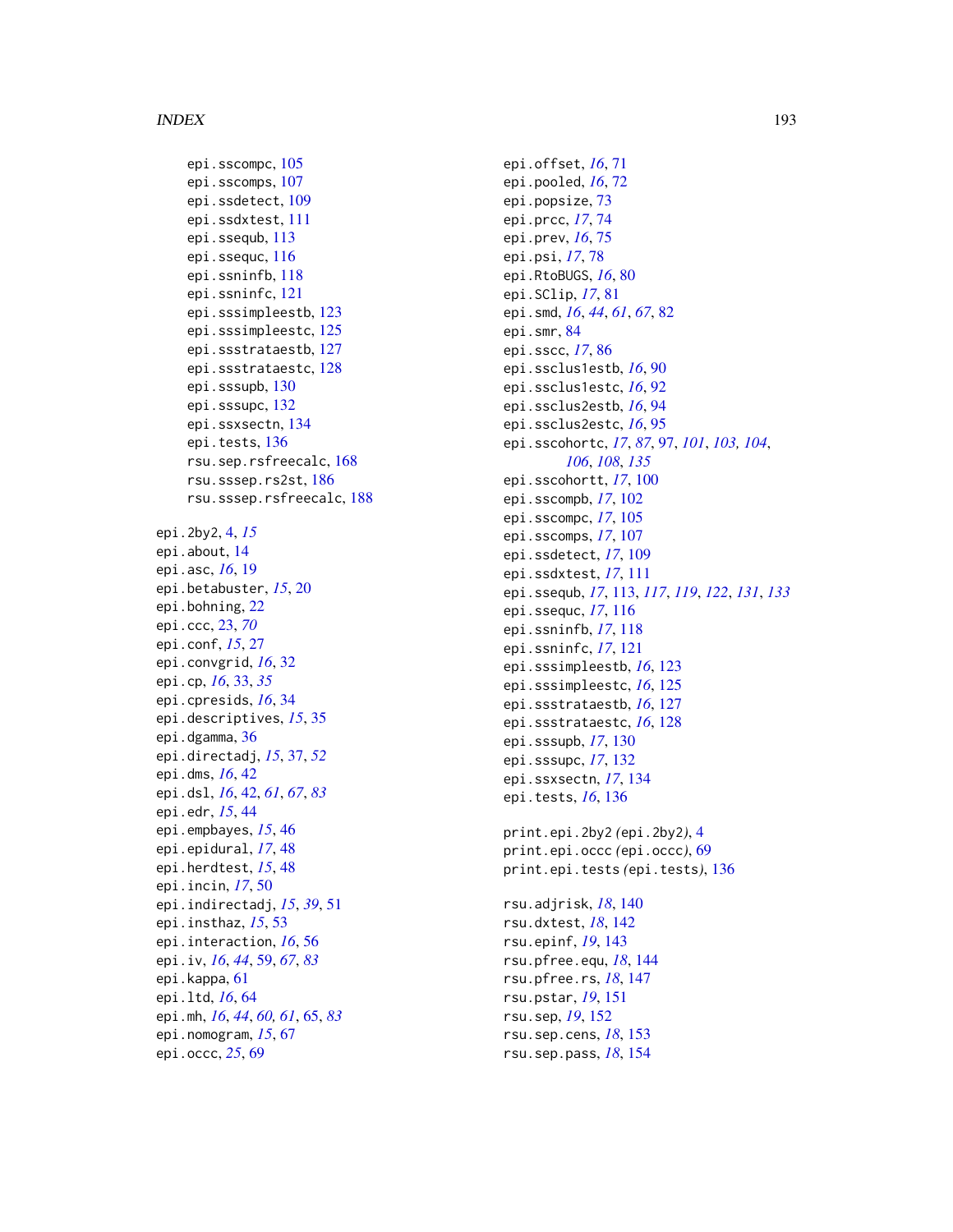epi.sscompc, [105](#page-104-0) epi.sscomps, [107](#page-106-0) epi.ssdetect, [109](#page-108-0) epi.ssdxtest, [111](#page-110-0) epi.ssequb, [113](#page-112-0) epi.ssequc, [116](#page-115-0) epi.ssninfb, [118](#page-117-0) epi.ssninfc, [121](#page-120-0) epi.sssimpleestb, [123](#page-122-0) epi.sssimpleestc, [125](#page-124-0) epi.ssstrataestb, [127](#page-126-0) epi.ssstrataestc, [128](#page-127-0) epi.sssupb, [130](#page-129-0) epi.sssupc, [132](#page-131-0) epi.ssxsectn, [134](#page-133-0) epi.tests, [136](#page-135-0) rsu.sep.rsfreecalc, [168](#page-167-0) rsu.sssep.rs2st, [186](#page-185-0) rsu.sssep.rsfreecalc, [188](#page-187-0) epi.2by2, [4,](#page-3-0) *[15](#page-14-0)* epi.about, [14](#page-13-0) epi.asc, *[16](#page-15-0)*, [19](#page-18-0) epi.betabuster, *[15](#page-14-0)*, [20](#page-19-0) epi.bohning, [22](#page-21-0) epi.ccc, [23,](#page-22-0) *[70](#page-69-0)* epi.conf, *[15](#page-14-0)*, [27](#page-26-0) epi.convgrid, *[16](#page-15-0)*, [32](#page-31-0) epi.cp, *[16](#page-15-0)*, [33,](#page-32-0) *[35](#page-34-0)* epi.cpresids, *[16](#page-15-0)*, [34](#page-33-0) epi.descriptives, *[15](#page-14-0)*, [35](#page-34-0) epi.dgamma, [36](#page-35-0) epi.directadj, *[15](#page-14-0)*, [37,](#page-36-0) *[52](#page-51-0)* epi.dms, *[16](#page-15-0)*, [42](#page-41-0) epi.dsl, *[16](#page-15-0)*, [42,](#page-41-0) *[61](#page-60-0)*, *[67](#page-66-0)*, *[83](#page-82-0)* epi.edr, *[15](#page-14-0)*, [44](#page-43-0) epi.empbayes, *[15](#page-14-0)*, [46](#page-45-0) epi.epidural, *[17](#page-16-0)*, [48](#page-47-0) epi.herdtest, *[15](#page-14-0)*, [48](#page-47-0) epi.incin, *[17](#page-16-0)*, [50](#page-49-0) epi.indirectadj, *[15](#page-14-0)*, *[39](#page-38-0)*, [51](#page-50-0) epi.insthaz, *[15](#page-14-0)*, [53](#page-52-0) epi.interaction, *[16](#page-15-0)*, [56](#page-55-0) epi.iv, *[16](#page-15-0)*, *[44](#page-43-0)*, [59,](#page-58-0) *[67](#page-66-0)*, *[83](#page-82-0)* epi.kappa, [61](#page-60-0) epi.ltd, *[16](#page-15-0)*, [64](#page-63-0) epi.mh, *[16](#page-15-0)*, *[44](#page-43-0)*, *[60,](#page-59-0) [61](#page-60-0)*, [65,](#page-64-0) *[83](#page-82-0)* epi.nomogram, *[15](#page-14-0)*, [67](#page-66-0) epi.occc, *[25](#page-24-0)*, [69](#page-68-0)

epi.offset, *[16](#page-15-0)*, [71](#page-70-0) epi.pooled, *[16](#page-15-0)*, [72](#page-71-0) epi.popsize, [73](#page-72-0) epi.prcc, *[17](#page-16-0)*, [74](#page-73-0) epi.prev, *[16](#page-15-0)*, [75](#page-74-0) epi.psi, *[17](#page-16-0)*, [78](#page-77-0) epi.RtoBUGS, *[16](#page-15-0)*, [80](#page-79-0) epi.SClip, *[17](#page-16-0)*, [81](#page-80-0) epi.smd, *[16](#page-15-0)*, *[44](#page-43-0)*, *[61](#page-60-0)*, *[67](#page-66-0)*, [82](#page-81-0) epi.smr, [84](#page-83-0) epi.sscc, *[17](#page-16-0)*, [86](#page-85-0) epi.ssclus1estb, *[16](#page-15-0)*, [90](#page-89-0) epi.ssclus1estc, *[16](#page-15-0)*, [92](#page-91-0) epi.ssclus2estb, *[16](#page-15-0)*, [94](#page-93-0) epi.ssclus2estc, *[16](#page-15-0)*, [95](#page-94-0) epi.sscohortc, *[17](#page-16-0)*, *[87](#page-86-0)*, [97,](#page-96-0) *[101](#page-100-0)*, *[103,](#page-102-0) [104](#page-103-0)*, *[106](#page-105-0)*, *[108](#page-107-0)*, *[135](#page-134-0)* epi.sscohortt, *[17](#page-16-0)*, [100](#page-99-0) epi.sscompb, *[17](#page-16-0)*, [102](#page-101-0) epi.sscompc, *[17](#page-16-0)*, [105](#page-104-0) epi.sscomps, *[17](#page-16-0)*, [107](#page-106-0) epi.ssdetect, *[17](#page-16-0)*, [109](#page-108-0) epi.ssdxtest, *[17](#page-16-0)*, [111](#page-110-0) epi.ssequb, *[17](#page-16-0)*, [113,](#page-112-0) *[117](#page-116-0)*, *[119](#page-118-0)*, *[122](#page-121-0)*, *[131](#page-130-0)*, *[133](#page-132-0)* epi.ssequc, *[17](#page-16-0)*, [116](#page-115-0) epi.ssninfb, *[17](#page-16-0)*, [118](#page-117-0) epi.ssninfc, *[17](#page-16-0)*, [121](#page-120-0) epi.sssimpleestb, *[16](#page-15-0)*, [123](#page-122-0) epi.sssimpleestc, *[16](#page-15-0)*, [125](#page-124-0) epi.ssstrataestb, *[16](#page-15-0)*, [127](#page-126-0) epi.ssstrataestc, *[16](#page-15-0)*, [128](#page-127-0) epi.sssupb, *[17](#page-16-0)*, [130](#page-129-0) epi.sssupc, *[17](#page-16-0)*, [132](#page-131-0) epi.ssxsectn, *[17](#page-16-0)*, [134](#page-133-0) epi.tests, *[16](#page-15-0)*, [136](#page-135-0) print.epi.2by2 *(*epi.2by2*)*, [4](#page-3-0) print.epi.occc *(*epi.occc*)*, [69](#page-68-0) print.epi.tests *(*epi.tests*)*, [136](#page-135-0) rsu.adjrisk, *[18](#page-17-0)*, [140](#page-139-0) rsu.dxtest, *[18](#page-17-0)*, [142](#page-141-0) rsu.epinf, *[19](#page-18-0)*, [143](#page-142-0) rsu.pfree.equ, *[18](#page-17-0)*, [144](#page-143-0) rsu.pfree.rs, *[18](#page-17-0)*, [147](#page-146-0)

rsu.pstar, *[19](#page-18-0)*, [151](#page-150-0) rsu.sep, *[19](#page-18-0)*, [152](#page-151-0) rsu.sep.cens, *[18](#page-17-0)*, [153](#page-152-0) rsu.sep.pass, *[18](#page-17-0)*, [154](#page-153-0)